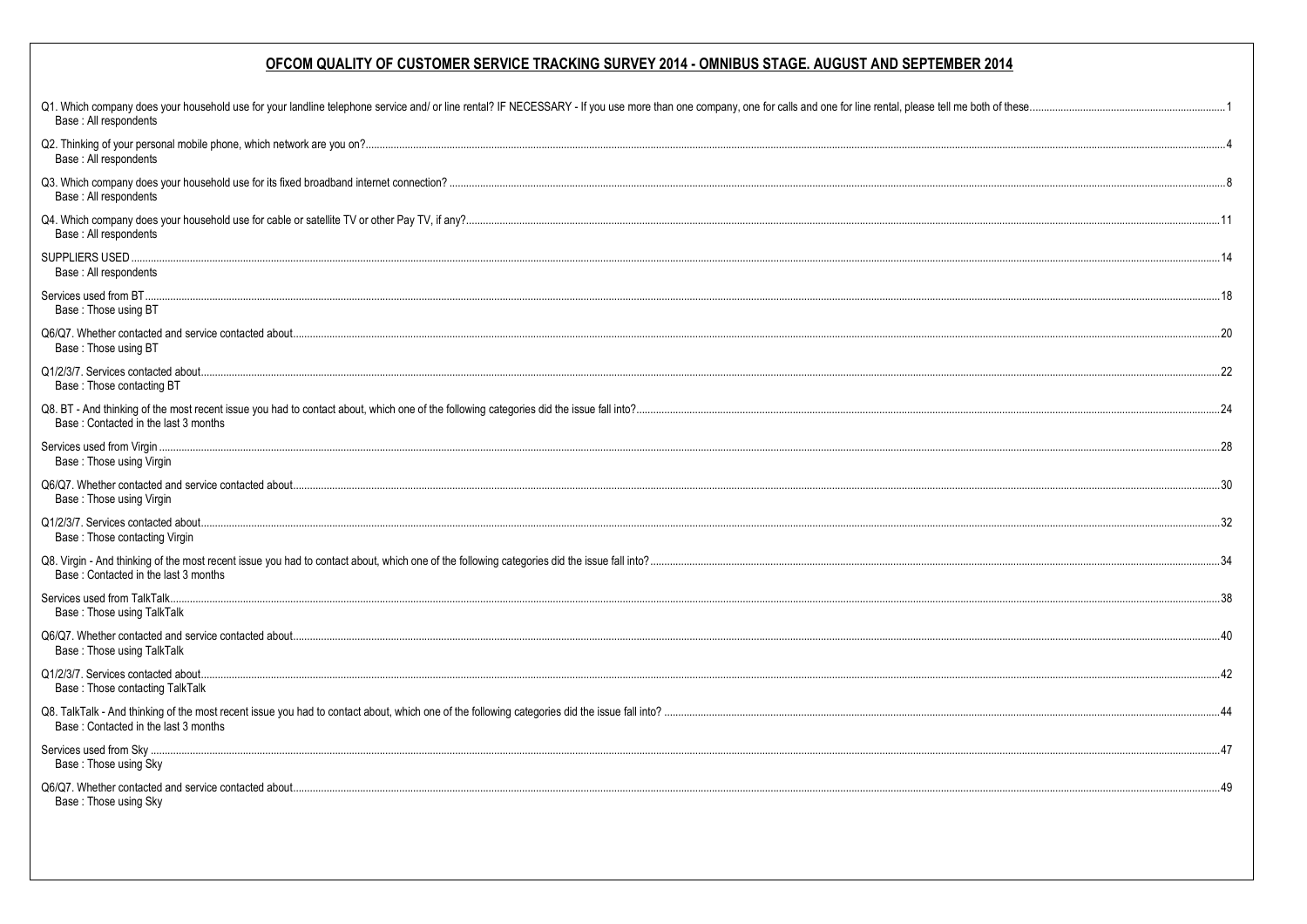| Q1. Which company does your household use for your landline telephone service and/ or line rental? IF NECESSARY - If you use more than one company, one for calls and one for line rental, please tell me both of these<br>Base: All respondents |  |
|--------------------------------------------------------------------------------------------------------------------------------------------------------------------------------------------------------------------------------------------------|--|
| Base : All respondents                                                                                                                                                                                                                           |  |
| Base: All respondents                                                                                                                                                                                                                            |  |
| Base: All respondents                                                                                                                                                                                                                            |  |
| Base: All respondents                                                                                                                                                                                                                            |  |
| Base: Those using BT                                                                                                                                                                                                                             |  |
| Base: Those using BT                                                                                                                                                                                                                             |  |
| Base: Those contacting BT                                                                                                                                                                                                                        |  |
| Base: Contacted in the last 3 months                                                                                                                                                                                                             |  |
| Base: Those using Virgin                                                                                                                                                                                                                         |  |
| Base: Those using Virgin                                                                                                                                                                                                                         |  |
| Base: Those contacting Virgin                                                                                                                                                                                                                    |  |
| Base: Contacted in the last 3 months                                                                                                                                                                                                             |  |
| Base: Those using TalkTalk                                                                                                                                                                                                                       |  |
| Base: Those using TalkTalk                                                                                                                                                                                                                       |  |
| Base: Those contacting TalkTalk                                                                                                                                                                                                                  |  |
| Base: Contacted in the last 3 months                                                                                                                                                                                                             |  |
| Base: Those using Sky                                                                                                                                                                                                                            |  |
| Base: Those using Sky                                                                                                                                                                                                                            |  |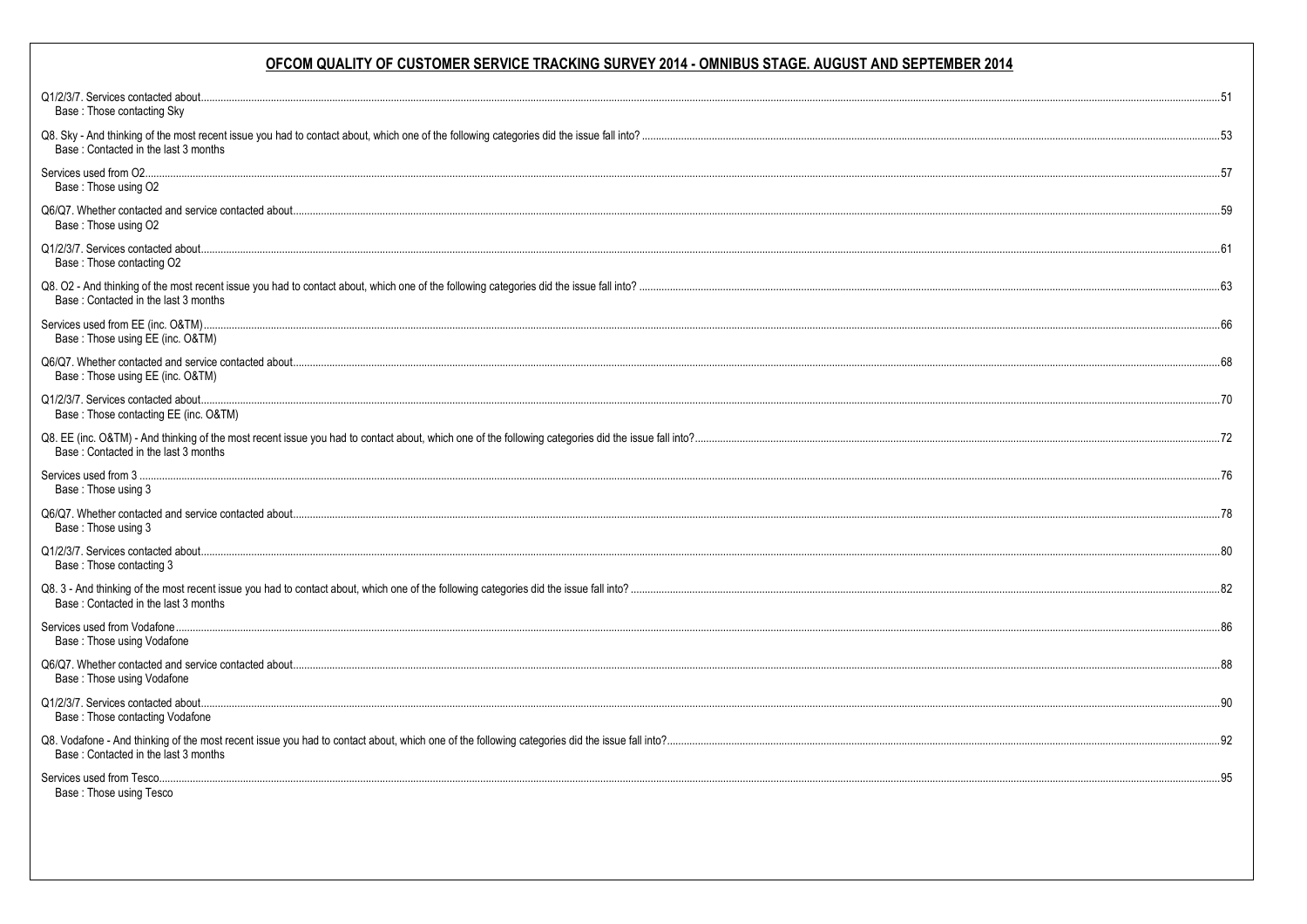| Base: Those contacting Sky                          |  |
|-----------------------------------------------------|--|
| Base: Contacted in the last 3 months                |  |
|                                                     |  |
| Base: Those using O2                                |  |
| Base: Those using O2                                |  |
| Base: Those contacting O2                           |  |
| Base: Contacted in the last 3 months                |  |
| Base: Those using EE (inc. O&TM)                    |  |
| Base: Those using EE (inc. O&TM)                    |  |
| Base: Those contacting EE (inc. O&TM)               |  |
| Base: Contacted in the last 3 months                |  |
| Base: Those using 3                                 |  |
| Base: Those using 3                                 |  |
| Base: Those contacting 3                            |  |
| Base: Contacted in the last 3 months                |  |
| Base: Those using Vodafone                          |  |
| Base: Those using Vodafone                          |  |
| Base: Those contacting Vodafone                     |  |
| Base: Contacted in the last 3 months                |  |
| Services used from Tesco<br>Base: Those using Tesco |  |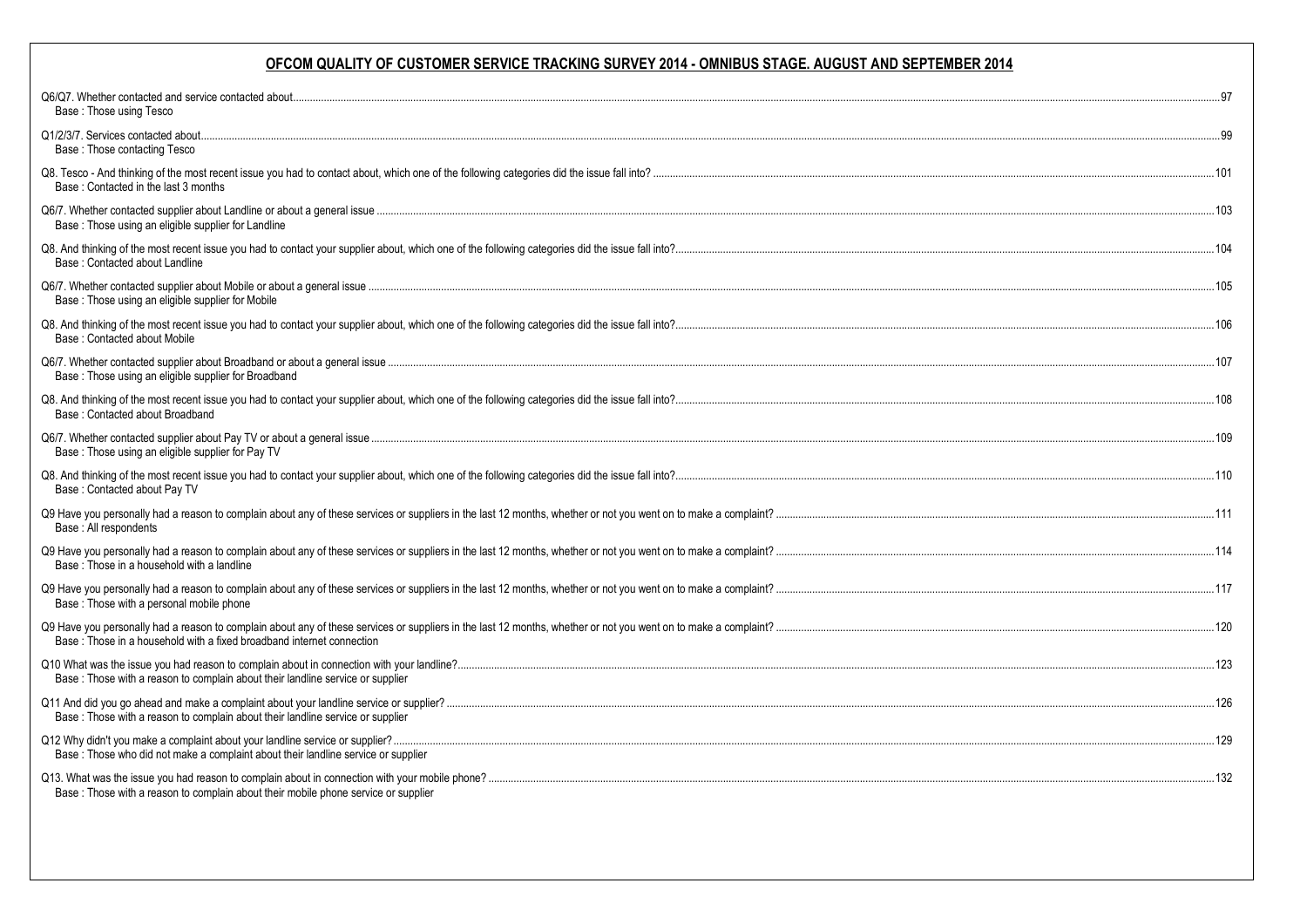| Base: Those using Tesco                                                            |  |
|------------------------------------------------------------------------------------|--|
| Base: Those contacting Tesco                                                       |  |
| Base: Contacted in the last 3 months                                               |  |
| Base: Those using an eligible supplier for Landline                                |  |
| Base: Contacted about Landline                                                     |  |
| Base: Those using an eligible supplier for Mobile                                  |  |
| Base: Contacted about Mobile                                                       |  |
| Base: Those using an eligible supplier for Broadband                               |  |
| Base: Contacted about Broadband                                                    |  |
| Base : Those using an eligible supplier for Pay TV                                 |  |
| Base: Contacted about Pay TV                                                       |  |
| Base: All respondents                                                              |  |
| Base: Those in a household with a landline                                         |  |
| Base: Those with a personal mobile phone                                           |  |
| Base: Those in a household with a fixed broadband internet connection              |  |
| Base : Those with a reason to complain about their landline service or supplier    |  |
| Base : Those with a reason to complain about their landline service or supplier    |  |
| Base : Those who did not make a complaint about their landline service or supplier |  |
| Base: Those with a reason to complain about their mobile phone service or supplier |  |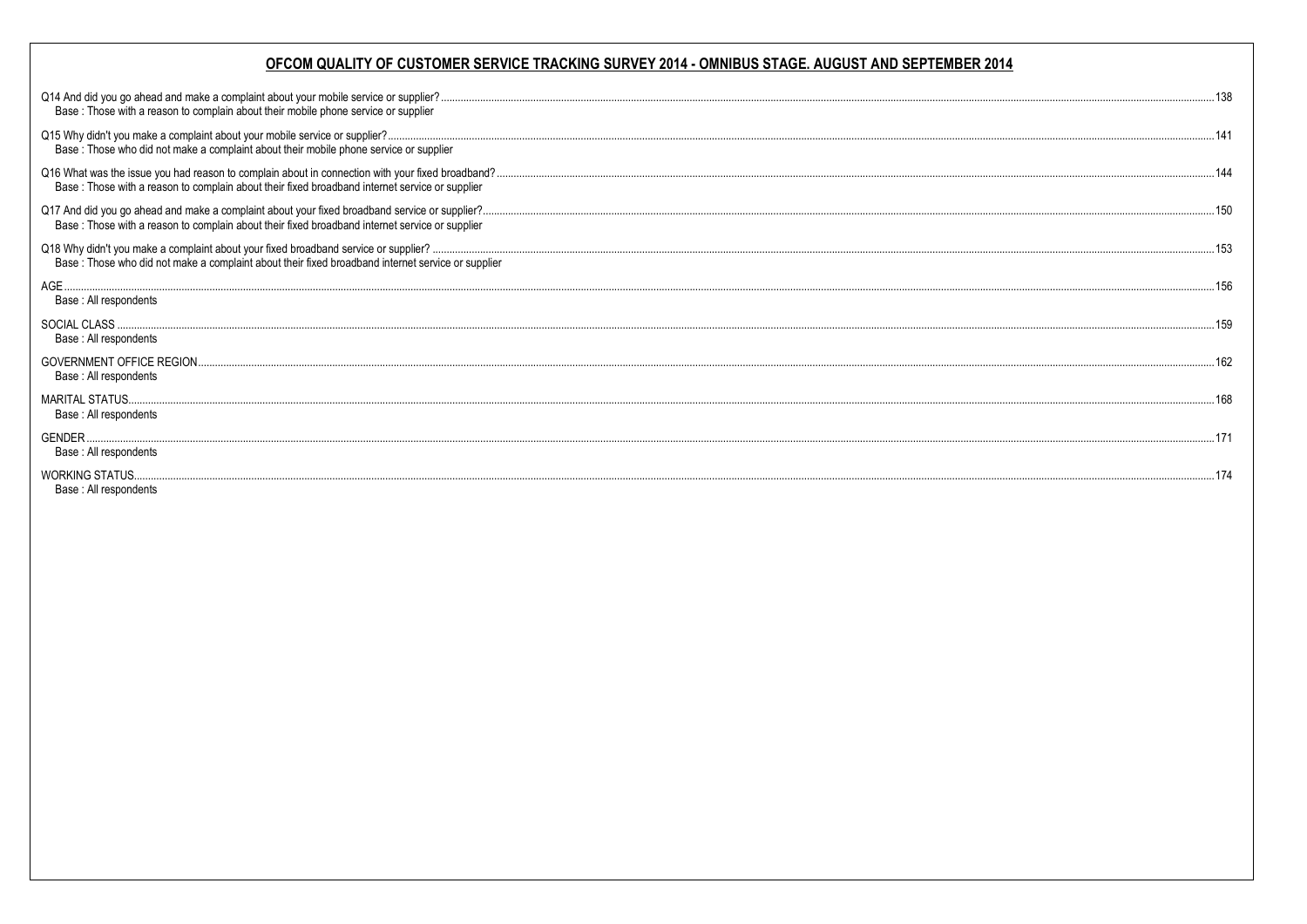| Base: Those with a reason to complain about their mobile phone service or supplier                 |  |
|----------------------------------------------------------------------------------------------------|--|
| Base: Those who did not make a complaint about their mobile phone service or supplier              |  |
| Base: Those with a reason to complain about their fixed broadband internet service or supplier     |  |
| Base: Those with a reason to complain about their fixed broadband internet service or supplier     |  |
| Base : Those who did not make a complaint about their fixed broadband internet service or supplier |  |
| Base: All respondents                                                                              |  |
| Base: All respondents                                                                              |  |
| Base : All respondents                                                                             |  |
| Base: All respondents                                                                              |  |
| Base: All respondents                                                                              |  |
| Base: All respondents                                                                              |  |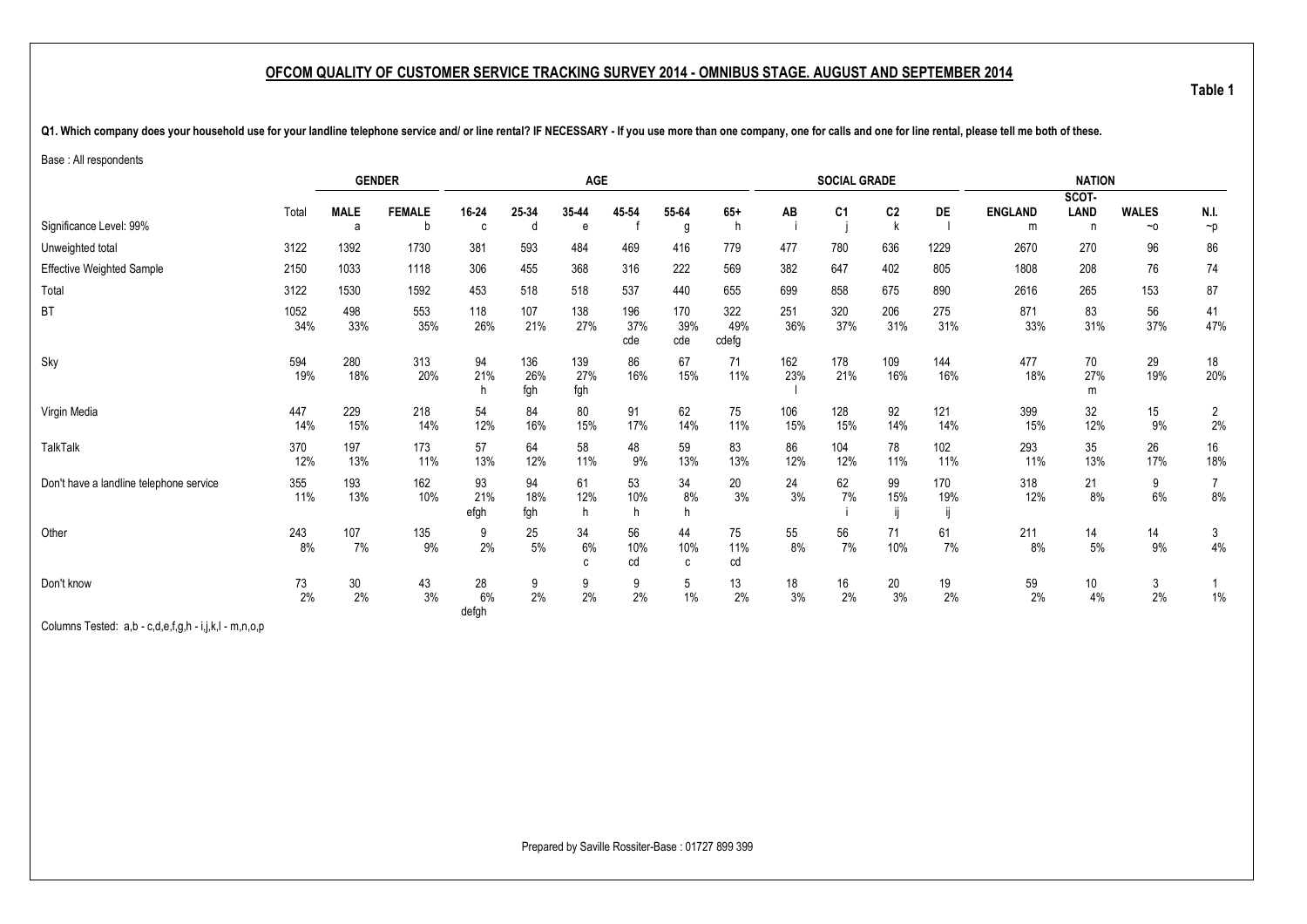**Table 1**

<span id="page-4-1"></span><span id="page-4-0"></span>Q1. Which company does your household use for your landline telephone service and/ or line rental? IF NECESSARY - If you use more than one company, one for calls and one for line rental, please tell me both of these.

Base : All respondents

|                                         |             |                  | <b>GENDER</b>      |                   |                   | <b>AGE</b>        |                   |                   |                     |            | <b>SOCIAL GRADE</b> |                |            |                     | <b>NATION</b>         |                           |                      |
|-----------------------------------------|-------------|------------------|--------------------|-------------------|-------------------|-------------------|-------------------|-------------------|---------------------|------------|---------------------|----------------|------------|---------------------|-----------------------|---------------------------|----------------------|
|                                         |             |                  |                    |                   |                   |                   |                   |                   |                     |            |                     |                |            |                     | SCOT-                 |                           |                      |
| Significance Level: 99%                 | Total       | <b>MALE</b><br>a | <b>FEMALE</b><br>b | 16-24<br>C.       | 25-34<br>d        | 35-44<br>e        | 45-54             | 55-64<br>g        | $65+$<br>h          | AB         | C <sub>1</sub>      | C <sub>2</sub> | <b>DE</b>  | <b>ENGLAND</b><br>m | LAND<br>$\mathsf{n}$  | <b>WALES</b><br>$~\sim$ 0 | N.I.<br>$\neg p$     |
| Unweighted total                        | 3122        | 1392             | 1730               | 381               | 593               | 484               | 469               | 416               | 779                 | 477        | 780                 | 636            | 1229       | 2670                | 270                   | 96                        | 86                   |
| <b>Effective Weighted Sample</b>        | 2150        | 1033             | 1118               | 306               | 455               | 368               | 316               | 222               | 569                 | 382        | 647                 | 402            | 805        | 1808                | 208                   | 76                        | 74                   |
| Total                                   | 3122        | 1530             | 1592               | 453               | 518               | 518               | 537               | 440               | 655                 | 699        | 858                 | 675            | 890        | 2616                | 265                   | 153                       | 87                   |
| BT                                      | 1052<br>34% | 498<br>33%       | 553<br>35%         | 118<br>26%        | 107<br>21%        | 138<br>27%        | 196<br>37%<br>cde | 170<br>39%<br>cde | 322<br>49%<br>cdefg | 251<br>36% | 320<br>37%          | 206<br>31%     | 275<br>31% | 871<br>33%          | 83<br>31%             | 56<br>37%                 | 41<br>47%            |
| Sky                                     | 594<br>19%  | 280<br>18%       | 313<br>20%         | 94<br>21%<br>h    | 136<br>26%<br>fgh | 139<br>27%<br>fgh | 86<br>16%         | 67<br>15%         | 71<br>11%           | 162<br>23% | 178<br>21%          | 109<br>16%     | 144<br>16% | 477<br>18%          | 70<br>27%<br>m        | 29<br>19%                 | 18<br>20%            |
| Virgin Media                            | 447<br>14%  | 229<br>15%       | 218<br>14%         | 54<br>12%         | 84<br>16%         | 80<br>15%         | 91<br>17%         | 62<br>14%         | 75<br>11%           | 106<br>15% | 128<br>15%          | 92<br>14%      | 121<br>14% | 399<br>15%          | 32<br>12%             | 15<br>9%                  | $\overline{c}$<br>2% |
| TalkTalk                                | 370<br>12%  | 197<br>13%       | 173<br>11%         | 57<br>13%         | 64<br>12%         | 58<br>11%         | 48<br>9%          | 59<br>13%         | 83<br>13%           | 86<br>12%  | 104<br>12%          | 78<br>11%      | 102<br>11% | 293<br>11%          | 35<br>13%             | 26<br>17%                 | 16<br>18%            |
| Don't have a landline telephone service | 355<br>11%  | 193<br>13%       | 162<br>10%         | 93<br>21%<br>efgh | 94<br>18%<br>fgh  | 61<br>12%<br>h    | 53<br>10%         | 34<br>8%<br>h     | 20<br>3%            | 24<br>3%   | 62<br>7%            | 99<br>15%      | 170<br>19% | 318<br>12%          | 21<br>8%              | 9<br>6%                   | $8\%$                |
| Other                                   | 243<br>8%   | 107<br>7%        | 135<br>$9\%$       | 9<br>2%           | 25<br>$5\%$       | 34<br>6%<br>C     | 56<br>10%<br>cd   | 44<br>10%<br>C    | 75<br>11%<br>cd     | 55<br>8%   | 56<br>7%            | 71<br>10%      | 61<br>7%   | 211<br>8%           | 14<br>5%              | 14<br>$9\%$               | 3<br>$4\%$           |
| Don't know                              | 73<br>2%    | 30<br>2%         | 43<br>3%           | 28<br>6%<br>defgh | 9<br>2%           | 9<br>2%           | 9<br>2%           | 5<br>1%           | 13<br>2%            | 18<br>3%   | 16<br>2%            | 20<br>3%       | 19<br>2%   | 59<br>2%            | 10 <sup>°</sup><br>4% | 3<br>2%                   | $1\%$                |

Columns Tested: a,b - c,d,e,f,g,h - i,j,k,l - m,n,o,p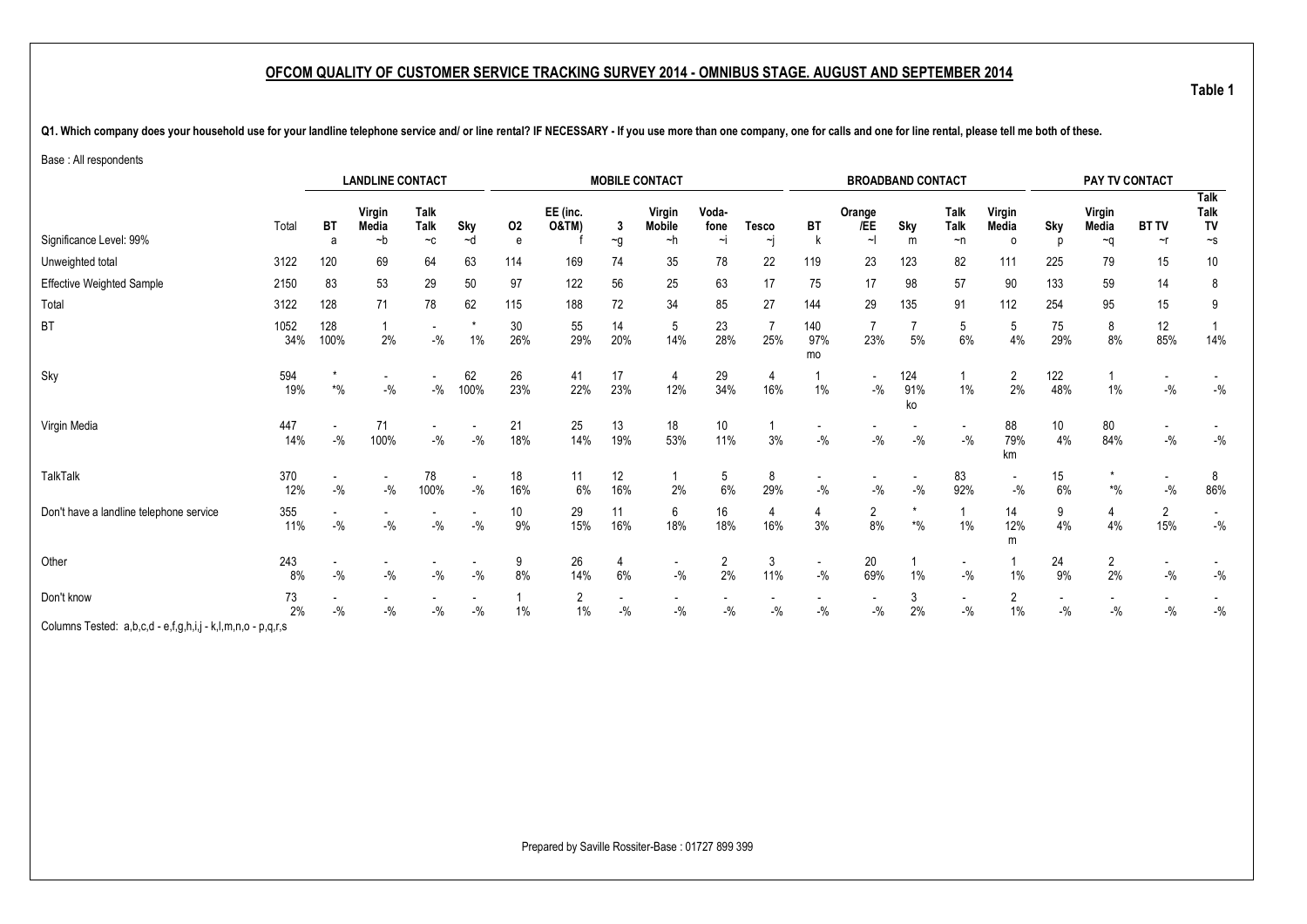Q1. Which company does your household use for your landline telephone service and/ or line rental? IF NECESSARY - If you use more than one company, one for calls and one for line rental, please tell me both of these.

Base : All respondents

|                                                             |             |             | <b>LANDLINE CONTACT</b>           |                                     |                                   |           |                              |               | <b>MOBILE CONTACT</b>               |                           |                       |                  | <b>BROADBAND CONTACT</b>          |                               |                                    |                            |            | PAY TV CONTACT        |                          |                                          |
|-------------------------------------------------------------|-------------|-------------|-----------------------------------|-------------------------------------|-----------------------------------|-----------|------------------------------|---------------|-------------------------------------|---------------------------|-----------------------|------------------|-----------------------------------|-------------------------------|------------------------------------|----------------------------|------------|-----------------------|--------------------------|------------------------------------------|
| Significance Level: 99%                                     | Total       | BT<br>a     | Virgin<br>Media<br>~b             | Talk<br><b>Talk</b><br>$-c$         | Sky<br>~d                         | 02<br>e   | EE (inc.<br><b>O&amp;TM)</b> | 3<br>$\sim g$ | Virgin<br><b>Mobile</b><br>~h       | Voda-<br>fone<br>$\sim$ j | <b>Tesco</b><br>~j    | BT<br>k          | Orange<br>/EE<br>$\sim$           | Sky<br>m                      | <b>Talk</b><br>Talk<br>$\neg$ n    | Virgin<br>Media<br>$\circ$ | Sky<br>D   | Virgin<br>Media<br>∼q | <b>BT TV</b><br>$\sim$ r | Talk<br>Talk<br>TV<br>$\mathord{\sim_S}$ |
| Unweighted total                                            | 3122        | 120         | 69                                | 64                                  | 63                                | 114       | 169                          | 74            | 35                                  | 78                        | 22                    | 119              | 23                                | 123                           | 82                                 | 111                        | 225        | 79                    | 15                       | 10                                       |
| <b>Effective Weighted Sample</b>                            | 2150        | 83          | 53                                | 29                                  | 50                                | 97        | 122                          | 56            | 25                                  | 63                        | 17                    | 75               | 17                                | 98                            | 57                                 | 90                         | 133        | 59                    | 14                       | 8                                        |
| Total                                                       | 3122        | 128         | 71                                | 78                                  | 62                                | 115       | 188                          | 72            | 34                                  | 85                        | 27                    | 144              | 29                                | 135                           | 91                                 | 112                        | 254        | 95                    | 15                       | 9                                        |
| <b>BT</b>                                                   | 1052<br>34% | 128<br>100% | 2%                                | $ \%$                               | $\star$<br>$1\%$                  | 30<br>26% | 55<br>29%                    | 14<br>20%     | 5<br>14%                            | 23<br>28%                 | $\overline{7}$<br>25% | 140<br>97%<br>mo | 23%                               | 5%                            | 5<br>6%                            | 5<br>4%                    | 75<br>29%  | 8<br>8%               | 12<br>85%                | 14%                                      |
| Sky                                                         | 594<br>19%  | $*$ %       | $\overline{\phantom{a}}$<br>$-$ % | $-$ %                               | 62<br>100%                        | 26<br>23% | 41<br>22%                    | 17<br>23%     | 4<br>12%                            | 29<br>34%                 | 4<br>16%              | $1\%$            | $\overline{\phantom{a}}$<br>$-$ % | 124<br>91%<br>ko              | 1%                                 | $\overline{2}$<br>2%       | 122<br>48% | 1%                    | $-$ %                    | $-$ %                                    |
| Virgin Media                                                | 447<br>14%  | $-9/6$      | 71<br>100%                        | $\overline{\phantom{a}}$<br>$-{\%}$ | $-$ %                             | 21<br>18% | 25<br>14%                    | 13<br>19%     | 18<br>53%                           | 10<br>11%                 | 3%                    | $-$ %            | $-$ %                             | $-$ %                         | $\overline{\phantom{a}}$<br>$-$ %  | 88<br>79%<br>km            | 10<br>4%   | 80<br>84%             | $-9/0$                   | $-$ %                                    |
| <b>TalkTalk</b>                                             | 370<br>12%  | $-$ %       | $- \frac{0}{0}$                   | 78<br>100%                          | $\overline{\phantom{a}}$<br>$-$ % | 18<br>16% | 11<br>6%                     | 12<br>16%     | 2%                                  | 5<br>6%                   | 8<br>29%              | $-$ %            | $-$ %                             | $-$ %                         | 83<br>92%                          | $\sim$<br>$-$ %            | 15<br>6%   | $*9/0$                | $-$ %                    | 8<br>86%                                 |
| Don't have a landline telephone service                     | 355<br>11%  | $-$ %       | $-$ %                             | $-$ %                               | $-$ %                             | 10<br>9%  | 29<br>15%                    | 11<br>16%     | 6<br>18%                            | 16<br>18%                 | 4<br>16%              | 4<br>3%          | $\frac{2}{8\%}$                   | $\star$<br>$\boldsymbol{*}$ % | 1%                                 | 14<br>12%<br>m             | 9<br>4%    | 4<br>4%               | $\overline{2}$<br>15%    | $\overline{\phantom{a}}$<br>$-$ %        |
| Other                                                       | 243<br>8%   | $-9/6$      | $-$ %                             | $-{\%}$                             | $-$ %                             | 9<br>8%   | 26<br>14%                    | 4<br>6%       | $\overline{\phantom{a}}$<br>$-{\%}$ | $\overline{2}$<br>2%      | 3<br>11%              | $-$ %            | 20<br>69%                         | 1%                            | $\overline{\phantom{a}}$<br>$-9/0$ | $1\%$                      | 24<br>9%   | $\overline{2}$<br>2%  | $-9/6$                   | $-$ %                                    |
| Don't know                                                  | 73<br>2%    | $-9/6$      | $-9/6$                            | $-$ %                               | $-$ %                             | 1%        | $\overline{2}$<br>$1\%$      | $-$ %         | $\overline{\phantom{a}}$<br>$-$ %   | $-$ %                     | $-$ %                 | $-$ %            | $-$ %                             | 3<br>2%                       | $\sim$<br>$-$ %                    | 2<br>$1\%$                 | $-$ %      | $-$ %                 | $-$ %                    | $-$ %                                    |
| Columns Tested: a,b,c,d - e,f,g,h,i,j - k,l,m,n,o - p,q,r,s |             |             |                                   |                                     |                                   |           |                              |               |                                     |                           |                       |                  |                                   |                               |                                    |                            |            |                       |                          |                                          |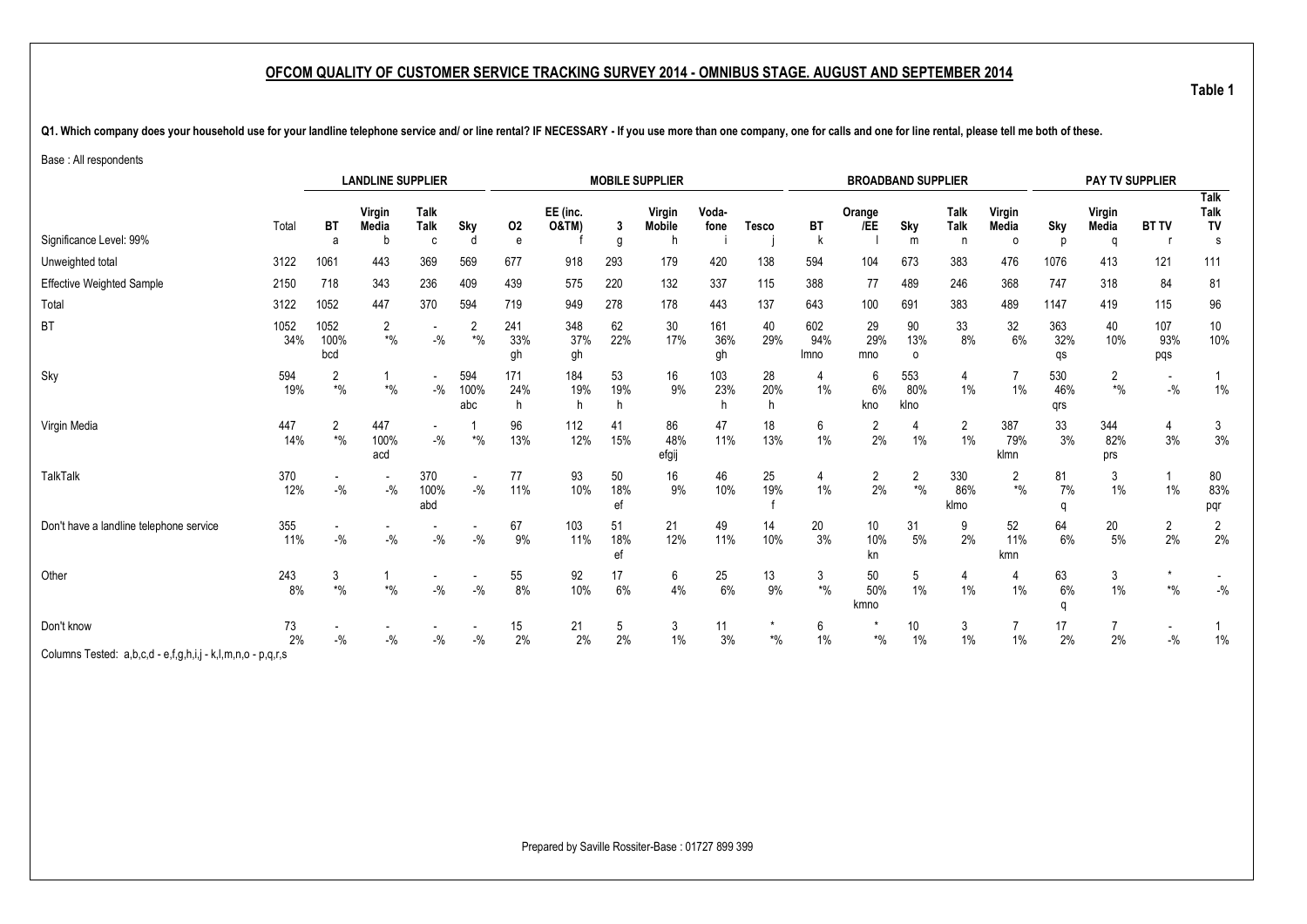Q1. Which company does your household use for your landline telephone service and/ or line rental? IF NECESSARY - If you use more than one company, one for calls and one for line rental, please tell me both of these.

Base : All respondents

|                                         |             |                              | <b>LANDLINE SUPPLIER</b>  |                          |                              |                  |                              |                 | <b>MOBILE SUPPLIER</b>       |                  |                |                    | <b>BROADBAND SUPPLIER</b> |                               |                                 |                               |                   | PAY TV SUPPLIER          |                          |                         |
|-----------------------------------------|-------------|------------------------------|---------------------------|--------------------------|------------------------------|------------------|------------------------------|-----------------|------------------------------|------------------|----------------|--------------------|---------------------------|-------------------------------|---------------------------------|-------------------------------|-------------------|--------------------------|--------------------------|-------------------------|
| Significance Level: 99%                 | Total       | <b>BT</b>                    | Virgin<br>Media<br>h      | <b>Talk</b><br>Talk<br>C | Sky                          | 02<br>e          | EE (inc.<br><b>O&amp;TM)</b> | 3<br>g          | Virgin<br><b>Mobile</b><br>h | Voda-<br>fone    | <b>Tesco</b>   | BT                 | Orange<br>/EE             | Sky<br>m                      | <b>Talk</b><br><b>Talk</b><br>n | Virgin<br>Media<br>$\Omega$   | Sky<br>n          | Virgin<br>Media<br>a     | <b>BT TV</b>             | Talk<br>Talk<br>TV<br>s |
| Unweighted total                        | 3122        | 1061                         | 443                       | 369                      | 569                          | 677              | 918                          | 293             | 179                          | 420              | 138            | 594                | 104                       | 673                           | 383                             | 476                           | 1076              | 413                      | 121                      | 111                     |
| Effective Weighted Sample               | 2150        | 718                          | 343                       | 236                      | 409                          | 439              | 575                          | 220             | 132                          | 337              | 115            | 388                | 77                        | 489                           | 246                             | 368                           | 747               | 318                      | 84                       | 81                      |
| Total                                   | 3122        | 1052                         | 447                       | 370                      | 594                          | 719              | 949                          | 278             | 178                          | 443              | 137            | 643                | 100                       | 691                           | 383                             | 489                           | 1147              | 419                      | 115                      | 96                      |
| BT                                      | 1052<br>34% | 1052<br>100%<br>bcd          | $\overline{2}$<br>$*9/0$  | $-9/6$                   | $\overline{2}$<br>$*$ %      | 241<br>33%<br>gh | 348<br>37%<br>gh             | 62<br>22%       | 30<br>17%                    | 161<br>36%<br>gh | 40<br>29%      | 602<br>94%<br>Imno | 29<br>29%<br>mno          | 90<br>13%<br>0                | 33<br>8%                        | 32<br>6%                      | 363<br>32%<br>qs  | 40<br>10%                | 107<br>93%<br>pqs        | 10<br>10%               |
| Sky                                     | 594<br>19%  | 2<br>$\boldsymbol{*}0\!/\!0$ | $\boldsymbol{*}0\!/\!_0$  | $\sim$<br>$-$ %          | 594<br>100%<br>abc           | 171<br>24%<br>h  | 184<br>19%                   | 53<br>19%       | 16<br>9%                     | 103<br>23%       | 28<br>20%<br>h | 4<br>1%            | 6<br>6%<br>kno            | 553<br>80%<br>klno            | 4<br>$1\%$                      | 1%                            | 530<br>46%<br>qrs | $\overline{2}$<br>$*9/6$ | $- \frac{0}{0}$          | $1\%$                   |
| Virgin Media                            | 447<br>14%  | 2<br>$*9/6$                  | 447<br>100%<br>acd        | $-$ %                    | $\boldsymbol{*}0\!/\!\!{}_0$ | 96<br>13%        | 112<br>12%                   | 41<br>15%       | 86<br>48%<br>efgij           | 47<br>11%        | 18<br>13%      | 6<br>1%            | 2<br>2%                   | $1\%$                         | 2<br>$1\%$                      | 387<br>79%<br>klmn            | 33<br>3%          | 344<br>82%<br>prs        | 4<br>3%                  | 3<br>3%                 |
| <b>TalkTalk</b>                         | 370<br>12%  | $-$ %                        | $-$ %                     | 370<br>100%<br>abd       | $-$ %                        | 77<br>11%        | 93<br>10%                    | 50<br>18%<br>ef | 16<br>9%                     | 46<br>10%        | 25<br>19%      | 1%                 | $\overline{2}$<br>2%      | 2<br>$\boldsymbol{*}0\!/\!_0$ | 330<br>86%<br>klmo              | 2<br>$\boldsymbol{*}0\!/\!_0$ | 81<br>7%<br>q     | 3<br>$1\%$               | $1\%$                    | 80<br>83%<br>pqr        |
| Don't have a landline telephone service | 355<br>11%  | $-$ %                        | $-9/6$                    | $-$ %                    | $-$ %                        | 67<br>9%         | 103<br>11%                   | 51<br>18%<br>ef | 21<br>12%                    | 49<br>11%        | 14<br>10%      | 20<br>3%           | 10<br>10%<br>kn           | 31<br>5%                      | 9<br>2%                         | 52<br>11%<br>kmn              | 64<br>6%          | 20<br>$5\%$              | $\overline{2}$<br>2%     | $\overline{c}$<br>2%    |
| Other                                   | 243<br>8%   | 3<br>$*9/0$                  | $^{\star}{}^{0}\!/_{\!0}$ | $-$ %                    | $-$ %                        | 55<br>8%         | 92<br>10%                    | 17<br>6%        | 6<br>$4\%$                   | 25<br>6%         | 13<br>$9\%$    | 3<br>$*$ %         | 50<br>50%<br>kmno         | 5<br>1%                       | 4<br>$1\%$                      | 4<br>$1\%$                    | 63<br>6%<br>a     | 3<br>$1\%$               | $\boldsymbol{*}0\!/\!_0$ | $-9/0$                  |
| Don't know                              | 73<br>2%    | $-$ %                        | $-$ %                     | $-$ %                    | $-$ %                        | 15<br>2%         | 21<br>2%                     | 5<br>2%         | 3<br>$1\%$                   | 11<br>3%         | $*$ %          | 6<br>1%            | $*$ %                     | 10<br>$1\%$                   | 3<br>1%                         | $1\%$                         | 17<br>2%          | 2%                       | $-$ %                    | $1\%$                   |

Columns Tested: a,b,c,d - e,f,g,h,i,j - k,l,m,n,o - p,q,r,s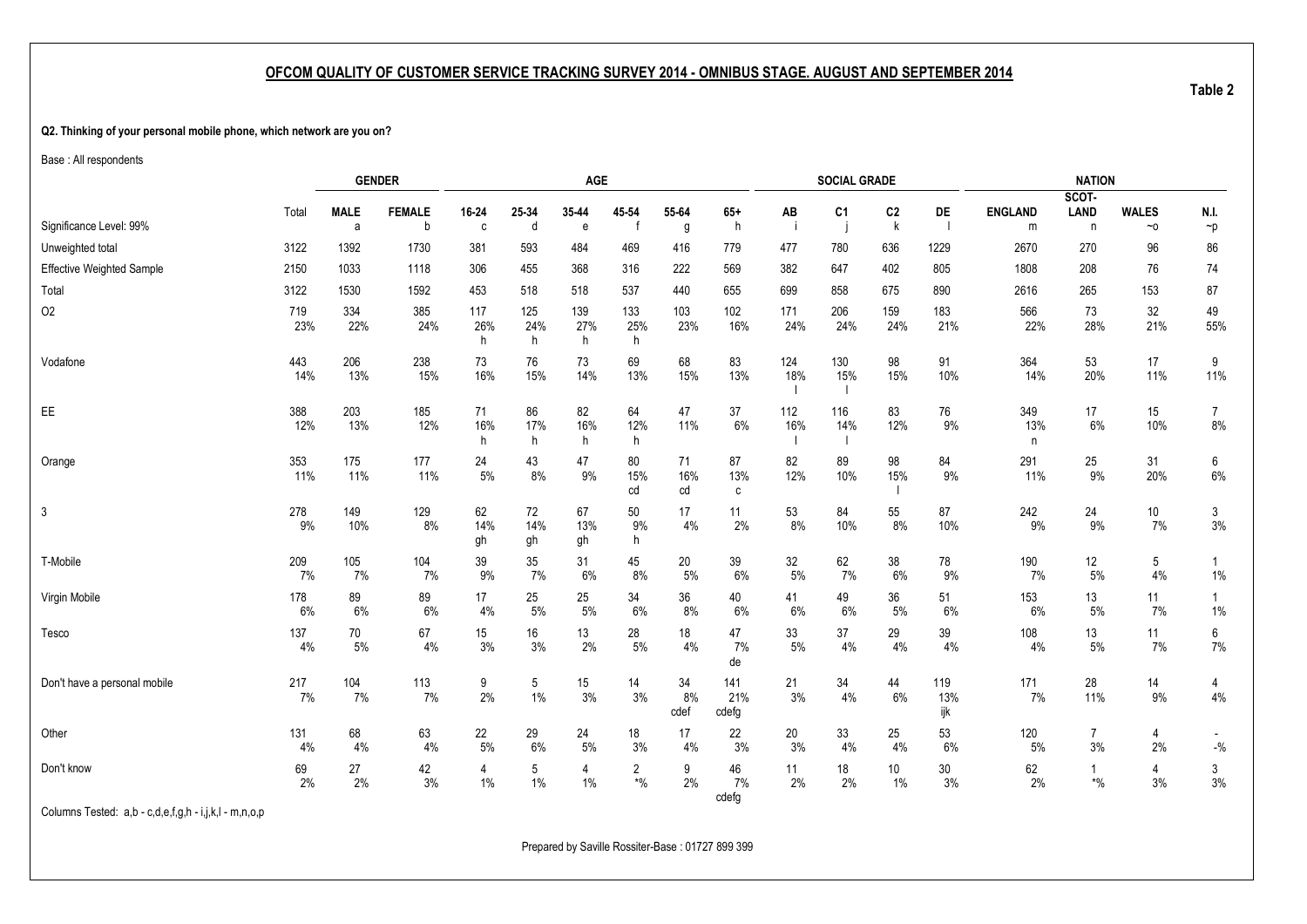#### <span id="page-7-1"></span><span id="page-7-0"></span>**Q2. Thinking of your personal mobile phone, which network are you on?**

Base : All respondents

|                                  |            |                  | <b>GENDER</b>      |                       |                 | AGE             |                               |                  |                     |            | <b>SOCIAL GRADE</b> |                     |                   |                     | <b>NATION</b>                            |                           |                                                                              |
|----------------------------------|------------|------------------|--------------------|-----------------------|-----------------|-----------------|-------------------------------|------------------|---------------------|------------|---------------------|---------------------|-------------------|---------------------|------------------------------------------|---------------------------|------------------------------------------------------------------------------|
| Significance Level: 99%          | Total      | <b>MALE</b><br>a | <b>FEMALE</b><br>b | 16-24<br>$\mathbf{c}$ | 25-34<br>d      | 35-44<br>e      | 45-54                         | 55-64<br>g       | $65+$<br>h          | AB<br>-i   | C <sub>1</sub>      | C <sub>2</sub><br>k | <b>DE</b><br>- 1  | <b>ENGLAND</b><br>m | SCOT-<br><b>LAND</b><br>$\mathsf{n}$     | <b>WALES</b><br>$~\sim$ 0 | N.I.<br>$\neg p$                                                             |
| Unweighted total                 | 3122       | 1392             | 1730               | 381                   | 593             | 484             | 469                           | 416              | 779                 | 477        | 780                 | 636                 | 1229              | 2670                | 270                                      | 96                        | 86                                                                           |
| <b>Effective Weighted Sample</b> | 2150       | 1033             | 1118               | 306                   | 455             | 368             | 316                           | 222              | 569                 | 382        | 647                 | 402                 | 805               | 1808                | 208                                      | 76                        | 74                                                                           |
| Total                            | 3122       | 1530             | 1592               | 453                   | 518             | 518             | 537                           | 440              | 655                 | 699        | 858                 | 675                 | 890               | 2616                | 265                                      | 153                       | 87                                                                           |
| <b>O2</b>                        | 719<br>23% | 334<br>22%       | 385<br>24%         | 117<br>26%<br>h       | 125<br>24%<br>h | 139<br>27%<br>h | 133<br>25%<br>h               | 103<br>23%       | 102<br>16%          | 171<br>24% | 206<br>24%          | 159<br>24%          | 183<br>21%        | 566<br>22%          | 73<br>28%                                | 32<br>21%                 | 49<br>55%                                                                    |
| Vodafone                         | 443<br>14% | 206<br>13%       | 238<br>15%         | 73<br>16%             | 76<br>15%       | 73<br>14%       | 69<br>13%                     | 68<br>15%        | 83<br>13%           | 124<br>18% | 130<br>15%          | 98<br>15%           | 91<br>10%         | 364<br>14%          | 53<br>20%                                | 17<br>11%                 | 9<br>11%                                                                     |
| EE                               | 388<br>12% | 203<br>13%       | 185<br>12%         | 71<br>16%<br>h        | 86<br>17%<br>h  | 82<br>16%<br>h  | 64<br>12%<br>h                | 47<br>11%        | 37<br>$6\%$         | 112<br>16% | 116<br>14%          | 83<br>12%           | 76<br>9%          | 349<br>13%<br>n     | 17<br>6%                                 | 15<br>10%                 | $\overline{7}$<br>$8\%$                                                      |
| Orange                           | 353<br>11% | 175<br>11%       | 177<br>11%         | 24<br>$5%$            | 43<br>8%        | 47<br>9%        | 80<br>15%<br>cd               | 71<br>16%<br>cd  | 87<br>13%<br>С      | 82<br>12%  | 89<br>10%           | 98<br>15%           | 84<br>9%          | 291<br>11%          | 25<br>9%                                 | 31<br>20%                 | 6<br>$6\%$                                                                   |
| 3                                | 278<br>9%  | 149<br>10%       | 129<br>8%          | 62<br>14%<br>gh       | 72<br>14%<br>gh | 67<br>13%<br>gh | 50<br>9%<br>h                 | 17<br>4%         | 11<br>2%            | 53<br>8%   | 84<br>10%           | 55<br>8%            | 87<br>10%         | 242<br>9%           | 24<br>9%                                 | 10 <sup>°</sup><br>7%     | 3<br>3%                                                                      |
| T-Mobile                         | 209<br>7%  | 105<br>7%        | 104<br>7%          | 39<br>9%              | 35<br>7%        | 31<br>6%        | 45<br>8%                      | 20<br>5%         | 39<br>6%            | 32<br>5%   | 62<br>7%            | 38<br>6%            | 78<br>9%          | 190<br>7%           | 12<br>5%                                 | 5<br>4%                   | 1%                                                                           |
| Virgin Mobile                    | 178<br>6%  | 89<br>6%         | 89<br>6%           | 17<br>4%              | 25<br>5%        | 25<br>$5\%$     | 34<br>6%                      | 36<br>8%         | 40<br>6%            | 41<br>6%   | 49<br>6%            | 36<br>5%            | 51<br>6%          | 153<br>6%           | 13<br>5%                                 | 11<br>7%                  | $1\%$                                                                        |
| Tesco                            | 137<br>4%  | 70<br>5%         | 67<br>$4\%$        | 15<br>3%              | 16<br>3%        | 13<br>2%        | 28<br>5%                      | 18<br>4%         | 47<br>7%<br>de      | 33<br>$5%$ | 37<br>4%            | 29<br>4%            | 39<br>4%          | 108<br>4%           | 13<br>$5\%$                              | 11<br>7%                  | 6<br>7%                                                                      |
| Don't have a personal mobile     | 217<br>7%  | 104<br>7%        | 113<br>7%          | 9<br>2%               | 5<br>$1\%$      | 15<br>3%        | 14<br>3%                      | 34<br>8%<br>cdef | 141<br>21%<br>cdefg | 21<br>3%   | 34<br>4%            | 44<br>6%            | 119<br>13%<br>ijk | 171<br>7%           | 28<br>11%                                | 14<br>9%                  | 4<br>4%                                                                      |
| Other                            | 131<br>4%  | 68<br>4%         | 63<br>4%           | 22<br>$5%$            | 29<br>6%        | 24<br>$5%$      | 18<br>3%                      | 17<br>4%         | 22<br>3%            | 20<br>3%   | 33<br>4%            | 25<br>4%            | 53<br>6%          | 120<br>5%           | $\overline{7}$<br>3%                     | $\overline{4}$<br>2%      | $\overline{\phantom{a}}$<br>$\mathbin{{\mathcal-}}\!\mathbin{\mathcal{Y}}_0$ |
| Don't know                       | 69<br>2%   | 27<br>2%         | 42<br>3%           | 4<br>$1\%$            | 5<br>$1\%$      | 4<br>$1\%$      | 2<br>$\boldsymbol{*}0\!/\!_0$ | 9<br>2%          | 46<br>7%<br>cdefg   | 11<br>2%   | 18<br>2%            | 10<br>1%            | 30<br>3%          | 62<br>2%            | $\mathbf{1}$<br>$\boldsymbol{*}0\!/\!_0$ | 4<br>3%                   | 3<br>3%                                                                      |

Columns Tested: a,b - c,d,e,f,g,h - i,j,k,l - m,n,o,p

Prepared by Saville Rossiter-Base : 01727 899 399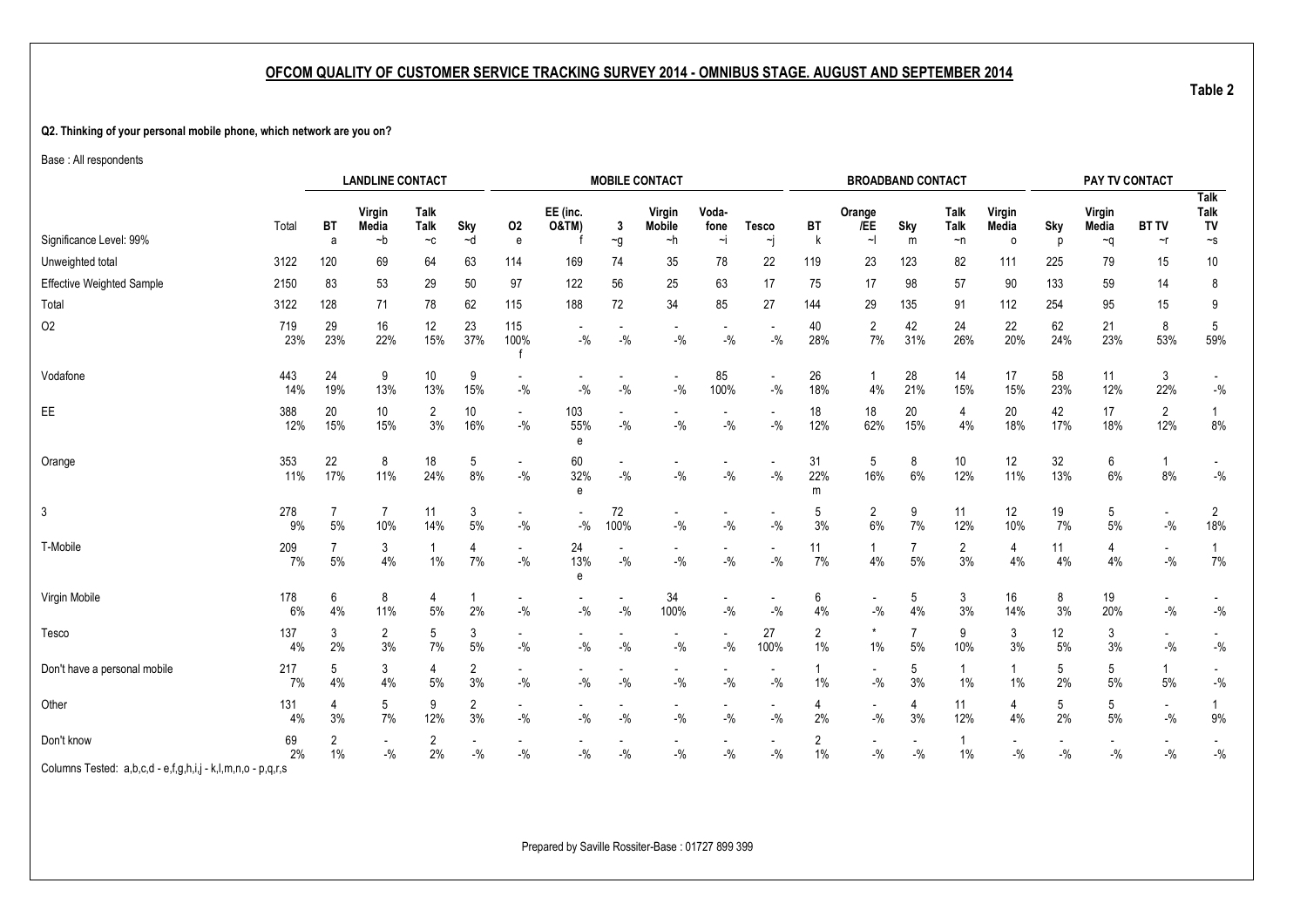#### **Q2. Thinking of your personal mobile phone, which network are you on?**

Base : All respondents

|                                                             |            |           | <b>LANDLINE CONTACT</b> |                             |                   |                                    |                                    |            | <b>MOBILE CONTACT</b>               |               |                                   |                |                                   | <b>BROADBAND CONTACT</b> |                        |                      |                                   | PAY TV CONTACT  |                         |                            |
|-------------------------------------------------------------|------------|-----------|-------------------------|-----------------------------|-------------------|------------------------------------|------------------------------------|------------|-------------------------------------|---------------|-----------------------------------|----------------|-----------------------------------|--------------------------|------------------------|----------------------|-----------------------------------|-----------------|-------------------------|----------------------------|
|                                                             | Total      | ВT        | Virgin<br>Media         | Talk<br>Talk                | Sky               | 02                                 | EE (inc.<br><b>O&amp;TM)</b>       | 3          | Virgin<br><b>Mobile</b>             | Voda-<br>fone | <b>Tesco</b>                      | BT             | Orange<br>/EE                     | Sky                      | <b>Talk</b><br>Talk    | Virgin<br>Media      | Sky                               | Virgin<br>Media | <b>BT TV</b>            | <b>Talk</b><br>Talk<br>TV  |
| Significance Level: 99%                                     |            | a         | ~b                      | $\mathord{\sim} \mathtt{C}$ | ~d                | e                                  |                                    | $\sim g$   | ~h                                  | ∼i            | ∼j                                | k              |                                   | m                        | $\neg$ n               | $\circ$              | n                                 | ∼q              | $\sim$ r                | $\sim$ s                   |
| Unweighted total                                            | 3122       | 120       | 69                      | 64                          | 63                | 114                                | 169                                | 74         | 35                                  | 78            | 22                                | 119            | 23                                | 123                      | 82                     | 111                  | 225                               | 79              | 15                      | 10                         |
| <b>Effective Weighted Sample</b>                            | 2150       | 83        | 53                      | 29                          | 50                | 97                                 | 122                                | 56         | 25                                  | 63            | 17                                | 75             | 17                                | 98                       | 57                     | 90                   | 133                               | 59              | 14                      | 8                          |
| Total                                                       | 3122       | 128       | 71                      | 78                          | 62                | 115                                | 188                                | 72         | 34                                  | 85            | 27                                | 144            | 29                                | 135                      | 91                     | 112                  | 254                               | 95              | 15                      | 9                          |
| O <sub>2</sub>                                              | 719<br>23% | 29<br>23% | 16<br>22%               | 12<br>15%                   | 23<br>37%         | 115<br>100%                        | $-$ %                              | $-$ %      | $-$ %                               | $-$ %         | $-$ %                             | 40<br>28%      | $\overline{2}$<br>7%              | 42<br>31%                | 24<br>26%              | 22<br>20%            | 62<br>24%                         | 21<br>23%       | 8<br>53%                | 5<br>59%                   |
| Vodafone                                                    | 443<br>14% | 24<br>19% | 9<br>13%                | 10<br>13%                   | 9<br>15%          | $-9/0$                             | $-$ %                              | $-9/0$     | $\overline{\phantom{a}}$<br>$-$ %   | 85<br>100%    | $\sim$<br>$-9/6$                  | 26<br>18%      | $\mathbf 1$<br>4%                 | 28<br>21%                | 14<br>15%              | 17<br>15%            | 58<br>23%                         | 11<br>12%       | 3<br>22%                | $-{\%}$                    |
| $\mathsf{EE}$                                               | 388<br>12% | 20<br>15% | 10<br>15%               | 2<br>3%                     | 10<br>16%         | $\overline{\phantom{a}}$<br>$-9/0$ | 103<br>55%<br>e                    | $-$ %      | $\blacksquare$<br>$-9/0$            | $-$ %         | $\blacksquare$<br>$-9/6$          | 18<br>12%      | 18<br>62%                         | 20<br>15%                | 4<br>4%                | 20<br>18%            | 42<br>17%                         | 17<br>18%       | $\overline{2}$<br>12%   | 1<br>$8\%$                 |
| Orange                                                      | 353<br>11% | 22<br>17% | 8<br>11%                | 18<br>24%                   | 5<br>$8\%$        | $\overline{\phantom{a}}$<br>$-9/0$ | 60<br>32%<br>e                     | $-$ %      | $\overline{\phantom{a}}$<br>$-9/0$  | $-$ %         | $-9/0$                            | 31<br>22%<br>m | 5<br>16%                          | 8<br>$6\%$               | 10 <sup>°</sup><br>12% | 12<br>11%            | 32<br>13%                         | 6<br>6%         | 8%                      | $-$ %                      |
| 3                                                           | 278<br>9%  | 5%        | 10%                     | 11<br>14%                   | 3<br>5%           | $-$ %                              | $-$ %                              | 72<br>100% | $\overline{\phantom{a}}$<br>$-{\%}$ | $-9/6$        | $-$ %                             | 5<br>3%        | $\overline{2}$<br>$6\%$           | 9<br>7%                  | 11<br>12%              | 12<br>10%            | 19<br>7%                          | 5<br>$5%$       | $\blacksquare$<br>$-$ % | $\overline{2}$<br>18%      |
| T-Mobile                                                    | 209<br>7%  | 5%        | 3<br>$4\%$              | 1%                          | 4<br>7%           | $\blacksquare$<br>$-$ %            | 24<br>13%<br>e                     | $-$ %      | $\overline{\phantom{a}}$<br>$-9/0$  | $-$ %         | $\overline{\phantom{a}}$<br>$-$ % | 11<br>7%       | 4%                                | $5\%$                    | $\overline{2}$<br>3%   | 4<br>4%              | 11<br>4%                          | 4<br>4%         | $-9/0$                  | 1<br>7%                    |
| Virgin Mobile                                               | 178<br>6%  | 6<br>4%   | 8<br>11%                | 4<br>$5%$                   | $\mathbf 1$<br>2% | $-$ %                              | $-$ %                              | $-$ %      | 34<br>100%                          | $-$ %         | $\overline{\phantom{a}}$<br>$-$ % | 6<br>4%        | $\overline{\phantom{a}}$<br>$-$ % | 5<br>4%                  | 3<br>3%                | 16<br>14%            | 8<br>3%                           | 19<br>20%       | $-$ %                   | $\mathbin{{\mathcal G}}_0$ |
| Tesco                                                       | 137<br>4%  | 3<br>2%   | $\overline{2}$<br>3%    | 5<br>7%                     | 3<br>5%           | $-9/0$                             | $-$ %                              | $-$ %      | $-{\%}$                             | $-9/6$        | 27<br>100%                        | 2<br>1%        | $\star$<br>$1\%$                  | 5%                       | 9<br>10%               | 3<br>3%              | 12<br>5%                          | 3<br>3%         | $-$ %                   | $-{\%}$                    |
| Don't have a personal mobile                                | 217<br>7%  | 5<br>4%   | 3<br>4%                 | 4<br>5%                     | 2<br>3%           | $-9/0$                             | $\overline{\phantom{a}}$<br>$-9/6$ | $-$ %      | $\overline{\phantom{a}}$<br>$-9/0$  | $-$ %         | $\overline{\phantom{a}}$<br>$-$ % | 1%             | $\overline{\phantom{a}}$<br>$-$ % | 5<br>3%                  | 1<br>$1\%$             | $1\%$                | 5<br>2%                           | 5<br>5%         | 5%                      | $-{\%}$                    |
| Other                                                       | 131<br>4%  | 4<br>3%   | 5<br>7%                 | 9<br>12%                    | 2<br>3%           | $-$ %                              | $-$ %                              | $-$ %      | $\overline{\phantom{a}}$<br>$-$ %   | $-$ %         | $\overline{\phantom{a}}$<br>$-$ % | 4<br>2%        | $-$ %                             | 4<br>3%                  | 11<br>12%              | $\overline{4}$<br>4% | 5<br>2%                           | 5<br>$5%$       | $-$ %                   | $9\%$                      |
| Don't know                                                  | 69<br>2%   | 1%        | $\sim$<br>$-$ %         | 2<br>2%                     | $-$ %             | $-$ %                              | $-$ %                              | $-$ %      | $\overline{\phantom{a}}$<br>$-$ %   | $-$ %         | $\overline{\phantom{a}}$<br>$-$ % | 2<br>$1\%$     | $-9/0$                            | $-$ %                    | $\mathbf{1}$<br>$1\%$  | $-9/6$               | $\overline{\phantom{a}}$<br>$-$ % | $-$ %           | $-9/6$                  | $\mathbin{{\mathcal G}}_0$ |
| Columns Tested: a,b,c,d - e,f,g,h,i,j - k,l,m,n,o - p,q,r,s |            |           |                         |                             |                   |                                    |                                    |            |                                     |               |                                   |                |                                   |                          |                        |                      |                                   |                 |                         |                            |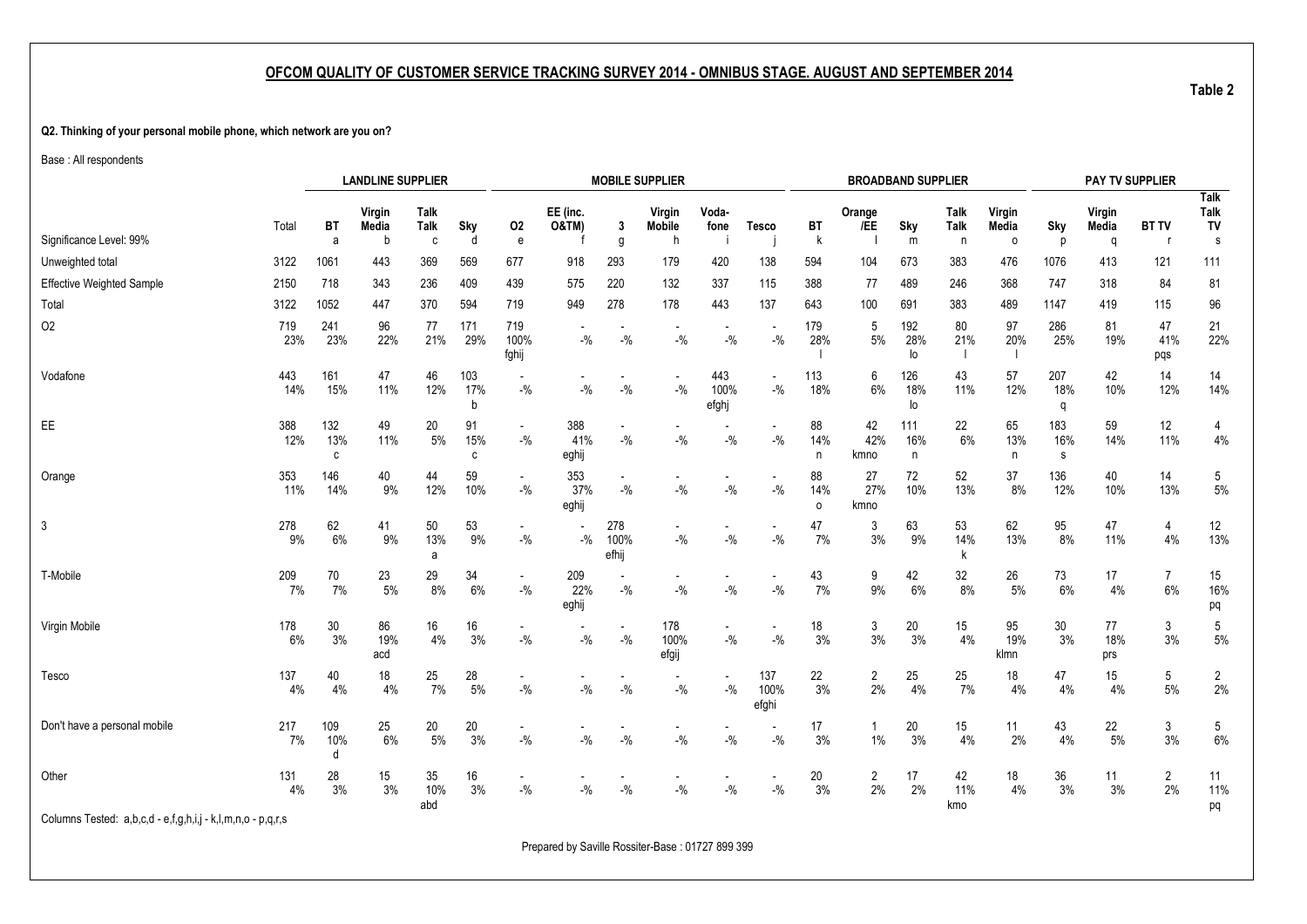#### **Q2. Thinking of your personal mobile phone, which network are you on?**

Base : All respondents

|                                                             |              |                 | <b>LANDLINE SUPPLIER</b> |                            |                 |                                    |                     |                      | <b>MOBILE SUPPLIER</b>             |                      |                                   |                      |                      | <b>BROADBAND SUPPLIER</b> |                  |                   |                 | PAY TV SUPPLIER  |                      |                           |
|-------------------------------------------------------------|--------------|-----------------|--------------------------|----------------------------|-----------------|------------------------------------|---------------------|----------------------|------------------------------------|----------------------|-----------------------------------|----------------------|----------------------|---------------------------|------------------|-------------------|-----------------|------------------|----------------------|---------------------------|
| Significance Level: 99%                                     | Total        | ВT              | Virgin<br>Media          | <b>Talk</b><br><b>Talk</b> | Sky             | 02                                 | EE (inc.<br>O&TM)   | 3                    | Virgin<br>Mobile<br>h              | Voda-<br>fone        | <b>Tesco</b>                      | ВT                   | Orange<br>/EE        | Sky                       | Talk<br>Talk     | Virgin<br>Media   | Sky             | Virgin<br>Media  | <b>BT TV</b>         | <b>Talk</b><br>Talk<br>TV |
|                                                             |              | a               |                          | C                          | d               | ${\bf e}$                          |                     | g                    |                                    |                      |                                   | $\sf k$              |                      | m                         | n                | $\circ$           | p               | q                |                      | s                         |
| Unweighted total                                            | 3122         | 1061            | 443                      | 369                        | 569             | 677                                | 918                 | 293                  | 179                                | 420                  | 138                               | 594                  | 104                  | 673                       | 383              | 476               | 1076            | 413              | 121                  | 111                       |
| <b>Effective Weighted Sample</b>                            | 2150         | 718             | 343                      | 236                        | 409             | 439                                | 575                 | 220                  | 132                                | 337                  | 115                               | 388                  | 77                   | 489                       | 246              | 368               | 747             | 318              | 84                   | 81                        |
| Total                                                       | 3122         | 1052            | 447                      | 370                        | 594             | 719                                | 949                 | 278                  | 178                                | 443                  | 137                               | 643                  | 100                  | 691                       | 383              | 489               | 1147            | 419              | 115                  | 96                        |
| O <sub>2</sub>                                              | 719<br>23%   | 241<br>23%      | 96<br>22%                | 77<br>21%                  | 171<br>29%      | 719<br>100%<br>fghij               | $-$ %               | $-9/6$               | $-$ %                              | $-$ %                | $-$ %                             | 179<br>28%           | 5<br>$5%$            | 192<br>28%<br>lo          | 80<br>21%        | 97<br>20%<br>- 1  | 286<br>25%      | 81<br>19%        | 47<br>41%<br>pqs     | 21<br>22%                 |
| Vodafone                                                    | 443<br>14%   | 161<br>15%      | 47<br>11%                | 46<br>12%                  | 103<br>17%<br>b | $-$ %                              | $-9/0$              | $-9/0$               | $\overline{\phantom{a}}$<br>$-$ %  | 443<br>100%<br>efghj | $\blacksquare$<br>$-$ %           | 113<br>18%           | 6<br>6%              | 126<br>18%<br>lo          | 43<br>11%        | 57<br>12%         | 207<br>18%<br>q | 42<br>10%        | 14<br>12%            | 14<br>14%                 |
| EE                                                          | 388<br>12%   | 132<br>13%<br>c | 49<br>11%                | 20<br>5%                   | 91<br>15%<br>C  | $\overline{\phantom{a}}$<br>$-$ %  | 388<br>41%<br>eghij | $-$ %                | $-$ %                              | $-$ %                | $-$ %                             | 88<br>14%<br>n       | 42<br>42%<br>kmno    | 111<br>16%<br>n           | 22<br>6%         | 65<br>13%<br>n.   | 183<br>16%<br>s | 59<br>14%        | 12<br>11%            | 4<br>$4\%$                |
| Orange                                                      | 353<br>11%   | 146<br>14%      | 40<br>9%                 | 44<br>12%                  | 59<br>10%       | $\blacksquare$<br>$-9/6$           | 353<br>37%<br>eghij | $-$ %                | $\overline{\phantom{a}}$<br>$-$ %  | $-$ %                | $\overline{\phantom{a}}$<br>$-$ % | 88<br>14%<br>$\circ$ | 27<br>27%<br>kmno    | 72<br>10%                 | 52<br>13%        | 37<br>8%          | 136<br>12%      | 40<br>10%        | 14<br>13%            | 5<br>$5\%$                |
| 3                                                           | 278<br>9%    | 62<br>6%        | 41<br>9%                 | 50<br>13%<br>a             | 53<br>9%        | $\blacksquare$<br>$-$ %            | $-$ %               | 278<br>100%<br>efhij | $\overline{\phantom{a}}$<br>$-$ %  | $-$ %                | $\blacksquare$<br>$-$ %           | 47<br>7%             | 3<br>3%              | 63<br>9%                  | 53<br>14%<br>k   | 62<br>13%         | 95<br>8%        | 47<br>11%        | $\overline{4}$<br>4% | 12<br>13%                 |
| T-Mobile                                                    | 209<br>7%    | 70<br>7%        | 23<br>$5%$               | 29<br>8%                   | 34<br>$6\%$     | $\overline{\phantom{a}}$<br>$-$ %  | 209<br>22%<br>eghij | $-9/0$               | $\overline{\phantom{a}}$<br>$-9/6$ | $-$ %                | $-$ %                             | 43<br>7%             | 9<br>9%              | 42<br>6%                  | 32<br>8%         | 26<br>5%          | 73<br>6%        | 17<br>4%         | $\overline{7}$<br>6% | 15<br>16%<br>pq           |
| Virgin Mobile                                               | 178<br>6%    | 30<br>3%        | 86<br>19%<br>acd         | 16<br>4%                   | 16<br>3%        | $-$ %                              | $-{\%}$             | $-9/0$               | 178<br>100%<br>efgij               | $-$ %                | $\blacksquare$<br>$-9/0$          | 18<br>3%             | 3<br>$3%$            | 20<br>$3%$                | 15<br>$4\%$      | 95<br>19%<br>klmn | 30<br>3%        | 77<br>18%<br>prs | 3<br>3%              | 5<br>$5\%$                |
| Tesco                                                       | 137<br>$4\%$ | 40<br>4%        | 18<br>4%                 | 25<br>7%                   | 28<br>$5\%$     | $-$ %                              | $-9/0$              | $-$ %                | $\overline{\phantom{a}}$<br>$-$ %  | $-9/6$               | 137<br>100%<br>efghi              | 22<br>3%             | $\overline{2}$<br>2% | 25<br>4%                  | 25<br>7%         | 18<br>4%          | 47<br>4%        | 15<br>4%         | 5<br>5%              | $\overline{2}$<br>2%      |
| Don't have a personal mobile                                | 217<br>7%    | 109<br>10%<br>d | 25<br>6%                 | 20<br>5%                   | 20<br>3%        | $\overline{\phantom{a}}$<br>$-9/6$ | $-9/6$              | $-$ %                | $\overline{\phantom{a}}$<br>$-$ %  | $-$ %                | $\overline{\phantom{a}}$<br>$-$ % | 17<br>3%             | 1<br>1%              | 20<br>3%                  | 15<br>4%         | 11<br>2%          | 43<br>4%        | 22<br>5%         | 3<br>3%              | 5<br>$6\%$                |
| Other                                                       | 131<br>4%    | 28<br>3%        | 15<br>3%                 | 35<br>10%<br>abd           | 16<br>3%        | $-$ %                              | $-$ %               | $-9/6$               | $-$ %                              | $-$ %                | $-$ %                             | 20<br>3%             | $\overline{2}$<br>2% | 17<br>2%                  | 42<br>11%<br>kmo | 18<br>4%          | 36<br>3%        | 11<br>3%         | $\overline{2}$<br>2% | 11<br>11%<br>pq           |
| Columns Tested: a,b,c,d - e,f,g,h,i,j - k,l,m,n,o - p,q,r,s |              |                 |                          |                            |                 |                                    |                     |                      |                                    |                      |                                   |                      |                      |                           |                  |                   |                 |                  |                      |                           |

Prepared by Saville Rossiter-Base : 01727 899 399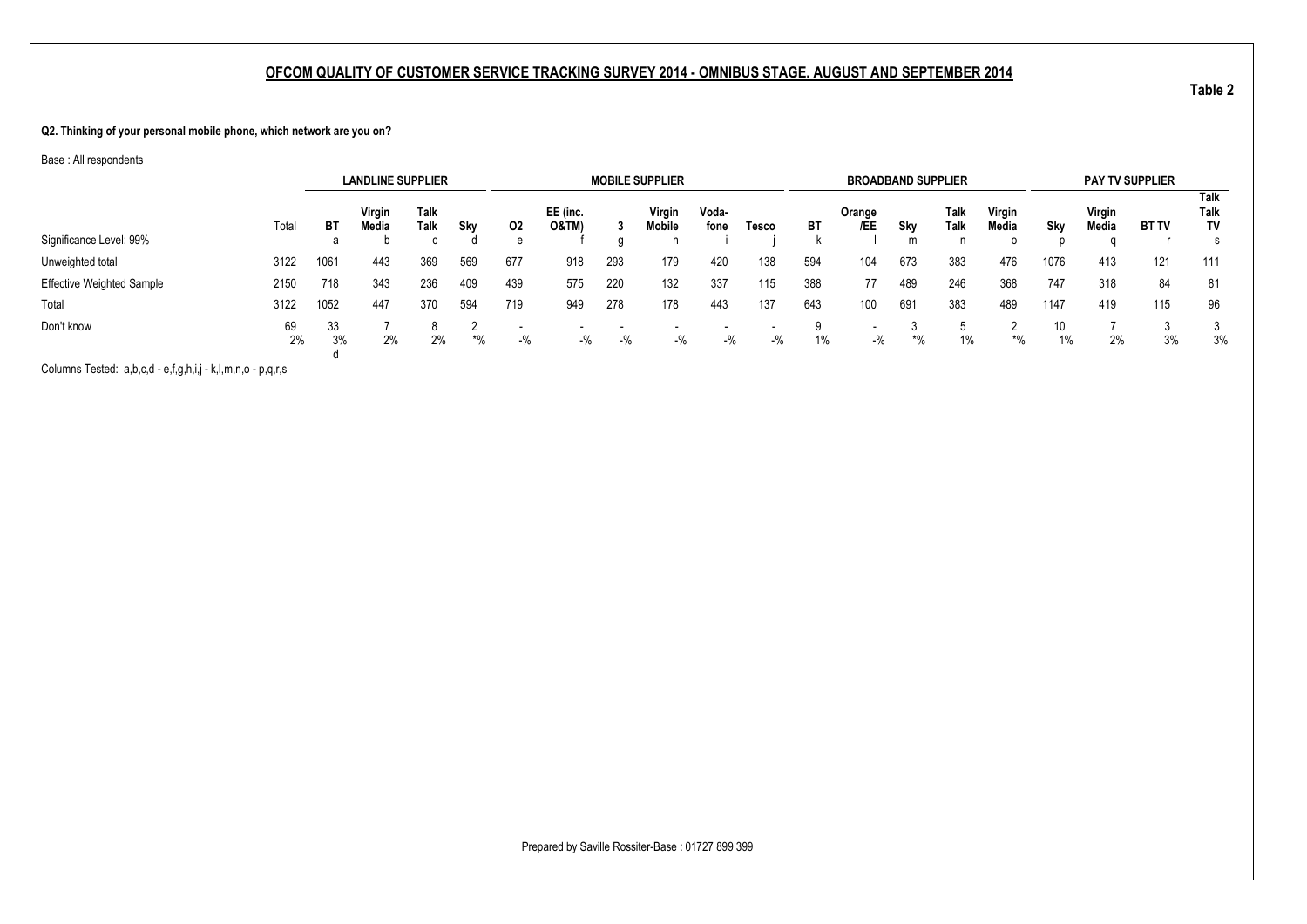**Q2. Thinking of your personal mobile phone, which network are you on?**

Base : All respondents

|                                  |          |          | <b>LANDLINE SUPPLIER</b> |              |       |                                   |                   |       | <b>MOBILE SUPPLIER</b> |               |       |       | <b>BROADBAND SUPPLIER</b>         |       |              |                 |          |                 | <b>PAY TV SUPPLIER</b> |                                  |
|----------------------------------|----------|----------|--------------------------|--------------|-------|-----------------------------------|-------------------|-------|------------------------|---------------|-------|-------|-----------------------------------|-------|--------------|-----------------|----------|-----------------|------------------------|----------------------------------|
|                                  | Total    | BT       | Virgin<br>Media          | Talk<br>Talk | Sky   | 02                                | EE (inc.<br>0&TM` |       | Virgin<br>Mobile       | Voda-<br>fone | Tesco | BT    | Orange<br>/EE                     | Sky   | Talk<br>Talk | Virgin<br>Media | Sky      | Virgin<br>Media | <b>BT TV</b>           | Talk<br><b>Talk</b><br><b>TV</b> |
| Significance Level: 99%          |          | а        |                          |              |       | e                                 |                   |       |                        |               |       |       |                                   | m     |              | $\Omega$        |          |                 |                        | s                                |
| Unweighted total                 | 3122     | 1061     | 443                      | 369          | 569   | 677                               | 918               | 293   | 179                    | 420           | 138   | 594   | 104                               | 673   | 383          | 476             | 1076     | 413             | 121                    | 111                              |
| <b>Effective Weighted Sample</b> | 2150     | 718      | 343                      | 236          | 409   | 439                               | 575               | 220   | 132                    | 337           | 115   | 388   | 77                                | 489   | 246          | 368             | 747      | 318             | 84                     | 81                               |
| Total                            | 3122     | 1052     | 447                      | 370          | 594   | 719                               | 949               | 278   | 178                    | 443           | 137   | 643   | 100                               | 691   | 383          | 489             | 1147     | 419             | 115                    | 96                               |
| Don't know                       | 69<br>2% | 33<br>3% | 2%                       | 2%           | $*$ % | $\overline{\phantom{a}}$<br>$-$ % | $-$ %             | $-$ % | $-$ %                  | $-$ %         | $-$ % | $1\%$ | $\overline{\phantom{0}}$<br>$-$ % | $*$ % | $1\%$        | *%              | 10<br>1% | 2%              | 3%                     | 3%                               |

Columns Tested: a,b,c,d - e,f,g,h,i,j - k,l,m,n,o - p,q,r,s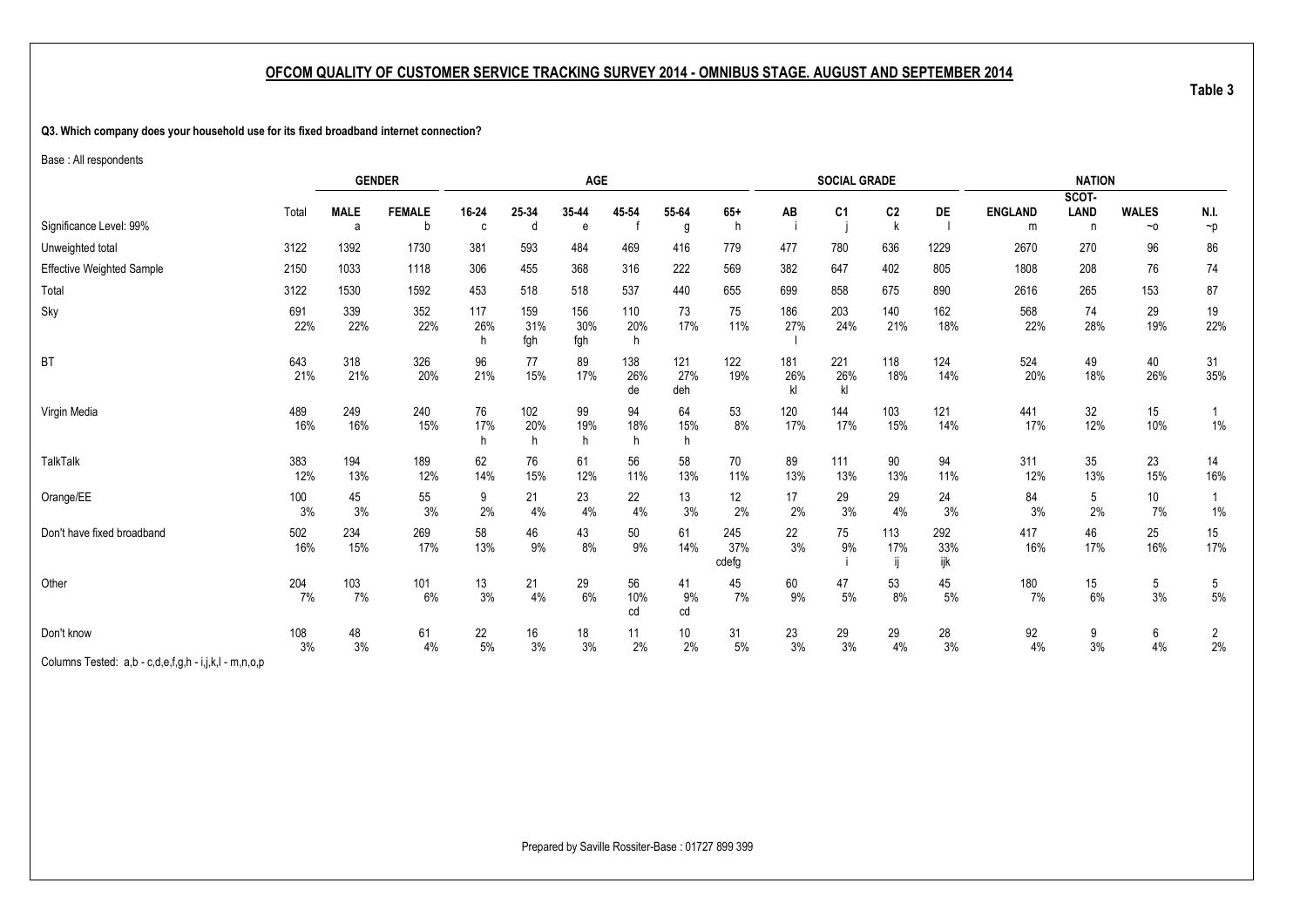#### <span id="page-11-1"></span><span id="page-11-0"></span>**Q3. Which company does your household use for its fixed broadband internet connection?**

Base : All respondents

|                                                                                                                                                |            |                  | <b>GENDER</b>      |                 |                   | <b>AGE</b>        |                  |                   |                     |                  | <b>SOCIAL GRADE</b> |                                |                   |                     | <b>NATION</b>    |                           |                      |
|------------------------------------------------------------------------------------------------------------------------------------------------|------------|------------------|--------------------|-----------------|-------------------|-------------------|------------------|-------------------|---------------------|------------------|---------------------|--------------------------------|-------------------|---------------------|------------------|---------------------------|----------------------|
|                                                                                                                                                |            |                  |                    |                 |                   |                   |                  |                   |                     |                  |                     |                                |                   |                     | SCOT-            |                           |                      |
| Significance Level: 99%                                                                                                                        | Total      | <b>MALE</b><br>a | <b>FEMALE</b><br>h | 16-24<br>C      | 25-34<br>d        | 35-44<br>e        | 45 54            | 55-64<br>g        | $65+$<br>h          | AB               | C <sub>1</sub>      | C <sub>2</sub><br>$\mathsf{k}$ | DE                | <b>ENGLAND</b><br>m | <b>LAND</b><br>n | <b>WALES</b><br>$~\sim$ 0 | N.I.<br>$\neg p$     |
| Unweighted total                                                                                                                               | 3122       | 1392             | 1730               | 381             | 593               | 484               | 469              | 416               | 779                 | 477              | 780                 | 636                            | 1229              | 2670                | 270              | 96                        | 86                   |
| <b>Effective Weighted Sample</b>                                                                                                               | 2150       | 1033             | 1118               | 306             | 455               | 368               | 316              | 222               | 569                 | 382              | 647                 | 402                            | 805               | 1808                | 208              | 76                        | 74                   |
| Total                                                                                                                                          | 3122       | 1530             | 1592               | 453             | 518               | 518               | 537              | 440               | 655                 | 699              | 858                 | 675                            | 890               | 2616                | 265              | 153                       | 87                   |
| Sky                                                                                                                                            | 691<br>22% | 339<br>22%       | 352<br>22%         | 117<br>26%<br>h | 159<br>31%<br>fgh | 156<br>30%<br>fgh | 110<br>20%<br>h  | 73<br>17%         | 75<br>11%           | 186<br>27%       | 203<br>24%          | 140<br>21%                     | 162<br>18%        | 568<br>22%          | 74<br>28%        | 29<br>19%                 | 19<br>22%            |
| <b>BT</b>                                                                                                                                      | 643<br>21% | 318<br>21%       | 326<br>20%         | 96<br>21%       | 77<br>15%         | 89<br>17%         | 138<br>26%<br>de | 121<br>27%<br>deh | 122<br>19%          | 181<br>26%<br>kl | 221<br>26%<br>kl    | 118<br>18%                     | 124<br>14%        | 524<br>20%          | 49<br>18%        | 40<br>26%                 | 31<br>35%            |
| Virgin Media                                                                                                                                   | 489<br>16% | 249<br>16%       | 240<br>15%         | 76<br>17%<br>h  | 102<br>20%<br>h   | 99<br>19%<br>h.   | 94<br>18%<br>h   | 64<br>15%<br>h.   | 53<br>8%            | 120<br>17%       | 144<br>17%          | 103<br>15%                     | 121<br>14%        | 441<br>17%          | 32<br>12%        | 15<br>10%                 | $1\%$                |
| <b>TalkTalk</b>                                                                                                                                | 383<br>12% | 194<br>13%       | 189<br>12%         | 62<br>14%       | 76<br>15%         | 61<br>12%         | 56<br>11%        | 58<br>13%         | 70<br>11%           | 89<br>13%        | 111<br>13%          | 90<br>13%                      | 94<br>11%         | 311<br>12%          | 35<br>13%        | 23<br>15%                 | 14<br>16%            |
| Orange/EE                                                                                                                                      | 100<br>3%  | 45<br>3%         | 55<br>3%           | 9<br>2%         | 21<br>4%          | 23<br>4%          | 22<br>4%         | 13<br>3%          | 12<br>2%            | 17<br>2%         | 29<br>3%            | 29<br>4%                       | 24<br>3%          | 84<br>3%            | 5<br>2%          | 10<br>7%                  | $1\%$                |
| Don't have fixed broadband                                                                                                                     | 502<br>16% | 234<br>15%       | 269<br>17%         | 58<br>13%       | 46<br>9%          | 43<br>8%          | 50<br>9%         | 61<br>14%         | 245<br>37%<br>cdefg | 22<br>3%         | 75<br>9%            | 113<br>17%                     | 292<br>33%<br>ijk | 417<br>16%          | 46<br>17%        | 25<br>16%                 | 15<br>17%            |
| Other                                                                                                                                          | 204<br>7%  | 103<br>7%        | 101<br>6%          | 13<br>$3%$      | 21<br>4%          | 29<br>$6\%$       | 56<br>10%<br>cd  | 41<br>9%<br>cd    | 45<br>7%            | 60<br>9%         | 47<br>$5\%$         | 53<br>8%                       | 45<br>5%          | 180<br>7%           | 15<br>6%         | 5<br>3%                   | 5<br>$5%$            |
| Don't know<br>$\bigcap_{i=1}^n A_i$ . The second contains the second contains the second contains of the second contains $\bigcap_{i=1}^n A_i$ | 108<br>3%  | 48<br>3%         | 61<br>4%           | 22<br>5%        | 16<br>3%          | 18<br>3%          | 11<br>2%         | 10<br>2%          | 31<br>5%            | 23<br>3%         | 29<br>3%            | 29<br>4%                       | 28<br>3%          | 92<br>4%            | 9<br>3%          | 6<br>4%                   | $\overline{2}$<br>2% |

Columns Tested: a,b - c,d,e,f,g,h - i,j,k,l - m,n,o,p

Prepared by Saville Rossiter-Base : 01727 899 399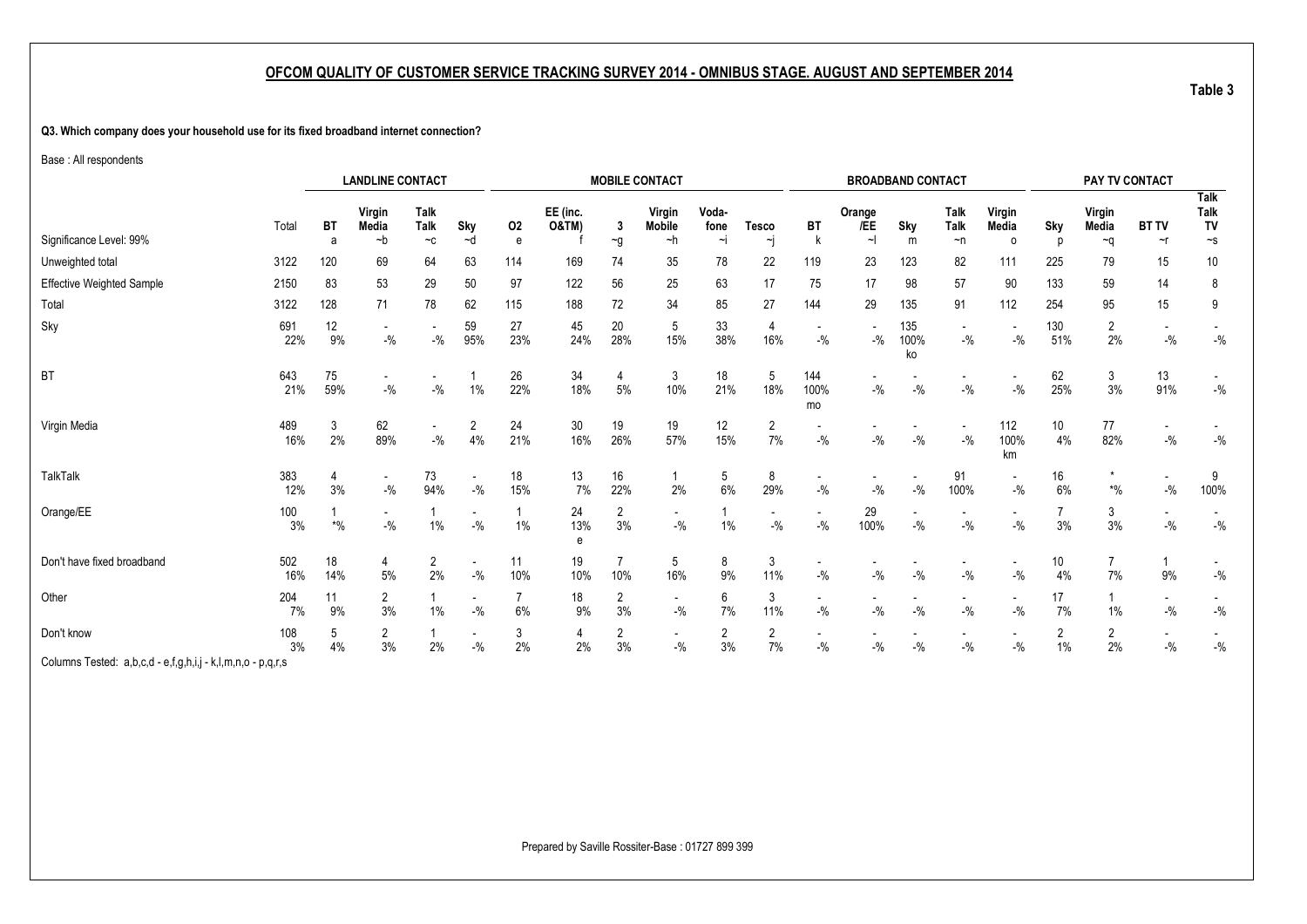#### **Q3. Which company does your household use for its fixed broadband internet connection?**

Base : All respondents

|                                  |             | <b>LANDLINE CONTACT</b> |                                     |                  |           |                      |                              |                      | <b>MOBILE CONTACT</b>               |               |                                   |                                   |               | <b>BROADBAND CONTACT</b> |                                    |                   |                      | PAY TV CONTACT       |              |                                  |
|----------------------------------|-------------|-------------------------|-------------------------------------|------------------|-----------|----------------------|------------------------------|----------------------|-------------------------------------|---------------|-----------------------------------|-----------------------------------|---------------|--------------------------|------------------------------------|-------------------|----------------------|----------------------|--------------|----------------------------------|
|                                  | Total       | <b>BT</b>               | Virgin<br>Media                     | Talk<br>Talk     | Sky       | 02                   | EE (inc.<br><b>O&amp;TM)</b> | 3                    | Virgin<br><b>Mobile</b>             | Voda-<br>fone | <b>Tesco</b>                      | BT                                | Orange<br>/EE | Sky                      | Talk<br>Talk                       | Virgin<br>Media   | Sky                  | Virgin<br>Media      | <b>BT TV</b> | <b>Talk</b><br><b>Talk</b><br>TV |
| Significance Level: 99%          |             | a                       | ∼b                                  | $-c$             | ~d        | e                    |                              | $\sim g$             | ~h                                  | $\sim$        | ∼j                                |                                   |               | m                        | $\neg$ n                           | $\circ$           | n                    | $\sim q$             | $\sim$ r     | $\mathord{\sim_S}$               |
| Unweighted total                 | 3122        | 120                     | 69                                  | 64               | 63        | 114                  | 169                          | 74                   | 35                                  | 78            | 22                                | 119                               | 23            | 123                      | 82                                 | 111               | 225                  | 79                   | 15           | 10                               |
| <b>Effective Weighted Sample</b> | 2150        | 83                      | 53                                  | 29               | 50        | 97                   | 122                          | 56                   | 25                                  | 63            | 17                                | 75                                | 17            | 98                       | 57                                 | 90                | 133                  | 59                   | 14           | 8                                |
| Total                            | 3122        | 128                     | 71                                  | 78               | 62        | 115                  | 188                          | 72                   | 34                                  | 85            | 27                                | 144                               | 29            | 135                      | 91                                 | 112               | 254                  | 95                   | 15           | 9                                |
| Sky                              | 691<br>22%  | 12<br>9%                | $\overline{\phantom{a}}$<br>$-{\%}$ | $-{\%}$          | 59<br>95% | 27<br>23%            | 45<br>24%                    | 20<br>28%            | 5<br>15%                            | 33<br>38%     | 4<br>16%                          | $-$ %                             | $-$ %         | 135<br>100%<br>ko        | $\overline{\phantom{a}}$<br>$-$ %  | $-$ %             | 130<br>51%           | $\overline{c}$<br>2% | $-$ %        | $-$ %                            |
| <b>BT</b>                        | 643<br>21%  | 75<br>59%               | $\sim$<br>$-$ %                     | $-$ %            | $1\%$     | 26<br>22%            | 34<br>18%                    | 4<br>5%              | 3<br>10%                            | 18<br>21%     | 5<br>18%                          | 144<br>100%<br>mo                 | $-9/6$        | $-$ %                    | $-$ %                              | $-$ %             | 62<br>25%            | 3<br>3%              | 13<br>91%    | $-$ %                            |
| Virgin Media                     | 489<br>16%  | 3<br>2%                 | 62<br>89%                           | $\sim$<br>$-9/6$ | 2<br>4%   | 24<br>21%            | 30<br>16%                    | 19<br>26%            | 19<br>57%                           | 12<br>15%     | $\overline{2}$<br>7%              | $-$ %                             | $-$ %         | $-$ %                    | $\overline{\phantom{a}}$<br>$-9/6$ | 112<br>100%<br>km | 10<br>4%             | 77<br>82%            | $-$ %        | $-$ %                            |
| <b>TalkTalk</b>                  | 383<br>12%  | 4<br>3%                 | $\sim$<br>$-{\frac{0}{2}}/2$        | 73<br>94%        | $-{\%}$   | 18<br>15%            | 13<br>7%                     | 16<br>22%            | $\mathbf{1}$<br>2%                  | 5<br>6%       | 8<br>29%                          | $-$ %                             | $-$ %         | $-9/6$                   | 91<br>100%                         | $-$ %             | 16<br>6%             | $*9/6$               | $-$ %        | 9<br>100%                        |
| Orange/EE                        | 100<br>$3%$ | $\boldsymbol{*}$ %      | $\sim$<br>$-$ %                     | $1\%$            | $-$ %     | 1%                   | 24<br>13%<br>e               | $\overline{2}$<br>3% | $\overline{\phantom{a}}$<br>$-9/0$  | $1\%$         | $\overline{\phantom{a}}$<br>$-$ % | $\overline{\phantom{a}}$<br>$-$ % | 29<br>100%    | $\blacksquare$<br>$-9/6$ | $\overline{\phantom{a}}$<br>$-$ %  | $-9/6$            | $\overline{7}$<br>3% | 3<br>3%              | $-9/0$       | $-$ %                            |
| Don't have fixed broadband       | 502<br>16%  | 18<br>14%               | 4<br>5%                             | 2<br>2%          | $-{\%}$   | 11<br>10%            | 19<br>10%                    | 7<br>10%             | 5<br>16%                            | 8<br>9%       | 3<br>11%                          | $-$ %                             | $-$ %         | $-9/6$                   | $-$ %                              | $-$ %             | 10<br>4%             | 7<br>7%              | 9%           | $-$ %                            |
| Other                            | 204<br>7%   | 11<br>9%                | $\overline{2}$<br>$3\%$             | $1\%$            | $-$ %     | $\overline{7}$<br>6% | 18<br>9%                     | 2<br>3%              | $\overline{\phantom{a}}$<br>$-{\%}$ | 6<br>7%       | 3<br>11%                          | $-$ %                             | $-$ %         | $-$ %                    | $-{\%}$                            | $-$ %             | 17<br>7%             | 1%                   | $-9/6$       | $-9/6$                           |
| Don't know                       | 108<br>3%   | 5<br>4%                 | 2<br>3%                             | 2%               | $-$ %     | 3<br>2%              | 4<br>2%                      | 2<br>3%              | $\overline{\phantom{a}}$<br>$-$ %   | 2<br>3%       | $\overline{2}$<br>7%              | $-$ %                             | $-$ %         | $-$ %                    | $-$ %                              | $-\frac{6}{6}$    | 2<br>1%              | 2<br>2%              | $-$ %        | $-$ %                            |

Columns Tested: a,b,c,d - e,f,g,h,i,j - k,l,m,n,o - p,q,r,s

Prepared by Saville Rossiter-Base : 01727 899 399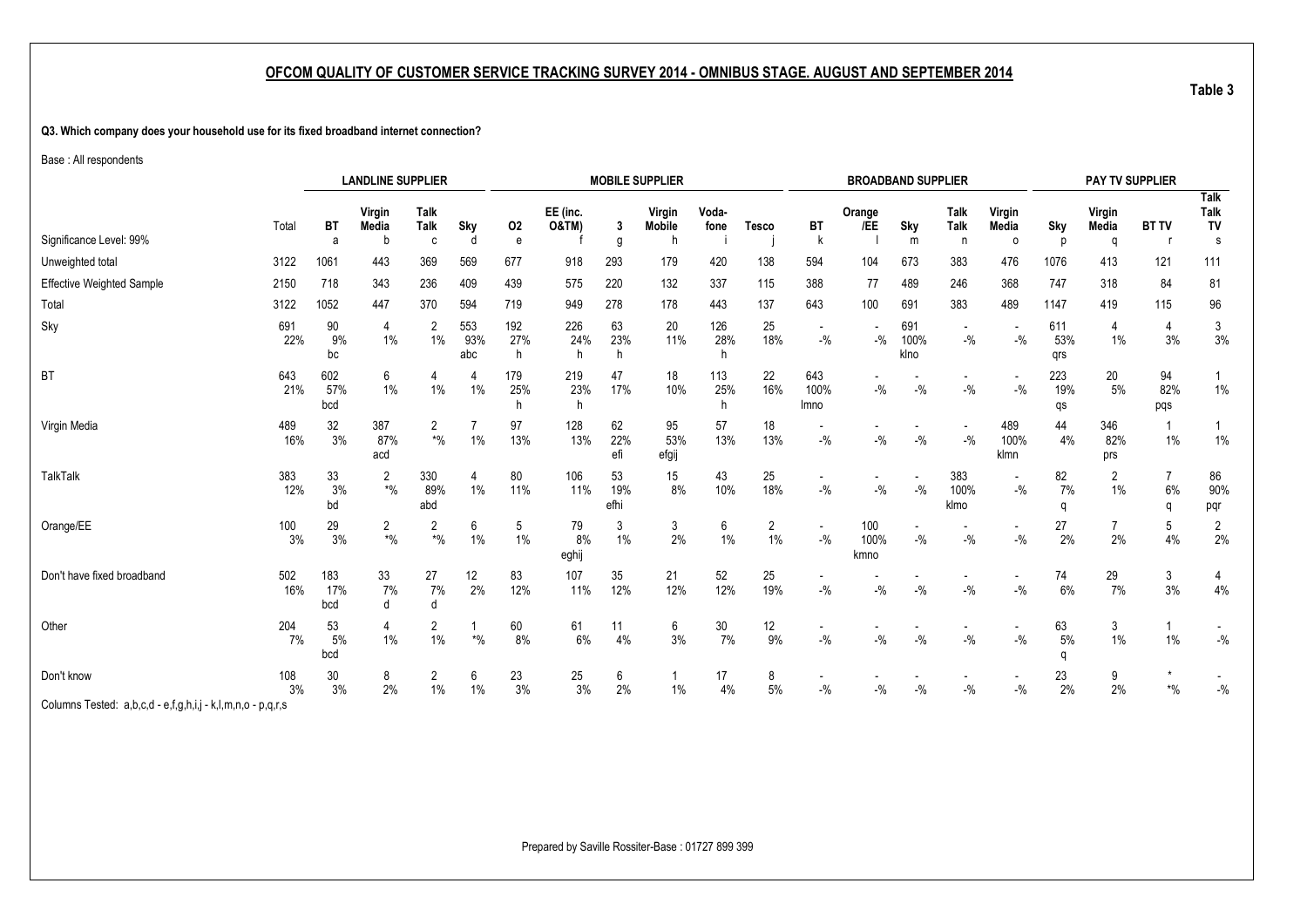#### **Q3. Which company does your household use for its fixed broadband internet connection?**

Base : All respondents

|                                                             |            |                   | <b>LANDLINE SUPPLIER</b>             |                                 |                   |                 |                              |                   | <b>MOBILE SUPPLIER</b>       |                 |                      |                                    |                     | <b>BROADBAND SUPPLIER</b> |                                   |                                   |                   | PAY TV SUPPLIER      |                          |                                |
|-------------------------------------------------------------|------------|-------------------|--------------------------------------|---------------------------------|-------------------|-----------------|------------------------------|-------------------|------------------------------|-----------------|----------------------|------------------------------------|---------------------|---------------------------|-----------------------------------|-----------------------------------|-------------------|----------------------|--------------------------|--------------------------------|
| Significance Level: 99%                                     | Total      | <b>BT</b><br>a    | Virgin<br>Media<br>b                 | <b>Talk</b><br><b>Talk</b><br>C | Sky<br>d          | 02<br>e         | EE (inc.<br><b>O&amp;TM)</b> | 3<br>g            | Virgin<br><b>Mobile</b><br>h | Voda-<br>fone   | <b>Tesco</b>         | BT<br>k                            | Orange<br>/EE       | Sky<br>m                  | Talk<br><b>Talk</b><br>n          | Virgin<br>Media<br>$\Omega$       | Sky<br>D          | Virgin<br>Media<br>Q | <b>BT TV</b>             | Talk<br><b>Talk</b><br>TV<br>s |
| Unweighted total                                            | 3122       | 1061              | 443                                  | 369                             | 569               | 677             | 918                          | 293               | 179                          | 420             | 138                  | 594                                | 104                 | 673                       | 383                               | 476                               | 1076              | 413                  | 121                      | 111                            |
| <b>Effective Weighted Sample</b>                            | 2150       | 718               | 343                                  | 236                             | 409               | 439             | 575                          | 220               | 132                          | 337             | 115                  | 388                                | 77                  | 489                       | 246                               | 368                               | 747               | 318                  | 84                       | 81                             |
| Total                                                       | 3122       | 1052              | 447                                  | 370                             | 594               | 719             | 949                          | 278               | 178                          | 443             | 137                  | 643                                | 100                 | 691                       | 383                               | 489                               | 1147              | 419                  | 115                      | 96                             |
| Sky                                                         | 691<br>22% | 90<br>9%<br>bc    | 4<br>$1\%$                           | 2<br>1%                         | 553<br>93%<br>abc | 192<br>27%<br>h | 226<br>24%<br>h              | 63<br>23%<br>h    | 20<br>11%                    | 126<br>28%      | 25<br>18%            | $\overline{\phantom{a}}$<br>$-9/6$ | $-$ %               | 691<br>100%<br>klno       | $\overline{\phantom{a}}$<br>$-$ % | $\overline{\phantom{a}}$<br>$-$ % | 611<br>53%<br>qrs | 4<br>$1\%$           | 4<br>3%                  | 3<br>3%                        |
| <b>BT</b>                                                   | 643<br>21% | 602<br>57%<br>bcd | 6<br>$1\%$                           | $1\%$                           | $1\%$             | 179<br>25%<br>h | 219<br>23%<br>h              | 47<br>17%         | 18<br>10%                    | 113<br>25%<br>h | 22<br>16%            | 643<br>100%<br>Imno                | $-$ %               | $-$ %                     | $-9/6$                            | $\overline{\phantom{a}}$<br>$-$ % | 223<br>19%<br>qs  | 20<br>5%             | 94<br>82%<br>pqs         | $\mathbf{1}$<br>$1\%$          |
| Virgin Media                                                | 489<br>16% | 32<br>3%          | 387<br>87%<br>acd                    | 2<br>$*9/0$                     | 1%                | 97<br>13%       | 128<br>13%                   | 62<br>22%<br>efi  | 95<br>53%<br>efgij           | 57<br>13%       | 18<br>13%            | $-9/6$                             | $-9/0$              | $-$ %                     | $-$ %                             | 489<br>100%<br>klmn               | 44<br>4%          | 346<br>82%<br>prs    | 1%                       | $1\%$                          |
| TalkTalk                                                    | 383<br>12% | 33<br>3%<br>bd    | 2<br>$*9/6$                          | 330<br>89%<br>abd               | 4<br>1%           | 80<br>11%       | 106<br>11%                   | 53<br>19%<br>efhi | 15<br>8%                     | 43<br>10%       | 25<br>18%            | $-$ %                              | $-9/0$              | $-$ %                     | 383<br>100%<br>klmo               | $\overline{\phantom{a}}$<br>$-$ % | 82<br>7%<br>q     | 2<br>$1\%$           | 7<br>6%<br>$\Omega$      | 86<br>90%<br>pqr               |
| Orange/EE                                                   | 100<br>3%  | 29<br>3%          | $\overline{c}$<br>$\boldsymbol{*}$ % | 2<br>$*9/6$                     | 6<br>1%           | 5<br>1%         | 79<br>8%<br>eghij            | 3<br>1%           | 3<br>2%                      | 6<br>$1\%$      | $\overline{c}$<br>1% | $-9/6$                             | 100<br>100%<br>kmno | $-9/0$                    | $-$ %                             | $-$ %                             | 27<br>2%          | 2%                   | 5<br>4%                  | 2<br>2%                        |
| Don't have fixed broadband                                  | 502<br>16% | 183<br>17%<br>bcd | 33<br>7%                             | 27<br>7%<br>d                   | 12<br>2%          | 83<br>12%       | 107<br>11%                   | 35<br>12%         | 21<br>12%                    | 52<br>12%       | 25<br>19%            | $-9/6$                             | $-9/0$              | $-$ %                     | $-9/6$                            | $-9/0$                            | 74<br>$6\%$       | 29<br>7%             | 3<br>3%                  | 4<br>4%                        |
| Other                                                       | 204<br>7%  | 53<br>5%<br>bcd   | 4<br>$1\%$                           | 2<br>1%                         | $*$ %             | 60<br>8%        | 61<br>6%                     | 11<br>4%          | 6<br>3%                      | 30<br>7%        | 12<br>9%             | $-$ %                              | $-$ %               | $-$ %                     | $-$ %                             | $-$ %                             | 63<br>5%<br>q     | 3<br>1%              | 1%                       | $-{\%}$                        |
| Don't know                                                  | 108<br>3%  | 30<br>3%          | 8<br>2%                              | 2<br>$1\%$                      | 6<br>$1\%$        | 23<br>3%        | 25<br>3%                     | 6<br>$2\%$        | 1%                           | 17<br>4%        | 8<br>$5%$            | $-$ %                              | $-$ %               | $-$ %                     | $-$ %                             | $-$ %                             | 23<br>2%          | 9<br>2%              | $\boldsymbol{*}0\!/\!_0$ | $-{\%}$                        |
| Columns Tested: a,b,c,d - e,f,g,h,i,j - k,l,m,n,o - p,q,r,s |            |                   |                                      |                                 |                   |                 |                              |                   |                              |                 |                      |                                    |                     |                           |                                   |                                   |                   |                      |                          |                                |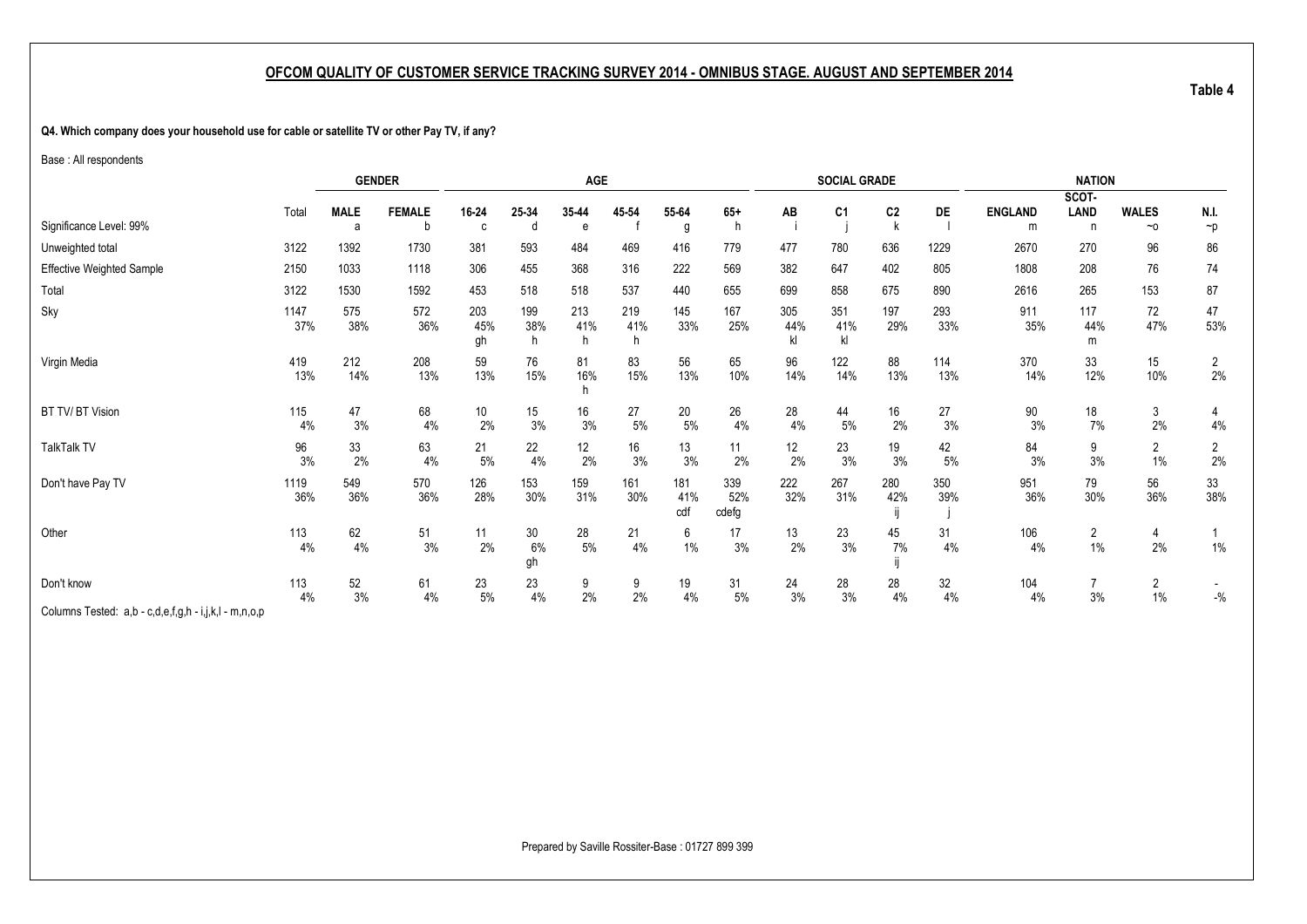<span id="page-14-1"></span><span id="page-14-0"></span>**Q4. Which company does your household use for cable or satellite TV or other Pay TV, if any?**

Base : All respondents

|                                                       |             |             | <b>GENDER</b> |                  |                 | AGE              |            |                   |                     |                  | <b>SOCIAL GRADE</b> |                |            |                | <b>NATION</b>        |                         |                         |
|-------------------------------------------------------|-------------|-------------|---------------|------------------|-----------------|------------------|------------|-------------------|---------------------|------------------|---------------------|----------------|------------|----------------|----------------------|-------------------------|-------------------------|
|                                                       |             |             |               |                  |                 |                  |            |                   |                     |                  |                     |                |            |                | SCOT-                |                         |                         |
|                                                       | Total       | <b>MALE</b> | <b>FEMALE</b> | 16-24            | 25-34           | 35-44            | 45-54      | 55-64             | $65+$               | AB               | C1                  | C <sub>2</sub> | <b>DE</b>  | <b>ENGLAND</b> | LAND                 | <b>WALES</b>            | N.I.                    |
| Significance Level: 99%                               |             | a           |               | C                | d               | e                |            | g                 |                     |                  |                     |                |            | m              | n.                   | $~\sim$ 0               | $\neg p$                |
| Unweighted total                                      | 3122        | 1392        | 1730          | 381              | 593             | 484              | 469        | 416               | 779                 | 477              | 780                 | 636            | 1229       | 2670           | 270                  | 96                      | 86                      |
| <b>Effective Weighted Sample</b>                      | 2150        | 1033        | 1118          | 306              | 455             | 368              | 316        | 222               | 569                 | 382              | 647                 | 402            | 805        | 1808           | 208                  | 76                      | 74                      |
| Total                                                 | 3122        | 1530        | 1592          | 453              | 518             | 518              | 537        | 440               | 655                 | 699              | 858                 | 675            | 890        | 2616           | 265                  | 153                     | 87                      |
| Sky                                                   | 1147<br>37% | 575<br>38%  | 572<br>36%    | 203<br>45%<br>gh | 199<br>38%<br>h | 213<br>41%<br>h. | 219<br>41% | 145<br>33%        | 167<br>25%          | 305<br>44%<br>kl | 351<br>41%<br>k     | 197<br>29%     | 293<br>33% | 911<br>35%     | 117<br>44%<br>m      | 72<br>47%               | 47<br>53%               |
| Virgin Media                                          | 419<br>13%  | 212<br>14%  | 208<br>13%    | 59<br>13%        | 76<br>15%       | 81<br>16%        | 83<br>15%  | 56<br>13%         | 65<br>10%           | 96<br>14%        | 122<br>14%          | 88<br>13%      | 114<br>13% | 370<br>14%     | 33<br>12%            | 15<br>10%               | $\overline{c}$<br>$2\%$ |
| BT TV/ BT Vision                                      | 115<br>4%   | 47<br>3%    | 68<br>4%      | 10<br>2%         | 15<br>3%        | 16<br>3%         | 27<br>5%   | 20<br>$5%$        | 26<br>4%            | 28<br>4%         | 44<br>5%            | 16<br>2%       | 27<br>3%   | 90<br>3%       | 18<br>7%             | 3<br>2%                 | 4<br>4%                 |
| <b>TalkTalk TV</b>                                    | 96<br>3%    | 33<br>2%    | 63<br>4%      | 21<br>5%         | 22<br>4%        | 12<br>2%         | 16<br>3%   | 13<br>3%          | 11<br>2%            | 12<br>2%         | 23<br>3%            | 19<br>3%       | 42<br>$5%$ | 84<br>3%       | 9<br>3%              | $\overline{2}$<br>1%    | $\overline{2}$<br>2%    |
| Don't have Pay TV                                     | 1119<br>36% | 549<br>36%  | 570<br>36%    | 126<br>28%       | 153<br>30%      | 159<br>31%       | 161<br>30% | 181<br>41%<br>cdf | 339<br>52%<br>cdefg | 222<br>32%       | 267<br>31%          | 280<br>42%     | 350<br>39% | 951<br>36%     | 79<br>30%            | 56<br>36%               | 33<br>38%               |
| Other                                                 | 113<br>4%   | 62<br>4%    | 51<br>3%      | 11<br>2%         | 30<br>6%<br>gh  | 28<br>$5\%$      | 21<br>4%   | 6<br>1%           | 17<br>3%            | 13<br>2%         | 23<br>3%            | 45<br>7%       | 31<br>4%   | 106<br>4%      | $\overline{c}$<br>1% | 4<br>2%                 | 1%                      |
| Don't know                                            | 113<br>4%   | 52<br>3%    | 61<br>4%      | 23<br>$5\%$      | 23<br>4%        | 9<br>2%          | 9<br>2%    | 19<br>4%          | 31<br>$5\%$         | 24<br>3%         | 28<br>3%            | 28<br>4%       | 32<br>4%   | 104<br>4%      | $\overline{7}$<br>3% | $\overline{2}$<br>$1\%$ | $-$ %                   |
| Columns Tested: a,b - c,d,e,f,g,h - i,j,k,l - m,n,o,p |             |             |               |                  |                 |                  |            |                   |                     |                  |                     |                |            |                |                      |                         |                         |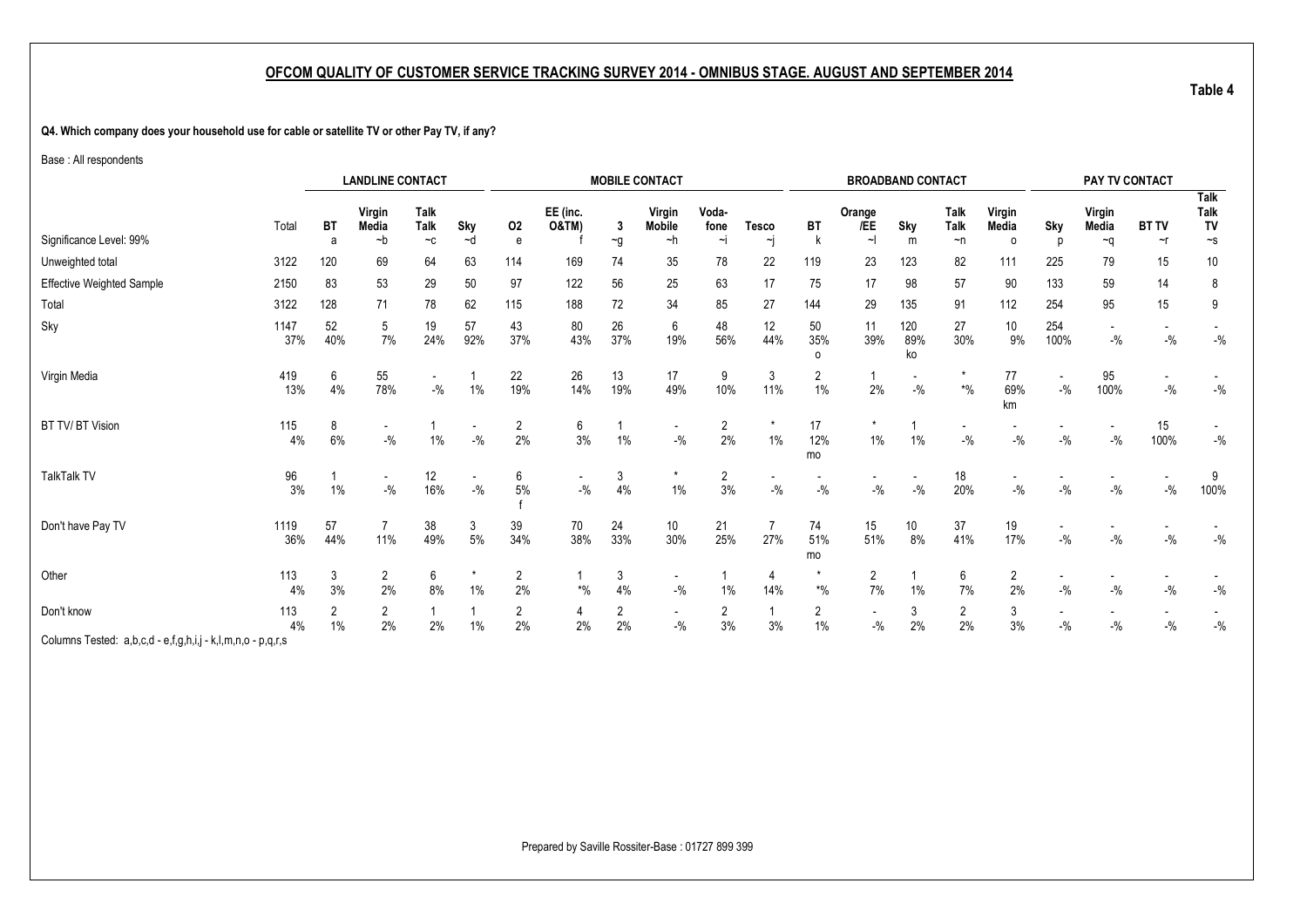**Q4. Which company does your household use for cable or satellite TV or other Pay TV, if any?**

Base : All respondents

|                                                             | <b>LANDLINE CONTACT</b>                                                               |           |                      |           |           |                              |                                 |                         | <b>MOBILE CONTACT</b>              |                      |                       |                          |                                   | <b>BROADBAND CONTACT</b> |                         |                       |                                    | PAY TV CONTACT |                    |           |
|-------------------------------------------------------------|---------------------------------------------------------------------------------------|-----------|----------------------|-----------|-----------|------------------------------|---------------------------------|-------------------------|------------------------------------|----------------------|-----------------------|--------------------------|-----------------------------------|--------------------------|-------------------------|-----------------------|------------------------------------|----------------|--------------------|-----------|
|                                                             | Talk<br>Virgin<br><b>Talk</b><br>Media<br>Sky<br>Total<br>ВT<br>~d<br>~b<br>$-c$<br>a |           |                      |           | 02        | EE (inc.<br><b>O&amp;TM)</b> | -3                              | Virgin<br><b>Mobile</b> | Voda-<br>fone                      | <b>Tesco</b>         | BT                    | Orange<br>/EE            | Sky                               | Talk<br>Talk             | Virgin<br>Media         | Sky                   | Virgin<br>Media                    | <b>BT TV</b>   | Talk<br>Talk<br>TV |           |
| Significance Level: 99%                                     |                                                                                       |           |                      |           |           | e                            |                                 | $\sim g$                | ~h                                 | $\sim$               | hj                    |                          | $\sim$                            | m                        | $\neg$ n                | $\Omega$              |                                    | $\sim q$       | ~r                 | $\sim$ s  |
| Unweighted total                                            | 3122                                                                                  | 120       | 69                   | 64        | 63        | 114                          | 169                             | 74                      | 35                                 | 78                   | 22                    | 119                      | 23                                | 123                      | 82                      | 111                   | 225                                | 79             | 15                 | 10        |
| Effective Weighted Sample                                   | 2150                                                                                  | 83        | 53                   | 29        | 50        | 97                           | 122                             | 56                      | 25                                 | 63                   | 17                    | 75                       | 17                                | 98                       | 57                      | 90                    | 133                                | 59             | 14                 | 8         |
| Total                                                       | 3122                                                                                  | 128       | 71                   | 78        | 62        | 115                          | 188                             | 72                      | 34                                 | 85                   | 27                    | 144                      | 29                                | 135                      | 91                      | 112                   | 254                                | 95             | 15                 | 9         |
| Sky                                                         | 1147<br>37%                                                                           | 52<br>40% | 5<br>7%              | 19<br>24% | 57<br>92% | 43<br>37%                    | 80<br>43%                       | 26<br>37%               | 6<br>19%                           | 48<br>56%            | 12<br>44%             | 50<br>35%<br>0           | 11<br>39%                         | 120<br>89%<br>ko         | 27<br>30%               | 10 <sup>°</sup><br>9% | 254<br>100%                        | $-$ %          | $-9/0$             | $-9/6$    |
| Virgin Media                                                | 419<br>13%                                                                            | 6<br>4%   | 55<br>78%            | $-$ %     | 1%        | 22<br>19%                    | 26<br>14%                       | 13<br>19%               | 17<br>49%                          | 9<br>10%             | 3<br>11%              | 2<br>1%                  | 2%                                | $-9/6$                   | $\boldsymbol{*}0\!/\!0$ | 77<br>69%<br>km       | $\overline{\phantom{a}}$<br>$-9/6$ | 95<br>100%     | $-9/6$             | $-9/6$    |
| BT TV/ BT Vision                                            | 115<br>4%                                                                             | 8<br>6%   | $-{\frac{0}{2}}/2$   | 1%        | $-{\%}$   | $\overline{2}$<br>2%         | 6<br>3%                         | 1%                      | $\overline{\phantom{a}}$<br>$-$ %  | $\overline{2}$<br>2% | $\star$<br>1%         | 17<br>12%<br>mo          | $\star$<br>1%                     | 1%                       | $-$ %                   | $-9/6$                | $-$ %                              | $-$ %          | 15<br>100%         | $-{\%}$   |
| <b>TalkTalk TV</b>                                          | 96<br>3%                                                                              | 1%        | $-9/6$               | 12<br>16% | $-{\%}$   | 6<br>5%                      | $-9/0$                          | 3<br>4%                 | $\star$<br>$1\%$                   | 2<br>3%              | $-$ %                 | $-$ %                    | $-$ %                             | $-$ %                    | 18<br>20%               | $-$ %                 | $-9/6$                             | $-$ %          | $-$ %              | 9<br>100% |
| Don't have Pay TV                                           | 1119<br>36%                                                                           | 57<br>44% | 11%                  | 38<br>49% | 3<br>5%   | 39<br>34%                    | 70<br>38%                       | 24<br>33%               | 10<br>30%                          | 21<br>25%            | $\overline{7}$<br>27% | 74<br>51%<br>mo          | 15<br>51%                         | 10<br>8%                 | 37<br>41%               | 19<br>17%             | $-$ %                              | $-$ %          | $-$ %              | $-9/6$    |
| Other                                                       | 113<br>4%                                                                             | 3<br>3%   | $\overline{2}$<br>2% | 6<br>8%   | $1\%$     | $\overline{2}$<br>2%         | $\boldsymbol{^{*0}\!}/_{\!\!0}$ | 3<br>4%                 | $\overline{\phantom{a}}$<br>$-$ %  | 1%                   | 4<br>14%              | $\boldsymbol{*}0\!/\!_0$ | 2<br>7%                           | 1%                       | 6<br>7%                 | 2<br>2%               | $-$ %                              | $-$ %          | $-$ %              | $-$ %     |
| Don't know                                                  | 113<br>4%                                                                             | 2<br>1%   | $\overline{2}$<br>2% | 2%        | $1\%$     | $\overline{2}$<br>2%         | 4<br>2%                         | 2<br>2%                 | $\overline{\phantom{a}}$<br>$-9/6$ | 2<br>3%              | 1<br>3%               | 2<br>1%                  | $\overline{\phantom{a}}$<br>$-$ % | 3<br>2%                  | $\overline{2}$<br>2%    | 3<br>3%               | $-$ %                              | $-$ %          | $-$ %              | $-$ %     |
| Columns Tested: a,b,c,d - e,f,g,h,i,j - k,l,m,n,o - p,q,r,s |                                                                                       |           |                      |           |           |                              |                                 |                         |                                    |                      |                       |                          |                                   |                          |                         |                       |                                    |                |                    |           |

Prepared by Saville Rossiter-Base : 01727 899 399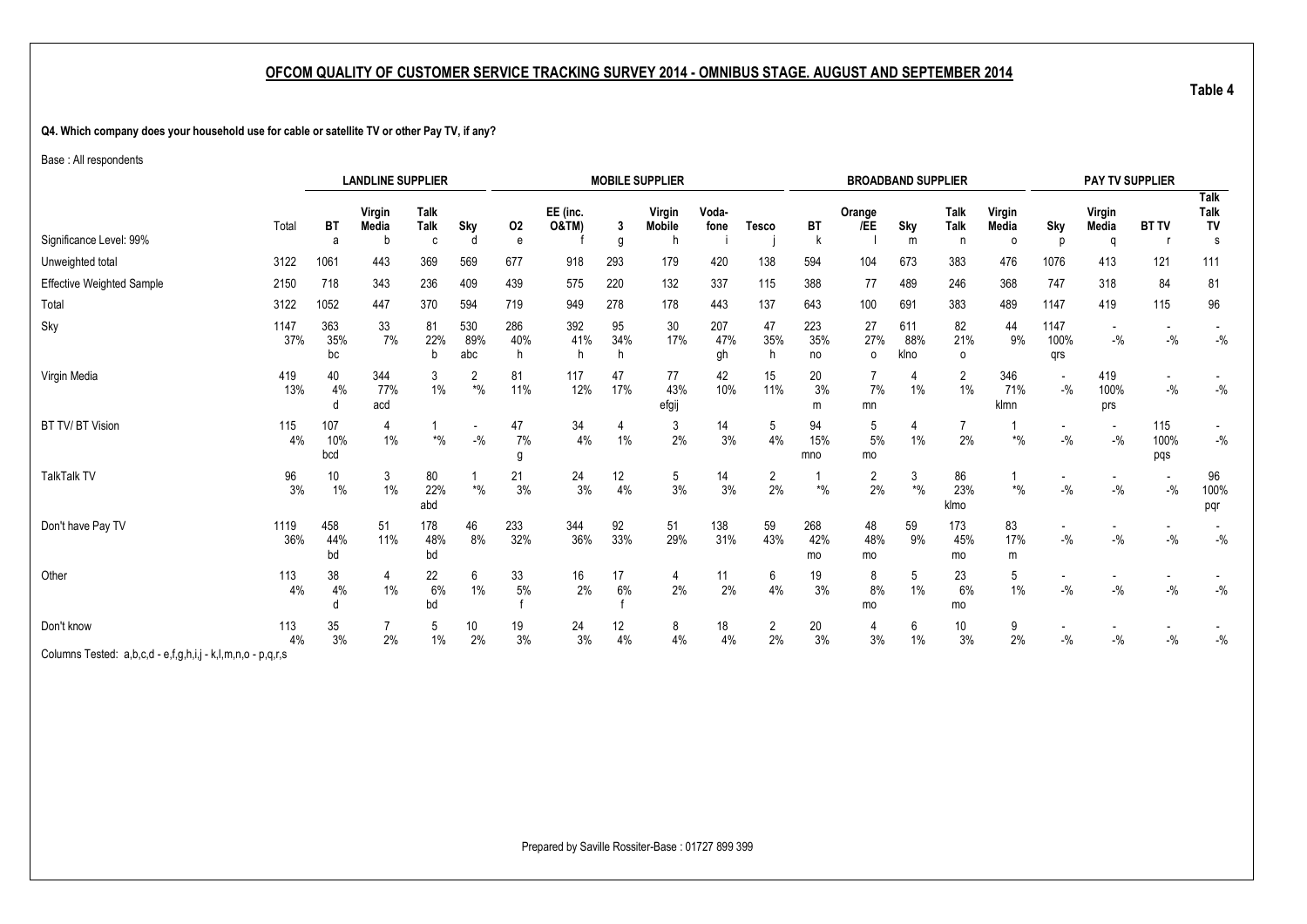**Q4. Which company does your household use for cable or satellite TV or other Pay TV, if any?**

Base : All respondents

|                                  | <b>LANDLINE SUPPLIER</b> |                   |                   |                   |                         |                 |                   |           | <b>MOBILE SUPPLIER</b>  |                  |                      |                  |                       | <b>BROADBAND SUPPLIER</b>     |                          |                             |                                    | PAY TV SUPPLIER      |                    |                                |
|----------------------------------|--------------------------|-------------------|-------------------|-------------------|-------------------------|-----------------|-------------------|-----------|-------------------------|------------------|----------------------|------------------|-----------------------|-------------------------------|--------------------------|-----------------------------|------------------------------------|----------------------|--------------------|--------------------------------|
| Significance Level: 99%          | Total                    | <b>BT</b><br>a    | Virgin<br>Media   | Talk<br>Talk<br>C | Sky<br>d                | 02<br>e         | EE (inc.<br>O&TM) | 3<br>g    | Virgin<br><b>Mobile</b> | Voda-<br>fone    | Tesco                | <b>BT</b>        | Orange<br>/EE         | Sky<br>m                      | Talk<br><b>Talk</b><br>n | Virgin<br>Media<br>$\Omega$ | Sky                                | Virgin<br>Media<br>a | <b>BT TV</b>       | <b>Talk</b><br>Talk<br>TV<br>s |
| Unweighted total                 | 3122                     | 1061              | 443               | 369               | 569                     | 677             | 918               | 293       | 179                     | 420              | 138                  | 594              | 104                   | 673                           | 383                      | 476                         | 1076                               | 413                  | 121                | 111                            |
| <b>Effective Weighted Sample</b> | 2150                     | 718               | 343               | 236               | 409                     | 439             | 575               | 220       | 132                     | 337              | 115                  | 388              | 77                    | 489                           | 246                      | 368                         | 747                                | 318                  | 84                 | 81                             |
| Total                            | 3122                     | 1052              | 447               | 370               | 594                     | 719             | 949               | 278       | 178                     | 443              | 137                  | 643              | 100                   | 691                           | 383                      | 489                         | 1147                               | 419                  | 115                | 96                             |
| Sky                              | 1147<br>37%              | 363<br>35%<br>bc  | 33<br>7%          | 81<br>22%<br>h    | 530<br>89%<br>abc       | 286<br>40%<br>h | 392<br>41%<br>h   | 95<br>34% | 30<br>17%               | 207<br>47%<br>gh | 47<br>35%<br>h       | 223<br>35%<br>no | 27<br>27%<br>$\Omega$ | 611<br>88%<br>klno            | 82<br>21%<br>0           | 44<br>9%                    | 1147<br>100%<br>qrs                | $-$ %                | $-$ %              | $-$ %                          |
| Virgin Media                     | 419<br>13%               | 40<br>4%          | 344<br>77%<br>acd | 3<br>$1\%$        | 2<br>$\boldsymbol{*}$ % | 81<br>11%       | 117<br>12%        | 47<br>17% | 77<br>43%<br>efgij      | 42<br>10%        | 15<br>11%            | 20<br>3%<br>m    | 7%<br>mn              | 1%                            | 2<br>$1\%$               | 346<br>71%<br>klmn          | $\overline{\phantom{a}}$<br>$-$ %  | 419<br>100%<br>prs   | $-$ %              | $-{\%}$                        |
| BT TV/ BT Vision                 | 115<br>4%                | 107<br>10%<br>bcd | 4<br>$1\%$        | $*$ %             | $-9/6$                  | 47<br>7%<br>g   | 34<br>4%          | 1%        | 3<br>2%                 | 14<br>3%         | 5<br>4%              | 94<br>15%<br>mno | 5<br>$5\%$<br>mo      | $1\%$                         | 2%                       | $*9/6$                      | $\overline{\phantom{a}}$<br>$-$ %  | $-$ %                | 115<br>100%<br>pqs | $ \%$                          |
| <b>TalkTalk TV</b>               | 96<br>3%                 | 10<br>$1\%$       | 3<br>$1\%$        | 80<br>22%<br>abd  | $*$ %                   | 21<br>3%        | 24<br>3%          | 12<br>4%  | 5<br>3%                 | 14<br>3%         | 2<br>2%              | $*$ %            | 2<br>2%               | 3<br>$\boldsymbol{*}0\!/\!_0$ | 86<br>23%<br>klmo        | $*$ %                       | $\overline{\phantom{a}}$<br>$-9/6$ | $-$ %                | $-$ %              | 96<br>100%<br>pqr              |
| Don't have Pay TV                | 1119<br>36%              | 458<br>44%<br>bd  | 51<br>11%         | 178<br>48%<br>bd  | 46<br>8%                | 233<br>32%      | 344<br>36%        | 92<br>33% | 51<br>29%               | 138<br>31%       | 59<br>43%            | 268<br>42%<br>mo | 48<br>48%<br>mo       | 59<br>9%                      | 173<br>45%<br>mo         | 83<br>17%<br>m              | $\overline{\phantom{a}}$<br>$-$ %  | $-$ %                | $-$ %              | $-$ %                          |
| Other                            | 113<br>4%                | 38<br>4%          | 4<br>$1\%$        | 22<br>6%<br>bd    | 6<br>$1\%$              | 33<br>5%        | 16<br>2%          | 17<br>6%  | 4<br>2%                 | 11<br>2%         | 6<br>4%              | 19<br>3%         | 8<br>8%<br>mo         | 5<br>1%                       | 23<br>6%<br>mo           | 5<br>1%                     | $-9/6$                             | $-$ %                | $-$ %              | $-$ %                          |
| Don't know<br>.                  | 113<br>4%                | 35<br>3%          | 2%                | 5<br>$1\%$        | 10<br>2%                | 19<br>3%        | 24<br>3%          | 12<br>4%  | 8<br>$4\%$              | 18<br>4%         | $\overline{2}$<br>2% | 20<br>3%         | 4<br>3%               | 6<br>1%                       | 10<br>3%                 | 9<br>2%                     | $-$ %                              | $-$ %                | $-$ %              | $-9/6$                         |

Columns Tested: a,b,c,d - e,f,g,h,i,j - k,l,m,n,o - p,q,r,s

Prepared by Saville Rossiter-Base : 01727 899 399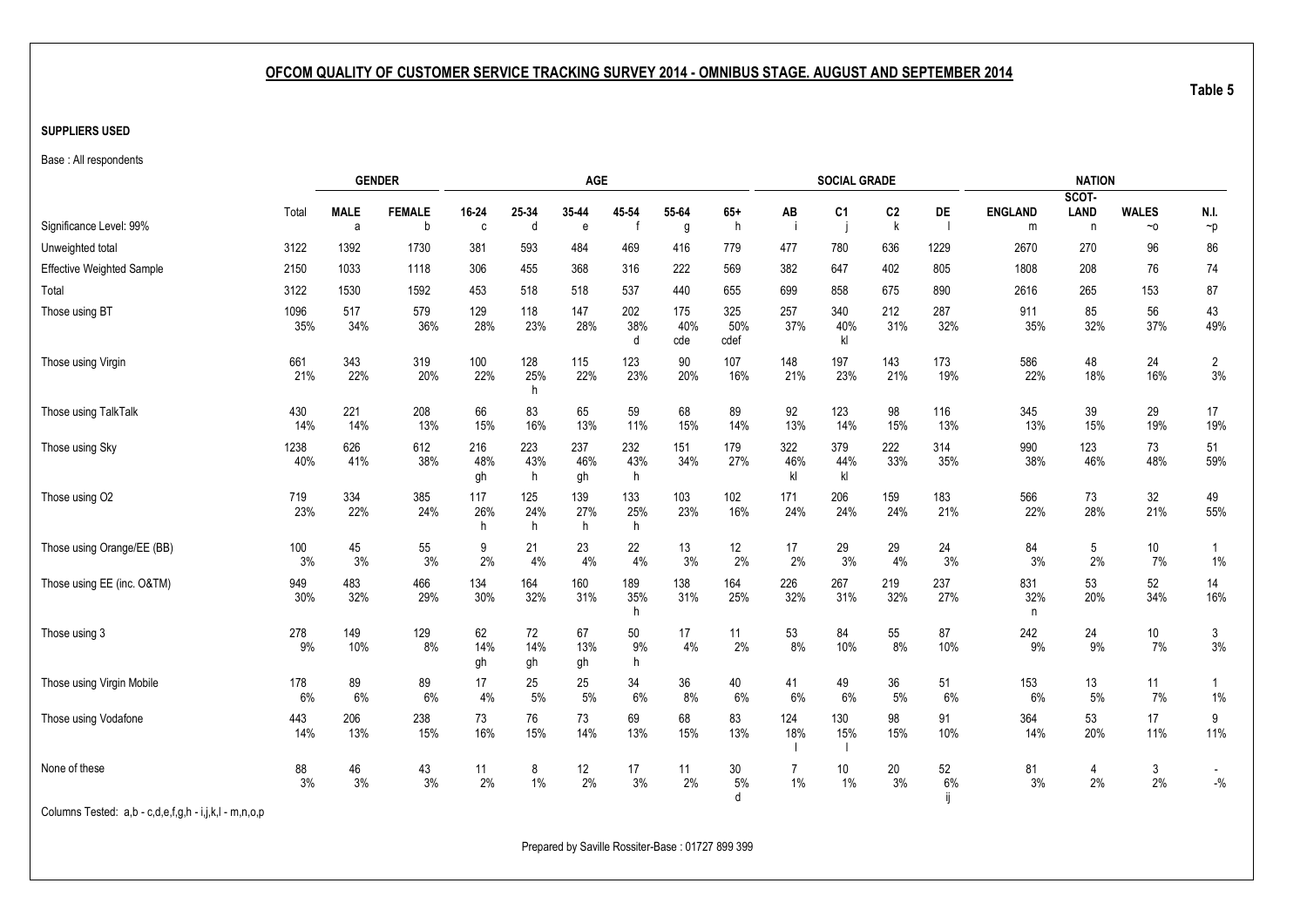#### <span id="page-17-1"></span><span id="page-17-0"></span>**SUPPLIERS USED**

Base : All respondents

|                                                       |             |                  | <b>GENDER</b>      |                  |                 | AGE              |                 |                   |                    |                         | <b>SOCIAL GRADE</b> |                               |             |                     | <b>NATION</b>                        |                          |                         |
|-------------------------------------------------------|-------------|------------------|--------------------|------------------|-----------------|------------------|-----------------|-------------------|--------------------|-------------------------|---------------------|-------------------------------|-------------|---------------------|--------------------------------------|--------------------------|-------------------------|
| Significance Level: 99%                               | Total       | <b>MALE</b><br>a | <b>FEMALE</b><br>b | 16-24<br>C       | 25-34<br>d      | 35-44<br>e       | 45-54           | 55-64<br>g        | $65+$<br>h         | AB<br>÷i                | C <sub>1</sub><br>j | C <sub>2</sub><br>$\mathsf k$ | DE          | <b>ENGLAND</b><br>m | SCOT-<br><b>LAND</b><br>$\mathsf{n}$ | <b>WALES</b><br>$\sim$ 0 | N.I.<br>$\neg p$        |
| Unweighted total                                      | 3122        | 1392             | 1730               | 381              | 593             | 484              | 469             | 416               | 779                | 477                     | 780                 | 636                           | 1229        | 2670                | 270                                  | 96                       | 86                      |
| <b>Effective Weighted Sample</b>                      | 2150        | 1033             | 1118               | 306              | 455             | 368              | 316             | 222               | 569                | 382                     | 647                 | 402                           | 805         | 1808                | 208                                  | 76                       | 74                      |
| Total                                                 | 3122        | 1530             | 1592               | 453              | 518             | 518              | 537             | 440               | 655                | 699                     | 858                 | 675                           | 890         | 2616                | 265                                  | 153                      | 87                      |
| Those using BT                                        | 1096<br>35% | 517<br>34%       | 579<br>36%         | 129<br>28%       | 118<br>23%      | 147<br>28%       | 202<br>38%<br>d | 175<br>40%<br>cde | 325<br>50%<br>cdef | 257<br>37%              | 340<br>40%<br>kl    | 212<br>31%                    | 287<br>32%  | 911<br>35%          | 85<br>32%                            | 56<br>37%                | 43<br>49%               |
| Those using Virgin                                    | 661<br>21%  | 343<br>22%       | 319<br>20%         | 100<br>22%       | 128<br>25%<br>h | 115<br>22%       | 123<br>23%      | 90<br>20%         | 107<br>16%         | 148<br>21%              | 197<br>23%          | 143<br>21%                    | 173<br>19%  | 586<br>22%          | 48<br>18%                            | 24<br>16%                | $\overline{2}$<br>$3%$  |
| Those using TalkTalk                                  | 430<br>14%  | 221<br>14%       | 208<br>13%         | 66<br>15%        | 83<br>16%       | 65<br>13%        | 59<br>11%       | 68<br>15%         | 89<br>14%          | 92<br>13%               | 123<br>14%          | 98<br>15%                     | 116<br>13%  | 345<br>13%          | 39<br>15%                            | 29<br>19%                | 17<br>19%               |
| Those using Sky                                       | 1238<br>40% | 626<br>41%       | 612<br>38%         | 216<br>48%<br>gh | 223<br>43%<br>h | 237<br>46%<br>gh | 232<br>43%<br>h | 151<br>34%        | 179<br>27%         | 322<br>46%<br>kl        | 379<br>44%<br>kl    | 222<br>33%                    | 314<br>35%  | 990<br>38%          | 123<br>46%                           | 73<br>48%                | 51<br>59%               |
| Those using O2                                        | 719<br>23%  | 334<br>22%       | 385<br>24%         | 117<br>26%<br>h  | 125<br>24%<br>h | 139<br>27%<br>h  | 133<br>25%<br>h | 103<br>23%        | 102<br>16%         | 171<br>24%              | 206<br>24%          | 159<br>24%                    | 183<br>21%  | 566<br>22%          | 73<br>28%                            | 32<br>21%                | 49<br>55%               |
| Those using Orange/EE (BB)                            | 100<br>3%   | 45<br>3%         | 55<br>3%           | 9<br>2%          | 21<br>4%        | 23<br>4%         | 22<br>4%        | 13<br>3%          | 12<br>2%           | 17<br>2%                | 29<br>3%            | 29<br>4%                      | 24<br>3%    | 84<br>3%            | 5<br>2%                              | 10<br>7%                 | $\overline{1}$<br>$1\%$ |
| Those using EE (inc. O&TM)                            | 949<br>30%  | 483<br>32%       | 466<br>29%         | 134<br>30%       | 164<br>32%      | 160<br>31%       | 189<br>35%<br>h | 138<br>31%        | 164<br>25%         | 226<br>32%              | 267<br>31%          | 219<br>32%                    | 237<br>27%  | 831<br>32%<br>n     | 53<br>20%                            | 52<br>34%                | 14<br>16%               |
| Those using 3                                         | 278<br>9%   | 149<br>10%       | 129<br>8%          | 62<br>14%<br>gh  | 72<br>14%<br>gh | 67<br>13%<br>gh  | 50<br>9%<br>h   | 17<br>4%          | 11<br>2%           | 53<br>8%                | 84<br>10%           | 55<br>8%                      | 87<br>10%   | 242<br>9%           | 24<br>9%                             | 10<br>7%                 | $\mathfrak{Z}$<br>3%    |
| Those using Virgin Mobile                             | 178<br>6%   | 89<br>6%         | 89<br>6%           | 17<br>4%         | 25<br>5%        | 25<br>5%         | 34<br>6%        | 36<br>8%          | 40<br>6%           | 41<br>6%                | 49<br>6%            | 36<br>5%                      | 51<br>6%    | 153<br>6%           | 13<br>5%                             | 11<br>7%                 | $\overline{1}$<br>$1\%$ |
| Those using Vodafone                                  | 443<br>14%  | 206<br>13%       | 238<br>15%         | 73<br>16%        | 76<br>15%       | 73<br>14%        | 69<br>13%       | 68<br>15%         | 83<br>13%          | 124<br>18%              | 130<br>15%          | 98<br>15%                     | 91<br>10%   | 364<br>14%          | 53<br>20%                            | 17<br>11%                | 9<br>11%                |
| None of these                                         | 88<br>3%    | 46<br>3%         | 43<br>3%           | 11<br>2%         | 8<br>1%         | 12<br>2%         | 17<br>3%        | 11<br>2%          | 30<br>5%<br>d      | $\overline{7}$<br>$1\%$ | 10<br>1%            | 20<br>3%                      | 52<br>$6\%$ | 81<br>3%            | $\overline{4}$<br>2%                 | 3<br>$2\%$               | $-{\%}$                 |
| Columns Tested: a,b - c,d,e,f,g,h - i,j,k,l - m,n,o,p |             |                  |                    |                  |                 |                  |                 |                   |                    |                         |                     |                               |             |                     |                                      |                          |                         |

Prepared by Saville Rossiter-Base : 01727 899 399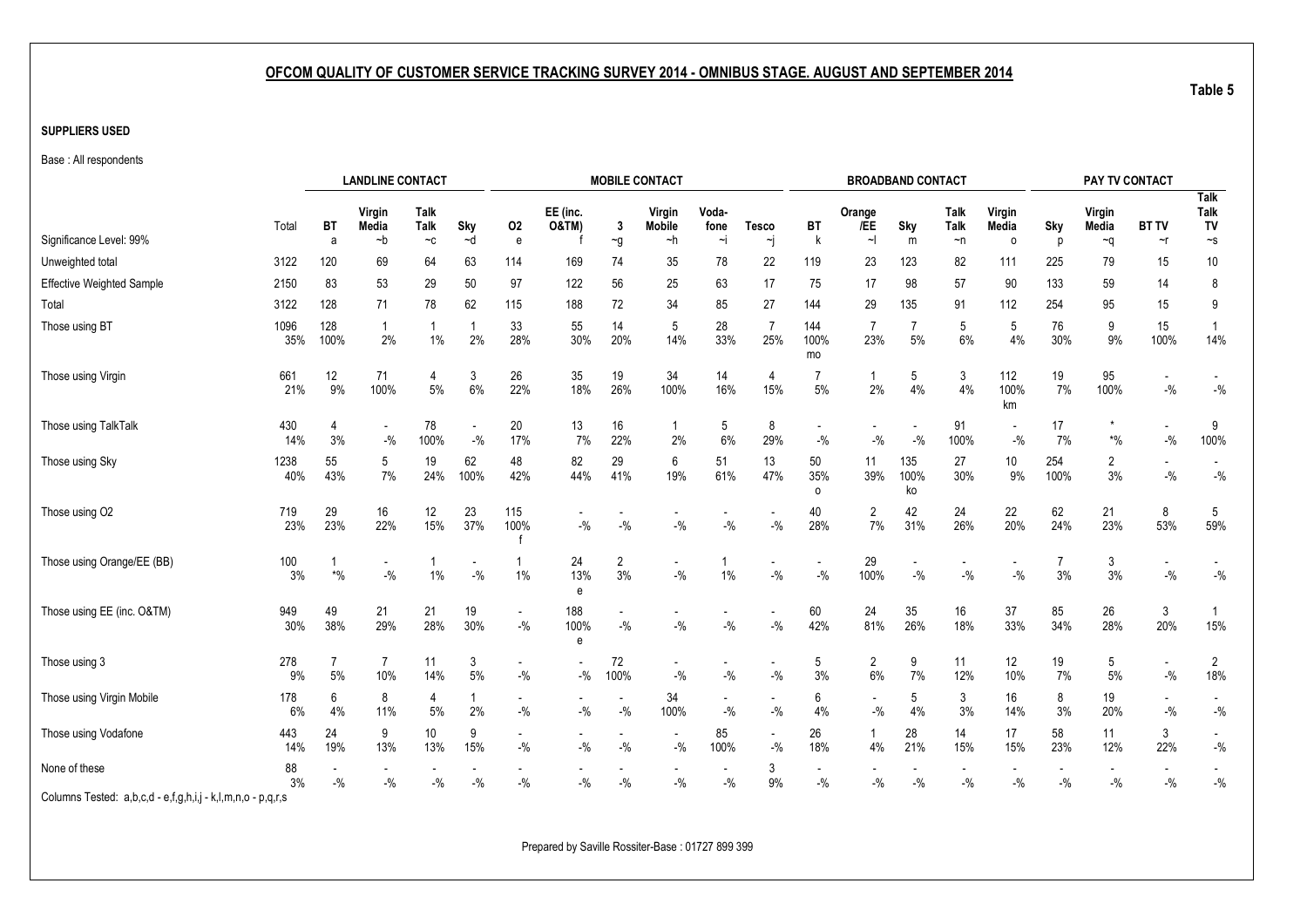#### **SUPPLIERS USED**

Base : All respondents

|                                  |             |                          | <b>LANDLINE CONTACT</b> |                             |             |                          |                                   |                                       | <b>MOBILE CONTACT</b>             |                     |                                    |                                   | <b>BROADBAND CONTACT</b> |                   |                                   |                                   |                      | PAY TV CONTACT        |                          |                                       |
|----------------------------------|-------------|--------------------------|-------------------------|-----------------------------|-------------|--------------------------|-----------------------------------|---------------------------------------|-----------------------------------|---------------------|------------------------------------|-----------------------------------|--------------------------|-------------------|-----------------------------------|-----------------------------------|----------------------|-----------------------|--------------------------|---------------------------------------|
| Significance Level: 99%          | Total       | <b>BT</b><br>a           | Virgin<br>Media<br>$-b$ | Talk<br><b>Talk</b><br>$-c$ | Sky<br>$-d$ | 02<br>$\mathsf{e}$       | EE (inc.<br><b>O&amp;TM)</b>      | $\mathbf{3}$<br>$\mathbin{\char`\^}g$ | Virgin<br><b>Mobile</b><br>~h     | Voda-<br>fone<br>∼i | <b>Tesco</b><br>∼j                 | BT<br>k                           | Orange<br>/EE<br>$\sim$  | Sky<br>m          | Talk<br><b>Talk</b><br>$\neg$ n   | Virgin<br><b>Media</b><br>$\circ$ | Sky<br>p             | Virgin<br>Media<br>∼q | <b>BT TV</b><br>$\sim$ r | <b>Talk</b><br>Talk<br>TV<br>$\sim$ s |
| Unweighted total                 | 3122        | 120                      | 69                      | 64                          | 63          | 114                      | 169                               | 74                                    | 35                                | 78                  | 22                                 | 119                               | 23                       | 123               | 82                                | 111                               | 225                  | 79                    | 15                       | $10\,$                                |
| <b>Effective Weighted Sample</b> | 2150        | 83                       | 53                      | 29                          | 50          | 97                       | 122                               | 56                                    | 25                                | 63                  | 17                                 | 75                                | 17                       | 98                | 57                                | 90                                | 133                  | 59                    | 14                       | 8                                     |
| Total                            | 3122        | 128                      | 71                      | 78                          | 62          | 115                      | 188                               | 72                                    | 34                                | 85                  | 27                                 | 144                               | 29                       | 135               | 91                                | 112                               | 254                  | 95                    | 15                       | 9                                     |
| Those using BT                   | 1096<br>35% | 128<br>100%              | 2%                      | $1\%$                       | 2%          | 33<br>28%                | 55<br>30%                         | 14<br>20%                             | 5<br>14%                          | 28<br>33%           | 7<br>25%                           | 144<br>100%<br>mo                 | 23%                      | 5%                | 5<br>$6\%$                        | 5<br>4%                           | 76<br>30%            | 9<br>9%               | 15<br>100%               | 14%                                   |
| Those using Virgin               | 661<br>21%  | 12<br>9%                 | 71<br>100%              | 4<br>$5\%$                  | 3<br>6%     | 26<br>22%                | 35<br>18%                         | 19<br>26%                             | 34<br>100%                        | 14<br>16%           | 4<br>15%                           | $5\%$                             | 2%                       | 5<br>4%           | 3<br>4%                           | 112<br>100%<br>km                 | 19<br>7%             | 95<br>100%            | $-$ %                    | $-$ %                                 |
| Those using TalkTalk             | 430<br>14%  | 4<br>3%                  | $\sim$<br>$-$ %         | 78<br>100%                  | $-$ %       | 20<br>17%                | 13<br>7%                          | 16<br>22%                             | $\mathbf{1}$<br>$2\%$             | 5<br>6%             | 8<br>29%                           | $-9/6$                            | $-9/0$                   | $-$ %             | 91<br>100%                        | $-$ %                             | 17<br>7%             | $*9/0$                | $-$ %                    | 9<br>100%                             |
| Those using Sky                  | 1238<br>40% | 55<br>43%                | 5<br>$7\%$              | 19<br>24%                   | 62<br>100%  | 48<br>42%                | 82<br>44%                         | 29<br>41%                             | 6<br>19%                          | 51<br>61%           | 13<br>47%                          | 50<br>35%<br>$\Omega$             | 11<br>39%                | 135<br>100%<br>ko | 27<br>30%                         | 10<br>9%                          | 254<br>100%          | 2<br>3%               | $-$ %                    | $-$ %                                 |
| Those using O2                   | 719<br>23%  | 29<br>23%                | 16<br>22%               | 12<br>15%                   | 23<br>37%   | 115<br>100%              | $-$ %                             | $-$ %                                 | $-9/0$                            | $-9/6$              | $-9/0$                             | 40<br>28%                         | $\overline{2}$<br>7%     | 42<br>31%         | 24<br>26%                         | 22<br>20%                         | 62<br>24%            | 21<br>23%             | 8<br>53%                 | 5<br>59%                              |
| Those using Orange/EE (BB)       | 100<br>3%   | $\boldsymbol{*}0\!/\!_0$ | $-$ %                   | $1\%$                       | $-$ %       | $\mathbf{1}$<br>1%       | 24<br>13%<br>e                    | $\overline{2}$<br>3%                  | $\blacksquare$<br>$-9/0$          | 1<br>$1\%$          | $\overline{\phantom{a}}$<br>$-9/0$ | $\overline{\phantom{a}}$<br>$-$ % | 29<br>100%               | $-9/0$            | $\overline{\phantom{a}}$<br>$-$ % | $-$ %                             | $\overline{7}$<br>3% | 3<br>3%               | $-$ %                    | $-9/0$                                |
| Those using EE (inc. O&TM)       | 949<br>30%  | 49<br>38%                | 21<br>29%               | 21<br>28%                   | 19<br>30%   | $\blacksquare$<br>$-$ %  | 188<br>100%<br>e                  | $-$ %                                 | $-9/0$                            | $-9/6$              | $\blacksquare$<br>$-$ %            | 60<br>42%                         | 24<br>81%                | 35<br>26%         | 16<br>18%                         | 37<br>33%                         | 85<br>34%            | 26<br>28%             | 3<br>20%                 | $\overline{1}$<br>15%                 |
| Those using 3                    | 278<br>9%   | $\overline{7}$<br>5%     | $\overline{7}$<br>10%   | 11<br>14%                   | 3<br>$5%$   | $-$ %                    | $-$ %                             | 72<br>100%                            | $\overline{\phantom{a}}$<br>$-$ % | $-$ %               | $\mathbin{{\mathcal I}}_0$         | 5<br>3%                           | $\overline{2}$<br>6%     | 9<br>7%           | 11<br>12%                         | 12<br>10%                         | 19<br>7%             | 5<br>5%               | $-$ %                    | $\overline{2}$<br>18%                 |
| Those using Virgin Mobile        | 178<br>6%   | 6<br>4%                  | 8<br>11%                | 4<br>5%                     | 2%          | $-$ %                    | $-$ %                             | $-$ %                                 | 34<br>100%                        | $-$ %               | $-$ %                              | 6<br>4%                           | $-$ %                    | 5<br>4%           | 3<br>3%                           | 16<br>14%                         | 8<br>3%              | 19<br>20%             | $-$ %                    | $-9/6$                                |
| Those using Vodafone             | 443<br>14%  | 24<br>19%                | 9<br>13%                | 10<br>13%                   | 9<br>15%    | $\overline{a}$<br>$-9/0$ | $\overline{\phantom{a}}$<br>$-$ % | ٠<br>$-$ %                            | $\overline{\phantom{a}}$<br>$-$ % | 85<br>100%          | $\sim$<br>$-9/0$                   | 26<br>18%                         | 4%                       | 28<br>21%         | 14<br>15%                         | 17<br>15%                         | 58<br>23%            | 11<br>12%             | 3<br>22%                 | $-$ %                                 |
| None of these                    | 88<br>3%    | $-$ %                    | $-$ %                   | $-$ %                       | $-$ %       | $-$ %                    | $-$ %                             | $-$ %                                 | $-$ %                             | $-$ %               | 3<br>$9\%$                         | $-$ %                             | $-$ %                    | $-$ %             | $-$ %                             | $-$ %                             | $-$ %                | $-$ %                 | $-$ %                    | $-9/0$                                |

Columns Tested: a,b,c,d - e,f,g,h,i,j - k,l,m,n,o - p,q,r,s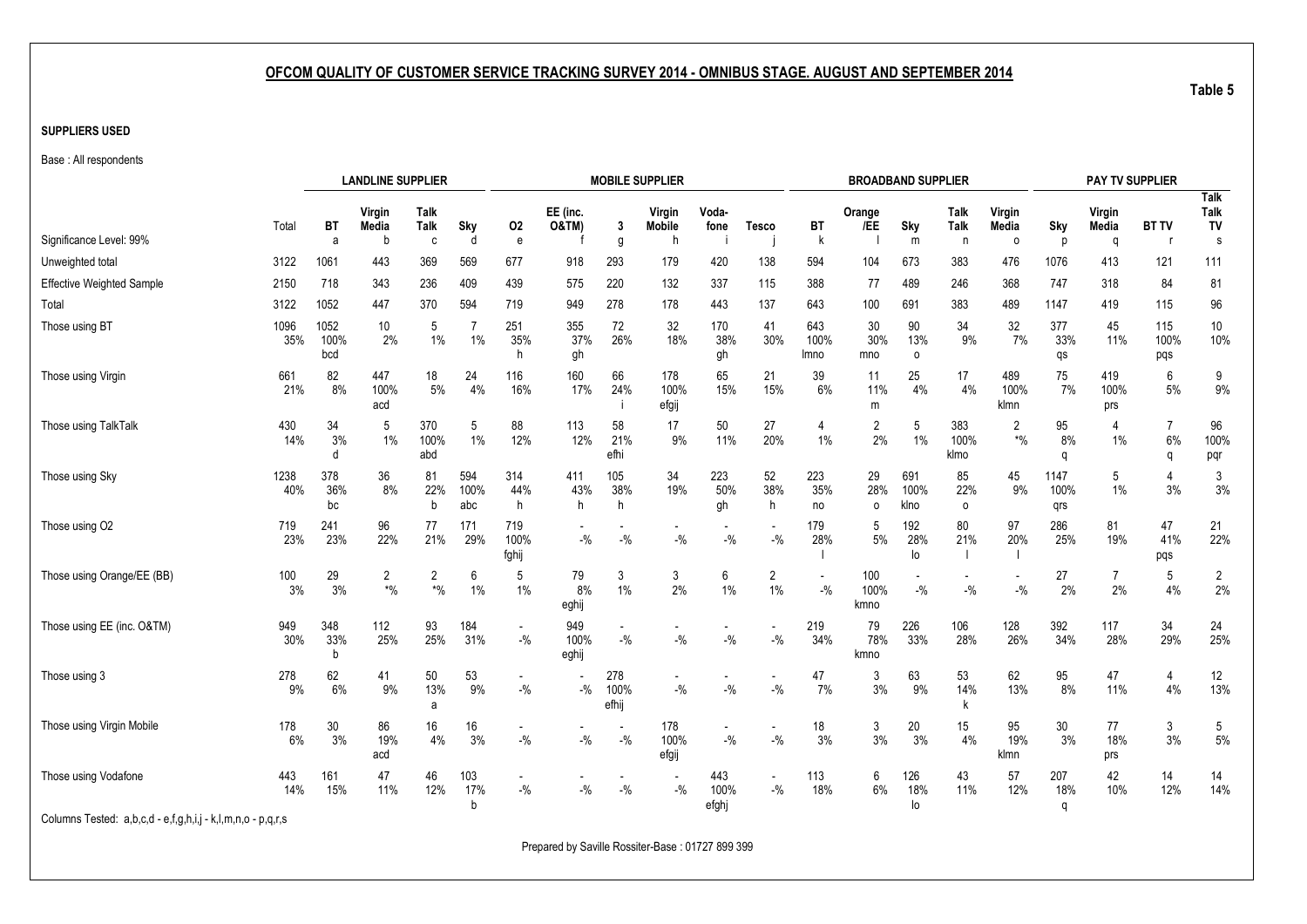#### **SUPPLIERS USED**

Base : All respondents

|                                  |             |                     | <b>LANDLINE SUPPLIER</b>                          |                         |                      |                          |                                    |                      | <b>MOBILE SUPPLIER</b>  |                                   |                         |                     |                      | <b>BROADBAND SUPPLIER</b> |                        |                          |                     | <b>PAY TV SUPPLIER</b> |                                  |                           |
|----------------------------------|-------------|---------------------|---------------------------------------------------|-------------------------|----------------------|--------------------------|------------------------------------|----------------------|-------------------------|-----------------------------------|-------------------------|---------------------|----------------------|---------------------------|------------------------|--------------------------|---------------------|------------------------|----------------------------------|---------------------------|
|                                  | Total       | <b>BT</b>           | Virgin<br>Media                                   | Talk<br>Talk            | Sky                  | 02                       | EE (inc.<br><b>O&amp;TM)</b>       | 3                    | Virgin<br><b>Mobile</b> | Voda-<br>fone                     | <b>Tesco</b>            | BT                  | Orange<br>/EE        | Sky                       | Talk<br><b>Talk</b>    | Virgin<br>Media          | Sky                 | Virgin<br>Media        | <b>BT TV</b>                     | <b>Talk</b><br>Talk<br>TV |
| Significance Level: 99%          |             | a                   | b                                                 | C                       | d                    | $\mathbf{e}$             |                                    | g                    | h                       |                                   |                         | k                   |                      | m                         | n                      | $\circ$                  | p                   | a                      | - r                              | s                         |
| Unweighted total                 | 3122        | 1061                | 443                                               | 369                     | 569                  | 677                      | 918                                | 293                  | 179                     | 420                               | 138                     | 594                 | 104                  | 673                       | 383                    | 476                      | 1076                | 413                    | 121                              | 111                       |
| <b>Effective Weighted Sample</b> | 2150        | 718                 | 343                                               | 236                     | 409                  | 439                      | 575                                | 220                  | 132                     | 337                               | 115                     | 388                 | 77                   | 489                       | 246                    | 368                      | 747                 | 318                    | 84                               | 81                        |
| Total                            | 3122        | 1052                | 447                                               | 370                     | 594                  | 719                      | 949                                | 278                  | 178                     | 443                               | 137                     | 643                 | 100                  | 691                       | 383                    | 489                      | 1147                | 419                    | 115                              | 96                        |
| Those using BT                   | 1096<br>35% | 1052<br>100%<br>bcd | 10<br>2%                                          | 5<br>$1\%$              | $\overline{7}$<br>1% | 251<br>35%<br>h          | 355<br>37%<br>gh                   | 72<br>26%            | 32<br>18%               | 170<br>38%<br>gh                  | 41<br>30%               | 643<br>100%<br>lmno | 30<br>30%<br>mno     | 90<br>13%<br>0            | 34<br>9%               | 32<br>7%                 | 377<br>33%<br>qs    | 45<br>11%              | 115<br>100%<br>pqs               | $10$<br>10%               |
| Those using Virgin               | 661<br>21%  | 82<br>8%            | 447<br>100%<br>acd                                | 18<br>5%                | 24<br>4%             | 116<br>16%               | 160<br>17%                         | 66<br>24%            | 178<br>100%<br>efgij    | 65<br>15%                         | 21<br>15%               | 39<br>6%            | 11<br>11%<br>m       | 25<br>4%                  | 17<br>4%               | 489<br>100%<br>klmn      | 75<br>7%            | 419<br>100%<br>prs     | 6<br>5%                          | 9<br>9%                   |
| Those using TalkTalk             | 430<br>14%  | 34<br>3%<br>d       | 5<br>1%                                           | 370<br>100%<br>abd      | 5<br>$1\%$           | 88<br>12%                | 113<br>12%                         | 58<br>21%<br>efhi    | 17<br>9%                | 50<br>11%                         | 27<br>20%               | 4<br>$1\%$          | 2<br>2%              | 5<br>1%                   | 383<br>100%<br>klmo    | $\overline{2}$<br>$*9/0$ | 95<br>8%<br>q       | 4<br>1%                | $\overline{7}$<br>6%<br>$\Omega$ | 96<br>100%<br>pqr         |
| Those using Sky                  | 1238<br>40% | 378<br>36%<br>bc    | 36<br>8%                                          | 81<br>22%<br>b          | 594<br>100%<br>abc   | 314<br>44%<br>h          | 411<br>43%<br>h.                   | 105<br>38%<br>h      | 34<br>19%               | 223<br>50%<br>gh                  | 52<br>38%<br>h.         | 223<br>35%<br>no    | 29<br>28%<br>$\circ$ | 691<br>100%<br>klno       | 85<br>22%<br>0         | 45<br>9%                 | 1147<br>100%<br>qrs | 5<br>$1\%$             | 3%                               | 3<br>3%                   |
| Those using O2                   | 719<br>23%  | 241<br>23%          | 96<br>22%                                         | 77<br>21%               | 171<br>29%           | 719<br>100%<br>fghij     | $\overline{\phantom{0}}$<br>$-$ %  | $-$ %                | $-$ %                   | $-$ %                             | $- \frac{0}{0}$         | 179<br>28%          | 5<br>5%              | 192<br>28%<br>lo          | 80<br>21%              | 97<br>20%                | 286<br>25%          | 81<br>19%              | 47<br>41%<br>pqs                 | 21<br>22%                 |
| Those using Orange/EE (BB)       | 100<br>3%   | 29<br>3%            | $\overline{c}$<br>$\boldsymbol{^{*0}\!}/_{\!\!0}$ | 2<br>$\boldsymbol{*}$ % | 6<br>$1\%$           | 5<br>1%                  | 79<br>8%<br>eghij                  | 3<br>1%              | 3<br>2%                 | 6<br>$1\%$                        | $\overline{c}$<br>$1\%$ | $-$ %               | 100<br>100%<br>kmno  | $-9/6$                    | $-9/6$                 | $-$ %                    | 27<br>2%            | $\overline{7}$<br>2%   | 5<br>4%                          | $\overline{2}$<br>2%      |
| Those using EE (inc. O&TM)       | 949<br>30%  | 348<br>33%<br>b     | 112<br>25%                                        | 93<br>25%               | 184<br>31%           | $\blacksquare$<br>$-$ %  | 949<br>100%<br>eghij               | $-9/6$               | $-9/0$                  | $-$ %                             | $- \frac{0}{0}$         | 219<br>34%          | 79<br>78%<br>kmno    | 226<br>33%                | 106<br>28%             | 128<br>26%               | 392<br>34%          | 117<br>28%             | 34<br>29%                        | 24<br>25%                 |
| Those using 3                    | 278<br>9%   | 62<br>6%            | 41<br>9%                                          | 50<br>13%<br>a          | 53<br>9%             | $\blacksquare$<br>$-9/6$ | $-$ %                              | 278<br>100%<br>efhij | $-9/6$                  | $-9/0$                            | $-9/6$                  | 47<br>7%            | 3<br>3%              | 63<br>9%                  | 53<br>14%<br>k         | 62<br>13%                | 95<br>8%            | 47<br>11%              | 4<br>4%                          | 12<br>13%                 |
| Those using Virgin Mobile        | 178<br>6%   | 30<br>3%            | 86<br>19%<br>acd                                  | 16<br>4%                | 16<br>3%             | $\blacksquare$<br>$-9/0$ | $\overline{\phantom{a}}$<br>$-9/0$ | $-$ %                | 178<br>100%<br>efgij    | $\overline{\phantom{a}}$<br>$-$ % | $\sim$<br>$-$ %         | 18<br>3%            | 3<br>3%              | 20<br>3%                  | 15 <sub>15</sub><br>4% | 95<br>19%<br>klmn        | $30\,$<br>3%        | 77<br>18%<br>prs       | 3<br>3%                          | 5<br>5%                   |
| Those using Vodafone             | 443<br>14%  | 161<br>15%          | 47<br>11%                                         | 46<br>12%               | 103<br>17%<br>b      | $-$ %                    | $-$ %                              | $-{\%}$              | $-9/6$                  | 443<br>100%<br>efghj              | $-$ %                   | 113<br>18%          | 6<br>6%              | 126<br>18%<br>lo          | 43<br>11%              | 57<br>12%                | 207<br>18%<br>q     | 42<br>10%              | 14<br>12%                        | 14<br>14%                 |
| _                                |             |                     |                                                   |                         |                      |                          |                                    |                      |                         |                                   |                         |                     |                      |                           |                        |                          |                     |                        |                                  |                           |

Columns Tested: a,b,c,d - e,f,g,h,i,j - k,l,m,n,o - p,q,r,s

Prepared by Saville Rossiter-Base : 01727 899 399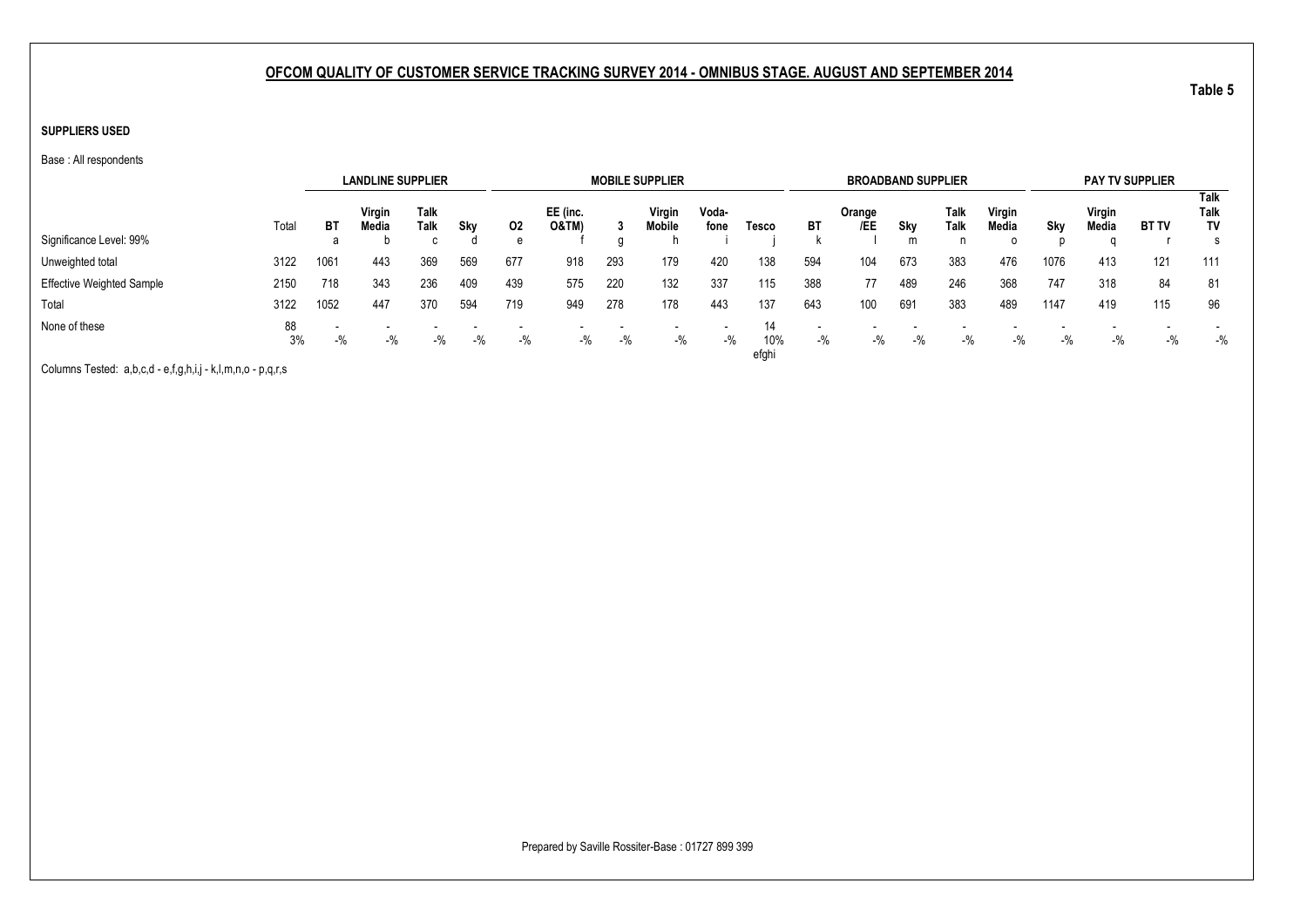#### **SUPPLIERS USED**

Base : All respondents

|                                  |          |       | <b>LANDLINE SUPPLIER</b> |              |     |       |                              |       | <b>MOBILE SUPPLIER</b> |               |                    |       | <b>BROADBAND SUPPLIER</b> |       |              |                 |       |                 | <b>PAY TV SUPPLIER</b> |                           |
|----------------------------------|----------|-------|--------------------------|--------------|-----|-------|------------------------------|-------|------------------------|---------------|--------------------|-------|---------------------------|-------|--------------|-----------------|-------|-----------------|------------------------|---------------------------|
|                                  | Total    | ВT    | Virgin<br>Media          | Talk<br>Talk | Sky | 02    | EE (inc.<br><b>O&amp;TM)</b> |       | Virgin<br>Mobile       | Voda-<br>fone | Tesco              | BT    | Orange<br>/EE             | Sky   | Talk<br>Talk | Virgin<br>Media | Sky   | Virgin<br>Media | <b>BT TV</b>           | Talk<br>Talk<br><b>TV</b> |
| Significance Level: 99%          |          | а     |                          | $\sim$       |     | e     |                              |       |                        |               |                    |       |                           | m     | n            | 0               |       |                 |                        |                           |
| Unweighted total                 | 3122     | 1061  | 443                      | 369          | 569 | 677   | 918                          | 293   | 179                    | 420           | 138                | 594   | 104                       | 673   | 383          | 476             | 1076  | 413             | 121                    | 111                       |
| <b>Effective Weighted Sample</b> | 2150     | 718   | 343                      | 236          | 409 | 439   | 575                          | 220   | 132                    | 337           | 115                | 388   | 77                        | 489   | 246          | 368             | 747   | 318             | 84                     | 81                        |
| Total                            | 3122     | 1052  | 447                      | 370          | 594 | 719   | 949                          | 278   | 178                    | 443           | 137                | 643   | 100                       | 691   | 383          | 489             | 1147  | 419             | 115                    | 96                        |
| None of these                    | 88<br>3% | $-$ % | $-$ %<br>$-$ %<br>$-$ %  |              |     | $-$ % | $-$ %                        | $-$ % | $-$ %                  | $-$ %         | 14<br>10%<br>efghi | $-$ % | $-$ %                     | $-$ % | $-$ %        | $-$ %           | $-$ % | $-$ %           | $-$ %                  | $-$ %                     |
|                                  |          |       |                          |              |     |       |                              |       |                        |               |                    |       |                           |       |              |                 |       |                 |                        |                           |

Columns Tested: a,b,c,d - e,f,g,h,i,j - k,l,m,n,o - p,q,r,s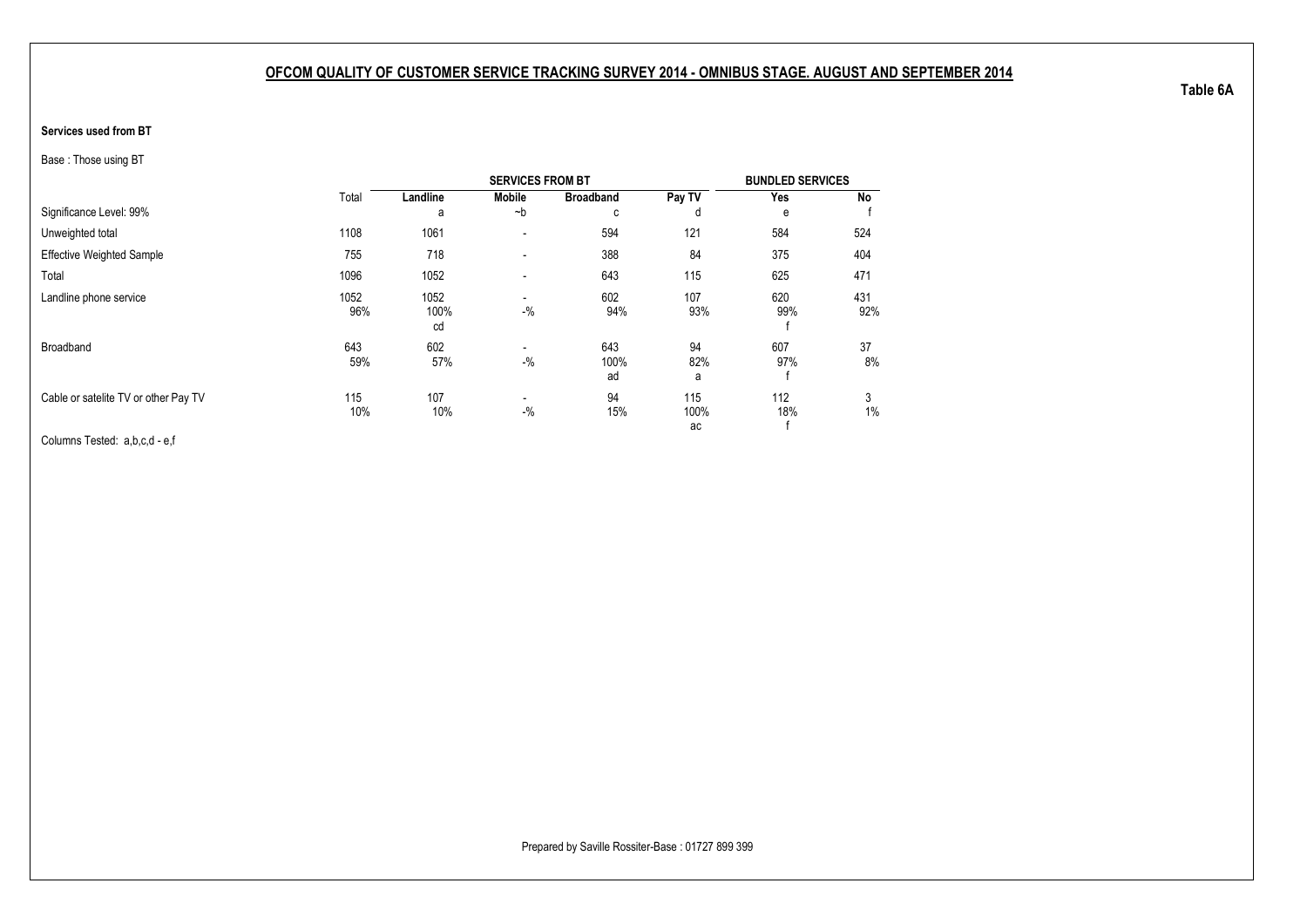#### <span id="page-21-1"></span><span id="page-21-0"></span>**Services used from BT**

Base : Those using BT

|                                      |             |                    | <b>SERVICES FROM BT</b>           |                   |                   | <b>BUNDLED SERVICES</b> |            |
|--------------------------------------|-------------|--------------------|-----------------------------------|-------------------|-------------------|-------------------------|------------|
|                                      | Total       | Landline           | <b>Mobile</b>                     | <b>Broadband</b>  | Pay TV            | Yes                     | No         |
| Significance Level: 99%              |             | a                  | $-b$                              | C                 | d                 | e                       |            |
| Unweighted total                     | 1108        | 1061               | $\overline{\phantom{a}}$          | 594               | 121               | 584                     | 524        |
| <b>Effective Weighted Sample</b>     | 755         | 718                | $\blacksquare$                    | 388               | 84                | 375                     | 404        |
| Total                                | 1096        | 1052               | $\blacksquare$                    | 643               | 115               | 625                     | 471        |
| Landline phone service               | 1052<br>96% | 1052<br>100%<br>cd | $\overline{\phantom{a}}$<br>$-$ % | 602<br>94%        | 107<br>93%        | 620<br>99%              | 431<br>92% |
| Broadband                            | 643<br>59%  | 602<br>57%         | $\overline{\phantom{a}}$<br>$-$ % | 643<br>100%<br>ad | 94<br>82%<br>a    | 607<br>97%              | 37<br>8%   |
| Cable or satelite TV or other Pay TV | 115<br>10%  | 107<br>10%         | $\blacksquare$<br>$-$ %           | 94<br>15%         | 115<br>100%<br>ac | 112<br>18%              | 3<br>$1\%$ |

Columns Tested: a,b,c,d - e,f

**Table 6A**

Prepared by Saville Rossiter-Base : 01727 899 399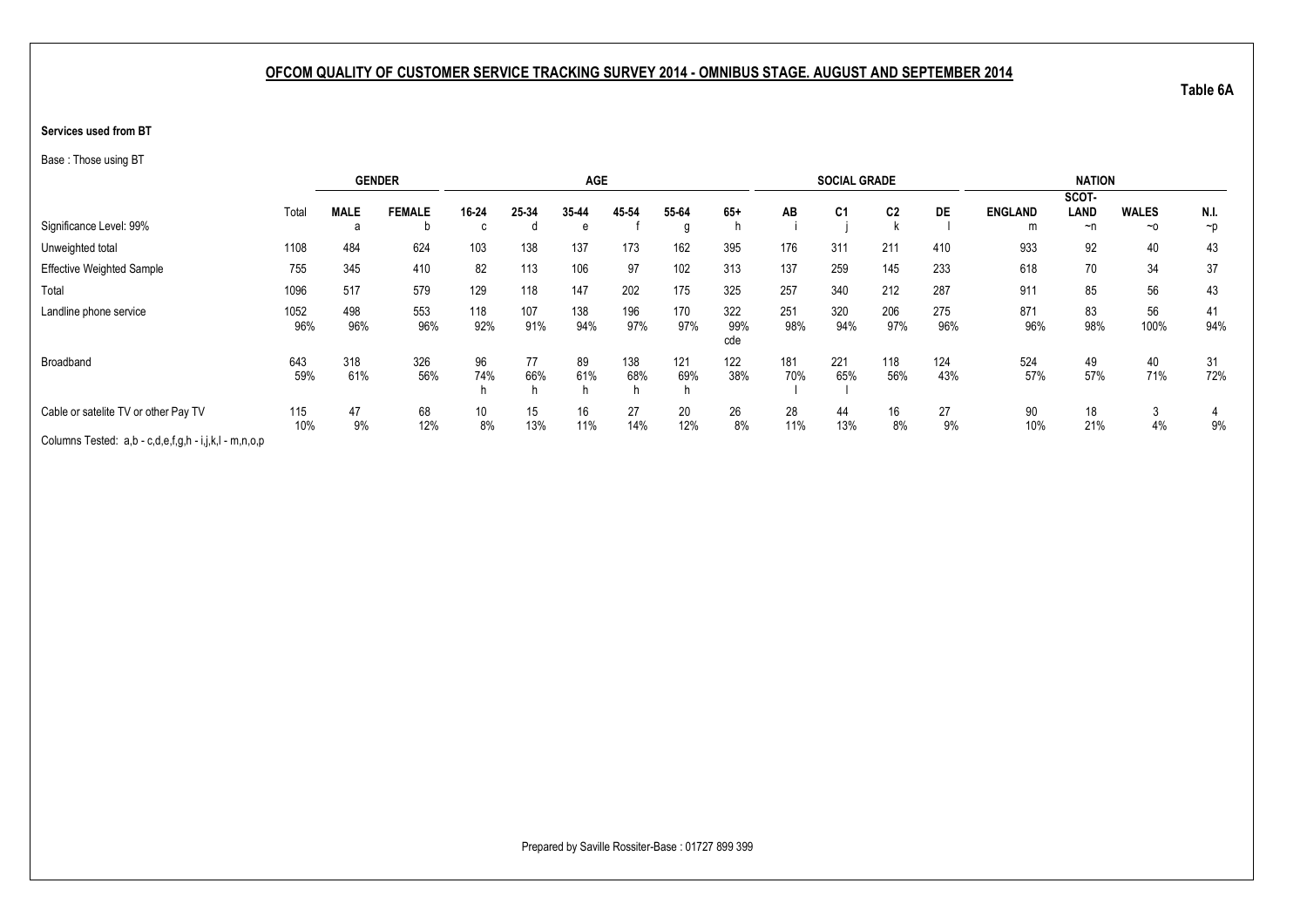#### **Services used from BT**

Base : Those using BT

|                                                       |             |             | <b>GENDER</b> |            |            | <b>AGE</b>     |            |            |                   |            | <b>SOCIAL GRADE</b> |                |            |                | <b>NATION</b> |              |           |
|-------------------------------------------------------|-------------|-------------|---------------|------------|------------|----------------|------------|------------|-------------------|------------|---------------------|----------------|------------|----------------|---------------|--------------|-----------|
|                                                       |             |             |               |            |            |                |            |            |                   |            |                     |                |            |                | SCOT-         |              |           |
|                                                       | Total       | <b>MALE</b> | <b>FEMALE</b> | 16-24      | 25-34      | 35-44          | 45-54      | 55-64      | $65+$             | AB         | C <sub>1</sub>      | C <sub>2</sub> | DE         | <b>ENGLAND</b> | LAND          | <b>WALES</b> | N.I.      |
| Significance Level: 99%                               |             | a           | D             |            | o          | e              |            | g          |                   |            |                     |                |            | m              | ~n            | $~\sim$ 0    | $\neg$ p  |
| Unweighted total                                      | 1108        | 484         | 624           | 103        | 138        | 137            | 173        | 162        | 395               | 176        | 311                 | 211            | 410        | 933            | 92            | 40           | 43        |
| <b>Effective Weighted Sample</b>                      | 755         | 345         | 410           | 82         | 113        | 106            | 97         | 102        | 313               | 137        | 259                 | 145            | 233        | 618            | 70            | 34           | 37        |
| Total                                                 | 1096        | 517         | 579           | 129        | 118        | 147            | 202        | 175        | 325               | 257        | 340                 | 212            | 287        | 911            | 85            | 56           | 43        |
| Landline phone service                                | 1052<br>96% | 498<br>96%  | 553<br>96%    | 118<br>92% | 107<br>91% | 138<br>94%     | 196<br>97% | 170<br>97% | 322<br>99%<br>cde | 251<br>98% | 320<br>94%          | 206<br>97%     | 275<br>96% | 871<br>96%     | 83<br>98%     | 56<br>100%   | 41<br>94% |
| Broadband                                             | 643<br>59%  | 318<br>61%  | 326<br>56%    | 96<br>74%  | 77<br>66%  | 89<br>61%<br>h | 138<br>68% | 121<br>69% | 122<br>38%        | 181<br>70% | 221<br>65%          | 118<br>56%     | 124<br>43% | 524<br>57%     | 49<br>57%     | 40<br>71%    | 31<br>72% |
| Cable or satelite TV or other Pay TV                  | 115<br>10%  | 47<br>9%    | 68<br>12%     | 10<br>8%   | 15<br>13%  | 16<br>11%      | 27<br>14%  | 20<br>12%  | 26<br>8%          | 28<br>11%  | 44<br>13%           | 16<br>8%       | 27<br>9%   | 90<br>10%      | 18<br>21%     | 3<br>4%      | 9%        |
| Columns Tested: a,b - c,d,e,f,g,h - i,j,k,l - m,n,o,p |             |             |               |            |            |                |            |            |                   |            |                     |                |            |                |               |              |           |

Prepared by Saville Rossiter-Base : 01727 899 399

**Table 6A**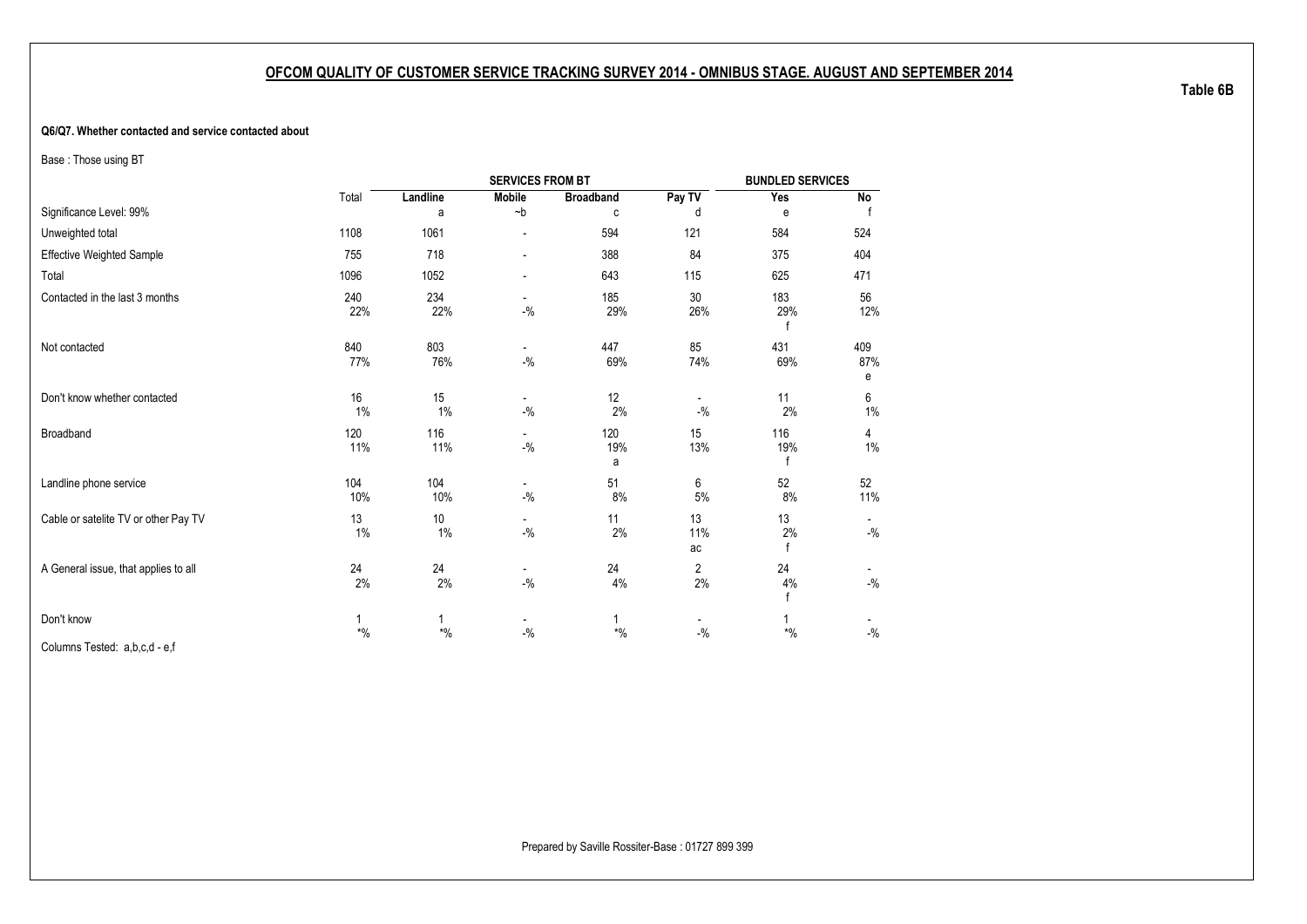#### <span id="page-23-1"></span><span id="page-23-0"></span>**Q6/Q7. Whether contacted and service contacted about**

Base : Those using BT

|                                      |            |                          | <b>SERVICES FROM BT</b>           |                  |                                   | <b>BUNDLED SERVICES</b> |                    |
|--------------------------------------|------------|--------------------------|-----------------------------------|------------------|-----------------------------------|-------------------------|--------------------|
|                                      | Total      | Landline                 | <b>Mobile</b>                     | <b>Broadband</b> | Pay TV                            | Yes                     | No                 |
| Significance Level: 99%              |            | a                        | $-b$                              | C                | d                                 | e                       |                    |
| Unweighted total                     | 1108       | 1061                     |                                   | 594              | 121                               | 584                     | 524                |
| <b>Effective Weighted Sample</b>     | 755        | 718                      | $\overline{a}$                    | 388              | 84                                | 375                     | 404                |
| Total                                | 1096       | 1052                     | $\blacksquare$                    | 643              | 115                               | 625                     | 471                |
| Contacted in the last 3 months       | 240<br>22% | 234<br>22%               | $\overline{\phantom{a}}$<br>$-$ % | 185<br>29%       | $30\,$<br>26%                     | 183<br>29%              | 56<br>12%          |
| Not contacted                        | 840<br>77% | 803<br>76%               | $\blacksquare$<br>$-$ %           | 447<br>69%       | 85<br>74%                         | 431<br>69%              | 409<br>87%<br>e    |
| Don't know whether contacted         | 16<br>1%   | 15<br>1%                 | $\sim$<br>$-$ %                   | 12<br>2%         | $\overline{\phantom{a}}$<br>$-$ % | 11<br>2%                | 6<br>$1\%$         |
| Broadband                            | 120<br>11% | 116<br>11%               | $-$ %                             | 120<br>19%<br>a  | 15<br>13%                         | 116<br>19%              | 4<br>1%            |
| Landline phone service               | 104<br>10% | 104<br>10%               | $\overline{\phantom{a}}$<br>$-$ % | 51<br>8%         | 6<br>5%                           | 52<br>8%                | 52<br>11%          |
| Cable or satelite TV or other Pay TV | 13<br>1%   | 10 <sup>°</sup><br>$1\%$ | $\sim$<br>$-$ %                   | 11<br>2%         | 13<br>11%<br>ac                   | 13<br>2%<br>f           | $-{\%}$            |
| A General issue, that applies to all | 24<br>2%   | 24<br>2%                 | $\overline{\phantom{a}}$<br>$-$ % | 24<br>4%         | $\overline{2}$<br>2%              | 24<br>4%<br>f           | $-{\frac{0}{2}}/2$ |
| Don't know                           | 1<br>$*$ % | 1<br>$*9/6$              | $-9/6$                            | 1<br>$*$ %       | $-$ %                             | $*9/6$                  | $-$ %              |

Columns Tested: a,b,c,d - e,f

**Table 6B**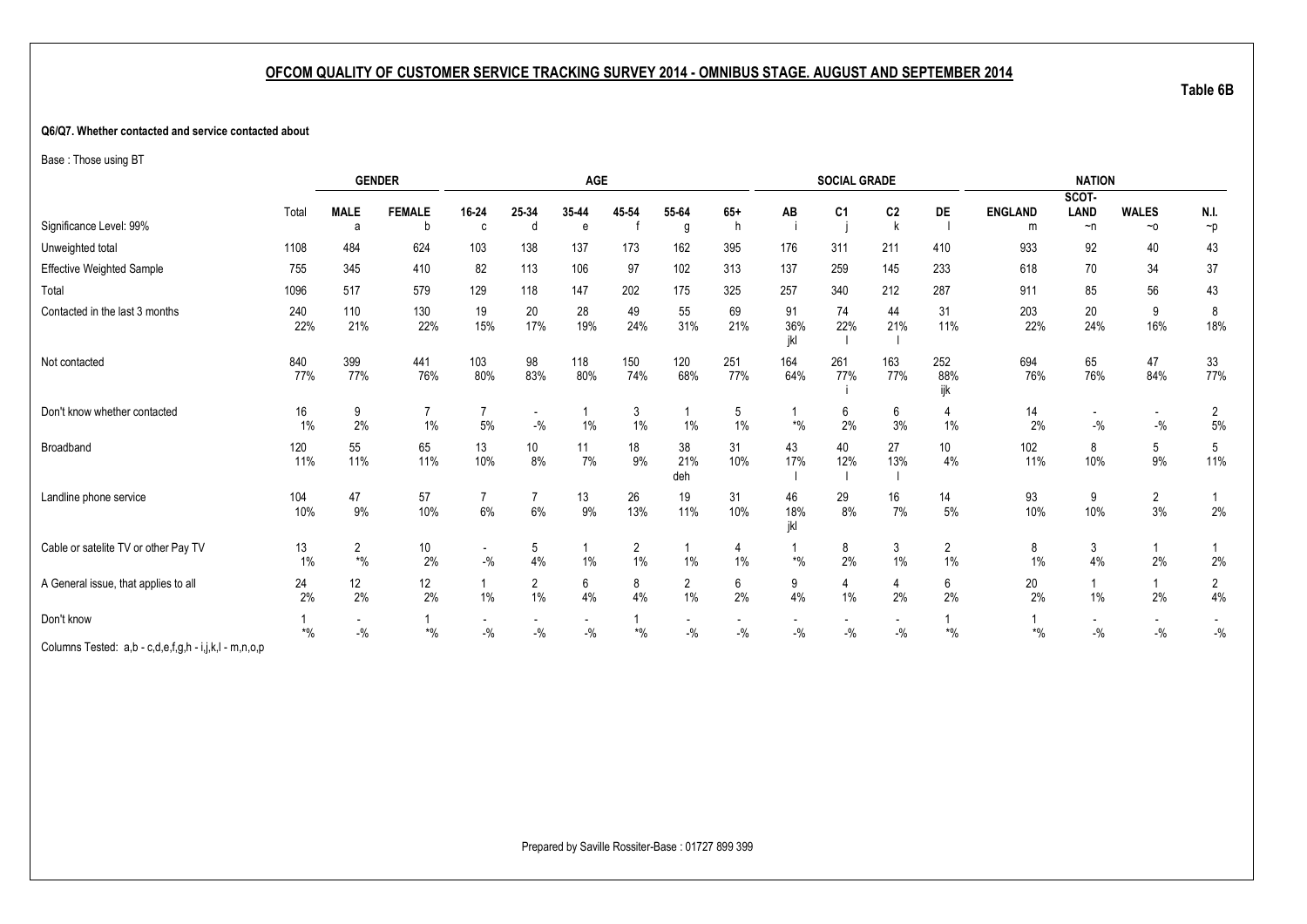#### **Q6/Q7. Whether contacted and service contacted about**

Base : Those using BT

|                                                                                                                                                                                                                                                    |                         |                                            | <b>GENDER</b>            |                        |                         | <b>AGE</b>                        |                          |                         |                                   |                          | <b>SOCIAL GRADE</b> |                                     |                      |                     | <b>NATION</b>                     |                                   |                           |
|----------------------------------------------------------------------------------------------------------------------------------------------------------------------------------------------------------------------------------------------------|-------------------------|--------------------------------------------|--------------------------|------------------------|-------------------------|-----------------------------------|--------------------------|-------------------------|-----------------------------------|--------------------------|---------------------|-------------------------------------|----------------------|---------------------|-----------------------------------|-----------------------------------|---------------------------|
|                                                                                                                                                                                                                                                    |                         |                                            |                          |                        |                         |                                   |                          |                         |                                   |                          |                     |                                     |                      |                     | SCOT-                             |                                   |                           |
| Significance Level: 99%                                                                                                                                                                                                                            | Total                   | <b>MALE</b><br>a                           | <b>FEMALE</b><br>b       | 16-24<br>C.            | 25-34<br>d              | 35-44<br>e                        | 45 54                    | 55-64                   | $65+$<br>h                        | AB                       | C <sub>1</sub>      | C <sub>2</sub>                      | DE                   | <b>ENGLAND</b><br>m | <b>LAND</b><br>$\neg$ n           | <b>WALES</b><br>$~\sim$ 0         | N.I.<br>$\neg p$          |
|                                                                                                                                                                                                                                                    |                         |                                            |                          |                        |                         |                                   |                          | g                       |                                   |                          |                     |                                     |                      |                     |                                   |                                   |                           |
| Unweighted total                                                                                                                                                                                                                                   | 1108                    | 484                                        | 624                      | 103                    | 138                     | 137                               | 173                      | 162                     | 395                               | 176                      | 311                 | 211                                 | 410                  | 933                 | 92                                | 40                                | 43                        |
| <b>Effective Weighted Sample</b>                                                                                                                                                                                                                   | 755                     | 345                                        | 410                      | 82                     | 113                     | 106                               | 97                       | 102                     | 313                               | 137                      | 259                 | 145                                 | 233                  | 618                 | 70                                | 34                                | 37                        |
| Total                                                                                                                                                                                                                                              | 1096                    | 517                                        | 579                      | 129                    | 118                     | 147                               | 202                      | 175                     | 325                               | 257                      | 340                 | 212                                 | 287                  | 911                 | 85                                | 56                                | 43                        |
| Contacted in the last 3 months                                                                                                                                                                                                                     | 240<br>22%              | 110<br>21%                                 | 130<br>22%               | 19<br>15%              | 20<br>17%               | 28<br>19%                         | 49<br>24%                | 55<br>31%               | 69<br>21%                         | 91<br>36%<br>ikl         | 74<br>22%           | 44<br>21%                           | 31<br>11%            | 203<br>22%          | $20\,$<br>24%                     | 9<br>16%                          | 8<br>18%                  |
| Not contacted                                                                                                                                                                                                                                      | 840<br>77%              | 399<br>77%                                 | 441<br>76%               | 103<br>80%             | 98<br>83%               | 118<br>80%                        | 150<br>74%               | 120<br>68%              | 251<br>77%                        | 164<br>64%               | 261<br>77%          | 163<br>77%                          | 252<br>88%<br>ijk    | 694<br>76%          | 65<br>76%                         | 47<br>84%                         | 33<br>77%                 |
| Don't know whether contacted                                                                                                                                                                                                                       | 16<br>1%                | 9<br>2%                                    | $\overline{7}$<br>$1\%$  | $\overline{7}$<br>$5%$ | $-$ %                   | 1%                                | 3<br>$1\%$               | 1%                      | 5<br>1%                           | $\boldsymbol{*}0\!/\!_0$ | 6<br>2%             | 6<br>3%                             | 4<br>1%              | 14<br>2%            | $-$ %                             | $-$ %                             | $\overline{2}$<br>$5\%$   |
| Broadband                                                                                                                                                                                                                                          | 120<br>11%              | 55<br>11%                                  | 65<br>11%                | 13<br>10%              | 10 <sup>°</sup><br>8%   | 11<br>7%                          | 18<br>9%                 | 38<br>21%<br>deh        | 31<br>10%                         | 43<br>17%                | 40<br>12%           | 27<br>13%                           | 10<br>4%             | 102<br>11%          | 8<br>10%                          | 5<br>9%                           | 5<br>11%                  |
| Landline phone service                                                                                                                                                                                                                             | 104<br>10%              | 47<br>9%                                   | 57<br>10%                | 6%                     | $6\%$                   | 13<br>9%                          | 26<br>13%                | 19<br>11%               | 31<br>10%                         | 46<br>18%<br>ikl         | 29<br>8%            | 16<br>7%                            | 14<br>$5\%$          | 93<br>10%           | 9<br>10%                          | $\overline{2}$<br>3%              | 2%                        |
| Cable or satelite TV or other Pay TV                                                                                                                                                                                                               | 13<br>1%                | $\overline{2}$<br>$\boldsymbol{*}0\!/\!_0$ | 10<br>2%                 | $\sim$<br>$-$ %        | 5<br>4%                 | 1%                                | 2<br>1%                  | 1%                      | 4<br>1%                           | $*9/6$                   | 8<br>2%             | 3<br>1%                             | $\overline{2}$<br>1% | 8<br>1%             | 3<br>4%                           | $\mathbf{1}$<br>2%                | 2%                        |
| A General issue, that applies to all                                                                                                                                                                                                               | 24<br>2%                | $12 \overline{ }$<br>2%                    | 12<br>2%                 | $1\%$                  | $\overline{2}$<br>$1\%$ | $6\overline{6}$<br>4%             | 8<br>4%                  | $\overline{2}$<br>$1\%$ | 6<br>2%                           | 9<br>4%                  | 4<br>1%             | 4<br>2%                             | 6<br>2%              | $20\,$<br>2%        | $\mathbf{1}$<br>1%                | $\mathbf{1}$<br>2%                | $\overline{2}$<br>$4\%$   |
| Don't know<br>$\bigcap_{i=1}^n A_i$ . The set of the set of the set of the set of the set of the set of the set of the set of the set of the set of the set of the set of the set of the set of the set of the set of the set of the set of the se | $\boldsymbol{*}0\!/\!0$ | $\overline{a}$<br>$-$ %                    | $\boldsymbol{*}0\!/\!_0$ | $\sim$<br>$-$ %        | $-$ %                   | $\overline{\phantom{a}}$<br>$-$ % | $\boldsymbol{*}0\!/\!_0$ | $-$ %                   | $\overline{\phantom{a}}$<br>$-$ % | $ \%$                    | $-$ %               | $\overline{\phantom{a}}$<br>$-{\%}$ | $\boldsymbol{*}$ %   | $*9/6$              | $\overline{\phantom{a}}$<br>$-$ % | $\overline{\phantom{a}}$<br>$ \%$ | $\overline{a}$<br>$-{\%}$ |

Columns Tested: a,b - c,d,e,f,g,h - i,j,k,l - m,n,o,p

**Table 6B**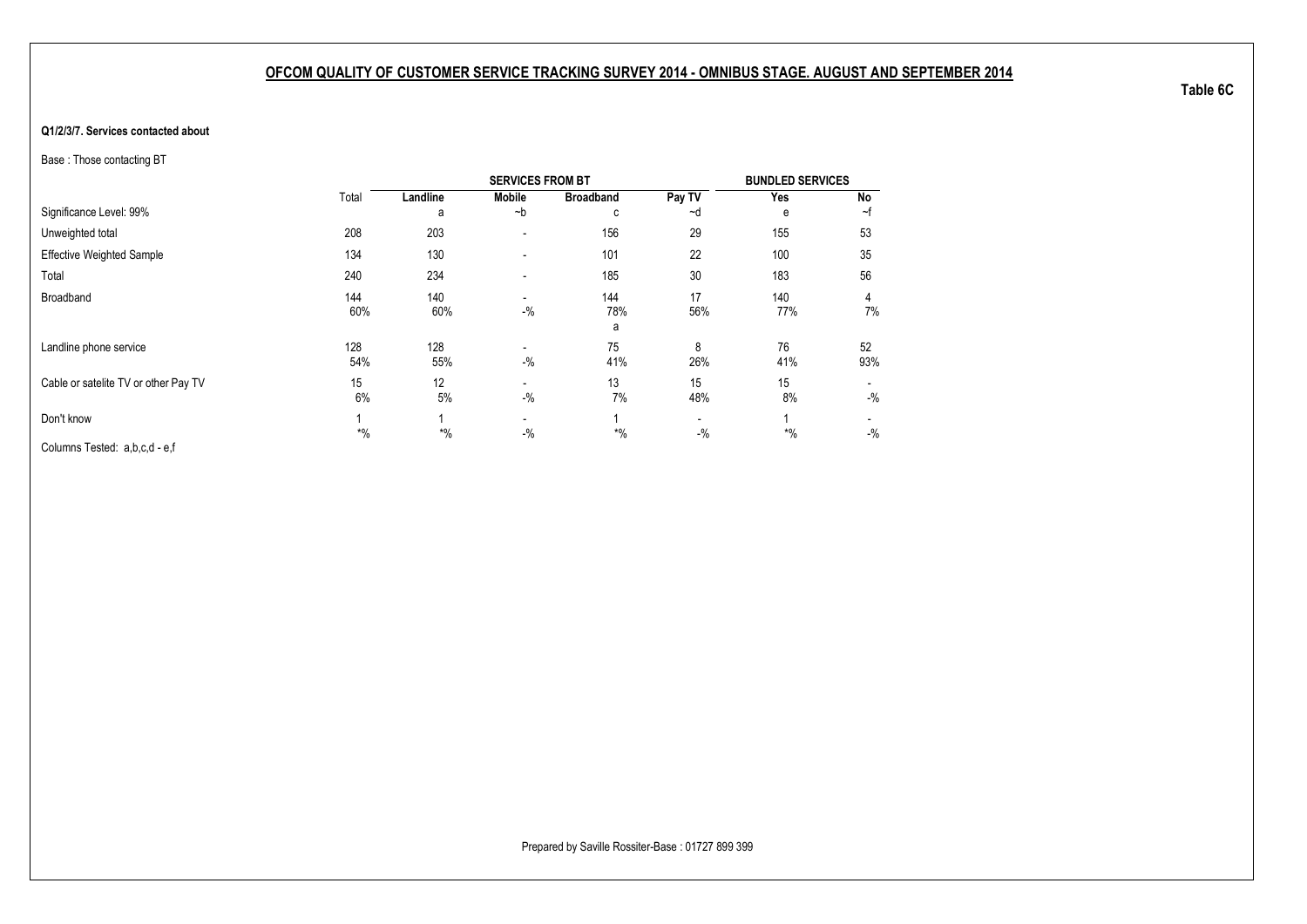#### <span id="page-25-1"></span><span id="page-25-0"></span>**Q1/2/3/7. Services contacted about**

Base : Those contacting BT

|                                      |            |            | <b>SERVICES FROM BT</b>           |                  |            | <b>BUNDLED SERVICES</b> |           |
|--------------------------------------|------------|------------|-----------------------------------|------------------|------------|-------------------------|-----------|
|                                      | Total      | Landline   | <b>Mobile</b>                     | <b>Broadband</b> | Pay TV     | Yes                     | No        |
| Significance Level: 99%              |            | a          | $-b$                              | C                | ~d         | e                       | ~f        |
| Unweighted total                     | 208        | 203        |                                   | 156              | 29         | 155                     | 53        |
| <b>Effective Weighted Sample</b>     | 134        | 130        | ٠                                 | 101              | 22         | 100                     | 35        |
| Total                                | 240        | 234        | ٠                                 | 185              | 30         | 183                     | 56        |
| Broadband                            | 144<br>60% | 140<br>60% | $\overline{\phantom{0}}$<br>$-$ % | 144<br>78%<br>a  | 17<br>56%  | 140<br>77%              | 4<br>7%   |
| Landline phone service               | 128<br>54% | 128<br>55% | $-$ %                             | 75<br>41%        | 8<br>26%   | 76<br>41%               | 52<br>93% |
| Cable or satelite TV or other Pay TV | 15<br>6%   | 12<br>5%   | $-$ %                             | 13<br>7%         | 15<br>48%  | 15<br>8%                | $-$ %     |
| Don't know                           | $*$ %      | $*$ %      | -<br>$-$ %                        | $*$ %            | -<br>$-$ % | $*$ %                   | $-$ %     |
| Columns Tested: a,b,c,d - e,f        |            |            |                                   |                  |            |                         |           |

**Table 6C**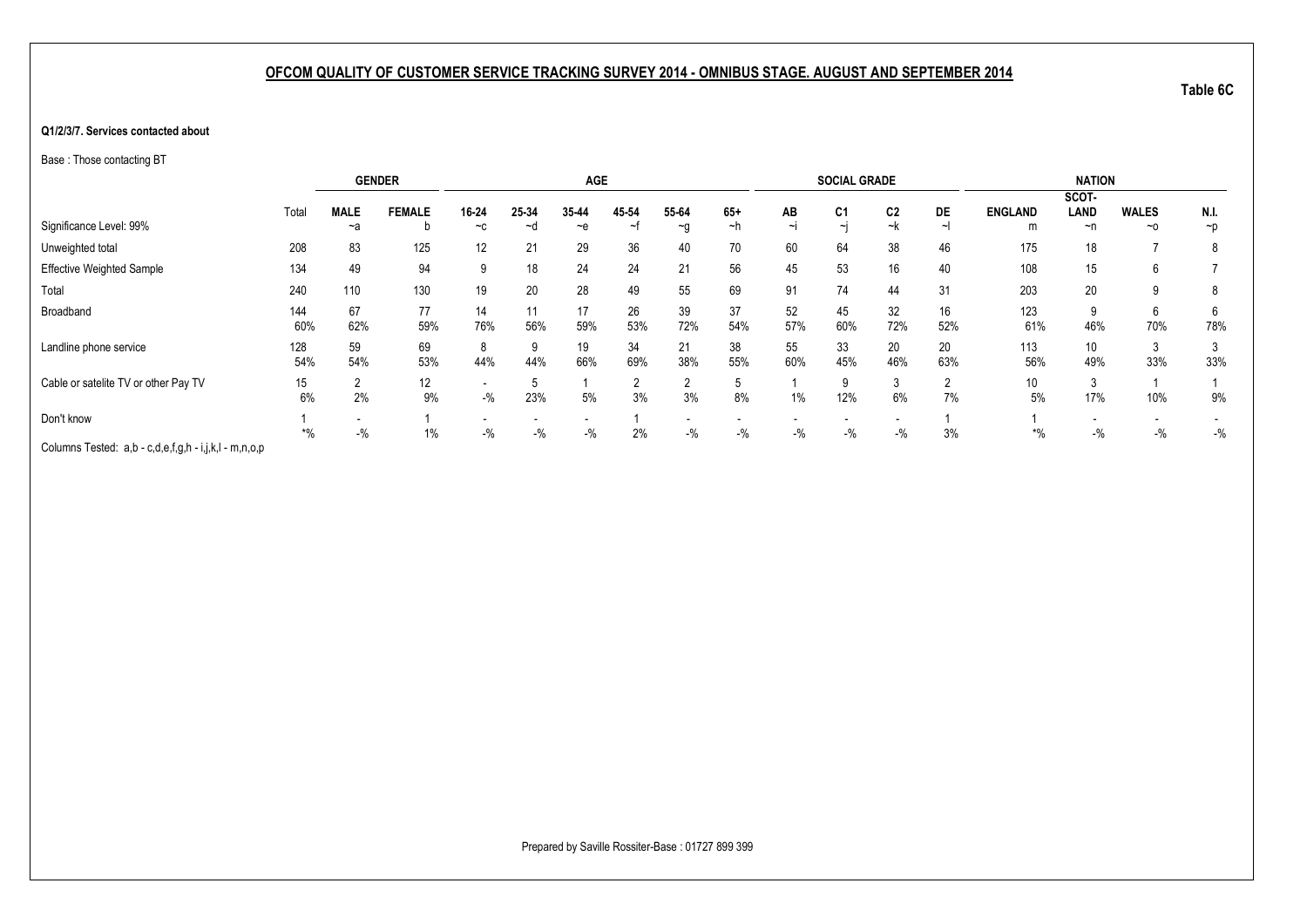#### **Q1/2/3/7. Services contacted about**

Base : Those contacting BT

|                                                       |       |             | <b>GENDER</b> |       |       | <b>AGE</b> |       |          |       |          | <b>SOCIAL GRADE</b> |                |     |                | <b>NATION</b> |              |          |
|-------------------------------------------------------|-------|-------------|---------------|-------|-------|------------|-------|----------|-------|----------|---------------------|----------------|-----|----------------|---------------|--------------|----------|
|                                                       |       |             |               |       |       |            |       |          |       |          |                     |                |     |                | SCOT-         |              |          |
|                                                       | Total | <b>MALE</b> | <b>FEMALE</b> | 16-24 | 25-34 | 35-44      | 45-54 | 55-64    | $65+$ | AB       | C <sub>1</sub>      | C <sub>2</sub> | DE  | <b>ENGLAND</b> | LAND          | <b>WALES</b> | N.I.     |
| Significance Level: 99%                               |       | ~a          | b             | $-c$  | ∼d    | $-$ e      | ~†    | $\sim g$ | ~h    | $\sim$ I | $\sim$              | ~k             | ∼∣  | m              | $\neg$ n      | $~\sim$ 0    | $\neg p$ |
| Unweighted total                                      | 208   | 83          | 125           | 12    | 21    | 29         | 36    | 40       | 70    | 60       | 64                  | 38             | 46  | 175            | 18            |              | 8        |
| <b>Effective Weighted Sample</b>                      | 134   | 49          | 94            | 9     | 18    | 24         | 24    | 21       | 56    | 45       | 53                  | 16             | 40  | 108            | 15            | 6            |          |
| Total                                                 | 240   | 110         | 130           | 19    | 20    | 28         | 49    | 55       | 69    | 91       | 74                  | 44             | 31  | 203            | 20            | 9            | 8        |
| Broadband                                             | 144   | 67          | 77            | 14    | 11    | 17         | 26    | 39       | 37    | 52       | 45                  | 32             | 16  | 123            | 9             | 6            | 6        |
|                                                       | 60%   | 62%         | 59%           | 76%   | 56%   | 59%        | 53%   | 72%      | 54%   | 57%      | 60%                 | 72%            | 52% | 61%            | 46%           | 70%          | 78%      |
| Landline phone service                                | 128   | 59          | 69            | 8     |       | 19         | 34    | 21       | 38    | 55       | 33                  | 20             | 20  | 113            | 10            | 3            |          |
|                                                       | 54%   | 54%         | 53%           | 44%   | 44%   | 66%        | 69%   | 38%      | 55%   | 60%      | 45%                 | 46%            | 63% | 56%            | 49%           | 33%          | 33%      |
| Cable or satelite TV or other Pay TV                  | 15    | ∠           | 12            |       |       |            |       |          | 5     |          | 9                   |                |     | 10             | 3             |              |          |
|                                                       | 6%    | 2%          | 9%            | $-$ % | 23%   | 5%         | 3%    | 3%       | 8%    | 1%       | 12%                 | 6%             | 7%  | 5%             | 17%           | 10%          | 9%       |
| Don't know                                            |       |             |               |       |       |            |       |          |       |          |                     |                |     |                |               |              |          |
|                                                       | $*$ % | $-$ %       | $1\%$         | $-$ % | $-$ % | $-$ %      | 2%    | $-$ %    | $-$ % | $-$ %    | $-$ %               | $-$ %          | 3%  | $*$ %          | $-$ %         | $-$ %        | $-$ %    |
| Columns Tested: a,b - c,d,e,f,g,h - i,j,k,l - m,n,o,p |       |             |               |       |       |            |       |          |       |          |                     |                |     |                |               |              |          |

**Table 6C**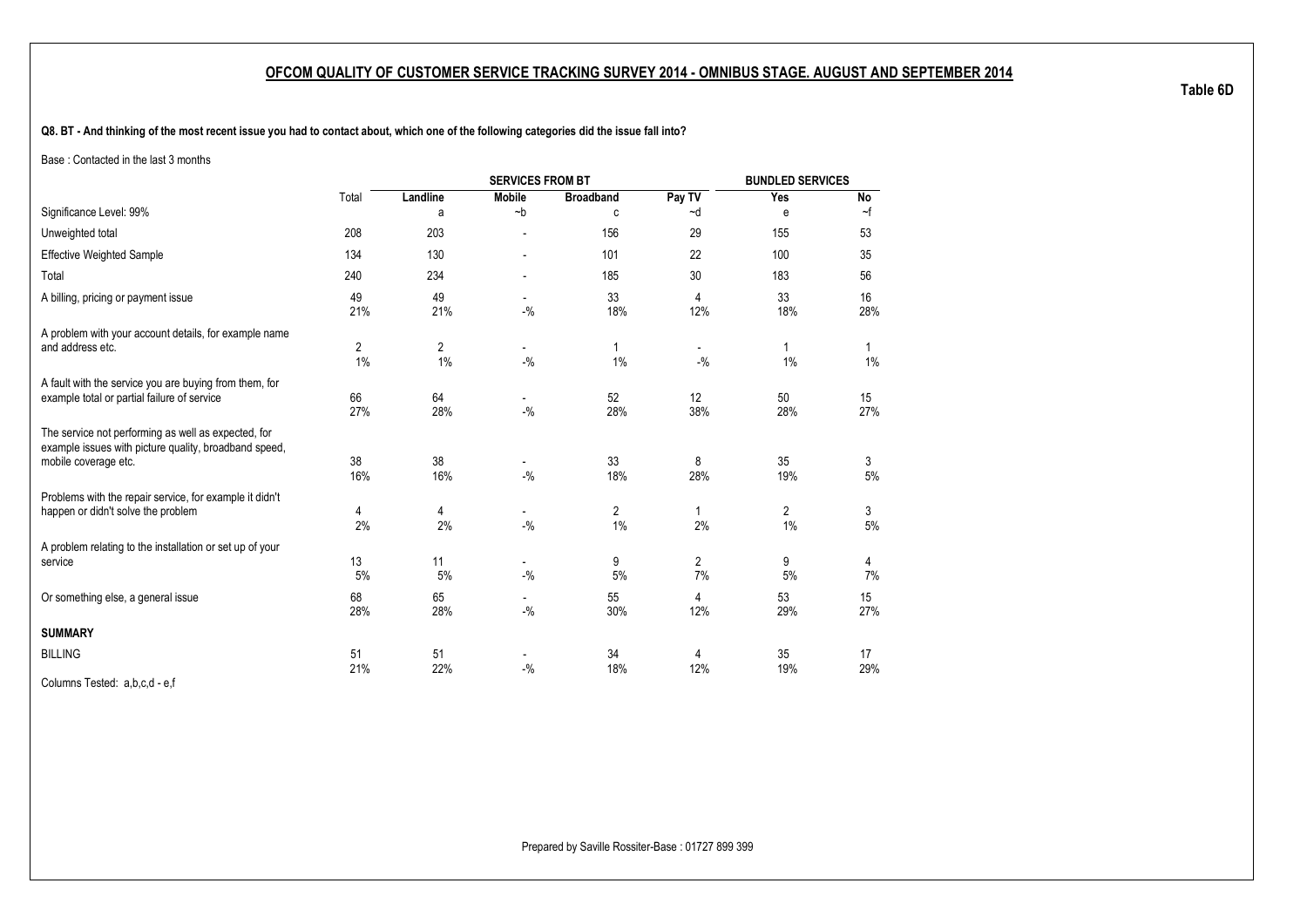<span id="page-27-1"></span><span id="page-27-0"></span>**Q8. BT - And thinking of the most recent issue you had to contact about, which one of the following categories did the issue fall into?**

Base : Contacted in the last 3 months

|                                                                                                              |           |                      | <b>SERVICES FROM BT</b>            |                      |                | <b>BUNDLED SERVICES</b> |           |
|--------------------------------------------------------------------------------------------------------------|-----------|----------------------|------------------------------------|----------------------|----------------|-------------------------|-----------|
|                                                                                                              | Total     | Landline             | <b>Mobile</b>                      | <b>Broadband</b>     | Pay TV         | Yes                     | No        |
| Significance Level: 99%                                                                                      |           | a                    | $-b$                               | C                    | ~d             | е                       | ~f        |
| Unweighted total                                                                                             | 208       | 203                  |                                    | 156                  | 29             | 155                     | 53        |
| <b>Effective Weighted Sample</b>                                                                             | 134       | 130                  |                                    | 101                  | 22             | 100                     | 35        |
| Total                                                                                                        | 240       | 234                  |                                    | 185                  | 30             | 183                     | 56        |
| A billing, pricing or payment issue                                                                          | 49<br>21% | 49<br>21%            | $\blacksquare$<br>$-$ %            | 33<br>18%            | 4<br>12%       | 33<br>18%               | 16<br>28% |
| A problem with your account details, for example name                                                        |           |                      |                                    |                      |                |                         |           |
| and address etc.                                                                                             | 2<br>1%   | $\overline{2}$<br>1% | $\overline{\phantom{0}}$<br>$-9/6$ | 1%                   | $-9/6$         | 1<br>1%                 | 1<br>1%   |
| A fault with the service you are buying from them, for<br>example total or partial failure of service        | 66<br>27% | 64<br>28%            | $\overline{\phantom{0}}$<br>$-9/6$ | 52<br>28%            | 12<br>38%      | 50<br>28%               | 15<br>27% |
| The service not performing as well as expected, for<br>example issues with picture quality, broadband speed, |           |                      |                                    |                      |                |                         |           |
| mobile coverage etc.                                                                                         | 38<br>16% | 38<br>16%            | $-$ %                              | 33<br>18%            | 8<br>28%       | 35<br>19%               | 3<br>5%   |
| Problems with the repair service, for example it didn't<br>happen or didn't solve the problem                | 4<br>2%   | 4<br>2%              | $\overline{\phantom{0}}$<br>$-$ %  | $\overline{2}$<br>1% | 1<br>2%        | 2<br>1%                 | 3<br>5%   |
| A problem relating to the installation or set up of your<br>service                                          | 13        | 11                   | $\overline{\phantom{a}}$           | 9                    | $\overline{2}$ | 9                       | 4         |
|                                                                                                              | 5%<br>68  | 5%<br>65             | $-$ %                              | 5%<br>55             | 7%             | 5%<br>53                | 7%        |
| Or something else, a general issue                                                                           | 28%       | 28%                  | $-$ %                              | 30%                  | 4<br>12%       | 29%                     | 15<br>27% |
| <b>SUMMARY</b>                                                                                               |           |                      |                                    |                      |                |                         |           |
| <b>BILLING</b>                                                                                               | 51<br>21% | 51<br>22%            | $-9/6$                             | 34<br>18%            | 4<br>12%       | 35<br>19%               | 17<br>29% |

Columns Tested: a,b,c,d - e,f

**Table 6D**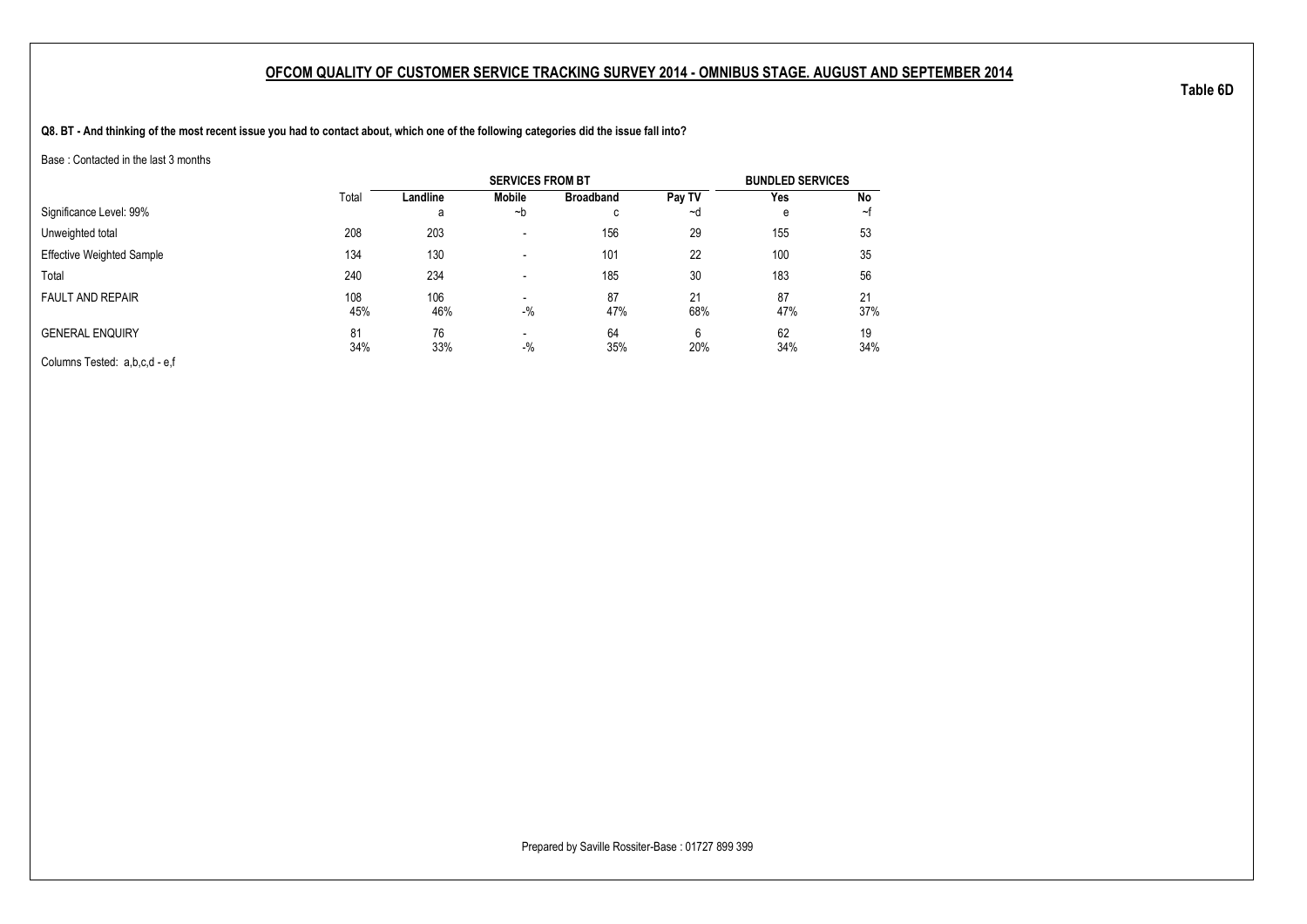**Q8. BT - And thinking of the most recent issue you had to contact about, which one of the following categories did the issue fall into?**

Base : Contacted in the last 3 months

|                                  |       |          | <b>SERVICES FROM BT</b>  |                     |        | <b>BUNDLED SERVICES</b> |     |
|----------------------------------|-------|----------|--------------------------|---------------------|--------|-------------------------|-----|
|                                  | Total | Landline | Mobile                   | <b>Broadband</b>    | Pay TV | Yes                     | No  |
| Significance Level: 99%          |       | a        | ∼b                       | $\overline{ }$<br>◡ | ∼d     | е                       | ~t  |
| Unweighted total                 | 208   | 203      | -                        | 156                 | 29     | 155                     | 53  |
| <b>Effective Weighted Sample</b> | 134   | 130      | $\overline{\phantom{a}}$ | 101                 | 22     | 100                     | 35  |
| Total                            | 240   | 234      |                          | 185                 | 30     | 183                     | 56  |
| <b>FAULT AND REPAIR</b>          | 108   | 106      |                          | 87                  | 21     | 87                      | 21  |
|                                  | 45%   | 46%      | $-$ %                    | 47%                 | 68%    | 47%                     | 37% |
| <b>GENERAL ENQUIRY</b>           | 81    | 76       | $\blacksquare$           | 64                  | 6      | 62                      | 19  |
|                                  | 34%   | 33%      | $-$ %                    | 35%                 | 20%    | 34%                     | 34% |
| Columns Tested: a,b,c,d - e,f    |       |          |                          |                     |        |                         |     |

Prepared by Saville Rossiter-Base : 01727 899 399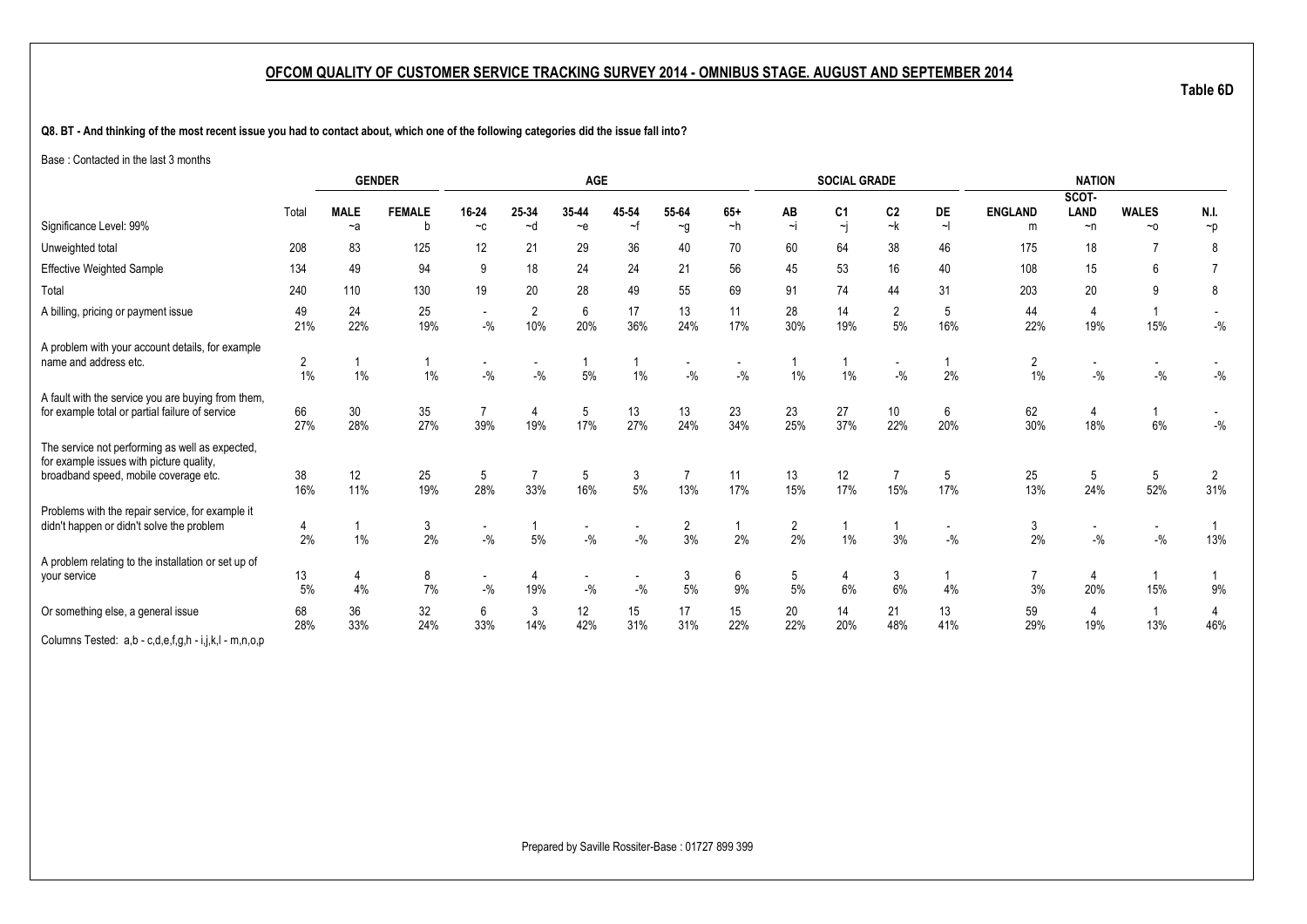**Q8. BT - And thinking of the most recent issue you had to contact about, which one of the following categories did the issue fall into?**

Base : Contacted in the last 3 months

|                                                                                                                                      |           | <b>GENDER</b>       |                    |                                    |                       | <b>AGE</b>                        |             |                   |               |                | <b>SOCIAL GRADE</b>  |                         |              |                      | <b>NATION</b>                     |                                   |                       |
|--------------------------------------------------------------------------------------------------------------------------------------|-----------|---------------------|--------------------|------------------------------------|-----------------------|-----------------------------------|-------------|-------------------|---------------|----------------|----------------------|-------------------------|--------------|----------------------|-----------------------------------|-----------------------------------|-----------------------|
|                                                                                                                                      |           |                     |                    |                                    |                       |                                   |             |                   |               |                |                      |                         |              |                      | SCOT-                             |                                   |                       |
| Significance Level: 99%                                                                                                              | Total     | <b>MALE</b><br>$-a$ | <b>FEMALE</b><br>b | 16-24<br>$-c$                      | 25-34<br>~d           | 35-44<br>$\sim e$                 | 45 54<br>∼f | 55-64<br>$\sim g$ | $65+$<br>$-h$ | AB<br>$\sim$ j | C <sub>1</sub><br>~j | C <sub>2</sub><br>~k    | DE<br>$\sim$ | <b>ENGLAND</b><br>m  | LAND<br>$\neg$ n                  | <b>WALES</b><br>$~\sim$ 0         | N.I.<br>$\neg p$      |
|                                                                                                                                      |           |                     |                    |                                    |                       |                                   |             |                   |               |                |                      |                         |              |                      |                                   |                                   |                       |
| Unweighted total                                                                                                                     | 208       | 83                  | 125                | 12                                 | 21                    | 29                                | 36          | 40                | 70            | 60             | 64                   | 38                      | 46           | 175                  | 18                                |                                   | 8                     |
| <b>Effective Weighted Sample</b>                                                                                                     | 134       | 49                  | 94                 | 9                                  | 18                    | 24                                | 24          | 21                | 56            | 45             | 53                   | 16                      | 40           | 108                  | 15                                | 6                                 |                       |
| Total                                                                                                                                | 240       | 110                 | 130                | 19                                 | 20                    | 28                                | 49          | 55                | 69            | 91             | 74                   | 44                      | 31           | 203                  | 20                                | 9                                 | 8                     |
| A billing, pricing or payment issue                                                                                                  | 49<br>21% | 24<br>22%           | 25<br>19%          | $\overline{\phantom{a}}$<br>$-$ %  | 2<br>10%              | $\boldsymbol{6}$<br>20%           | 17<br>36%   | 13<br>24%         | 11<br>17%     | 28<br>30%      | 14<br>19%            | $\overline{2}$<br>$5\%$ | 5<br>16%     | 44<br>22%            | 4<br>19%                          | 15%                               | $-$ %                 |
| A problem with your account details, for example<br>name and address etc.                                                            | 2<br>1%   | 1%                  | $\mathbf 1$<br>1%  | $-9/6$                             | $-$ %                 | $\mathbf 1$<br>5%                 | 1%          | $-9/6$            | $-$ %         | 1%             | 1%                   | $-9/6$                  | 2%           | $\overline{2}$<br>1% | $-$ %                             | $-$ %                             | $-{\%}$               |
| A fault with the service you are buying from them,<br>for example total or partial failure of service                                | 66<br>27% | 30<br>28%           | 35<br>27%          | 7<br>39%                           | $\overline{4}$<br>19% | 5<br>17%                          | 13<br>27%   | 13<br>24%         | 23<br>34%     | 23<br>25%      | 27<br>37%            | 10<br>22%               | 6<br>20%     | 62<br>30%            | 4<br>18%                          | 6%                                | $-$ %                 |
| The service not performing as well as expected,<br>for example issues with picture quality,<br>broadband speed, mobile coverage etc. | 38<br>16% | 12<br>11%           | 25<br>19%          | 5<br>28%                           | 33%                   | 5<br>16%                          | 3<br>$5\%$  | 13%               | 11<br>17%     | 13<br>15%      | 12<br>17%            | 15%                     | 5<br>17%     | 25<br>13%            | 5<br>24%                          | 5<br>52%                          | 2<br>31%              |
| Problems with the repair service, for example it<br>didn't happen or didn't solve the problem                                        | 2%        | 1%                  | 3<br>2%            | $\overline{\phantom{a}}$<br>$-$ %  | 5%                    | $\overline{\phantom{a}}$<br>$-$ % | $-$ %       | 2<br>3%           | 2%            | 2<br>2%        | 1%                   | 3%                      | $-$ %        | 3<br>2%              | $\overline{\phantom{a}}$<br>$-$ % | $\overline{\phantom{a}}$<br>$-$ % | 13%                   |
| A problem relating to the installation or set up of<br>your service                                                                  | 13<br>5%  | 4<br>4%             | 8<br>7%            | $\overline{\phantom{a}}$<br>$-9/6$ | 4<br>19%              | $\overline{\phantom{a}}$<br>$-$ % | $-$ %       | 3<br>5%           | 6<br>9%       | 5<br>5%        | 4<br>6%              | 3<br>6%                 | 4%           | 3%                   | 4<br>20%                          | 15%                               | 9%                    |
| Or something else, a general issue<br>Columns Tested: a,b - c,d,e,f,g,h - i,j,k,l - m,n,o,p                                          | 68<br>28% | 36<br>33%           | 32<br>24%          | 6<br>33%                           | 3<br>14%              | 12<br>42%                         | 15<br>31%   | 17<br>31%         | 15<br>22%     | 20<br>22%      | 14<br>20%            | 21<br>48%               | 13<br>41%    | 59<br>29%            | 4<br>19%                          | 13%                               | $\overline{4}$<br>46% |

**Table 6D**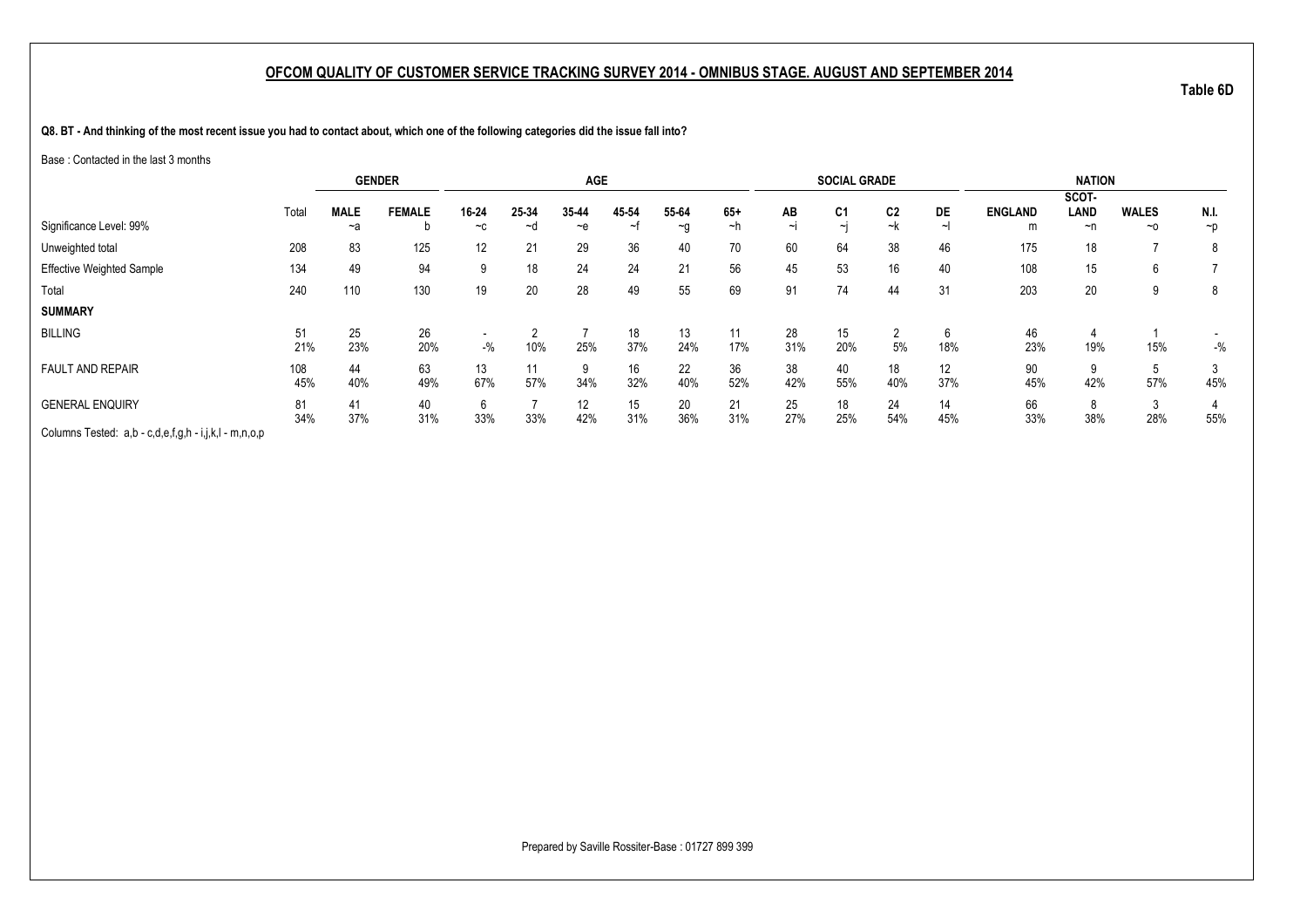**Q8. BT - And thinking of the most recent issue you had to contact about, which one of the following categories did the issue fall into?**

Base : Contacted in the last 3 months

|                                                       |       | <b>GENDER</b> |               |       |       | <b>AGE</b> |                       |          |       |          | <b>SOCIAL GRADE</b> |                |                   |                | <b>NATION</b> |              |          |
|-------------------------------------------------------|-------|---------------|---------------|-------|-------|------------|-----------------------|----------|-------|----------|---------------------|----------------|-------------------|----------------|---------------|--------------|----------|
|                                                       |       |               |               |       |       |            |                       |          |       |          |                     |                |                   |                | SCOT-         |              |          |
|                                                       | Total | <b>MALE</b>   | <b>FEMALE</b> | 16-24 | 25-34 | 35-44      | 45 54                 | 55-64    | $65+$ | AB       | C <sub>1</sub>      | C <sub>2</sub> | <b>DE</b>         | <b>ENGLAND</b> | LAND          | <b>WALES</b> | N.I.     |
| Significance Level: 99%                               |       | ~a            |               | $-c$  | ~d    | $-e$       | $\tilde{\phantom{a}}$ | $\sim g$ | ~h    | $\sim$ I | $\sim$ I            | ~k             |                   | m              | ~n            | $~\sim$ 0    | $\neg p$ |
| Unweighted total                                      | 208   | 83            | 125           | 12    | 21    | 29         | 36                    | 40       | 70    | 60       | 64                  | 38             | 46                | 175            | 18            | –            | 8        |
| Effective Weighted Sample                             | 134   | 49            | 94            | 9     | 18    | 24         | 24                    | 21       | 56    | 45       | 53                  | 16             | 40                | 108            | 15            | 6            |          |
| Total                                                 | 240   | 110           | 130           | 19    | 20    | 28         | 49                    | 55       | 69    | 91       | 74                  | 44             | 31                | 203            | 20            | 9            | 8        |
| <b>SUMMARY</b>                                        |       |               |               |       |       |            |                       |          |       |          |                     |                |                   |                |               |              |          |
| <b>BILLING</b>                                        | 51    | 25            | 26            |       |       |            | 18                    | 13       | 11    | 28       | 15                  | 2              | 6                 | 46             |               |              |          |
|                                                       | 21%   | 23%           | 20%           | $-$ % | 10%   | 25%        | 37%                   | 24%      | 17%   | 31%      | 20%                 | 5%             | 18%               | 23%            | 19%           | 15%          | $-$ %    |
| <b>FAULT AND REPAIR</b>                               | 108   | 44            | 63            | 13    |       | 9          | 16                    | 22       | 36    | 38       | 40                  | 18             | $12 \overline{ }$ | 90             | 9             |              |          |
|                                                       | 45%   | 40%           | 49%           | 67%   | 57%   | 34%        | 32%                   | 40%      | 52%   | 42%      | 55%                 | 40%            | 37%               | 45%            | 42%           | 57%          | 45%      |
| <b>GENERAL ENQUIRY</b>                                | 81    | 41            | 40            | 6     |       | 12         | 15                    | 20       | 21    | 25       | 18                  | 24             | 14                | 66             | 8             | $\Omega$     |          |
|                                                       | 34%   | 37%           | 31%           | 33%   | 33%   | 42%        | 31%                   | 36%      | 31%   | 27%      | 25%                 | 54%            | 45%               | 33%            | 38%           | 28%          | 55%      |
| Columns Tested: a,b - c,d,e,f,g,h - i,j,k,l - m,n,o,p |       |               |               |       |       |            |                       |          |       |          |                     |                |                   |                |               |              |          |

Prepared by Saville Rossiter-Base : 01727 899 399

**Table 6D**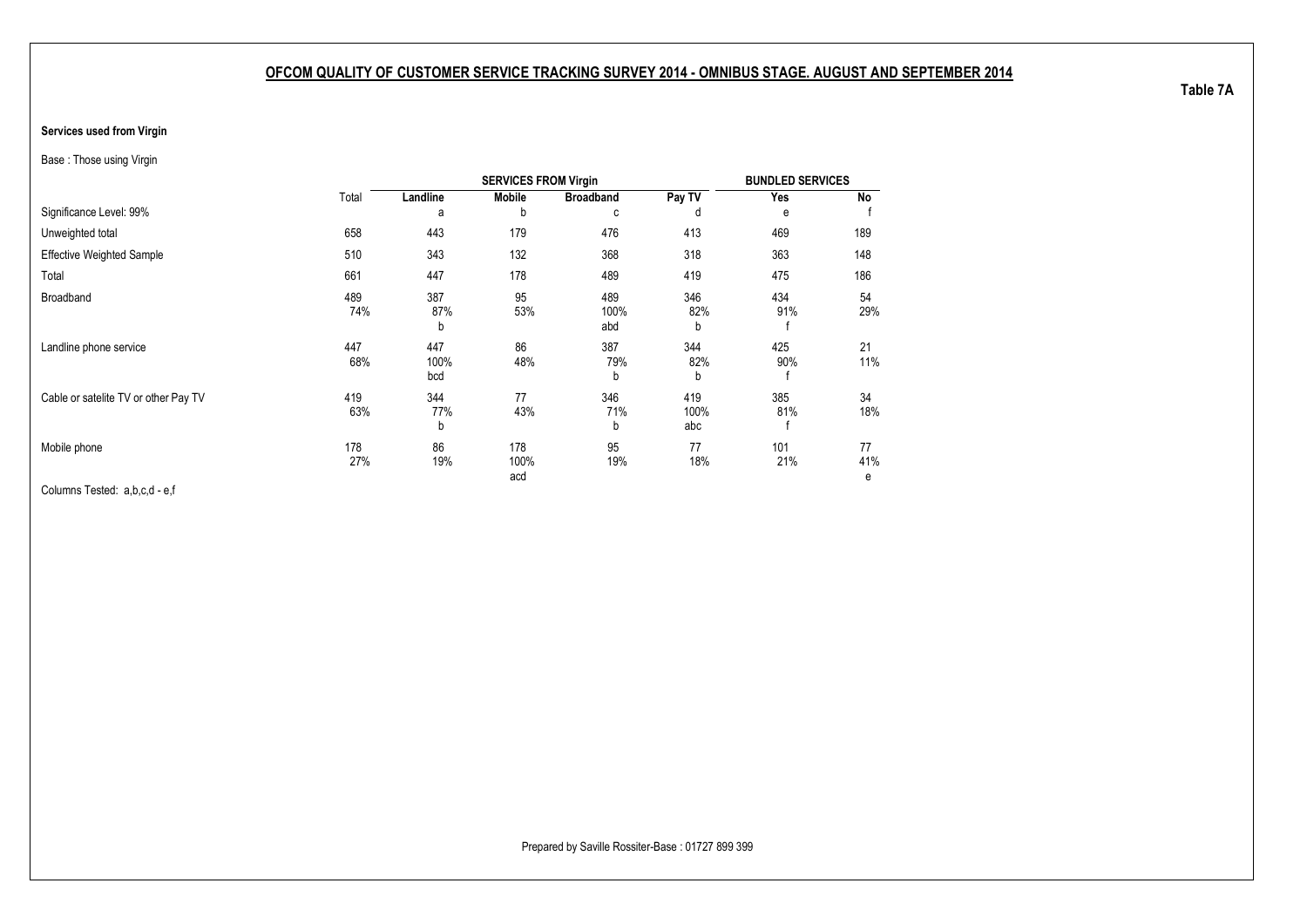#### <span id="page-31-1"></span><span id="page-31-0"></span>**Services used from Virgin**

Base : Those using Virgin

|                                      |            |                    | <b>SERVICES FROM Virgin</b> |                    |                    | <b>BUNDLED SERVICES</b> |                |
|--------------------------------------|------------|--------------------|-----------------------------|--------------------|--------------------|-------------------------|----------------|
|                                      | Total      | Landline           | <b>Mobile</b>               | <b>Broadband</b>   | Pay TV             | Yes                     | No             |
| Significance Level: 99%              |            | a                  | b                           | C                  | d                  | е                       |                |
| Unweighted total                     | 658        | 443                | 179                         | 476                | 413                | 469                     | 189            |
| <b>Effective Weighted Sample</b>     | 510        | 343                | 132                         | 368                | 318                | 363                     | 148            |
| Total                                | 661        | 447                | 178                         | 489                | 419                | 475                     | 186            |
| <b>Broadband</b>                     | 489<br>74% | 387<br>87%<br>b    | 95<br>53%                   | 489<br>100%<br>abd | 346<br>82%<br>b    | 434<br>91%              | 54<br>29%      |
| Landline phone service               | 447<br>68% | 447<br>100%<br>bcd | 86<br>48%                   | 387<br>79%<br>b    | 344<br>82%<br>b    | 425<br>90%              | 21<br>11%      |
| Cable or satelite TV or other Pay TV | 419<br>63% | 344<br>77%<br>b    | 77<br>43%                   | 346<br>71%<br>b    | 419<br>100%<br>abc | 385<br>81%              | 34<br>18%      |
| Mobile phone                         | 178<br>27% | 86<br>19%          | 178<br>100%<br>acd          | 95<br>19%          | 77<br>18%          | 101<br>21%              | 77<br>41%<br>е |

Columns Tested: a,b,c,d - e,f

Prepared by Saville Rossiter-Base : 01727 899 399

**Table 7A**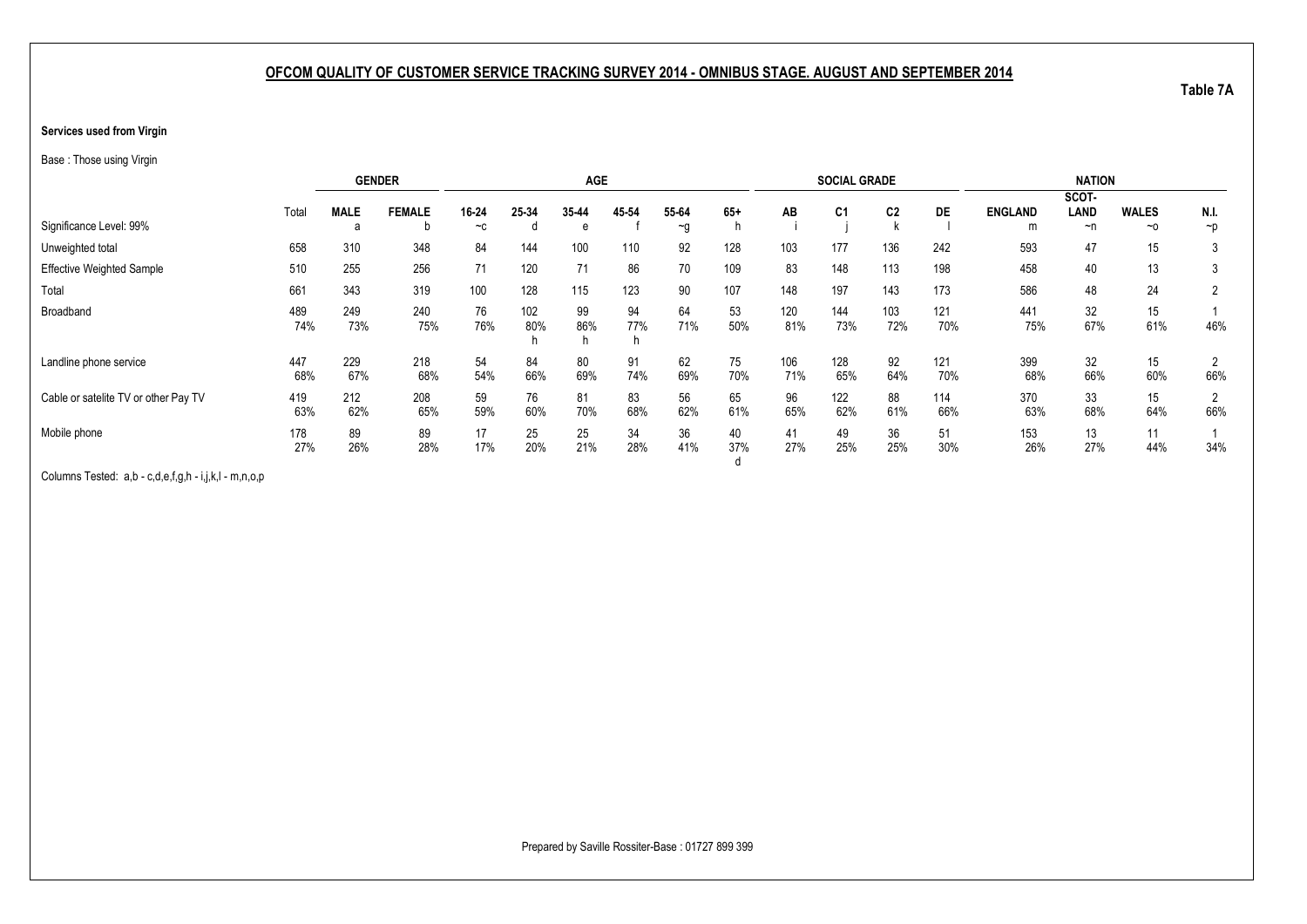#### **Services used from Virgin**

Base : Those using Virgin

|                                      |            |             | <b>GENDER</b> |           |            | <b>AGE</b> |           |           |           |            | <b>SOCIAL GRADE</b> |                |            |                | <b>NATION</b> |              |                |
|--------------------------------------|------------|-------------|---------------|-----------|------------|------------|-----------|-----------|-----------|------------|---------------------|----------------|------------|----------------|---------------|--------------|----------------|
|                                      |            |             |               |           |            |            |           |           |           |            |                     |                |            |                | SCOT-         |              |                |
|                                      | Total      | <b>MALE</b> | <b>FEMALE</b> | 16-24     | 25-34      | 35-44      | 45 54     | 55-64     | $65+$     | AB         | C <sub>1</sub>      | C <sub>2</sub> | <b>DE</b>  | <b>ENGLAND</b> | LAND          | <b>WALES</b> | N.I.           |
| Significance Level: 99%              |            | а           |               | $-c$      |            | e          |           | $\sim g$  |           |            |                     |                |            | m              | ~n            | ~0           | $\neg p$       |
| Unweighted total                     | 658        | 310         | 348           | 84        | 144        | 100        | 110       | 92        | 128       | 103        | 177                 | 136            | 242        | 593            | 47            | 15           |                |
| <b>Effective Weighted Sample</b>     | 510        | 255         | 256           | 71        | 120        | 71         | 86        | 70        | 109       | 83         | 148                 | 113            | 198        | 458            | 40            | 13           |                |
| Total                                | 661        | 343         | 319           | 100       | 128        | 115        | 123       | 90        | 107       | 148        | 197                 | 143            | 173        | 586            | 48            | 24           | $\mathbf{2}$   |
| Broadband                            | 489<br>74% | 249<br>73%  | 240<br>75%    | 76<br>76% | 102<br>80% | 99<br>86%  | 94<br>77% | 64<br>71% | 53<br>50% | 120<br>81% | 144<br>73%          | 103<br>72%     | 121<br>70% | 441<br>75%     | 32<br>67%     | 15<br>61%    | 46%            |
|                                      |            |             |               |           |            | h          |           |           |           |            |                     |                |            |                |               |              |                |
| Landline phone service               | 447        | 229         | 218           | 54        | 84         | 80         | 91        | 62        | 75        | 106        | 128                 | 92             | 121        | 399            | 32            | 15           |                |
|                                      | 68%        | 67%         | 68%           | 54%       | 66%        | 69%        | 74%       | 69%       | 70%       | 71%        | 65%                 | 64%            | 70%        | 68%            | 66%           | 60%          | 66%            |
| Cable or satelite TV or other Pay TV | 419        | 212         | 208           | 59        | 76         | 81         | 83        | 56        | 65        | 96         | 122                 | 88             | 114        | 370            | 33            | 15           | $\overline{2}$ |
|                                      | 63%        | 62%         | 65%           | 59%       | 60%        | 70%        | 68%       | 62%       | 61%       | 65%        | 62%                 | 61%            | 66%        | 63%            | 68%           | 64%          | 66%            |
| Mobile phone                         | 178        | 89          | 89            | 17        | 25         | 25         | 34        | 36        | 40        | 41         | 49                  | 36             | 51         | 153            | 13            | 11           |                |
|                                      | 27%        | 26%         | 28%           | 17%       | 20%        | 21%        | 28%       | 41%       | 37%       | 27%        | 25%                 | 25%            | 30%        | 26%            | 27%           | 44%          | 34%            |
|                                      |            |             |               |           |            |            |           |           |           |            |                     |                |            |                |               |              |                |

Columns Tested: a,b - c,d,e,f,g,h - i,j,k,l - m,n,o,p

Prepared by Saville Rossiter-Base : 01727 899 399

**Table 7A**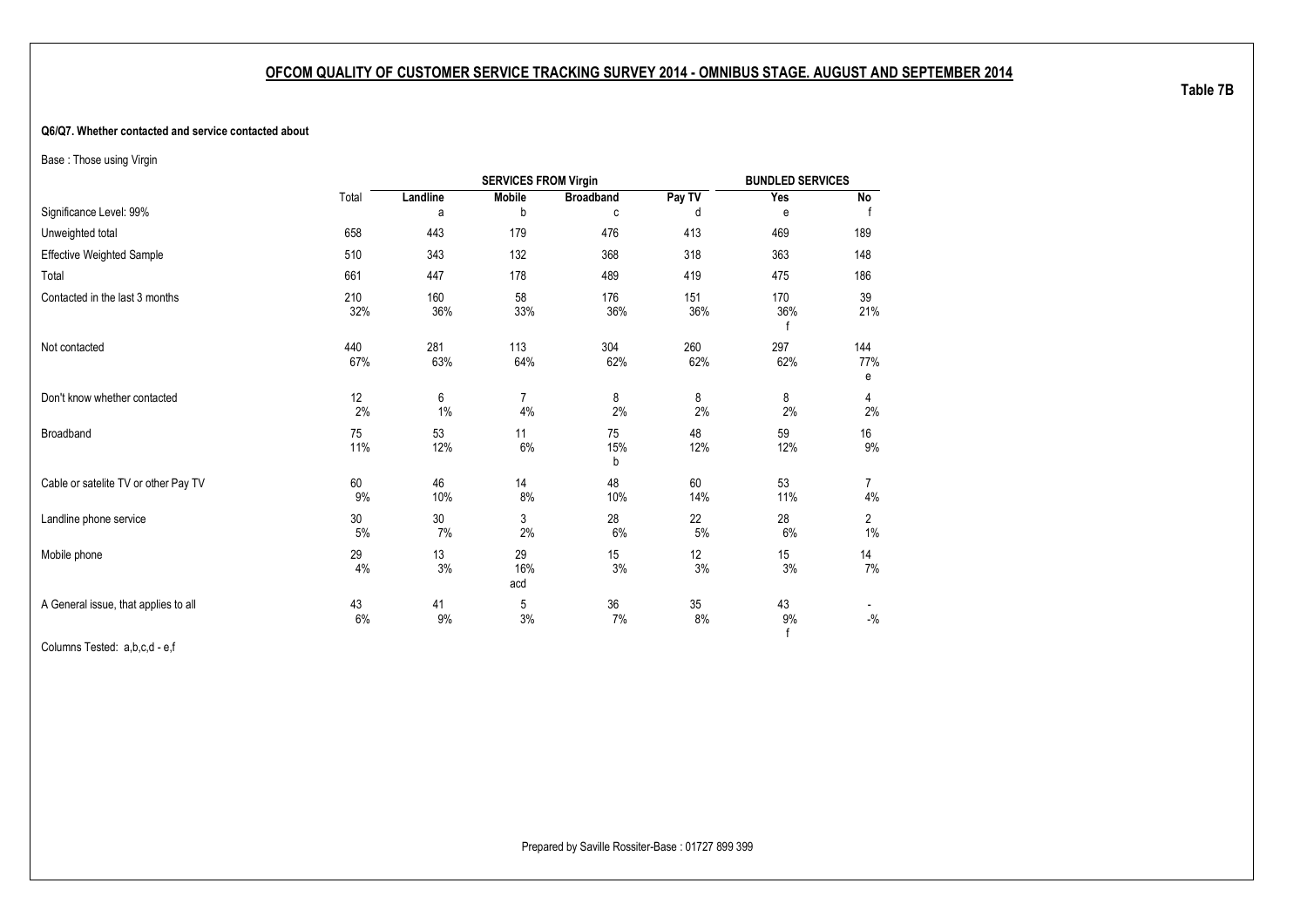#### <span id="page-33-1"></span><span id="page-33-0"></span>**Q6/Q7. Whether contacted and service contacted about**

Base : Those using Virgin

|                                      |              |            | <b>SERVICES FROM Virgin</b> |                  |            | <b>BUNDLED SERVICES</b> |                 |
|--------------------------------------|--------------|------------|-----------------------------|------------------|------------|-------------------------|-----------------|
|                                      | Total        | Landline   | Mobile                      | <b>Broadband</b> | Pay TV     | Yes                     | No              |
| Significance Level: 99%              |              | а          | b                           | c                | d          | e                       |                 |
| Unweighted total                     | 658          | 443        | 179                         | 476              | 413        | 469                     | 189             |
| <b>Effective Weighted Sample</b>     | 510          | 343        | 132                         | 368              | 318        | 363                     | 148             |
| Total                                | 661          | 447        | 178                         | 489              | 419        | 475                     | 186             |
| Contacted in the last 3 months       | 210<br>32%   | 160<br>36% | 58<br>33%                   | 176<br>36%       | 151<br>36% | 170<br>36%              | 39<br>21%       |
| Not contacted                        | 440<br>67%   | 281<br>63% | 113<br>64%                  | 304<br>62%       | 260<br>62% | 297<br>62%              | 144<br>77%<br>е |
| Don't know whether contacted         | 12<br>2%     | 6<br>1%    | $\overline{7}$<br>4%        | 8<br>2%          | 8<br>2%    | 8<br>2%                 | 4<br>2%         |
| Broadband                            | 75<br>11%    | 53<br>12%  | 11<br>6%                    | 75<br>15%<br>b   | 48<br>12%  | 59<br>12%               | 16<br>9%        |
| Cable or satelite TV or other Pay TV | 60<br>9%     | 46<br>10%  | 14<br>8%                    | 48<br>10%        | 60<br>14%  | 53<br>11%               | 7<br>$4\%$      |
| Landline phone service               | $30\,$<br>5% | 30<br>7%   | 3<br>2%                     | 28<br>6%         | 22<br>5%   | 28<br>6%                | 2<br>1%         |
| Mobile phone                         | 29<br>4%     | 13<br>3%   | 29<br>16%<br>acd            | 15<br>3%         | 12<br>3%   | 15<br>3%                | 14<br>7%        |
| A General issue, that applies to all | 43<br>6%     | 41<br>9%   | 5<br>3%                     | 36<br>7%         | 35<br>8%   | 43<br>9%<br>£           | $-{\%}$         |

Columns Tested: a,b,c,d - e,f

**Table 7B**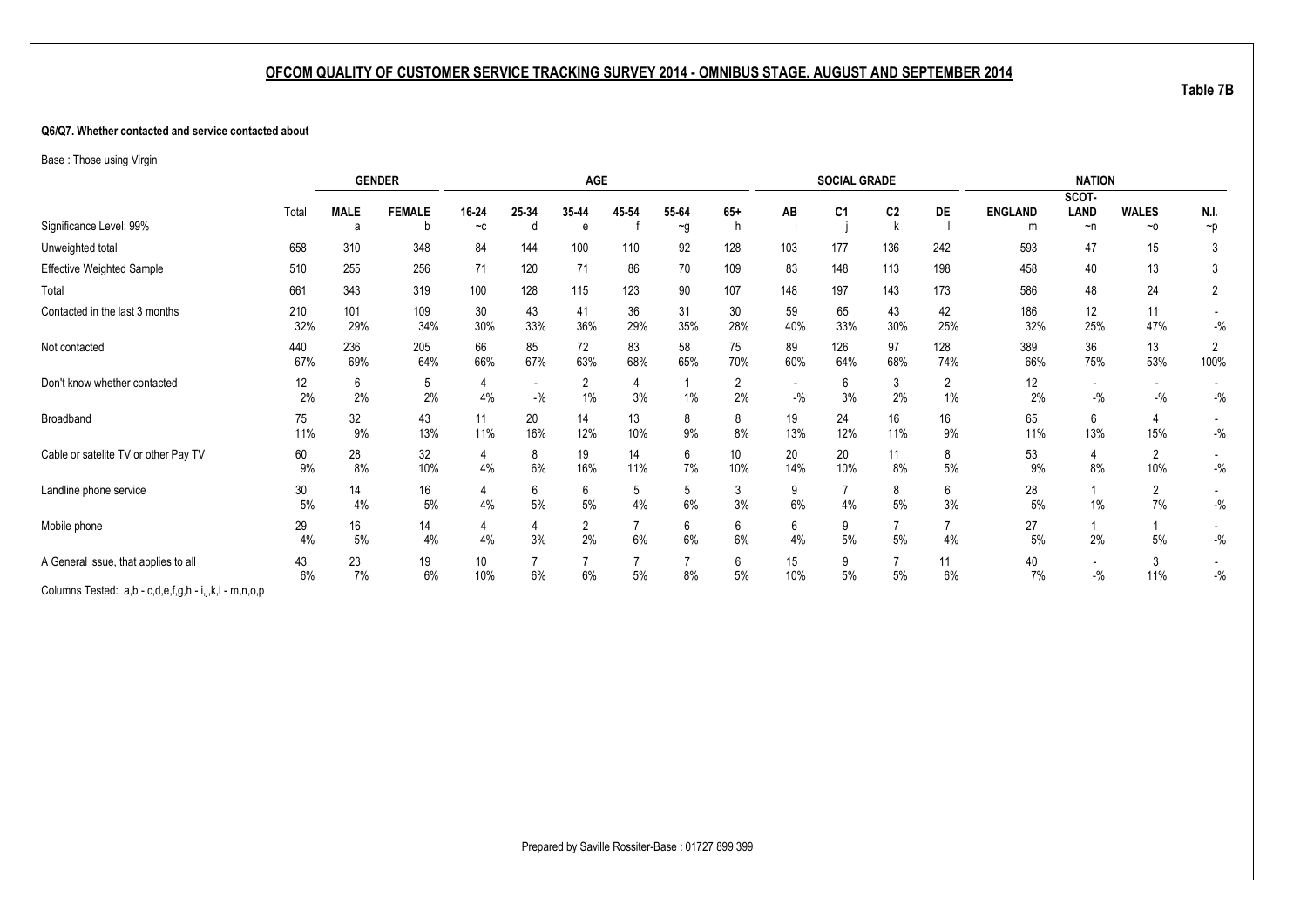#### **Q6/Q7. Whether contacted and service contacted about**

Base : Those using Virgin

|                                                       |            |                  | <b>GENDER</b> |               |            | <b>AGE</b>              |           |                   |                      |           | <b>SOCIAL GRADE</b> |                |            |                     | <b>NATION</b>                     |                          |                  |
|-------------------------------------------------------|------------|------------------|---------------|---------------|------------|-------------------------|-----------|-------------------|----------------------|-----------|---------------------|----------------|------------|---------------------|-----------------------------------|--------------------------|------------------|
| Significance Level: 99%                               | Total      | <b>MALE</b><br>a | <b>FEMALE</b> | 16-24<br>$-c$ | 25-34<br>n | 35-44<br>e              | 45-54     | 55-64<br>$\sim g$ | $65+$                | AB        | C <sub>1</sub>      | C <sub>2</sub> | DE         | <b>ENGLAND</b><br>m | SCOT-<br>LAND<br>~n               | <b>WALES</b><br>$\sim$ 0 | N.I.<br>$\neg p$ |
| Unweighted total                                      | 658        | 310              | 348           | 84            | 144        | 100                     | 110       | 92                | 128                  | 103       | 177                 | 136            | 242        | 593                 | 47                                | 15                       | 3                |
| <b>Effective Weighted Sample</b>                      | 510        | 255              | 256           | 71            | 120        | 71                      | 86        | 70                | 109                  | 83        | 148                 | 113            | 198        | 458                 | 40                                | 13                       | 3                |
| Total                                                 | 661        | 343              | 319           | 100           | 128        | 115                     | 123       | 90                | 107                  | 148       | 197                 | 143            | 173        | 586                 | 48                                | 24                       | 2                |
| Contacted in the last 3 months                        | 210<br>32% | 101<br>29%       | 109<br>34%    | 30<br>30%     | 43<br>33%  | 41<br>36%               | 36<br>29% | 31<br>35%         | 30<br>28%            | 59<br>40% | 65<br>33%           | 43<br>30%      | 42<br>25%  | 186<br>32%          | 12<br>25%                         | 11<br>47%                | $-$ %            |
| Not contacted                                         | 440<br>67% | 236<br>69%       | 205<br>64%    | 66<br>66%     | 85<br>67%  | 72<br>63%               | 83<br>68% | 58<br>65%         | 75<br>70%            | 89<br>60% | 126<br>64%          | 97<br>68%      | 128<br>74% | 389<br>66%          | 36<br>75%                         | 13<br>53%                | 2<br>100%        |
| Don't know whether contacted                          | 12<br>2%   | 6<br>2%          | 5<br>2%       | 4<br>4%       | $-$ %      | $\overline{2}$<br>$1\%$ | 3%        | 1%                | $\overline{2}$<br>2% | $-$ %     | 6<br>3%             | 3<br>2%        | 2<br>$1\%$ | 12<br>2%            | $\overline{\phantom{a}}$<br>$-$ % | $-{\%}$                  | $-$ %            |
| Broadband                                             | 75<br>11%  | 32<br>9%         | 43<br>13%     | 11<br>11%     | 20<br>16%  | 14<br>12%               | 13<br>10% | 8<br>9%           | 8<br>8%              | 19<br>13% | 24<br>12%           | 16<br>11%      | 16<br>9%   | 65<br>11%           | 6<br>13%                          | 4<br>15%                 | $-$ %            |
| Cable or satelite TV or other Pay TV                  | 60<br>9%   | 28<br>8%         | 32<br>10%     | 4<br>4%       | 8<br>6%    | 19<br>16%               | 14<br>11% | 6<br>7%           | 10<br>10%            | 20<br>14% | 20<br>10%           | 11<br>8%       | 8<br>$5\%$ | 53<br>9%            | 4<br>8%                           | $\overline{2}$<br>10%    | $-$ %            |
| Landline phone service                                | 30<br>5%   | 14<br>4%         | 16<br>5%      | 4<br>4%       | 6<br>5%    | 6<br>$5\%$              | 5<br>4%   | 5<br>6%           | 3<br>3%              | 9<br>6%   | 4%                  | 8<br>5%        | 6<br>3%    | 28<br>5%            | 1%                                | $\overline{2}$<br>7%     | $-$ %            |
| Mobile phone                                          | 29<br>4%   | 16<br>5%         | 14<br>4%      | 4<br>4%       | 4<br>3%    | $\overline{2}$<br>2%    | 6%        | 6<br>6%           | 6<br>6%              | 6<br>4%   | 9<br>5%             | 5%             | 4%         | 27<br>5%            | 2%                                | 5%                       | $-{\%}$          |
| A General issue, that applies to all                  | 43<br>6%   | 23<br>7%         | 19<br>6%      | 10<br>10%     | 6%         | 6%                      | 5%        | 8%                | 6<br>5%              | 15<br>10% | 9<br>5%             | $5\%$          | 11<br>6%   | 40<br>7%            | $\overline{\phantom{a}}$<br>$-$ % | 3<br>11%                 | $-$ %            |
| Columns Tested: a,b - c,d,e,f,g,h - i,j,k,l - m,n,o,p |            |                  |               |               |            |                         |           |                   |                      |           |                     |                |            |                     |                                   |                          |                  |

**Table 7B**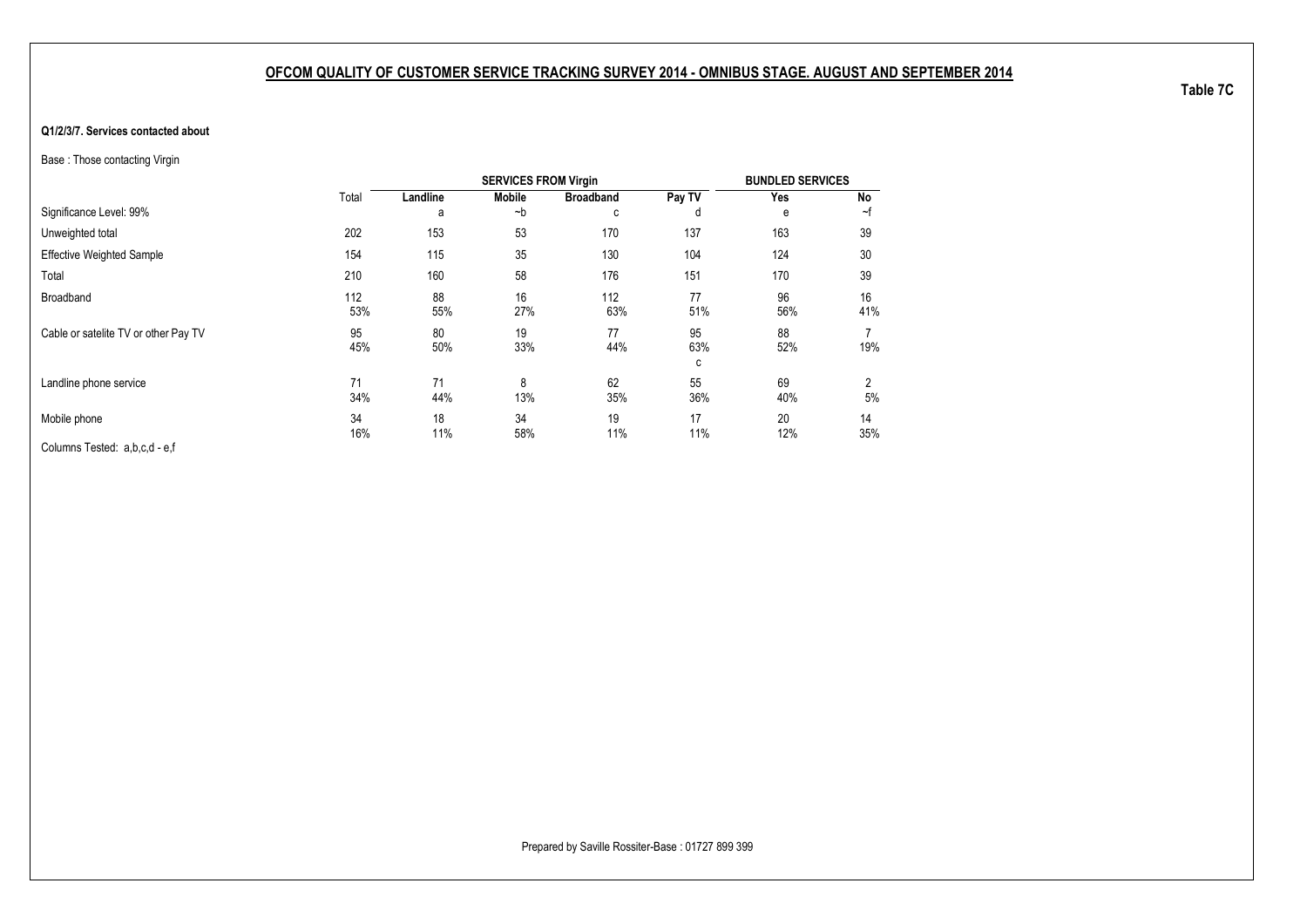#### <span id="page-35-1"></span><span id="page-35-0"></span>**Q1/2/3/7. Services contacted about**

Base : Those contacting Virgin

|                                      |            |           | <b>SERVICES FROM Virgin</b> |                  |                | <b>BUNDLED SERVICES</b> |           |
|--------------------------------------|------------|-----------|-----------------------------|------------------|----------------|-------------------------|-----------|
|                                      | Total      | Landline  | <b>Mobile</b>               | <b>Broadband</b> | Pay TV         | Yes                     | <b>No</b> |
| Significance Level: 99%              |            | a         | ~b                          | с                | d              | e                       | ~f        |
| Unweighted total                     | 202        | 153       | 53                          | 170              | 137            | 163                     | 39        |
| <b>Effective Weighted Sample</b>     | 154        | 115       | 35                          | 130              | 104            | 124                     | 30        |
| Total                                | 210        | 160       | 58                          | 176              | 151            | 170                     | 39        |
| Broadband                            | 112<br>53% | 88<br>55% | 16<br>27%                   | 112<br>63%       | 77<br>51%      | 96<br>56%               | 16<br>41% |
| Cable or satelite TV or other Pay TV | 95<br>45%  | 80<br>50% | 19<br>33%                   | 77<br>44%        | 95<br>63%<br>с | 88<br>52%               | 19%       |
| Landline phone service               | 71<br>34%  | 71<br>44% | 8<br>13%                    | 62<br>35%        | 55<br>36%      | 69<br>40%               | 2<br>5%   |
| Mobile phone                         | 34<br>16%  | 18<br>11% | 34<br>58%                   | 19<br>11%        | 17<br>11%      | 20<br>12%               | 14<br>35% |
| Columns Tested: a,b,c,d - e,f        |            |           |                             |                  |                |                         |           |

**Table 7C**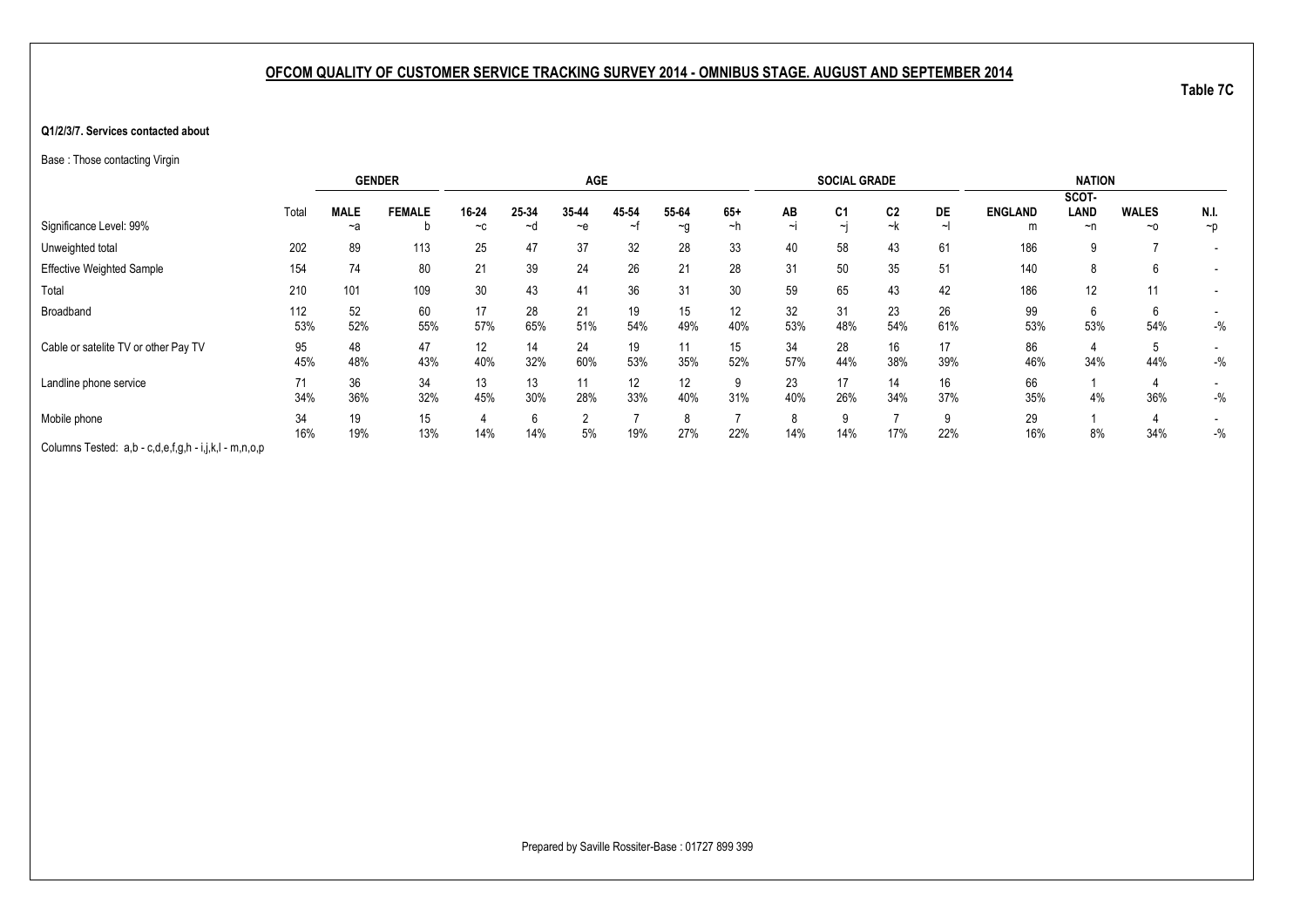#### **Q1/2/3/7. Services contacted about**

Base : Those contacting Virgin

|                                                       |       |             | <b>GENDER</b> |               |       | <b>AGE</b>     |             |          |                          |              | <b>SOCIAL GRADE</b>      |                      |          |                | <b>NATION</b> |              |                          |
|-------------------------------------------------------|-------|-------------|---------------|---------------|-------|----------------|-------------|----------|--------------------------|--------------|--------------------------|----------------------|----------|----------------|---------------|--------------|--------------------------|
|                                                       |       |             |               |               |       |                |             |          |                          |              |                          |                      |          |                | SCOT-         |              |                          |
| Significance Level: 99%                               | Total | <b>MALE</b> | <b>FEMALE</b> | 16-24<br>$-c$ | 25-34 | 35-44          | 45 54<br>~1 | 55-64    | $65+$<br>~h              | AB<br>$\sim$ | C <sub>1</sub><br>$\sim$ | C <sub>2</sub><br>~k | DE<br>∼∣ | <b>ENGLAND</b> | LAND          | <b>WALES</b> | N.I.                     |
|                                                       |       | ~a          | b             |               | ∼d    | $-$ e          |             | $\sim g$ |                          |              |                          |                      |          | m              | ~n            | $~\sim$ 0    | $\neg p$                 |
| Unweighted total                                      | 202   | 89          | 113           | 25            | 47    | 37             | 32          | 28       | 33                       | 40           | 58                       | 43                   | 61       | 186            | 9             |              | $\overline{\phantom{0}}$ |
| <b>Effective Weighted Sample</b>                      | 154   | 74          | 80            | 21            | 39    | 24             | 26          | 21       | 28                       | 31           | 50                       | 35                   | 51       | 140            | 8             | 6            |                          |
| Total                                                 | 210   | 101         | 109           | 30            | 43    | 41             | 36          | 31       | 30                       | 59           | 65                       | 43                   | 42       | 186            | 12            | 11           |                          |
| Broadband                                             | 112   | 52          | 60            | 17            | 28    | 21             | 19          | 15       | 12                       | 32           | 31                       | 23                   | 26       | 99             | 6             | 6            |                          |
|                                                       | 53%   | 52%         | 55%           | 57%           | 65%   | 51%            | 54%         | 49%      | 40%                      | 53%          | 48%                      | 54%                  | 61%      | 53%            | 53%           | 54%          | $-$ %                    |
| Cable or satelite TV or other Pay TV                  | 95    | 48          | 47            | 12            | 14    | 24             | 19          |          | 15                       | 34           | 28                       | 16                   | 17       | 86             | 4             | 5            |                          |
|                                                       | 45%   | 48%         | 43%           | 40%           | 32%   | 60%            | 53%         | 35%      | 52%                      | 57%          | 44%                      | 38%                  | 39%      | 46%            | 34%           | 44%          | $-$ %                    |
| Landline phone service                                | 71    | 36          | 34            | 13            | 13    | 11             | 12          | 12       | 9                        | 23           | 17                       | 14                   | 16       | 66             |               |              | $\overline{\phantom{a}}$ |
|                                                       | 34%   | 36%         | 32%           | 45%           | 30%   | 28%            | 33%         | 40%      | 31%                      | 40%          | 26%                      | 34%                  | 37%      | 35%            | 4%            | 36%          | $-$ %                    |
| Mobile phone                                          | 34    | 19          | 15            |               | 6     | $\overline{2}$ |             |          | $\overline{\phantom{a}}$ | 8            | 9                        |                      |          | 29             |               |              |                          |
|                                                       | 16%   | 19%         | 13%           | 14%           | 14%   | 5%             | 19%         | 27%      | 22%                      | 14%          | 14%                      | 17%                  | 22%      | 16%            | 8%            | 34%          | $-$ %                    |
| Columns Tested: a,b - c,d,e,f,g,h - i,j,k,l - m,n,o,p |       |             |               |               |       |                |             |          |                          |              |                          |                      |          |                |               |              |                          |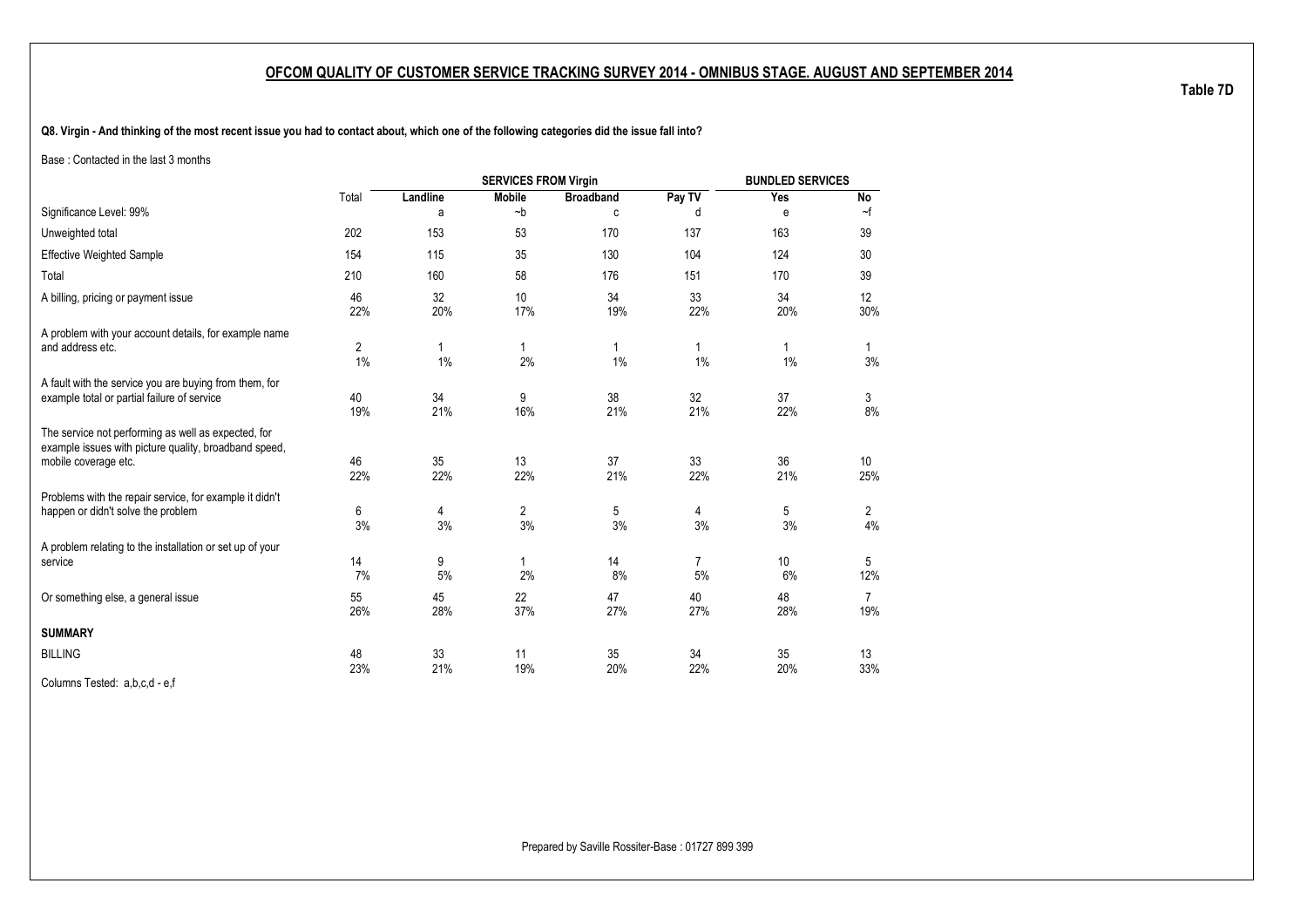**Q8. Virgin - And thinking of the most recent issue you had to contact about, which one of the following categories did the issue fall into?**

Base : Contacted in the last 3 months

|                                                                                                                                      |                      |           | <b>SERVICES FROM Virgin</b> |                  |           | <b>BUNDLED SERVICES</b> |                       |
|--------------------------------------------------------------------------------------------------------------------------------------|----------------------|-----------|-----------------------------|------------------|-----------|-------------------------|-----------------------|
|                                                                                                                                      | Total                | Landline  | <b>Mobile</b>               | <b>Broadband</b> | Pay TV    | Yes                     | No                    |
| Significance Level: 99%                                                                                                              |                      | a         | $-b$                        | C                | d         | e                       | $\sim$ f              |
| Unweighted total                                                                                                                     | 202                  | 153       | 53                          | 170              | 137       | 163                     | 39                    |
| <b>Effective Weighted Sample</b>                                                                                                     | 154                  | 115       | 35                          | 130              | 104       | 124                     | 30                    |
| Total                                                                                                                                | 210                  | 160       | 58                          | 176              | 151       | 170                     | 39                    |
| A billing, pricing or payment issue                                                                                                  | 46<br>22%            | 32<br>20% | 10<br>17%                   | 34<br>19%        | 33<br>22% | 34<br>20%               | 12<br>30%             |
| A problem with your account details, for example name<br>and address etc.                                                            | $\overline{2}$<br>1% | 1<br>1%   | $\mathbf{1}$<br>2%          | 1<br>1%          | 1<br>1%   | 1.<br>$1\%$             | $\mathbf{1}$<br>3%    |
| A fault with the service you are buying from them, for<br>example total or partial failure of service                                | 40<br>19%            | 34<br>21% | 9<br>16%                    | 38<br>21%        | 32<br>21% | 37<br>22%               | 3<br>8%               |
| The service not performing as well as expected, for<br>example issues with picture quality, broadband speed,<br>mobile coverage etc. | 46<br>22%            | 35<br>22% | 13<br>22%                   | 37<br>21%        | 33<br>22% | 36<br>21%               | 10<br>25%             |
| Problems with the repair service, for example it didn't<br>happen or didn't solve the problem                                        | 6<br>3%              | 4<br>3%   | $\overline{c}$<br>3%        | 5<br>3%          | 4<br>3%   | 5<br>3%                 | $\overline{2}$<br>4%  |
| A problem relating to the installation or set up of your<br>service                                                                  | 14<br>7%             | 9<br>5%   | $\mathbf{1}$<br>2%          | 14<br>8%         | 7<br>5%   | 10<br>6%                | 5<br>12%              |
| Or something else, a general issue                                                                                                   | 55<br>26%            | 45<br>28% | 22<br>37%                   | 47<br>27%        | 40<br>27% | 48<br>28%               | $\overline{7}$<br>19% |
| <b>SUMMARY</b>                                                                                                                       |                      |           |                             |                  |           |                         |                       |
| <b>BILLING</b>                                                                                                                       | 48<br>23%            | 33<br>21% | 11<br>19%                   | 35<br>20%        | 34<br>22% | 35<br>20%               | 13<br>33%             |
| Columns Tested: a,b,c,d - e,f                                                                                                        |                      |           |                             |                  |           |                         |                       |

**Table 7D**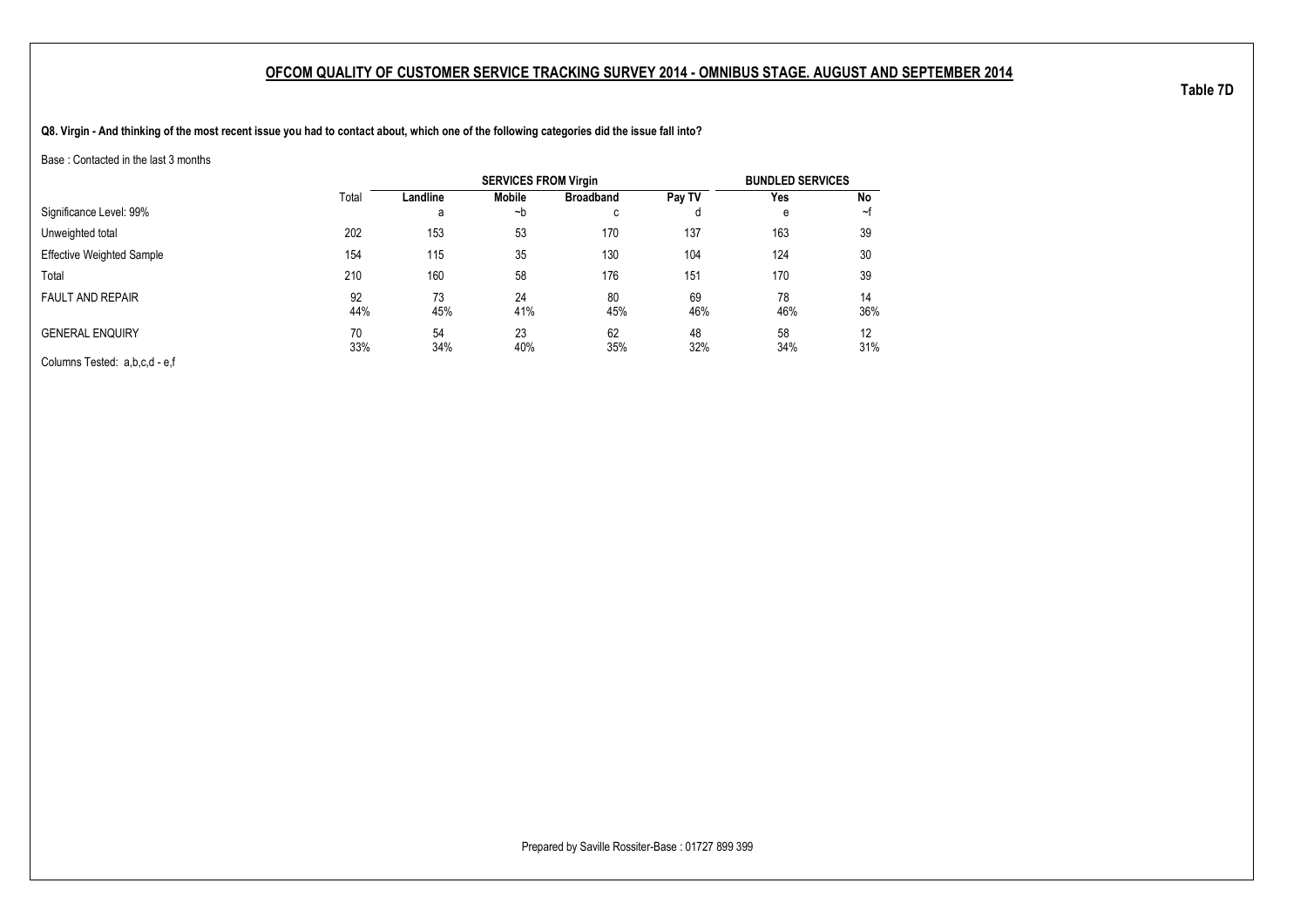**Q8. Virgin - And thinking of the most recent issue you had to contact about, which one of the following categories did the issue fall into?**

Base : Contacted in the last 3 months

|                                  |           |           | <b>SERVICES FROM Virgin</b> |                     |           | <b>BUNDLED SERVICES</b> |           |
|----------------------------------|-----------|-----------|-----------------------------|---------------------|-----------|-------------------------|-----------|
|                                  | Total     | Landline  | Mobile                      | <b>Broadband</b>    | Pay TV    | Yes                     | No        |
| Significance Level: 99%          |           | a         | ∼b                          | $\overline{ }$<br>◡ |           | е                       | ∼t        |
| Unweighted total                 | 202       | 153       | 53                          | 170                 | 137       | 163                     | 39        |
| <b>Effective Weighted Sample</b> | 154       | 115       | 35                          | 130                 | 104       | 124                     | 30        |
| Total                            | 210       | 160       | 58                          | 176                 | 151       | 170                     | 39        |
| <b>FAULT AND REPAIR</b>          | 92<br>44% | 73<br>45% | 24<br>41%                   | 80<br>45%           | 69<br>46% | 78<br>46%               | 14<br>36% |
| <b>GENERAL ENQUIRY</b>           | 70<br>33% | 54<br>34% | 23<br>40%                   | 62<br>35%           | 48<br>32% | 58<br>34%               | 12<br>31% |
| Columns Tested: a,b,c,d - e,f    |           |           |                             |                     |           |                         |           |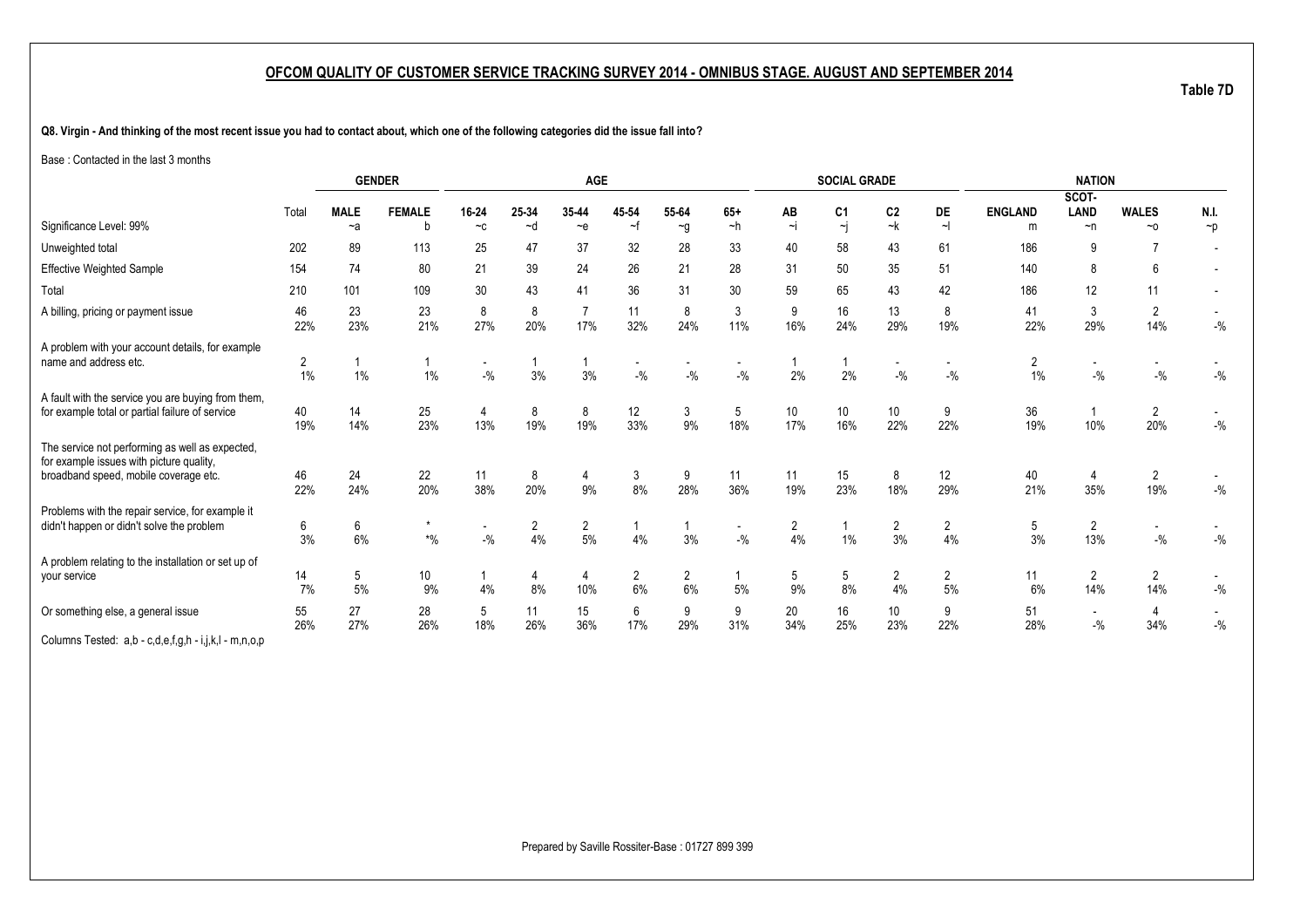**Q8. Virgin - And thinking of the most recent issue you had to contact about, which one of the following categories did the issue fall into?**

Base : Contacted in the last 3 months

|                                                                                                                                      |           |                     | <b>GENDER</b>                        |                                   |               | <b>AGE</b>            |             |                      |                                   |                | <b>SOCIAL GRADE</b>                       |                      |                      |                | <b>NATION</b>                     |                           |          |
|--------------------------------------------------------------------------------------------------------------------------------------|-----------|---------------------|--------------------------------------|-----------------------------------|---------------|-----------------------|-------------|----------------------|-----------------------------------|----------------|-------------------------------------------|----------------------|----------------------|----------------|-----------------------------------|---------------------------|----------|
|                                                                                                                                      |           |                     |                                      |                                   |               |                       |             |                      |                                   |                |                                           |                      |                      |                | SCOT-                             |                           |          |
| Significance Level: 99%                                                                                                              | Total     | <b>MALE</b><br>$-a$ | <b>FEMALE</b><br>b                   | 16-24<br>$-c$                     | 25-34<br>$-d$ | 35-44<br>$\sim e$     | 45 54<br>∼f | 55-64                | $65+$<br>$-h$                     | AB<br>$\sim$ j | C <sub>1</sub><br>$\overline{\mathbf{r}}$ | C <sub>2</sub><br>~k | DE<br>$\sim$         | <b>ENGLAND</b> | LAND<br>$\neg$ n                  | <b>WALES</b><br>$~\sim$ 0 | N.I.     |
|                                                                                                                                      |           |                     |                                      |                                   |               |                       |             | $\sim g$             |                                   |                |                                           |                      |                      | m              |                                   |                           | $\neg p$ |
| Unweighted total                                                                                                                     | 202       | 89                  | 113                                  | 25                                | 47            | 37                    | 32          | 28                   | 33                                | 40             | 58                                        | 43                   | 61                   | 186            | 9                                 |                           |          |
| <b>Effective Weighted Sample</b>                                                                                                     | 154       | 74                  | 80                                   | 21                                | 39            | 24                    | 26          | 21                   | 28                                | 31             | 50                                        | 35                   | 51                   | 140            | 8                                 | 6                         |          |
| Total                                                                                                                                | 210       | 101                 | 109                                  | 30                                | 43            | 41                    | 36          | 31                   | 30                                | 59             | 65                                        | 43                   | 42                   | 186            | 12                                | 11                        |          |
| A billing, pricing or payment issue                                                                                                  | 46<br>22% | 23<br>23%           | 23<br>21%                            | 8<br>27%                          | 8<br>20%      | $\overline{7}$<br>17% | 11<br>32%   | 8<br>24%             | 3<br>11%                          | 9<br>16%       | 16<br>24%                                 | 13<br>29%            | 8<br>19%             | 41<br>22%      | 3<br>29%                          | 2<br>14%                  | $-{\%}$  |
| A problem with your account details, for example<br>name and address etc.                                                            | 2<br>1%   | 1%                  | 1%                                   | $\overline{\phantom{a}}$<br>$-$ % | 3%            | 3%                    | $-$ %       | $-$ %                | $-$ %                             | 2%             | 2%                                        | $-9/6$               | $-$ %                | 2<br>1%        | $-9/6$                            | $-9/6$                    | $-{\%}$  |
| A fault with the service you are buying from them,<br>for example total or partial failure of service                                | 40<br>19% | 14<br>14%           | 25<br>23%                            | 4<br>13%                          | 8<br>19%      | 8<br>19%              | 12<br>33%   | 3<br>9%              | 5<br>18%                          | 10<br>17%      | 10<br>16%                                 | 10<br>22%            | 9<br>22%             | 36<br>19%      | 10%                               | 2<br>20%                  | $-$ %    |
| The service not performing as well as expected,<br>for example issues with picture quality,<br>broadband speed, mobile coverage etc. | 46<br>22% | 24<br>24%           | 22<br>20%                            | 11<br>38%                         | 8<br>20%      | 4<br>9%               | 3<br>8%     | 9<br>28%             | 11<br>36%                         | 11<br>19%      | 15<br>23%                                 | 8<br>18%             | 12<br>29%            | 40<br>21%      | 4<br>35%                          | $\overline{2}$<br>19%     | $-$ %    |
| Problems with the repair service, for example it<br>didn't happen or didn't solve the problem                                        | 6<br>3%   | 6<br>6%             | $\star$<br>$\boldsymbol{^{*0}/_{0}}$ | $-9/6$                            | 2<br>4%       | $\overline{2}$<br>5%  | 4%          | 3%                   | $\overline{\phantom{a}}$<br>$-$ % | 2<br>4%        | 1%                                        | $\overline{2}$<br>3% | $\overline{2}$<br>4% | 5<br>3%        | $\overline{2}$<br>13%             | $-9/6$                    | $-{\%}$  |
| A problem relating to the installation or set up of<br>your service                                                                  | 14<br>7%  | 5<br>5%             | 10<br>9%                             | 4%                                | 4<br>8%       | 4<br>10%              | 2<br>6%     | $\overline{2}$<br>6% | 5%                                | 5<br>9%        | 5<br>8%                                   | 2<br>4%              | 2<br>5%              | 11<br>6%       | $\overline{2}$<br>14%             | 2<br>14%                  | $-{\%}$  |
| Or something else, a general issue                                                                                                   | 55<br>26% | 27<br>27%           | 28<br>26%                            | 5<br>18%                          | 11<br>26%     | 15<br>36%             | 6<br>17%    | 9<br>29%             | 9<br>31%                          | 20<br>34%      | 16<br>25%                                 | 10<br>23%            | 9<br>22%             | 51<br>28%      | $\overline{\phantom{a}}$<br>$-$ % | 4<br>34%                  | $-9/6$   |
| Columns Tested: a,b - c,d,e,f,g,h - i,j,k,l - m,n,o,p                                                                                |           |                     |                                      |                                   |               |                       |             |                      |                                   |                |                                           |                      |                      |                |                                   |                           |          |

Prepared by Saville Rossiter-Base : 01727 899 399

**Table 7D**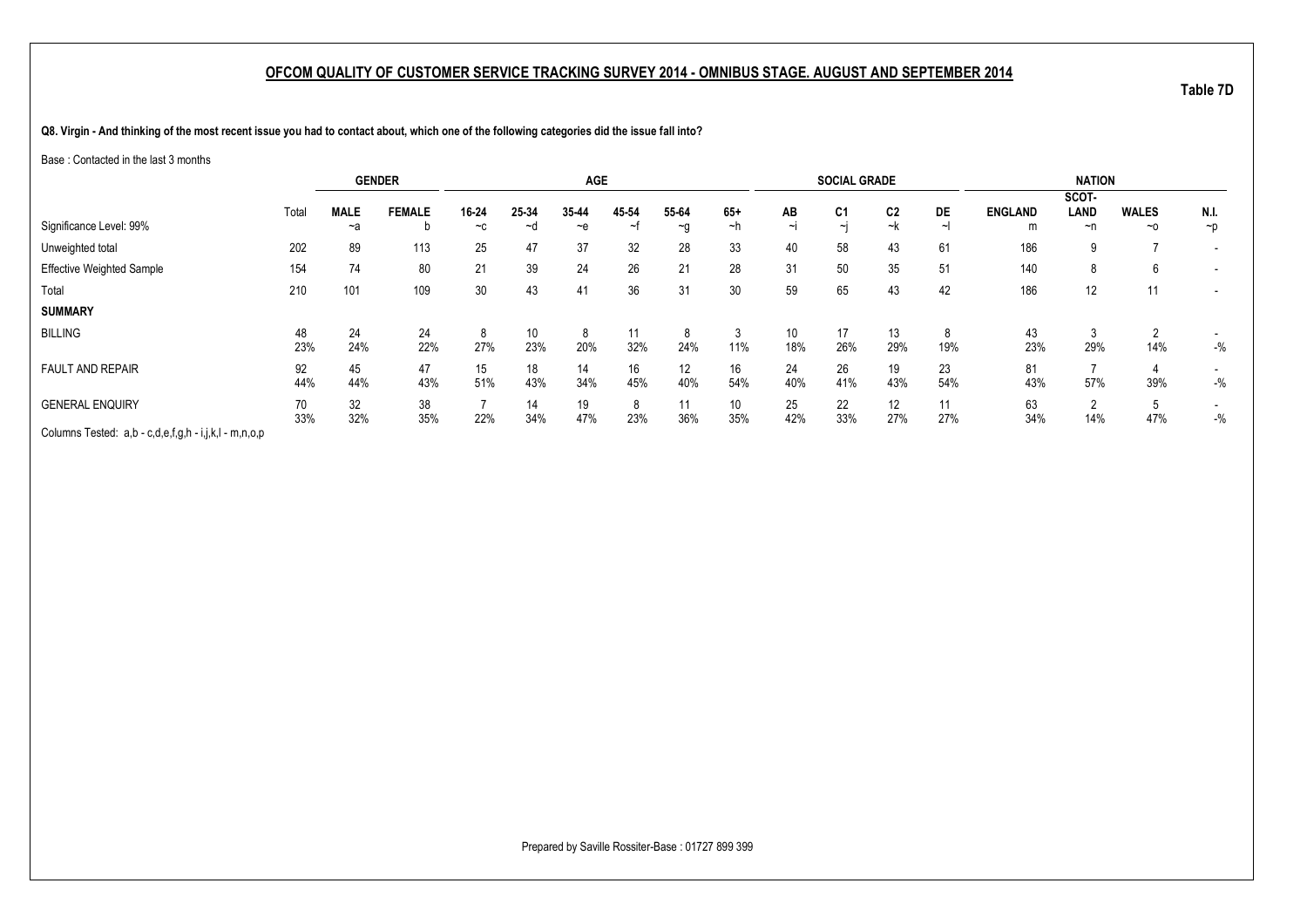**Q8. Virgin - And thinking of the most recent issue you had to contact about, which one of the following categories did the issue fall into?**

Base : Contacted in the last 3 months

|                                                       |       | <b>GENDER</b> |               |       |       | <b>AGE</b> |       |          |       |        | <b>SOCIAL GRADE</b> |                |     |                | <b>NATION</b>  |              |          |
|-------------------------------------------------------|-------|---------------|---------------|-------|-------|------------|-------|----------|-------|--------|---------------------|----------------|-----|----------------|----------------|--------------|----------|
|                                                       |       |               |               |       |       |            |       |          |       |        |                     |                |     |                | SCOT-          |              |          |
|                                                       | Total | <b>MALE</b>   | <b>FEMALE</b> | 16-24 | 25-34 | 35-44      | 45-54 | 55-64    | $65+$ | AB     | C <sub>1</sub>      | C <sub>2</sub> | DE  | <b>ENGLAND</b> | LAND           | <b>WALES</b> | N.I.     |
| Significance Level: 99%                               |       | ~a            | b             | $-c$  | ~d    | $-$ e      | ~t    | $\sim g$ | ~h    | $\sim$ | $\sim$ i            | ~k             |     | m              | ~n             | $~\sim$ 0    | $\neg p$ |
| Unweighted total                                      | 202   | 89            | 113           | 25    | 47    | 37         | 32    | 28       | 33    | 40     | 58                  | 43             | 61  | 186            | 9              |              |          |
| <b>Effective Weighted Sample</b>                      | 154   | 74            | 80            | 21    | 39    | 24         | 26    | 21       | 28    | 31     | 50                  | 35             | 51  | 140            | 8              | 6            |          |
| Total                                                 | 210   | 101           | 109           | 30    | 43    | 41         | 36    | 31       | 30    | 59     | 65                  | 43             | 42  | 186            | 12             | 11           |          |
| <b>SUMMARY</b>                                        |       |               |               |       |       |            |       |          |       |        |                     |                |     |                |                |              |          |
| <b>BILLING</b>                                        | 48    | 24            | 24            | 8     | 10    | 8          | 11    | 8        |       | 10     | 17                  | 13             |     | 43             | 3              | $\sim$       |          |
|                                                       | 23%   | 24%           | 22%           | 27%   | 23%   | 20%        | 32%   | 24%      | 11%   | 18%    | 26%                 | 29%            | 19% | 23%            | 29%            | 14%          | $-$ %    |
| <b>FAULT AND REPAIR</b>                               | 92    | 45            | 47            | 15    | 18    | 14         | 16    | 12       | 16    | 24     | 26                  | 19             | 23  | 81             |                |              |          |
|                                                       | 44%   | 44%           | 43%           | 51%   | 43%   | 34%        | 45%   | 40%      | 54%   | 40%    | 41%                 | 43%            | 54% | 43%            | 57%            | 39%          | $-$ %    |
| <b>GENERAL ENQUIRY</b>                                | 70    | 32            | 38            |       | 14    | 19         | 8     | 11       | 10    | 25     | 22                  | 12             | 11  | 63             | $\overline{2}$ | 5            |          |
|                                                       | 33%   | 32%           | 35%           | 22%   | 34%   | 47%        | 23%   | 36%      | 35%   | 42%    | 33%                 | 27%            | 27% | 34%            | 14%            | 47%          | $-$ %    |
| Columns Tested: a,b - c,d,e,f,g,h - i,j,k,l - m,n,o,p |       |               |               |       |       |            |       |          |       |        |                     |                |     |                |                |              |          |

Prepared by Saville Rossiter-Base : 01727 899 399

**Table 7D**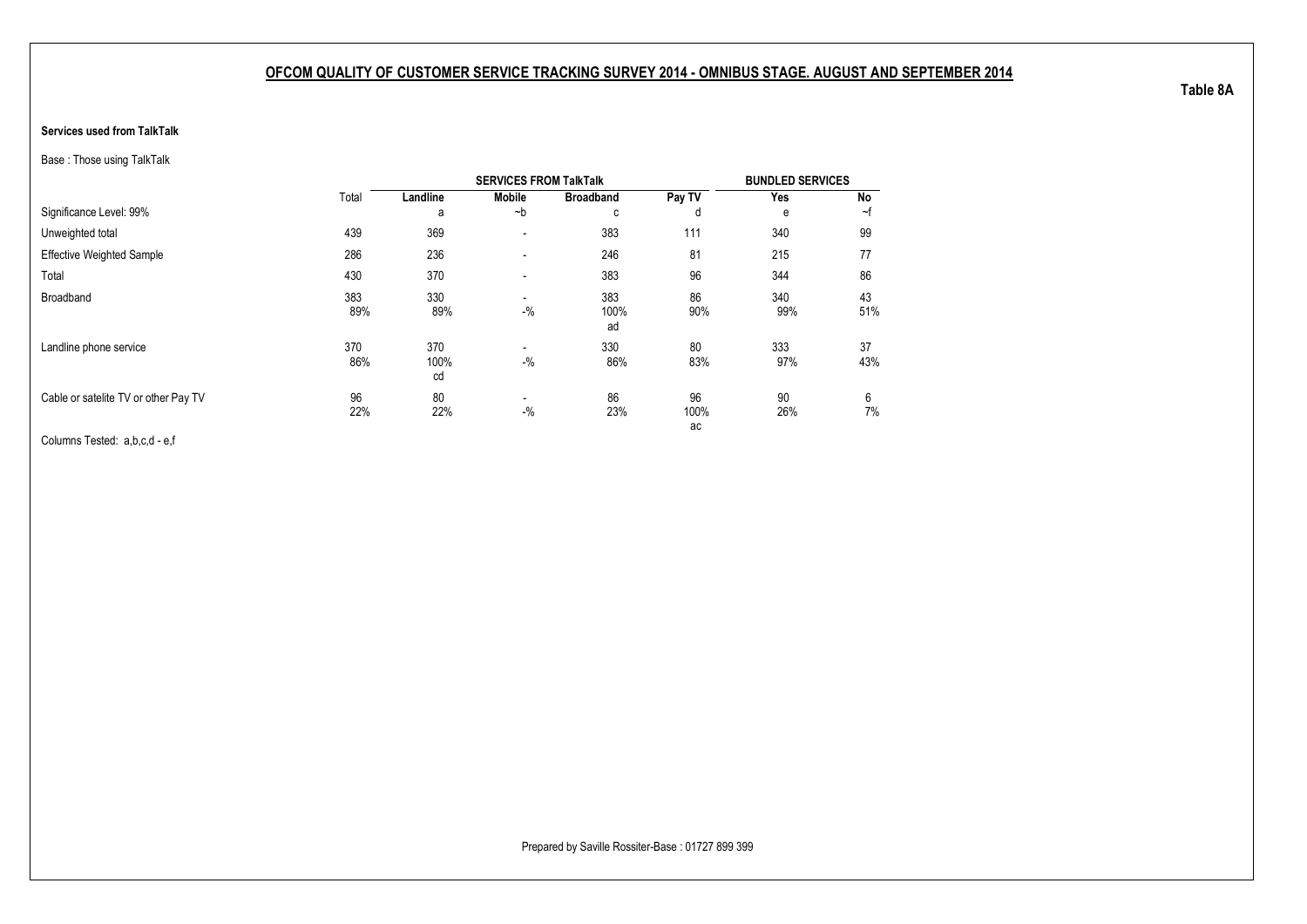#### **Services used from TalkTalk**

Base : Those using TalkTalk

|                                      |            |                   | <b>SERVICES FROM TalkTalk</b>     |                   |                  | <b>BUNDLED SERVICES</b> |           |
|--------------------------------------|------------|-------------------|-----------------------------------|-------------------|------------------|-------------------------|-----------|
|                                      | Total      | Landline          | <b>Mobile</b>                     | <b>Broadband</b>  | Pay TV           | Yes                     | No        |
| Significance Level: 99%              |            | a                 | $-b$                              | с                 | d                | e                       | ~f        |
| Unweighted total                     | 439        | 369               | $\overline{\phantom{a}}$          | 383               | 111              | 340                     | 99        |
| <b>Effective Weighted Sample</b>     | 286        | 236               | $\blacksquare$                    | 246               | 81               | 215                     | 77        |
| Total                                | 430        | 370               | $\overline{\phantom{a}}$          | 383               | 96               | 344                     | 86        |
| Broadband                            | 383<br>89% | 330<br>89%        | $\blacksquare$<br>$-$ %           | 383<br>100%<br>ad | 86<br>90%        | 340<br>99%              | 43<br>51% |
| Landline phone service               | 370<br>86% | 370<br>100%<br>cd | $\overline{\phantom{a}}$<br>$-$ % | 330<br>86%        | 80<br>83%        | 333<br>97%              | 37<br>43% |
| Cable or satelite TV or other Pay TV | 96<br>22%  | 80<br>22%         | $\blacksquare$<br>$-$ %           | 86<br>23%         | 96<br>100%<br>ac | 90<br>26%               | 6<br>7%   |

Columns Tested: a,b,c,d - e,f

**Table 8A**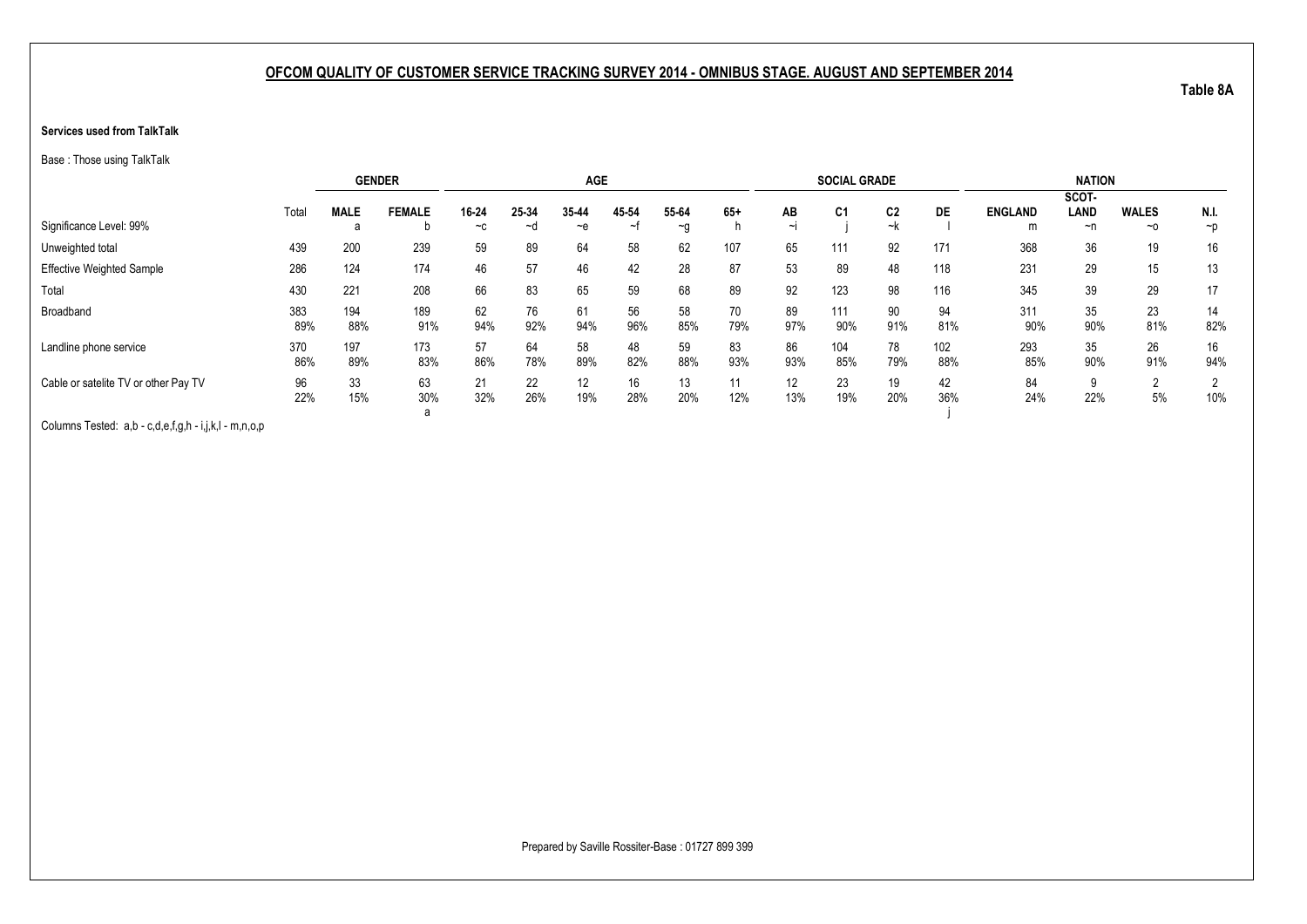#### **Services used from TalkTalk**

Base : Those using TalkTalk

|                                      |            |             | <b>GENDER</b>  |           |           | <b>AGE</b> |           |           |           |           | <b>SOCIAL GRADE</b> |                |            |                | <b>NATION</b>        |              |           |
|--------------------------------------|------------|-------------|----------------|-----------|-----------|------------|-----------|-----------|-----------|-----------|---------------------|----------------|------------|----------------|----------------------|--------------|-----------|
|                                      | Total      | <b>MALE</b> | <b>FEMALE</b>  | 16-24     | 25-34     | 35-44      | 45-54     | 55-64     | $65+$     | AB        | C <sub>1</sub>      | C <sub>2</sub> | DE         | <b>ENGLAND</b> | SCOT-<br><b>LAND</b> | <b>WALES</b> | N.I.      |
| Significance Level: 99%              |            | a           | b              | $-c$      | ∼d        | $-e$       | ∼1        | $-a$      |           | $\sim$    |                     | ~k             |            | m              | ~n                   | $\sim$ o     | $\neg p$  |
| Unweighted total                     | 439        | 200         | 239            | 59        | 89        | 64         | 58        | 62        | 107       | 65        | 111                 | 92             | 171        | 368            | 36                   | 19           | 16        |
| <b>Effective Weighted Sample</b>     | 286        | 124         | 174            | 46        | 57        | 46         | 42        | 28        | 87        | 53        | 89                  | 48             | 118        | 231            | 29                   | 15           | 13        |
| Total                                | 430        | 221         | 208            | 66        | 83        | 65         | 59        | 68        | 89        | 92        | 123                 | 98             | 116        | 345            | 39                   | 29           | 17        |
| Broadband                            | 383<br>89% | 194<br>88%  | 189<br>91%     | 62<br>94% | 76<br>92% | 61<br>94%  | 56<br>96% | 58<br>85% | 70<br>79% | 89<br>97% | 111<br>90%          | 90<br>91%      | 94<br>81%  | 311<br>90%     | 35<br>90%            | 23<br>81%    | 14<br>82% |
| Landline phone service               | 370<br>86% | 197<br>89%  | 173<br>83%     | 57<br>86% | 64<br>78% | 58<br>89%  | 48<br>82% | 59<br>88% | 83<br>93% | 86<br>93% | 104<br>85%          | 78<br>79%      | 102<br>88% | 293<br>85%     | 35<br>90%            | 26<br>91%    | 16<br>94% |
| Cable or satelite TV or other Pay TV | 96<br>22%  | 33<br>15%   | 63<br>30%<br>а | 21<br>32% | 22<br>26% | 12<br>19%  | 16<br>28% | 13<br>20% | 11<br>12% | 12<br>13% | 23<br>19%           | 19<br>20%      | 42<br>36%  | 84<br>24%      | 9<br>22%             | 2<br>5%      | 10%       |

Columns Tested: a,b - c,d,e,f,g,h - i,j,k,l - m,n,o,p

**Table 8A**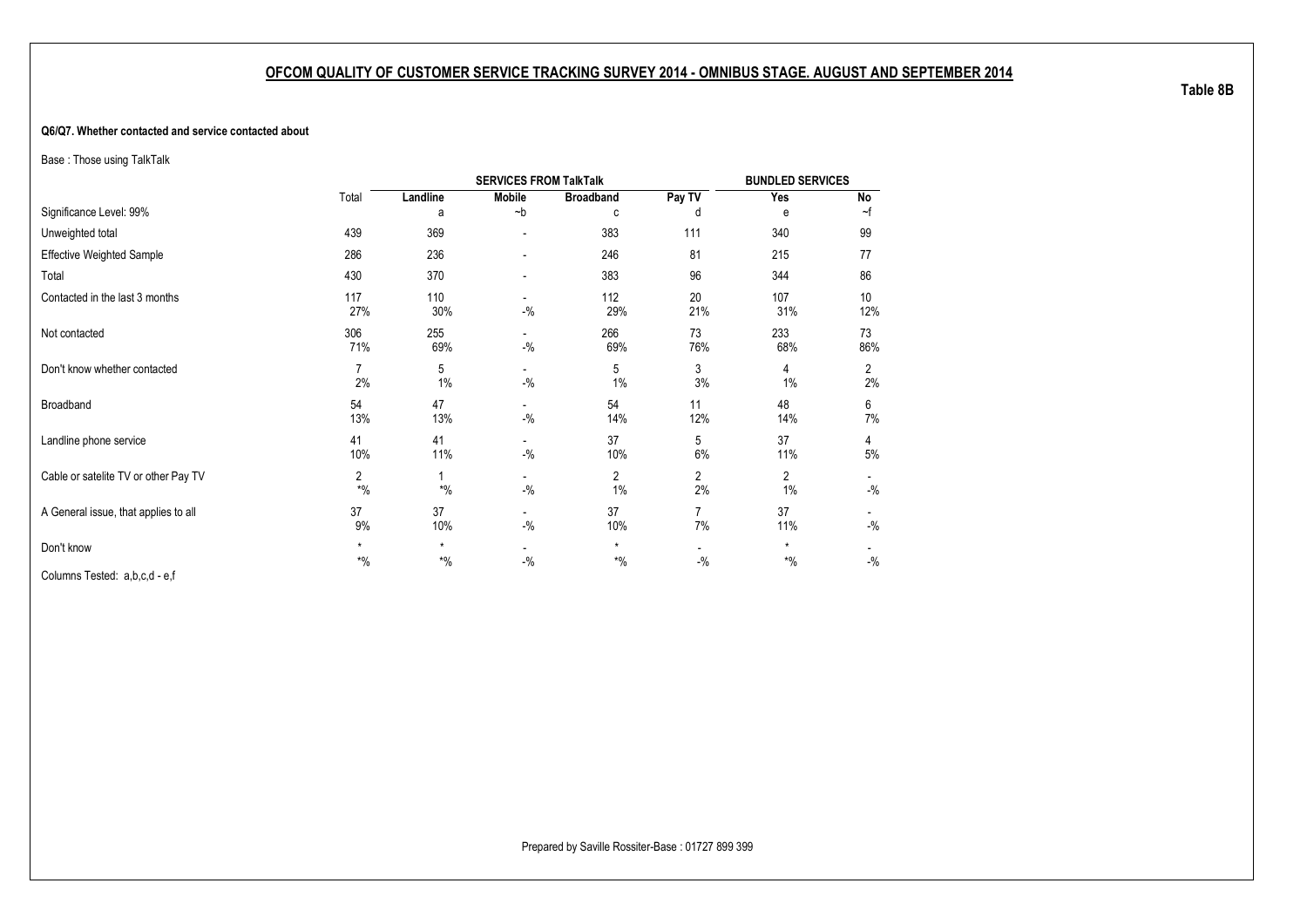#### **Q6/Q7. Whether contacted and service contacted about**

Base : Those using TalkTalk

|                                      |                  |                  | <b>SERVICES FROM TalkTalk</b>      |                   |                                   | <b>BUNDLED SERVICES</b> |                      |
|--------------------------------------|------------------|------------------|------------------------------------|-------------------|-----------------------------------|-------------------------|----------------------|
|                                      | Total            | Landline         | <b>Mobile</b>                      | <b>Broadband</b>  | Pay TV                            | Yes                     | No                   |
| Significance Level: 99%              |                  | a                | $-b$                               | C                 | d                                 | е                       | ~f                   |
| Unweighted total                     | 439              | 369              | $\overline{a}$                     | 383               | 111                               | 340                     | 99                   |
| <b>Effective Weighted Sample</b>     | 286              | 236              | ٠                                  | 246               | 81                                | 215                     | 77                   |
| Total                                | 430              | 370              | ٠                                  | 383               | 96                                | 344                     | 86                   |
| Contacted in the last 3 months       | 117<br>27%       | 110<br>30%       | $\overline{\phantom{a}}$<br>$-$ %  | 112<br>29%        | 20<br>21%                         | 107<br>31%              | 10<br>12%            |
| Not contacted                        | 306<br>71%       | 255<br>69%       | $\overline{\phantom{0}}$<br>$-$ %  | 266<br>69%        | 73<br>76%                         | 233<br>68%              | 73<br>86%            |
| Don't know whether contacted         | 7<br>2%          | 5<br>1%          | $\overline{\phantom{a}}$<br>$-9/6$ | 5<br>1%           | 3<br>3%                           | 4<br>1%                 | $\overline{2}$<br>2% |
| Broadband                            | 54<br>13%        | 47<br>13%        | $\overline{\phantom{a}}$<br>$-9/6$ | 54<br>14%         | 11<br>12%                         | 48<br>14%               | 6<br>7%              |
| Landline phone service               | 41<br>10%        | 41<br>11%        | $-$ %                              | 37<br>10%         | 5<br>6%                           | 37<br>11%               | 4<br>5%              |
| Cable or satelite TV or other Pay TV | 2<br>$*$ %       | $*$ %            | $\overline{\phantom{a}}$<br>$-$ %  | 2<br>1%           | $\overline{2}$<br>2%              | 2<br>1%                 | $-$ %                |
| A General issue, that applies to all | 37<br>9%         | 37<br>10%        | $\overline{\phantom{0}}$<br>$-$ %  | 37<br>10%         | 7<br>7%                           | 37<br>11%               | $-$ %                |
| Don't know                           | $\star$<br>$*$ % | $\star$<br>$*$ % | $\overline{\phantom{a}}$<br>$-$ %  | $\star$<br>$*9/0$ | $\overline{\phantom{a}}$<br>$-$ % | $\star$<br>$*9/6$       | $-$ %                |
| Columns Tested: a,b,c,d - e,f        |                  |                  |                                    |                   |                                   |                         |                      |

**Table 8B**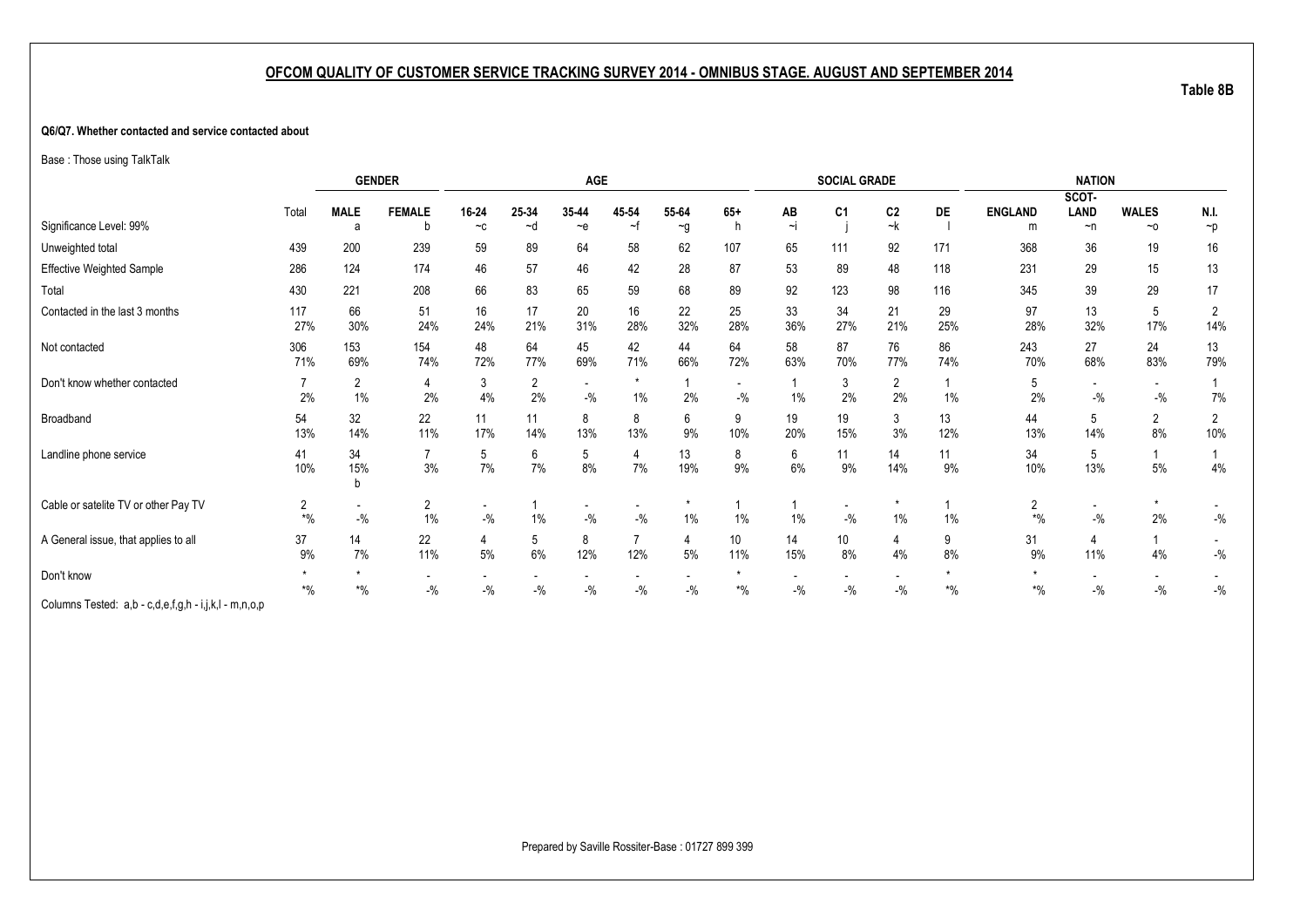#### **Q6/Q7. Whether contacted and service contacted about**

Base : Those using TalkTalk

|                                                       |                                |                                   | <b>GENDER</b>                     |                                     |                             | AGE                               |                                   |           |                                   |           | <b>SOCIAL GRADE</b>               |                                   |           |                         | <b>NATION</b>                     |                                   |                                     |
|-------------------------------------------------------|--------------------------------|-----------------------------------|-----------------------------------|-------------------------------------|-----------------------------|-----------------------------------|-----------------------------------|-----------|-----------------------------------|-----------|-----------------------------------|-----------------------------------|-----------|-------------------------|-----------------------------------|-----------------------------------|-------------------------------------|
|                                                       |                                | <b>MALE</b>                       | <b>FEMALE</b>                     | 16-24                               | 25-34                       | 35-44                             | 45-54                             | 55-64     | $65+$                             |           |                                   | C <sub>2</sub>                    | DE        | <b>ENGLAND</b>          | SCOT-<br>LAND                     | <b>WALES</b>                      | N.I.                                |
| Significance Level: 99%                               | Total                          | a                                 | b                                 | $-c$                                | ~d                          | $-e$                              | ~t                                | $\sim g$  | h                                 | AB<br>~i  | C <sub>1</sub>                    | ~k                                |           | m                       | $\neg$ n                          | $~\sim$ 0                         | $\neg p$                            |
| Unweighted total                                      | 439                            | 200                               | 239                               | 59                                  | 89                          | 64                                | 58                                | 62        | 107                               | 65        | 111                               | 92                                | 171       | 368                     | 36                                | 19                                | 16                                  |
| <b>Effective Weighted Sample</b>                      | 286                            | 124                               | 174                               | 46                                  | 57                          | 46                                | 42                                | 28        | 87                                | 53        | 89                                | 48                                | 118       | 231                     | 29                                | 15                                | 13                                  |
| Total                                                 | 430                            | 221                               | 208                               | 66                                  | 83                          | 65                                | 59                                | 68        | 89                                | 92        | 123                               | 98                                | 116       | 345                     | 39                                | 29                                | 17                                  |
| Contacted in the last 3 months                        | 117<br>27%                     | 66<br>30%                         | 51<br>24%                         | 16<br>24%                           | 17<br>21%                   | 20<br>31%                         | 16<br>28%                         | 22<br>32% | 25<br>28%                         | 33<br>36% | 34<br>27%                         | 21<br>21%                         | 29<br>25% | 97<br>28%               | 13<br>32%                         | 5<br>17%                          | $\overline{2}$<br>14%               |
| Not contacted                                         | 306<br>71%                     | 153<br>69%                        | 154<br>74%                        | 48<br>72%                           | 64<br>77%                   | 45<br>69%                         | 42<br>71%                         | 44<br>66% | 64<br>72%                         | 58<br>63% | 87<br>70%                         | 76<br>77%                         | 86<br>74% | 243<br>70%              | 27<br>68%                         | 24<br>83%                         | 13<br>79%                           |
| Don't know whether contacted                          | 2%                             | $\overline{2}$<br>$1\%$           | 4<br>2%                           | 3<br>4%                             | $\mathbf{2}^{\prime}$<br>2% | $\overline{\phantom{a}}$<br>$-$ % | $\star$<br>1%                     | 2%        | $\overline{\phantom{a}}$<br>$-$ % | $1\%$     | 3<br>2%                           | $\overline{2}$<br>2%              | 1%        | 5<br>2%                 | $\overline{\phantom{a}}$<br>$-$ % | $\overline{\phantom{a}}$<br>$-$ % | 7%                                  |
| Broadband                                             | 54<br>13%                      | 32<br>14%                         | 22<br>11%                         | 11<br>17%                           | 11<br>14%                   | 8<br>13%                          | 8<br>13%                          | 6<br>9%   | 9<br>10%                          | 19<br>20% | 19<br>15%                         | 3<br>3%                           | 13<br>12% | 44<br>13%               | 5<br>14%                          | 2<br>8%                           | $\overline{2}$<br>10%               |
| Landline phone service                                | 41<br>10%                      | 34<br>15%<br>h                    | $\overline{7}$<br>3%              | 5<br>7%                             | 6<br>7%                     | 5<br>8%                           | 4<br>7%                           | 13<br>19% | 8<br>9%                           | 6<br>6%   | 11<br>9%                          | 14<br>14%                         | 11<br>9%  | 34<br>10%               | 5<br>13%                          | $5%$                              | $\mathbf{1}$<br>$4\%$               |
| Cable or satelite TV or other Pay TV                  | 2<br>$*9/6$                    | $\overline{\phantom{a}}$<br>$-$ % | 2<br>$1\%$                        | $\overline{\phantom{a}}$<br>$-$ %   | 1%                          | $-$ %                             | $-$ %                             | $1\%$     | 1%                                | 1%        | $-$ %                             | $\star$<br>$1\%$                  | 1%        | $\overline{2}$<br>$*$ % | $\overline{\phantom{a}}$<br>$-$ % | $\star$<br>2%                     | $-$ %                               |
| A General issue, that applies to all                  | 37<br>9%                       | 14<br>7%                          | 22<br>11%                         | 4<br>$5\%$                          | 5<br>6%                     | 8<br>12%                          | 12%                               | 4<br>5%   | 10 <sup>°</sup><br>11%            | 14<br>15% | 10<br>8%                          | 4<br>4%                           | 9<br>8%   | 31<br>9%                | 4<br>11%                          | 4%                                | $\overline{\phantom{a}}$<br>$-{\%}$ |
| Don't know                                            | $\boldsymbol{*}0\!/\!\!{}_{0}$ | $\boldsymbol{*}0\!/\!_0$          | $\overline{\phantom{a}}$<br>$-$ % | $\overline{\phantom{a}}$<br>$-{\%}$ | $-9/6$                      | $\overline{\phantom{a}}$<br>$-$ % | $\overline{\phantom{a}}$<br>$-$ % | $-9/6$    | $*$ %                             | $ \%$     | $\overline{\phantom{a}}$<br>$-$ % | $\overline{\phantom{a}}$<br>$-$ % | $*$ %     | $*$ %                   | $\overline{\phantom{a}}$<br>$-$ % | $\sim$<br>$-$ %                   | $-$ %                               |
| Columns Tested: a,b - c,d,e,f,g,h - i,j,k,l - m,n,o,p |                                |                                   |                                   |                                     |                             |                                   |                                   |           |                                   |           |                                   |                                   |           |                         |                                   |                                   |                                     |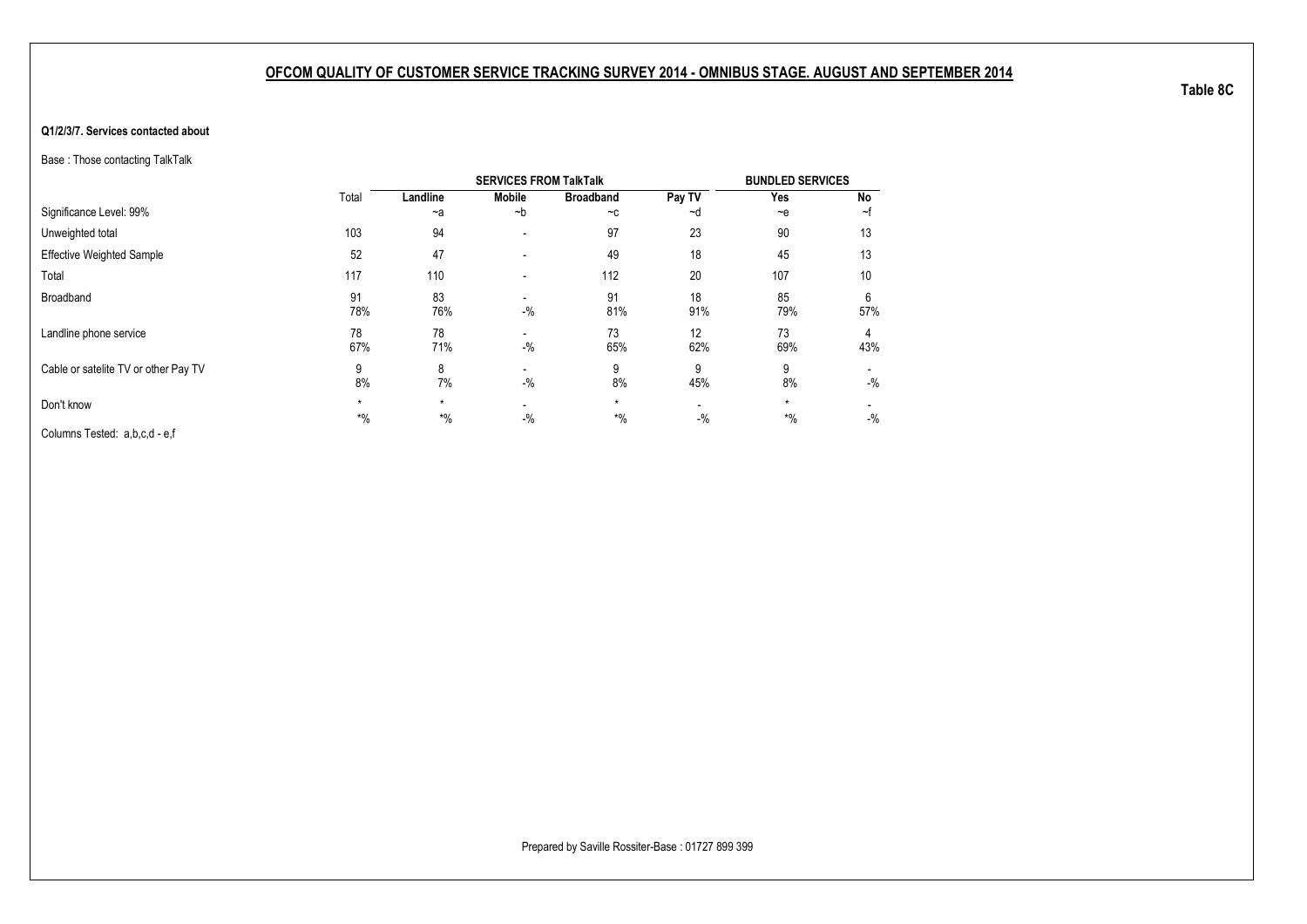#### **Q1/2/3/7. Services contacted about**

Base : Those contacting TalkTalk

|                                      |                  |                  | <b>SERVICES FROM TalkTalk</b> |                  |                                   | <b>BUNDLED SERVICES</b> |          |
|--------------------------------------|------------------|------------------|-------------------------------|------------------|-----------------------------------|-------------------------|----------|
|                                      | Total            | Landline         | <b>Mobile</b>                 | <b>Broadband</b> | Pay TV                            | Yes                     | No       |
| Significance Level: 99%              |                  | $-a$             | $-b$                          | $-c$             | ~d                                | $-$ e                   | ~f       |
| Unweighted total                     | 103              | 94               | $\overline{\phantom{a}}$      | 97               | 23                                | 90                      | 13       |
| <b>Effective Weighted Sample</b>     | 52               | 47               | $\overline{\phantom{a}}$      | 49               | 18                                | 45                      | 13       |
| Total                                | 117              | 110              | $\blacksquare$                | 112              | 20                                | 107                     | 10       |
| Broadband                            | 91<br>78%        | 83<br>76%        | $-$ %                         | 91<br>81%        | 18<br>91%                         | 85<br>79%               | 6<br>57% |
| Landline phone service               | 78<br>67%        | 78<br>71%        | $-$ %                         | 73<br>65%        | 12<br>62%                         | 73<br>69%               | 4<br>43% |
| Cable or satelite TV or other Pay TV | 9<br>8%          | 8<br>7%          | $-$ %                         | 9<br>8%          | 9<br>45%                          | 9<br>8%                 | $-$ %    |
| Don't know                           | $\star$<br>$*$ % | $\star$<br>$*$ % | $-$ %                         | $\star$<br>$*$ % | $\overline{\phantom{0}}$<br>$-$ % | $\star$<br>$*$ %        | $-$ %    |
| Columns Tested: a,b,c,d - e,f        |                  |                  |                               |                  |                                   |                         |          |

**Table 8C**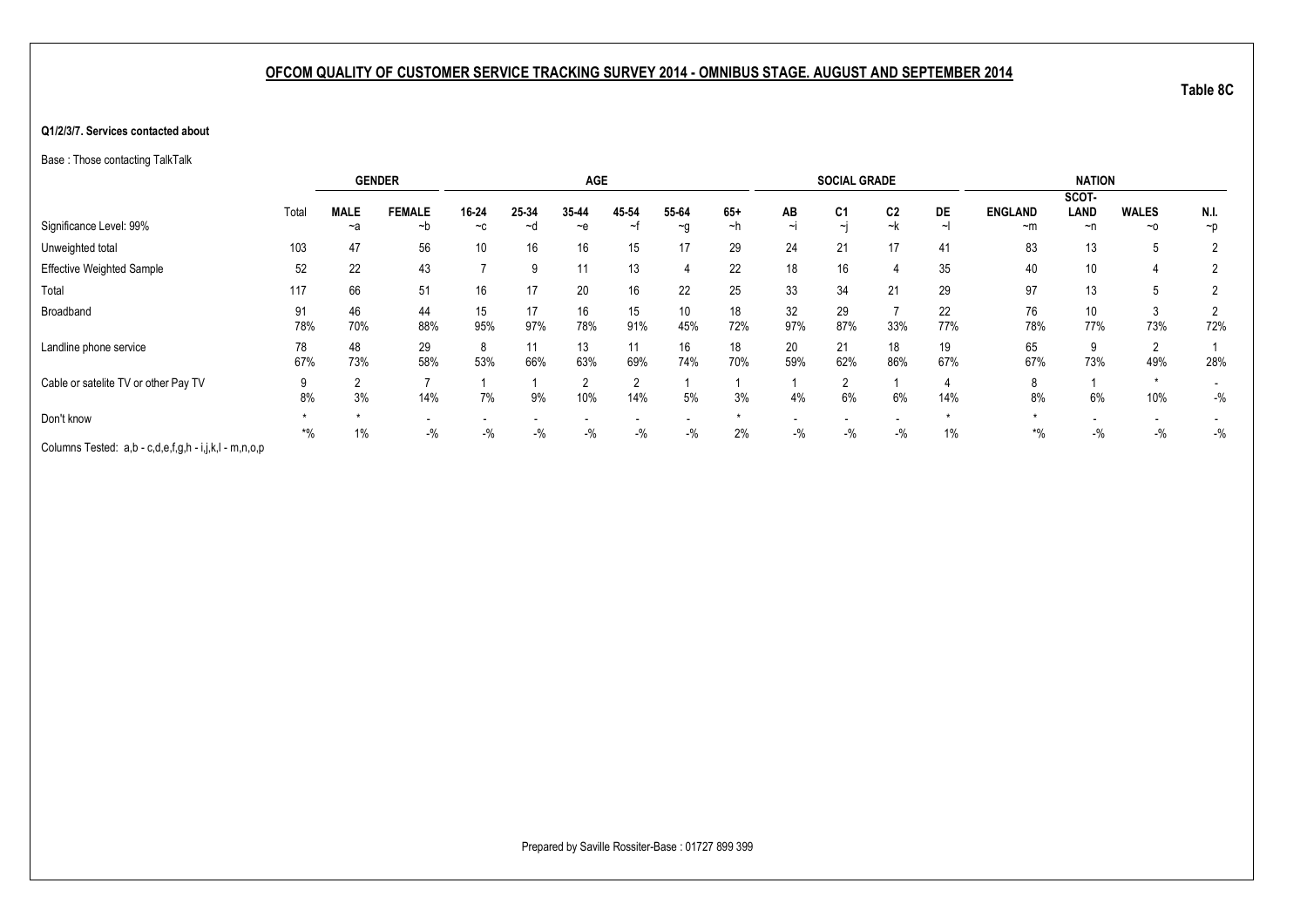#### **Q1/2/3/7. Services contacted about**

Base : Those contacting TalkTalk

|                                                       |         |             | <b>GENDER</b>  |       |       | <b>AGE</b>     |       |          |       |          | <b>SOCIAL GRADE</b> |                |     |                | <b>NATION</b> |              |                          |
|-------------------------------------------------------|---------|-------------|----------------|-------|-------|----------------|-------|----------|-------|----------|---------------------|----------------|-----|----------------|---------------|--------------|--------------------------|
|                                                       |         |             |                |       |       |                |       |          |       |          |                     |                |     |                | SCOT-         |              |                          |
|                                                       | Total   | <b>MALE</b> | <b>FEMALE</b>  | 16-24 | 25-34 | 35-44          | 45-54 | 55-64    | $65+$ | AB       | C <sub>1</sub>      | C <sub>2</sub> | DE  | <b>ENGLAND</b> | <b>LAND</b>   | <b>WALES</b> | N.I.                     |
| Significance Level: 99%                               |         | ~a          | ~b             | $-c$  | ∼d    | $-e$           | ~†    | $\sim g$ | ∼h    | $\sim$ I | $\sim$              | ~k             | ∼∣  | $~\sim$ m      | ~n            | $~\sim$ 0    | $\neg p$                 |
| Unweighted total                                      | 103     | 47          | 56             | 10    | 16    | 16             | 15    | 17       | 29    | 24       | 21                  | 17             | 41  | 83             | 13            |              |                          |
| <b>Effective Weighted Sample</b>                      | 52      | 22          | 43             |       |       | 11             | 13    | 4        | 22    | 18       | 16                  |                | 35  | 40             | 10            |              |                          |
| Total                                                 | 117     | 66          | 51             | 16    | 17    | 20             | 16    | 22       | 25    | 33       | 34                  | 21             | 29  | 97             | 13            | 5            | 2                        |
| Broadband                                             | 91      | 46          | 44             | 15    | 17    | 16             | 15    | 10       | 18    | 32       | 29                  |                | 22  | 76             | 10            |              |                          |
|                                                       | 78%     | 70%         | 88%            | 95%   | 97%   | 78%            | 91%   | 45%      | 72%   | 97%      | 87%                 | 33%            | 77% | 78%            | 77%           | 73%          | 72%                      |
| Landline phone service                                | 78      | 48          | 29             | 8     |       | 13             | 11    | 16       | 18    | 20       | 21                  | 18             | 19  | 65             | 9             |              |                          |
|                                                       | 67%     | 73%         | 58%            | 53%   | 66%   | 63%            | 69%   | 74%      | 70%   | 59%      | 62%                 | 86%            | 67% | 67%            | 73%           | 49%          | 28%                      |
| Cable or satelite TV or other Pay TV                  | 9       |             | $\overline{ }$ |       |       | $\overline{2}$ | റ     |          |       |          |                     |                |     | 8              |               |              | $\overline{\phantom{0}}$ |
|                                                       | 8%      | 3%          | 14%            | 7%    | 9%    | 10%            | 14%   | 5%       | 3%    | 4%       | 6%                  | 6%             | 14% | 8%             | 6%            | 10%          | $-$ %                    |
| Don't know                                            |         |             |                |       |       |                |       |          |       |          |                     |                |     |                |               |              |                          |
|                                                       | $^{*0}$ | $1\%$       | $-$ %          | $-$ % | $-$ % | $-$ %          | $-$ % | $-$ %    | 2%    | $-$ %    | $-$ %               | $-$ %          | 1%  | $*$ %          | $-$ %         | $-$ %        | $-$ %                    |
| Columns Tested: a,b - c,d,e,f,g,h - i,j,k,l - m,n,o,p |         |             |                |       |       |                |       |          |       |          |                     |                |     |                |               |              |                          |

**Table 8C**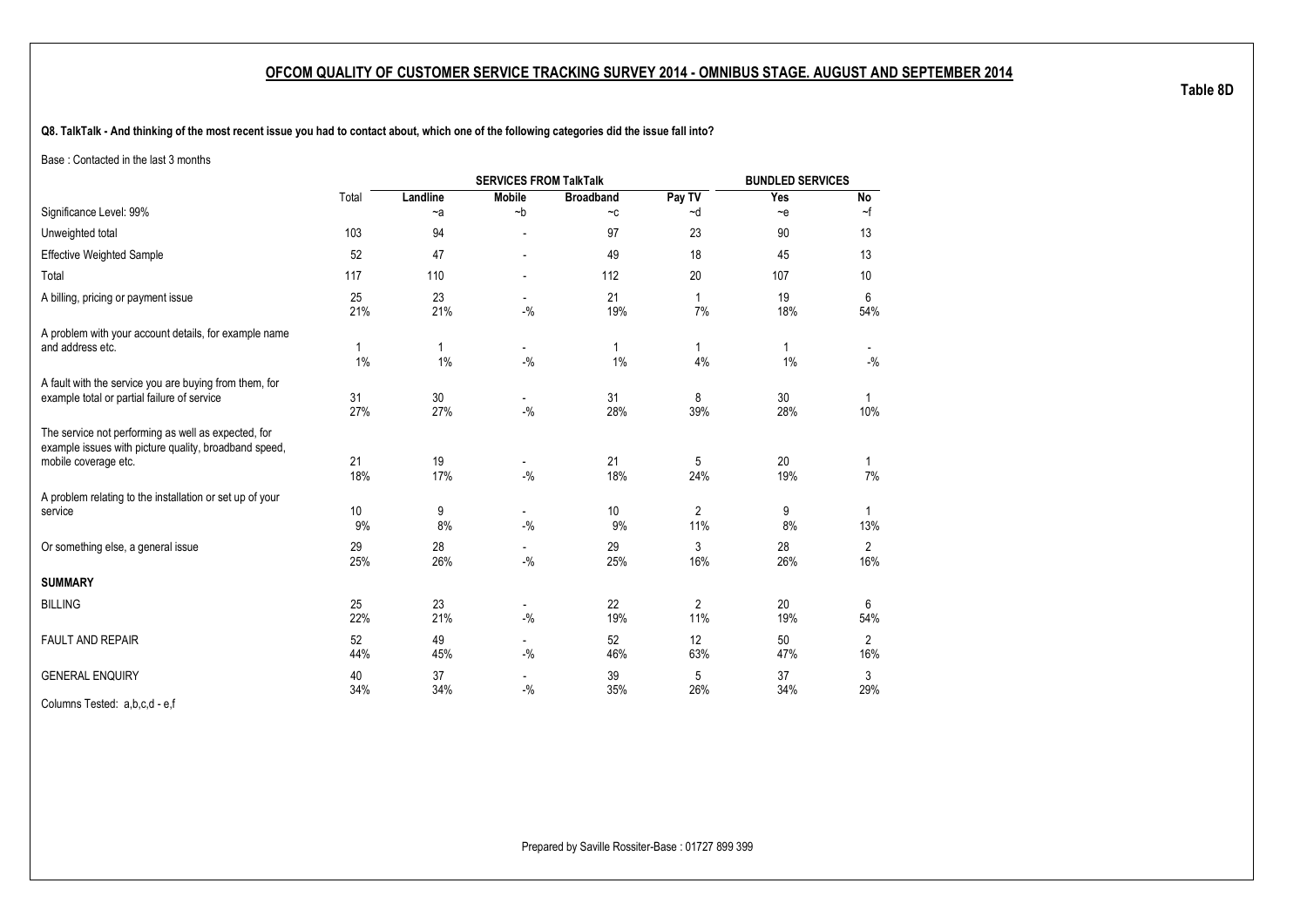**Q8. TalkTalk - And thinking of the most recent issue you had to contact about, which one of the following categories did the issue fall into?**

Base : Contacted in the last 3 months

|                                                                                                                                      |           |           |                                   | <b>BUNDLED SERVICES</b>     |                       |                    |                       |
|--------------------------------------------------------------------------------------------------------------------------------------|-----------|-----------|-----------------------------------|-----------------------------|-----------------------|--------------------|-----------------------|
|                                                                                                                                      | Total     | Landline  | <b>Mobile</b>                     | <b>Broadband</b>            | Pay TV                | Yes                | No                    |
| Significance Level: 99%                                                                                                              |           | $-a$      | $-b$                              | $\mathord{\sim} \mathtt{C}$ | ~d                    | $\sim e$           | $\sim$ f              |
| Unweighted total                                                                                                                     | 103       | 94        |                                   | 97                          | 23                    | 90                 | 13                    |
| <b>Effective Weighted Sample</b>                                                                                                     | 52        | 47        |                                   | 49                          | 18                    | 45                 | 13                    |
| Total                                                                                                                                | 117       | 110       | $\overline{a}$                    | 112                         | 20                    | 107                | 10                    |
| A billing, pricing or payment issue                                                                                                  | 25<br>21% | 23<br>21% | $-$ %                             | 21<br>19%                   | 1<br>7%               | 19<br>18%          | 6<br>54%              |
| A problem with your account details, for example name<br>and address etc.                                                            | 1<br>1%   | 1<br>1%   | $-9/6$                            | $\mathbf{1}$<br>1%          | $\mathbf{1}$<br>4%    | $\mathbf{1}$<br>1% | $-{\%}$               |
| A fault with the service you are buying from them, for<br>example total or partial failure of service                                | 31<br>27% | 30<br>27% | $-9/6$                            | 31<br>28%                   | 8<br>39%              | 30<br>28%          | $\mathbf{1}$<br>10%   |
| The service not performing as well as expected, for<br>example issues with picture quality, broadband speed,<br>mobile coverage etc. | 21<br>18% | 19<br>17% | $-9/6$                            | 21<br>18%                   | 5<br>24%              | 20<br>19%          | $\mathbf{1}$<br>7%    |
| A problem relating to the installation or set up of your<br>service                                                                  | 10<br>9%  | 9<br>8%   | $\sim$<br>$-$ %                   | 10<br>9%                    | $\overline{2}$<br>11% | 9<br>8%            | $\mathbf{1}$<br>13%   |
| Or something else, a general issue                                                                                                   | 29<br>25% | 28<br>26% | $-9/6$                            | 29<br>25%                   | 3<br>16%              | 28<br>26%          | $\overline{2}$<br>16% |
| <b>SUMMARY</b>                                                                                                                       |           |           |                                   |                             |                       |                    |                       |
| <b>BILLING</b>                                                                                                                       | 25<br>22% | 23<br>21% | $-9/6$                            | 22<br>19%                   | $\overline{2}$<br>11% | 20<br>19%          | 6<br>54%              |
| <b>FAULT AND REPAIR</b>                                                                                                              | 52<br>44% | 49<br>45% | $\overline{\phantom{a}}$<br>$-$ % | 52<br>46%                   | 12<br>63%             | 50<br>47%          | $\overline{2}$<br>16% |
| <b>GENERAL ENQUIRY</b>                                                                                                               | 40<br>34% | 37<br>34% | $-$ %                             | 39<br>35%                   | 5<br>26%              | 37<br>34%          | 3<br>29%              |
| _ _ _ _                                                                                                                              |           |           |                                   |                             |                       |                    |                       |

Columns Tested: a,b,c,d - e,f

**Table 8D**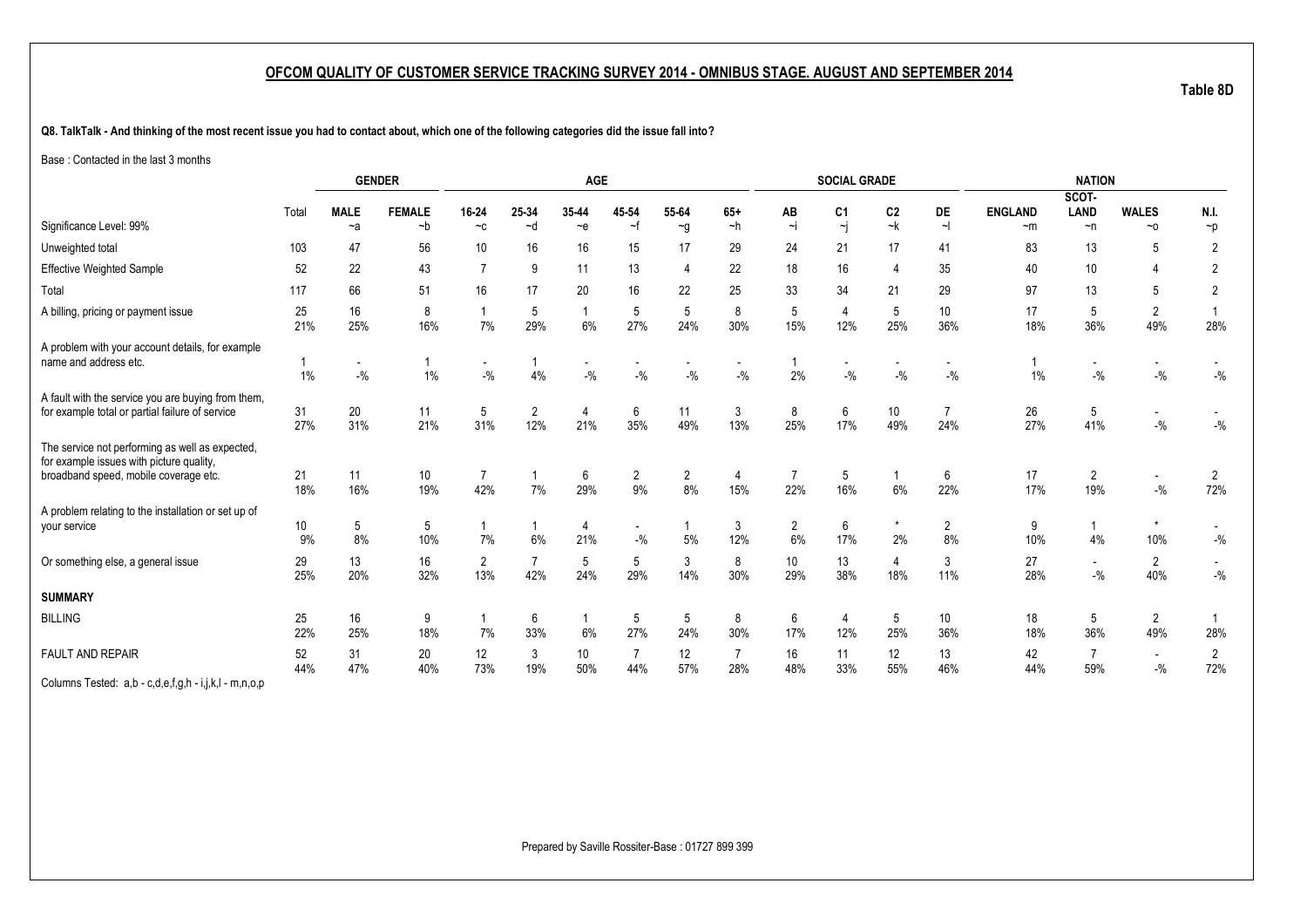**Q8. TalkTalk - And thinking of the most recent issue you had to contact about, which one of the following categories did the issue fall into?**

Base : Contacted in the last 3 months

|                                                                                                                                      |           |                                   | <b>GENDER</b>         |                                   |             | AGE                               |                       |                   |                         |                        | <b>SOCIAL GRADE</b>                       |                      |                        |                        | <b>NATION</b>                      |                                    |                       |
|--------------------------------------------------------------------------------------------------------------------------------------|-----------|-----------------------------------|-----------------------|-----------------------------------|-------------|-----------------------------------|-----------------------|-------------------|-------------------------|------------------------|-------------------------------------------|----------------------|------------------------|------------------------|------------------------------------|------------------------------------|-----------------------|
|                                                                                                                                      |           |                                   |                       |                                   |             |                                   |                       |                   |                         |                        |                                           |                      |                        |                        | SCOT-                              |                                    |                       |
| Significance Level: 99%                                                                                                              | Total     | <b>MALE</b><br>$-a$               | <b>FEMALE</b><br>$-b$ | 16-24<br>$-c$                     | 25-34<br>~d | 35-44<br>$-e$                     | 45 54<br>$-f$         | 55-64<br>$\sim g$ | $65+$<br>$-h$           | AB<br>∼i               | C <sub>1</sub><br>$\overline{\mathbf{y}}$ | C <sub>2</sub><br>~k | <b>DE</b><br>$\sim$    | <b>ENGLAND</b><br>$-m$ | <b>LAND</b><br>$\neg$ n            | <b>WALES</b><br>$~\sim$ 0          | N.I.<br>$\neg p$      |
| Unweighted total                                                                                                                     | 103       | 47                                | 56                    | 10 <sup>°</sup>                   | 16          | 16                                | 15                    | 17                | 29                      | 24                     | 21                                        | 17                   | 41                     | 83                     | 13                                 | 5                                  | 2                     |
| Effective Weighted Sample                                                                                                            | 52        | 22                                | 43                    | $\overline{7}$                    | 9           | 11                                | 13                    | $\overline{4}$    | 22                      | 18                     | 16                                        |                      | 35                     | 40                     | 10                                 | 4                                  | $\overline{2}$        |
| Total                                                                                                                                | 117       | 66                                | 51                    | 16                                | 17          | 20                                | 16                    | 22                | 25                      | 33                     | 34                                        | 21                   | 29                     | 97                     | 13                                 | 5                                  | $\overline{2}$        |
| A billing, pricing or payment issue                                                                                                  | 25<br>21% | 16<br>25%                         | 8<br>16%              | 7%                                | 5<br>29%    | $\overline{1}$<br>6%              | 5<br>27%              | 5<br>24%          | 8<br>30%                | 5<br>15%               | $\overline{4}$<br>12%                     | 5<br>25%             | 10 <sup>°</sup><br>36% | 17<br>18%              | 5<br>36%                           | $\overline{2}$<br>49%              | 28%                   |
| A problem with your account details, for example<br>name and address etc.                                                            | 1%        | $\overline{\phantom{a}}$<br>$-$ % | $1\%$                 | $\overline{\phantom{a}}$<br>$-$ % | 4%          | $\overline{\phantom{a}}$<br>$-$ % | $-$ %                 | $-9/6$            | $\blacksquare$<br>$-$ % | 2%                     | $\blacksquare$<br>$-9/6$                  | $-9/6$               | $-$ %                  | 1%                     | $\overline{\phantom{a}}$<br>$-9/6$ | $\overline{\phantom{a}}$<br>$-$ %  | $-$ %                 |
| A fault with the service you are buying from them,<br>for example total or partial failure of service                                | 31<br>27% | 20<br>31%                         | 11<br>21%             | 5<br>31%                          | 2<br>12%    | $\overline{4}$<br>21%             | 6<br>35%              | 11<br>49%         | 3<br>13%                | 8<br>25%               | 6<br>17%                                  | 10<br>49%            | 24%                    | 26<br>27%              | 5<br>41%                           | $\sim$<br>$-9/6$                   | $-$ %                 |
| The service not performing as well as expected,<br>for example issues with picture quality,<br>broadband speed, mobile coverage etc. | 21<br>18% | 11<br>16%                         | 10<br>19%             | $\overline{7}$<br>42%             | 7%          | 6<br>29%                          | $\overline{c}$<br>9%  | 2<br>8%           | 4<br>15%                | $\overline{7}$<br>22%  | 5<br>16%                                  | $6\%$                | 6<br>22%               | 17<br>17%              | $\overline{2}$<br>19%              | $\overline{\phantom{a}}$<br>$-9/6$ | $\overline{2}$<br>72% |
| A problem relating to the installation or set up of<br>your service                                                                  | 10<br>9%  | 5<br>8%                           | 5<br>10%              | 7%                                | 6%          | 4<br>21%                          | $-$ %                 | 5%                | 3<br>12%                | $\overline{2}$<br>6%   | 6<br>17%                                  | 2%                   | $\overline{2}$<br>8%   | 9<br>10%               | 4%                                 | $\star$<br>10%                     | $-$ %                 |
| Or something else, a general issue                                                                                                   | 29<br>25% | 13<br>20%                         | 16<br>32%             | 2<br>13%                          | 7<br>42%    | 5<br>24%                          | 5<br>29%              | 3<br>14%          | 8<br>30%                | 10 <sup>°</sup><br>29% | 13<br>38%                                 | 4<br>18%             | 3<br>11%               | 27<br>28%              | $\overline{\phantom{a}}$<br>$-$ %  | $\overline{2}$<br>40%              | $-{\%}$               |
| <b>SUMMARY</b>                                                                                                                       |           |                                   |                       |                                   |             |                                   |                       |                   |                         |                        |                                           |                      |                        |                        |                                    |                                    |                       |
| <b>BILLING</b>                                                                                                                       | 25<br>22% | 16<br>25%                         | 9<br>18%              | 7%                                | 6<br>33%    | 6%                                | 5<br>27%              | 5<br>24%          | 8<br>30%                | 6<br>17%               | 4<br>12%                                  | 5<br>25%             | 10 <sup>°</sup><br>36% | 18<br>18%              | 5<br>36%                           | $\overline{2}$<br>49%              | 28%                   |
| <b>FAULT AND REPAIR</b>                                                                                                              | 52<br>44% | 31<br>47%                         | 20<br>40%             | 12<br>73%                         | 3<br>19%    | 10<br>50%                         | $\overline{7}$<br>44% | 12<br>57%         | $\overline{7}$<br>28%   | 16<br>48%              | 11<br>33%                                 | 12<br>55%            | 13<br>46%              | 42<br>44%              | $\overline{7}$<br>59%              | $\overline{\phantom{a}}$<br>$-$ %  | $\overline{2}$<br>72% |
| Columns Tested: a,b - c,d,e,f,g,h - i,j,k,l - m,n,o,p                                                                                |           |                                   |                       |                                   |             |                                   |                       |                   |                         |                        |                                           |                      |                        |                        |                                    |                                    |                       |

Prepared by Saville Rossiter-Base : 01727 899 399

**Table 8D**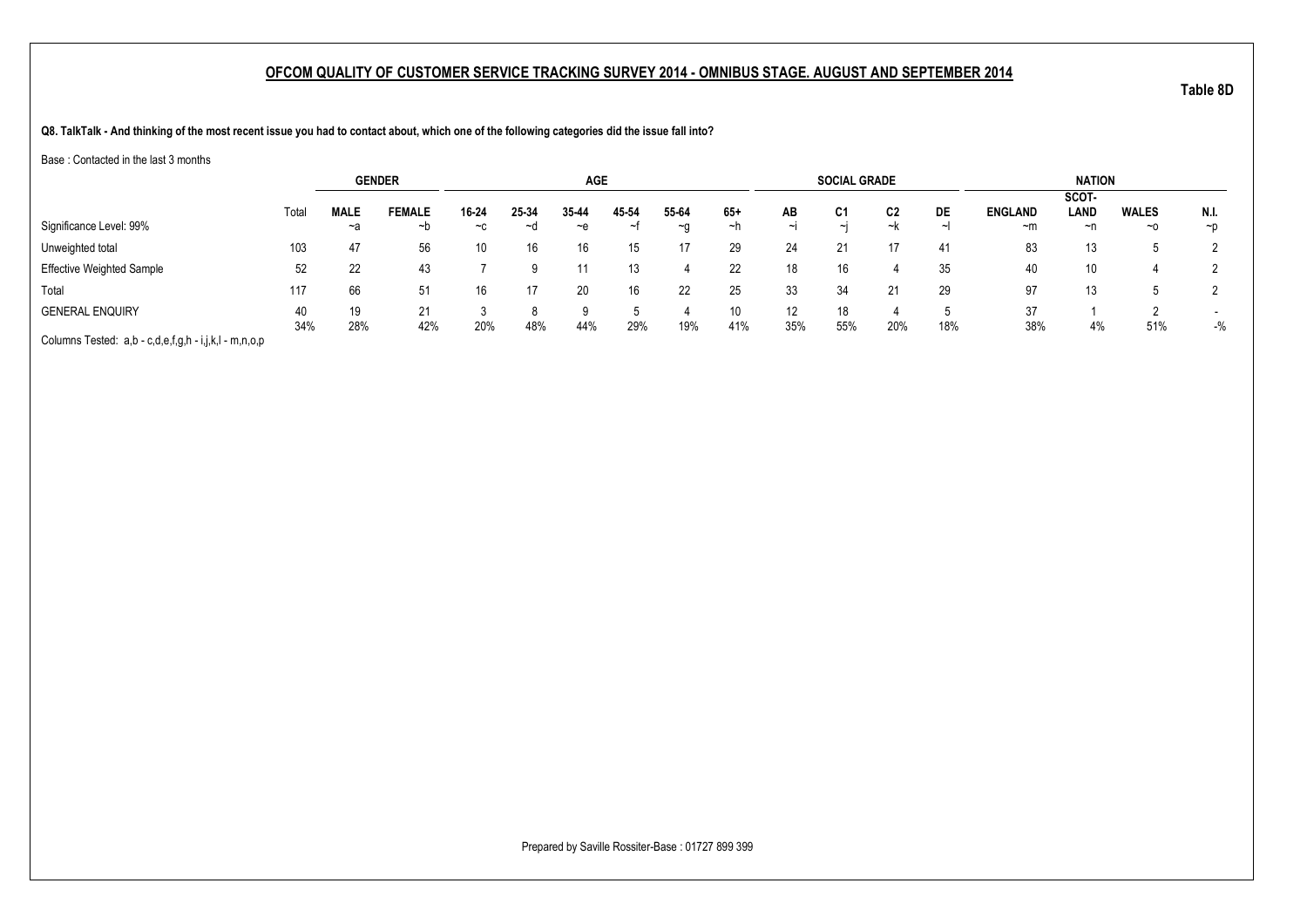**Q8. TalkTalk - And thinking of the most recent issue you had to contact about, which one of the following categories did the issue fall into?**

Base : Contacted in the last 3 months

|                                                       |           | <b>GENDER</b>     |               |               |             | <b>AGE</b>    |             |               |             |           | <b>SOCIAL GRADE</b> |          |     |                        | <b>NATION</b> |                           |                  |
|-------------------------------------------------------|-----------|-------------------|---------------|---------------|-------------|---------------|-------------|---------------|-------------|-----------|---------------------|----------|-----|------------------------|---------------|---------------------------|------------------|
|                                                       |           |                   | <b>FEMALE</b> |               |             |               |             |               |             |           |                     |          |     |                        | SCOT-<br>LAND |                           |                  |
| Significance Level: 99%                               | Total     | <b>MALE</b><br>~a | ∼b            | 16-24<br>$-c$ | 25-34<br>~⊴ | 35-44<br>$-e$ | 45-54<br>~↑ | 55-64<br>$-a$ | $65+$<br>∼h | AB<br>ا~ا | C1<br>$\sim$ I      | C2<br>~k | DE  | <b>ENGLAND</b><br>$-m$ | ~n            | <b>WALES</b><br>$~\sim$ 0 | N.I.<br>$\neg$ D |
| Unweighted total                                      | 103       | 47                | 56            | 10            | 16          | 16            | 15          | 17            | 29          | 24        |                     |          | -41 | 83                     | 13            |                           |                  |
| <b>Effective Weighted Sample</b>                      | 52        | 22                | 43            |               |             |               | 13          | 4             | 22          | 18        | 16                  |          | 35  | 40                     | 10            |                           |                  |
| Total                                                 | 117       | 66                | 51            | 16            | 17          | 20            | 16          | 22            | 25          | 33        | 34                  |          | 29  | 97                     | 13            |                           |                  |
| <b>GENERAL ENQUIRY</b>                                | 40<br>34% | 19<br>28%         | 21<br>42%     | 20%           | 48%         | 44%           | 29%         | 19%           | 10<br>41%   | 12<br>35% | 18<br>55%           | 20%      | 18% | 37<br>38%              | 4%            | 51%                       | $-$ %            |
| Columns Tested: a,b - c,d,e,f,g,h - i,j,k,l - m,n,o,p |           |                   |               |               |             |               |             |               |             |           |                     |          |     |                        |               |                           |                  |

Prepared by Saville Rossiter-Base : 01727 899 399

**Table 8D**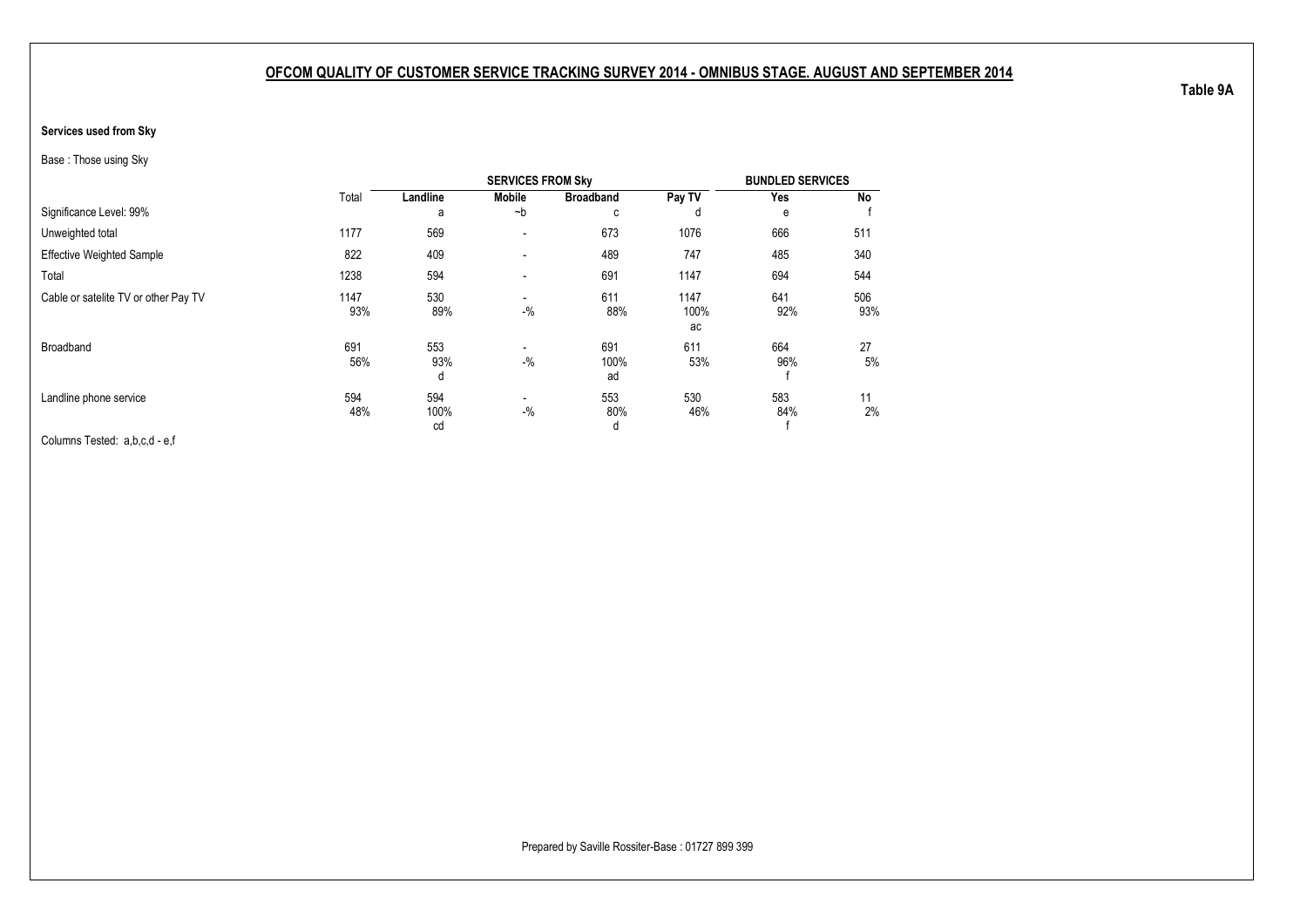#### **Services used from Sky**

Base : Those using Sky

|                                      |             |                   | <b>SERVICES FROM Sky</b> |                   |                    | <b>BUNDLED SERVICES</b> |            |
|--------------------------------------|-------------|-------------------|--------------------------|-------------------|--------------------|-------------------------|------------|
|                                      | Total       | Landline          | <b>Mobile</b>            | <b>Broadband</b>  | Pay TV             | Yes                     | No         |
| Significance Level: 99%              |             | a                 | $-b$                     | с                 | d                  | е                       |            |
| Unweighted total                     | 1177        | 569               | $\overline{\phantom{a}}$ | 673               | 1076               | 666                     | 511        |
| <b>Effective Weighted Sample</b>     | 822         | 409               | $\blacksquare$           | 489               | 747                | 485                     | 340        |
| Total                                | 1238        | 594               | $\blacksquare$           | 691               | 1147               | 694                     | 544        |
| Cable or satelite TV or other Pay TV | 1147<br>93% | 530<br>89%        | $\blacksquare$<br>$-$ %  | 611<br>88%        | 1147<br>100%<br>ac | 641<br>92%              | 506<br>93% |
| Broadband                            | 691<br>56%  | 553<br>93%<br>d   | $\blacksquare$<br>$-$ %  | 691<br>100%<br>ad | 611<br>53%         | 664<br>96%              | 27<br>5%   |
| Landline phone service               | 594<br>48%  | 594<br>100%<br>cd | $\blacksquare$<br>$-$ %  | 553<br>80%<br>d   | 530<br>46%         | 583<br>84%              | 11<br>2%   |

Columns Tested: a,b,c,d - e,f

**Table 9A**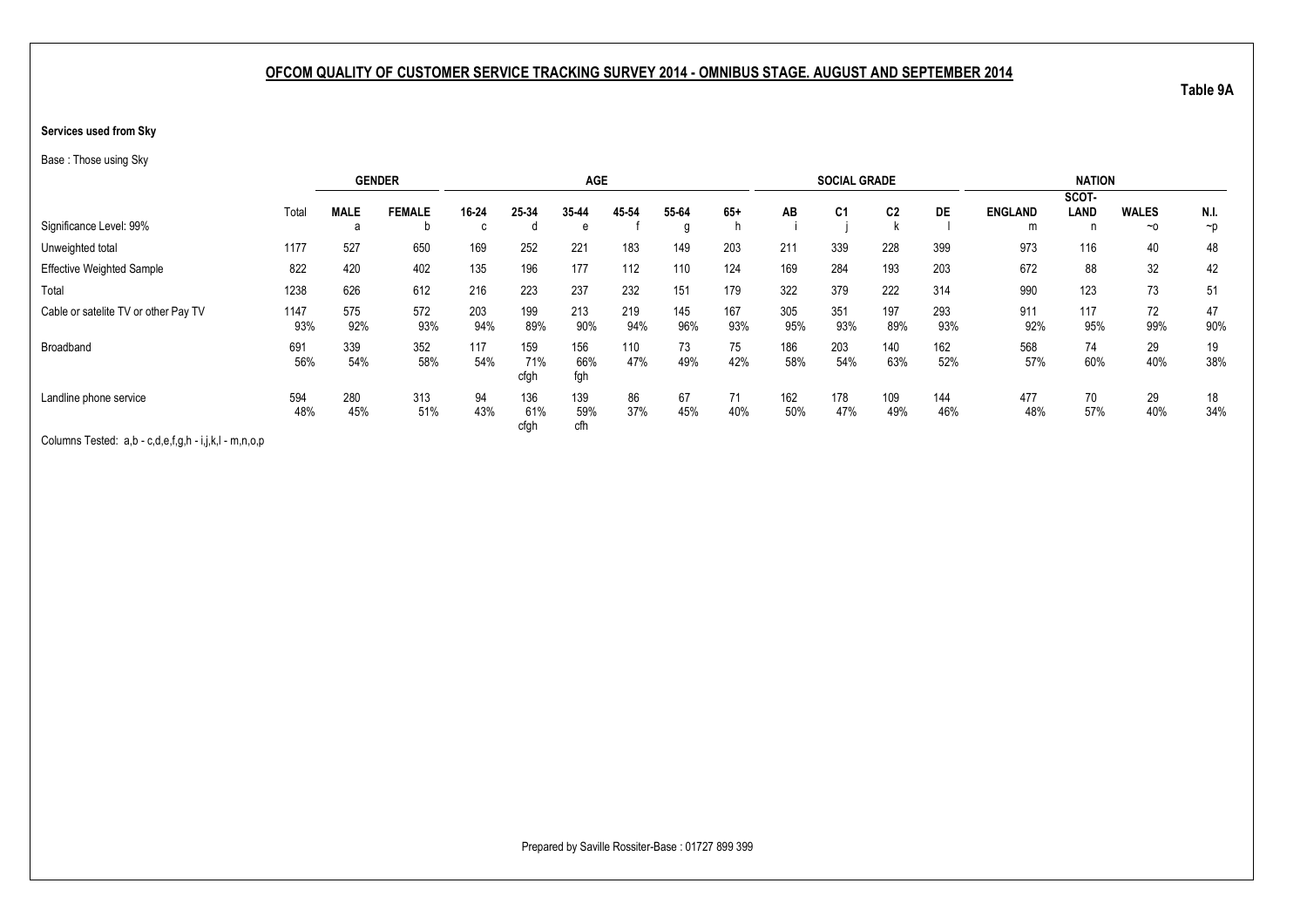#### **Services used from Sky**

Base : Those using Sky

|                                      |       |             | <b>GENDER</b> |       |       | <b>AGE</b> |       |       |       |     | <b>SOCIAL GRADE</b> |                |           |                | <b>NATION</b> |              |          |
|--------------------------------------|-------|-------------|---------------|-------|-------|------------|-------|-------|-------|-----|---------------------|----------------|-----------|----------------|---------------|--------------|----------|
|                                      |       |             |               |       |       |            |       |       |       |     |                     |                |           |                | SCOT-         |              |          |
|                                      | Total | <b>MALE</b> | <b>FEMALE</b> | 16-24 | 25-34 | 35-44      | 45 54 | 55-64 | $65+$ | AB  | C <sub>1</sub>      | C <sub>2</sub> | <b>DE</b> | <b>ENGLAND</b> | LAND          | <b>WALES</b> | N.I.     |
| Significance Level: 99%              |       | d           |               |       | d     | e          |       | g     |       |     |                     |                |           | m              | n             | $~\sim$ 0    | $\neg p$ |
| Unweighted total                     | 1177  | 527         | 650           | 169   | 252   | 221        | 183   | 149   | 203   | 211 | 339                 | 228            | 399       | 973            | 116           | 40           | 48       |
| <b>Effective Weighted Sample</b>     | 822   | 420         | 402           | 135   | 196   | 177        | 112   | 110   | 124   | 169 | 284                 | 193            | 203       | 672            | 88            | 32           | 42       |
| Total                                | 1238  | 626         | 612           | 216   | 223   | 237        | 232   | 151   | 179   | 322 | 379                 | 222            | 314       | 990            | 123           | 73           | 51       |
| Cable or satelite TV or other Pay TV | 1147  | 575         | 572           | 203   | 199   | 213        | 219   | 145   | 167   | 305 | 351                 | 197            | 293       | 911            | 117           | 72           | 47       |
|                                      | 93%   | 92%         | 93%           | 94%   | 89%   | 90%        | 94%   | 96%   | 93%   | 95% | 93%                 | 89%            | 93%       | 92%            | 95%           | 99%          | 90%      |
| Broadband                            | 691   | 339         | 352           | 117   | 159   | 156        | 110   | 73    | 75    | 186 | 203                 | 140            | 162       | 568            | 74            | 29           | 19       |
|                                      | 56%   | 54%         | 58%           | 54%   | 71%   | 66%        | 47%   | 49%   | 42%   | 58% | 54%                 | 63%            | 52%       | 57%            | 60%           | 40%          | 38%      |
|                                      |       |             |               |       | cfgh  | fgh        |       |       |       |     |                     |                |           |                |               |              |          |
| Landline phone service               | 594   | 280         | 313           | 94    | 136   | 139        | 86    | 67    | 71    | 162 | 178                 | 109            | 144       | 477            | 70            | 29           | 18       |
|                                      | 48%   | 45%         | 51%           | 43%   | 61%   | 59%        | 37%   | 45%   | 40%   | 50% | 47%                 | 49%            | 46%       | 48%            | 57%           | 40%          | 34%      |
|                                      |       |             |               |       | cfgh  | cfh        |       |       |       |     |                     |                |           |                |               |              |          |

Columns Tested: a,b - c,d,e,f,g,h - i,j,k,l - m,n,o,p

**Table 9A**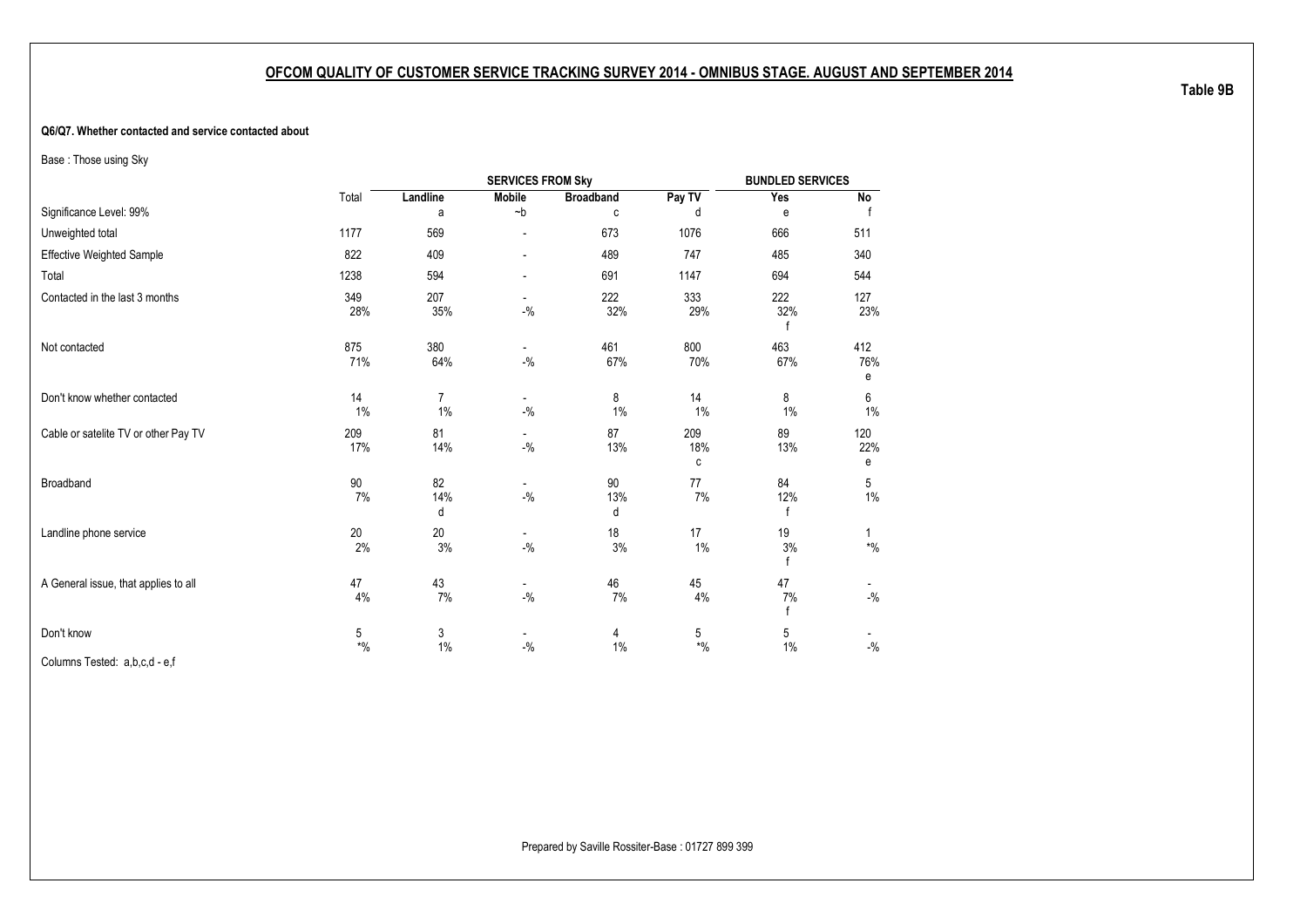#### **Q6/Q7. Whether contacted and service contacted about**

Base : Those using Sky

|                                      |              |                         | <b>SERVICES FROM Sky</b>                       |                  |                               | <b>BUNDLED SERVICES</b> |                                          |
|--------------------------------------|--------------|-------------------------|------------------------------------------------|------------------|-------------------------------|-------------------------|------------------------------------------|
|                                      | Total        | Landline                | <b>Mobile</b>                                  | <b>Broadband</b> | Pay TV                        | Yes                     | No                                       |
| Significance Level: 99%              |              | a                       | $\neg$ b                                       | C                | d                             | e                       |                                          |
| Unweighted total                     | 1177         | 569                     | $\overline{\phantom{a}}$                       | 673              | 1076                          | 666                     | 511                                      |
| <b>Effective Weighted Sample</b>     | 822          | 409                     | $\overline{\phantom{a}}$                       | 489              | 747                           | 485                     | 340                                      |
| Total                                | 1238         | 594                     |                                                | 691              | 1147                          | 694                     | 544                                      |
| Contacted in the last 3 months       | 349<br>28%   | 207<br>35%              | $\blacksquare$<br>$-{\%}$                      | 222<br>32%       | 333<br>29%                    | 222<br>32%              | 127<br>23%                               |
| Not contacted                        | 875<br>71%   | 380<br>64%              | $\blacksquare$<br>$-{\frac{0}{2}}/2$           | 461<br>67%       | 800<br>70%                    | 463<br>67%              | 412<br>76%<br>е                          |
| Don't know whether contacted         | 14<br>1%     | $\overline{7}$<br>$1\%$ | $-{\frac{0}{2}}/2$                             | 8<br>1%          | 14<br>1%                      | 8<br>$1\%$              | 6<br>$1\%$                               |
| Cable or satelite TV or other Pay TV | 209<br>17%   | 81<br>14%               | $\sim$<br>$-{\%}$                              | 87<br>13%        | 209<br>18%<br>с               | 89<br>13%               | 120<br>22%<br>е                          |
| Broadband                            | 90<br>7%     | 82<br>14%<br>d          | $\overline{\phantom{a}}$<br>$-{\frac{0}{2}}/2$ | 90<br>13%<br>d   | 77<br>7%                      | 84<br>12%<br>f          | 5<br>$1\%$                               |
| Landline phone service               | $20\,$<br>2% | 20<br>3%                | $\overline{\phantom{a}}$<br>$-{\frac{0}{2}}/2$ | 18<br>3%         | 17<br>$1\%$                   | 19<br>3%<br>f           | $\mathbf{1}$<br>$\boldsymbol{*}0\!/\!_0$ |
| A General issue, that applies to all | 47<br>4%     | 43<br>7%                | $-$ %                                          | 46<br>7%         | 45<br>4%                      | 47<br>7%<br>f           | $-{\frac{0}{2}}/2$                       |
| Don't know                           | 5<br>$*$ %   | 3<br>$1\%$              | $-$ %                                          | 4<br>$1\%$       | 5<br>$\boldsymbol{*}0\!/\!_0$ | 5<br>$1\%$              | $-9/6$                                   |

Columns Tested: a,b,c,d - e,f

**Table 9B**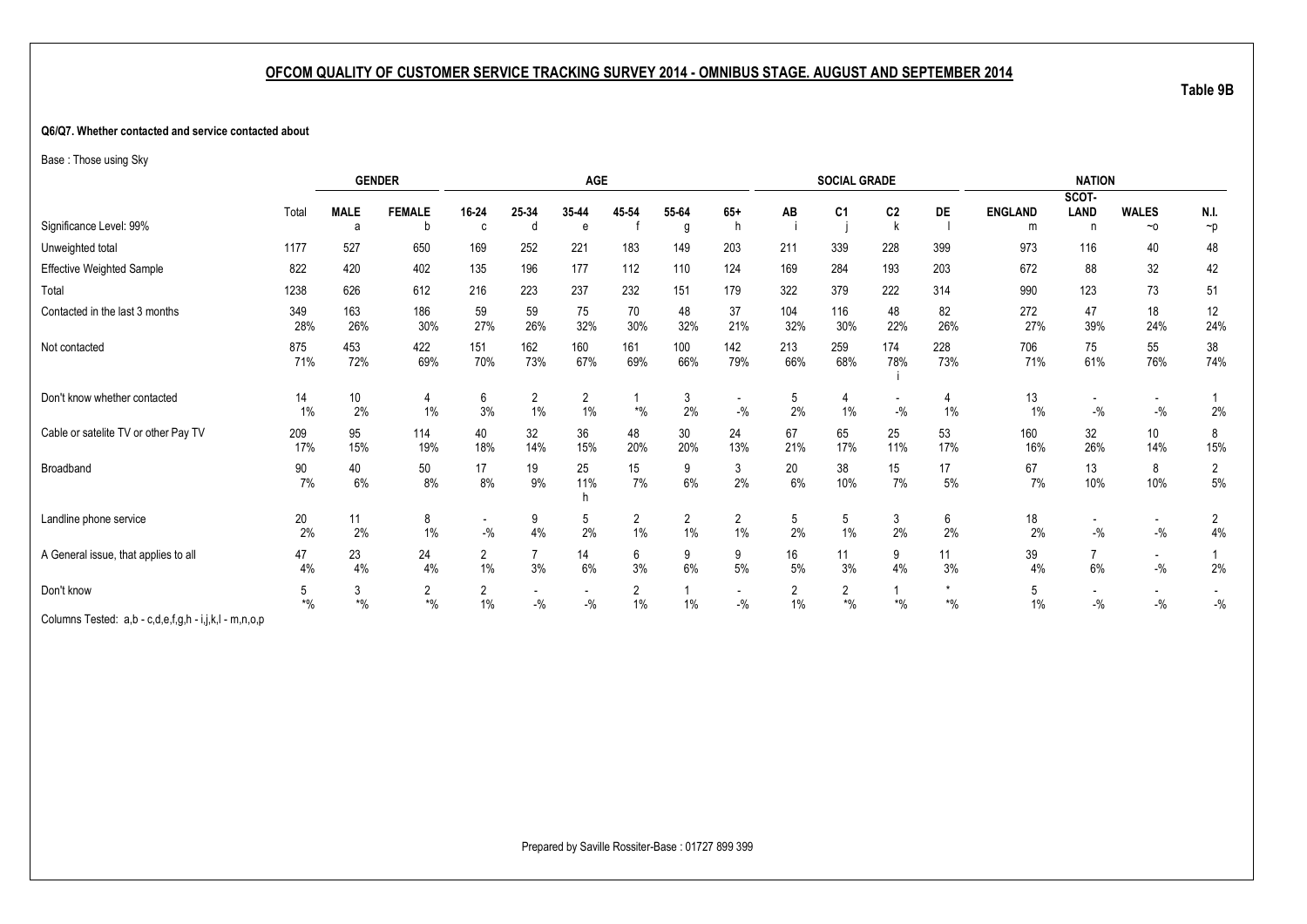#### **Q6/Q7. Whether contacted and service contacted about**

Base : Those using Sky

|                                      |            |             | <b>GENDER</b>           |                                     |                         | <b>AGE</b>                        |                         |                         |                                   |            | <b>SOCIAL GRADE</b> |                          |            |                | <b>NATION</b>                     |                                   |                         |
|--------------------------------------|------------|-------------|-------------------------|-------------------------------------|-------------------------|-----------------------------------|-------------------------|-------------------------|-----------------------------------|------------|---------------------|--------------------------|------------|----------------|-----------------------------------|-----------------------------------|-------------------------|
|                                      |            |             |                         |                                     |                         |                                   |                         |                         |                                   |            |                     |                          |            |                | SCOT-                             |                                   |                         |
|                                      | Total      | <b>MALE</b> | <b>FEMALE</b>           | 16-24                               | 25-34                   | 35-44                             | 45 54                   | 55-64                   | $65+$                             | AB         | C <sub>1</sub>      | C <sub>2</sub>           | DE         | <b>ENGLAND</b> | LAND                              | <b>WALES</b>                      | N.I.                    |
| Significance Level: 99%              |            | a           | b                       | C                                   | d                       | e                                 |                         | g                       | h                                 |            |                     |                          |            | m              | n                                 | $~\sim$ 0                         | $\neg p$                |
| Unweighted total                     | 1177       | 527         | 650                     | 169                                 | 252                     | 221                               | 183                     | 149                     | 203                               | 211        | 339                 | 228                      | 399        | 973            | 116                               | 40                                | 48                      |
| Effective Weighted Sample            | 822        | 420         | 402                     | 135                                 | 196                     | 177                               | 112                     | 110                     | 124                               | 169        | 284                 | 193                      | 203        | 672            | 88                                | 32                                | 42                      |
| Total                                | 1238       | 626         | 612                     | 216                                 | 223                     | 237                               | 232                     | 151                     | 179                               | 322        | 379                 | 222                      | 314        | 990            | 123                               | 73                                | 51                      |
| Contacted in the last 3 months       | 349<br>28% | 163<br>26%  | 186<br>30%              | 59<br>27%                           | 59<br>26%               | 75<br>32%                         | 70<br>30%               | 48<br>32%               | 37<br>21%                         | 104<br>32% | 116<br>30%          | 48<br>22%                | 82<br>26%  | 272<br>27%     | 47<br>39%                         | 18<br>24%                         | 12<br>24%               |
| Not contacted                        | 875<br>71% | 453<br>72%  | 422<br>69%              | 151<br>70%                          | 162<br>73%              | 160<br>67%                        | 161<br>69%              | 100<br>66%              | 142<br>79%                        | 213<br>66% | 259<br>68%          | 174<br>78%               | 228<br>73% | 706<br>71%     | 75<br>61%                         | 55<br>76%                         | $38\,$<br>74%           |
| Don't know whether contacted         | 14<br>1%   | 10<br>2%    | 4<br>$1\%$              | 6<br>3%                             | $\overline{2}$<br>$1\%$ | $\overline{2}$<br>1%              | $\boldsymbol{*}0\!/\!0$ | 3<br>2%                 | $\overline{\phantom{a}}$<br>$-$ % | 5<br>2%    | 4<br>1%             | -<br>$-$ %               | 4<br>1%    | 13<br>1%       | $\overline{\phantom{a}}$<br>$-$ % | $\overline{\phantom{a}}$<br>$-$ % | 2%                      |
| Cable or satelite TV or other Pay TV | 209<br>17% | 95<br>15%   | 114<br>19%              | 40<br>18%                           | 32<br>14%               | 36<br>15%                         | 48<br>20%               | 30<br>20%               | 24<br>13%                         | 67<br>21%  | 65<br>17%           | 25<br>11%                | 53<br>17%  | 160<br>16%     | 32<br>26%                         | 10 <sup>°</sup><br>14%            | 8<br>15%                |
| Broadband                            | 90<br>7%   | 40<br>6%    | 50<br>8%                | 17<br>8%                            | 19<br>9%                | 25<br>11%<br>h                    | 15<br>7%                | 9<br>$6\%$              | 3<br>2%                           | 20<br>6%   | 38<br>10%           | 15<br>7%                 | 17<br>$5%$ | 67<br>7%       | 13<br>10%                         | 8<br>10%                          | $\overline{c}$<br>$5\%$ |
| Landline phone service               | 20<br>2%   | 11<br>2%    | 8<br>1%                 | $\overline{\phantom{a}}$<br>$-{\%}$ | 9<br>4%                 | 5<br>2%                           | $\overline{2}$<br>1%    | $\overline{2}$<br>$1\%$ | $\overline{2}$<br>1%              | 5<br>2%    | 5<br>1%             | 3<br>2%                  | 6<br>2%    | 18<br>2%       | $\overline{\phantom{a}}$<br>$-$ % | $\overline{\phantom{a}}$<br>$-$ % | $\overline{2}$<br>4%    |
| A General issue, that applies to all | 47<br>4%   | 23<br>4%    | 24<br>4%                | 2<br>$1\%$                          | $\overline{7}$<br>3%    | 14<br>6%                          | 6<br>3%                 | 9<br>6%                 | 9<br>$5\%$                        | 16<br>5%   | 11<br>3%            | 9<br>4%                  | 11<br>3%   | 39<br>4%       | $\overline{7}$<br>6%              | $\overline{\phantom{a}}$<br>$-$ % | 2%                      |
| Don't know                           | 5<br>$*$ % | 3<br>$*$ %  | $\overline{2}$<br>$*$ % | $\overline{2}$<br>$1\%$             | $-$ %                   | $\overline{\phantom{a}}$<br>$-$ % | 2<br>$1\%$              | $1\%$                   | $\overline{\phantom{a}}$<br>$-$ % | 2<br>$1\%$ | 2<br>$*9/6$         | $\boldsymbol{*}0\!/\!_0$ | $*$ %      | 5<br>$1\%$     | $-$ %                             | $-$ %                             | $-$ %                   |
| Columns Tostad ab-cdafab-iikl-mnon   |            |             |                         |                                     |                         |                                   |                         |                         |                                   |            |                     |                          |            |                |                                   |                                   |                         |

Columns Tested: a,b - c,d,e,f,g,h - i,j,k,l - m,n,o,p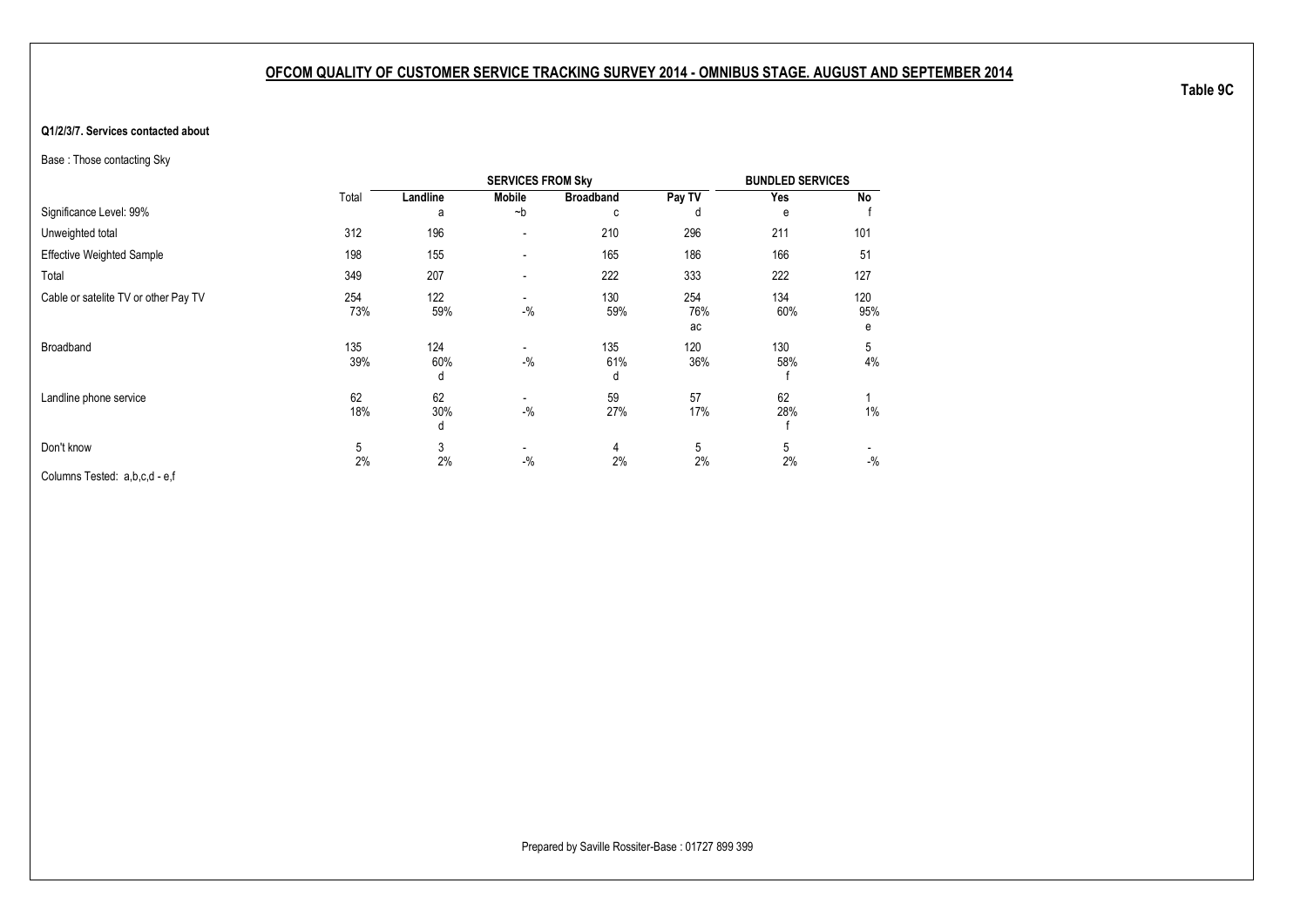#### **Q1/2/3/7. Services contacted about**

Base : Those contacting Sky

|                                      |            |                 | <b>SERVICES FROM Sky</b>          |                  |                  | <b>BUNDLED SERVICES</b> |                 |
|--------------------------------------|------------|-----------------|-----------------------------------|------------------|------------------|-------------------------|-----------------|
|                                      | Total      | Landline        | <b>Mobile</b>                     | <b>Broadband</b> | Pay TV           | Yes                     | No              |
| Significance Level: 99%              |            | a               | $-b$                              | c                | d                | e                       |                 |
| Unweighted total                     | 312        | 196             | $\blacksquare$                    | 210              | 296              | 211                     | 101             |
| <b>Effective Weighted Sample</b>     | 198        | 155             |                                   | 165              | 186              | 166                     | 51              |
| Total                                | 349        | 207             |                                   | 222              | 333              | 222                     | 127             |
| Cable or satelite TV or other Pay TV | 254<br>73% | 122<br>59%      | $-9/6$                            | 130<br>59%       | 254<br>76%<br>ac | 134<br>60%              | 120<br>95%<br>e |
| Broadband                            | 135<br>39% | 124<br>60%<br>đ | $\overline{\phantom{a}}$<br>$-$ % | 135<br>61%<br>d  | 120<br>36%       | 130<br>58%              | 5<br>4%         |
| Landline phone service               | 62<br>18%  | 62<br>30%<br>d  | $\blacksquare$<br>$-$ %           | 59<br>27%        | 57<br>17%        | 62<br>28%               | 1%              |
| Don't know                           | 5          | 3               | $\overline{\phantom{a}}$          | 4                | 5                | 5                       |                 |
| Columns Tested: a,b,c,d - e,f        | 2%         | 2%              | $-$ %                             | 2%               | 2%               | 2%                      | $-$ %           |

**Table 9C**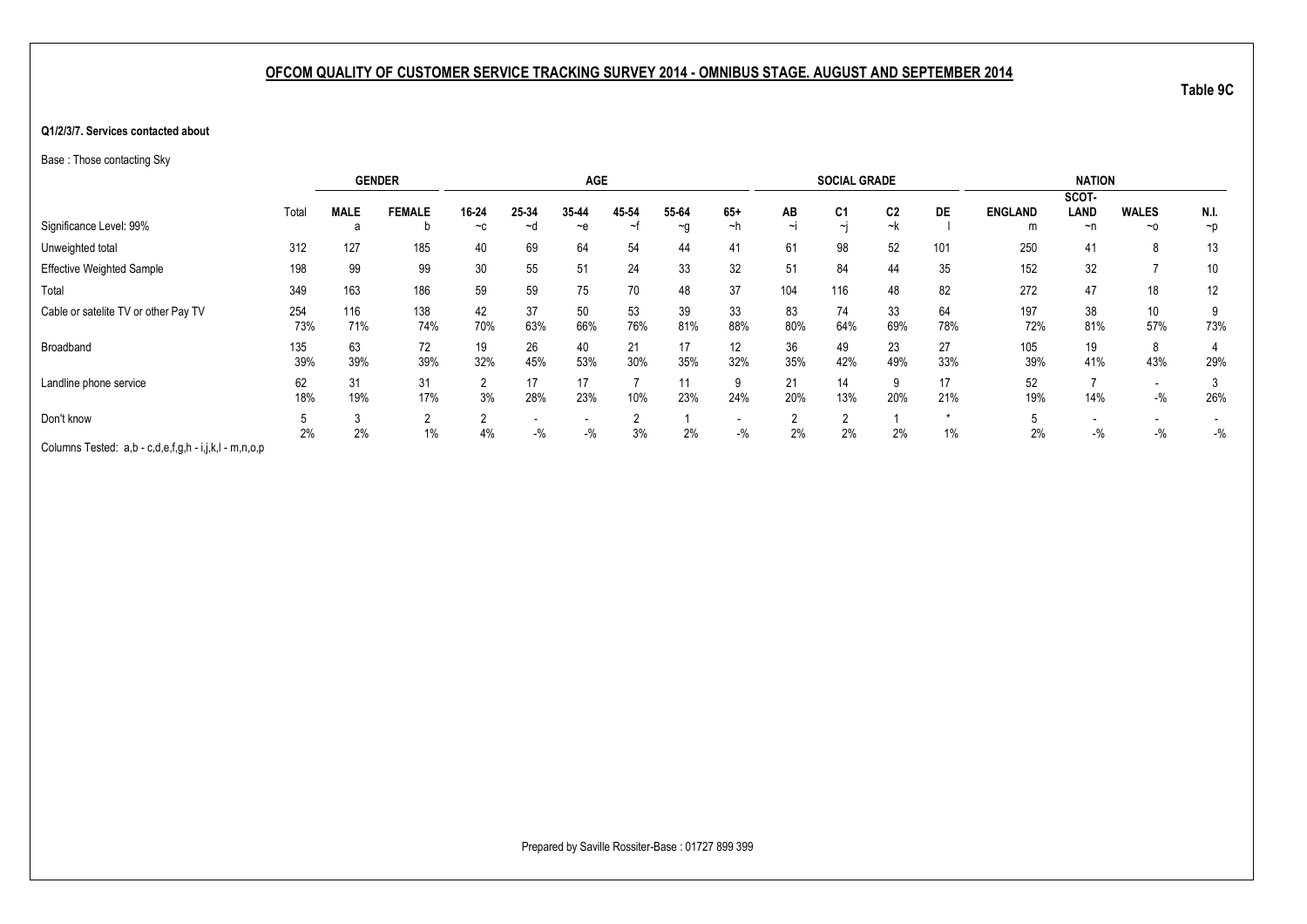#### **Q1/2/3/7. Services contacted about**

Base : Those contacting Sky

|                                                       |       |             | <b>GENDER</b>  |        |       | <b>AGE</b> |       |          |                          |        | <b>SOCIAL GRADE</b> |                |           |                | <b>NATION</b>            |              |                 |
|-------------------------------------------------------|-------|-------------|----------------|--------|-------|------------|-------|----------|--------------------------|--------|---------------------|----------------|-----------|----------------|--------------------------|--------------|-----------------|
|                                                       |       |             |                |        |       |            |       |          |                          |        |                     |                |           |                | SCOT-                    |              |                 |
|                                                       | Total | <b>MALE</b> | <b>FEMALE</b>  | 16-24  | 25-34 | 35-44      | 45 54 | 55-64    | $65+$                    | AB     | C <sub>1</sub>      | C <sub>2</sub> | <b>DE</b> | <b>ENGLAND</b> | LAND                     | <b>WALES</b> | N.I.            |
| Significance Level: 99%                               |       | а           | b              | $-c$   | ~d    | $-e$       | ∼     | $\sim g$ | ∼h                       | $\sim$ | $\sim$              | ~k             |           | m              | ~n                       | $~\sim$ 0    | $\neg p$        |
| Unweighted total                                      | 312   | 127         | 185            | 40     | 69    | 64         | 54    | 44       | 41                       | 61     | 98                  | 52             | 101       | 250            | 41                       | 8            | 13              |
| <b>Effective Weighted Sample</b>                      | 198   | 99          | 99             | 30     | 55    | 51         | 24    | 33       | 32                       | 51     | 84                  | 44             | 35        | 152            | 32                       |              | 10 <sup>°</sup> |
| Total                                                 | 349   | 163         | 186            | 59     | 59    | 75         | 70    | 48       | 37                       | 104    | 116                 | 48             | 82        | 272            | 47                       | 18           | 12              |
| Cable or satelite TV or other Pay TV                  | 254   | 116         | 138            | 42     | 37    | 50         | 53    | 39       | 33                       | 83     | 74                  | 33             | 64        | 197            | 38                       | 10           | 9               |
|                                                       | 73%   | 71%         | 74%            | 70%    | 63%   | 66%        | 76%   | 81%      | 88%                      | 80%    | 64%                 | 69%            | 78%       | 72%            | 81%                      | 57%          | 73%             |
| Broadband                                             | 135   | 63          | 72             | 19     | 26    | 40         | 21    | 17       | 12                       | 36     | 49                  | 23             | 27        | 105            | 19                       | 8            |                 |
|                                                       | 39%   | 39%         | 39%            | 32%    | 45%   | 53%        | 30%   | 35%      | 32%                      | 35%    | 42%                 | 49%            | 33%       | 39%            | 41%                      | 43%          | 29%             |
| Landline phone service                                | 62    | 31          | 31             | 2      | 17    | 17         |       | 11       | 9                        | 21     | 14                  | 9              | 17        | 52             |                          |              |                 |
|                                                       | 18%   | 19%         | 17%            | 3%     | 28%   | 23%        | 10%   | 23%      | 24%                      | 20%    | 13%                 | 20%            | 21%       | 19%            | 14%                      | $-$ %        | 26%             |
| Don't know                                            |       |             | $\overline{2}$ | $\sim$ |       |            |       |          | $\overline{\phantom{0}}$ |        | $\sim$              |                |           |                | $\overline{\phantom{0}}$ |              |                 |
|                                                       | 2%    | 2%          | $1\%$          | 4%     | $-$ % | $-$ %      | 3%    | 2%       | $-$ %                    | 2%     | 2%                  | 2%             | 1%        | 2%             | $-$ %                    | $-$ %        | $-$ %           |
| Columns Tested: a,b - c,d,e,f,g,h - i,j,k,l - m,n,o,p |       |             |                |        |       |            |       |          |                          |        |                     |                |           |                |                          |              |                 |

**Table 9C**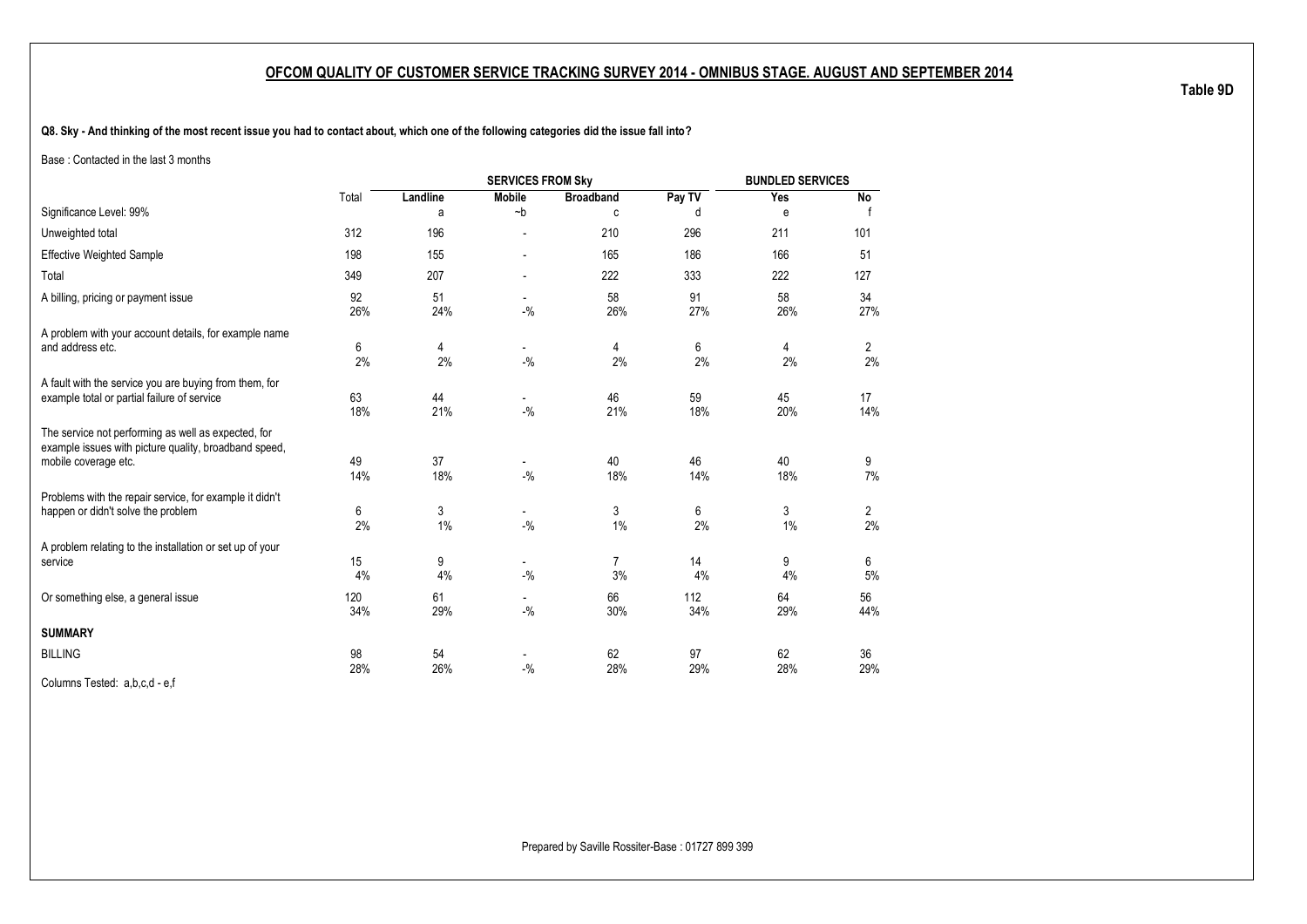**Q8. Sky - And thinking of the most recent issue you had to contact about, which one of the following categories did the issue fall into?**

Base : Contacted in the last 3 months

|                                                                                                                                      |            |           | <b>SERVICES FROM Sky</b>          |                  |            | <b>BUNDLED SERVICES</b> |                      |
|--------------------------------------------------------------------------------------------------------------------------------------|------------|-----------|-----------------------------------|------------------|------------|-------------------------|----------------------|
|                                                                                                                                      | Total      | Landline  | <b>Mobile</b>                     | <b>Broadband</b> | Pay TV     | Yes                     | No                   |
| Significance Level: 99%                                                                                                              |            | a         | $-b$                              | C                | d          | e                       |                      |
| Unweighted total                                                                                                                     | 312        | 196       |                                   | 210              | 296        | 211                     | 101                  |
| <b>Effective Weighted Sample</b>                                                                                                     | 198        | 155       |                                   | 165              | 186        | 166                     | 51                   |
| Total                                                                                                                                | 349        | 207       |                                   | 222              | 333        | 222                     | 127                  |
| A billing, pricing or payment issue                                                                                                  | 92<br>26%  | 51<br>24% | $-9/6$                            | 58<br>26%        | 91<br>27%  | 58<br>26%               | 34<br>27%            |
| A problem with your account details, for example name<br>and address etc.                                                            | 6<br>2%    | 4<br>2%   | $\overline{\phantom{0}}$<br>$-$ % | 4<br>2%          | 6<br>2%    | 4<br>2%                 | 2<br>2%              |
| A fault with the service you are buying from them, for<br>example total or partial failure of service                                | 63<br>18%  | 44<br>21% | $\overline{\phantom{0}}$<br>$-$ % | 46<br>21%        | 59<br>18%  | 45<br>20%               | 17<br>14%            |
| The service not performing as well as expected, for<br>example issues with picture quality, broadband speed,<br>mobile coverage etc. | 49<br>14%  | 37<br>18% | $-$ %                             | 40<br>18%        | 46<br>14%  | 40<br>18%               | 9<br>7%              |
| Problems with the repair service, for example it didn't<br>happen or didn't solve the problem                                        | 6<br>2%    | 3<br>1%   | $-9/6$                            | 3<br>1%          | 6<br>2%    | 3<br>$1\%$              | $\overline{c}$<br>2% |
| A problem relating to the installation or set up of your<br>service                                                                  | 15<br>4%   | 9<br>4%   | $\overline{\phantom{0}}$<br>$-$ % | 7<br>3%          | 14<br>4%   | 9<br>4%                 | 6<br>5%              |
| Or something else, a general issue                                                                                                   | 120<br>34% | 61<br>29% | $-9/6$                            | 66<br>30%        | 112<br>34% | 64<br>29%               | 56<br>44%            |
| <b>SUMMARY</b>                                                                                                                       |            |           |                                   |                  |            |                         |                      |
| <b>BILLING</b>                                                                                                                       | 98<br>28%  | 54<br>26% | $-$ %                             | 62<br>28%        | 97<br>29%  | 62<br>28%               | 36<br>29%            |
| Columns Tested: a,b,c,d - e,f                                                                                                        |            |           |                                   |                  |            |                         |                      |

Prepared by Saville Rossiter-Base : 01727 899 399

**Table 9D**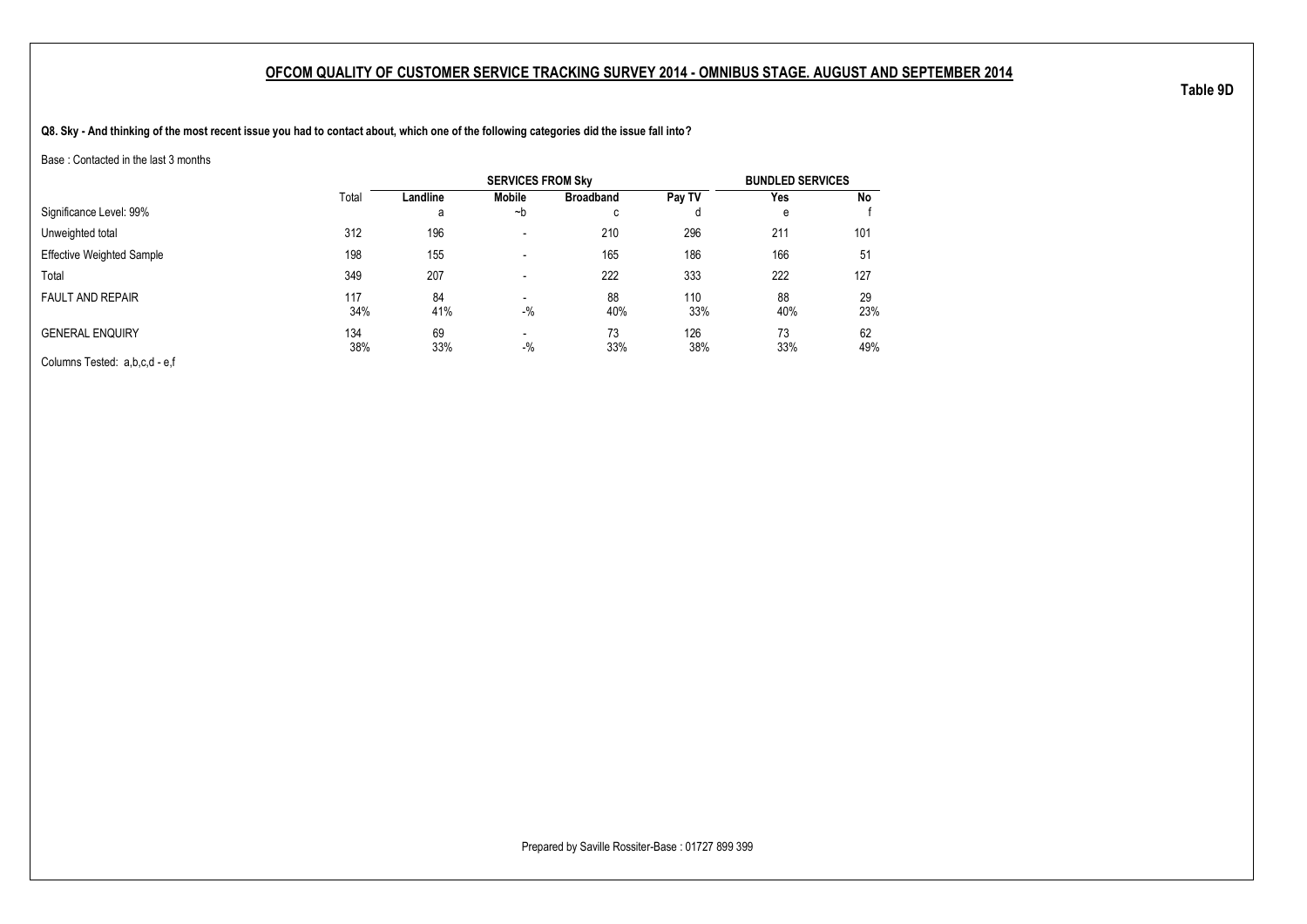**Q8. Sky - And thinking of the most recent issue you had to contact about, which one of the following categories did the issue fall into?**

Base : Contacted in the last 3 months

|                                  |       |          | <b>SERVICES FROM Sky</b> |                  |        | <b>BUNDLED SERVICES</b> |     |
|----------------------------------|-------|----------|--------------------------|------------------|--------|-------------------------|-----|
|                                  | Total | Landline | <b>Mobile</b>            | <b>Broadband</b> | Pay TV | Yes                     | No  |
| Significance Level: 99%          |       | а        | ∼b                       | c                |        | e                       |     |
| Unweighted total                 | 312   | 196      | $\blacksquare$           | 210              | 296    | 211                     | 101 |
| <b>Effective Weighted Sample</b> | 198   | 155      | $\overline{\phantom{a}}$ | 165              | 186    | 166                     | 51  |
| Total                            | 349   | 207      | $\overline{\phantom{a}}$ | 222              | 333    | 222                     | 127 |
| <b>FAULT AND REPAIR</b>          | 117   | 84       | $\blacksquare$           | 88               | 110    | 88                      | 29  |
|                                  | 34%   | 41%      | $-$ %                    | 40%              | 33%    | 40%                     | 23% |
| <b>GENERAL ENQUIRY</b>           | 134   | 69       | $\blacksquare$           | 73               | 126    | 73                      | 62  |
|                                  | 38%   | 33%      | $-$ %                    | 33%              | 38%    | 33%                     | 49% |
| Columns Tested: a,b,c,d - e,f    |       |          |                          |                  |        |                         |     |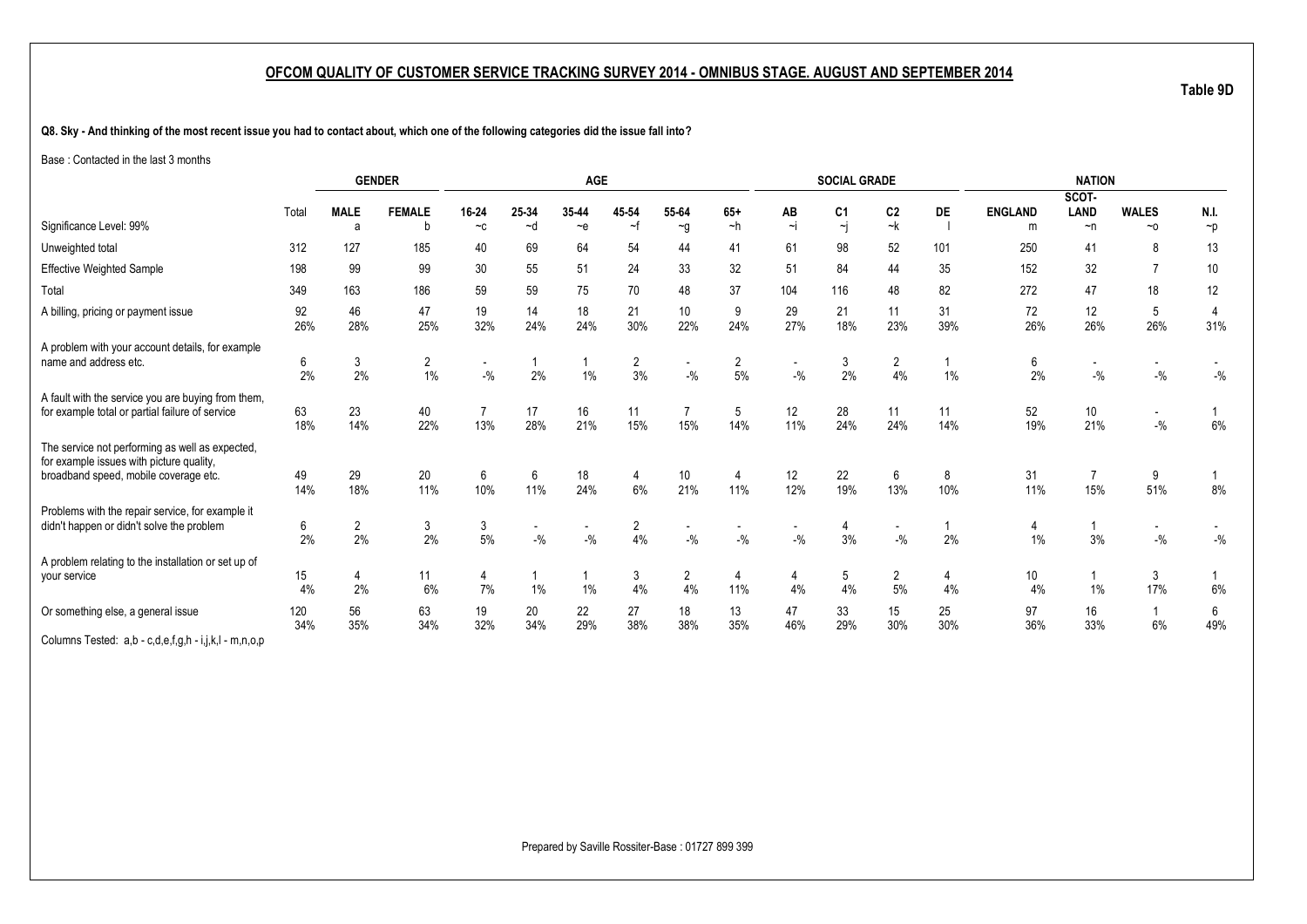**Q8. Sky - And thinking of the most recent issue you had to contact about, which one of the following categories did the issue fall into?**

Base : Contacted in the last 3 months

|                                                                                                                                      |            |                      | <b>GENDER</b>        |                       |             | <b>AGE</b>                         |                      |                      |                      |                | <b>SOCIAL GRADE</b>  |                                   |           |                | <b>NATION</b>                     |                                   |                       |
|--------------------------------------------------------------------------------------------------------------------------------------|------------|----------------------|----------------------|-----------------------|-------------|------------------------------------|----------------------|----------------------|----------------------|----------------|----------------------|-----------------------------------|-----------|----------------|-----------------------------------|-----------------------------------|-----------------------|
|                                                                                                                                      |            |                      |                      |                       |             |                                    |                      |                      |                      |                |                      |                                   |           |                | SCOT-                             |                                   |                       |
| Significance Level: 99%                                                                                                              | Total      | <b>MALE</b><br>a     | <b>FEMALE</b><br>b   | 16-24<br>$-c$         | 25-34<br>~d | 35-44<br>$\sim e$                  | 45 54<br>∼f          | 55-64                | $65+$<br>~h          | AB<br>$\sim$ j | C <sub>1</sub><br>~j | C <sub>2</sub><br>~k              | DE        | <b>ENGLAND</b> | LAND<br>$\neg$ n                  | <b>WALES</b><br>$~\sim$ 0         | N.I.                  |
|                                                                                                                                      |            |                      |                      |                       |             |                                    |                      | $\sim g$             |                      |                |                      |                                   |           | m              |                                   |                                   | $\neg p$              |
| Unweighted total                                                                                                                     | 312        | 127                  | 185                  | 40                    | 69          | 64                                 | 54                   | 44                   | 41                   | 61             | 98                   | 52                                | 101       | 250            | 41                                | 8                                 | 13                    |
| <b>Effective Weighted Sample</b>                                                                                                     | 198        | 99                   | 99                   | 30                    | 55          | 51                                 | 24                   | 33                   | 32                   | 51             | 84                   | 44                                | 35        | 152            | 32                                | $\overline{7}$                    | 10                    |
| Total                                                                                                                                | 349        | 163                  | 186                  | 59                    | 59          | 75                                 | 70                   | 48                   | 37                   | 104            | 116                  | 48                                | 82        | 272            | 47                                | 18                                | 12                    |
| A billing, pricing or payment issue                                                                                                  | 92<br>26%  | 46<br>28%            | 47<br>25%            | 19<br>32%             | 14<br>24%   | 18<br>24%                          | 21<br>30%            | 10<br>22%            | 9<br>24%             | 29<br>27%      | 21<br>18%            | 11<br>23%                         | 31<br>39% | 72<br>26%      | 12<br>26%                         | 5<br>26%                          | $\overline{4}$<br>31% |
| A problem with your account details, for example<br>name and address etc.                                                            | 6<br>2%    | 3<br>2%              | $\overline{2}$<br>1% | $-9/6$                | 2%          | $\mathbf 1$<br>1%                  | $\overline{2}$<br>3% | $-$ %                | $\overline{2}$<br>5% | $-$ %          | 3<br>2%              | 2<br>4%                           | 1%        | 6<br>2%        | $\overline{\phantom{a}}$<br>$-$ % | $-$ %                             | $-$ %                 |
| A fault with the service you are buying from them,<br>for example total or partial failure of service                                | 63<br>18%  | 23<br>14%            | 40<br>22%            | $\overline{7}$<br>13% | 17<br>28%   | 16<br>21%                          | 11<br>15%            | 15%                  | 5<br>14%             | 12<br>11%      | 28<br>24%            | 11<br>24%                         | 11<br>14% | 52<br>19%      | 10<br>21%                         | $\overline{\phantom{0}}$<br>$-$ % | 6%                    |
| The service not performing as well as expected,<br>for example issues with picture quality,<br>broadband speed, mobile coverage etc. | 49<br>14%  | 29<br>18%            | 20<br>11%            | 6<br>10%              | 6<br>11%    | 18<br>24%                          | 4<br>6%              | 10<br>21%            | 11%                  | 12<br>12%      | 22<br>19%            | 6<br>13%                          | 8<br>10%  | 31<br>11%      | $\overline{7}$<br>15%             | 9<br>51%                          | 8%                    |
| Problems with the repair service, for example it<br>didn't happen or didn't solve the problem                                        | 6<br>2%    | $\overline{2}$<br>2% | 3<br>2%              | 3<br>$5\%$            | $-$ %       | $\overline{\phantom{a}}$<br>$-9/6$ | 2<br>4%              | $-9/6$               | $-$ %                | $-$ %          | 4<br>3%              | $\overline{\phantom{a}}$<br>$-$ % | 2%        | 1%             | 3%                                | $-$ %                             | $-$ %                 |
| A problem relating to the installation or set up of<br>your service                                                                  | 15<br>4%   | 4<br>2%              | 11<br>6%             | 4<br>7%               | 1%          | 1%                                 | 3<br>4%              | $\overline{2}$<br>4% | 4<br>11%             | 4<br>4%        | 5<br>4%              | $\overline{2}$<br>$5%$            | 4<br>4%   | 10<br>4%       | 1%                                | 3<br>17%                          | 6%                    |
| Or something else, a general issue                                                                                                   | 120<br>34% | 56<br>35%            | 63<br>34%            | 19<br>32%             | 20<br>34%   | 22<br>29%                          | 27<br>38%            | 18<br>38%            | 13<br>35%            | 47<br>46%      | 33<br>29%            | 15<br>30%                         | 25<br>30% | 97<br>36%      | 16<br>33%                         | -1<br>6%                          | 6<br>49%              |
| Columns Tested: a,b - c,d,e,f,g,h - i,j,k,l - m,n,o,p                                                                                |            |                      |                      |                       |             |                                    |                      |                      |                      |                |                      |                                   |           |                |                                   |                                   |                       |

**Table 9D**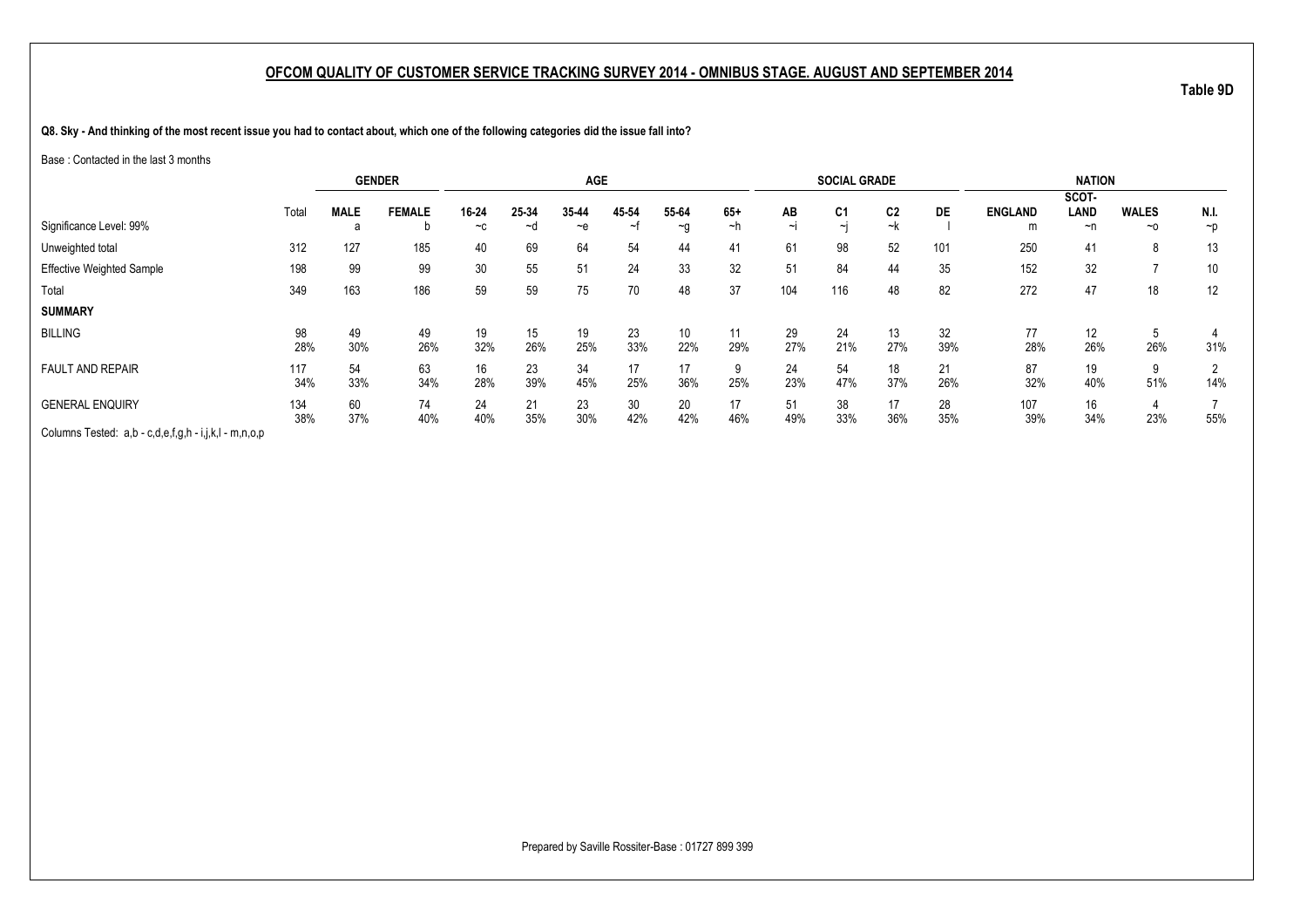**Q8. Sky - And thinking of the most recent issue you had to contact about, which one of the following categories did the issue fall into?**

Base : Contacted in the last 3 months

|                                                       |       | <b>GENDER</b> |               |       |       | <b>AGE</b> |       |          |       |        | <b>SOCIAL GRADE</b> |                |     |                | <b>NATION</b> |              |                |
|-------------------------------------------------------|-------|---------------|---------------|-------|-------|------------|-------|----------|-------|--------|---------------------|----------------|-----|----------------|---------------|--------------|----------------|
|                                                       |       |               |               |       |       |            |       |          |       |        |                     |                |     |                | SCOT-         |              |                |
|                                                       | Total | <b>MALE</b>   | <b>FEMALE</b> | 16-24 | 25-34 | 35-44      | 45-54 | 55-64    | $65+$ | AB     | C <sub>1</sub>      | C <sub>2</sub> | DE  | <b>ENGLAND</b> | LAND          | <b>WALES</b> | N.I.           |
| Significance Level: 99%                               |       | a             |               | $-c$  | ~d    | $-$ e      | ~t    | $\sim g$ | ~h    | $\sim$ | $\sim$ i            | ~k             |     | m              | ~n            | $~\sim$ 0    | $\neg p$       |
| Unweighted total                                      | 312   | 127           | 185           | 40    | 69    | 64         | 54    | 44       | 41    | 61     | 98                  | 52             | 101 | 250            | 41            | 8            | 13             |
| <b>Effective Weighted Sample</b>                      | 198   | 99            | 99            | 30    | 55    | 51         | 24    | 33       | 32    | 51     | 84                  | 44             | 35  | 152            | 32            |              | 10             |
| Total                                                 | 349   | 163           | 186           | 59    | 59    | 75         | 70    | 48       | 37    | 104    | 116                 | 48             | 82  | 272            | 47            | 18           | 12             |
| <b>SUMMARY</b>                                        |       |               |               |       |       |            |       |          |       |        |                     |                |     |                |               |              |                |
| <b>BILLING</b>                                        | 98    | 49            | 49            | 19    | 15    | 19         | 23    | 10       | 11    | 29     | 24                  | 13             | 32  | 77             | 12            | <sub>5</sub> |                |
|                                                       | 28%   | 30%           | 26%           | 32%   | 26%   | 25%        | 33%   | 22%      | 29%   | 27%    | 21%                 | 27%            | 39% | 28%            | 26%           | 26%          | 31%            |
| <b>FAULT AND REPAIR</b>                               | 117   | 54            | 63            | 16    | 23    | 34         | 17    | 17       | 9     | 24     | 54                  | 18             | 21  | 87             | 19            | 9            | $\overline{2}$ |
|                                                       | 34%   | 33%           | 34%           | 28%   | 39%   | 45%        | 25%   | 36%      | 25%   | 23%    | 47%                 | 37%            | 26% | 32%            | 40%           | 51%          | 14%            |
| <b>GENERAL ENQUIRY</b>                                | 134   | 60            | 74            | 24    | 21    | 23         | 30    | 20       | 17    | 51     | 38                  | 17             | 28  | 107            | 16            |              |                |
|                                                       | 38%   | 37%           | 40%           | 40%   | 35%   | 30%        | 42%   | 42%      | 46%   | 49%    | 33%                 | 36%            | 35% | 39%            | 34%           | 23%          | 55%            |
| Columns Tested: a,b - c,d,e,f,g,h - i,j,k,l - m,n,o,p |       |               |               |       |       |            |       |          |       |        |                     |                |     |                |               |              |                |

Prepared by Saville Rossiter-Base : 01727 899 399

**Table 9D**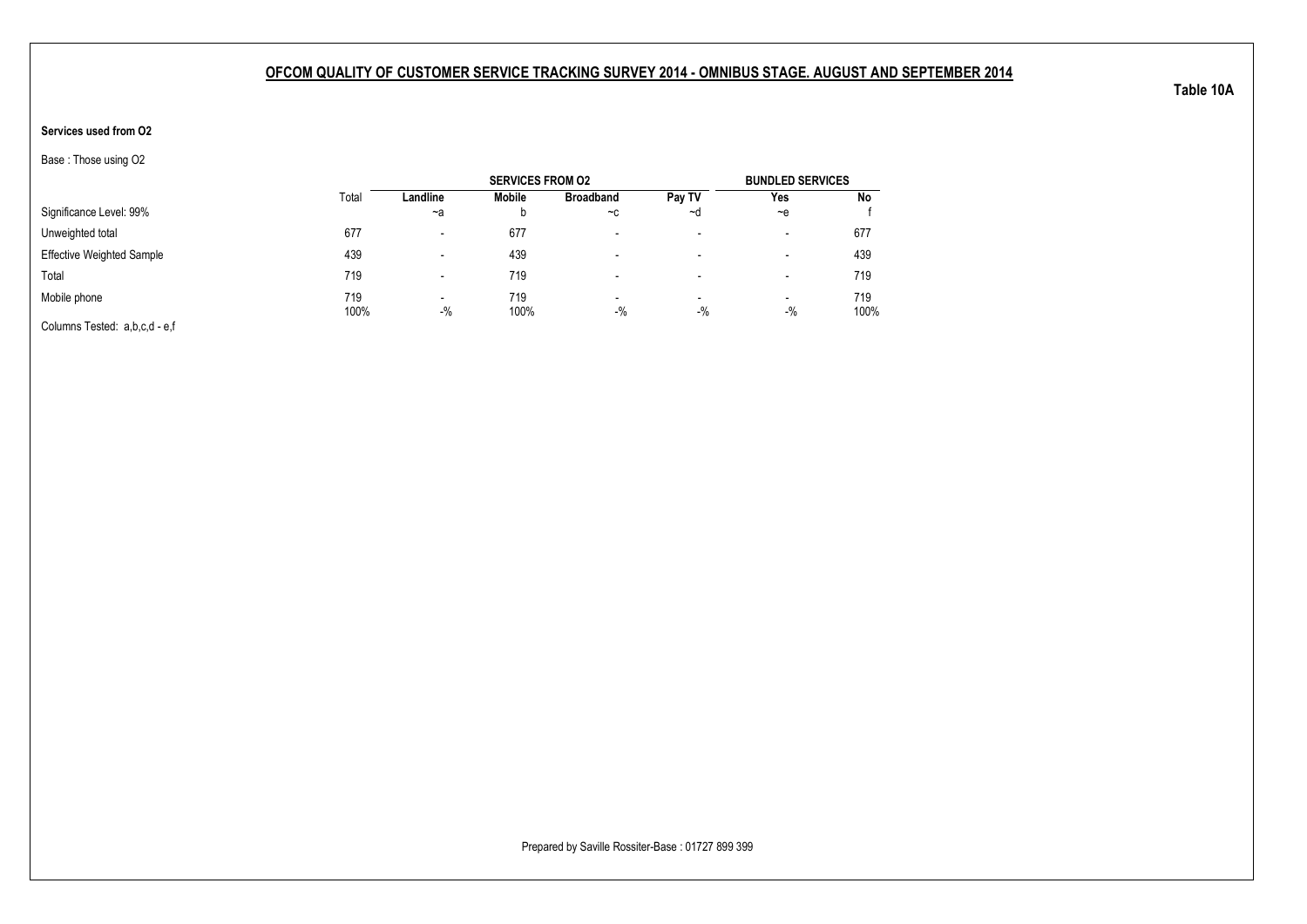#### **Services used from O2**

Base : Those using O2

|                                  |             |                                    | <b>SERVICES FROM 02</b> |                                   |                                   | <b>BUNDLED SERVICES</b>           |             |
|----------------------------------|-------------|------------------------------------|-------------------------|-----------------------------------|-----------------------------------|-----------------------------------|-------------|
|                                  | Total       | Landline                           | Mobile                  | <b>Broadband</b>                  | Pay TV                            | Yes                               | No          |
| Significance Level: 99%          |             | $-a$                               |                         | $-c$                              | ~d                                | $-$ e                             |             |
| Unweighted total                 | 677         | $\overline{\phantom{0}}$           | 677                     | -                                 | $\overline{\phantom{a}}$          | $\overline{\phantom{a}}$          | 677         |
| <b>Effective Weighted Sample</b> | 439         |                                    | 439                     |                                   | $\overline{\phantom{a}}$          | $\,$                              | 439         |
| Total                            | 719         |                                    | 719                     |                                   | $\overline{\phantom{a}}$          | $\overline{\phantom{a}}$          | 719         |
| Mobile phone                     | 719<br>100% | $\overline{\phantom{0}}$<br>$-9/6$ | 719<br>100%             | $\overline{\phantom{a}}$<br>$-$ % | $\overline{\phantom{a}}$<br>$-$ % | $\overline{\phantom{a}}$<br>$-$ % | 719<br>100% |
| Columns Tested: a,b,c,d - e,f    |             |                                    |                         |                                   |                                   |                                   |             |

Prepared by Saville Rossiter-Base : 01727 899 399

**Table 10A**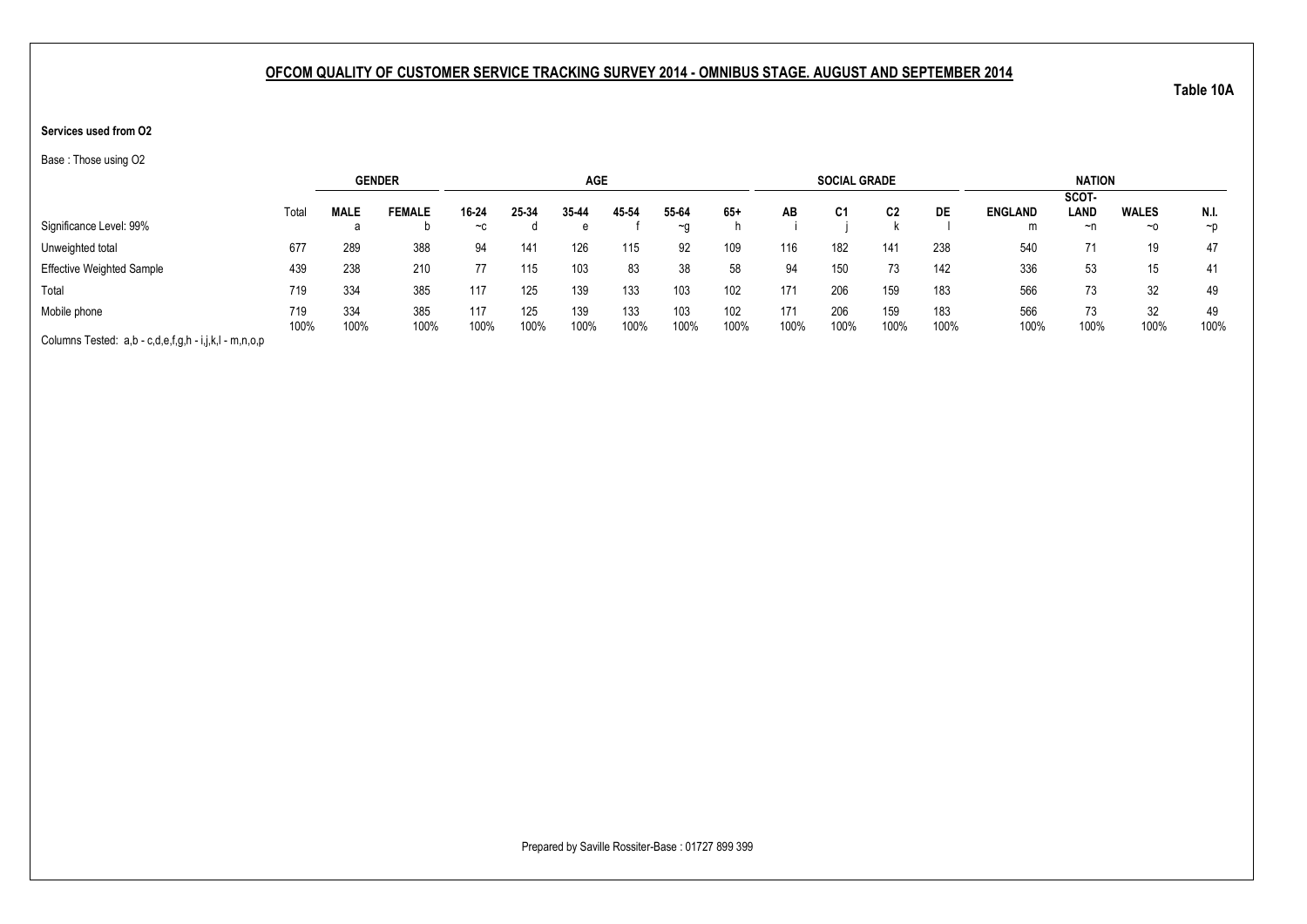#### **Services used from O2**

Base : Those using O2

|                                                       |       |             | <b>GENDER</b> |       |       | <b>AGE</b> |       |           |       |      | <b>SOCIAL GRADE</b> |      |      |                | <b>NATION</b> |              |          |
|-------------------------------------------------------|-------|-------------|---------------|-------|-------|------------|-------|-----------|-------|------|---------------------|------|------|----------------|---------------|--------------|----------|
|                                                       |       |             |               |       |       |            |       |           |       |      |                     |      |      |                | SCOT-         |              |          |
|                                                       | Total | <b>MALE</b> | <b>FEMALE</b> | 16-24 | 25-34 | 35 44      | 45-54 | 55-64     | $65+$ | AВ   | C1                  | C2   | DE   | <b>ENGLAND</b> | LAND          | <b>WALES</b> | N.I.     |
| Significance Level: 99%                               |       | d           |               | $-c$  |       | е          |       | $~\sim$ n |       |      |                     |      |      | m              | ~n            | $~\sim$ 0    | $\neg$ p |
| Unweighted total                                      | 677   | 289         | 388           | 94    | 141   | 126        | 115   | 92        | 109   | 116  | 182                 | 141  | 238  | 540            | 71            | 19           | 47       |
| <b>Effective Weighted Sample</b>                      | 439   | 238         | 210           |       | 115   | 103        | 83    | 38        | 58    | 94   | 150                 | 73   | 142  | 336            | 53            | 15           | 41       |
| Total                                                 | 719   | 334         | 385           | 117   | 125   | 139        | 133   | 103       | 102   | 171  | 206                 | 159  | 183  | 566            | 73            | 32           | 49       |
| Mobile phone                                          | 719   | 334         | 385           | 117   | 125   | 139        | 133   | 103       | 102   | 171  | 206                 | 159  | 183  | 566            | 73            | 32           | 49       |
|                                                       | 100%  | 100%        | 100%          | 100%  | 100%  | 100%       | 100%  | 100%      | 100%  | 100% | 100%                | 100% | 100% | 100%           | 100%          | 100%         | 100%     |
| Columns Tested: a,b - c,d,e,f,g,h - i,j,k,l - m,n,o,p |       |             |               |       |       |            |       |           |       |      |                     |      |      |                |               |              |          |

**Table 10A**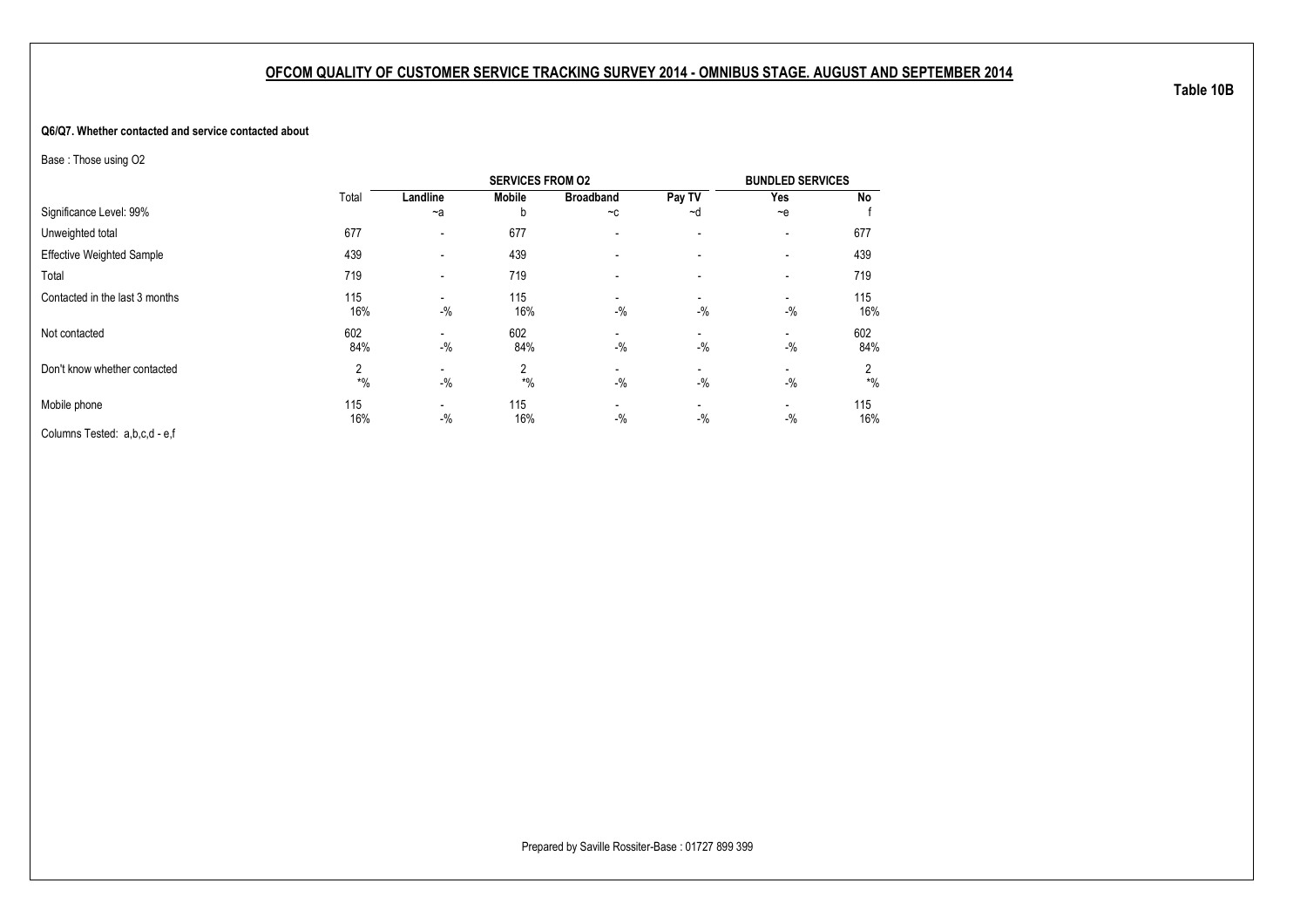#### **Q6/Q7. Whether contacted and service contacted about**

Base : Those using O2

|                                  |            |          | <b>SERVICES FROM 02</b> |                                   |                                   | <b>BUNDLED SERVICES</b>  |            |
|----------------------------------|------------|----------|-------------------------|-----------------------------------|-----------------------------------|--------------------------|------------|
|                                  | Total      | Landline | <b>Mobile</b>           | <b>Broadband</b>                  | Pay TV                            | Yes                      | No         |
| Significance Level: 99%          |            | $-a$     | h                       | $-c$                              | ~d                                | $-e$                     |            |
| Unweighted total                 | 677        | -        | 677                     | $\overline{\phantom{a}}$          | $\overline{\phantom{a}}$          | $\overline{\phantom{a}}$ | 677        |
| <b>Effective Weighted Sample</b> | 439        |          | 439                     |                                   | $\overline{\phantom{a}}$          | $\overline{\phantom{a}}$ | 439        |
| Total                            | 719        |          | 719                     |                                   |                                   |                          | 719        |
| Contacted in the last 3 months   | 115<br>16% | $-$ %    | 115<br>16%              | $\overline{\phantom{a}}$<br>$-$ % | $\overline{\phantom{a}}$<br>$-$ % | $-$ %                    | 115<br>16% |
| Not contacted                    | 602<br>84% | $-$ %    | 602<br>84%              | $-$ %                             | $\overline{\phantom{a}}$<br>$-$ % | $-$ %                    | 602<br>84% |
| Don't know whether contacted     | 2<br>$*$ % | $-$ %    | 2<br>$*$ %              | $-$ %                             | $\overline{\phantom{a}}$<br>$-$ % | $-$ %                    | 2<br>$*$ % |
| Mobile phone                     | 115<br>16% | $-$ %    | 115<br>16%              | $-$ %                             | $\blacksquare$<br>$-$ %           | $-$ %                    | 115<br>16% |
| Columns Tested: a,b,c,d - e,f    |            |          |                         |                                   |                                   |                          |            |

**Table 10B**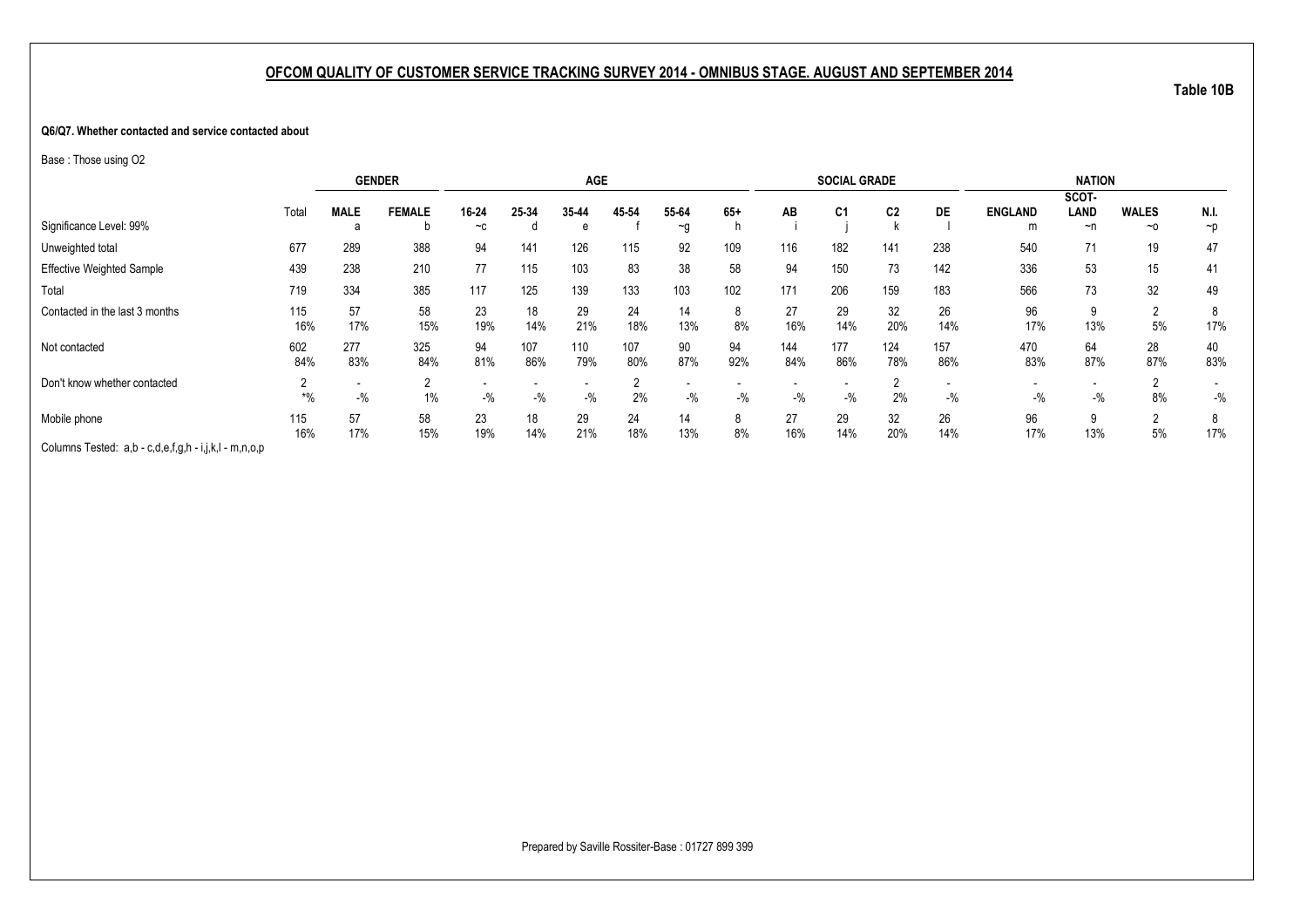#### **Q6/Q7. Whether contacted and service contacted about**

Base : Those using O2

|                                                       | <b>GENDER</b> |                                   |               |           | <b>AGE</b> |            |            |           |           | <b>SOCIAL GRADE</b> |                |                |            | <b>NATION</b>  |           |                      |           |
|-------------------------------------------------------|---------------|-----------------------------------|---------------|-----------|------------|------------|------------|-----------|-----------|---------------------|----------------|----------------|------------|----------------|-----------|----------------------|-----------|
|                                                       |               |                                   |               |           |            |            |            |           |           |                     |                |                |            |                | SCOT-     |                      |           |
|                                                       | Total         | <b>MALE</b>                       | <b>FEMALE</b> | 16-24     | 25-34      | 35-44      | 45 54      | 55-64     | $65+$     | AB                  | C <sub>1</sub> | C <sub>2</sub> | <b>DE</b>  | <b>ENGLAND</b> | LAND      | <b>WALES</b>         | N.I.      |
| Significance Level: 99%                               |               | а                                 | D             | $-c$      |            | e          |            | ~g        |           |                     |                |                |            | m              | $\neg$ n  | ~0                   | $\neg$    |
| Unweighted total                                      | 677           | 289                               | 388           | 94        | 141        | 126        | 115        | 92        | 109       | 116                 | 182            | 141            | 238        | 540            | 71        | 19                   | 47        |
| <b>Effective Weighted Sample</b>                      | 439           | 238                               | 210           | 77        | 115        | 103        | 83         | 38        | 58        | 94                  | 150            | 73             | 142        | 336            | 53        | 15                   | 41        |
| Total                                                 | 719           | 334                               | 385           | 117       | 125        | 139        | 133        | 103       | 102       | 171                 | 206            | 159            | 183        | 566            | 73        | 32                   | 49        |
| Contacted in the last 3 months                        | 115<br>16%    | 57<br>17%                         | 58<br>15%     | 23<br>19% | 18<br>14%  | 29<br>21%  | 24<br>18%  | 14<br>13% | 8<br>8%   | 27<br>16%           | 29<br>14%      | 32<br>20%      | 26<br>14%  | 96<br>17%      | 9<br>13%  | $\overline{2}$<br>5% | 8<br>17%  |
| Not contacted                                         | 602<br>84%    | 277<br>83%                        | 325<br>84%    | 94<br>81% | 107<br>86% | 110<br>79% | 107<br>80% | 90<br>87% | 94<br>92% | 144<br>84%          | 177<br>86%     | 124<br>78%     | 157<br>86% | 470<br>83%     | 64<br>87% | 28<br>87%            | 40<br>83% |
| Don't know whether contacted                          | $*$ %         | $\overline{\phantom{a}}$<br>$-$ % | 2<br>$1\%$    | $-$ %     | $-$ %      | $-$ %      | 2%         | $-$ %     | $-$ %     | $-$ %               | $-$ %          | 2%             | $-$ %      | $-$ %          | $-$ %     | 8%                   | $-$ %     |
| Mobile phone                                          | 115<br>16%    | 57<br>17%                         | 58<br>15%     | 23<br>19% | 18<br>14%  | 29<br>21%  | 24<br>18%  | 14<br>13% | 8<br>8%   | 27<br>16%           | 29<br>14%      | 32<br>20%      | 26<br>14%  | 96<br>17%      | 9<br>13%  | $\Omega$<br>5%       | 8<br>17%  |
| Columns Tested: a,b - c,d,e,f,g,h - i,j,k,l - m,n,o,p |               |                                   |               |           |            |            |            |           |           |                     |                |                |            |                |           |                      |           |

**Table 10B**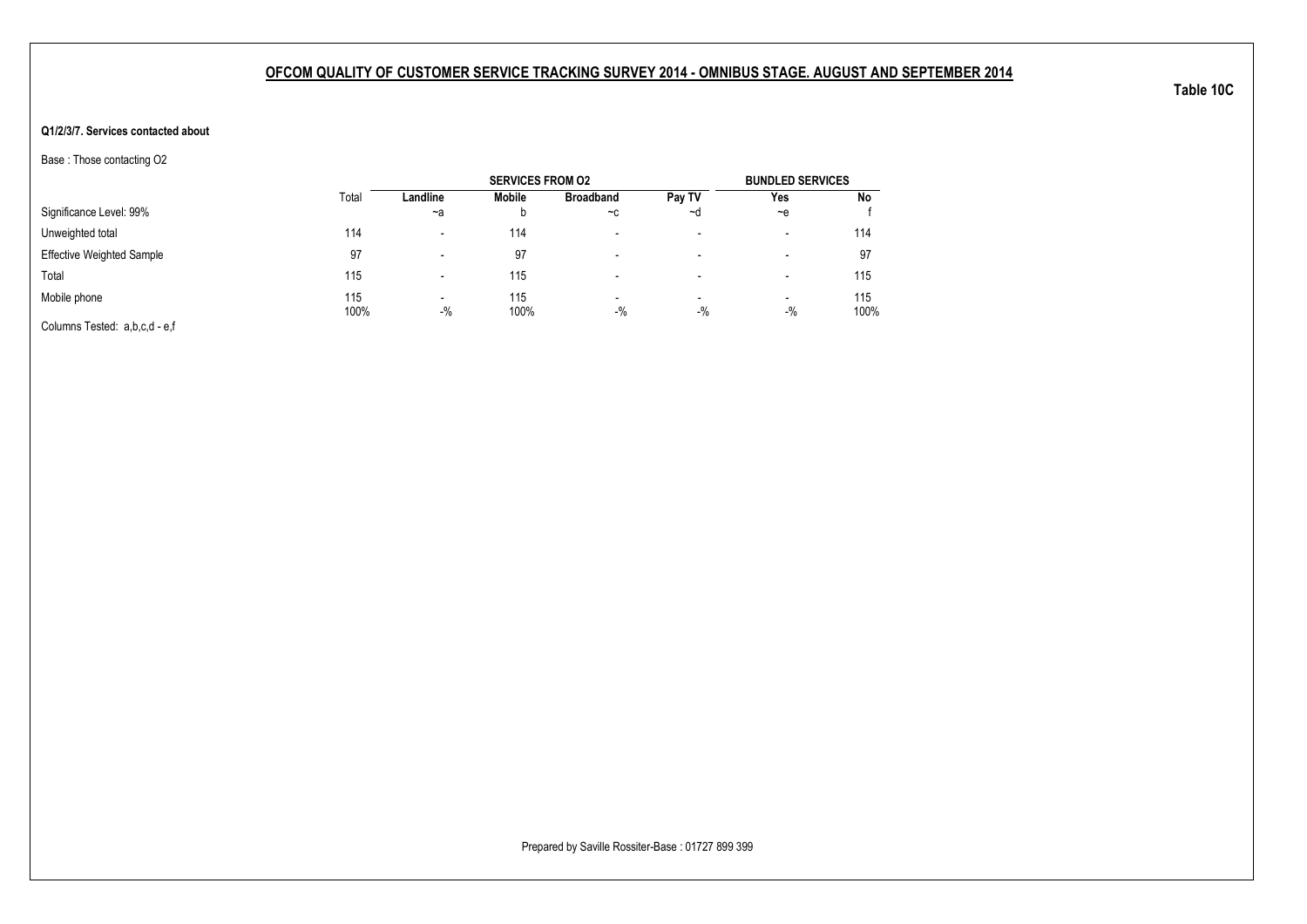#### **Q1/2/3/7. Services contacted about**

Base : Those contacting O2

|                                  |             |                                   | <b>SERVICES FROM 02</b> |                                   |                          | <b>BUNDLED SERVICES</b> |             |
|----------------------------------|-------------|-----------------------------------|-------------------------|-----------------------------------|--------------------------|-------------------------|-------------|
|                                  | Total       | Landline                          | Mobile                  | <b>Broadband</b>                  | Pay TV                   | Yes                     | No          |
| Significance Level: 99%          |             | ~a                                | b                       | $-c$                              | ∼d                       | $-e$                    |             |
| Unweighted total                 | 114         | $\overline{\phantom{0}}$          | 114                     | $\overline{\phantom{0}}$          | $\overline{\phantom{a}}$ | -                       | 114         |
| <b>Effective Weighted Sample</b> | 97          | $\overline{\phantom{0}}$          | 97                      | $\overline{\phantom{0}}$          | -                        | -                       | 97          |
| Total                            | 115         |                                   | 115                     |                                   | -                        | -                       | 115         |
| Mobile phone                     | 115<br>100% | $\overline{\phantom{0}}$<br>$-$ % | 115<br>100%             | $\overline{\phantom{a}}$<br>$-$ % | $\,$<br>$-$ %            | $\,$<br>$-$ %           | 115<br>100% |
| Columns Tested: a,b,c,d - e,f    |             |                                   |                         |                                   |                          |                         |             |

**Table 10C**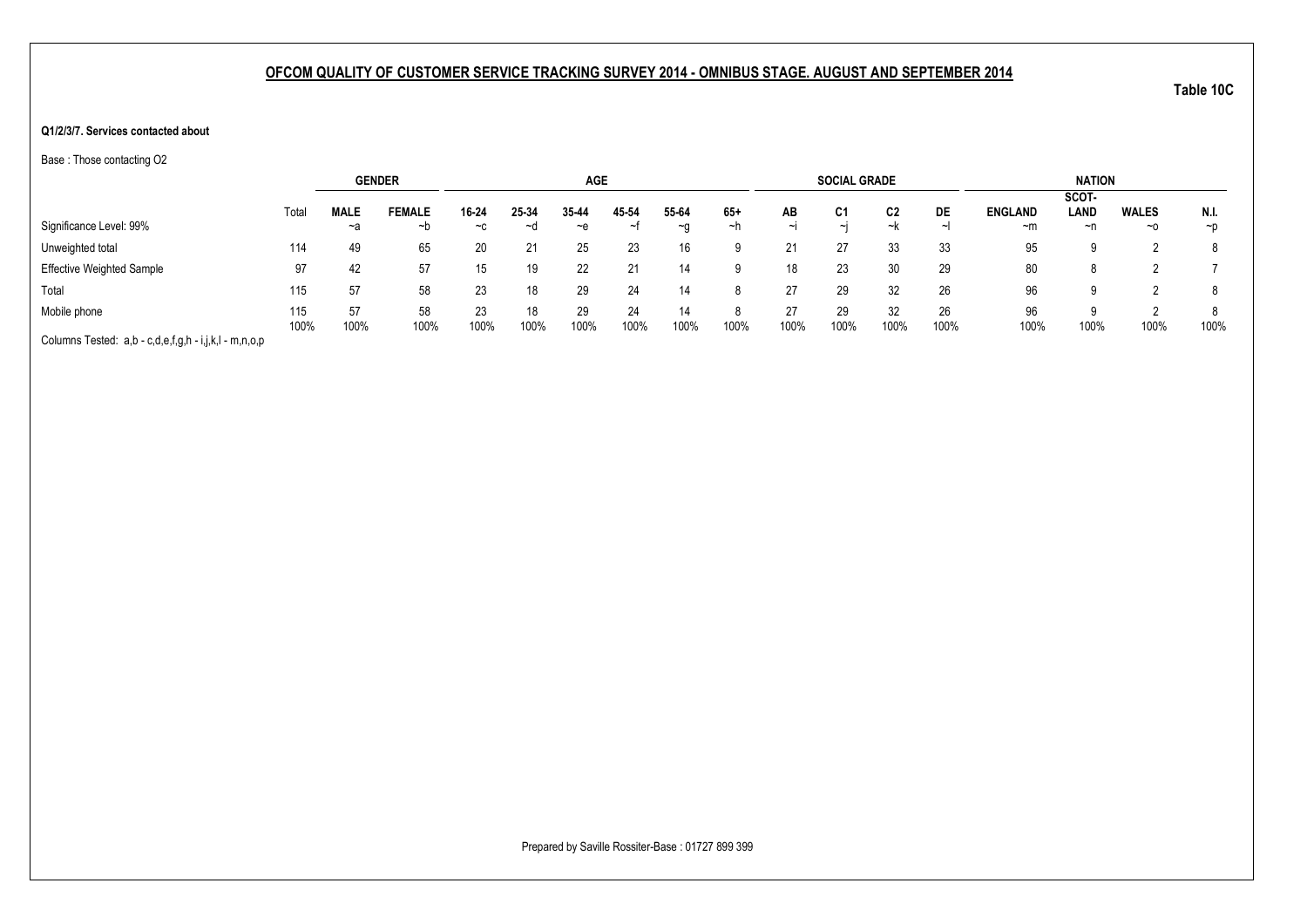#### **Q1/2/3/7. Services contacted about**

Base : Those contacting O2

|                                                       |       |             | <b>GENDER</b> |       |       | <b>AGE</b> |       |           |       |      | <b>SOCIAL GRADE</b> |      |        |                | <b>NATION</b> |              |          |
|-------------------------------------------------------|-------|-------------|---------------|-------|-------|------------|-------|-----------|-------|------|---------------------|------|--------|----------------|---------------|--------------|----------|
|                                                       |       |             |               |       |       |            |       |           |       |      |                     |      |        |                | SCOT-         |              |          |
|                                                       | Total | <b>MALE</b> | <b>FEMALE</b> | 16-24 | 25-34 | 35 44      | 45-54 | 55-64     | $65+$ | AВ   | C1                  | C2   | DE     | <b>ENGLAND</b> | LAND          | <b>WALES</b> | N.I.     |
| Significance Level: 99%                               |       | ~a          | ∼b            | $-c$  | ~d    | ~e         | ∼     | $~\sim$ n | ~n    |      | $\sim$              | ~k   | $\sim$ | ~m             | ~n            | $~\sim$ 0    | $\neg$ D |
| Unweighted total                                      | 114   | 49          | 65            | 20    |       | 25         | 23    | 16        | a     |      | 27                  | 33   | 33     | 95             | a             |              |          |
| <b>Effective Weighted Sample</b>                      | 97    | 42          | 57            | 15    |       | 22         | 21    | 14        |       | 18   | 23                  | 30   | 29     | 80             | 8             |              |          |
| Total                                                 | 115   | 57          | 58            | 23    |       | 29         | 24    | 14        |       | 27   | 29                  | 32   | 26     | 96             | ū             |              | 8        |
| Mobile phone                                          | 115   | 57          | 58            | 23    |       | 29         | 24    | 14        |       | 27   | 29                  | 32   | 26     | 96             | a             |              |          |
| Columns Tested: a,b - c,d,e,f,g,h - i,j,k,l - m,n,o,p | 100%  | 100%        | 100%          | 100%  | 100%  | 100%       | 100%  | 100%      | 100%  | 100% | 100%                | 100% | 100%   | 100%           | 100%          | 100%         | 100%     |

**Table 10C**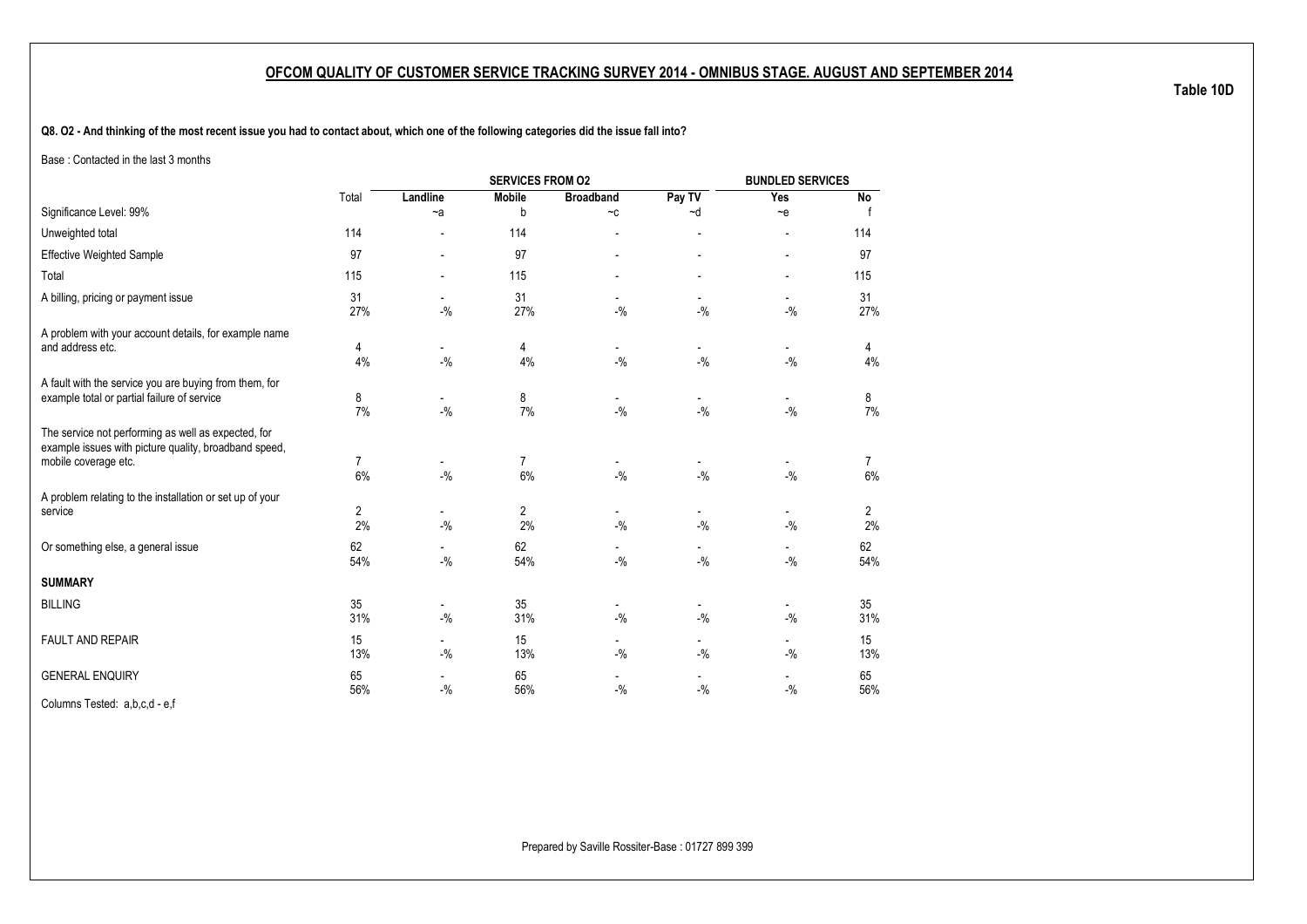**Q8. O2 - And thinking of the most recent issue you had to contact about, which one of the following categories did the issue fall into?**

Base : Contacted in the last 3 months

|                                                                                                                                      |           |                                    | <b>SERVICES FROM 02</b> |                                    |                                    | <b>BUNDLED SERVICES</b>            |                      |
|--------------------------------------------------------------------------------------------------------------------------------------|-----------|------------------------------------|-------------------------|------------------------------------|------------------------------------|------------------------------------|----------------------|
|                                                                                                                                      | Total     | Landline                           | <b>Mobile</b>           | <b>Broadband</b>                   | Pay TV                             | Yes                                | <b>No</b>            |
| Significance Level: 99%                                                                                                              |           | $-a$                               | b                       | $-c$                               | ~d                                 | $-e$                               |                      |
| Unweighted total                                                                                                                     | 114       |                                    | 114                     | $\overline{a}$                     | $\overline{a}$                     | $\overline{a}$                     | 114                  |
| <b>Effective Weighted Sample</b>                                                                                                     | 97        |                                    | 97                      |                                    |                                    | $\overline{a}$                     | 97                   |
| Total                                                                                                                                | 115       |                                    | 115                     |                                    | $\overline{a}$                     |                                    | 115                  |
| A billing, pricing or payment issue                                                                                                  | 31<br>27% | $-$ %                              | 31<br>27%               | $-9/6$                             | $-$ %                              | $-$ %                              | 31<br>27%            |
| A problem with your account details, for example name<br>and address etc.                                                            | 4<br>4%   | $-9/6$                             | 4<br>4%                 | $\overline{\phantom{a}}$<br>$-$ %  | $\blacksquare$<br>$-$ %            | $\overline{\phantom{a}}$<br>$-9/6$ | 4<br>4%              |
| A fault with the service you are buying from them, for<br>example total or partial failure of service                                | 8<br>7%   | $-$ %                              | 8<br>7%                 | $-9/6$                             | $-9/6$                             | $-9/6$                             | 8<br>7%              |
| The service not performing as well as expected, for<br>example issues with picture quality, broadband speed,<br>mobile coverage etc. | 7<br>6%   | $-9/6$                             | $\overline{7}$<br>6%    | $-9/6$                             | $-9/6$                             | $-9/6$                             | $\overline{7}$<br>6% |
| A problem relating to the installation or set up of your<br>service                                                                  | 2<br>2%   | $\overline{\phantom{a}}$<br>$-9/6$ | $\overline{2}$<br>2%    | $\overline{\phantom{a}}$<br>$-9/6$ | $\overline{\phantom{a}}$<br>$-9/6$ | $\overline{\phantom{a}}$<br>$-9/6$ | 2<br>2%              |
| Or something else, a general issue                                                                                                   | 62<br>54% | $-$ %                              | 62<br>54%               | $-$ %                              | $-$ %                              | $\overline{\phantom{a}}$<br>$-9/6$ | 62<br>54%            |
| <b>SUMMARY</b>                                                                                                                       |           |                                    |                         |                                    |                                    |                                    |                      |
| <b>BILLING</b>                                                                                                                       | 35<br>31% | $\overline{\phantom{a}}$<br>$-$ %  | 35<br>31%               | $\overline{\phantom{a}}$<br>$-$ %  | $\overline{\phantom{a}}$<br>$-9/6$ | $\overline{\phantom{a}}$<br>$-9/6$ | 35<br>31%            |
| <b>FAULT AND REPAIR</b>                                                                                                              | 15<br>13% | $\overline{\phantom{a}}$<br>$-$ %  | 15<br>13%               | $\overline{\phantom{a}}$<br>$-9/6$ | $\overline{\phantom{a}}$<br>$-9/0$ | $\overline{\phantom{a}}$<br>$-$ %  | 15<br>13%            |
| <b>GENERAL ENQUIRY</b>                                                                                                               | 65<br>56% | $-$ %                              | 65<br>56%               | $-9/6$                             | $-$ %                              | $-$ %                              | 65<br>56%            |

Columns Tested: a,b,c,d - e,f

**Table 10D**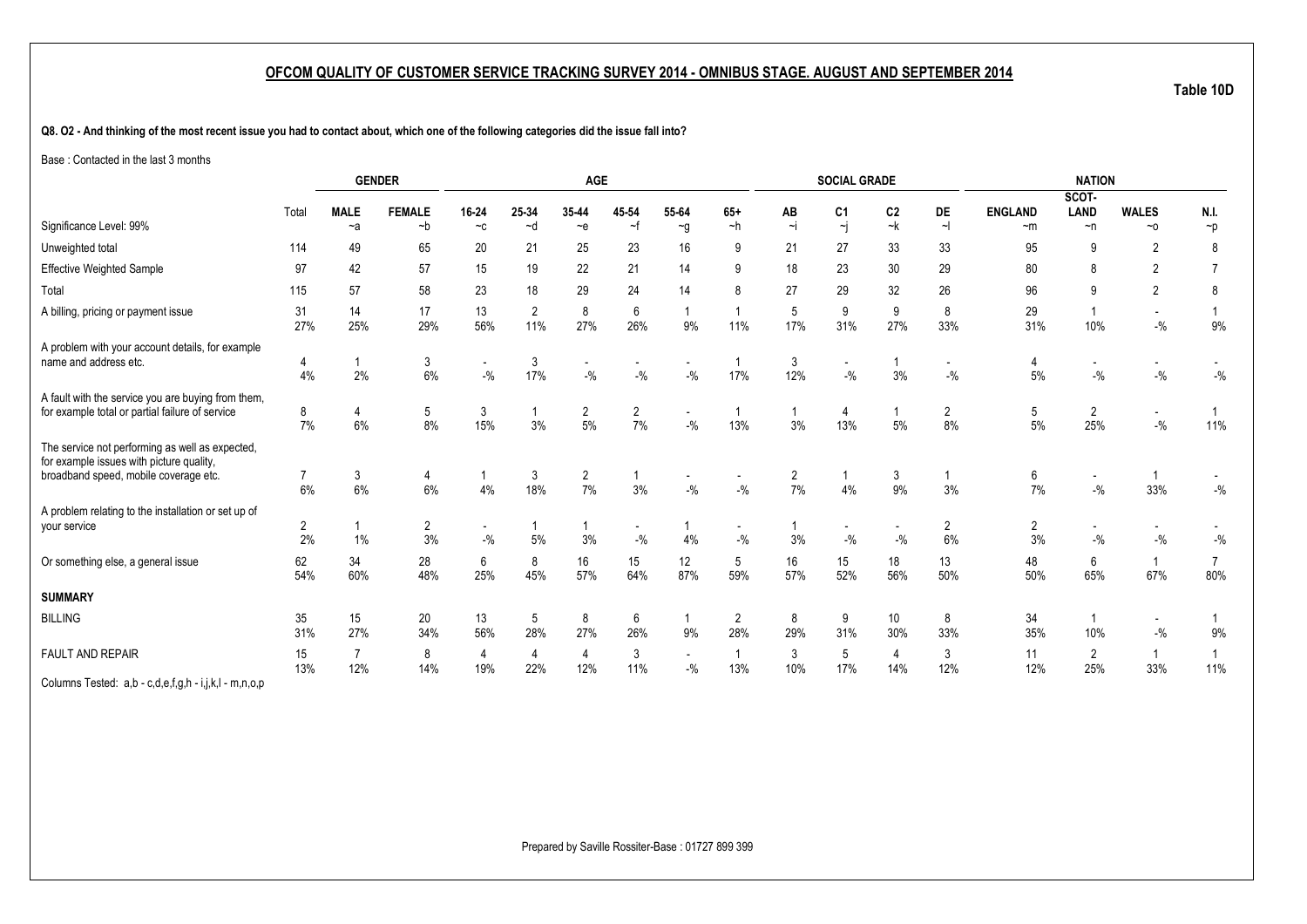**Q8. O2 - And thinking of the most recent issue you had to contact about, which one of the following categories did the issue fall into?**

Base : Contacted in the last 3 months

|                                                                                                                                      |           | <b>GENDER</b>         |                       |                                   |               | <b>AGE</b>            |                                   |                        |                                   |                | <b>SOCIAL GRADE</b>                       |            |                      |                      | <b>NATION</b>                      |                           |                            |
|--------------------------------------------------------------------------------------------------------------------------------------|-----------|-----------------------|-----------------------|-----------------------------------|---------------|-----------------------|-----------------------------------|------------------------|-----------------------------------|----------------|-------------------------------------------|------------|----------------------|----------------------|------------------------------------|---------------------------|----------------------------|
| Significance Level: 99%                                                                                                              | Total     | <b>MALE</b>           | <b>FEMALE</b><br>$-b$ | 16-24<br>$-c$                     | 25-34<br>$-d$ | 35-44<br>$-e$         | 45-54<br>$\sim$ f                 | 55-64                  | $65+$<br>$-h$                     | AB<br>$\sim i$ | C <sub>1</sub><br>$\overline{\mathbf{r}}$ | C2<br>$-k$ | DE<br>$\sim$         | <b>ENGLAND</b>       | SCOT-<br>LAND                      | <b>WALES</b><br>$~\sim$ 0 | N.I.                       |
|                                                                                                                                      |           | $-a$                  |                       |                                   |               |                       |                                   | $\sim g$               |                                   |                |                                           |            |                      | $-m$                 | $\neg$ n                           |                           | $\neg p$                   |
| Unweighted total                                                                                                                     | 114       | 49                    | 65                    | 20                                | 21            | 25                    | 23                                | 16                     | 9                                 | 21             | 27                                        | 33         | 33                   | 95                   | 9                                  | 2                         | 8                          |
| <b>Effective Weighted Sample</b>                                                                                                     | 97        | 42                    | 57                    | 15                                | 19            | 22                    | 21                                | 14                     | 9                                 | 18             | 23                                        | 30         | 29                   | 80                   | 8                                  | $\overline{2}$            |                            |
| Total                                                                                                                                | 115       | 57                    | 58                    | 23                                | 18            | 29                    | 24                                | 14                     | 8                                 | 27             | 29                                        | 32         | 26                   | 96                   | 9                                  | $\overline{2}$            | 8                          |
| A billing, pricing or payment issue                                                                                                  | 31<br>27% | 14<br>25%             | 17<br>29%             | 13<br>56%                         | 2<br>11%      | 8<br>27%              | 6<br>26%                          | 9%                     | 11%                               | 5<br>17%       | 9<br>31%                                  | 9<br>27%   | 8<br>33%             | 29<br>31%            | 10%                                | $\sim$<br>$-$ %           | 9%                         |
| A problem with your account details, for example<br>name and address etc.                                                            | 4%        | 2%                    | 3<br>6%               | $\overline{\phantom{a}}$<br>$-$ % | 3<br>17%      | $-$ %                 | $-$ %                             | $-$ %                  | 17%                               | 3<br>12%       | $-$ %                                     | 3%         | $-$ %                | $5%$                 | $-$ %                              | $-9/6$                    | $-{\%}$                    |
| A fault with the service you are buying from them,<br>for example total or partial failure of service                                | 8<br>7%   | 4<br>6%               | 5<br>8%               | 3<br>15%                          | 3%            | $\overline{2}$<br>5%  | $\overline{2}$<br>7%              | $-9/6$                 | 13%                               | 3%             | 4<br>13%                                  | $5\%$      | $\overline{2}$<br>8% | 5<br>5%              | $\overline{2}$<br>25%              | $\sim$<br>$-9/6$          | 11%                        |
| The service not performing as well as expected,<br>for example issues with picture quality,<br>broadband speed, mobile coverage etc. | 6%        | 3<br>6%               | 4<br>6%               | 4%                                | 3<br>18%      | $\overline{2}$<br>7%  | 3%                                | $-9/6$                 | $-$ %                             | 2<br>7%        | 4%                                        | 3<br>9%    | 3%                   | 6<br>7%              | $\overline{\phantom{a}}$<br>$-9/6$ | 33%                       | $-$ %                      |
| A problem relating to the installation or set up of<br>your service                                                                  | 2<br>2%   | 1%                    | $\overline{2}$<br>3%  | $\overline{\phantom{a}}$<br>$-$ % | 5%            | 3%                    | $\overline{\phantom{a}}$<br>$-$ % | 4%                     | $\overline{\phantom{a}}$<br>$-$ % | 3%             | $-$ %                                     | $-$ %      | 2<br>6%              | $\overline{2}$<br>3% | $-$ %                              | $-9/6$                    | $\mathbin{{\mathcal I}}_0$ |
| Or something else, a general issue                                                                                                   | 62<br>54% | 34<br>60%             | 28<br>48%             | 6<br>25%                          | 8<br>45%      | 16<br>57%             | 15<br>64%                         | 12 <sup>°</sup><br>87% | 5<br>59%                          | 16<br>57%      | 15<br>52%                                 | 18<br>56%  | 13<br>50%            | 48<br>50%            | 6<br>65%                           | $\overline{1}$<br>67%     | 80%                        |
| <b>SUMMARY</b>                                                                                                                       |           |                       |                       |                                   |               |                       |                                   |                        |                                   |                |                                           |            |                      |                      |                                    |                           |                            |
| <b>BILLING</b>                                                                                                                       | 35<br>31% | 15<br>27%             | 20<br>34%             | 13<br>56%                         | 5<br>28%      | 8<br>27%              | 6<br>26%                          | 1<br>9%                | $\overline{2}$<br>28%             | 8<br>29%       | 9<br>31%                                  | 10<br>30%  | 8<br>33%             | 34<br>35%            | 10%                                | $\sim$<br>$-$ %           | 9%                         |
| <b>FAULT AND REPAIR</b>                                                                                                              | 15<br>13% | $\overline{7}$<br>12% | 8<br>14%              | $\overline{4}$<br>19%             | 4<br>22%      | $\overline{4}$<br>12% | 3<br>11%                          | $-9/6$                 | $\overline{1}$<br>13%             | 3<br>10%       | 5<br>17%                                  | 4<br>14%   | 3<br>12%             | 11<br>12%            | $\overline{2}$<br>25%              | 1<br>33%                  | 11%                        |
| Columna Toptoni a b a da fa b iild mnan                                                                                              |           |                       |                       |                                   |               |                       |                                   |                        |                                   |                |                                           |            |                      |                      |                                    |                           |                            |

Columns Tested: a,b - c,d,e,f,g,h - i,j,k,l - m,n,o,p

Prepared by Saville Rossiter-Base : 01727 899 399

**Table 10D**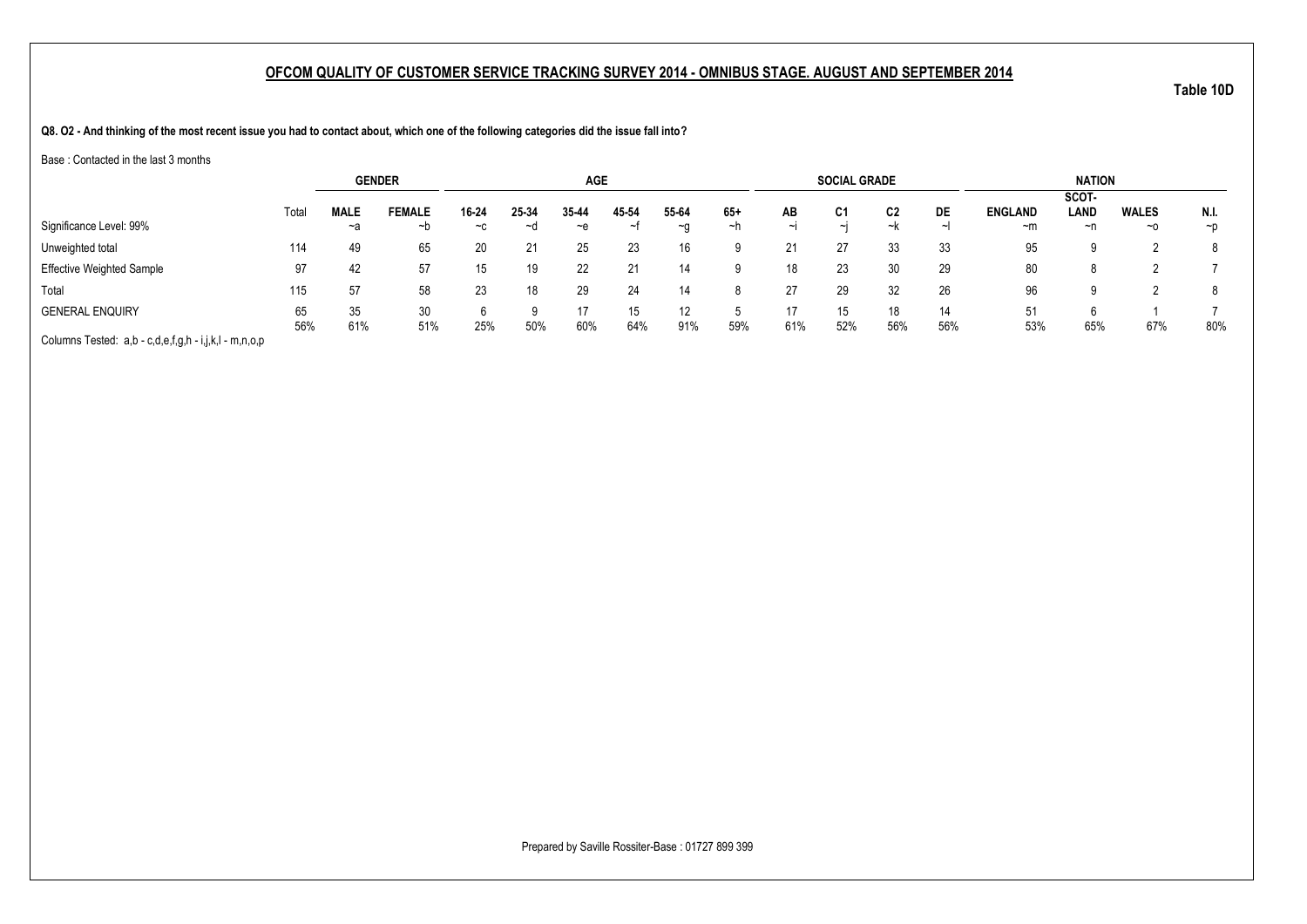**Q8. O2 - And thinking of the most recent issue you had to contact about, which one of the following categories did the issue fall into?**

Base : Contacted in the last 3 months

|                                                       |           | <b>GENDER</b> |               |       |       | <b>AGE</b> |           |           |     |        | <b>SOCIAL GRADE</b> |           |           |                | <b>NATION</b> |              |          |
|-------------------------------------------------------|-----------|---------------|---------------|-------|-------|------------|-----------|-----------|-----|--------|---------------------|-----------|-----------|----------------|---------------|--------------|----------|
|                                                       |           |               |               |       |       |            |           |           |     |        |                     |           |           |                | SCOT-         |              |          |
|                                                       | Total     | <b>MALE</b>   | <b>FEMALE</b> | 16-24 | 25-34 | 35-44      | 45-54     | 55-64     | 65+ | AB     | C1                  | C2        | DE        | <b>ENGLAND</b> | LAND          | <b>WALES</b> | N.I.     |
| Significance Level: 99%                               |           | ~a            | ~b            | $-c$  | ~d    | $-e$       |           | $~\sim$ 0 | ~n  | $\sim$ | $\sim$ I            | ~k        |           | $-m$           | ~n            | $~\sim$ 0    | $\neg$ D |
| Unweighted total                                      | 114       | 49            | 65            | 20    |       | 25         | 23        | 16        |     | 21     | 27                  | 33        | 33        | 95             | Ω             |              | 8        |
| <b>Effective Weighted Sample</b>                      | 97        | 42            | 57            |       | 19    | 22         | -21       | 14        |     | 18     | 23                  | 30        | 29        | 80             | 8             |              |          |
| Total                                                 | 115       | 57            | 58            | 23    | 18    | 29         | 24        | 14        |     | 27     | 29                  | 32        | 26        | 96             |               |              | 8        |
| <b>GENERAL ENQUIRY</b>                                | 65<br>56% | 35<br>61%     | 30<br>51%     | 25%   | 50%   | 17<br>60%  | 15<br>64% | 12<br>91% | 59% | 61%    | 15<br>52%           | 18<br>56% | 14<br>56% | 51<br>53%      | 65%           | 67%          | 80%      |
| Columns Tested: a,b - c,d,e,f,g,h - i,j,k,l - m,n,o,p |           |               |               |       |       |            |           |           |     |        |                     |           |           |                |               |              |          |

Prepared by Saville Rossiter-Base : 01727 899 399

**Table 10D**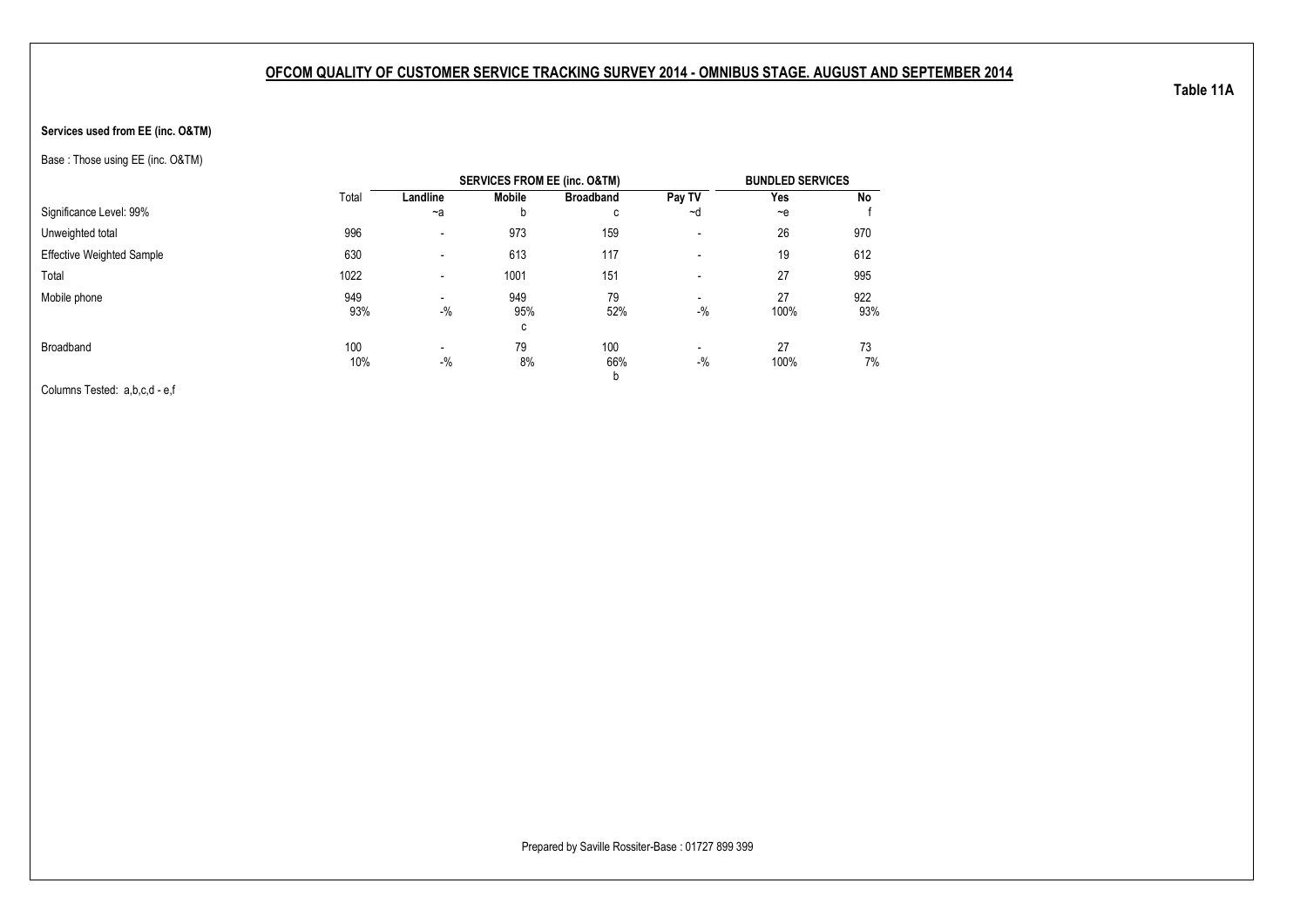#### **Services used from EE (inc. O&TM)**

Base : Those using EE (inc. O&TM)

|                                  |       |                          | <b>SERVICES FROM EE (inc. O&amp;TM)</b> |                  |                          | <b>BUNDLED SERVICES</b> |     |
|----------------------------------|-------|--------------------------|-----------------------------------------|------------------|--------------------------|-------------------------|-----|
|                                  | Total | Landline                 | Mobile                                  | <b>Broadband</b> | Pay TV                   | Yes                     | No  |
| Significance Level: 99%          |       | $-a$                     | b                                       | с                | ~d                       | $-e$                    |     |
| Unweighted total                 | 996   | $\overline{\phantom{a}}$ | 973                                     | 159              | $\overline{\phantom{a}}$ | 26                      | 970 |
| <b>Effective Weighted Sample</b> | 630   | $\overline{\phantom{a}}$ | 613                                     | 117              | $\overline{\phantom{a}}$ | 19                      | 612 |
| Total                            | 1022  | $\overline{\phantom{a}}$ | 1001                                    | 151              | $\overline{\phantom{a}}$ | 27                      | 995 |
| Mobile phone                     | 949   | $\overline{\phantom{a}}$ | 949                                     | 79               |                          | 27                      | 922 |
|                                  | 93%   | $-$ %                    | 95%                                     | 52%              | $-$ %                    | 100%                    | 93% |
|                                  |       |                          | С                                       |                  |                          |                         |     |
| Broadband                        | 100   | $\overline{\phantom{a}}$ | 79                                      | 100              | $\overline{\phantom{a}}$ | 27                      | 73  |
|                                  | 10%   | $-$ %                    | 8%                                      | 66%              | $-$ %                    | 100%                    | 7%  |
|                                  |       |                          |                                         | b                |                          |                         |     |

Columns Tested: a,b,c,d - e,f

**Table 11A**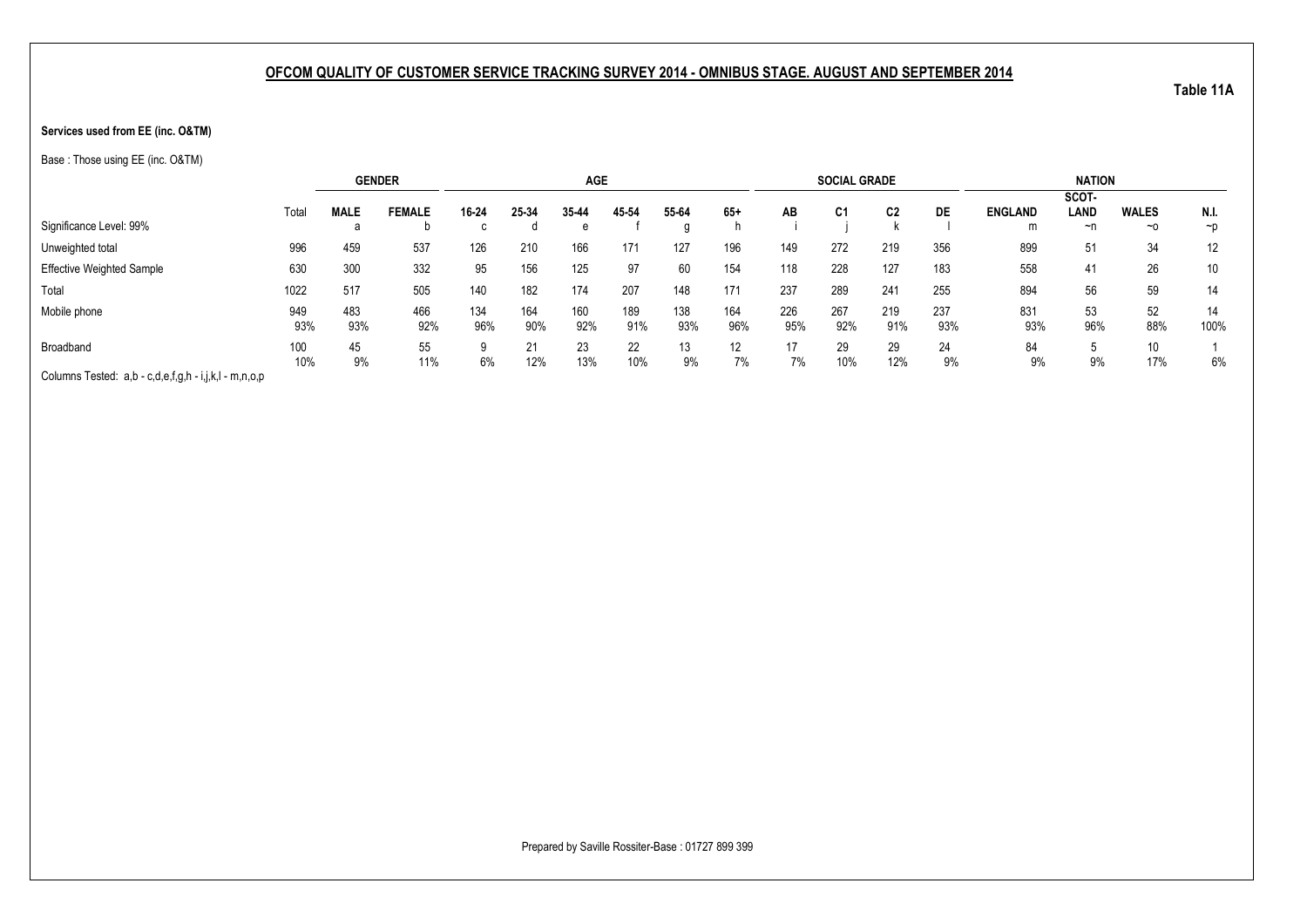#### **Services used from EE (inc. O&TM)**

Base : Those using EE (inc. O&TM)

|                                                       |       | <b>GENDER</b> |               |       |       | <b>AGE</b> |       |       |                 |     | <b>SOCIAL GRADE</b> |                |     |                | <b>NATION</b> |              |          |
|-------------------------------------------------------|-------|---------------|---------------|-------|-------|------------|-------|-------|-----------------|-----|---------------------|----------------|-----|----------------|---------------|--------------|----------|
|                                                       |       |               |               |       |       |            |       |       |                 |     |                     |                |     |                | SCOT-         |              |          |
|                                                       | Total | <b>MALE</b>   | <b>FEMALE</b> | 16-24 | 25-34 | 35-44      | 45 54 | 55-64 | $65+$           | AB  | C <sub>1</sub>      | C <sub>2</sub> | DE  | <b>ENGLAND</b> | LAND          | <b>WALES</b> | N.I.     |
| Significance Level: 99%                               |       |               |               |       |       | e          |       |       |                 |     |                     |                |     | m              | ~n            | $~\sim$ 0    | $\neg p$ |
| Unweighted total                                      | 996   | 459           | 537           | 126   | 210   | 166        | 171   | 127   | 196             | 149 | 272                 | 219            | 356 | 899            | 51            | 34           | 12       |
| <b>Effective Weighted Sample</b>                      | 630   | 300           | 332           | 95    | 156   | 125        | 97    | 60    | 154             | 118 | 228                 | 127            | 183 | 558            | 41            | 26           | 10       |
| Total                                                 | 1022  | 517           | 505           | 140   | 182   | 174        | 207   | 148   | 171             | 237 | 289                 | 241            | 255 | 894            | 56            | 59           | 14       |
| Mobile phone                                          | 949   | 483           | 466           | 134   | 164   | 160        | 189   | 138   | 164             | 226 | 267                 | 219            | 237 | 831            | 53            | 52           | 14       |
|                                                       | 93%   | 93%           | 92%           | 96%   | 90%   | 92%        | 91%   | 93%   | 96%             | 95% | 92%                 | 91%            | 93% | 93%            | 96%           | 88%          | 100%     |
| Broadband                                             | 100   | 45            | 55            |       | 21    | 23         | 22    | 13    | 12 <sup>°</sup> | 17  | 29                  | 29             | 24  | 84             | J             | 10           |          |
|                                                       | 10%   | 9%            | 11%           | 6%    | 12%   | 13%        | 10%   | 9%    | 7%              | 7%  | 10%                 | 12%            | 9%  | 9%             | 9%            | 17%          | 6%       |
| Columns Tested: a,b - c,d,e,f,g,h - i,j,k,l - m,n,o,p |       |               |               |       |       |            |       |       |                 |     |                     |                |     |                |               |              |          |

Prepared by Saville Rossiter-Base : 01727 899 399

**Table 11A**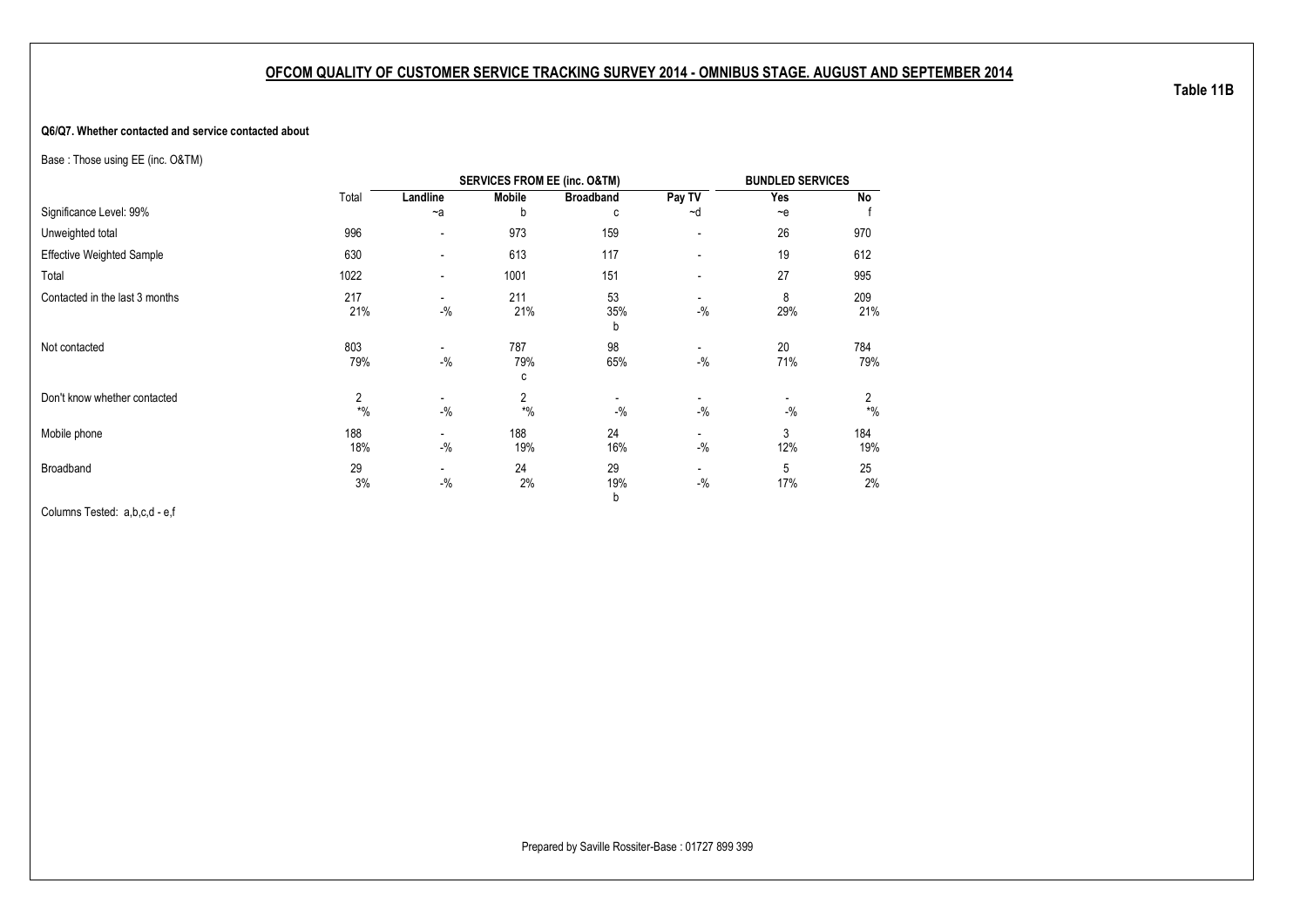#### **Q6/Q7. Whether contacted and service contacted about**

Base : Those using EE (inc. O&TM)

|                                  |                         |                                    | <b>SERVICES FROM EE (inc. O&amp;TM)</b> |                  |                                    | <b>BUNDLED SERVICES</b> |            |
|----------------------------------|-------------------------|------------------------------------|-----------------------------------------|------------------|------------------------------------|-------------------------|------------|
|                                  | Total                   | Landline                           | <b>Mobile</b>                           | <b>Broadband</b> | Pay TV                             | Yes                     | <b>No</b>  |
| Significance Level: 99%          |                         | $-a$                               | b                                       | c                | ~d                                 | $-e$                    |            |
| Unweighted total                 | 996                     | $\blacksquare$                     | 973                                     | 159              | $\overline{\phantom{a}}$           | 26                      | 970        |
| <b>Effective Weighted Sample</b> | 630                     | $\blacksquare$                     | 613                                     | 117              | -                                  | 19                      | 612        |
| Total                            | 1022                    | $\overline{\phantom{a}}$           | 1001                                    | 151              | -                                  | 27                      | 995        |
| Contacted in the last 3 months   | 217<br>21%              | $\overline{\phantom{a}}$<br>$-$ %  | 211<br>21%                              | 53<br>35%<br>b   | -<br>$-$ %                         | 8<br>29%                | 209<br>21% |
| Not contacted                    | 803<br>79%              | ٠<br>$-$ %                         | 787<br>79%<br>c                         | 98<br>65%        | $\overline{\phantom{0}}$<br>$-9/6$ | 20<br>71%               | 784<br>79% |
| Don't know whether contacted     | $\overline{2}$<br>$*$ % | $-$ %                              | $\overline{2}$<br>$*$ %                 | $-9/6$           | $-9/6$                             | $-$ %                   | 2<br>$*$ % |
| Mobile phone                     | 188<br>18%              | $\overline{\phantom{a}}$<br>$-$ %  | 188<br>19%                              | 24<br>16%        | $-9/6$                             | 3<br>12%                | 184<br>19% |
| Broadband                        | 29<br>3%                | $\overline{\phantom{a}}$<br>$-9/6$ | 24<br>2%                                | 29<br>19%<br>b   | -<br>$-$ %                         | 5<br>17%                | 25<br>2%   |

Columns Tested: a,b,c,d - e,f

**Table 11B**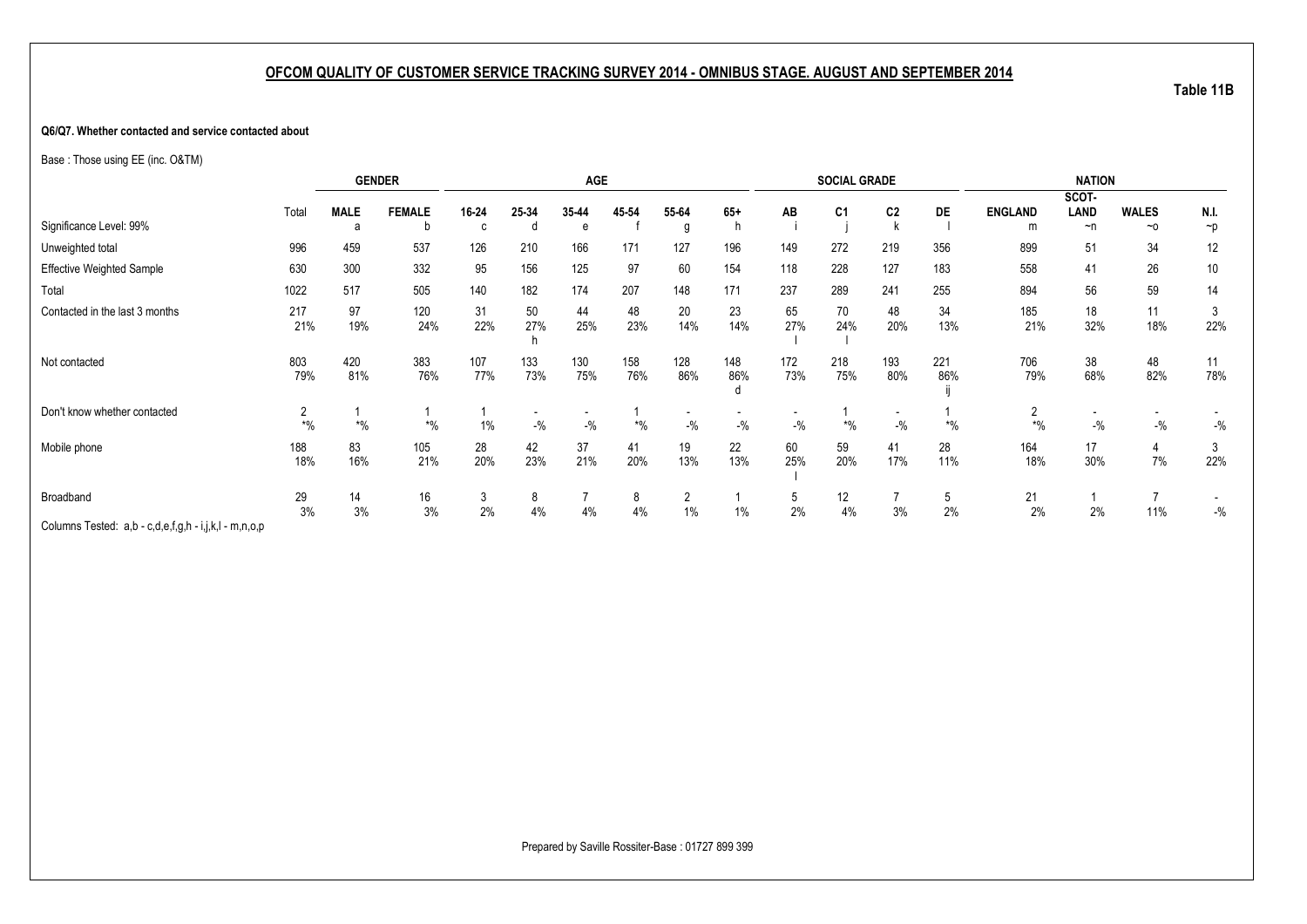#### **Q6/Q7. Whether contacted and service contacted about**

Base : Those using EE (inc. O&TM)

|                                                                    |            | <b>GENDER</b> |               |            |            | AGE        |            |            |            |            | <b>SOCIAL GRADE</b> |                                   |            |                | <b>NATION</b>        |              |           |
|--------------------------------------------------------------------|------------|---------------|---------------|------------|------------|------------|------------|------------|------------|------------|---------------------|-----------------------------------|------------|----------------|----------------------|--------------|-----------|
|                                                                    | Total      | <b>MALE</b>   | <b>FEMALE</b> | 16-24      | 25-34      | 35-44      | 45-54      | 55-64      | $65+$      | AВ         | C <sub>1</sub>      | C <sub>2</sub>                    | <b>DE</b>  | <b>ENGLAND</b> | SCOT-<br><b>LAND</b> | <b>WALES</b> | N.I.      |
| Significance Level: 99%                                            |            | a             | b             | C          |            | e          |            | g          | h          |            |                     |                                   |            | m              | $\neg$ n             | $~\sim$ 0    | $\neg p$  |
| Unweighted total                                                   | 996        | 459           | 537           | 126        | 210        | 166        | 171        | 127        | 196        | 149        | 272                 | 219                               | 356        | 899            | 51                   | 34           | 12        |
| <b>Effective Weighted Sample</b>                                   | 630        | 300           | 332           | 95         | 156        | 125        | 97         | 60         | 154        | 118        | 228                 | 127                               | 183        | 558            | 41                   | 26           | 10        |
| Total                                                              | 1022       | 517           | 505           | 140        | 182        | 174        | 207        | 148        | 171        | 237        | 289                 | 241                               | 255        | 894            | 56                   | 59           | 14        |
| Contacted in the last 3 months                                     | 217<br>21% | 97<br>19%     | 120<br>24%    | 31<br>22%  | 50<br>27%  | 44<br>25%  | 48<br>23%  | 20<br>14%  | 23<br>14%  | 65<br>27%  | 70<br>24%           | 48<br>20%                         | 34<br>13%  | 185<br>21%     | 18<br>32%            | 11<br>18%    | 3<br>22%  |
| Not contacted                                                      | 803<br>79% | 420<br>81%    | 383<br>76%    | 107<br>77% | 133<br>73% | 130<br>75% | 158<br>76% | 128<br>86% | 148<br>86% | 172<br>73% | 218<br>75%          | 193<br>80%                        | 221<br>86% | 706<br>79%     | 38<br>68%            | 48<br>82%    | 11<br>78% |
| Don't know whether contacted                                       | $*$ %      | $*$ %         | $*$ %         | 1%         | $-$ %      | $-$ %      | $*$ %      | $-9/6$     | $-9/6$     | $-$ %      | $*$ %               | $\overline{\phantom{a}}$<br>$-$ % | $*$ %      | 2<br>$*$ %     | $-9/6$               | $-$ %        | $-{\%}$   |
| Mobile phone                                                       | 188<br>18% | 83<br>16%     | 105<br>21%    | 28<br>20%  | 42<br>23%  | 37<br>21%  | 41<br>20%  | 19<br>13%  | 22<br>13%  | 60<br>25%  | 59<br>20%           | 41<br>17%                         | 28<br>11%  | 164<br>18%     | 17<br>30%            | 4<br>7%      | 3<br>22%  |
| Broadband<br>Columns Tested: a,b - c,d,e,f,g,h - i,j,k,l - m,n,o,p | 29<br>3%   | 14<br>3%      | 16<br>3%      | 3<br>2%    | 8<br>4%    | 4%         | 8<br>4%    | 2<br>$1\%$ | 1%         | G.<br>2%   | 12<br>4%            | 3%                                | 5<br>2%    | 21<br>2%       | 2%                   | 11%          | $-$ %     |

**Table 11B**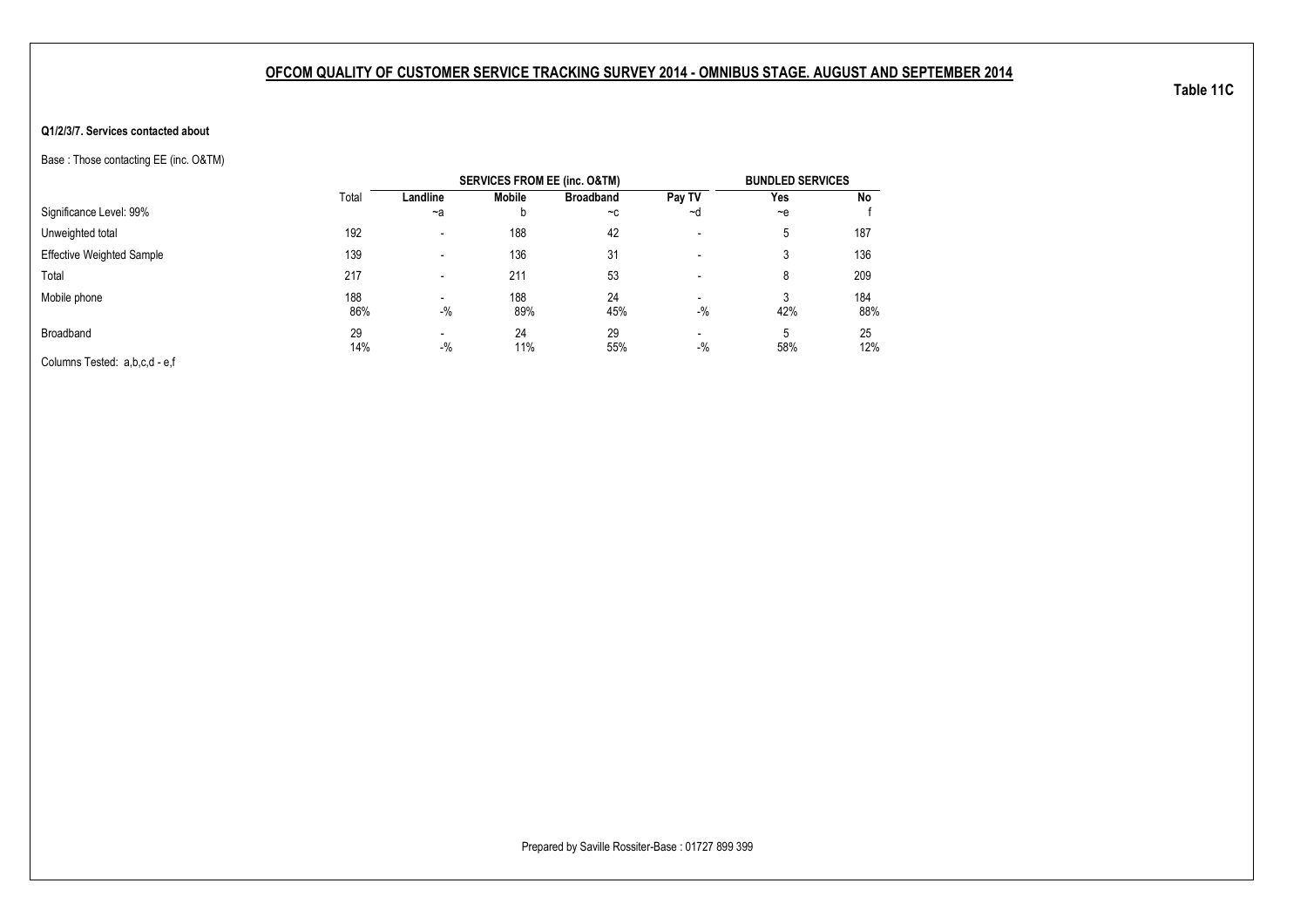#### **Q1/2/3/7. Services contacted about**

Base : Those contacting EE (inc. O&TM)

|                                  |       |                          |               | <b>SERVICES FROM EE (inc. O&amp;TM)</b> |                          | <b>BUNDLED SERVICES</b> |     |
|----------------------------------|-------|--------------------------|---------------|-----------------------------------------|--------------------------|-------------------------|-----|
|                                  | Total | Landline                 | <b>Mobile</b> | <b>Broadband</b>                        | Pay TV                   | Yes                     | No  |
| Significance Level: 99%          |       | $-a$                     | b             | $-c$                                    | ~d                       | $-$ e                   |     |
| Unweighted total                 | 192   | $\blacksquare$           | 188           | 42                                      | $\overline{\phantom{a}}$ | 5                       | 187 |
| <b>Effective Weighted Sample</b> | 139   | $\overline{\phantom{0}}$ | 136           | 31                                      | $\overline{\phantom{a}}$ | 3                       | 136 |
| Total                            | 217   | $\overline{\phantom{0}}$ | 211           | 53                                      | $\overline{\phantom{a}}$ | 8                       | 209 |
| Mobile phone                     | 188   | -                        | 188           | 24                                      | $\overline{\phantom{0}}$ | 3                       | 184 |
|                                  | 86%   | $-$ %                    | 89%           | 45%                                     | $-$ %                    | 42%                     | 88% |
| Broadband                        | 29    | -                        | 24            | 29                                      | $\overline{\phantom{0}}$ | 5                       | 25  |
|                                  | 14%   | $-$ %                    | 11%           | 55%                                     | $-$ %                    | 58%                     | 12% |
| Columns Tested: a,b,c,d - e,f    |       |                          |               |                                         |                          |                         |     |

**Table 11C**

Prepared by Saville Rossiter-Base : 01727 899 399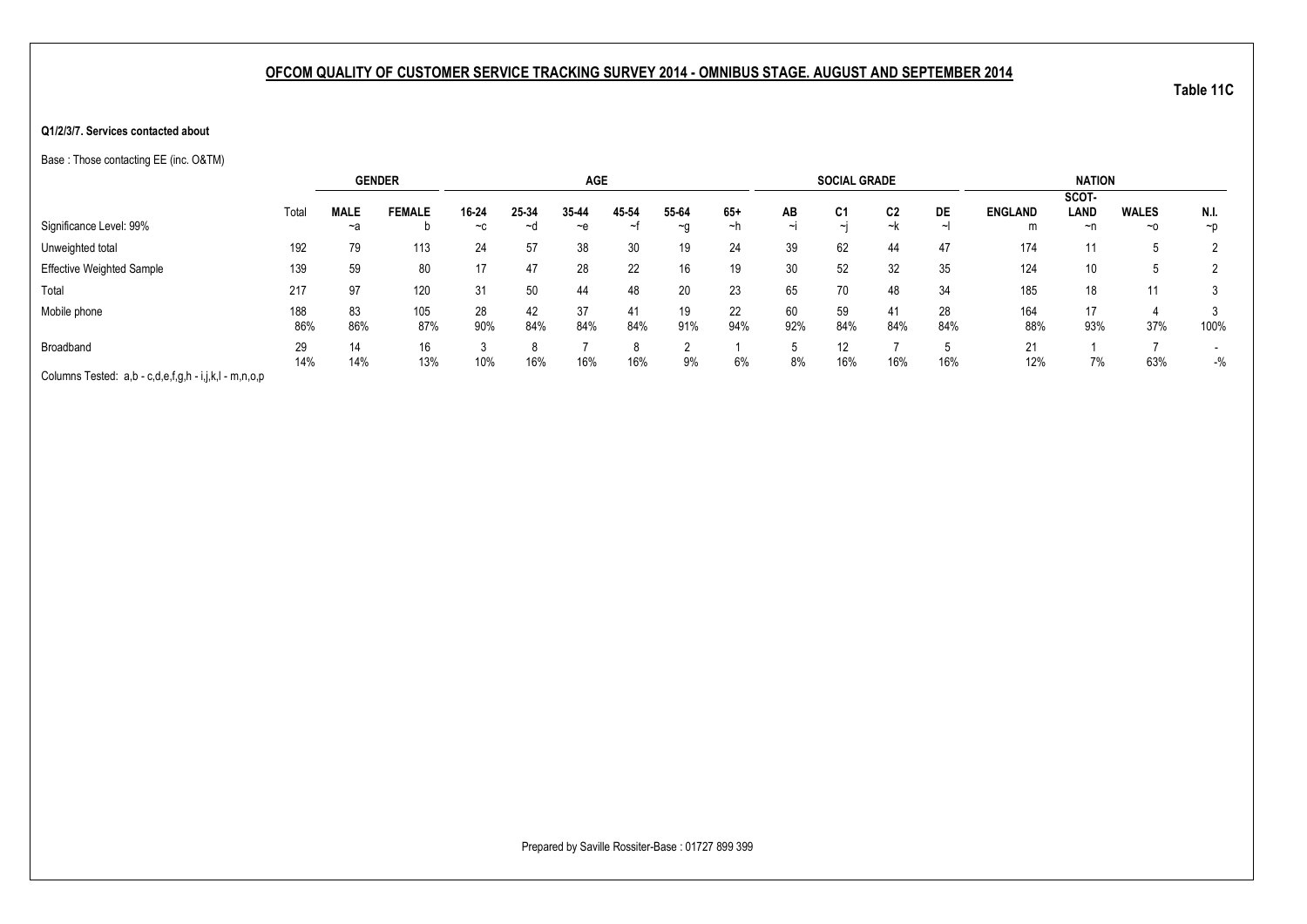#### **Q1/2/3/7. Services contacted about**

Base : Those contacting EE (inc. O&TM)

|                                                       |       |             | <b>GENDER</b> |       |       | <b>AGE</b> |       |       |       |        | <b>SOCIAL GRADE</b> |     |     |                | <b>NATION</b> |              |                          |
|-------------------------------------------------------|-------|-------------|---------------|-------|-------|------------|-------|-------|-------|--------|---------------------|-----|-----|----------------|---------------|--------------|--------------------------|
|                                                       |       |             |               |       |       |            |       |       |       |        |                     |     |     |                | SCOT-         |              |                          |
|                                                       | Total | <b>MALE</b> | <b>FEMALE</b> | 16-24 | 25-34 | 35-44      | 45-54 | 55-64 | $65+$ | AB     | C <sub>1</sub>      | C2  | DE  | <b>ENGLAND</b> | LAND          | <b>WALES</b> | N.I.                     |
| Significance Level: 99%                               |       | ~a          |               | $-c$  | ∼d    | ∼e         | ~t    | ~g    | ∼h    | $\sim$ | ایہ                 | ~k  |     | m              | ~n            | $~\sim$ 0    | $\neg p$                 |
| Unweighted total                                      | 192   | 79          | 113           | 24    | 57    | 38         | 30    | 19    | 24    | 39     | 62                  | 44  | 47  | 174            | 11            | b            |                          |
| <b>Effective Weighted Sample</b>                      | 139   | 59          | 80            | 17    | 47    | 28         | 22    | 16    | 19    | 30     | 52                  | 32  | 35  | 124            | 10            | 5            |                          |
| Total                                                 | 217   | 97          | 120           | 31    | 50    | 44         | 48    | 20    | 23    | 65     | 70                  | 48  | 34  | 185            | 18            | 11           |                          |
| Mobile phone                                          | 188   | 83          | 105           | 28    | 42    | 37         | 41    | 19    | 22    | 60     | 59                  | 41  | 28  | 164            | 17            |              |                          |
|                                                       | 86%   | 86%         | 87%           | 90%   | 84%   | 84%        | 84%   | 91%   | 94%   | 92%    | 84%                 | 84% | 84% | 88%            | 93%           | 37%          | 100%                     |
| Broadband                                             | 29    | 14          | 16            |       |       |            |       |       |       |        | 12                  |     |     | 21             |               |              | $\overline{\phantom{0}}$ |
|                                                       | 14%   | 14%         | 13%           | 10%   | 16%   | 16%        | 16%   | 9%    | 6%    | 8%     | 16%                 | 16% | 16% | 12%            | 7%            | 63%          | $-$ %                    |
| Columns Tested: a,b - c,d,e,f,g,h - i,j,k,l - m,n,o,p |       |             |               |       |       |            |       |       |       |        |                     |     |     |                |               |              |                          |

Prepared by Saville Rossiter-Base : 01727 899 399

**Table 11C**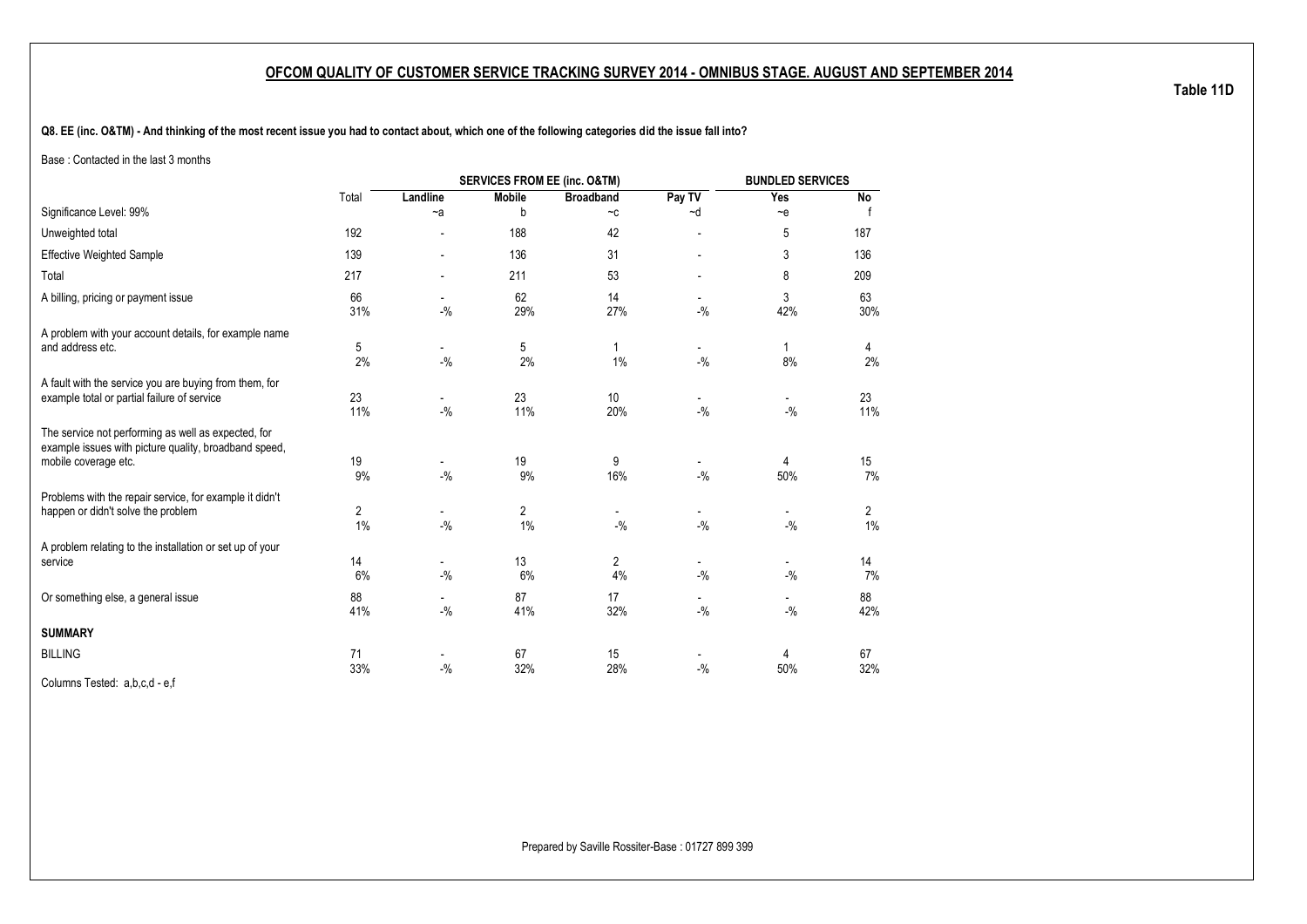**Q8. EE (inc. O&TM) - And thinking of the most recent issue you had to contact about, which one of the following categories did the issue fall into?**

Base : Contacted in the last 3 months

|                                                                                                                                      |           |                                    | <b>SERVICES FROM EE (inc. O&amp;TM)</b> |                             |                                   | <b>BUNDLED SERVICES</b>           |            |
|--------------------------------------------------------------------------------------------------------------------------------------|-----------|------------------------------------|-----------------------------------------|-----------------------------|-----------------------------------|-----------------------------------|------------|
|                                                                                                                                      | Total     | Landline                           | <b>Mobile</b>                           | <b>Broadband</b>            | Pay TV                            | Yes                               | No         |
| Significance Level: 99%                                                                                                              |           | $-a$                               | b                                       | $\mathord{\sim} \mathtt{C}$ | ~d                                | $\sim e$                          |            |
| Unweighted total                                                                                                                     | 192       |                                    | 188                                     | 42                          |                                   | 5                                 | 187        |
| <b>Effective Weighted Sample</b>                                                                                                     | 139       |                                    | 136                                     | 31                          |                                   | 3                                 | 136        |
| Total                                                                                                                                | 217       |                                    | 211                                     | 53                          |                                   | 8                                 | 209        |
| A billing, pricing or payment issue                                                                                                  | 66<br>31% | $-9/6$                             | 62<br>29%                               | 14<br>27%                   | $-9/6$                            | 3<br>42%                          | 63<br>30%  |
| A problem with your account details, for example name<br>and address etc.                                                            | 5<br>2%   | $\overline{\phantom{a}}$<br>$-9/6$ | 5<br>2%                                 | 1%                          | $\overline{\phantom{a}}$<br>$-$ % | 1<br>8%                           | 4<br>2%    |
| A fault with the service you are buying from them, for<br>example total or partial failure of service                                | 23<br>11% | $\overline{\phantom{a}}$<br>$-9/6$ | 23<br>11%                               | 10<br>20%                   | $\blacksquare$<br>$-$ %           | $\overline{\phantom{a}}$<br>$-$ % | 23<br>11%  |
| The service not performing as well as expected, for<br>example issues with picture quality, broadband speed,<br>mobile coverage etc. | 19<br>9%  | $-9/6$                             | 19<br>9%                                | 9<br>16%                    | $-$ %                             | 4<br>50%                          | 15<br>7%   |
| Problems with the repair service, for example it didn't<br>happen or didn't solve the problem                                        | 2<br>1%   | $-9/6$                             | $\overline{c}$<br>1%                    | $-9/6$                      | $-9/6$                            | $-$ %                             | 2<br>$1\%$ |
| A problem relating to the installation or set up of your<br>service                                                                  | 14<br>6%  | $\overline{\phantom{a}}$<br>$-$ %  | 13<br>6%                                | 2<br>4%                     | $\overline{\phantom{a}}$<br>$-$ % | $\overline{\phantom{a}}$<br>$-$ % | 14<br>7%   |
| Or something else, a general issue                                                                                                   | 88<br>41% | $-$ %                              | 87<br>41%                               | 17<br>32%                   | $-9/6$                            | $-9/6$                            | 88<br>42%  |
| <b>SUMMARY</b>                                                                                                                       |           |                                    |                                         |                             |                                   |                                   |            |
| <b>BILLING</b>                                                                                                                       | 71<br>33% | -<br>$-$ %                         | 67<br>32%                               | 15<br>28%                   | $-$ %                             | 4<br>50%                          | 67<br>32%  |
| Columns Tested: a,b,c,d - e,f                                                                                                        |           |                                    |                                         |                             |                                   |                                   |            |

**Table 11D**

Prepared by Saville Rossiter-Base : 01727 899 399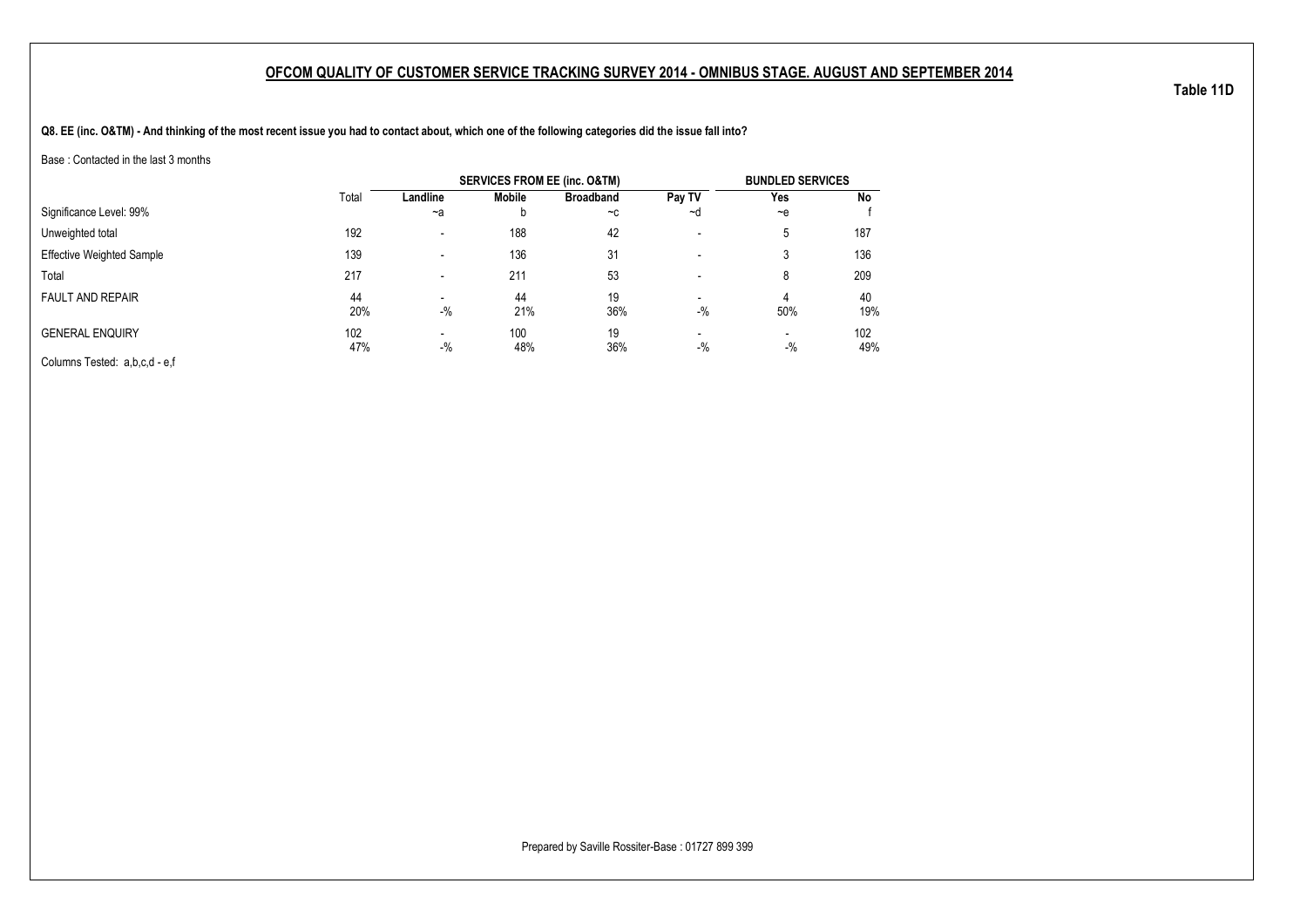**Q8. EE (inc. O&TM) - And thinking of the most recent issue you had to contact about, which one of the following categories did the issue fall into?**

Base : Contacted in the last 3 months

|                                  |            |                                   | <b>SERVICES FROM EE (inc. O&amp;TM)</b> |                  |                                   | <b>BUNDLED SERVICES</b>           |            |
|----------------------------------|------------|-----------------------------------|-----------------------------------------|------------------|-----------------------------------|-----------------------------------|------------|
|                                  | Total      | Landline                          | <b>Mobile</b>                           | <b>Broadband</b> | Pay TV                            | Yes                               | No         |
| Significance Level: 99%          |            | $-a$                              |                                         | $-c$             | ~d                                | $-e$                              |            |
| Unweighted total                 | 192        | $\overline{\phantom{0}}$          | 188                                     | 42               | $\overline{\phantom{a}}$          | 5                                 | 187        |
| <b>Effective Weighted Sample</b> | 139        | $\overline{\phantom{a}}$          | 136                                     | 31               | $\overline{\phantom{a}}$          | 3                                 | 136        |
| Total                            | 217        | $\overline{\phantom{0}}$          | 211                                     | 53               | $\overline{\phantom{a}}$          | 8                                 | 209        |
| <b>FAULT AND REPAIR</b>          | 44<br>20%  | $-$ %                             | 44<br>21%                               | 19<br>36%        | $\overline{\phantom{a}}$<br>$-$ % | 4<br>50%                          | 40<br>19%  |
| <b>GENERAL ENQUIRY</b>           | 102<br>47% | $\overline{\phantom{a}}$<br>$-$ % | 100<br>48%                              | 19<br>36%        | $\overline{\phantom{0}}$<br>$-$ % | $\overline{\phantom{0}}$<br>$-$ % | 102<br>49% |
| Columns Tested: a,b,c,d - e,f    |            |                                   |                                         |                  |                                   |                                   |            |

Prepared by Saville Rossiter-Base : 01727 899 399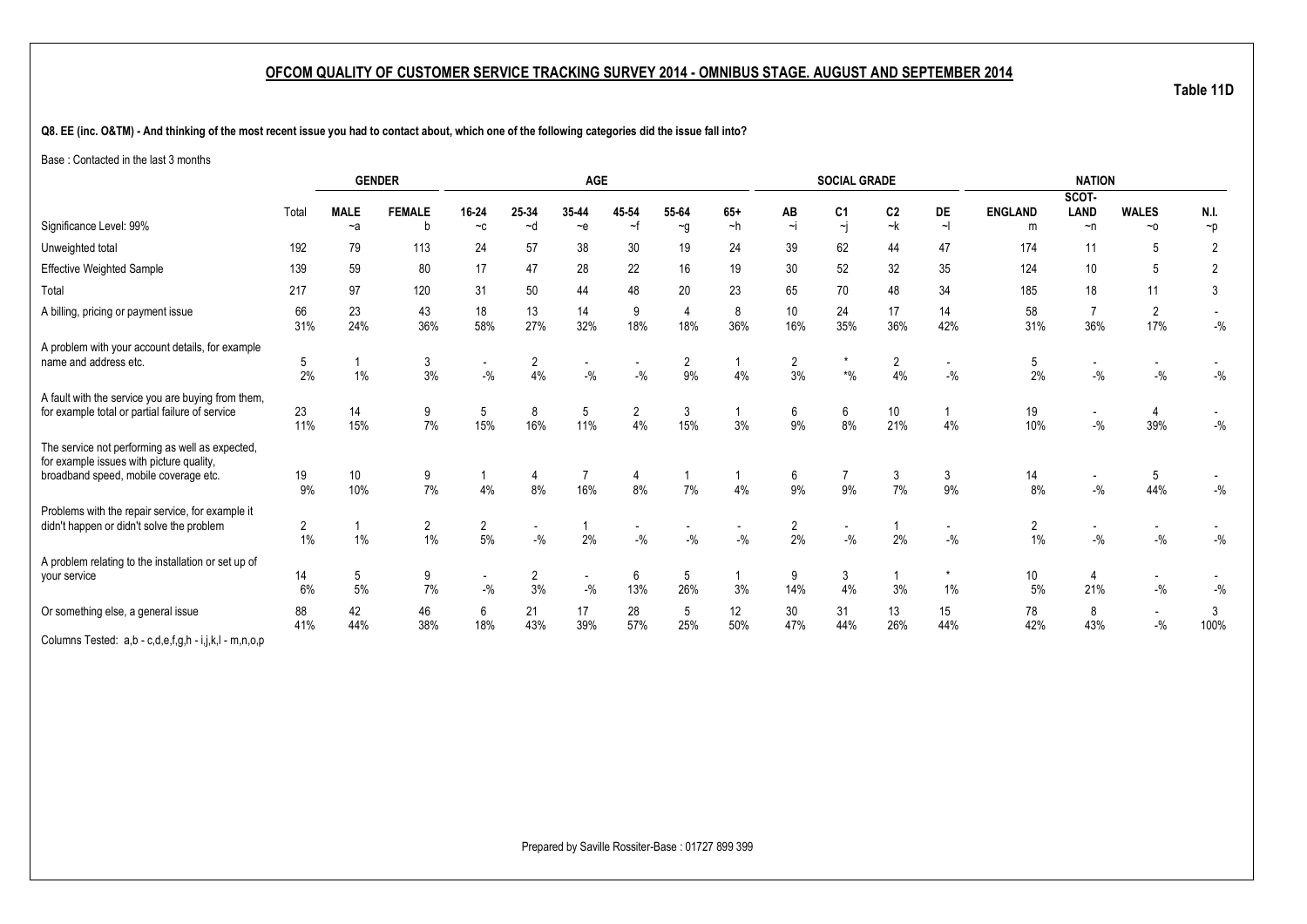**Table 11D**

**Q8. EE (inc. O&TM) - And thinking of the most recent issue you had to contact about, which one of the following categories did the issue fall into?**

Base : Contacted in the last 3 months

|                                                                                                                                      |                         |             | <b>GENDER</b>        |                         |                      | <b>AGE</b>                        |           |                        |           |                      | <b>SOCIAL GRADE</b>                |                      |                                    |                         | <b>NATION</b>                     |                                   |                |
|--------------------------------------------------------------------------------------------------------------------------------------|-------------------------|-------------|----------------------|-------------------------|----------------------|-----------------------------------|-----------|------------------------|-----------|----------------------|------------------------------------|----------------------|------------------------------------|-------------------------|-----------------------------------|-----------------------------------|----------------|
|                                                                                                                                      |                         |             |                      |                         |                      |                                   |           |                        |           |                      |                                    |                      |                                    |                         | SCOT-                             |                                   |                |
|                                                                                                                                      | Total                   | <b>MALE</b> | <b>FEMALE</b>        | 16-24                   | 25-34                | 35-44                             | 45 54     | 55-64                  | $65+$     | AB<br>$\sim i$       | C <sub>1</sub>                     | C <sub>2</sub><br>~k | DE                                 | <b>ENGLAND</b>          | LAND                              | <b>WALES</b>                      | N.I.           |
| Significance Level: 99%                                                                                                              |                         | $-a$        | h                    | $-c$                    | ~d                   | $-e$                              | ~f        | $\sim g$               | $-h$      |                      | $\overline{\mathbf{y}}$            |                      | $\sim$                             | m                       | $\neg$ n                          | $~\sim$ 0                         | $\neg p$       |
| Unweighted total                                                                                                                     | 192                     | 79          | 113                  | 24                      | 57                   | 38                                | 30        | 19                     | 24        | 39                   | 62                                 | 44                   | 47                                 | 174                     | 11                                | 5                                 | $\overline{2}$ |
| <b>Effective Weighted Sample</b>                                                                                                     | 139                     | 59          | 80                   | 17                      | 47                   | 28                                | 22        | 16                     | 19        | 30                   | 52                                 | 32                   | 35                                 | 124                     | 10                                | 5                                 | $\overline{2}$ |
| Total                                                                                                                                | 217                     | 97          | 120                  | 31                      | 50                   | 44                                | 48        | 20                     | 23        | 65                   | 70                                 | 48                   | 34                                 | 185                     | 18                                | 11                                | 3              |
| A billing, pricing or payment issue                                                                                                  | 66<br>31%               | 23<br>24%   | 43<br>36%            | 18<br>58%               | 13<br>27%            | 14<br>32%                         | 9<br>18%  | $\overline{4}$<br>18%  | 8<br>36%  | 10<br>16%            | 24<br>35%                          | 17<br>36%            | 14<br>42%                          | 58<br>31%               | $\overline{7}$<br>36%             | $\overline{2}$<br>17%             | $-{\%}$        |
| A problem with your account details, for example<br>name and address etc.                                                            | 5<br>2%                 | $1\%$       | 3<br>3%              | $-$ %                   | $\overline{2}$<br>4% | $\overline{\phantom{a}}$<br>$-$ % | $-$ %     | $\overline{2}$<br>9%   | 4%        | 2<br>3%              | $\star$<br>$\boldsymbol{*}0\!/\!0$ | $\overline{2}$<br>4% | $-$ %                              | 5<br>2%                 | $-$ %                             | $\mathbin{{\mathcal I}}_0$        | $-{\%}$        |
| A fault with the service you are buying from them,<br>for example total or partial failure of service                                | 23<br>11%               | 14<br>15%   | 9<br>7%              | 5<br>15%                | 8<br>16%             | 5<br>11%                          | 2<br>4%   | 3<br>15%               | 3%        | 6<br>9%              | 6<br>8%                            | 10<br>21%            | 4%                                 | 19<br>10%               | $\overline{\phantom{a}}$<br>$-$ % | 4<br>39%                          | $-$ %          |
| The service not performing as well as expected,<br>for example issues with picture quality,<br>broadband speed, mobile coverage etc. | 19<br>9%                | 10<br>10%   | 9<br>7%              | 4%                      | 4<br>8%              | 16%                               | 4<br>8%   | 7%                     | 4%        | 6<br>9%              | 7<br>9%                            | 3<br>7%              | 3<br>9%                            | 14<br>8%                | $\overline{\phantom{a}}$<br>$-$ % | 5<br>44%                          | $-{\%}$        |
| Problems with the repair service, for example it<br>didn't happen or didn't solve the problem                                        | $\overline{2}$<br>$1\%$ | 1%          | $\overline{c}$<br>1% | $\overline{2}$<br>$5\%$ | $-$ %                | 2%                                | $-$ %     | $-$ %                  | $-$ %     | $\overline{2}$<br>2% | $\overline{\phantom{a}}$<br>$ \%$  | 2%                   | $\overline{\phantom{a}}$<br>$-9/6$ | $\overline{2}$<br>$1\%$ | $\overline{\phantom{a}}$<br>$-$ % | $\overline{\phantom{a}}$<br>$-$ % | $-9/6$         |
| A problem relating to the installation or set up of<br>your service                                                                  | 14<br>6%                | 5<br>5%     | 9<br>7%              | $\sim$<br>$-$ %         | $\overline{2}$<br>3% | $\overline{\phantom{a}}$<br>$-$ % | 6<br>13%  | $5\phantom{.0}$<br>26% | 3%        | 9<br>14%             | 3<br>4%                            | 3%                   | 1%                                 | 10<br>5%                | 4<br>21%                          | $\sim$<br>$ \%$                   | $-{\%}$        |
| Or something else, a general issue                                                                                                   | 88<br>41%               | 42<br>44%   | 46<br>38%            | 6<br>18%                | 21<br>43%            | 17<br>39%                         | 28<br>57% | 5<br>25%               | 12<br>50% | 30<br>47%            | 31<br>44%                          | 13<br>26%            | 15<br>44%                          | 78<br>42%               | 8<br>43%                          | $\sim$<br>$-$ %                   | 3<br>100%      |
| Columns Tested: a,b - c,d,e,f,g,h - i,j,k,l - m,n,o,p                                                                                |                         |             |                      |                         |                      |                                   |           |                        |           |                      |                                    |                      |                                    |                         |                                   |                                   |                |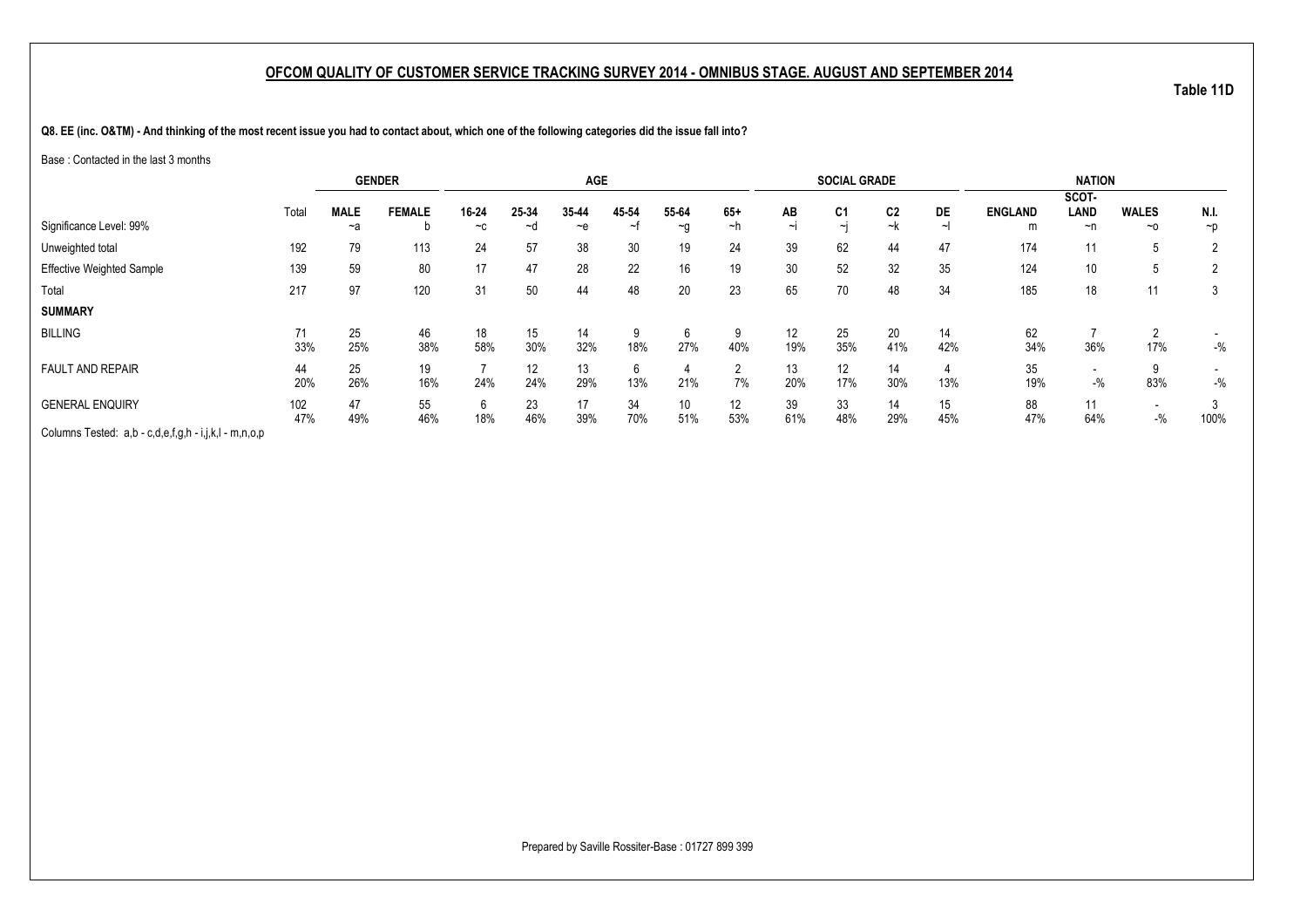**Table 11D**

**Q8. EE (inc. O&TM) - And thinking of the most recent issue you had to contact about, which one of the following categories did the issue fall into?**

Base : Contacted in the last 3 months

|                                                       |       | <b>GENDER</b> |               |       |       | <b>AGE</b> |            |          |                 |        | <b>SOCIAL GRADE</b> |                |     |                | <b>NATION</b>            |                          |                |
|-------------------------------------------------------|-------|---------------|---------------|-------|-------|------------|------------|----------|-----------------|--------|---------------------|----------------|-----|----------------|--------------------------|--------------------------|----------------|
|                                                       |       |               |               |       |       |            |            |          |                 |        |                     |                |     |                | SCOT-                    |                          |                |
|                                                       | Total | <b>MALE</b>   | <b>FEMALE</b> | 16-24 | 25-34 | 35-44      | 45-54      | 55-64    | $65+$           | AB     | C <sub>1</sub>      | C <sub>2</sub> | DE  | <b>ENGLAND</b> | LAND                     | <b>WALES</b>             | N.I.           |
| Significance Level: 99%                               |       | ~a            |               | $-c$  | ∼d    | $-e$       | $\tilde{}$ | $\sim g$ | ~h              | $\sim$ | $\sim$ i            | ~k             |     | m              | ~n                       | $~\sim$ 0                | $\neg$         |
| Unweighted total                                      | 192   | 79            | 113           | 24    | 57    | 38         | 30         | 19       | 24              | 39     | 62                  | 44             | 47  | 174            |                          | b.                       | $\overline{2}$ |
| <b>Effective Weighted Sample</b>                      | 139   | 59            | 80            | 17    | 47    | 28         | 22         | 16       | 19              | 30     | 52                  | 32             | 35  | 124            | 10                       | b.                       | $\overline{2}$ |
| Total                                                 | 217   | 97            | 120           | 31    | 50    | 44         | 48         | 20       | 23              | 65     | 70                  | 48             | 34  | 185            | 18                       | 11                       | 3              |
| <b>SUMMARY</b>                                        |       |               |               |       |       |            |            |          |                 |        |                     |                |     |                |                          |                          |                |
| <b>BILLING</b>                                        | 71    | 25            | 46            | 18    | 15    | 14         | 9          | 6        |                 | 12     | 25                  | 20             | 14  | 62             |                          | ◠                        |                |
|                                                       | 33%   | 25%           | 38%           | 58%   | 30%   | 32%        | 18%        | 27%      | 40%             | 19%    | 35%                 | 41%            | 42% | 34%            | 36%                      | 17%                      | $-$ %          |
| <b>FAULT AND REPAIR</b>                               | 44    | 25            | 19            |       | 12    | 13         | 6          |          | $\mathcal{P}$   | 13     | 12                  | 14             |     | 35             | $\overline{\phantom{a}}$ | 9                        |                |
|                                                       | 20%   | 26%           | 16%           | 24%   | 24%   | 29%        | 13%        | 21%      | 7%              | 20%    | 17%                 | 30%            | 13% | 19%            | $-$ %                    | 83%                      | $-$ %          |
| <b>GENERAL ENQUIRY</b>                                | 102   | 47            | 55            | 6     | 23    | 17         | 34         | 10       | 12 <sup>°</sup> | 39     | 33                  | 14             | 15  | 88             |                          | $\overline{\phantom{a}}$ |                |
|                                                       | 47%   | 49%           | 46%           | 18%   | 46%   | 39%        | 70%        | 51%      | 53%             | 61%    | 48%                 | 29%            | 45% | 47%            | 64%                      | $-9/6$                   | 100%           |
| Columns Tested: a,b - c,d,e,f,g,h - i,j,k,l - m,n,o,p |       |               |               |       |       |            |            |          |                 |        |                     |                |     |                |                          |                          |                |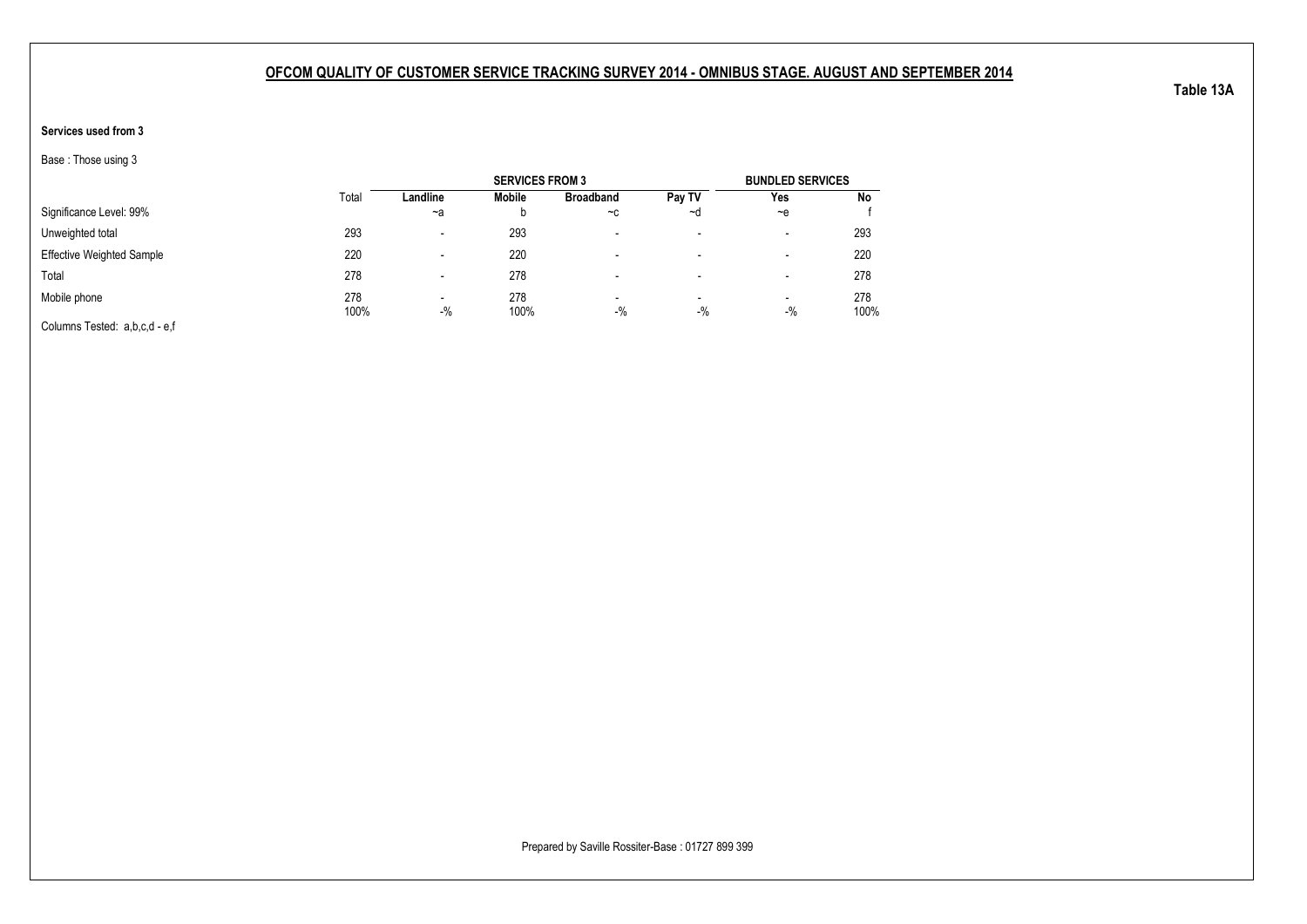### **Services used from 3**

Base : Those using 3

|                                  |             |          | <b>SERVICES FROM 3</b> |                                   |                                   | <b>BUNDLED SERVICES</b>           |             |
|----------------------------------|-------------|----------|------------------------|-----------------------------------|-----------------------------------|-----------------------------------|-------------|
|                                  | Total       | Landline | Mobile                 | <b>Broadband</b>                  | Pay TV                            | Yes                               | No          |
| Significance Level: 99%          |             | $-a$     |                        | $-c$                              | ~d                                | $-e$                              |             |
| Unweighted total                 | 293         |          | 293                    |                                   | $\overline{\phantom{0}}$          | $\overline{\phantom{a}}$          | 293         |
| <b>Effective Weighted Sample</b> | 220         |          | 220                    |                                   | -                                 | $\overline{\phantom{a}}$          | 220         |
| Total                            | 278         |          | 278                    |                                   | -                                 | $\overline{\phantom{a}}$          | 278         |
| Mobile phone                     | 278<br>100% | $-9/6$   | 278<br>100%            | $\overline{\phantom{0}}$<br>$-$ % | $\overline{\phantom{0}}$<br>$-$ % | $\overline{\phantom{a}}$<br>$-$ % | 278<br>100% |
| Columns Tested: a,b,c,d - e,f    |             |          |                        |                                   |                                   |                                   |             |

Prepared by Saville Rossiter-Base : 01727 899 399

**Table 13A**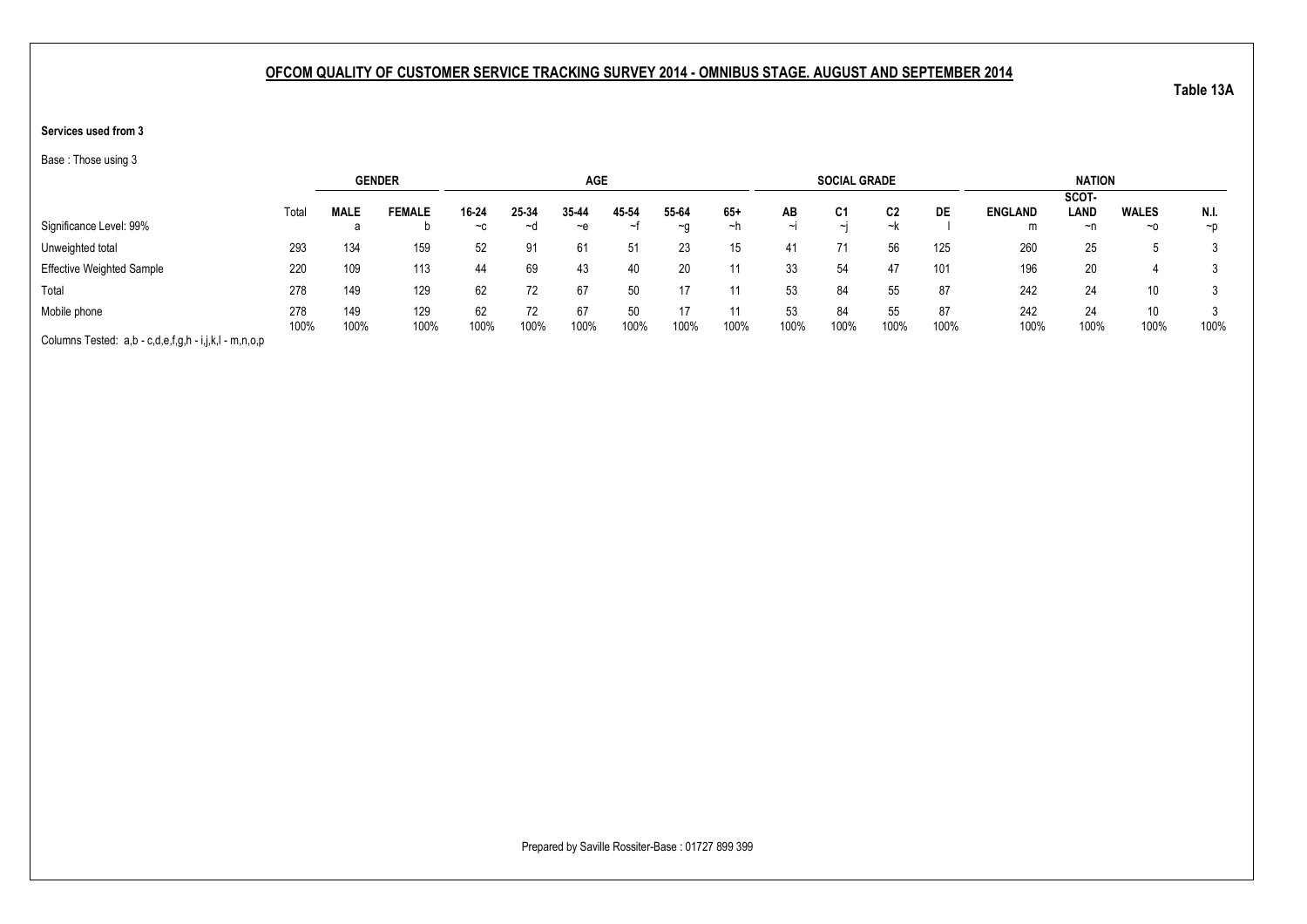### **Services used from 3**

Base : Those using 3

|                                                       |       | <b>GENDER</b> |               |       |       | <b>AGE</b> |          |           |       |        | <b>SOCIAL GRADE</b> |      |      |                | <b>NATION</b> |                 |          |
|-------------------------------------------------------|-------|---------------|---------------|-------|-------|------------|----------|-----------|-------|--------|---------------------|------|------|----------------|---------------|-----------------|----------|
|                                                       |       |               |               |       |       |            |          |           |       |        |                     |      |      |                | SCOT-         |                 |          |
|                                                       | Total | <b>MALE</b>   | <b>FEMALE</b> | 16-24 | 25-34 | 35-44      | 45-54    | 55-64     | $65+$ | AB     | C1                  | C2   | DE   | <b>ENGLAND</b> | <b>LAND</b>   | <b>WALES</b>    | N.I.     |
| Significance Level: 99%                               |       | а             |               | $-c$  | ~⊴    | $-e$       | $\sim$ t | $~\sim$ 0 | ~h    | $\sim$ | $\sim$ I            | ~k   |      | m              | ~n            | $~\sim$ 0       | $\neg$ D |
| Unweighted total                                      | 293   | 134           | 159           | 52    | 91    | 61         | 51       | 23        | 15    | 41     | 71                  | 56   | 125  | 260            | 25            |                 |          |
| <b>Effective Weighted Sample</b>                      | 220   | 109           | 113           | 44    | 69    | 43         | 40       | 20        |       | 33     | 54                  | 47   | 101  | 196            | 20            |                 |          |
| Total                                                 | 278   | 149           | 129           | 62    |       | 67         | 50       |           |       | 53     | 84                  | 55   | 87   | 242            | 24            | 10              |          |
| Mobile phone                                          | 278   | 149           | 129           | 62    |       | 67         | 50       |           |       | 53     | 84                  | 55   | 87   | 242            | 24            | 10 <sup>1</sup> |          |
|                                                       | 100%  | 100%          | 100%          | 100%  | 100%  | 100%       | 100%     | 100%      | 100%  | 100%   | 100%                | 100% | 100% | 100%           | 100%          | 100%            | 100%     |
| Columns Tested: a,b - c,d,e,f,g,h - i,j,k,l - m,n,o,p |       |               |               |       |       |            |          |           |       |        |                     |      |      |                |               |                 |          |

Prepared by Saville Rossiter-Base : 01727 899 399

**Table 13A**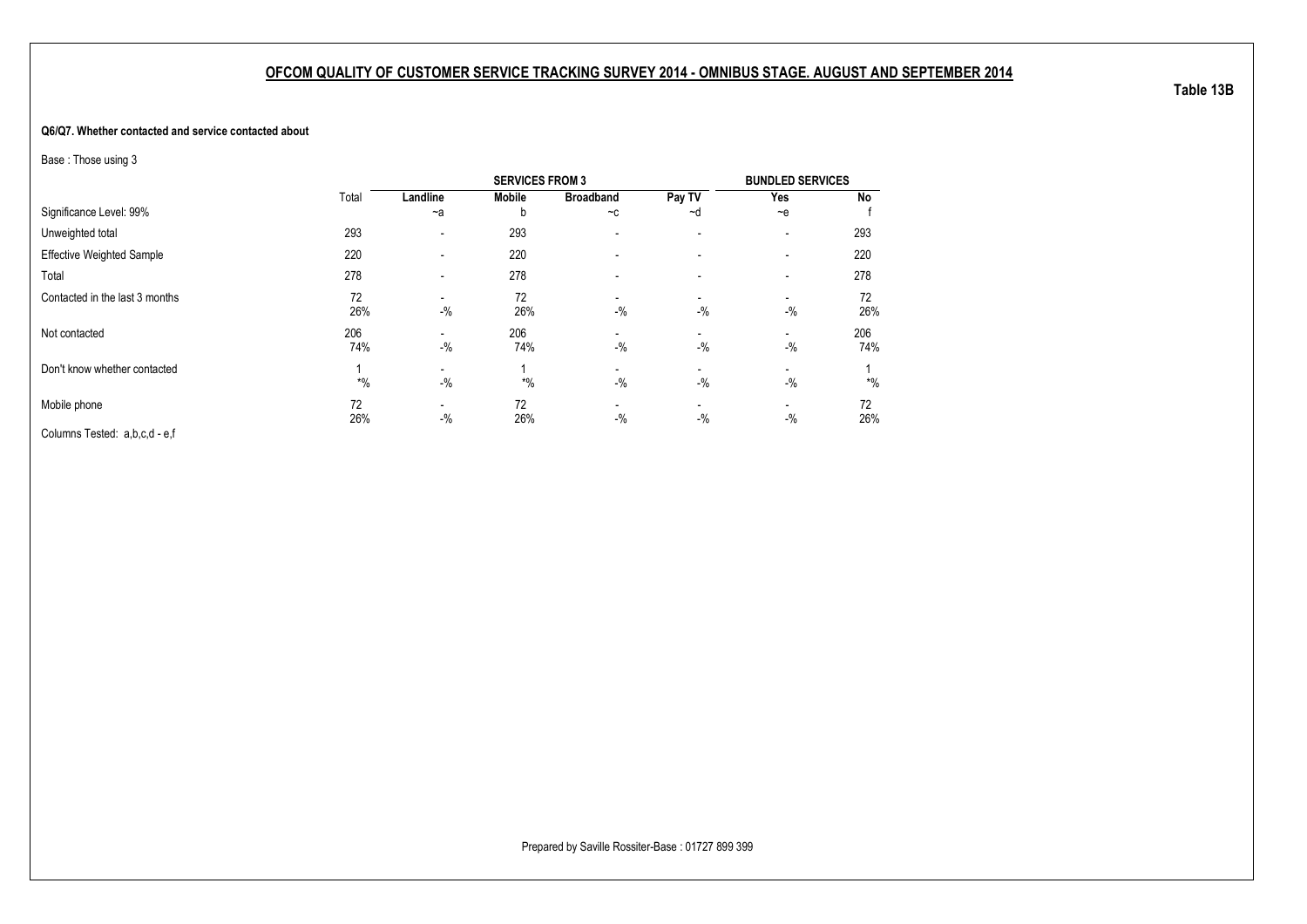#### **Q6/Q7. Whether contacted and service contacted about**

Base : Those using 3

|                                  |            |                                   | <b>SERVICES FROM 3</b> |                          |                          | <b>BUNDLED SERVICES</b> |            |
|----------------------------------|------------|-----------------------------------|------------------------|--------------------------|--------------------------|-------------------------|------------|
|                                  | Total      | Landline                          | <b>Mobile</b>          | <b>Broadband</b>         | Pay TV                   | Yes                     | No         |
| Significance Level: 99%          |            | $-a$                              | b                      | $-c$                     | ~d                       | $-$ e                   |            |
| Unweighted total                 | 293        | $\overline{\phantom{a}}$          | 293                    | $\overline{\phantom{a}}$ | $\overline{\phantom{a}}$ | -                       | 293        |
| <b>Effective Weighted Sample</b> | 220        | $\overline{\phantom{a}}$          | 220                    |                          |                          | -                       | 220        |
| Total                            | 278        | $\overline{\phantom{a}}$          | 278                    |                          |                          | -                       | 278        |
| Contacted in the last 3 months   | 72<br>26%  | $-$ %                             | 72<br>26%              | $-$ %                    | -<br>$-$ %               | $-$ %                   | 72<br>26%  |
| Not contacted                    | 206<br>74% | $-$ %                             | 206<br>74%             | $-$ %                    | $-$ %                    | $-$ %                   | 206<br>74% |
| Don't know whether contacted     | $*$ %      | $-$ %                             | $*$ %                  | $-$ %                    | -<br>$-$ %               | -<br>$-$ %              | $*$ %      |
| Mobile phone                     | 72<br>26%  | $\overline{\phantom{a}}$<br>$-$ % | 72<br>26%              | $-$ %                    | $-$ %                    | -<br>$-$ %              | 72<br>26%  |
| Columns Tested: a,b,c,d - e,f    |            |                                   |                        |                          |                          |                         |            |

**Table 13B**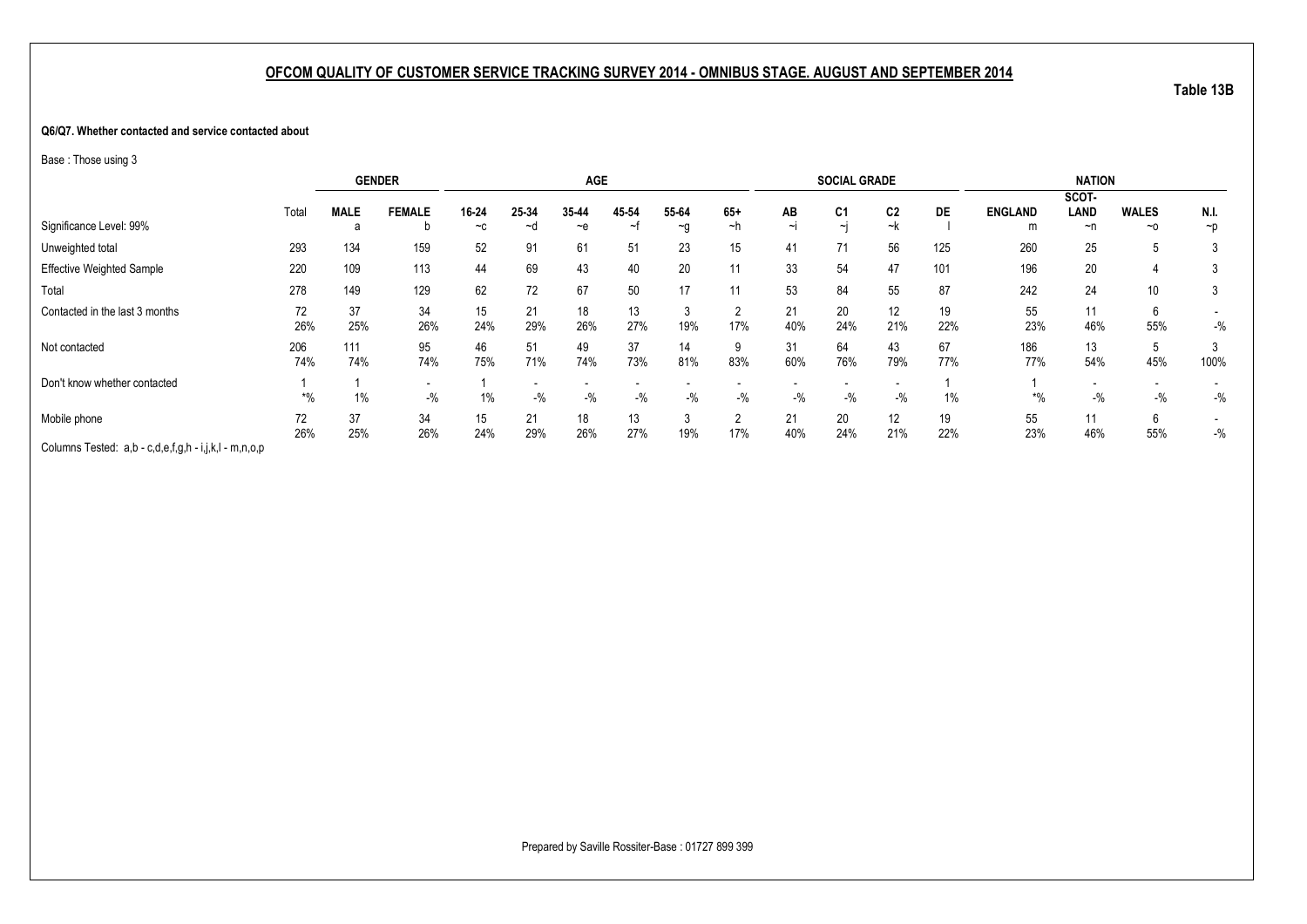#### **Q6/Q7. Whether contacted and service contacted about**

Base : Those using 3

|                                                       |       |             | <b>GENDER</b> |       |       | <b>AGE</b> |       |          |              |        | <b>SOCIAL GRADE</b> |                |     |                | <b>NATION</b> |              |        |
|-------------------------------------------------------|-------|-------------|---------------|-------|-------|------------|-------|----------|--------------|--------|---------------------|----------------|-----|----------------|---------------|--------------|--------|
|                                                       |       |             |               |       |       |            |       |          |              |        |                     |                |     |                | SCOT-         |              |        |
|                                                       | Total | <b>MALE</b> | <b>FEMALE</b> | 16-24 | 25-34 | 35-44      | 45-54 | 55-64    | $65+$        | AB     | C <sub>1</sub>      | C <sub>2</sub> | DE  | <b>ENGLAND</b> | LAND          | <b>WALES</b> | N.I.   |
| Significance Level: 99%                               |       |             |               | $-c$  | ~d    | $-e$       | ∼     | $\sim g$ | ~h           | $\sim$ | $\sim$              | ~k             |     | m              | ~n            | $~\sim$ 0    | $\neg$ |
| Unweighted total                                      | 293   | 134         | 159           | 52    | 91    | 61         | 51    | 23       | 15           | 41     | 71                  | 56             | 125 | 260            | 25            | ີວ           |        |
| <b>Effective Weighted Sample</b>                      | 220   | 109         | 113           | 44    | 69    | 43         | 40    | 20       | 11           | 33     | 54                  | 47             | 101 | 196            | 20            |              |        |
| Total                                                 | 278   | 149         | 129           | 62    | 72    | 67         | 50    | 17       | 11           | 53     | 84                  | 55             | 87  | 242            | 24            | 10           |        |
| Contacted in the last 3 months                        | 72    | 37          | 34            | 15    | 21    | 18         | 13    | 3        |              | 21     | 20                  | 12             | 19  | 55             | 11            | 6            |        |
|                                                       | 26%   | 25%         | 26%           | 24%   | 29%   | 26%        | 27%   | 19%      | 17%          | 40%    | 24%                 | 21%            | 22% | 23%            | 46%           | 55%          | $-$ %  |
| Not contacted                                         | 206   | 111         | 95            | 46    | 51    | 49         | 37    | 14       | 9            | 31     | 64                  | 43             | 67  | 186            | 13            | 5            |        |
|                                                       | 74%   | 74%         | 74%           | 75%   | 71%   | 74%        | 73%   | 81%      | 83%          | 60%    | 76%                 | 79%            | 77% | 77%            | 54%           | 45%          | 100%   |
| Don't know whether contacted                          |       |             |               |       |       |            |       |          |              |        |                     |                |     |                |               |              |        |
|                                                       | $*$ % | 1%          | $-$ %         | $1\%$ | $-$ % | $-$ %      | $-$ % | $-$ %    | $-$ %        | $-$ %  | $-$ %               | $-$ %          | 1%  | $^{*0}$        | $-$ %         | $-$ %        | $-$ %  |
| Mobile phone                                          | 72    | 37          | 34            | 15    | 21    | 18         | 13    | $\sim$   | <sup>o</sup> | 21     | 20                  | 12             | 19  | 55             | 11            | 6            |        |
|                                                       | 26%   | 25%         | 26%           | 24%   | 29%   | 26%        | 27%   | 19%      | 17%          | 40%    | 24%                 | 21%            | 22% | 23%            | 46%           | 55%          | $-$ %  |
| Columns Tested: a,b - c,d,e,f,g,h - i,j,k,l - m,n,o,p |       |             |               |       |       |            |       |          |              |        |                     |                |     |                |               |              |        |

**Table 13B**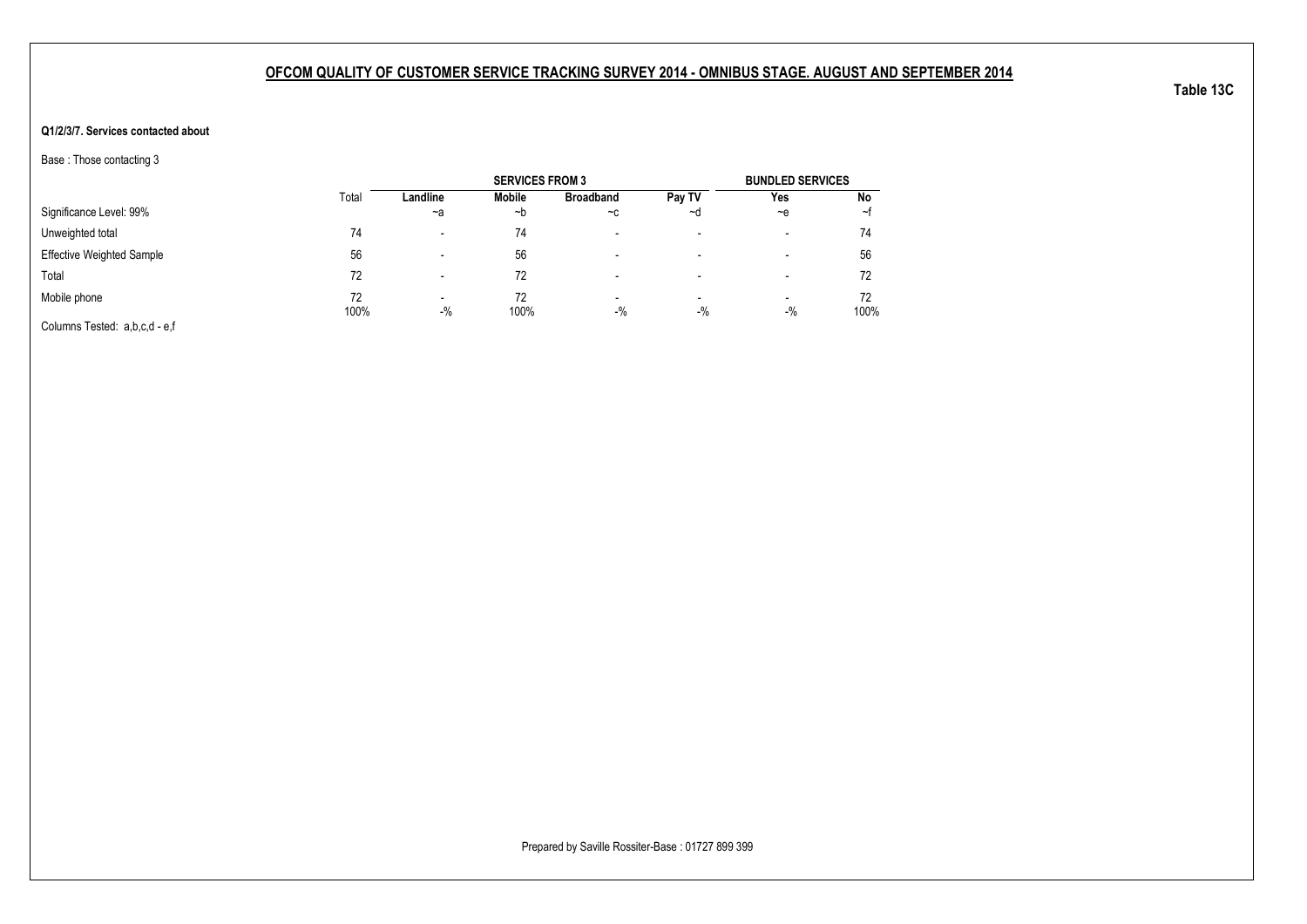### **Q1/2/3/7. Services contacted about**

Base : Those contacting 3

|                                  |            |                                   | <b>SERVICES FROM 3</b> |                          |                                   | <b>BUNDLED SERVICES</b>  |            |
|----------------------------------|------------|-----------------------------------|------------------------|--------------------------|-----------------------------------|--------------------------|------------|
|                                  | Total      | Landline                          | Mobile                 | <b>Broadband</b>         | Pay TV                            | Yes                      | No         |
| Significance Level: 99%          |            | $-a$                              | ∼b                     | $-c$                     | ~d                                | $-e$                     | ∼t         |
| Unweighted total                 | 74         | $\overline{\phantom{0}}$          | 74                     | $\overline{\phantom{0}}$ | $\overline{\phantom{a}}$          | $\overline{\phantom{a}}$ | 74         |
| <b>Effective Weighted Sample</b> | 56         |                                   | 56                     | $\overline{\phantom{0}}$ | -                                 | -                        | 56         |
| Total                            | 72         |                                   | 72                     | -                        | $\,$                              | $\,$                     | 72         |
| Mobile phone                     | 72<br>100% | $\overline{\phantom{0}}$<br>$-$ % | 72<br>100%             | $\,$<br>$-$ %            | $\overline{\phantom{a}}$<br>$-$ % | $\blacksquare$<br>$-$ %  | 72<br>100% |
| Columns Tested: a,b,c,d - e,f    |            |                                   |                        |                          |                                   |                          |            |

**Table 13C**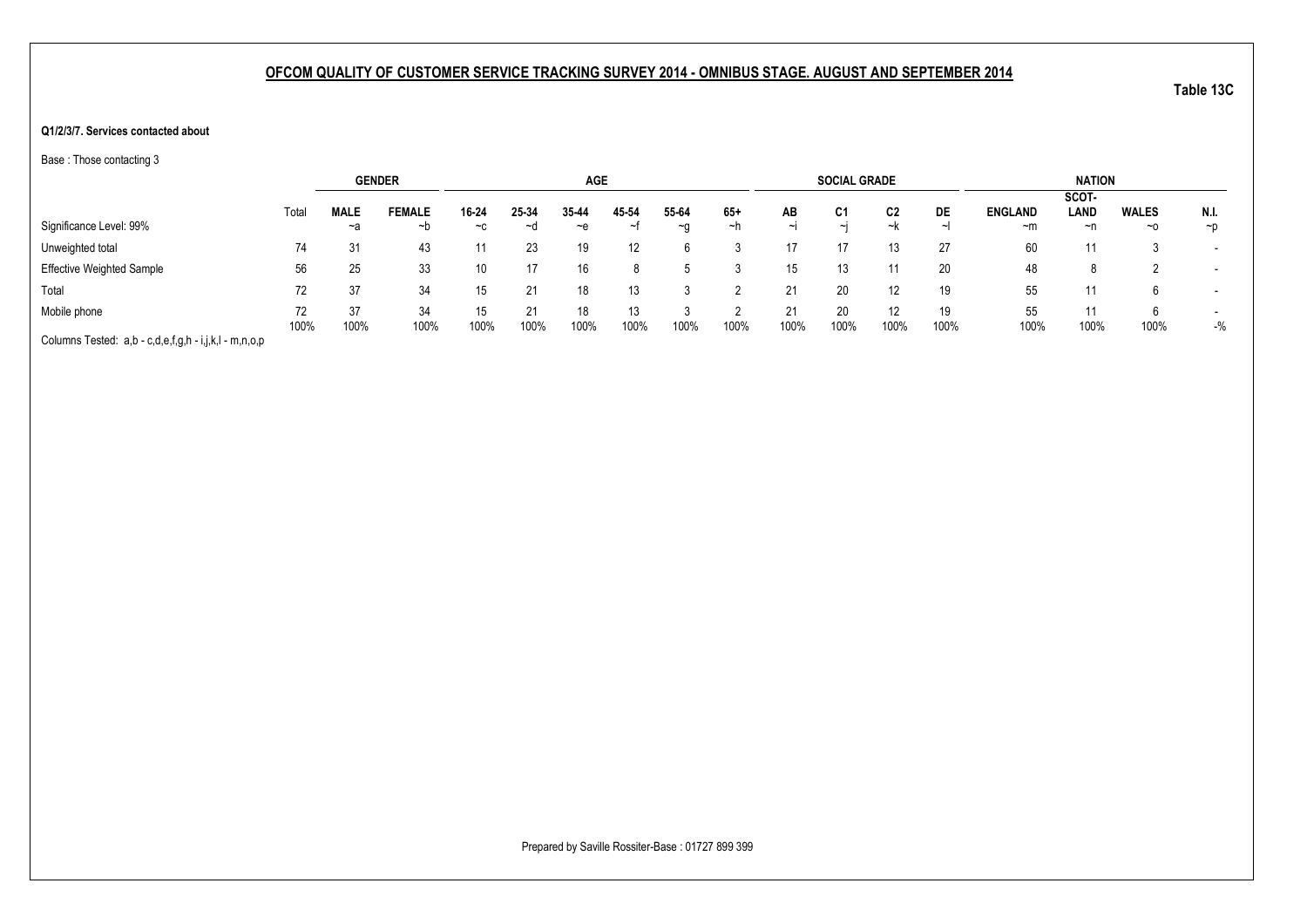#### **Q1/2/3/7. Services contacted about**

Base : Those contacting 3

|                                                       |       |             | <b>GENDER</b> |       |       | <b>AGE</b> |       |       |      |        | <b>SOCIAL GRADE</b> |      |      |                | <b>NATION</b> |              |                          |
|-------------------------------------------------------|-------|-------------|---------------|-------|-------|------------|-------|-------|------|--------|---------------------|------|------|----------------|---------------|--------------|--------------------------|
|                                                       |       |             |               |       |       |            |       |       |      |        |                     |      |      |                | SCOT-         |              |                          |
|                                                       | Total | <b>MALE</b> | <b>FEMALE</b> | 16-24 | 25-34 | 35 44      | 45-54 | 55-64 | 65+  | AB     | C1                  | C2   | DE   | <b>ENGLAND</b> | LAND          | <b>WALES</b> | N.I.                     |
| Significance Level: 99%                               |       | ~a          | ~b            | $-c$  | ∼d    | ~e         | ∼     | ∼a    | ∼h   | $\sim$ | $\sim$              | ~k   | ᅬ    | $~\sim$ m      | ~n            | $~\sim$ 0    | $\neg$ D                 |
| Unweighted total                                      | 74    | 31          | 43            |       | 23    | 19         | 12    | h     |      |        | 17                  |      | 27   | 60             |               |              |                          |
| <b>Effective Weighted Sample</b>                      | 56    | 25          | 33            | 10    |       | 16         |       |       |      | 15     | 13                  |      | 20   | 48             | 8             |              | $\overline{\phantom{0}}$ |
| Total                                                 | 72    | 37          | 34            | 15    |       | 18         | 13    |       |      |        | 20                  |      | 19   | 55             |               |              | $\overline{\phantom{0}}$ |
| Mobile phone                                          | 72    | 37          | 34            | 15    | 21    | 18         | 13    |       |      | 21     | 20                  | 12   | 19   | 55             | 11            | h            |                          |
|                                                       | 100%  | 100%        | 100%          | 100%  | 100%  | 100%       | 100%  | 100%  | 100% | 100%   | 100%                | 100% | 100% | 100%           | 100%          | 100%         | $-$ %                    |
| Columns Tested: a,b - c,d,e,f,g,h - i,j,k,l - m,n,o,p |       |             |               |       |       |            |       |       |      |        |                     |      |      |                |               |              |                          |

Prepared by Saville Rossiter-Base : 01727 899 399

**Table 13C**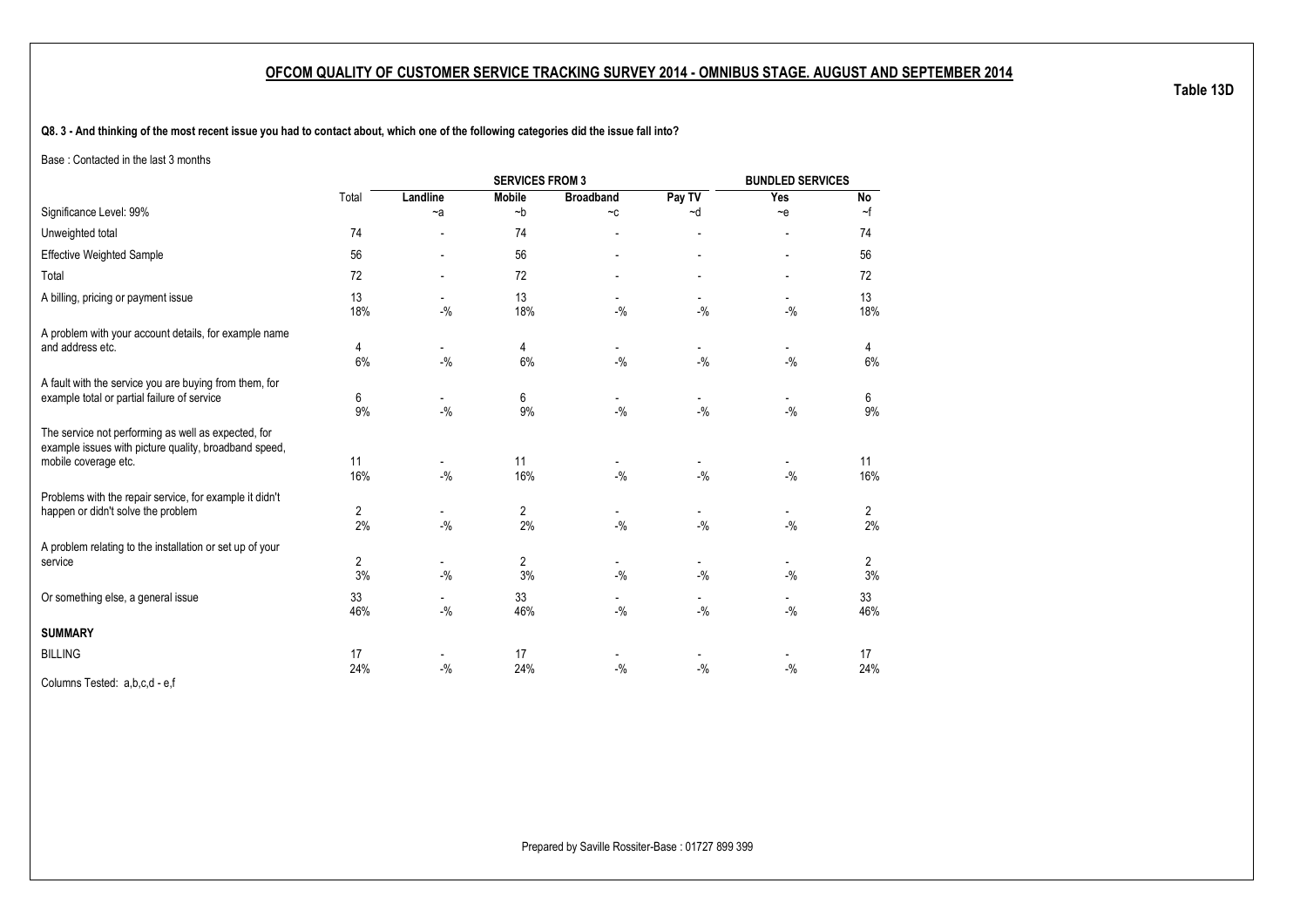**Q8. 3 - And thinking of the most recent issue you had to contact about, which one of the following categories did the issue fall into?**

Base : Contacted in the last 3 months

|                                                                                                                                      |           |                                    |                      | <b>BUNDLED SERVICES</b>            |                                   |                                    |           |
|--------------------------------------------------------------------------------------------------------------------------------------|-----------|------------------------------------|----------------------|------------------------------------|-----------------------------------|------------------------------------|-----------|
|                                                                                                                                      | Total     | Landline                           | <b>Mobile</b>        | <b>Broadband</b>                   | Pay TV                            | Yes                                | No        |
| Significance Level: 99%                                                                                                              |           | $-a$                               | $-b$                 | $-c$                               | $-d$                              | $-e$                               | $\sim$ f  |
| Unweighted total                                                                                                                     | 74        |                                    | 74                   | $\overline{\phantom{0}}$           | $\overline{\phantom{a}}$          | $\overline{\phantom{a}}$           | 74        |
| <b>Effective Weighted Sample</b>                                                                                                     | 56        |                                    | 56                   |                                    |                                   |                                    | 56        |
| Total                                                                                                                                | 72        |                                    | 72                   |                                    |                                   |                                    | 72        |
| A billing, pricing or payment issue                                                                                                  | 13<br>18% | $\overline{\phantom{a}}$<br>$-$ %  | 13<br>18%            | $\overline{\phantom{a}}$<br>$-$ %  | $\overline{\phantom{a}}$<br>$-$ % | $\overline{\phantom{a}}$<br>$-9/0$ | 13<br>18% |
| A problem with your account details, for example name                                                                                |           |                                    |                      |                                    |                                   |                                    |           |
| and address etc.                                                                                                                     | 4<br>6%   | $-$ %                              | 4<br>6%              | $-9/6$                             | $-$ %                             | $\overline{\phantom{a}}$<br>$-$ %  | 4<br>6%   |
| A fault with the service you are buying from them, for<br>example total or partial failure of service                                | 6<br>9%   | $\overline{\phantom{a}}$<br>$-9/6$ | 6<br>9%              | $\overline{\phantom{a}}$<br>$-9/6$ | $\overline{\phantom{0}}$<br>$-$ % | $\overline{\phantom{a}}$<br>$-$ %  | 6<br>9%   |
| The service not performing as well as expected, for<br>example issues with picture quality, broadband speed,<br>mobile coverage etc. | 11<br>16% | $-9/6$                             | 11<br>16%            | $-9/6$                             | $\overline{\phantom{0}}$<br>$-$ % | $-9/6$                             | 11<br>16% |
| Problems with the repair service, for example it didn't<br>happen or didn't solve the problem                                        | 2<br>2%   | $-$ %                              | $\overline{2}$<br>2% | $\overline{\phantom{a}}$<br>$-$ %  | $-$ %                             | $\overline{\phantom{a}}$<br>$-9/6$ | 2<br>2%   |
| A problem relating to the installation or set up of your<br>service                                                                  | 2<br>3%   | $-9/6$                             | $\overline{2}$<br>3% | $\overline{\phantom{a}}$<br>$-$ %  | $-$ %                             | $-$ %                              | 2<br>3%   |
| Or something else, a general issue                                                                                                   | 33<br>46% | $-9/6$                             | 33<br>46%            | $-$ %                              | $-9/6$                            | $-$ %                              | 33<br>46% |
| <b>SUMMARY</b>                                                                                                                       |           |                                    |                      |                                    |                                   |                                    |           |
| <b>BILLING</b>                                                                                                                       | 17<br>24% | $-9/6$                             | 17<br>24%            | $-$ %                              | $-$ %                             | $-$ %                              | 17<br>24% |

Columns Tested: a,b,c,d - e,f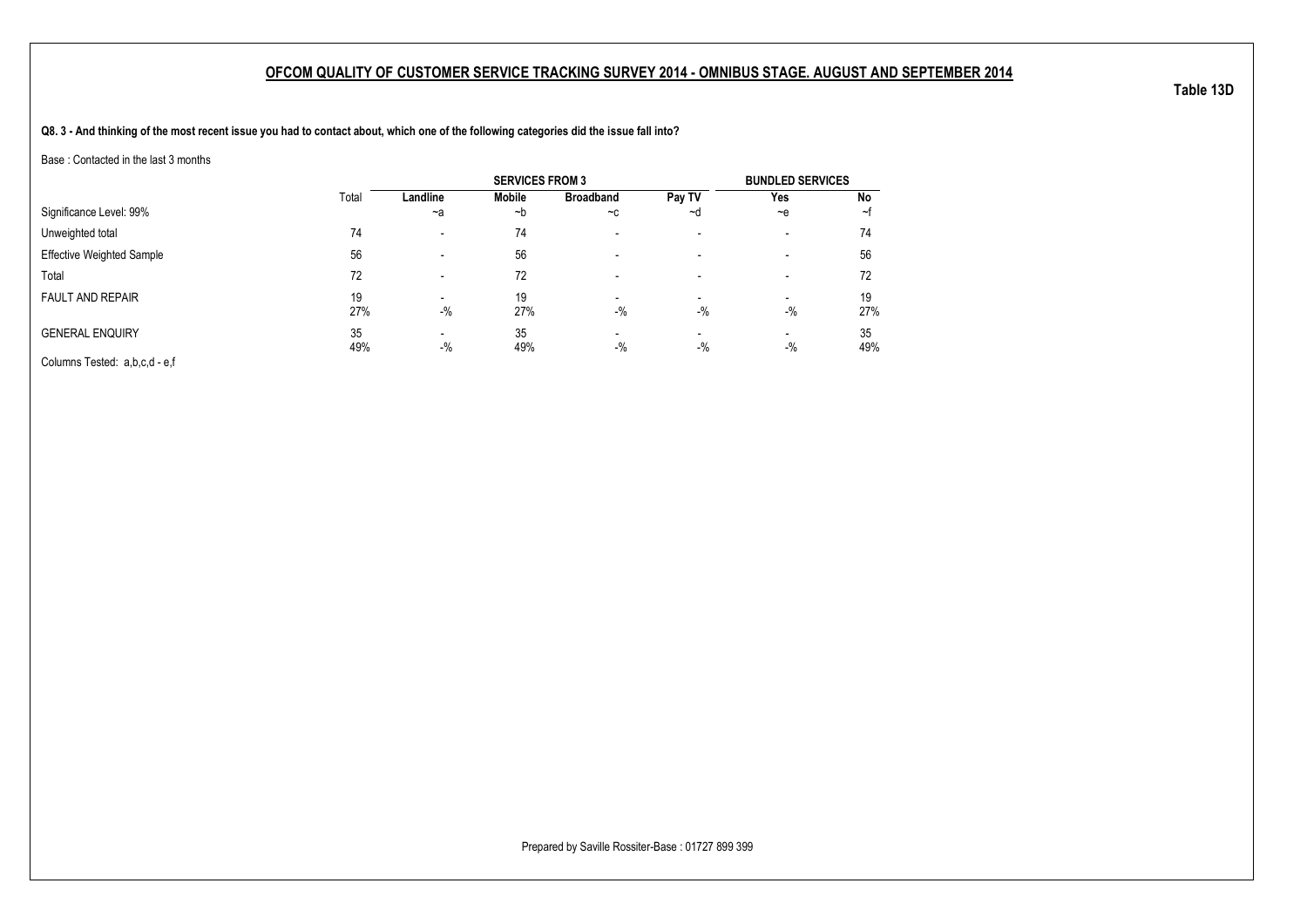**Q8. 3 - And thinking of the most recent issue you had to contact about, which one of the following categories did the issue fall into?**

Base : Contacted in the last 3 months

|                                  |       |                          | <b>SERVICES FROM 3</b> |                          |                          | <b>BUNDLED SERVICES</b>  |     |
|----------------------------------|-------|--------------------------|------------------------|--------------------------|--------------------------|--------------------------|-----|
|                                  | Total | Landline                 | Mobile                 | <b>Broadband</b>         | Pay TV                   | Yes                      | No  |
| Significance Level: 99%          |       | $-a$                     | ∼b                     | $-c$                     | ∼d                       | $\sim e$                 | ∼t  |
| Unweighted total                 | 74    | $\overline{\phantom{0}}$ | 74                     | $\overline{\phantom{0}}$ | $\overline{\phantom{a}}$ | $\overline{\phantom{a}}$ | 74  |
| <b>Effective Weighted Sample</b> | 56    | $\overline{\phantom{0}}$ | 56                     | $\overline{\phantom{0}}$ | $\overline{\phantom{a}}$ | $\overline{\phantom{a}}$ | 56  |
| Total                            | 72    | $\overline{\phantom{0}}$ | 72                     |                          |                          | $\overline{\phantom{a}}$ | 72  |
| <b>FAULT AND REPAIR</b>          | 19    |                          | 19                     | $\overline{\phantom{a}}$ | $\overline{\phantom{a}}$ | -                        | 19  |
|                                  | 27%   | $-$ %                    | 27%                    | $-$ %                    | $-$ %                    | $-9/6$                   | 27% |
| <b>GENERAL ENQUIRY</b>           | 35    |                          | 35                     | $\overline{\phantom{0}}$ |                          |                          | 35  |
|                                  | 49%   | $-$ %                    | 49%                    | $-$ %                    | $-$ %                    | $-9/6$                   | 49% |
| Columns Tested: a,b,c,d - e,f    |       |                          |                        |                          |                          |                          |     |

Prepared by Saville Rossiter-Base : 01727 899 399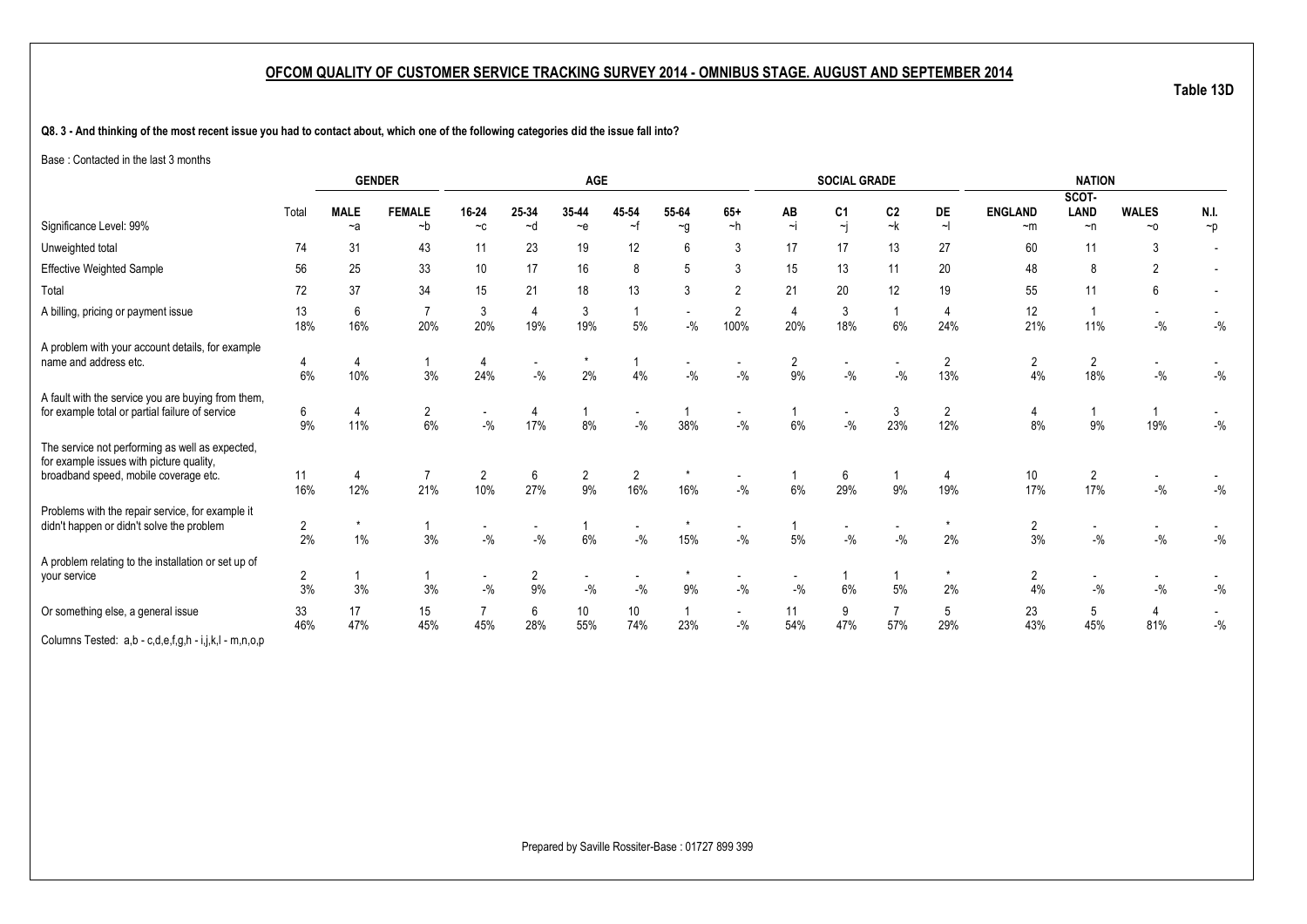**Q8. 3 - And thinking of the most recent issue you had to contact about, which one of the following categories did the issue fall into?**

Base : Contacted in the last 3 months

|                                                                                                                                      |                      |                     | <b>GENDER</b>         |                                   |             | <b>AGE</b>                        |                       |                     |                                   |            | <b>SOCIAL GRADE</b>  |                      |                       |                        | <b>NATION</b>           |                    |                  |
|--------------------------------------------------------------------------------------------------------------------------------------|----------------------|---------------------|-----------------------|-----------------------------------|-------------|-----------------------------------|-----------------------|---------------------|-----------------------------------|------------|----------------------|----------------------|-----------------------|------------------------|-------------------------|--------------------|------------------|
|                                                                                                                                      |                      |                     |                       |                                   |             |                                   |                       |                     |                                   |            |                      |                      |                       |                        | SCOT-                   |                    |                  |
| Significance Level: 99%                                                                                                              | Total                | <b>MALE</b><br>$-a$ | <b>FEMALE</b><br>$-b$ | 16-24<br>$-c$                     | 25-34<br>~d | 35-44<br>$\sim e$                 | 45 54<br>~f           | 55-64<br>$\sim g$   | $65+$<br>$-h$                     | AB<br>$-i$ | C <sub>1</sub><br>~j | C <sub>2</sub><br>~k | DE<br>$\sim$          | <b>ENGLAND</b><br>$-m$ | <b>LAND</b><br>$\neg$ n | <b>WALES</b><br>~0 | N.I.<br>$\neg p$ |
| Unweighted total                                                                                                                     | 74                   | 31                  | 43                    | 11                                | 23          | 19                                | 12                    | 6                   | 3                                 | 17         | 17                   | 13                   | 27                    | 60                     | 11                      | 3                  |                  |
| <b>Effective Weighted Sample</b>                                                                                                     | 56                   | 25                  | 33                    | 10 <sup>°</sup>                   | 17          | 16                                | 8                     | 5                   | 3                                 | 15         | 13                   | 11                   | 20                    | 48                     | 8                       | $\overline{c}$     |                  |
| Total                                                                                                                                | 72                   | 37                  | 34                    | 15                                | 21          | 18                                | 13                    | 3                   | $\overline{2}$                    | 21         | 20                   | 12                   | 19                    | 55                     | 11                      | 6                  |                  |
| A billing, pricing or payment issue                                                                                                  | 13<br>18%            | 6<br>16%            | $\overline{7}$<br>20% | 3<br>20%                          | 4<br>19%    | 3<br>19%                          | 5%                    | $-$ %               | $\overline{2}$<br>100%            | 20%        | 3<br>18%             | 6%                   | 4<br>24%              | 12<br>21%              | $\overline{1}$<br>11%   | $ \%$              | $-{\%}$          |
| A problem with your account details, for example<br>name and address etc.                                                            | 6%                   | 10%                 | 3%                    | 4<br>24%                          | $-9/6$      | $^\star$<br>2%                    | 4%                    | $-$ %               | $-$ %                             | 2<br>9%    | $-$ %                | $-$ %                | $\overline{2}$<br>13% | 2<br>4%                | $\overline{2}$<br>18%   | $-$ %              | $-{\%}$          |
| A fault with the service you are buying from them,<br>for example total or partial failure of service                                | 6<br>9%              | 4<br>11%            | 2<br>$6\%$            | $\overline{\phantom{a}}$<br>$-$ % | 17%         | 8%                                | $-$ %                 | 38%                 | $\overline{\phantom{a}}$<br>$-$ % | 6%         | $-$ %                | 3<br>23%             | $\overline{2}$<br>12% | 4<br>8%                | $\mathbf{1}$<br>9%      | 19%                | $-$ %            |
| The service not performing as well as expected,<br>for example issues with picture quality,<br>broadband speed, mobile coverage etc. | 11<br>16%            | 4<br>12%            | 7<br>21%              | $\overline{2}$<br>10%             | 6<br>27%    | $\overline{2}$<br>9%              | $\overline{2}$<br>16% | 16%                 | $-$ %                             | 6%         | 6<br>29%             | 9%                   | 19%                   | 10<br>17%              | $\overline{2}$<br>17%   | $-$ %              | $-$ %            |
| Problems with the repair service, for example it<br>didn't happen or didn't solve the problem                                        | 2<br>2%              | $\star$<br>1%       | 3%                    | $\overline{\phantom{a}}$<br>$-$ % | $-9/6$      | 6%                                | $-$ %                 | 15%                 | $\overline{\phantom{a}}$<br>$-$ % | $5\%$      | $-$ %                | $-$ %                | 2%                    | 2<br>3%                | $-$ %                   | $-$ %              | $-$ %            |
| A problem relating to the installation or set up of<br>your service                                                                  | $\overline{2}$<br>3% | 3%                  | 3%                    | $\overline{\phantom{a}}$<br>$-$ % | 2<br>9%     | $\overline{\phantom{a}}$<br>$-$ % | $-$ %                 | 9%                  | $\overline{\phantom{a}}$<br>$-$ % | $-$ %      | 6%                   | 5%                   | 2%                    | 2<br>4%                | $-9/6$                  | $-$ %              | $-{\%}$          |
| Or something else, a general issue                                                                                                   | 33<br>46%            | 17<br>47%           | 15<br>45%             | 45%                               | 6<br>28%    | 10 <sup>°</sup><br>55%            | 10<br>74%             | $\mathbf{1}$<br>23% | $\overline{\phantom{a}}$<br>$-$ % | 11<br>54%  | 9<br>47%             | 57%                  | 5<br>29%              | 23<br>43%              | 5<br>45%                | 4<br>81%           | $-$ %            |
| Columns Tested: a,b - c,d,e,f,g,h - i,j,k,l - m,n,o,p                                                                                |                      |                     |                       |                                   |             |                                   |                       |                     |                                   |            |                      |                      |                       |                        |                         |                    |                  |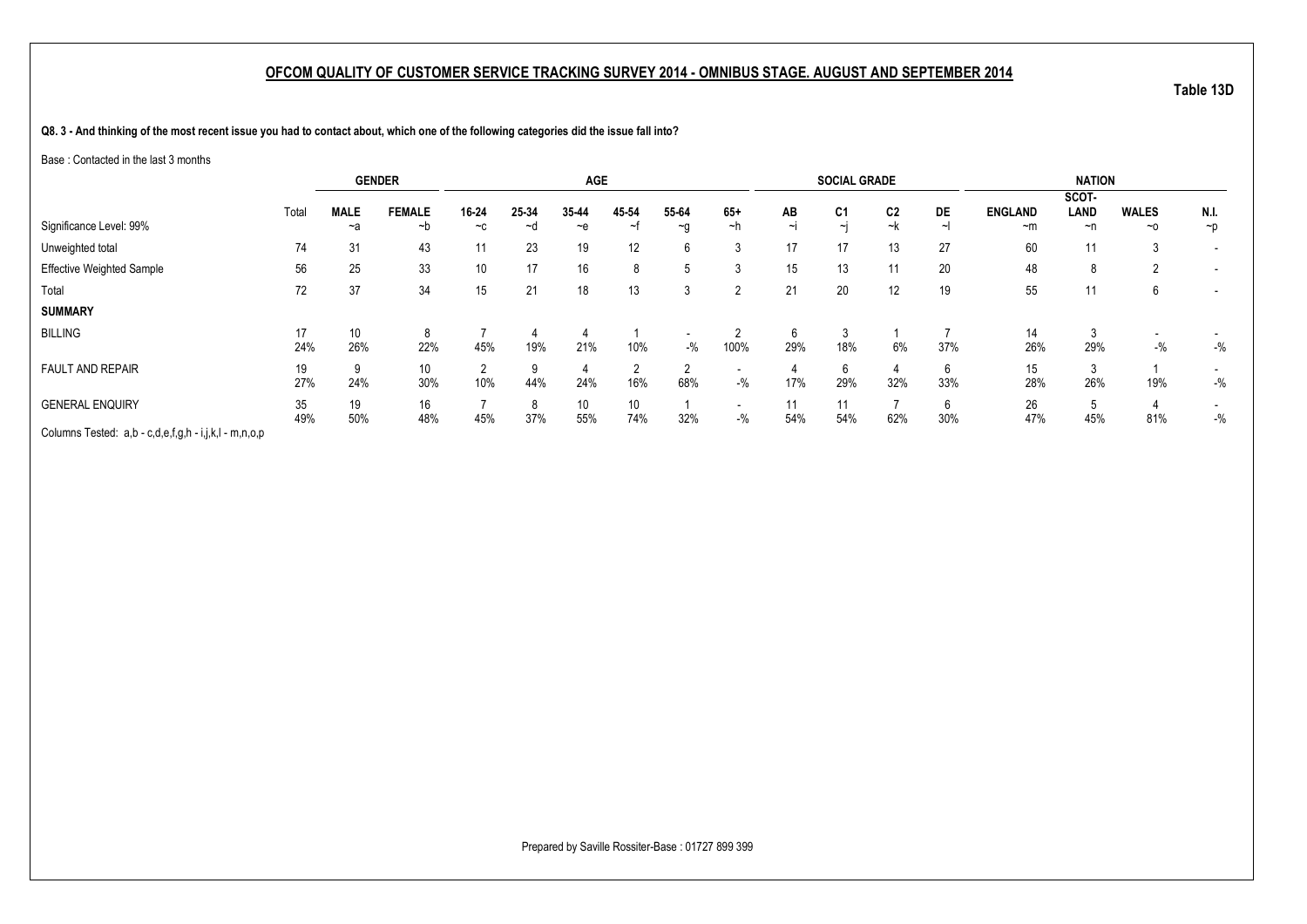**Q8. 3 - And thinking of the most recent issue you had to contact about, which one of the following categories did the issue fall into?**

Base : Contacted in the last 3 months

|                                                       |       | <b>GENDER</b>   |               |       |       | <b>AGE</b> |                 |          |                          |        | <b>SOCIAL GRADE</b> |                |            |                | <b>NATION</b> |                          |                          |
|-------------------------------------------------------|-------|-----------------|---------------|-------|-------|------------|-----------------|----------|--------------------------|--------|---------------------|----------------|------------|----------------|---------------|--------------------------|--------------------------|
|                                                       |       |                 |               |       |       |            |                 |          |                          |        |                     |                |            |                | SCOT-         |                          |                          |
|                                                       | Total | <b>MALE</b>     | <b>FEMALE</b> | 16-24 | 25-34 | 35-44      | 45-54           | 55-64    | $65+$                    | AB     | C <sub>1</sub>      | C <sub>2</sub> | DE         | <b>ENGLAND</b> | LAND          | <b>WALES</b>             | N.I.                     |
| Significance Level: 99%                               |       | ~a              | ~b            | $-c$  | ~d    | $-e$       | ~†              | $\sim g$ | ~h                       | $\sim$ | $\sim$ L            | ~k             | $\tilde{}$ | $~\sim m$      | ~n            | $~\sim$ 0                | $\neg$                   |
| Unweighted total                                      | 74    | 31              | 43            | 11    | 23    | 19         | 12              | 6        | 3                        | 17     | 17                  | 13             | 27         | 60             | 11            | 3                        |                          |
| Effective Weighted Sample                             | 56    | 25              | 33            | 10    | 17    | 16         | 8               | .5       |                          | 15     | 13                  | 11             | 20         | 48             | 8             | 2                        | $\overline{\phantom{0}}$ |
| Total                                                 | 72    | 37              | 34            | 15    | 21    | 18         | 13              | 3        | 2                        | 21     | 20                  | 12             | 19         | 55             | 11            | 6                        | $\overline{\phantom{a}}$ |
| <b>SUMMARY</b>                                        |       |                 |               |       |       |            |                 |          |                          |        |                     |                |            |                |               |                          |                          |
| <b>BILLING</b>                                        | 17    | 10 <sup>1</sup> | 8             |       |       | 4          |                 |          |                          | 6      | - 3                 |                |            | 14             | 3             | $\overline{\phantom{0}}$ |                          |
|                                                       | 24%   | 26%             | 22%           | 45%   | 19%   | 21%        | 10%             | $-$ %    | 100%                     | 29%    | 18%                 | 6%             | 37%        | 26%            | 29%           | $-$ %                    | $-$ %                    |
| <b>FAULT AND REPAIR</b>                               | 19    | 9               | 10            | റ     |       | 4          | 2               | 2        |                          |        | 6                   |                |            | 15             | 3             |                          |                          |
|                                                       | 27%   | 24%             | 30%           | 10%   | 44%   | 24%        | 16%             | 68%      | $-$ %                    | 17%    | 29%                 | 32%            | 33%        | 28%            | 26%           | 19%                      | $-$ %                    |
| <b>GENERAL ENQUIRY</b>                                | 35    | 19              | 16            |       |       | 10         | 10 <sup>°</sup> |          | $\overline{\phantom{0}}$ | 11     | 11                  |                |            | 26             | 5             |                          |                          |
|                                                       | 49%   | 50%             | 48%           | 45%   | 37%   | 55%        | 74%             | 32%      | $-$ %                    | 54%    | 54%                 | 62%            | 30%        | 47%            | 45%           | 81%                      | $-$ %                    |
| Columns Tested: a,b - c,d,e,f,g,h - i,j,k,l - m,n,o,p |       |                 |               |       |       |            |                 |          |                          |        |                     |                |            |                |               |                          |                          |

Prepared by Saville Rossiter-Base : 01727 899 399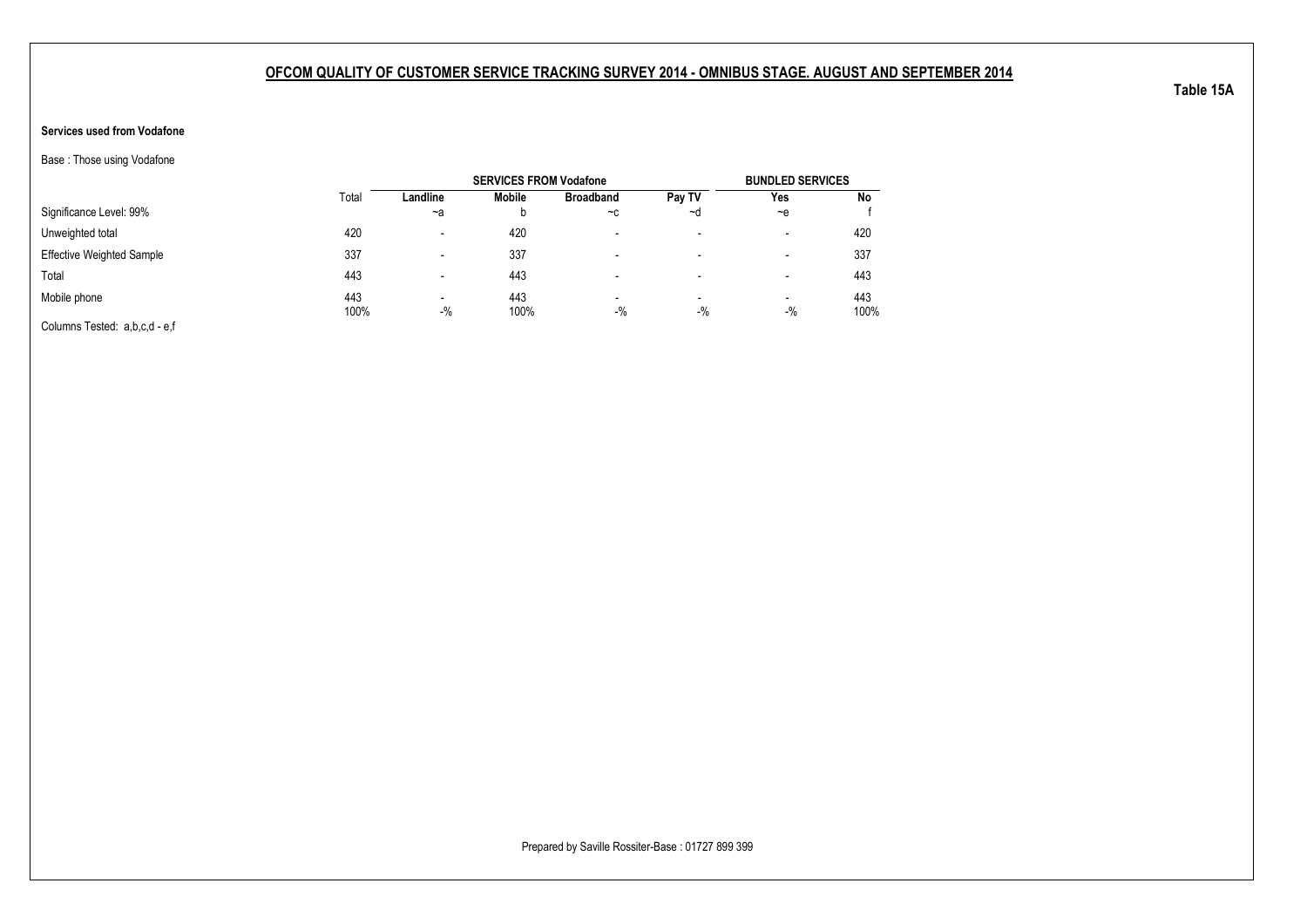### **Services used from Vodafone**

Base : Those using Vodafone

|                                  |             |                                   | <b>SERVICES FROM Vodafone</b> |                                   |                                   | <b>BUNDLED SERVICES</b>  |             |
|----------------------------------|-------------|-----------------------------------|-------------------------------|-----------------------------------|-----------------------------------|--------------------------|-------------|
|                                  | Total       | Landline                          | Mobile                        | <b>Broadband</b>                  | Pay TV                            | Yes                      | No          |
| Significance Level: 99%          |             | $-a$                              | b                             | $-c$                              | ~d                                | $-e$                     |             |
| Unweighted total                 | 420         | $\blacksquare$                    | 420                           | -                                 | $\overline{\phantom{a}}$          | -                        | 420         |
| <b>Effective Weighted Sample</b> | 337         |                                   | 337                           | -                                 | $\overline{\phantom{a}}$          | -                        | 337         |
| Total                            | 443         | $\blacksquare$                    | 443                           |                                   | $\,$                              | $\overline{\phantom{a}}$ | 443         |
| Mobile phone                     | 443<br>100% | $\overline{\phantom{a}}$<br>$-$ % | 443<br>100%                   | $\overline{\phantom{0}}$<br>$-$ % | $\overline{\phantom{a}}$<br>$-$ % | $\blacksquare$<br>$-$ %  | 443<br>100% |
| Columns Tested: a,b,c,d - e,f    |             |                                   |                               |                                   |                                   |                          |             |

**Table 15A**

Prepared by Saville Rossiter-Base : 01727 899 399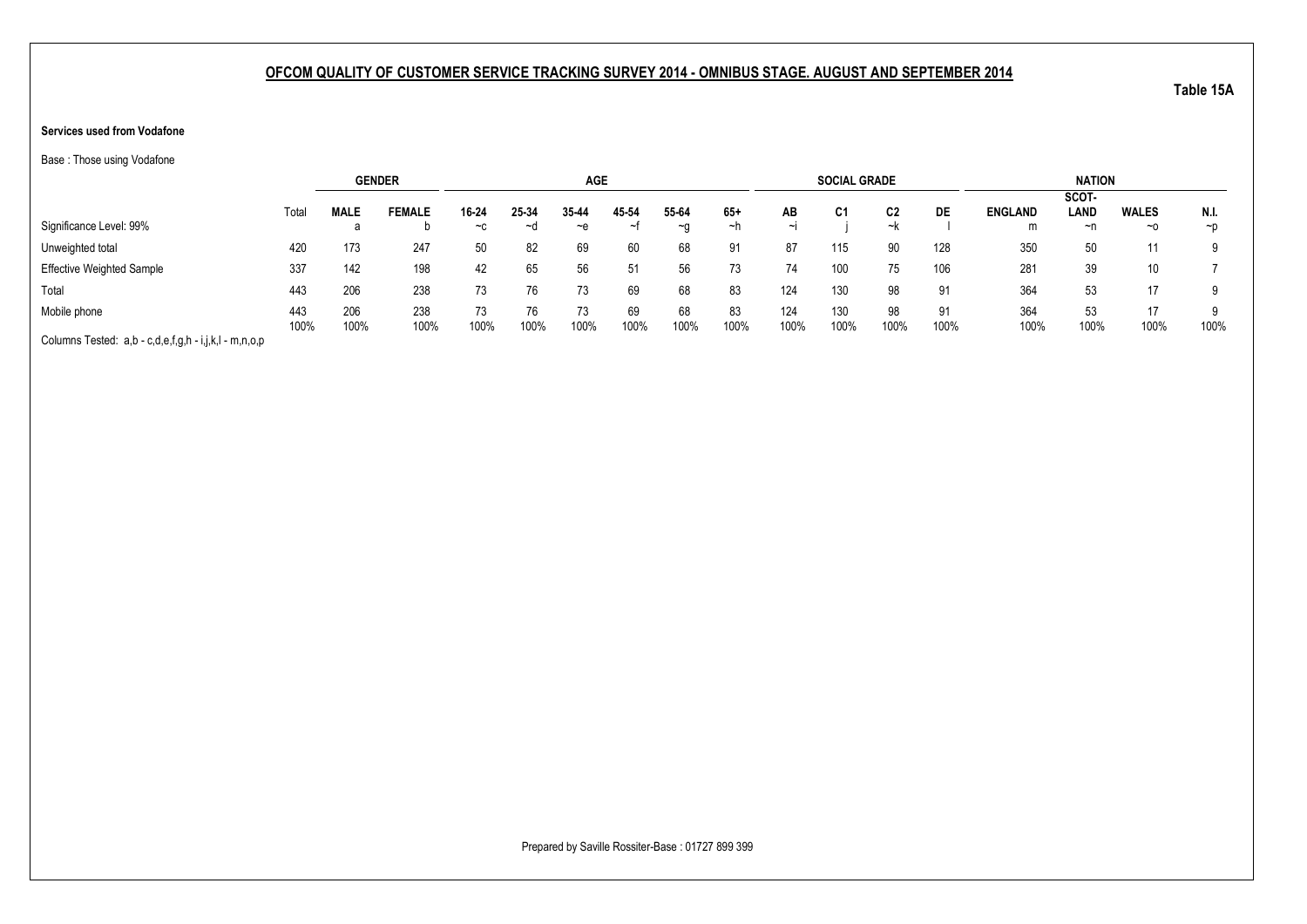### **Services used from Vodafone**

Base : Those using Vodafone

|                                                       |       |             | <b>GENDER</b> |       |       | <b>AGE</b> |       |       |       |        | <b>SOCIAL GRADE</b> |      |      |                | <b>NATION</b> |              |          |
|-------------------------------------------------------|-------|-------------|---------------|-------|-------|------------|-------|-------|-------|--------|---------------------|------|------|----------------|---------------|--------------|----------|
|                                                       |       |             |               |       |       |            |       |       |       |        |                     |      |      |                | SCOT-         |              |          |
|                                                       | Total | <b>MALE</b> | <b>FEMALE</b> | 16-24 | 25-34 | 35-44      | 45-54 | 55-64 | $65+$ | AB     | C <sub>1</sub>      | C2   | DE   | <b>ENGLAND</b> | LAND          | <b>WALES</b> | N.I.     |
| Significance Level: 99%                               |       |             |               | $-c$  | ~d    | ~e         | ᆟ     | ~a    | ~n    | $\sim$ |                     | ~k   |      | m              | ~n            | $~\sim$ 0    | $\neg$ D |
| Unweighted total                                      | 420   | 173         | 247           | 50    | 82    | 69         | 60    | 68    | 91    | 87     | 115                 | 90   | 128  | 350            | 50            | 11           |          |
| <b>Effective Weighted Sample</b>                      | 337   | 142         | 198           | 42    | 65    | 56         | 51    | 56    |       | 74     | 100                 | 75   | 106  | 281            | 39            | 10           |          |
| Total                                                 | 443   | 206         | 238           | 73    | 76    | 73         | 69    | 68    | 83    | 124    | 130                 | 98   | 91   | 364            | 53            | 17           |          |
| Mobile phone                                          | 443   | 206         | 238           |       |       | 73         | 69    | 68    | 83    | 124    | 130                 | 98   | 91   | 364            | 53            | 17           |          |
| Columns Tested: a,b - c,d,e,f,g,h - i,j,k,l - m,n,o,p | 100%  | 100%        | 100%          | 100%  | 100%  | 100%       | 100%  | 100%  | 100%  | 100%   | 100%                | 100% | 100% | 100%           | 100%          | 100%         | 100%     |

Prepared by Saville Rossiter-Base : 01727 899 399

**Table 15A**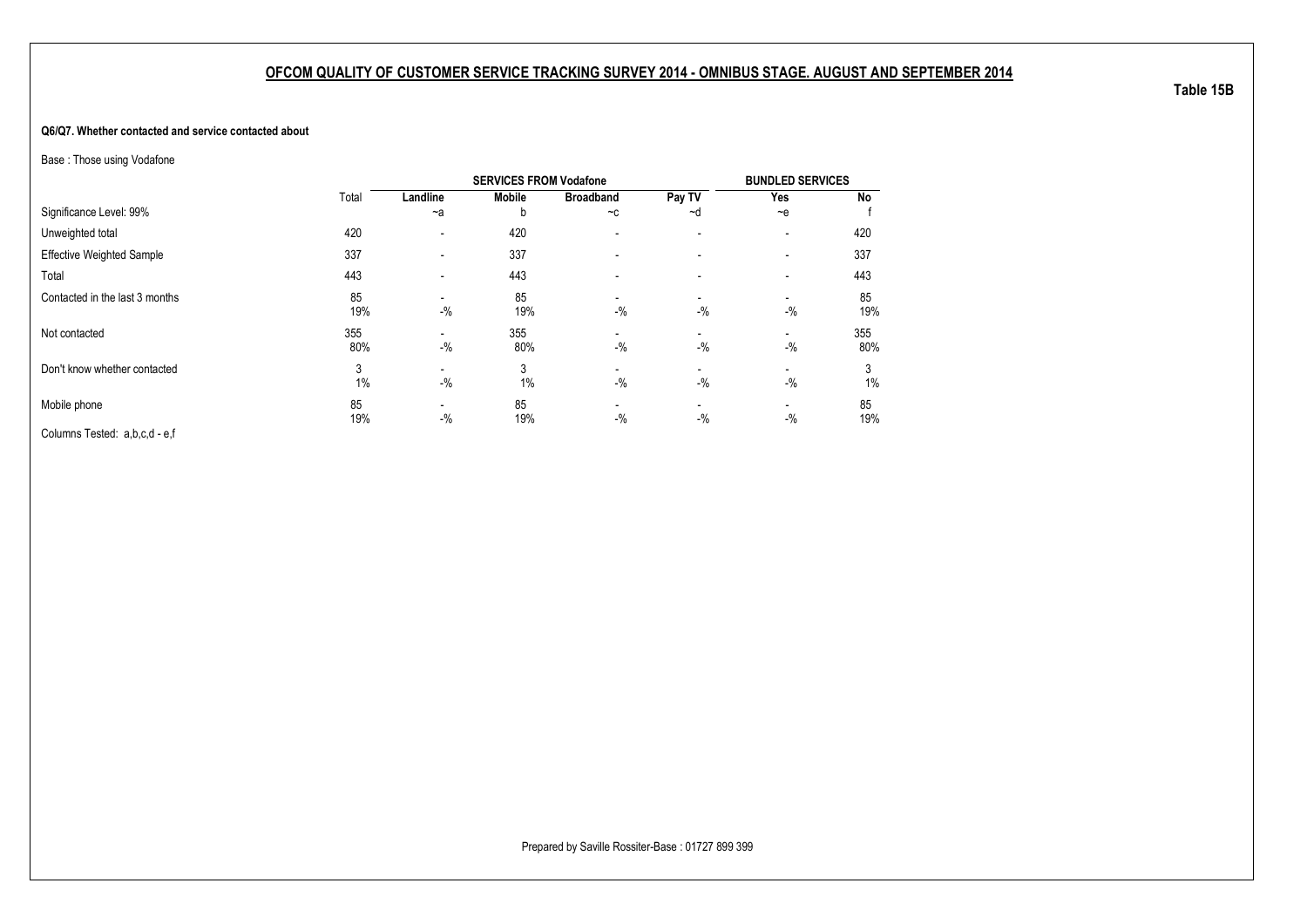#### **Q6/Q7. Whether contacted and service contacted about**

Base : Those using Vodafone

|                                  |            |                                   | <b>SERVICES FROM Vodafone</b> |                          |                          | <b>BUNDLED SERVICES</b>  |            |
|----------------------------------|------------|-----------------------------------|-------------------------------|--------------------------|--------------------------|--------------------------|------------|
|                                  | Total      | Landline                          | <b>Mobile</b>                 | <b>Broadband</b>         | Pay TV                   | Yes                      | No         |
| Significance Level: 99%          |            | $-a$                              | b                             | $-c$                     | ~d                       | $-$ e                    |            |
| Unweighted total                 | 420        | $\overline{\phantom{a}}$          | 420                           | $\overline{\phantom{a}}$ | $\overline{\phantom{a}}$ | $\overline{\phantom{0}}$ | 420        |
| <b>Effective Weighted Sample</b> | 337        | $\overline{\phantom{a}}$          | 337                           |                          |                          | -                        | 337        |
| Total                            | 443        | $\blacksquare$                    | 443                           |                          |                          | -                        | 443        |
| Contacted in the last 3 months   | 85<br>19%  | $-$ %                             | 85<br>19%                     | $-$ %                    | -<br>$-$ %               | $-$ %                    | 85<br>19%  |
| Not contacted                    | 355<br>80% | $-$ %                             | 355<br>80%                    | $-$ %                    | $-$ %                    | -<br>$-$ %               | 355<br>80% |
| Don't know whether contacted     | 3<br>1%    | $-$ %                             | 3<br>1%                       | $-$ %                    | -<br>$-$ %               | -<br>$-9/6$              | 3<br>1%    |
| Mobile phone                     | 85<br>19%  | $\overline{\phantom{a}}$<br>$-$ % | 85<br>19%                     | $-$ %                    | $-$ %                    | -<br>$-$ %               | 85<br>19%  |
| Columns Tested: a,b,c,d - e,f    |            |                                   |                               |                          |                          |                          |            |

**Table 15B**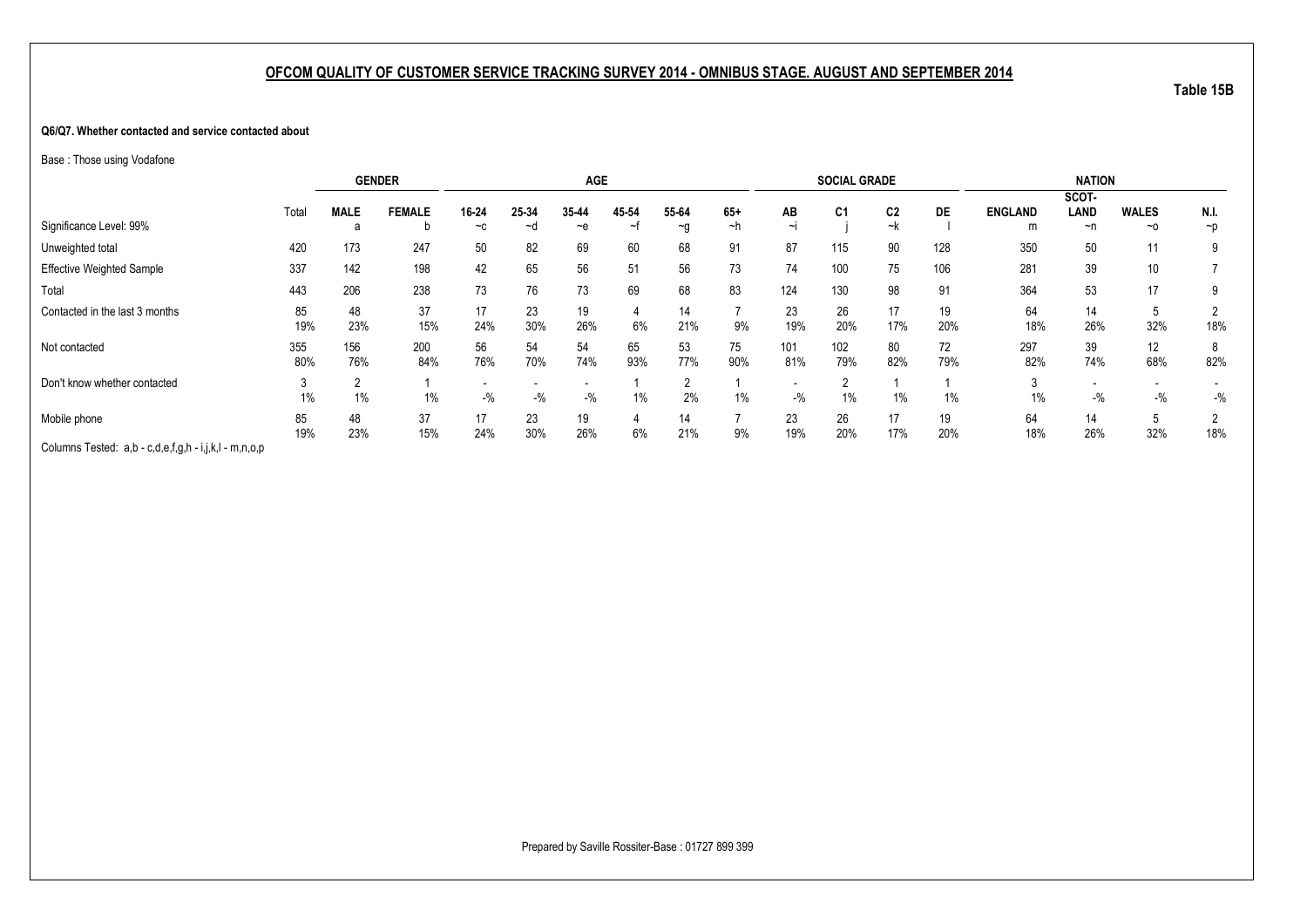#### **Q6/Q7. Whether contacted and service contacted about**

Base : Those using Vodafone

|                                                       |       | <b>GENDER</b> |               |       |       | <b>AGE</b> |       |          |       |       | <b>SOCIAL GRADE</b> |                |       |                | <b>NATION</b> |                 |          |
|-------------------------------------------------------|-------|---------------|---------------|-------|-------|------------|-------|----------|-------|-------|---------------------|----------------|-------|----------------|---------------|-----------------|----------|
|                                                       |       |               |               |       |       |            |       |          |       |       |                     |                |       |                | SCOT-         |                 |          |
|                                                       | Total | <b>MALE</b>   | <b>FEMALE</b> | 16-24 | 25-34 | 35-44      | 45-54 | 55-64    | $65+$ | AB    | C <sub>1</sub>      | C <sub>2</sub> | DE    | <b>ENGLAND</b> | <b>LAND</b>   | <b>WALES</b>    | N.I.     |
| Significance Level: 99%                               |       | а             |               | $-c$  | ∼d    | $-$ e      | ~†    | $\sim g$ | ~h    |       |                     | ~k             |       | m              | $\neg$ n      | ~0              | $\neg p$ |
| Unweighted total                                      | 420   | 173           | 247           | 50    | 82    | 69         | 60    | 68       | 91    | 87    | 115                 | 90             | 128   | 350            | 50            | 11              | 9        |
| Effective Weighted Sample                             | 337   | 142           | 198           | 42    | 65    | 56         | 51    | 56       | 73    | 74    | 100                 | 75             | 106   | 281            | 39            | 10 <sup>°</sup> |          |
| Total                                                 | 443   | 206           | 238           | 73    | 76    | 73         | 69    | 68       | 83    | 124   | 130                 | 98             | 91    | 364            | 53            | 17              | 9        |
| Contacted in the last 3 months                        | 85    | 48            | 37            | 17    | 23    | 19         |       | 14       |       | 23    | 26                  | 17             | 19    | 64             | 14            | <sub>5</sub>    |          |
|                                                       | 19%   | 23%           | 15%           | 24%   | 30%   | 26%        | 6%    | 21%      | 9%    | 19%   | 20%                 | 17%            | 20%   | 18%            | 26%           | 32%             | 18%      |
| Not contacted                                         | 355   | 156           | 200           | 56    | 54    | 54         | 65    | 53       | 75    | 101   | 102                 | 80             | 72    | 297            | 39            | 12              | 8        |
|                                                       | 80%   | 76%           | 84%           | 76%   | 70%   | 74%        | 93%   | 77%      | 90%   | 81%   | 79%                 | 82%            | 79%   | 82%            | 74%           | 68%             | 82%      |
| Don't know whether contacted                          |       |               |               |       |       |            |       |          |       |       |                     |                |       |                |               |                 |          |
|                                                       | 1%    | 1%            | 1%            | $-$ % | $-$ % | $-$ %      | $1\%$ | 2%       | $1\%$ | $-$ % | 1%                  | $1\%$          | $1\%$ | 1%             | $-$ %         | $-$ %           | $-$ %    |
| Mobile phone                                          | 85    | 48            | 37            | 17    | 23    | 19         |       | 14       |       | 23    | 26                  | 17             | 19    | 64             | 14            | <sub>5</sub>    |          |
|                                                       | 19%   | 23%           | 15%           | 24%   | 30%   | 26%        | 6%    | 21%      | 9%    | 19%   | 20%                 | 17%            | 20%   | 18%            | 26%           | 32%             | 18%      |
| Columns Tested: a,b - c,d,e,f,g,h - i,j,k,l - m,n,o,p |       |               |               |       |       |            |       |          |       |       |                     |                |       |                |               |                 |          |

**Table 15B**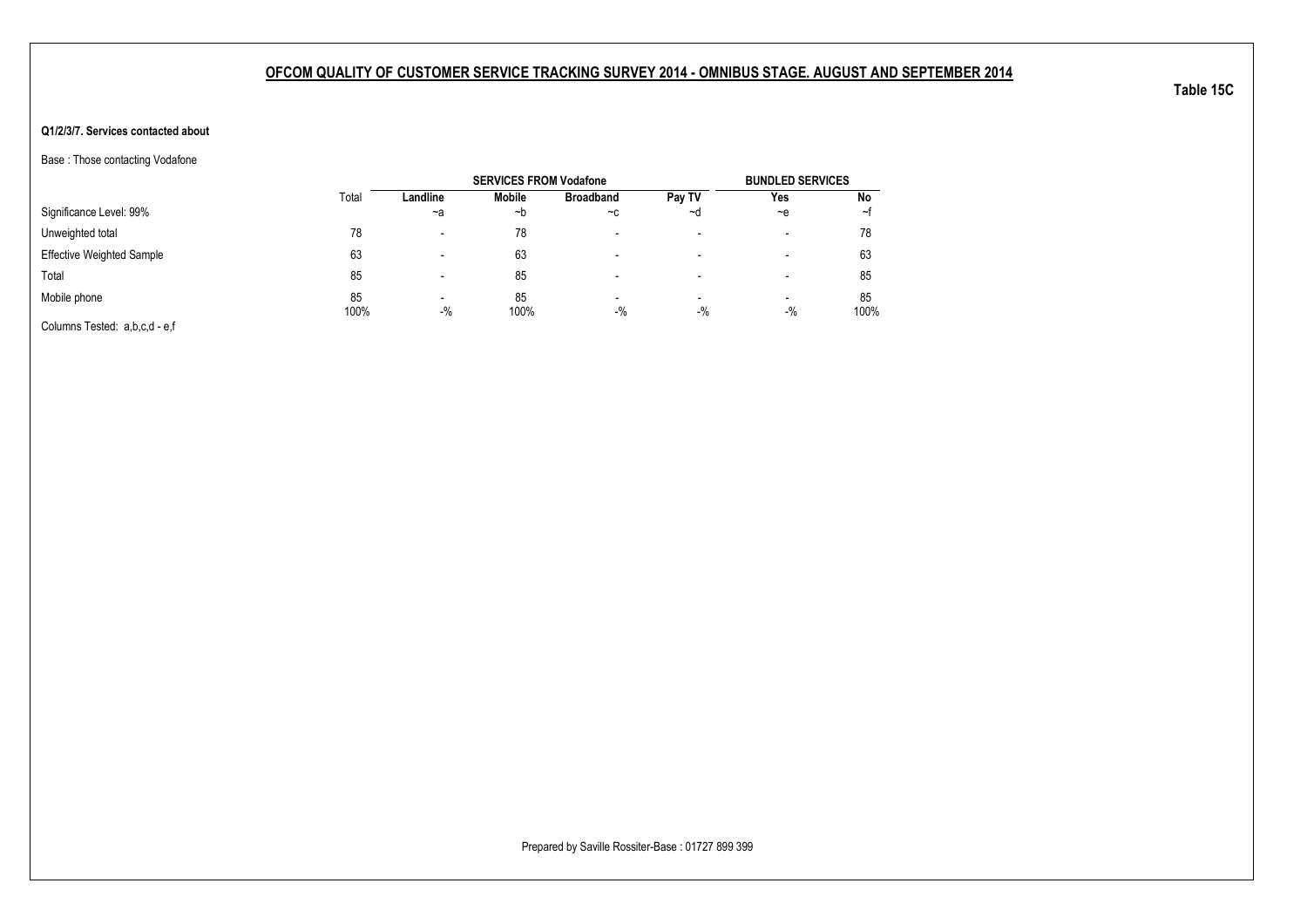### **Q1/2/3/7. Services contacted about**

Base : Those contacting Vodafone

|                                  |            |                          | <b>SERVICES FROM Vodafone</b> |                  |                                   | <b>BUNDLED SERVICES</b>           |            |
|----------------------------------|------------|--------------------------|-------------------------------|------------------|-----------------------------------|-----------------------------------|------------|
|                                  | Total      | Landline                 | Mobile                        | <b>Broadband</b> | Pay TV                            | Yes                               | No         |
| Significance Level: 99%          |            | $-a$                     | ~b                            | $-c$             | ∼d                                | $-e$                              | ∼t         |
| Unweighted total                 | 78         | $\overline{\phantom{0}}$ | 78                            |                  | $\,$                              | $\,$                              | 78         |
| <b>Effective Weighted Sample</b> | 63         |                          | 63                            |                  | -                                 | -                                 | 63         |
| Total                            | 85         | $\overline{\phantom{0}}$ | 85                            |                  | -                                 | $\,$                              | 85         |
| Mobile phone                     | 85<br>100% | $\,$<br>$-$ %            | 85<br>100%                    | $\,$<br>$-$ %    | $\overline{\phantom{a}}$<br>$-$ % | $\overline{\phantom{a}}$<br>$-$ % | 85<br>100% |
| Columns Tested: a,b,c,d - e,f    |            |                          |                               |                  |                                   |                                   |            |

Prepared by Saville Rossiter-Base : 01727 899 399

**Table 15C**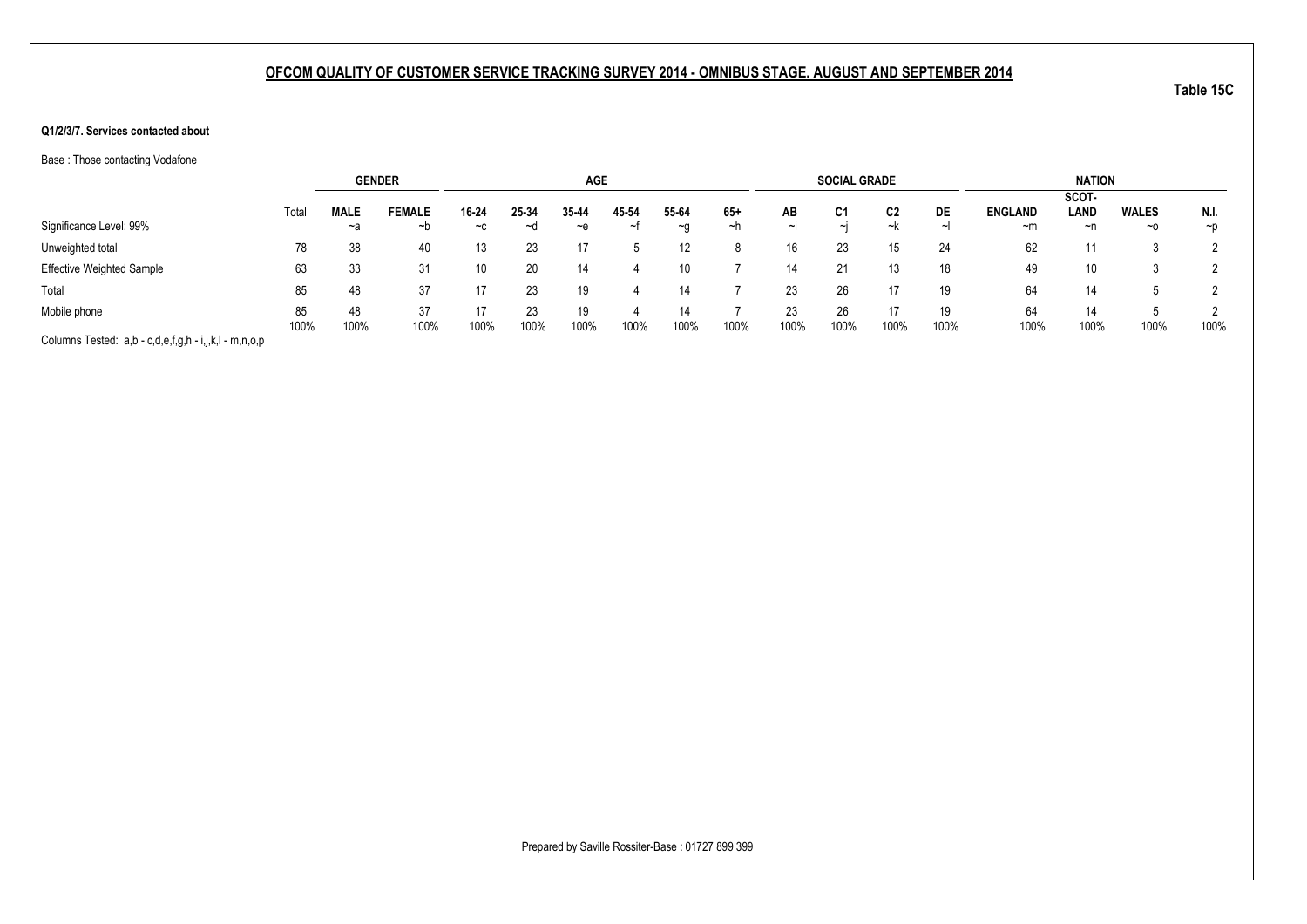#### **Q1/2/3/7. Services contacted about**

Base : Those contacting Vodafone

|                                                       |       | <b>GENDER</b> |               |       |       | <b>AGE</b> |       |          |       |        | <b>SOCIAL GRADE</b> |      |      |                | <b>NATION</b> |              |          |
|-------------------------------------------------------|-------|---------------|---------------|-------|-------|------------|-------|----------|-------|--------|---------------------|------|------|----------------|---------------|--------------|----------|
|                                                       |       |               |               |       |       |            |       |          |       |        |                     |      |      |                | SCOT-         |              |          |
|                                                       | Total | <b>MALE</b>   | <b>FEMALE</b> | 16-24 | 25-34 | 35-44      | 45-54 | 55-64    | $65+$ | AВ     | C <sub>1</sub>      | C2   | DE   | <b>ENGLAND</b> | LAND          | <b>WALES</b> | N.I.     |
| Significance Level: 99%                               |       | ~a            | ~b            | $-c$  | ~d    | $-e$       | ∼t    | $\sim g$ | ∼h    | $\sim$ | $\sim$              | ~k   |      | $-m$           | ~n            | $~\sim$ 0    | $\neg$ D |
| Unweighted total                                      | 78    | 38            | 40            | 13    | 23    | 17         |       | 12       |       | 16     | 23                  | 15   | 24   | 62             | 11            |              |          |
| <b>Effective Weighted Sample</b>                      | 63    | 33            | 31            | 10    | 20    | 14         |       | 10       |       | 14     | 21                  | 13   | 18   | 49             | 10            |              |          |
| Total                                                 | 85    | 48            | 37            | 17    | 23.   | 19         |       | 14       |       | 23     | 26                  |      | 19   | 64             | 14            |              |          |
| Mobile phone                                          | 85    | 48            | 37            | 17    | 23    | 19         |       | 14       |       | 23     | 26                  | 17   | 19   | 64             | 14            |              |          |
|                                                       | 100%  | 100%          | 100%          | 100%  | 100%  | 100%       | 100%  | 100%     | 100%  | 100%   | 100%                | 100% | 100% | 100%           | 100%          | 100%         | 100%     |
| Columns Tested: a,b - c,d,e,f,g,h - i,j,k,l - m,n,o,p |       |               |               |       |       |            |       |          |       |        |                     |      |      |                |               |              |          |

Prepared by Saville Rossiter-Base : 01727 899 399

**Table 15C**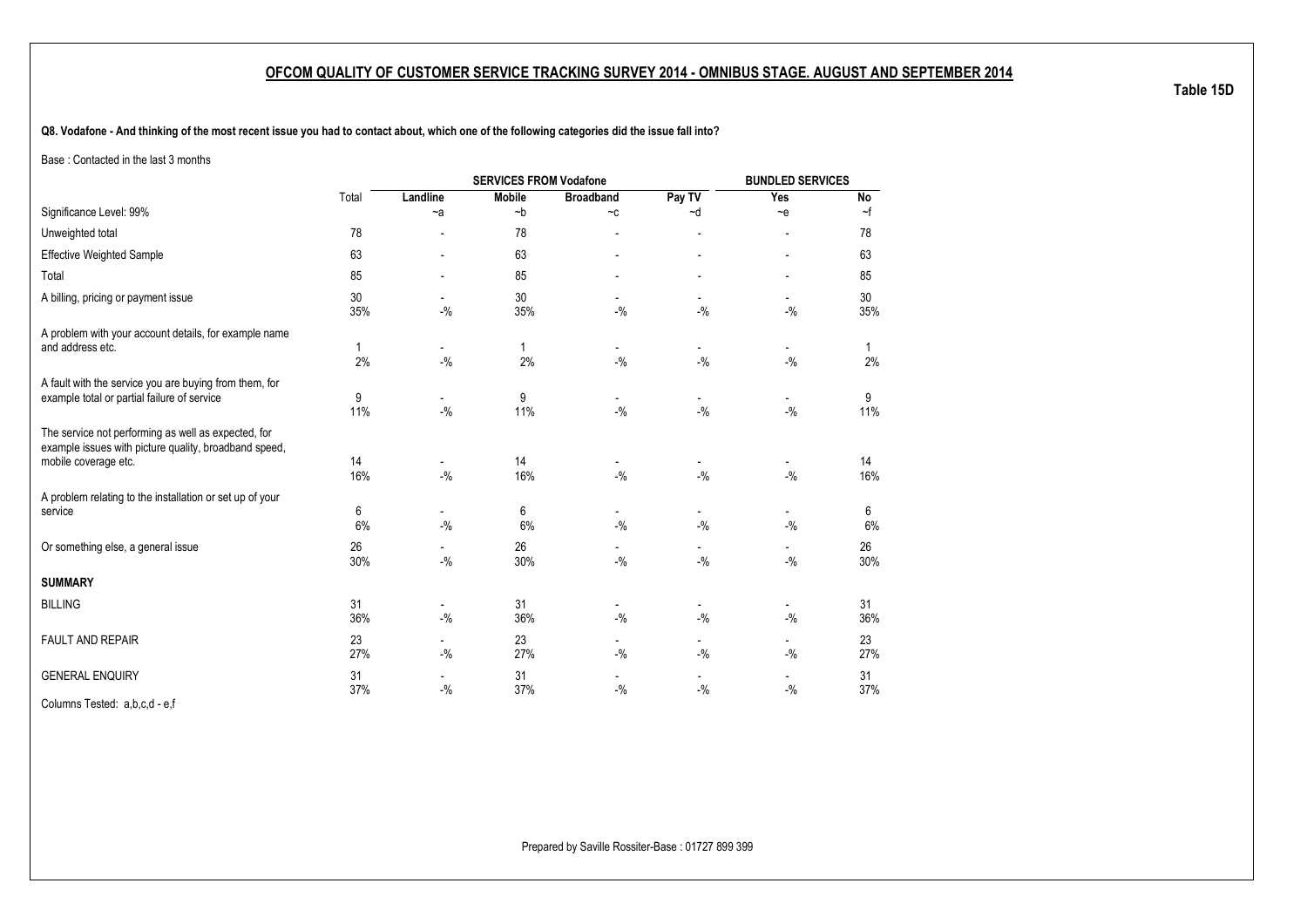**Q8. Vodafone - And thinking of the most recent issue you had to contact about, which one of the following categories did the issue fall into?**

Base : Contacted in the last 3 months

|                                                                                                                                      |           |                                   |               | <b>BUNDLED SERVICES</b>            |                                       |                                    |           |
|--------------------------------------------------------------------------------------------------------------------------------------|-----------|-----------------------------------|---------------|------------------------------------|---------------------------------------|------------------------------------|-----------|
|                                                                                                                                      | Total     | Landline                          | <b>Mobile</b> | <b>Broadband</b>                   | Pay TV                                | Yes                                | No        |
| Significance Level: 99%                                                                                                              |           | $-a$                              | $-b$          | $\mathord{\sim} \mathtt{C}$        | ~d                                    | $\sim$ e                           | $\sim$ f  |
| Unweighted total                                                                                                                     | 78        |                                   | 78            |                                    | ٠                                     | -                                  | 78        |
| <b>Effective Weighted Sample</b>                                                                                                     | 63        |                                   | 63            |                                    |                                       | $\overline{\phantom{a}}$           | 63        |
| Total                                                                                                                                | 85        |                                   | 85            |                                    |                                       |                                    | 85        |
| A billing, pricing or payment issue                                                                                                  | 30<br>35% | $-9/6$                            | 30<br>35%     | $-$ %                              | $-$ %                                 | $-9/6$                             | 30<br>35% |
| A problem with your account details, for example name<br>and address etc.                                                            | 1<br>2%   | $\overline{\phantom{a}}$<br>$-$ % | 1<br>2%       | $\overline{\phantom{a}}$<br>$-9/6$ | $\qquad \qquad \blacksquare$<br>$-$ % | $\blacksquare$<br>$-$ %            | 1<br>2%   |
| A fault with the service you are buying from them, for<br>example total or partial failure of service                                | 9<br>11%  | $-$ %                             | 9<br>11%      | $-9/6$                             | $-$ %                                 | $-9/6$                             | 9<br>11%  |
| The service not performing as well as expected, for<br>example issues with picture quality, broadband speed,<br>mobile coverage etc. | 14<br>16% | $-9/6$                            | 14<br>16%     | $-$ %                              | $-$ %                                 | $-9/6$                             | 14<br>16% |
| A problem relating to the installation or set up of your<br>service                                                                  | 6<br>6%   | $\overline{\phantom{a}}$<br>$-$ % | 6<br>6%       | $\overline{\phantom{a}}$<br>$-$ %  | $-$ %                                 | $\overline{a}$<br>$-$ %            | 6<br>6%   |
| Or something else, a general issue                                                                                                   | 26<br>30% | $-9/6$                            | 26<br>30%     | $-$ %                              | $-9/6$                                | $-9/6$                             | 26<br>30% |
| <b>SUMMARY</b>                                                                                                                       |           |                                   |               |                                    |                                       |                                    |           |
| <b>BILLING</b>                                                                                                                       | 31<br>36% | $\overline{\phantom{a}}$<br>$-$ % | 31<br>36%     | $\overline{\phantom{a}}$<br>$-9/6$ | $\blacksquare$<br>$-9/6$              | $\overline{\phantom{a}}$<br>$-9/6$ | 31<br>36% |
| <b>FAULT AND REPAIR</b>                                                                                                              | 23<br>27% | $\overline{\phantom{a}}$<br>$-$ % | 23<br>27%     | $\overline{\phantom{a}}$<br>$-$ %  | $\overline{\phantom{0}}$<br>$-9/6$    | $\overline{\phantom{a}}$<br>$-$ %  | 23<br>27% |
| <b>GENERAL ENQUIRY</b>                                                                                                               | 31<br>37% | $-$ %                             | 31<br>37%     | $-$ %                              | $-9/6$                                | $-$ %                              | 31<br>37% |
|                                                                                                                                      |           |                                   |               |                                    |                                       |                                    |           |

Columns Tested: a,b,c,d - e,f

**Table 15D**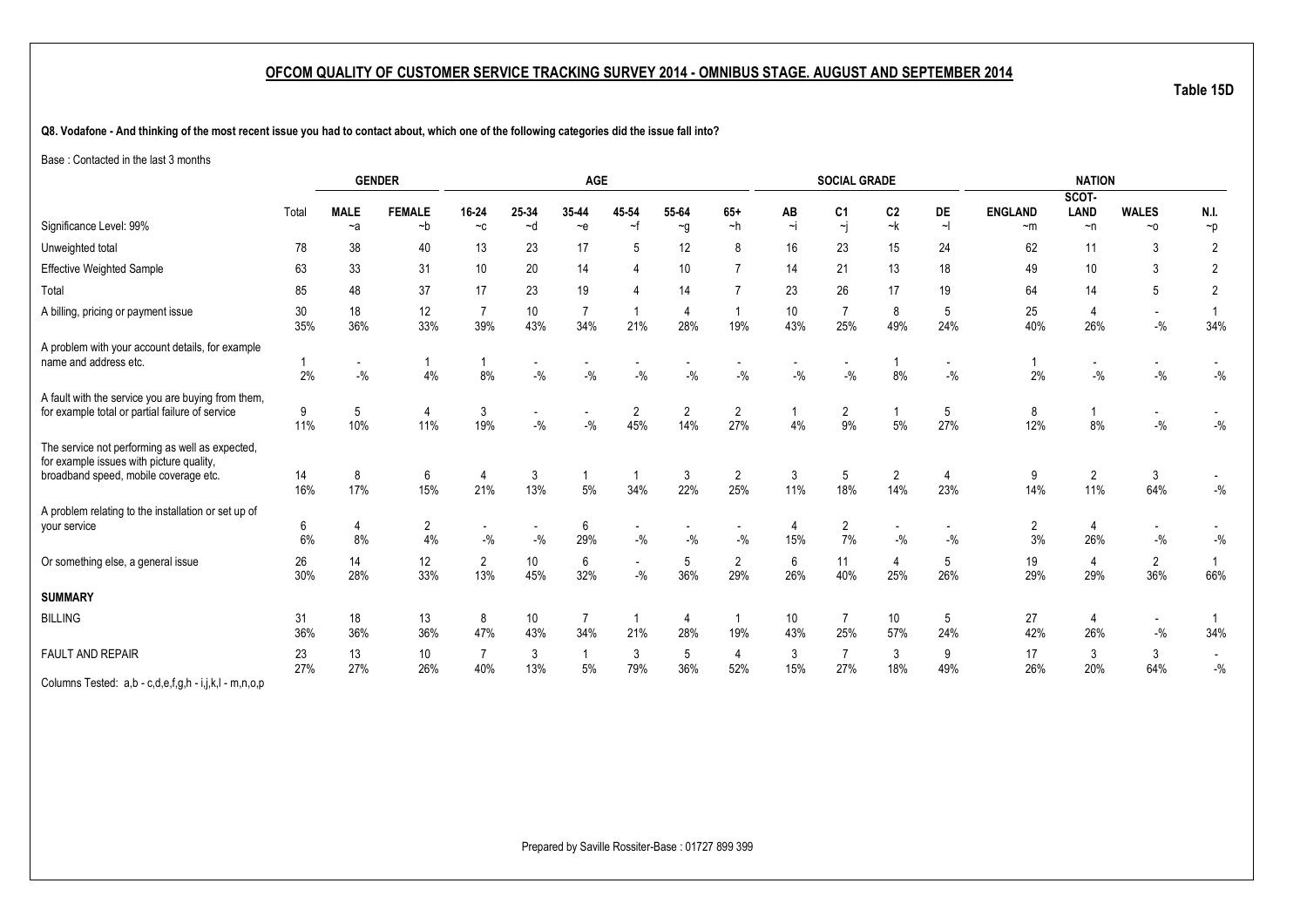**Table 15D**

**Q8. Vodafone - And thinking of the most recent issue you had to contact about, which one of the following categories did the issue fall into?**

Base : Contacted in the last 3 months

|                                                                                                                                      |           |                                   | <b>GENDER</b>           |                                                       |                                   | AGE                                |                |                       |                                   |                | <b>SOCIAL GRADE</b>                       |                        |          |                        | <b>NATION</b>                     |                                     |                  |
|--------------------------------------------------------------------------------------------------------------------------------------|-----------|-----------------------------------|-------------------------|-------------------------------------------------------|-----------------------------------|------------------------------------|----------------|-----------------------|-----------------------------------|----------------|-------------------------------------------|------------------------|----------|------------------------|-----------------------------------|-------------------------------------|------------------|
|                                                                                                                                      |           |                                   |                         |                                                       |                                   |                                    |                |                       |                                   |                |                                           |                        |          |                        | SCOT-                             |                                     |                  |
| Significance Level: 99%                                                                                                              | Total     | <b>MALE</b><br>$-a$               | <b>FEMALE</b><br>$-b$   | 16-24<br>$\mathbin{\char`\box{.}}\mathbin{\mathbb C}$ | 25-34<br>~d                       | 35-44<br>$-e$                      | 45-54<br>$-$ f | 55-64<br>$\sim g$     | $65+$<br>$-h$                     | AB<br>$\sim$ j | C <sub>1</sub><br>$\overline{\mathbf{y}}$ | C <sub>2</sub><br>$-k$ | DE<br>ᅱ  | <b>ENGLAND</b><br>$-m$ | <b>LAND</b><br>$\neg$ n           | <b>WALES</b><br>$~\sim$ 0           | N.I.<br>$\neg p$ |
| Unweighted total                                                                                                                     | 78        | 38                                | 40                      | 13                                                    | 23                                | 17                                 | 5              | 12                    | 8                                 | 16             | 23                                        | 15                     | 24       | 62                     | 11                                | 3                                   | $\overline{2}$   |
| <b>Effective Weighted Sample</b>                                                                                                     | 63        | 33                                | 31                      | 10                                                    | 20                                | 14                                 |                | 10                    | $\overline{7}$                    | 14             | 21                                        | 13                     | 18       | 49                     | 10                                | 3                                   | 2                |
| Total                                                                                                                                | 85        | 48                                | 37                      | 17                                                    | 23                                | 19                                 |                | 14                    |                                   | 23             | 26                                        | 17                     | 19       | 64                     | 14                                | 5                                   | 2                |
| A billing, pricing or payment issue                                                                                                  | 30<br>35% | 18<br>36%                         | 12<br>33%               | $\overline{7}$<br>39%                                 | 10 <sup>°</sup><br>43%            | $\overline{7}$<br>34%              | 21%            | $\overline{4}$<br>28% | 19%                               | 10<br>43%      | $\overline{7}$<br>25%                     | 8<br>49%               | 5<br>24% | 25<br>40%              | $\overline{4}$<br>26%             | $\overline{\phantom{a}}$<br>$-{\%}$ | 34%              |
| A problem with your account details, for example<br>name and address etc.                                                            | 2%        | $\overline{\phantom{a}}$<br>$-$ % | -1<br>4%                | 8%                                                    | $-9/6$                            | $\overline{\phantom{a}}$<br>$-$ %  | $-$ %          | $-$ %                 | $\overline{\phantom{a}}$<br>$-$ % | $-$ %          | $-9/6$                                    | 8%                     | $-9/6$   | 2%                     | $\overline{\phantom{a}}$<br>$-$ % | $\overline{\phantom{a}}$<br>$-{\%}$ | $-$ %            |
| A fault with the service you are buying from them,<br>for example total or partial failure of service                                | 9<br>11%  | 5<br>10%                          | $\overline{4}$<br>11%   | 3<br>19%                                              | $\overline{\phantom{a}}$<br>$-$ % | $\overline{\phantom{a}}$<br>$-9/6$ | 2<br>45%       | $\overline{2}$<br>14% | $\overline{2}$<br>27%             | 4%             | $\overline{2}$<br>9%                      | 5%                     | 5<br>27% | 8<br>12%               | 8%                                | $\sim$<br>$-{\%}$                   | $-{\%}$          |
| The service not performing as well as expected,<br>for example issues with picture quality,<br>broadband speed, mobile coverage etc. | 14<br>16% | 8<br>17%                          | 6<br>15%                | 4<br>21%                                              | 3<br>13%                          | $5\%$                              | 1<br>34%       | 3<br>22%              | $\overline{c}$<br>25%             | 3<br>11%       | 5<br>18%                                  | $\overline{c}$<br>14%  | 23%      | 9<br>14%               | $\overline{2}$<br>11%             | 3<br>64%                            | $-{\%}$          |
| A problem relating to the installation or set up of<br>your service                                                                  | 6<br>6%   | 4<br>8%                           | $\overline{2}$<br>$4\%$ | $-9/6$                                                | $-$ %                             | 6<br>29%                           | $-$ %          | $-$ %                 | $-$ %                             | 15%            | $\overline{c}$<br>7%                      | $-$ %                  | $-$ %    | $\overline{2}$<br>3%   | $\overline{4}$<br>26%             | $-{\%}$                             | $-{\%}$          |
| Or something else, a general issue                                                                                                   | 26<br>30% | 14<br>28%                         | 12<br>33%               | $\overline{2}$<br>13%                                 | 10 <sup>°</sup><br>45%            | 6<br>32%                           | $-9/6$         | 5<br>36%              | $\overline{2}$<br>29%             | 6<br>26%       | 11<br>40%                                 | 4<br>25%               | 5<br>26% | 19<br>29%              | $\overline{4}$<br>29%             | $\overline{c}$<br>36%               | 66%              |
| <b>SUMMARY</b>                                                                                                                       |           |                                   |                         |                                                       |                                   |                                    |                |                       |                                   |                |                                           |                        |          |                        |                                   |                                     |                  |
| <b>BILLING</b>                                                                                                                       | 31<br>36% | 18<br>36%                         | 13<br>36%               | 8<br>47%                                              | 10<br>43%                         | 7<br>34%                           | -1<br>21%      | $\overline{4}$<br>28% | 19%                               | 10<br>43%      | 7<br>25%                                  | 10<br>57%              | 5<br>24% | 27<br>42%              | 4<br>26%                          | $\sim$<br>$-{\%}$                   | 34%              |
| FAULT AND REPAIR                                                                                                                     | 23<br>27% | 13<br>27%                         | 10 <sup>°</sup><br>26%  | $\overline{7}$<br>40%                                 | 3<br>13%                          | 5%                                 | 3<br>79%       | 5<br>36%              | 4<br>52%                          | 3<br>15%       | $\overline{7}$<br>27%                     | 3<br>18%               | 9<br>49% | 17<br>26%              | 3<br>20%                          | 3<br>64%                            | $-$ %            |
| Columns Tested: a,b - c,d,e,f,g,h - i,j,k,l - m,n,o,p                                                                                |           |                                   |                         |                                                       |                                   |                                    |                |                       |                                   |                |                                           |                        |          |                        |                                   |                                     |                  |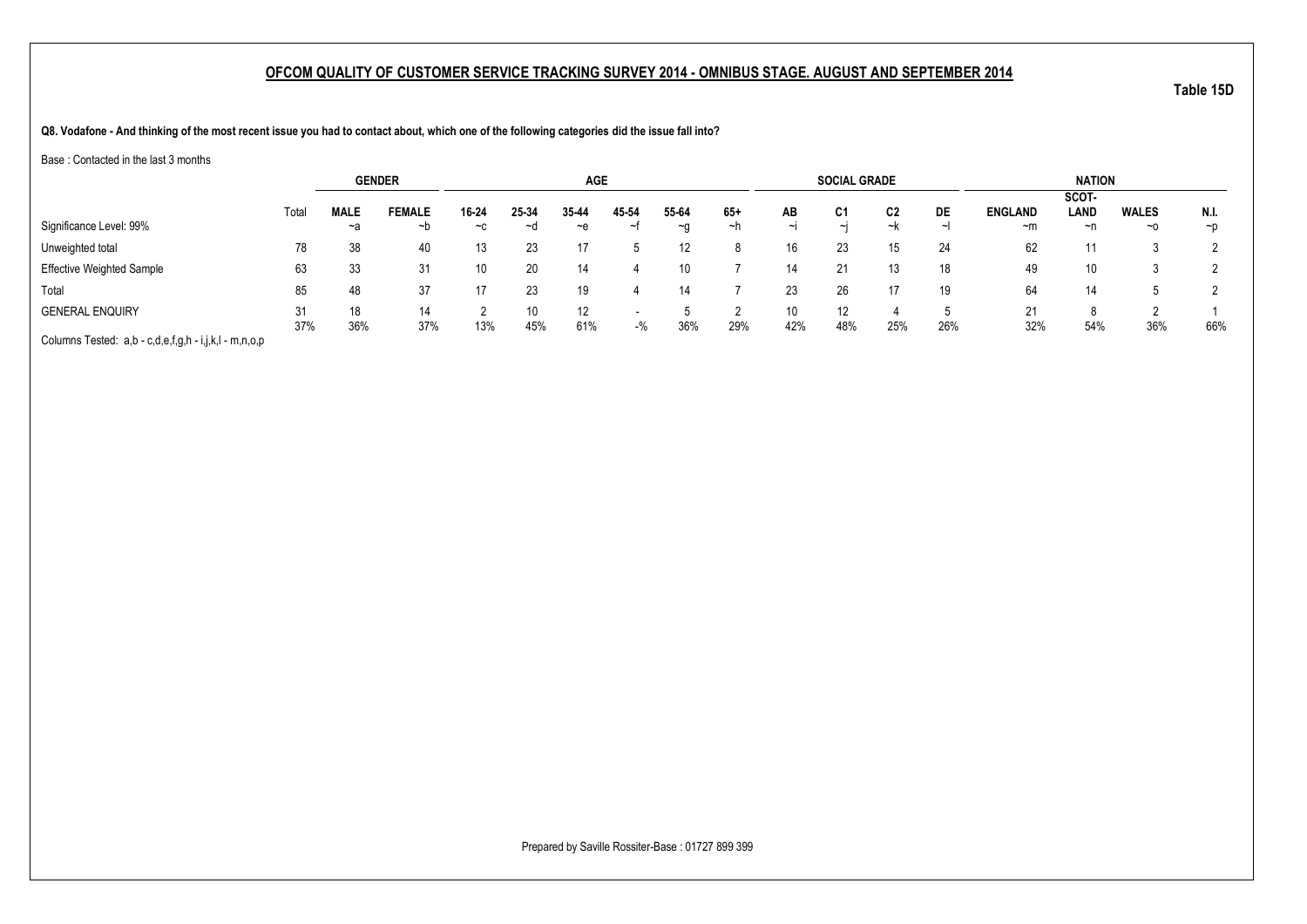**Q8. Vodafone - And thinking of the most recent issue you had to contact about, which one of the following categories did the issue fall into?**

Base : Contacted in the last 3 months

|                                                       |       |             | <b>GENDER</b> |               |       | <b>AGE</b>        |       |           |     |        | <b>SOCIAL GRADE</b> |     |     |                | <b>NATION</b> |              |          |
|-------------------------------------------------------|-------|-------------|---------------|---------------|-------|-------------------|-------|-----------|-----|--------|---------------------|-----|-----|----------------|---------------|--------------|----------|
|                                                       |       |             |               |               |       |                   |       |           |     |        |                     |     |     |                | SCOT-         |              |          |
|                                                       | Total | <b>MALE</b> | <b>FEMALE</b> | 16-24         | 25-34 | 35-44             | 45-54 | 55-64     | 65+ | AB     | C1                  | C2  | DE  | <b>ENGLAND</b> | LAND          | <b>WALES</b> | N.I.     |
| Significance Level: 99%                               |       | ~a          | ∼b            | $\sim$ $\sim$ | ∼⊴    | ~e                |       | $~\sim$ 0 | ~h  | $\sim$ | $\sim$ I            | ~k  |     | $-m$           | ~n            | $~\sim$ 0    | $\neg$ D |
| Unweighted total                                      | 78    | 38          | 40            | 13            | 23    |                   |       |           |     | 16     | 23                  | 15  | 24  | 62             | 11            |              |          |
| <b>Effective Weighted Sample</b>                      | 63    | 33          | 31            | 10            |       | 14                |       |           |     | 14     | 21                  |     | 18  | 49             | 10            |              |          |
| Total                                                 | 85    | 48          | 37            |               | 23    | 19                |       |           |     | 23     | 26                  |     | 19  | 64             | 14            |              |          |
| <b>GENERAL ENQUIRY</b>                                | 31    | 18          | 14            |               | 10    | $12 \overline{ }$ |       |           |     | 10     | 12                  |     |     | 21             | 8             |              |          |
| Columns Tested: a,b - c,d,e,f,g,h - i,j,k,l - m,n,o,p | 37%   | 36%         | 37%           | 13%           | 45%   | 61%               | $-$ % | 36%       | 29% | 42%    | 48%                 | 25% | 26% | 32%            | 54%           | 36%          | 66%      |

Prepared by Saville Rossiter-Base : 01727 899 399

**Table 15D**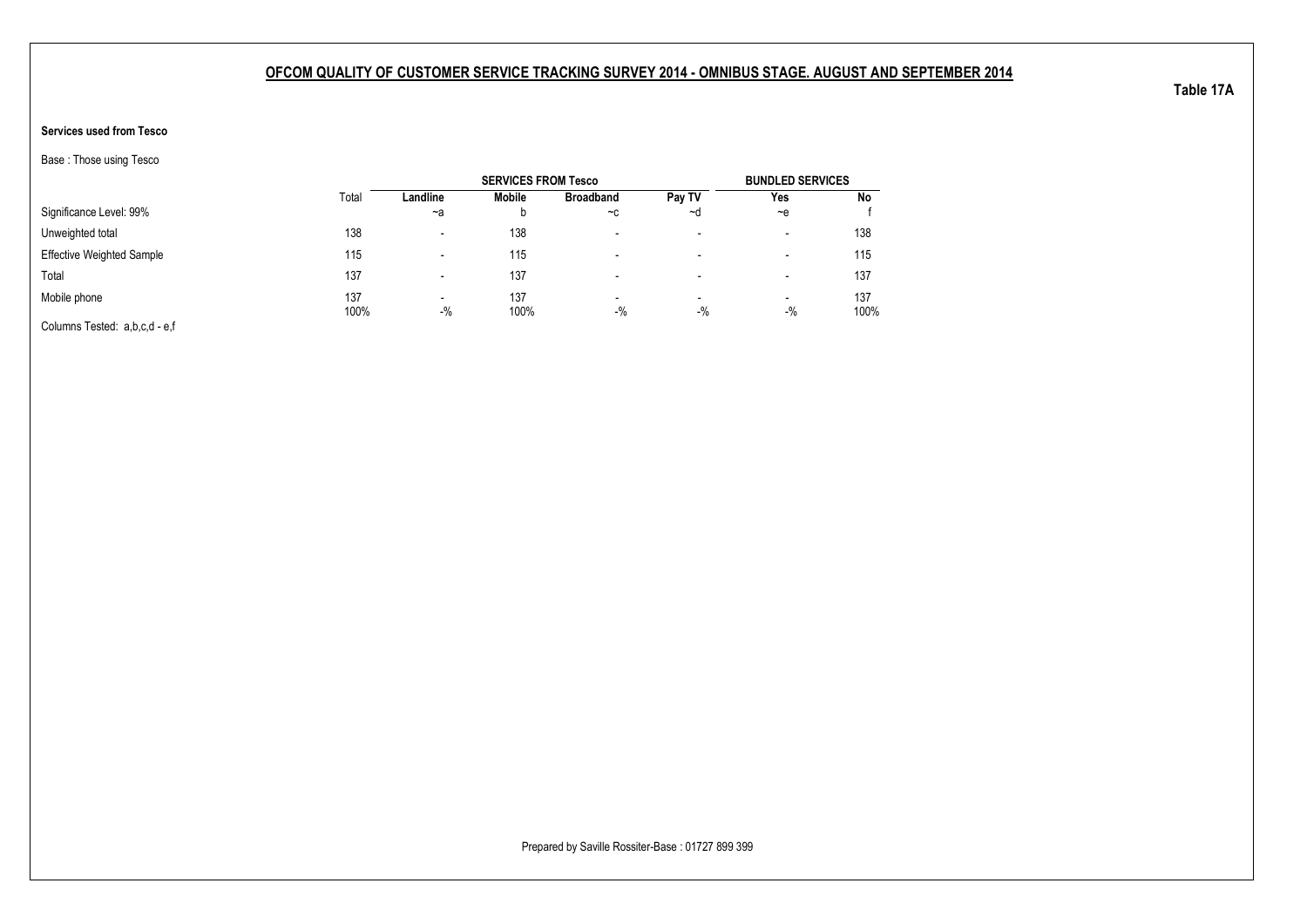### **Services used from Tesco**

Base : Those using Tesco

|                                  |             |                                   | <b>SERVICES FROM Tesco</b> |                          |                                   | <b>BUNDLED SERVICES</b>  |             |
|----------------------------------|-------------|-----------------------------------|----------------------------|--------------------------|-----------------------------------|--------------------------|-------------|
|                                  | Total       | Landline                          | Mobile                     | <b>Broadband</b>         | Pay TV                            | Yes                      | No          |
| Significance Level: 99%          |             | ~a                                | b                          | $-c$                     | ~d                                | $-e$                     |             |
| Unweighted total                 | 138         | $\overline{\phantom{0}}$          | 138                        | $\overline{\phantom{0}}$ | $\overline{\phantom{a}}$          | $\overline{\phantom{a}}$ | 138         |
| <b>Effective Weighted Sample</b> | 115         |                                   | 115                        | $\overline{\phantom{0}}$ | $\overline{\phantom{a}}$          | $\overline{\phantom{a}}$ | 115         |
| Total                            | 137         |                                   | 137                        | $\overline{\phantom{0}}$ | $\overline{\phantom{a}}$          | $\,$                     | 137         |
| Mobile phone                     | 137<br>100% | $\overline{\phantom{0}}$<br>$-$ % | 137<br>100%                | $\,$<br>$-$ %            | $\overline{\phantom{a}}$<br>$-$ % | $\blacksquare$<br>$-$ %  | 137<br>100% |
| Columns Tested: a,b,c,d - e,f    |             |                                   |                            |                          |                                   |                          |             |

Prepared by Saville Rossiter-Base : 01727 899 399

**Table 17A**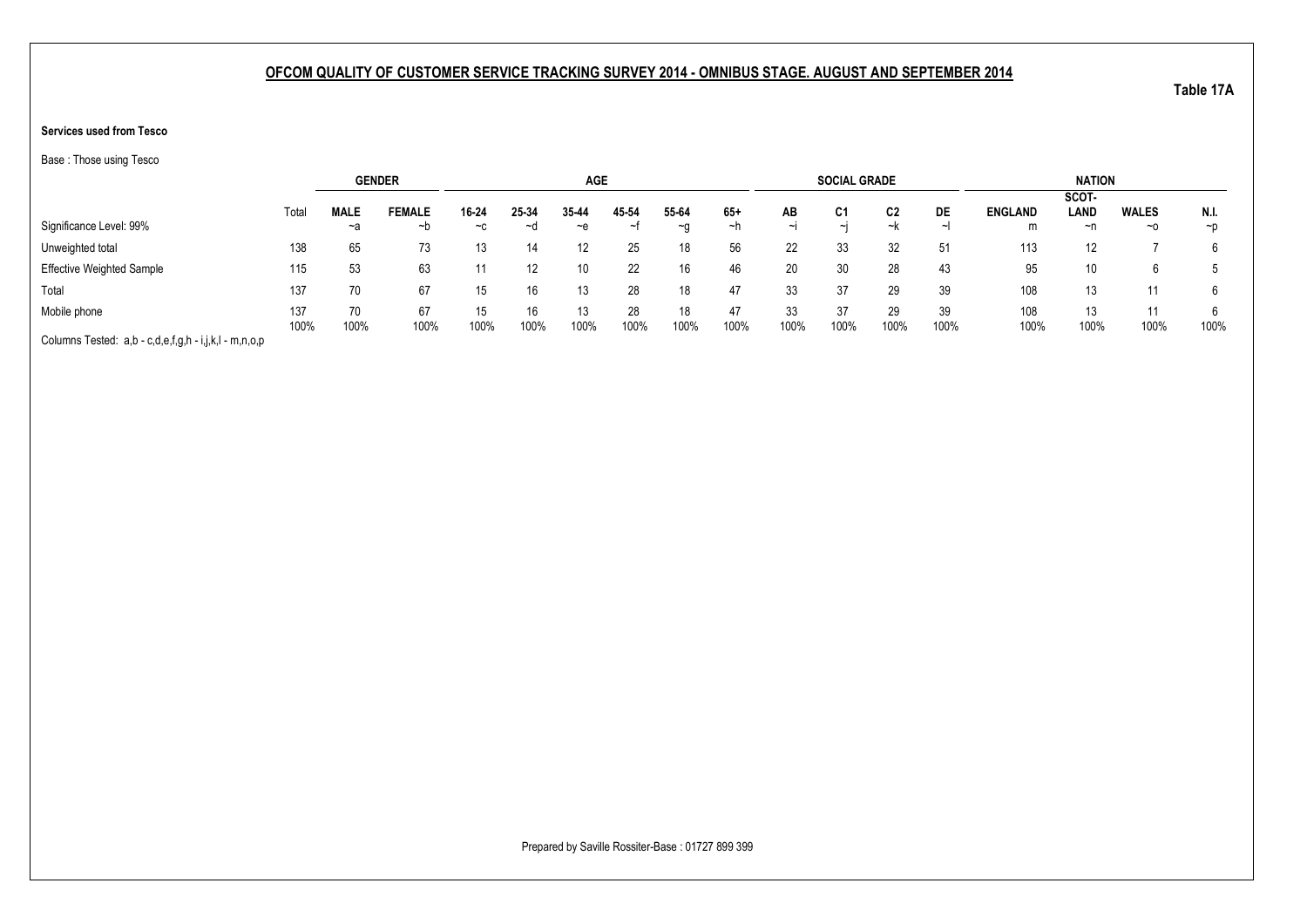### **Services used from Tesco**

Base : Those using Tesco

|                                                       |       |             | <b>GENDER</b> |       |       | <b>AGE</b> |       |           |       |        | <b>SOCIAL GRADE</b> |      |        |                | <b>NATION</b> |              |          |
|-------------------------------------------------------|-------|-------------|---------------|-------|-------|------------|-------|-----------|-------|--------|---------------------|------|--------|----------------|---------------|--------------|----------|
|                                                       |       |             |               |       |       |            |       |           |       |        |                     |      |        |                | SCOT-         |              |          |
|                                                       | Total | <b>MALE</b> | <b>FEMALE</b> | 16-24 | 25-34 | 35-44      | 45-54 | 55-64     | $65+$ | AВ     | C1                  | C2   | DE     | <b>ENGLAND</b> | LAND          | <b>WALES</b> | N.I.     |
| Significance Level: 99%                               |       | ~a          | ∼b            | $-c$  | ~d    | ∼e         | ~t    | $~\sim$ n | ~n    | $\sim$ | $\sim$              | ~k   | $\sim$ | m              | ~n            | $~\sim$ 0    | $\neg$ D |
| Unweighted total                                      | 138   | 65          | 73            | 13    |       | 12         | 25    | 18        | 56    | 22     | 33                  | 32   |        | 113            | 12            |              | 6        |
| <b>Effective Weighted Sample</b>                      | 115   | 53          | 63            |       |       | 10         | 22    | 16        | 46    | 20     | 30                  | 28   | 43     | 95             | 10            |              |          |
| Total                                                 | 137   | 70          | 67            | 15    |       | 13         | 28    | 18        | 47    | 33     | 37                  | 29   | 39     | 108            | 13            |              |          |
| Mobile phone                                          | 137   | 70          | 67            | 15    |       | 13         | 28    | 18        | 47    | 33     | 37                  | 29   | 39     | 108            | 13            | 11           |          |
|                                                       | 100%  | 100%        | 100%          | 100%  | 100%  | 100%       | 100%  | 100%      | 100%  | 100%   | 100%                | 100% | 100%   | 100%           | 100%          | 100%         | 100%     |
| Columns Tested: a,b - c,d,e,f,g,h - i,j,k,l - m,n,o,p |       |             |               |       |       |            |       |           |       |        |                     |      |        |                |               |              |          |

Prepared by Saville Rossiter-Base : 01727 899 399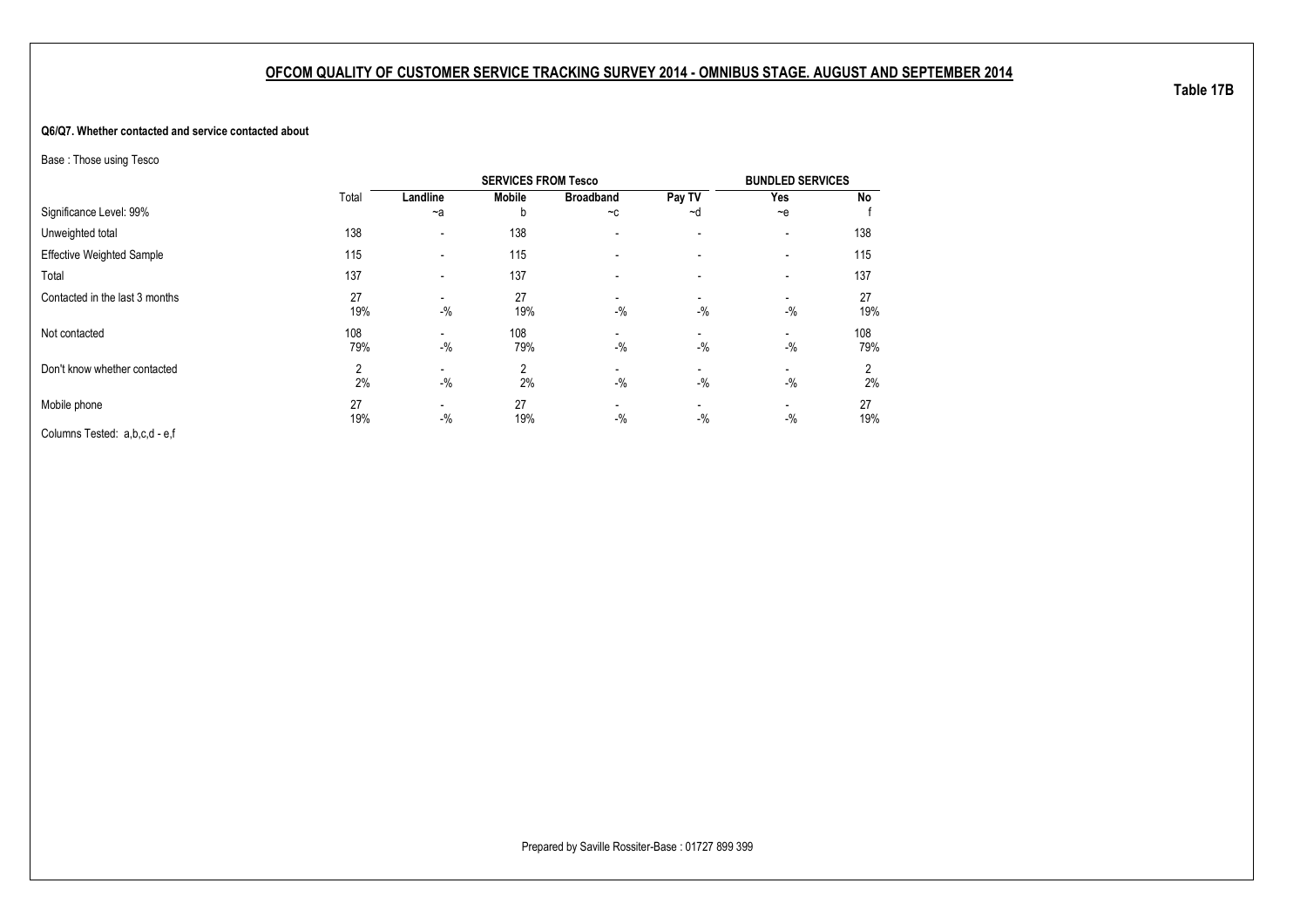#### **Q6/Q7. Whether contacted and service contacted about**

Base : Those using Tesco

|                                  |            |                                   | <b>SERVICES FROM Tesco</b> |                          |                          | <b>BUNDLED SERVICES</b>            |            |
|----------------------------------|------------|-----------------------------------|----------------------------|--------------------------|--------------------------|------------------------------------|------------|
|                                  | Total      | Landline                          | <b>Mobile</b>              | <b>Broadband</b>         | Pay TV                   | Yes                                | <b>No</b>  |
| Significance Level: 99%          |            | $-a$                              | b                          | $-c$                     | ~d                       | $-$ e                              |            |
| Unweighted total                 | 138        | $\overline{\phantom{a}}$          | 138                        |                          | $\overline{\phantom{a}}$ | -                                  | 138        |
| <b>Effective Weighted Sample</b> | 115        | $\overline{\phantom{a}}$          | 115                        |                          |                          |                                    | 115        |
| Total                            | 137        | $\overline{\phantom{a}}$          | 137                        | $\overline{\phantom{0}}$ | $\overline{\phantom{a}}$ |                                    | 137        |
| Contacted in the last 3 months   | 27<br>19%  | $\overline{\phantom{0}}$<br>$-$ % | 27<br>19%                  | $-$ %                    | $-$ %                    | $-$ %                              | 27<br>19%  |
| Not contacted                    | 108<br>79% | $\overline{\phantom{a}}$<br>$-$ % | 108<br>79%                 | $-$ %                    | -<br>$-$ %               | -<br>$-$ %                         | 108<br>79% |
| Don't know whether contacted     | 2<br>2%    | $-$ %                             | 2<br>2%                    | $-$ %                    | -<br>$-$ %               | $\overline{\phantom{0}}$<br>$-9/6$ | 2<br>2%    |
| Mobile phone                     | 27<br>19%  | $\overline{\phantom{a}}$<br>$-$ % | 27<br>19%                  | $-$ %                    | $-$ %                    | -<br>$-$ %                         | 27<br>19%  |
| Columns Tested: a,b,c,d - e,f    |            |                                   |                            |                          |                          |                                    |            |

**Table 17B**

Prepared by Saville Rossiter-Base : 01727 899 399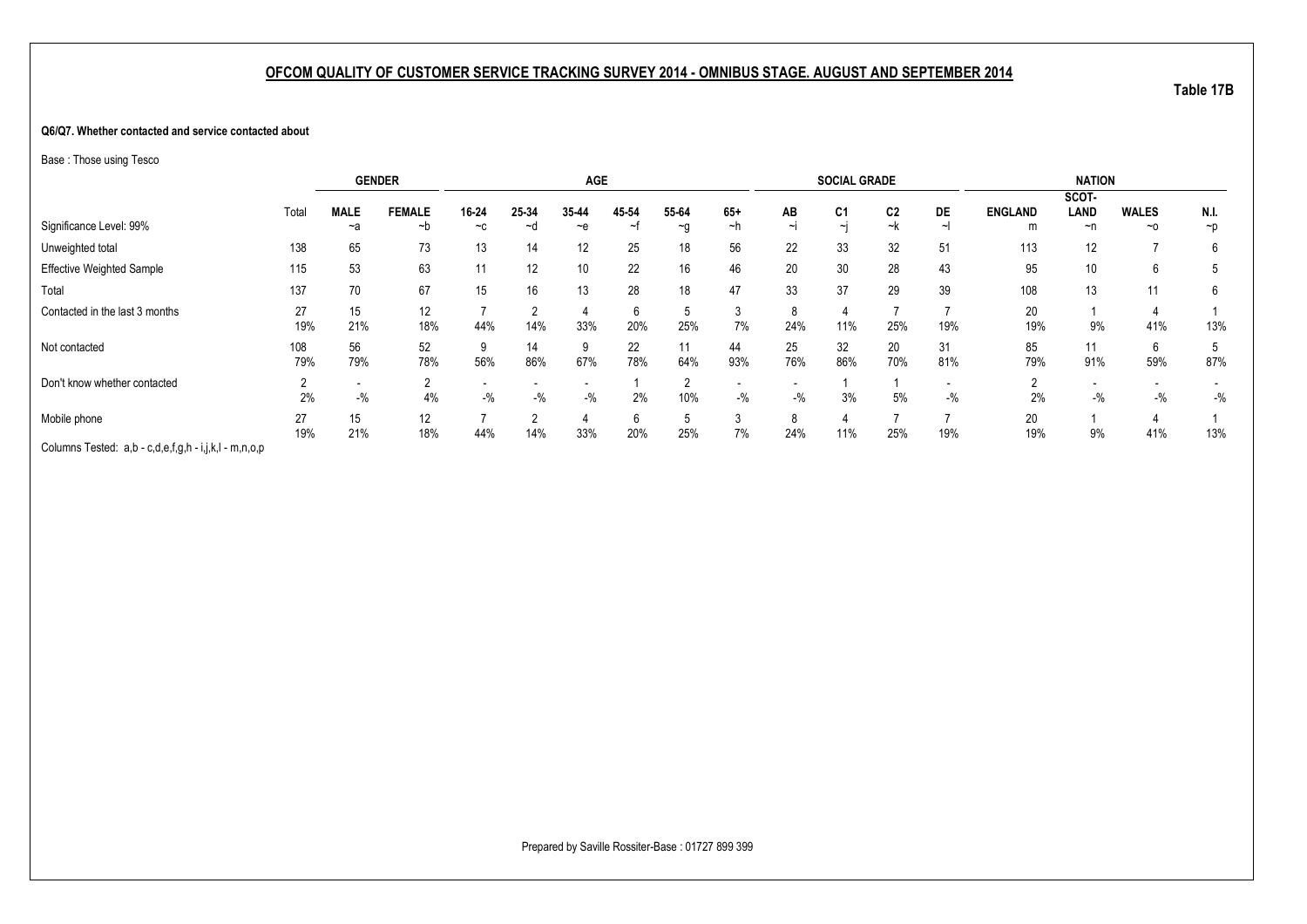#### **Q6/Q7. Whether contacted and service contacted about**

Base : Those using Tesco

|                                                       |       | <b>GENDER</b> |               |       |        | <b>AGE</b>      |       |          |       |        | <b>SOCIAL GRADE</b> |                |       |                | <b>NATION</b> |              |                |
|-------------------------------------------------------|-------|---------------|---------------|-------|--------|-----------------|-------|----------|-------|--------|---------------------|----------------|-------|----------------|---------------|--------------|----------------|
|                                                       |       |               |               |       |        |                 |       |          |       |        |                     |                |       |                | SCOT-         |              |                |
|                                                       | Total | <b>MALE</b>   | <b>FEMALE</b> | 16-24 | 25-34  | 35-44           | 45-54 | 55-64    | $65+$ | AB     | C <sub>1</sub>      | C <sub>2</sub> | DE    | <b>ENGLAND</b> | LAND          | <b>WALES</b> | N.I.           |
| Significance Level: 99%                               |       | ~a            | ~b            | $-c$  | ~d     | $-$ e           |       | $\sim g$ | ~h    | $\sim$ | $\sim$              | ~k             |       | m              | ~n            | $~\sim$ 0    | $\neg p$       |
| Unweighted total                                      | 138   | 65            | 73            | 13    | 14     | 12              | 25    | 18       | 56    | 22     | 33                  | 32             | 51    | 113            | 12            |              | 6              |
| <b>Effective Weighted Sample</b>                      | 115   | 53            | 63            | 11    | 12     | 10 <sup>°</sup> | 22    | 16       | 46    | 20     | 30                  | 28             | 43    | 95             | 10            | 6            | $\mathfrak{b}$ |
| Total                                                 | 137   | 70            | 67            | 15    | 16     | 13              | 28    | 18       | 47    | 33     | 37                  | 29             | 39    | 108            | 13            | 11           | 6              |
| Contacted in the last 3 months                        | 27    | 15            | 12            |       |        | 4               | 6     | 5        |       |        |                     |                |       | 20             |               |              |                |
|                                                       | 19%   | 21%           | 18%           | 44%   | 14%    | 33%             | 20%   | 25%      | 7%    | 24%    | 11%                 | 25%            | 19%   | 19%            | 9%            | 41%          | 13%            |
| Not contacted                                         | 108   | 56            | 52            |       | 14     | 9               | 22    | 11       | 44    | 25     | 32                  | 20             | 31    | 85             | 11            | 6            |                |
|                                                       | 79%   | 79%           | 78%           | 56%   | 86%    | 67%             | 78%   | 64%      | 93%   | 76%    | 86%                 | 70%            | 81%   | 79%            | 91%           | 59%          | 87%            |
| Don't know whether contacted                          |       |               | <u>_</u>      |       |        |                 |       | ົ        |       |        |                     |                |       | ▵              |               |              |                |
|                                                       | 2%    | $-$ %         | 4%            | $-$ % | $-$ %  | $-$ %           | 2%    | 10%      | $-$ % | $-$ %  | 3%                  | 5%             | $-$ % | 2%             | $-$ %         | $-$ %        | $-$ %          |
| Mobile phone                                          | 27    | 15            | 12            |       | $\sim$ | 4               | 6     | . 5      | 3     |        |                     |                |       | 20             |               |              |                |
|                                                       | 19%   | 21%           | 18%           | 44%   | 14%    | 33%             | 20%   | 25%      | 7%    | 24%    | 11%                 | 25%            | 19%   | 19%            | 9%            | 41%          | 13%            |
| Columns Tested: a,b - c,d,e,f,g,h - i,j,k,l - m,n,o,p |       |               |               |       |        |                 |       |          |       |        |                     |                |       |                |               |              |                |

**Table 17B**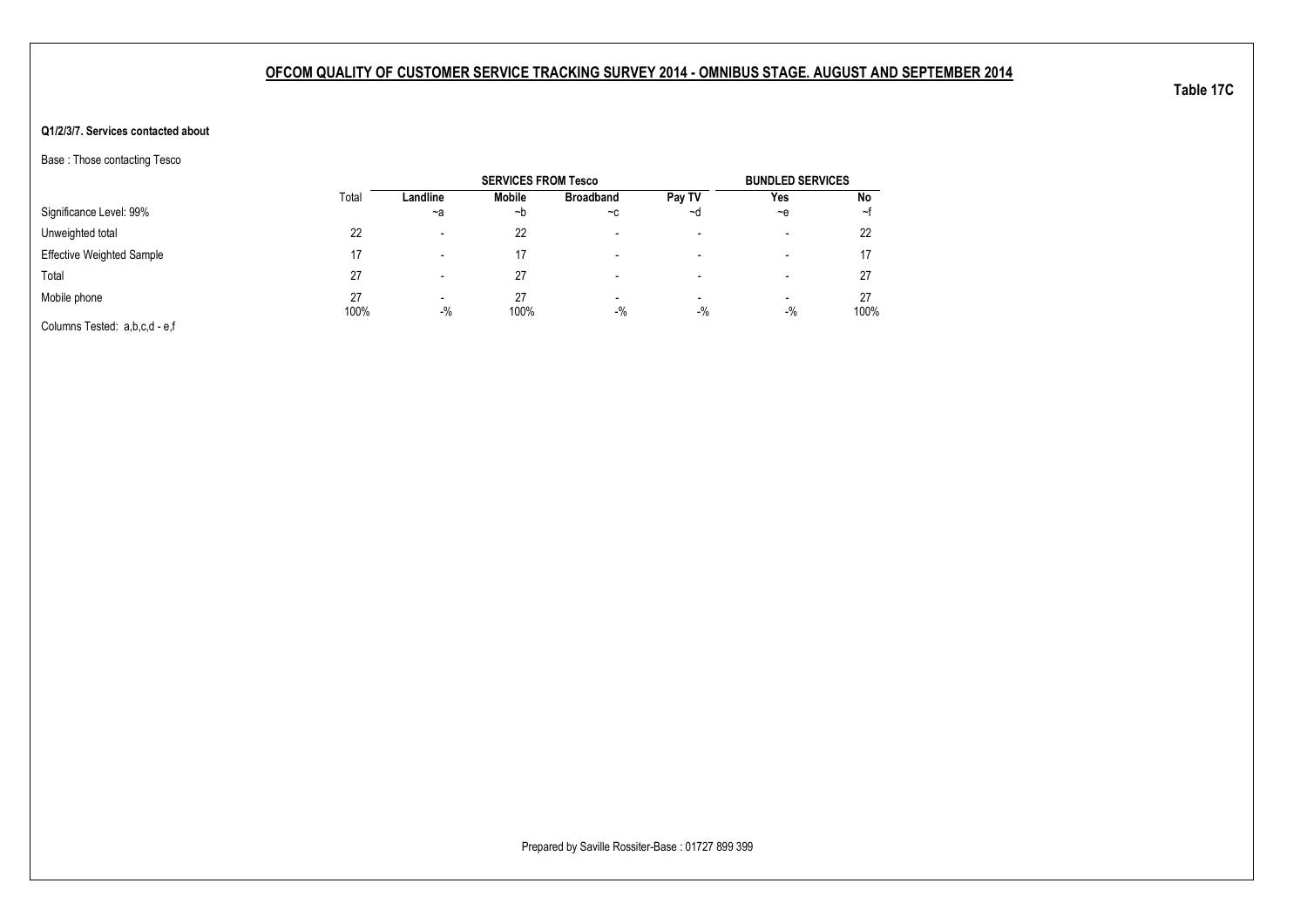### **Q1/2/3/7. Services contacted about**

Base : Those contacting Tesco

|                                  |            |                                   | <b>SERVICES FROM Tesco</b> |                                   |                          | <b>BUNDLED SERVICES</b> |            |
|----------------------------------|------------|-----------------------------------|----------------------------|-----------------------------------|--------------------------|-------------------------|------------|
|                                  | Total      | Landline                          | <b>Mobile</b>              | <b>Broadband</b>                  | Pay TV                   | Yes                     | No         |
| Significance Level: 99%          |            | $-a$                              | ∼b                         | $-c$                              | ~d                       | $-$ e                   | ∼t         |
| Unweighted total                 | 22         | $\overline{\phantom{0}}$          | 22                         | $\overline{\phantom{0}}$          | $\overline{\phantom{a}}$ | $\,$                    | 22         |
| <b>Effective Weighted Sample</b> | 17         | -                                 | 17                         | $\overline{\phantom{0}}$          | $\overline{\phantom{a}}$ | $\,$                    |            |
| Total                            | 27         | -                                 | 27                         | -                                 | $\overline{\phantom{a}}$ | -                       | 27         |
| Mobile phone                     | 27<br>100% | $\overline{\phantom{a}}$<br>$-$ % | 27<br>100%                 | $\overline{\phantom{a}}$<br>$-$ % | $\blacksquare$<br>$-$ %  | $\,$<br>$-$ %           | 27<br>100% |
| Columns Tested: a,b,c,d - e,f    |            |                                   |                            |                                   |                          |                         |            |

Prepared by Saville Rossiter-Base : 01727 899 399

**Table 17C**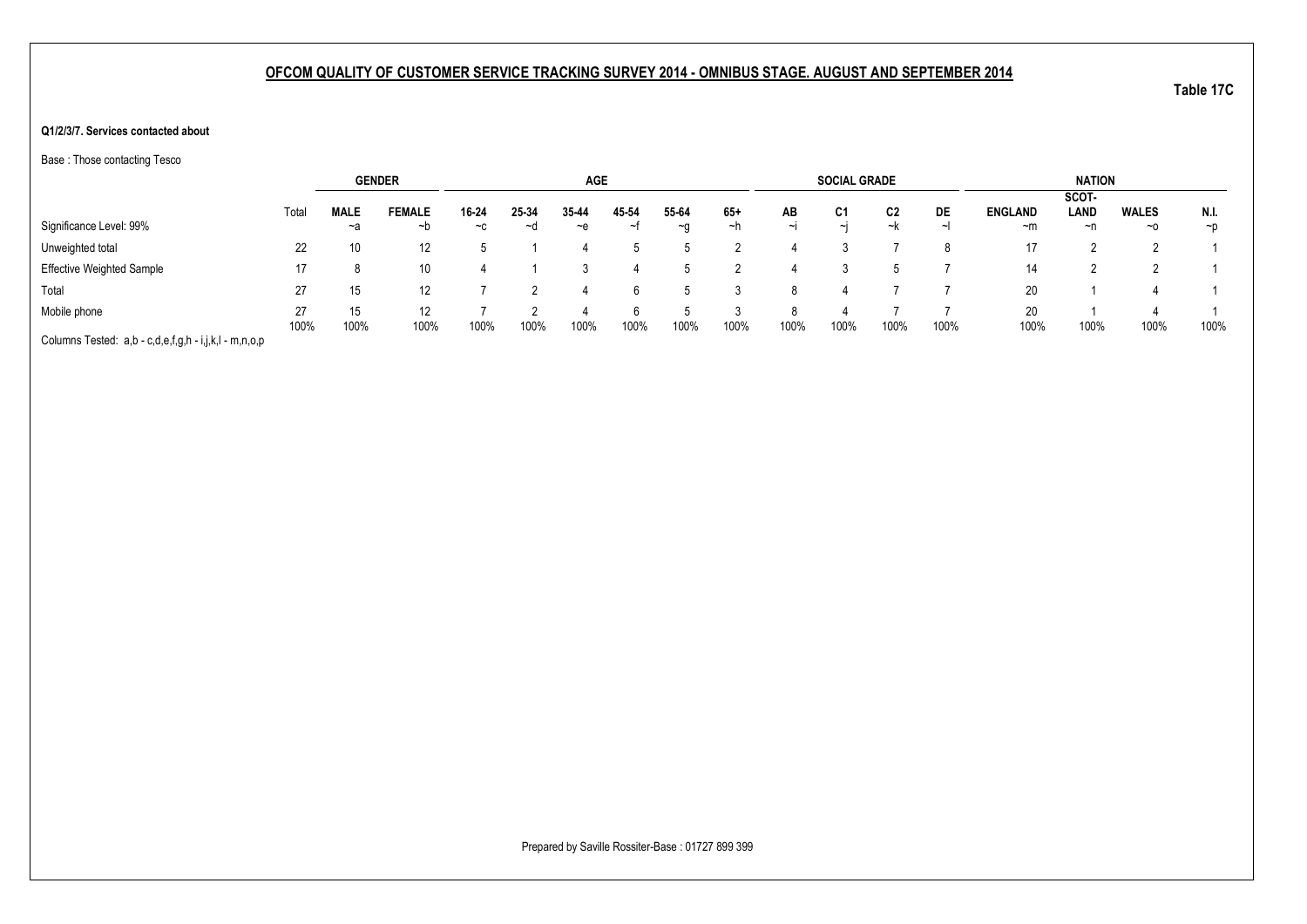#### **Q1/2/3/7. Services contacted about**

Base : Those contacting Tesco

|                                                       |       | <b>GENDER</b> |               |       |       | <b>AGE</b> |       |       |       |        | <b>SOCIAL GRADE</b> |      |      |                | <b>NATION</b> |              |          |
|-------------------------------------------------------|-------|---------------|---------------|-------|-------|------------|-------|-------|-------|--------|---------------------|------|------|----------------|---------------|--------------|----------|
|                                                       |       |               |               |       |       |            |       |       |       |        |                     |      |      |                | SCOT-         |              |          |
|                                                       | Total | <b>MALE</b>   | <b>FEMALE</b> | 16-24 | 25-34 | 35-44      | 45-54 | 55-64 | $65+$ | AB     | C <sub>1</sub>      | C2   | DE   | <b>ENGLAND</b> | LAND          | <b>WALES</b> | N.I.     |
| Significance Level: 99%                               |       | $-a$          | ~b            | $-c$  | ~d    | $\sim$ e   | ∼t    | ~g    | ∼h    | $\sim$ | $\sim$              | ~k   | ᅬ    | ~m             | ~n            | $~\sim$ 0    | $\neg$ D |
| Unweighted total                                      | 22    | 10            | 12            |       |       |            |       |       |       |        |                     |      |      | 17             |               |              |          |
| <b>Effective Weighted Sample</b>                      | 17    |               | 10            |       |       |            |       |       |       |        |                     |      |      | 14             |               |              |          |
| Total                                                 | 27    | 15            | 12            |       |       |            |       |       |       |        |                     |      |      | 20             |               |              |          |
| Mobile phone                                          | 27    | 15            | 12            |       |       |            |       |       |       |        |                     |      |      | 20             |               |              |          |
|                                                       | 100%  | 100%          | 100%          | 100%  | 100%  | 100%       | 100%  | 100%  | 100%  | 100%   | 100%                | 100% | 100% | 100%           | 100%          | 100%         | 100%     |
| Columns Tested: a,b - c,d,e,f,g,h - i,j,k,l - m,n,o,p |       |               |               |       |       |            |       |       |       |        |                     |      |      |                |               |              |          |

Prepared by Saville Rossiter-Base : 01727 899 399

**Table 17C**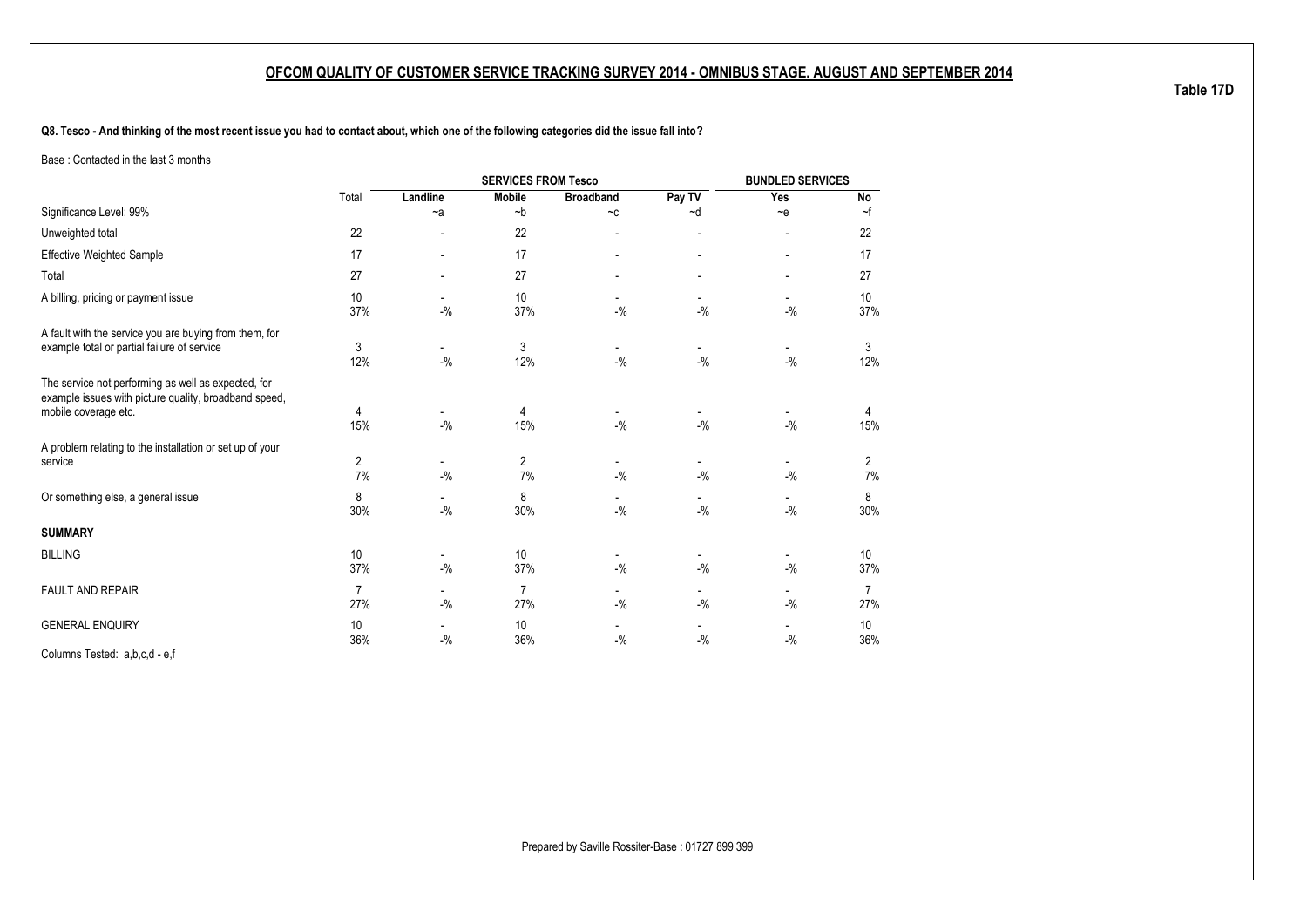**Q8. Tesco - And thinking of the most recent issue you had to contact about, which one of the following categories did the issue fall into?**

Base : Contacted in the last 3 months

|                                                                                                                                      |                       |                                    | <b>SERVICES FROM Tesco</b> |                                    |                                   | <b>BUNDLED SERVICES</b>           |           |
|--------------------------------------------------------------------------------------------------------------------------------------|-----------------------|------------------------------------|----------------------------|------------------------------------|-----------------------------------|-----------------------------------|-----------|
|                                                                                                                                      | Total                 | Landline                           | <b>Mobile</b>              | <b>Broadband</b>                   | Pay TV                            | Yes                               | No        |
| Significance Level: 99%                                                                                                              |                       | $-a$                               | $-b$                       | $-c$                               | $-d$                              | $-e$                              | $\sim$ f  |
| Unweighted total                                                                                                                     | 22                    |                                    | 22                         |                                    |                                   |                                   | 22        |
| <b>Effective Weighted Sample</b>                                                                                                     | 17                    | $\overline{\phantom{0}}$           | 17                         |                                    |                                   |                                   | 17        |
| Total                                                                                                                                | 27                    |                                    | 27                         |                                    | $\blacksquare$                    |                                   | 27        |
| A billing, pricing or payment issue                                                                                                  | 10<br>37%             | $-9/6$                             | 10<br>37%                  | $-9/6$                             | $-9/6$                            | $-9/6$                            | 10<br>37% |
| A fault with the service you are buying from them, for<br>example total or partial failure of service                                | 3<br>12%              | $-$ %                              | 3<br>12%                   | $-$ %                              | $-$ %                             | $-9/6$                            | 3<br>12%  |
| The service not performing as well as expected, for<br>example issues with picture quality, broadband speed,<br>mobile coverage etc. | 4<br>15%              | $-$ %                              | 4<br>15%                   | $-9/6$                             | $-$ %                             | $-$ %                             | 4<br>15%  |
| A problem relating to the installation or set up of your<br>service                                                                  | 2<br>7%               | $\overline{\phantom{a}}$<br>$-$ %  | $\overline{2}$<br>7%       | $-9/6$                             | $-9/6$                            | $-9/6$                            | 2<br>7%   |
| Or something else, a general issue                                                                                                   | 8<br>30%              | $\overline{\phantom{a}}$<br>$-9/6$ | 8<br>30%                   | $-9/6$                             | $-$ %                             | -<br>$-9/6$                       | 8<br>30%  |
| <b>SUMMARY</b>                                                                                                                       |                       |                                    |                            |                                    |                                   |                                   |           |
| <b>BILLING</b>                                                                                                                       | 10<br>37%             | $\overline{\phantom{a}}$<br>$-$ %  | 10<br>37%                  | $\overline{\phantom{a}}$<br>$-9/6$ | $\overline{\phantom{a}}$<br>$-$ % | $\overline{\phantom{a}}$<br>$-$ % | 10<br>37% |
| <b>FAULT AND REPAIR</b>                                                                                                              | $\overline{7}$<br>27% | Ξ.<br>$-$ %                        | 7<br>27%                   | $-9/6$                             | $-$ %                             | $-$ %                             | 7<br>27%  |
| <b>GENERAL ENQUIRY</b>                                                                                                               | 10<br>36%             | $-$ %                              | 10<br>36%                  | $-$ %                              | $-$ %                             | $-9/6$                            | 10<br>36% |

Columns Tested: a,b,c,d - e,f

**Table 17D**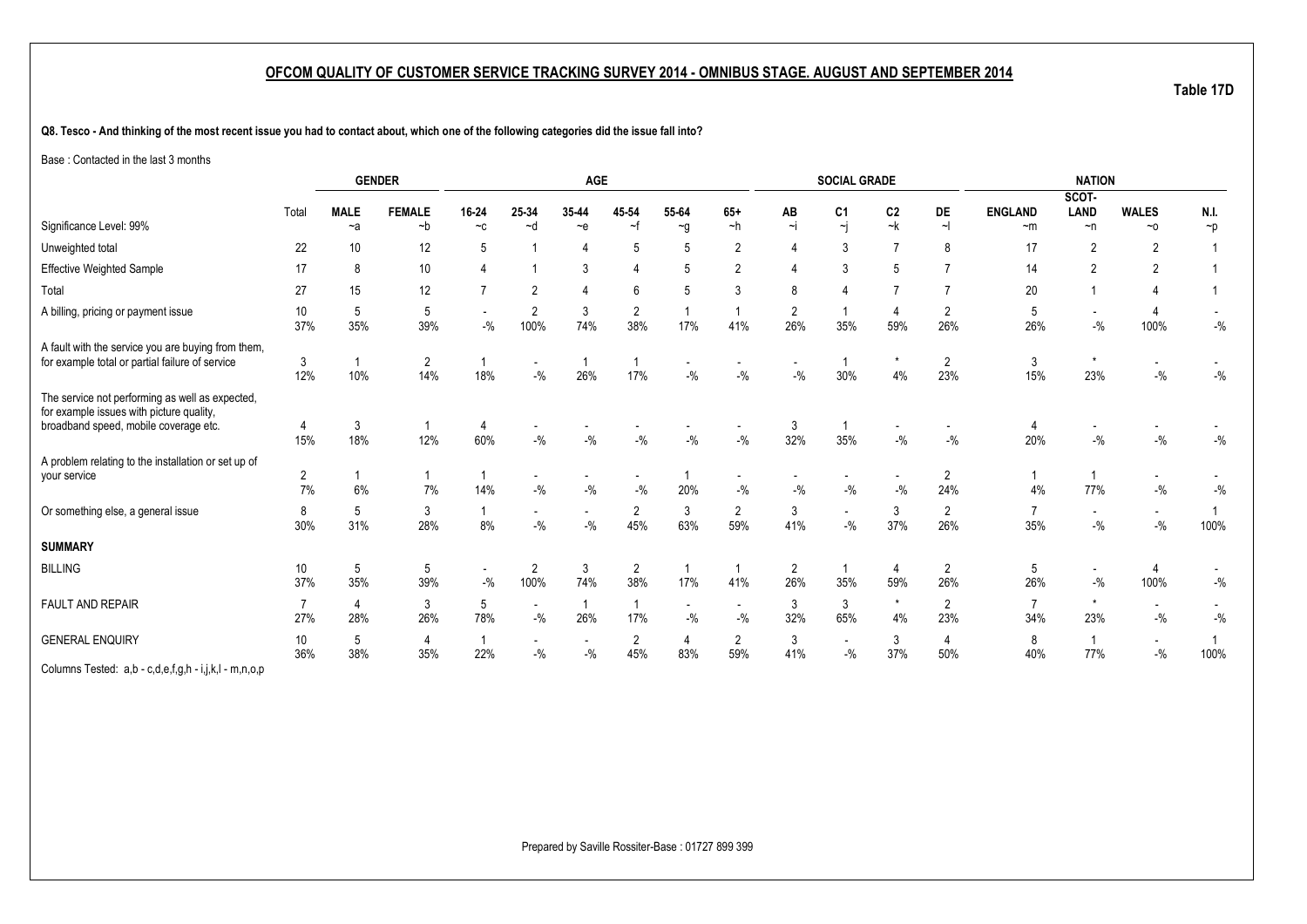**Table 17D**

**Q8. Tesco - And thinking of the most recent issue you had to contact about, which one of the following categories did the issue fall into?**

Base : Contacted in the last 3 months

|                                                                                                                                      |                       |                       | <b>GENDER</b>         |                       |                                    | AGE                                |                       |                                   |                                   |                | <b>SOCIAL GRADE</b>               |                        |                       |                        | <b>NATION</b>                     |                                     |                  |
|--------------------------------------------------------------------------------------------------------------------------------------|-----------------------|-----------------------|-----------------------|-----------------------|------------------------------------|------------------------------------|-----------------------|-----------------------------------|-----------------------------------|----------------|-----------------------------------|------------------------|-----------------------|------------------------|-----------------------------------|-------------------------------------|------------------|
| Significance Level: 99%                                                                                                              | Total                 | <b>MALE</b><br>$-a$   | <b>FEMALE</b><br>$-b$ | 16-24<br>$-c$         | 25-34<br>$-d$                      | 35-44<br>$\sim e$                  | 45-54<br>$\sim$ f     | 55-64<br>$\sim g$                 | $65+$<br>$-h$                     | AB<br>$\sim$ j | C <sub>1</sub><br>$\dot{\gamma}$  | C <sub>2</sub><br>$-k$ | <b>DE</b><br>$\sim$   | <b>ENGLAND</b><br>$-m$ | SCOT-<br><b>LAND</b><br>$\neg$ n  | <b>WALES</b><br>$~\sim$ 0           | N.I.<br>$\neg p$ |
|                                                                                                                                      |                       |                       |                       |                       |                                    |                                    |                       |                                   |                                   |                |                                   |                        |                       |                        |                                   |                                     |                  |
| Unweighted total                                                                                                                     | 22                    | 10                    | 12                    | 5                     |                                    |                                    | 5                     | 5                                 | 2                                 |                | 3                                 |                        | 8                     | 17                     | $\overline{2}$                    | $\overline{2}$                      |                  |
| Effective Weighted Sample                                                                                                            | 17                    | 8                     | 10                    |                       |                                    | 3                                  |                       | 5                                 | $\overline{2}$                    |                | 3                                 |                        |                       | 14                     | $\overline{2}$                    | $\overline{2}$                      |                  |
| Total                                                                                                                                | 27                    | 15                    | 12                    |                       | $\overline{2}$                     |                                    | ĥ                     | 5                                 | 3                                 | 8              | $\overline{4}$                    |                        |                       | 20                     |                                   |                                     |                  |
| A billing, pricing or payment issue                                                                                                  | 10<br>37%             | 5<br>35%              | 5<br>39%              | $-$ %                 | $\overline{2}$<br>100%             | 3<br>74%                           | 2<br>38%              | 17%                               | 41%                               | 2<br>26%       | 35%                               | 59%                    | 2<br>26%              | 5<br>26%               | $\overline{\phantom{a}}$<br>$-$ % | 4<br>100%                           | $-{\%}$          |
| A fault with the service you are buying from them,<br>for example total or partial failure of service                                | 3<br>12%              | 10%                   | $\overline{c}$<br>14% | 18%                   | $-$ %                              | 26%                                | 17%                   | $-$ %                             | $-$ %                             | $-$ %          | 30%                               | 4%                     | $\overline{2}$<br>23% | 3<br>15%               | $\star$<br>23%                    | $-$ %                               | $-{\%}$          |
| The service not performing as well as expected,<br>for example issues with picture quality,<br>broadband speed, mobile coverage etc. | 15%                   | 3<br>18%              | 12%                   | 4<br>60%              | $-$ %                              | $-$ %                              | $-9/6$                | $-9/6$                            | $-$ %                             | 3<br>32%       | 35%                               | $-9/6$                 | $-$ %                 | 20%                    | $-$ %                             | $-$ %                               | $-{\%}$          |
| A problem relating to the installation or set up of<br>your service                                                                  | $\overline{2}$<br>7%  | 6%                    | 7%                    | 14%                   | $-9/6$                             | $-9/6$                             | $-9/6$                | 20%                               | $\overline{\phantom{a}}$<br>$-$ % | $-$ %          | $-$ %                             | $-$ %                  | $\overline{2}$<br>24% | 4%                     | 77%                               | $\overline{\phantom{a}}$<br>$-{\%}$ | $-{\%}$          |
| Or something else, a general issue                                                                                                   | 8<br>30%              | 5<br>31%              | 3<br>28%              | 8%                    | $\overline{\phantom{a}}$<br>$-$ %  | $\overline{\phantom{a}}$<br>$-9/6$ | 2<br>45%              | 3<br>63%                          | $\overline{2}$<br>59%             | 3<br>41%       | $\blacksquare$<br>$-$ %           | 3<br>37%               | 2<br>26%              | 35%                    | $\overline{\phantom{a}}$<br>$-$ % | $\sim$<br>$-$ %                     | 100%             |
| <b>SUMMARY</b>                                                                                                                       |                       |                       |                       |                       |                                    |                                    |                       |                                   |                                   |                |                                   |                        |                       |                        |                                   |                                     |                  |
| <b>BILLING</b>                                                                                                                       | 10<br>37%             | $\overline{5}$<br>35% | 5<br>39%              | $\sim$<br>$-$ %       | $\overline{2}$<br>100%             | $\mathfrak{Z}$<br>74%              | 2<br>38%              | 17%                               | 41%                               | 2<br>26%       | -1<br>35%                         | 4<br>59%               | 2<br>26%              | 5<br>26%               | $\overline{\phantom{a}}$<br>$-$ % | 4<br>100%                           | $-$ %            |
| <b>FAULT AND REPAIR</b>                                                                                                              | $\overline{7}$<br>27% | 4<br>28%              | 3<br>26%              | 5<br>78%              | $\overline{\phantom{a}}$<br>$-9/0$ | $\overline{1}$<br>26%              | $\mathbf{1}$<br>17%   | $\overline{\phantom{a}}$<br>$-$ % | $\sim$<br>$-$ %                   | 3<br>32%       | 3<br>65%                          | $\star$<br>4%          | 2<br>23%              | $\overline{7}$<br>34%  | $\star$<br>23%                    | $\overline{\phantom{a}}$<br>$-$ %   | $-{\%}$          |
| <b>GENERAL ENQUIRY</b>                                                                                                               | 10<br>36%             | 5<br>38%              | 4<br>35%              | $\overline{1}$<br>22% | $-\frac{9}{6}$                     | $\overline{\phantom{a}}$<br>$-$ %  | $\overline{2}$<br>45% | 4<br>83%                          | $\overline{2}$<br>59%             | 3<br>41%       | $\overline{\phantom{a}}$<br>$-$ % | 3<br>37%               | 4<br>50%              | 8<br>40%               | $\overline{1}$<br>77%             | $\sim$<br>$-$ %                     | 100%             |
| Columns Tested: a,b - c,d,e,f,g,h - i,j,k,l - m,n,o,p                                                                                |                       |                       |                       |                       |                                    |                                    |                       |                                   |                                   |                |                                   |                        |                       |                        |                                   |                                     |                  |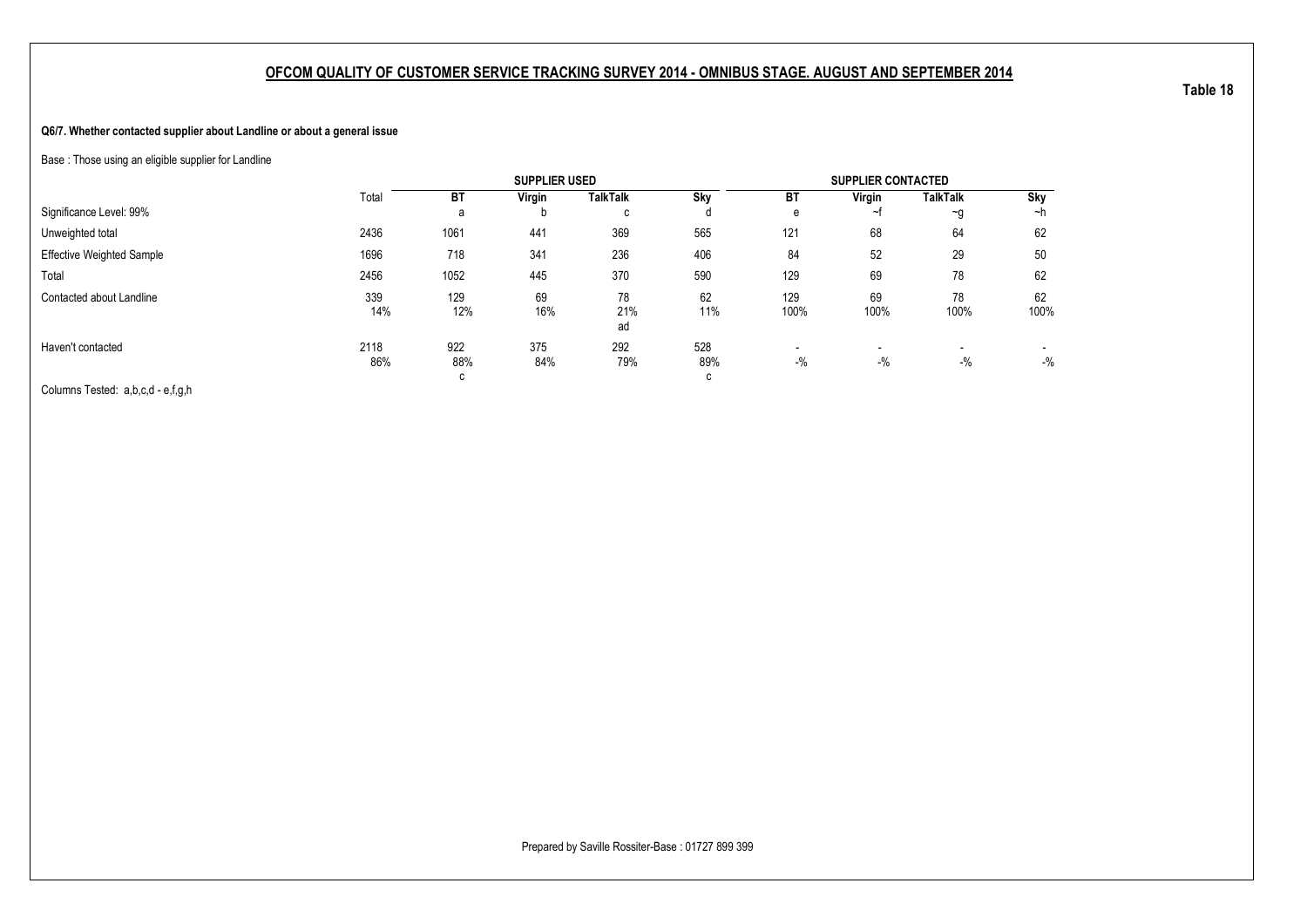### **Q6/7. Whether contacted supplier about Landline or about a general issue**

Base : Those using an eligible supplier for Landline

|                                  |             |             | <b>SUPPLIER USED</b> |                 |            |                                   | <b>SUPPLIER CONTACTED</b> |                 |                 |
|----------------------------------|-------------|-------------|----------------------|-----------------|------------|-----------------------------------|---------------------------|-----------------|-----------------|
|                                  | Total       | <b>BT</b>   | Virgin               | <b>TalkTalk</b> | Sky        | <b>BT</b>                         | Virgin                    | <b>TalkTalk</b> | Sky             |
| Significance Level: 99%          |             | a           | D                    | C               |            | е                                 | ∼+                        | $\sim g$        | ∼h              |
| Unweighted total                 | 2436        | 1061        | 441                  | 369             | 565        | 121                               | 68                        | 64              | 62              |
| <b>Effective Weighted Sample</b> | 1696        | 718         | 341                  | 236             | 406        | 84                                | 52                        | 29              | 50              |
| Total                            | 2456        | 1052        | 445                  | 370             | 590        | 129                               | 69                        | 78              | 62              |
| Contacted about Landline         | 339<br>14%  | 129<br>12%  | 69<br>16%            | 78<br>21%<br>ad | 62<br>11%  | 129<br>100%                       | 69<br>100%                | 78<br>100%      | 62<br>100%      |
| Haven't contacted                | 2118<br>86% | 922<br>88%  | 375<br>84%           | 292<br>79%      | 528<br>89% | $\overline{\phantom{a}}$<br>$-$ % | $-$ %                     | $-$ %           | $\sim$<br>$-$ % |
| $\sim$ $\sim$<br>$-$             |             | $\sim$<br>◡ |                      |                 | С          |                                   |                           |                 |                 |

Columns Tested: a,b,c,d - e,f,g,h

**Table 18**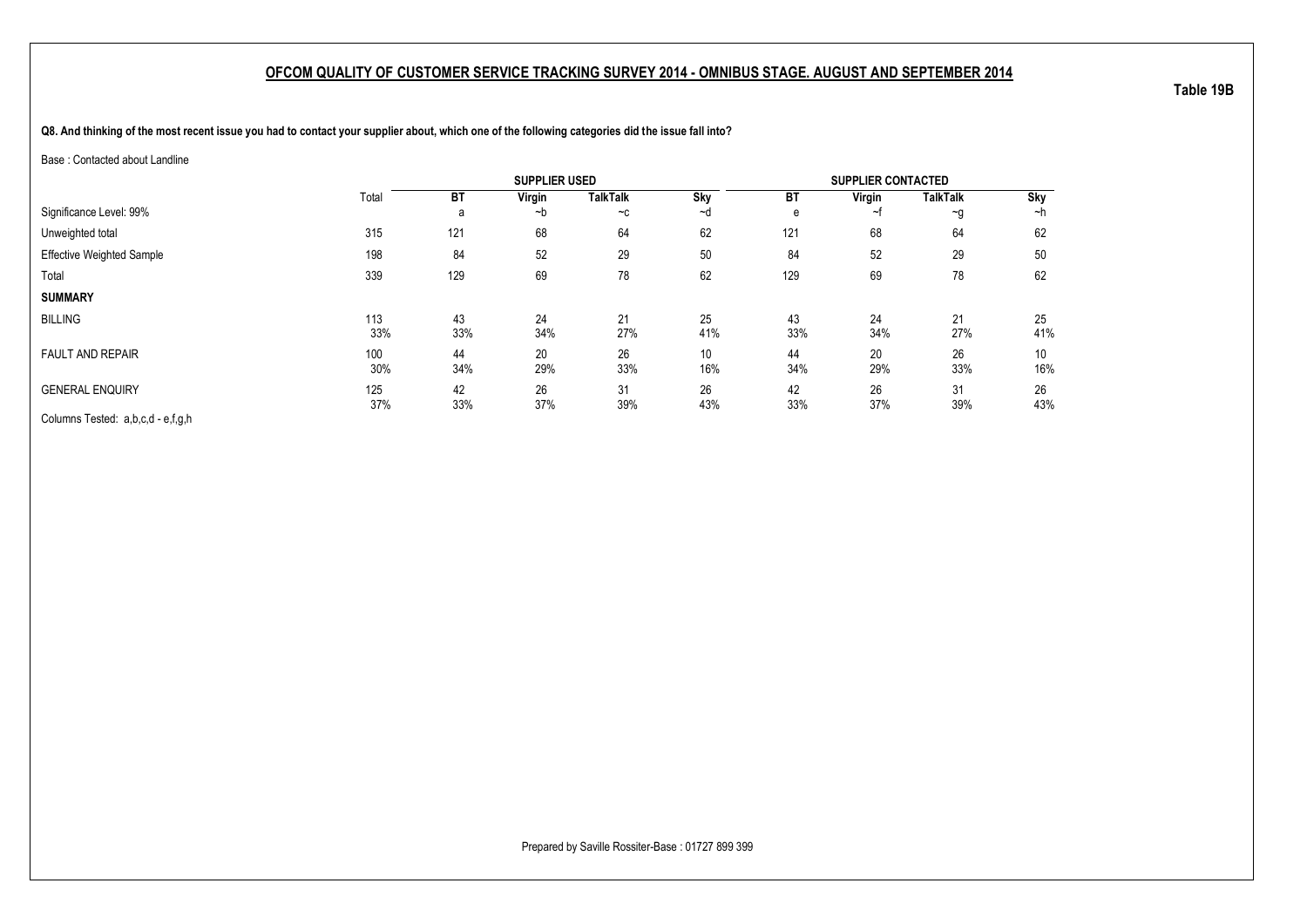**Q8. And thinking of the most recent issue you had to contact your supplier about, which one of the following categories did the issue fall into?**

Base : Contacted about Landline

|                                   |            |           | <b>SUPPLIER USED</b> |                 |            |           | <b>SUPPLIER CONTACTED</b> |                 |           |
|-----------------------------------|------------|-----------|----------------------|-----------------|------------|-----------|---------------------------|-----------------|-----------|
|                                   | Total      | BT        | Virgin               | <b>TalkTalk</b> | <b>Sky</b> | BT        | Virgin                    | <b>TalkTalk</b> | Sky       |
| Significance Level: 99%           |            | a         | ~b                   | $-c$            | ~d         | e         | ~f                        | $\sim g$        | ~h        |
| Unweighted total                  | 315        | 121       | 68                   | 64              | 62         | 121       | 68                        | 64              | 62        |
| <b>Effective Weighted Sample</b>  | 198        | 84        | 52                   | 29              | 50         | 84        | 52                        | 29              | 50        |
| Total                             | 339        | 129       | 69                   | 78              | 62         | 129       | 69                        | 78              | 62        |
| <b>SUMMARY</b>                    |            |           |                      |                 |            |           |                           |                 |           |
| <b>BILLING</b>                    | 113<br>33% | 43<br>33% | 24<br>34%            | 21<br>27%       | 25<br>41%  | 43<br>33% | 24<br>34%                 | 21<br>27%       | 25<br>41% |
| <b>FAULT AND REPAIR</b>           | 100<br>30% | 44<br>34% | 20<br>29%            | 26<br>33%       | 10<br>16%  | 44<br>34% | 20<br>29%                 | 26<br>33%       | 10<br>16% |
| <b>GENERAL ENQUIRY</b>            | 125<br>37% | 42<br>33% | 26<br>37%            | 31<br>39%       | 26<br>43%  | 42<br>33% | 26<br>37%                 | 31<br>39%       | 26<br>43% |
| Columns Tested: a,b,c,d - e,f,g,h |            |           |                      |                 |            |           |                           |                 |           |

**Table 19B**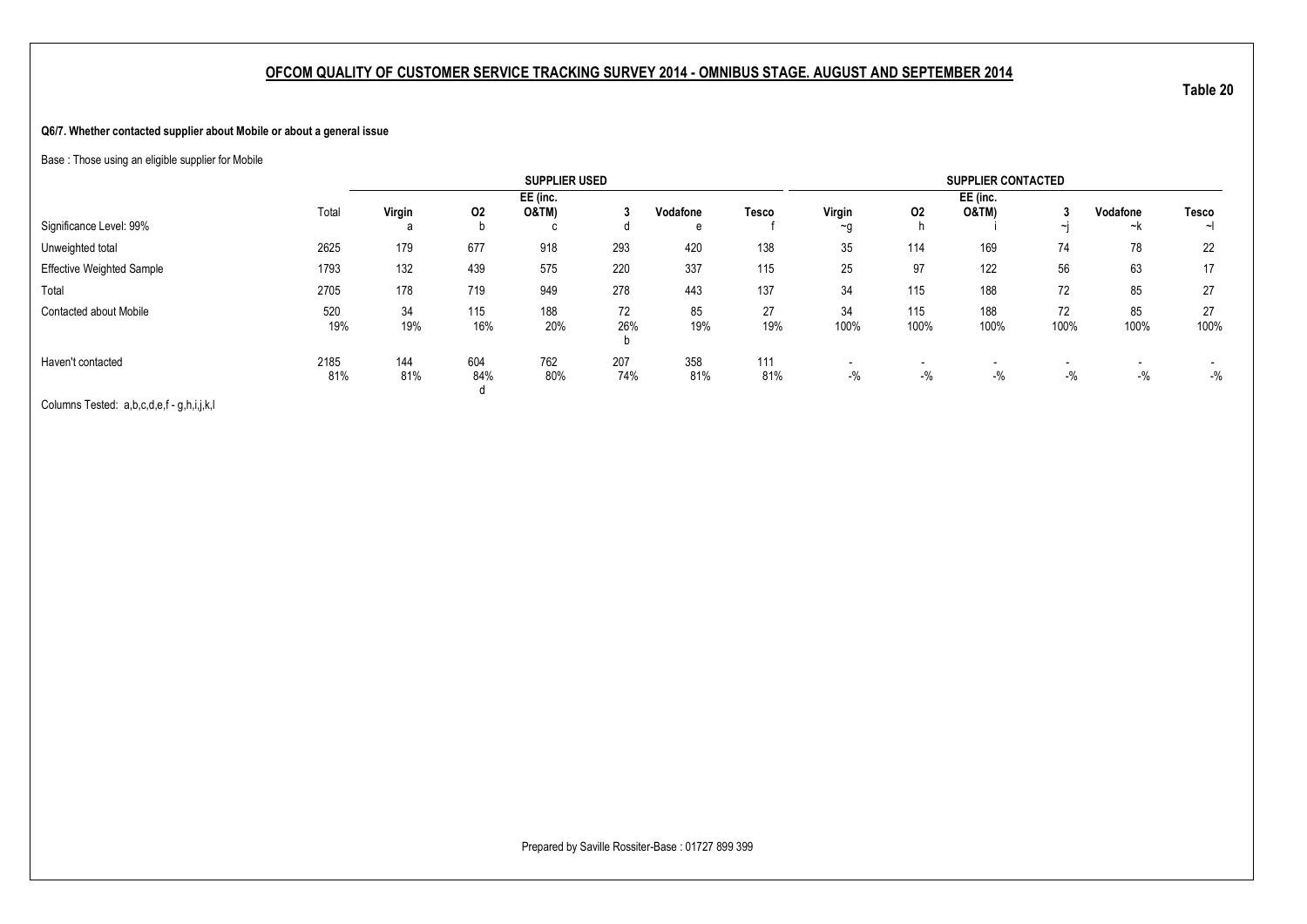#### **Q6/7. Whether contacted supplier about Mobile or about a general issue**

Base : Those using an eligible supplier for Mobile

|                                  |             |            |            | <b>SUPPLIER USED</b> |            |            |            |            |             | <b>SUPPLIER CONTACTED</b>         |                       |            |            |
|----------------------------------|-------------|------------|------------|----------------------|------------|------------|------------|------------|-------------|-----------------------------------|-----------------------|------------|------------|
|                                  |             |            |            | EE (inc.             |            |            |            |            |             | EE (inc.                          |                       |            |            |
|                                  | Total       | Virgin     | 02         | <b>O&amp;TM)</b>     |            | Vodafone   | Tesco      | Virgin     | 02          | <b>O&amp;TM)</b>                  |                       | Vodafone   | Tesco      |
| Significance Level: 99%          |             | a          |            | c                    |            | e          |            | ~g         |             |                                   | $\tilde{\phantom{a}}$ | ~k         | $\sim$     |
| Unweighted total                 | 2625        | 179        | 677        | 918                  | 293        | 420        | 138        | 35         | 114         | 169                               | 74                    | 78         | 22         |
| <b>Effective Weighted Sample</b> | 1793        | 132        | 439        | 575                  | 220        | 337        | 115        | 25         | 97          | 122                               | 56                    | 63         | 17         |
| Total                            | 2705        | 178        | 719        | 949                  | 278        | 443        | 137        | 34         | 115         | 188                               | 72                    | 85         | 27         |
| <b>Contacted about Mobile</b>    | 520<br>19%  | 34<br>19%  | 115<br>16% | 188<br>20%           | 72<br>26%  | 85<br>19%  | 27<br>19%  | 34<br>100% | 115<br>100% | 188<br>100%                       | 72<br>100%            | 85<br>100% | 27<br>100% |
| Haven't contacted                | 2185<br>81% | 144<br>81% | 604<br>84% | 762<br>80%           | 207<br>74% | 358<br>81% | 111<br>81% | $-$ %      | $-$ %       | $\overline{\phantom{a}}$<br>$-$ % | $-$ %                 | $-$ %      | $-$ %      |

Columns Tested: a,b,c,d,e,f - g,h,i,j,k,l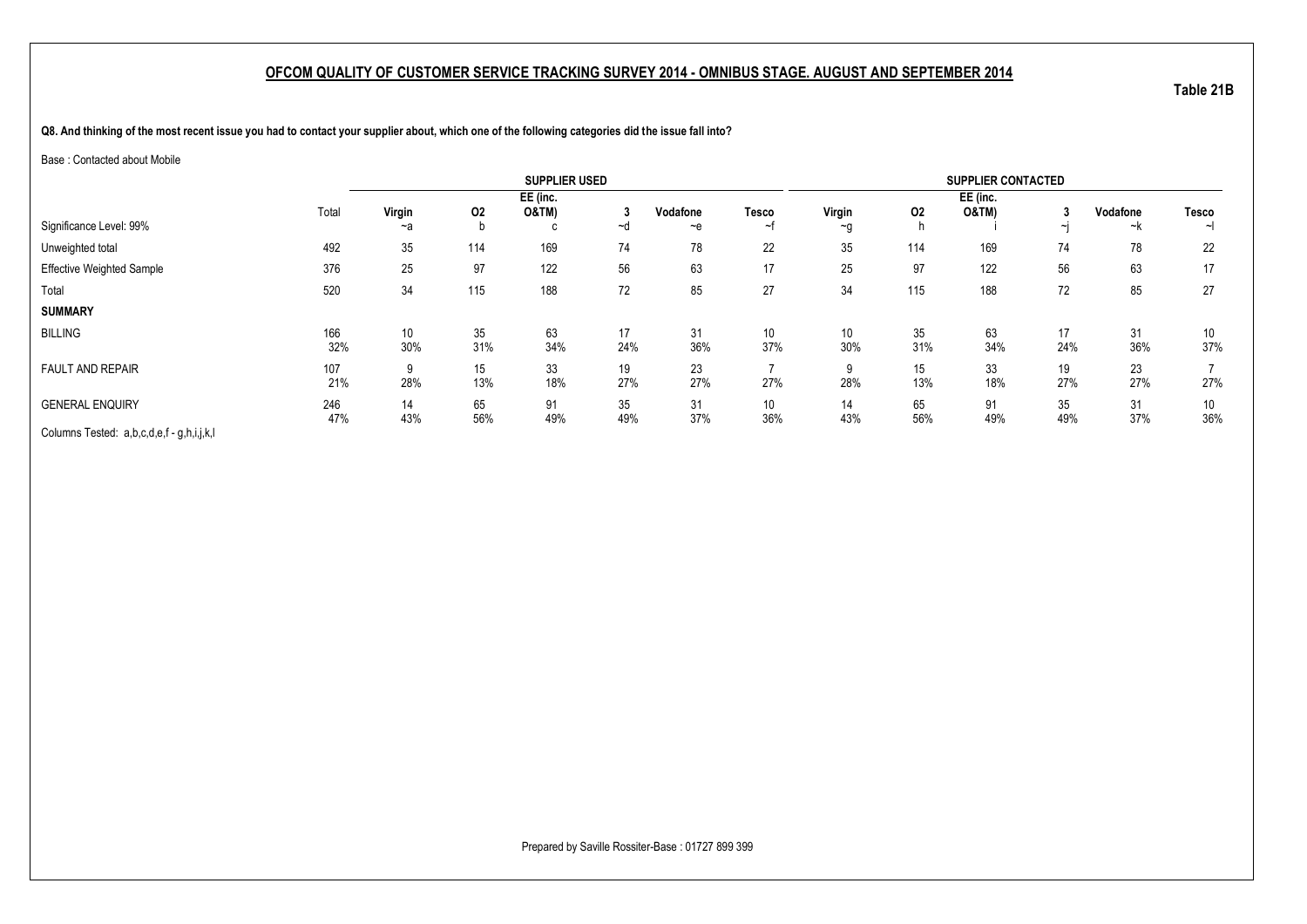**Q8. And thinking of the most recent issue you had to contact your supplier about, which one of the following categories did the issue fall into?**

#### Base : Contacted about Mobile

|                                           |            |           |           | <b>SUPPLIER USED</b>         |           |           |              |                        |           | <b>SUPPLIER CONTACTED</b>    |                          |           |              |
|-------------------------------------------|------------|-----------|-----------|------------------------------|-----------|-----------|--------------|------------------------|-----------|------------------------------|--------------------------|-----------|--------------|
|                                           | Total      | Virgin    | 02        | EE (inc.<br><b>O&amp;TM)</b> | 3         | Vodafone  | <b>Tesco</b> | Virgin                 | 02        | EE (inc.<br><b>O&amp;TM)</b> |                          | Vodafone  | <b>Tesco</b> |
| Significance Level: 99%                   |            | $-a$      |           | с                            | ~d        | $-e$      | ∼            | $\sim g$               |           |                              | $\overline{\phantom{a}}$ | ~k        | ~l           |
| Unweighted total                          | 492        | 35        | 114       | 169                          | 74        | 78        | 22           | 35                     | 114       | 169                          | 74                       | 78        | 22           |
| <b>Effective Weighted Sample</b>          | 376        | 25        | 97        | 122                          | 56        | 63        | 17           | 25                     | 97        | 122                          | 56                       | 63        | 17           |
| Total                                     | 520        | 34        | 115       | 188                          | 72        | 85        | 27           | 34                     | 115       | 188                          | 72                       | 85        | 27           |
| <b>SUMMARY</b>                            |            |           |           |                              |           |           |              |                        |           |                              |                          |           |              |
| <b>BILLING</b>                            | 166<br>32% | 10<br>30% | 35<br>31% | 63<br>34%                    | 17<br>24% | 31<br>36% | 10<br>37%    | 10 <sup>°</sup><br>30% | 35<br>31% | 63<br>34%                    | 17<br>24%                | 31<br>36% | 10<br>37%    |
| <b>FAULT AND REPAIR</b>                   | 107<br>21% | 9<br>28%  | 15<br>13% | 33<br>18%                    | 19<br>27% | 23<br>27% | 27%          | 9<br>28%               | 15<br>13% | 33<br>18%                    | 19<br>27%                | 23<br>27% | 27%          |
| <b>GENERAL ENQUIRY</b>                    | 246<br>47% | 14<br>43% | 65<br>56% | 91<br>49%                    | 35<br>49% | 31<br>37% | 10<br>36%    | 14<br>43%              | 65<br>56% | 91<br>49%                    | 35<br>49%                | 31<br>37% | 10<br>36%    |
| Columns Tested: a,b,c,d,e,f - g,h,i,j,k,l |            |           |           |                              |           |           |              |                        |           |                              |                          |           |              |

Prepared by Saville Rossiter-Base : 01727 899 399

**Table 21B**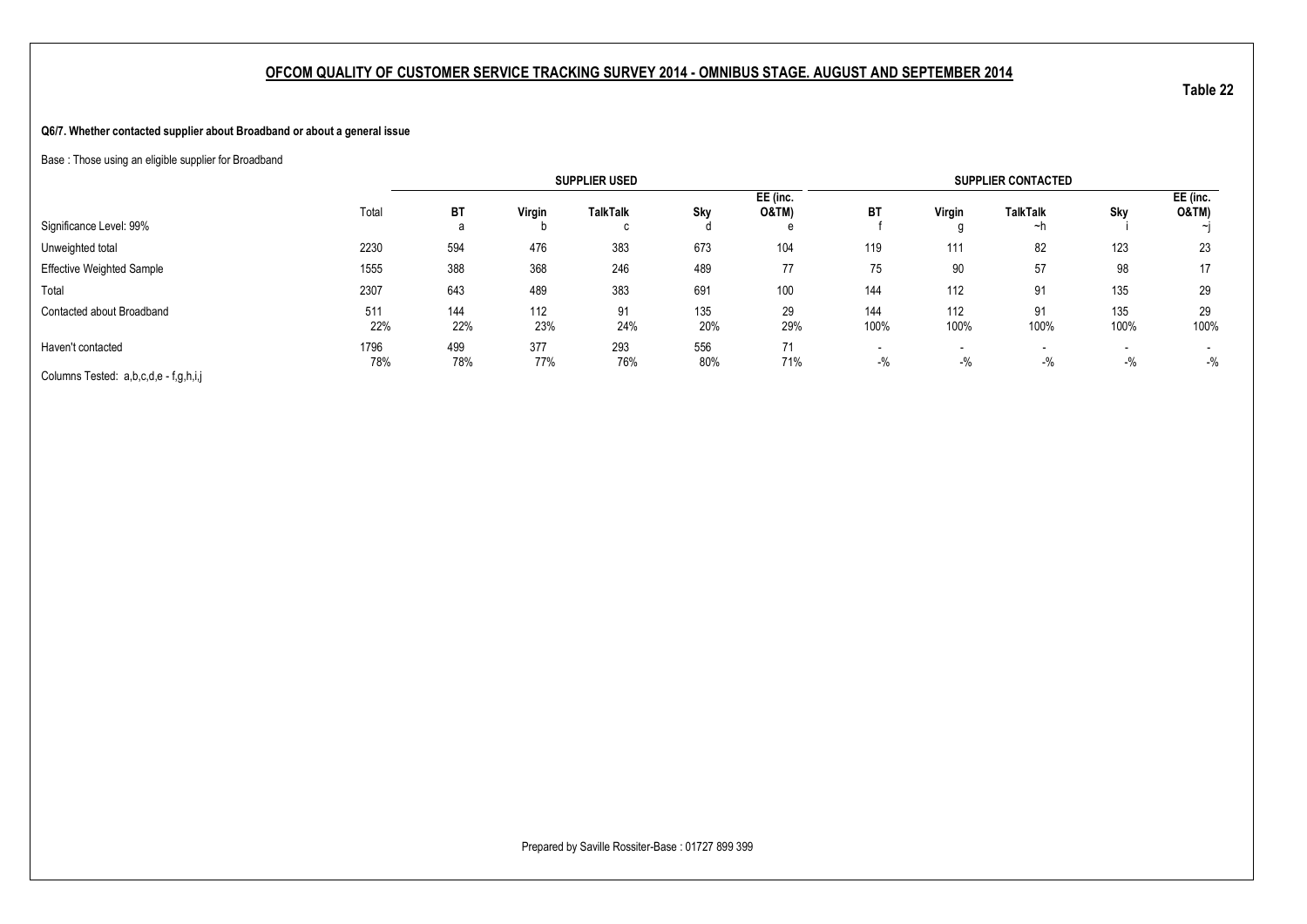#### **Q6/7. Whether contacted supplier about Broadband or about a general issue**

Base : Those using an eligible supplier for Broadband

|                                       |             |            |            | <b>SUPPLIER USED</b> |            |                              |                                   |                                   | <b>SUPPLIER CONTACTED</b> |             |                                   |
|---------------------------------------|-------------|------------|------------|----------------------|------------|------------------------------|-----------------------------------|-----------------------------------|---------------------------|-------------|-----------------------------------|
| Significance Level: 99%               | Total       | ВT<br>a    | Virgin     | <b>TalkTalk</b><br>C | Sky        | EE (inc.<br><b>O&amp;TM)</b> | <b>BT</b>                         | Virgin                            | <b>TalkTalk</b><br>∼h     | Sky         | EE (inc.<br><b>O&amp;TM)</b>      |
| Unweighted total                      | 2230        | 594        | 476        | 383                  | 673        | 104                          | 119                               | 111                               | 82                        | 123         | 23                                |
| <b>Effective Weighted Sample</b>      | 1555        | 388        | 368        | 246                  | 489        | 77                           | 75                                | 90                                | 57                        | 98          | 17                                |
| Total                                 | 2307        | 643        | 489        | 383                  | 691        | 100                          | 144                               | 112                               | 91                        | 135         | 29                                |
| Contacted about Broadband             | 511<br>22%  | 144<br>22% | 112<br>23% | 91<br>24%            | 135<br>20% | 29<br>29%                    | 144<br>100%                       | 112<br>100%                       | 91<br>100%                | 135<br>100% | 29<br>100%                        |
| Haven't contacted                     | 1796<br>78% | 499<br>78% | 377<br>77% | 293<br>76%           | 556<br>80% | 71<br>71%                    | $\overline{\phantom{a}}$<br>$-$ % | $\overline{\phantom{0}}$<br>$-$ % | $-$ %                     | $-$ %       | $\overline{\phantom{a}}$<br>$-$ % |
| Columns Tested: a,b,c,d,e - f,g,h,i,j |             |            |            |                      |            |                              |                                   |                                   |                           |             |                                   |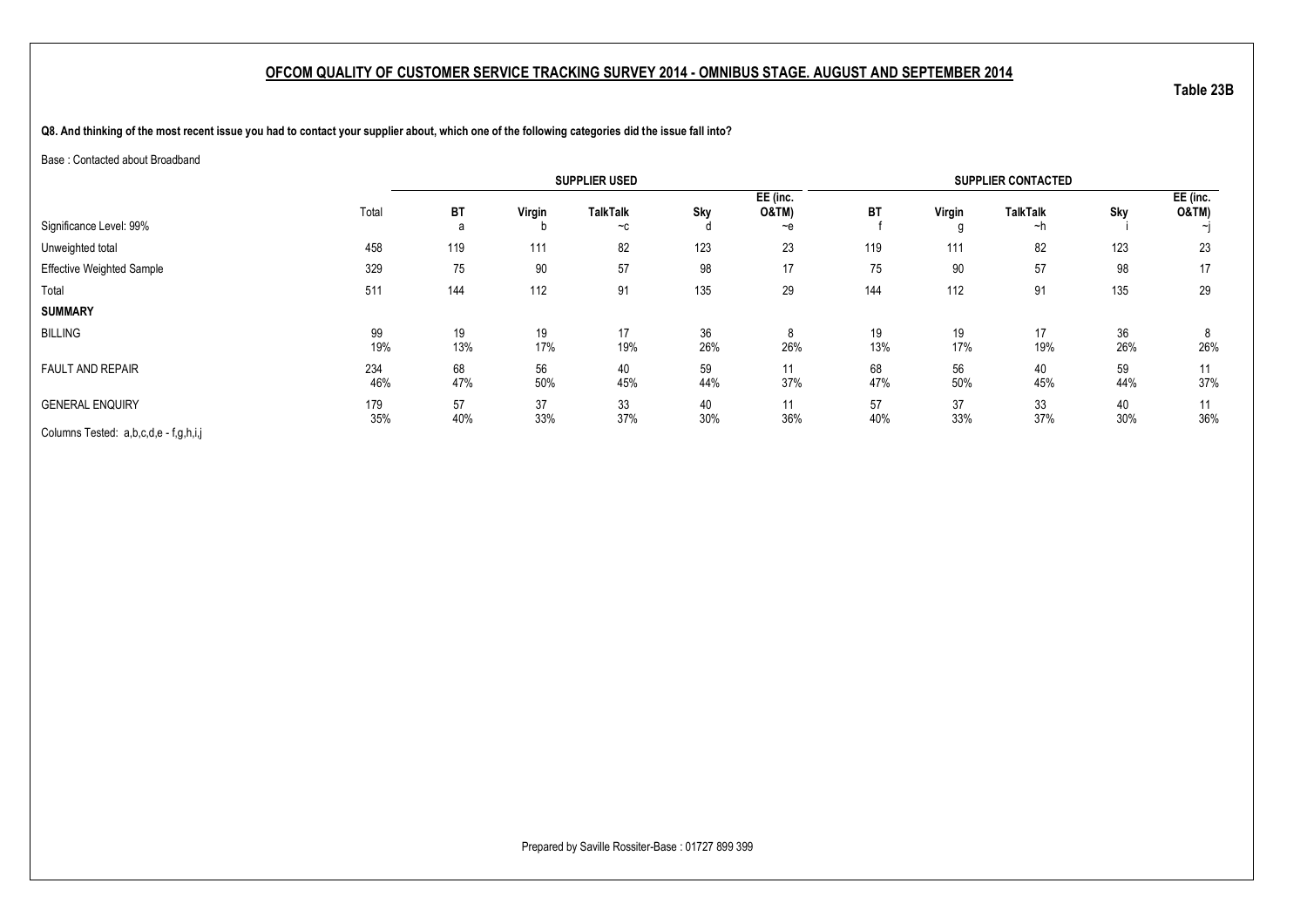**Q8. And thinking of the most recent issue you had to contact your supplier about, which one of the following categories did the issue fall into?**

Base : Contacted about Broadband

|                                       |            |           |           | <b>SUPPLIER USED</b>    |           |                                          |           |           | <b>SUPPLIER CONTACTED</b> |           |                   |
|---------------------------------------|------------|-----------|-----------|-------------------------|-----------|------------------------------------------|-----------|-----------|---------------------------|-----------|-------------------|
| Significance Level: 99%               | Total      | BT<br>a   | Virgin    | <b>TalkTalk</b><br>$-c$ | Sky       | EE (inc.<br><b>O&amp;TM)</b><br>$\sim e$ | <b>BT</b> | Virgin    | <b>TalkTalk</b><br>∼h     | Sky       | EE (inc.<br>O&TM) |
| Unweighted total                      | 458        | 119       | 111       | 82                      | 123       | 23                                       | 119       | 111       | 82                        | 123       | 23                |
| <b>Effective Weighted Sample</b>      | 329        | 75        | 90        | 57                      | 98        | 17                                       | 75        | 90        | 57                        | 98        | 17                |
| Total                                 | 511        | 144       | 112       | 91                      | 135       | 29                                       | 144       | 112       | 91                        | 135       | 29                |
| <b>SUMMARY</b>                        |            |           |           |                         |           |                                          |           |           |                           |           |                   |
| <b>BILLING</b>                        | 99<br>19%  | 19<br>13% | 19<br>17% | 17<br>19%               | 36<br>26% | 8<br>26%                                 | 19<br>13% | 19<br>17% | 17<br>19%                 | 36<br>26% | 8<br>26%          |
| <b>FAULT AND REPAIR</b>               | 234<br>46% | 68<br>47% | 56<br>50% | 40<br>45%               | 59<br>44% | 11<br>37%                                | 68<br>47% | 56<br>50% | 40<br>45%                 | 59<br>44% | 11<br>37%         |
| <b>GENERAL ENQUIRY</b>                | 179<br>35% | 57<br>40% | 37<br>33% | 33<br>37%               | 40<br>30% | 11<br>36%                                | 57<br>40% | 37<br>33% | 33<br>37%                 | 40<br>30% | 11<br>36%         |
| Columns Tested: a,b,c,d,e - f,g,h,i,j |            |           |           |                         |           |                                          |           |           |                           |           |                   |

Prepared by Saville Rossiter-Base : 01727 899 399

**Table 23B**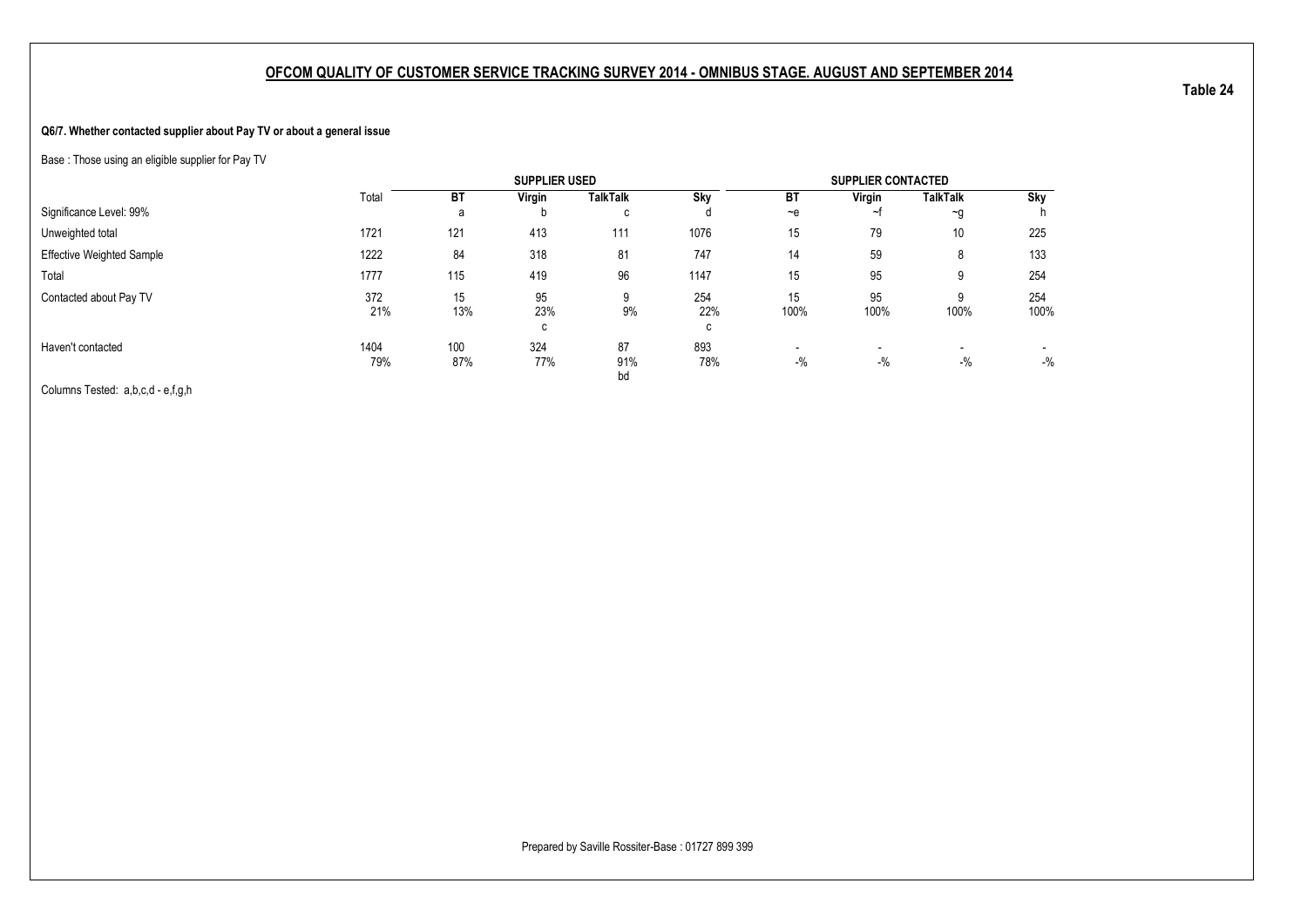#### **Q6/7. Whether contacted supplier about Pay TV or about a general issue**

Base : Those using an eligible supplier for Pay TV

|                                  |             |            | <b>SUPPLIER USED</b> |                 |                 |                         | <b>SUPPLIER CONTACTED</b> |                                   |                         |
|----------------------------------|-------------|------------|----------------------|-----------------|-----------------|-------------------------|---------------------------|-----------------------------------|-------------------------|
|                                  | Total       | <b>BT</b>  | Virgin               | <b>TalkTalk</b> | Sky             | <b>BT</b>               | Virgin                    | <b>TalkTalk</b>                   | Sky                     |
| Significance Level: 99%          |             | a          | D                    | C               |                 | $-e$                    | ∼                         | $\sim g$                          |                         |
| Unweighted total                 | 1721        | 121        | 413                  | 111             | 1076            | 15                      | 79                        | 10                                | 225                     |
| <b>Effective Weighted Sample</b> | 1222        | 84         | 318                  | 81              | 747             | 14                      | 59                        | 8                                 | 133                     |
| Total                            | 1777        | 115        | 419                  | 96              | 1147            | 15                      | 95                        | 9                                 | 254                     |
| Contacted about Pay TV           | 372<br>21%  | 15<br>13%  | 95<br>23%<br>C       | 9<br>9%         | 254<br>22%<br>c | 15<br>100%              | 95<br>100%                | 9<br>100%                         | 254<br>100%             |
| Haven't contacted                | 1404<br>79% | 100<br>87% | 324<br>77%           | 87<br>91%<br>bd | 893<br>78%      | $\blacksquare$<br>$-$ % | $-$ %                     | $\overline{\phantom{0}}$<br>$-$ % | $\blacksquare$<br>$-$ % |

Columns Tested: a,b,c,d - e,f,g,h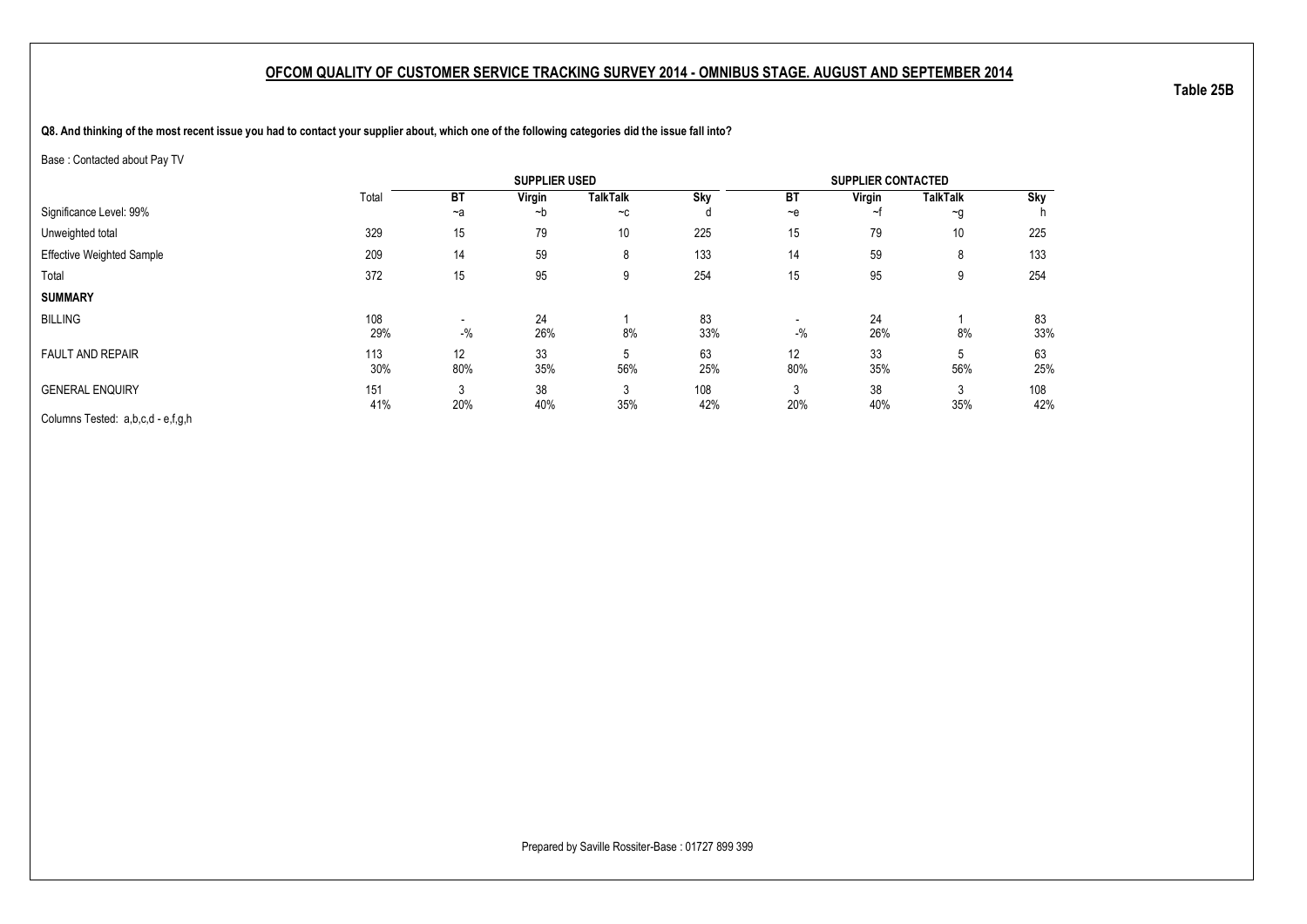**Q8. And thinking of the most recent issue you had to contact your supplier about, which one of the following categories did the issue fall into?**

Base : Contacted about Pay TV

|                                   |            |                                   | <b>SUPPLIER USED</b> |                 |            |           | <b>SUPPLIER CONTACTED</b> |                    |            |
|-----------------------------------|------------|-----------------------------------|----------------------|-----------------|------------|-----------|---------------------------|--------------------|------------|
|                                   | Total      | <b>BT</b>                         | Virgin               | <b>TalkTalk</b> | Sky        | BT        | Virgin                    | <b>TalkTalk</b>    | Sky        |
| Significance Level: 99%           |            | $-a$                              | ~b                   | $-c$            | d          | $-e$      | ~1                        | $\neg$ g           |            |
| Unweighted total                  | 329        | 15                                | 79                   | 10              | 225        | 15        | 79                        | 10                 | 225        |
| <b>Effective Weighted Sample</b>  | 209        | 14                                | 59                   | 8               | 133        | 14        | 59                        | 8                  | 133        |
| Total                             | 372        | 15                                | 95                   | 9               | 254        | 15        | 95                        | 9                  | 254        |
| <b>SUMMARY</b>                    |            |                                   |                      |                 |            |           |                           |                    |            |
| <b>BILLING</b>                    | 108<br>29% | $\overline{\phantom{0}}$<br>$-$ % | 24<br>26%            | 8%              | 83<br>33%  | $-$ %     | 24<br>26%                 | 8%                 | 83<br>33%  |
| <b>FAULT AND REPAIR</b>           | 113<br>30% | 12<br>80%                         | 33<br>35%            | 5<br>56%        | 63<br>25%  | 12<br>80% | 33<br>35%                 | $\mathbf b$<br>56% | 63<br>25%  |
| <b>GENERAL ENQUIRY</b>            | 151<br>41% | 20%                               | 38<br>40%            | 3<br>35%        | 108<br>42% | 3<br>20%  | 38<br>40%                 | 3<br>35%           | 108<br>42% |
| Columns Tested: a,b,c,d - e,f,g,h |            |                                   |                      |                 |            |           |                           |                    |            |

**Table 25B**

Prepared by Saville Rossiter-Base : 01727 899 399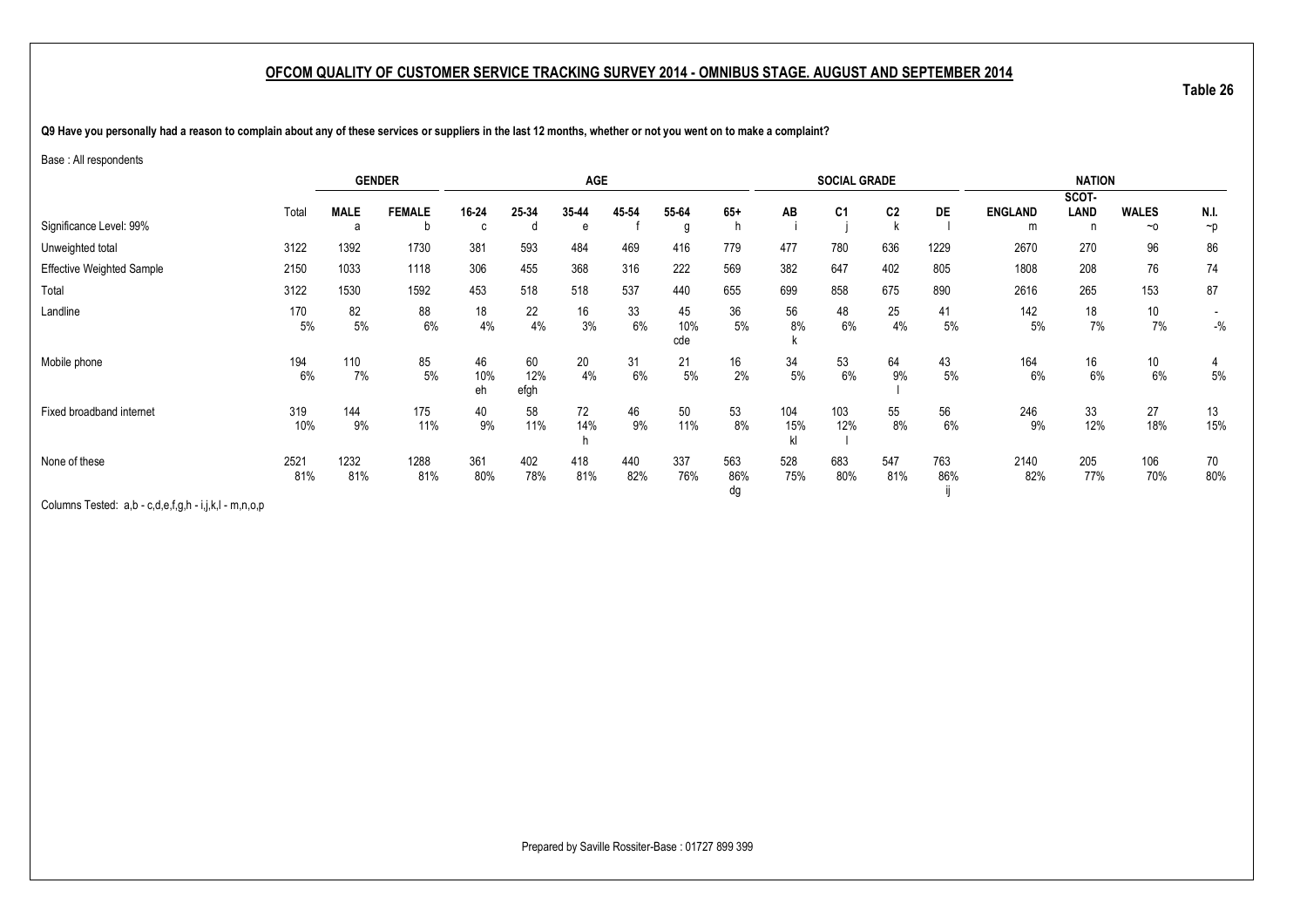**Table 26**

**Q9 Have you personally had a reason to complain about any of these services or suppliers in the last 12 months, whether or not you went on to make a complaint?**

#### Base : All respondents

|                                  |           | <b>GENDER</b> |               |           |             | <b>AGE</b> |          |           |            |           | <b>SOCIAL GRADE</b> |                |          |                | <b>NATION</b> |              |          |
|----------------------------------|-----------|---------------|---------------|-----------|-------------|------------|----------|-----------|------------|-----------|---------------------|----------------|----------|----------------|---------------|--------------|----------|
|                                  |           |               |               |           |             |            |          |           |            |           |                     |                |          |                | SCOT-         |              |          |
|                                  | Total     | <b>MALE</b>   | <b>FEMALE</b> | 16-24     | 25-34       | 35-44      | 45-54    | 55-64     | $65+$      | AB        | C <sub>1</sub>      | C <sub>2</sub> | DE       | <b>ENGLAND</b> | LAND          | <b>WALES</b> | N.I.     |
| Significance Level: 99%          |           | a             | b             |           |             | e          |          | g         | n          |           |                     |                |          | m              | n             | $~\sim$ 0    | $\neg p$ |
| Unweighted total                 | 3122      | 1392          | 1730          | 381       | 593         | 484        | 469      | 416       | 779        | 477       | 780                 | 636            | 1229     | 2670           | 270           | 96           | 86       |
| <b>Effective Weighted Sample</b> | 2150      | 1033          | 1118          | 306       | 455         | 368        | 316      | 222       | 569        | 382       | 647                 | 402            | 805      | 1808           | 208           | 76           | 74       |
| Total                            | 3122      | 1530          | 1592          | 453       | 518         | 518        | 537      | 440       | 655        | 699       | 858                 | 675            | 890      | 2616           | 265           | 153          | 87       |
| Landline                         | 170<br>5% | 82<br>$5%$    | 88<br>6%      | 18<br>4%  | 22<br>4%    | 16<br>3%   | 33<br>6% | 45<br>10% | 36<br>$5%$ | 56<br>8%  | 48<br>6%            | 25<br>4%       | 41<br>5% | 142<br>5%      | 18<br>7%      | 10<br>7%     | $-$ %    |
|                                  |           |               |               |           |             |            |          | cde       |            |           |                     |                |          |                |               |              |          |
| Mobile phone                     | 194       | 110           | 85            | 46        | 60          | 20         | 31       | 21        | 16         | 34        | 53                  | 64             | 43       | 164            | 16            | 10           | 4        |
|                                  | 6%        | 7%            | 5%            | 10%<br>eh | 12%<br>efgh | 4%         | 6%       | 5%        | 2%         | $5\%$     | 6%                  | 9%             | 5%       | 6%             | 6%            | 6%           | $5\%$    |
| Fixed broadband internet         | 319       | 144           | 175           | 40        | 58          | 72         | 46       | 50        | 53         | 104       | 103                 | 55             | 56       | 246            | 33            | 27           | 13       |
|                                  | 10%       | 9%            | 11%           | 9%        | 11%         | 14%<br>h   | 9%       | 11%       | 8%         | 15%<br>kl | 12%                 | 8%             | 6%       | 9%             | 12%           | 18%          | 15%      |
| None of these                    | 2521      | 1232          | 1288          | 361       | 402         | 418        | 440      | 337       | 563        | 528       | 683                 | 547            | 763      | 2140           | 205           | 106          | 70       |
|                                  | 81%       | 81%           | 81%           | 80%       | 78%         | 81%        | 82%      | 76%       | 86%<br>dg  | 75%       | 80%                 | 81%            | 86%      | 82%            | 77%           | 70%          | 80%      |

Columns Tested: a,b - c,d,e,f,g,h - i,j,k,l - m,n,o,p

Prepared by Saville Rossiter-Base : 01727 899 399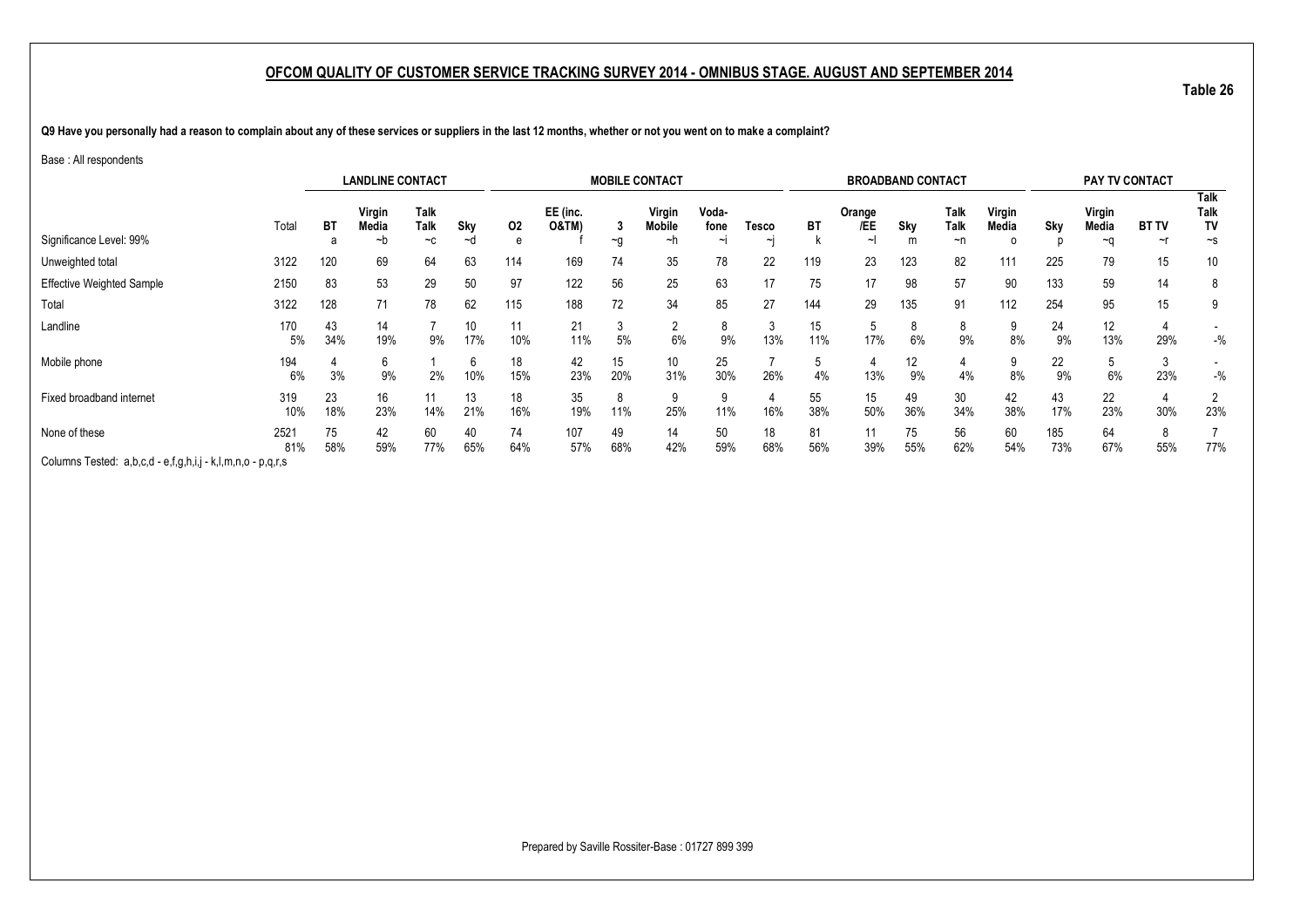**Table 26**

**Q9 Have you personally had a reason to complain about any of these services or suppliers in the last 12 months, whether or not you went on to make a complaint?**

#### Base : All respondents

|                                                             |             |           | <b>LANDLINE CONTACT</b> |                           |           |           |                              |                   | <b>MOBILE CONTACT</b>         |                     |             |           | <b>BROADBAND CONTACT</b>    |           |                           |                 |            | <b>PAY TV CONTACT</b> |                        |                                   |
|-------------------------------------------------------------|-------------|-----------|-------------------------|---------------------------|-----------|-----------|------------------------------|-------------------|-------------------------------|---------------------|-------------|-----------|-----------------------------|-----------|---------------------------|-----------------|------------|-----------------------|------------------------|-----------------------------------|
| Significance Level: 99%                                     | Total       | BT        | Virgin<br>Media<br>~b   | <b>Talk</b><br>Talk<br>~c | Sky<br>~a | 02<br>e   | EE (inc.<br><b>O&amp;TM)</b> | $\sim g$          | Virgin<br><b>Mobile</b><br>~h | Voda-<br>fone<br>∼ı | Tesco<br>∼∣ | ВT        | Orange<br>/EE<br>$\tilde{}$ | Sky       | Talk<br><b>Talk</b><br>~n | Virgin<br>Media | Sky        | Virgin<br>Media<br>~∩ | <b>BT TV</b><br>$\sim$ | Talk<br>Talk<br>TV<br>$\sim$ s    |
| Unweighted total                                            | 3122        | 120       | 69                      | 64                        | 63        | 114       | 169                          | 74                | 35                            | 78                  | 22          | 119       | 23                          | 123       | 82                        | 111             | 225        | 79                    | 15                     | 10                                |
| <b>Effective Weighted Sample</b>                            | 2150        | 83        | 53                      | 29                        | 50        | 97        | 122                          | 56                | 25                            | 63                  |             | 75        | 17                          | 98        | 57                        | 90              | 133        | 59                    | 14                     | 8                                 |
| Total                                                       | 3122        | 128       | 71                      | 78                        | 62        | 115       | 188                          | 72                | 34                            | 85                  | 27          | 144       | 29                          | 135       | 91                        | 112             | 254        | 95                    | 15                     | 9                                 |
| Landline                                                    | 170<br>5%   | 43<br>34% | 14<br>19%               | 9%                        | 10<br>17% | 11<br>10% | 21<br>11%                    | $\sim$<br>3<br>5% | c<br>6%                       | 9%                  | 13%         | 15<br>11% | .ხ<br>17%                   | 6%        | 8<br>9%                   | 8%              | 24<br>9%   | 12<br>13%             | 29%                    | $-$ %                             |
| Mobile phone                                                | 194<br>6%   | 3%        | 6<br>9%                 | 2%                        | 6<br>10%  | 18<br>15% | 42<br>23%                    | 15<br>20%         | 10<br>31%                     | 25<br>30%           | 26%         | 4%        | 4<br>13%                    | 12<br>9%  | 4%                        | 8%              | 22<br>9%   | 6%                    | 23%                    | $\overline{\phantom{a}}$<br>$-$ % |
| Fixed broadband internet                                    | 319<br>10%  | 23<br>18% | 16<br>23%               | 14%                       | 13<br>21% | 18<br>16% | 35<br>19%                    | 8<br>11%          | 9<br>25%                      | 11%                 | 16%         | 55<br>38% | 15<br>50%                   | 49<br>36% | 30<br>34%                 | 42<br>38%       | 43<br>17%  | 22<br>23%             | 30%                    | 23%                               |
| None of these                                               | 2521<br>81% | 75<br>58% | 42<br>59%               | 60<br>77%                 | 40<br>65% | 74<br>64% | 107<br>57%                   | 49<br>68%         | 14<br>42%                     | 50<br>59%           | 18<br>68%   | 81<br>56% | 11<br>39%                   | 75<br>55% | 56<br>62%                 | 60<br>54%       | 185<br>73% | 64<br>67%             | 8<br>55%               | 77%                               |
| Columns Tested: a,b,c,d - e,f,g,h,i,j - k,l,m,n,o - p,q,r,s |             |           |                         |                           |           |           |                              |                   |                               |                     |             |           |                             |           |                           |                 |            |                       |                        |                                   |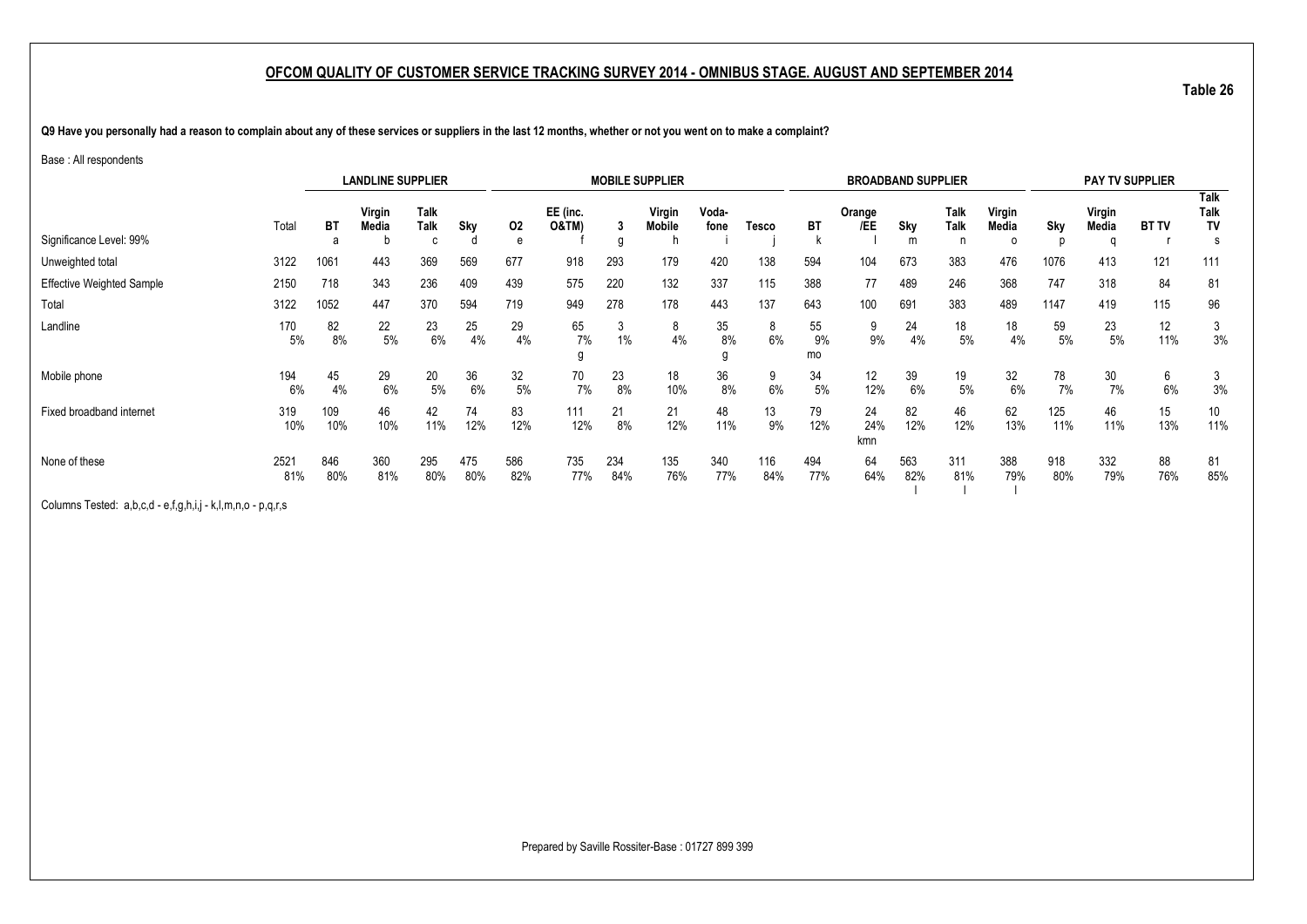**Table 26**

**Q9 Have you personally had a reason to complain about any of these services or suppliers in the last 12 months, whether or not you went on to make a complaint?**

#### Base : All respondents

|                                  |             |                | <b>LANDLINE SUPPLIER</b> |            |            |                              |            |                         | <b>MOBILE SUPPLIER</b> |            |            |                | <b>BROADBAND SUPPLIER</b> |                   |                 |            |                 | <b>PAY TV SUPPLIER</b> |                                        |           |
|----------------------------------|-------------|----------------|--------------------------|------------|------------|------------------------------|------------|-------------------------|------------------------|------------|------------|----------------|---------------------------|-------------------|-----------------|------------|-----------------|------------------------|----------------------------------------|-----------|
| Significance Level: 99%          | Total       | <b>BT</b><br>a | Virgin<br><b>Media</b>   | Sky        | 02<br>e    | EE (inc.<br><b>O&amp;TM)</b> | g          | Virgin<br><b>Mobile</b> | Voda-<br>fone          | Tesco      | <b>BT</b>  | Orange<br>/EE  | <b>Sky</b><br>m           | Talk<br>Talk<br>n | Virgin<br>Media | Sky        | Virgin<br>Media | <b>BT TV</b>           | <b>Talk</b><br>Talk<br><b>TV</b><br>-S |           |
| Unweighted total                 | 3122        | 1061           | 443                      | 369        | 569        | 677                          | 918        | 293                     | 179                    | 420        | 138        | 594            | 104                       | 673               | 383             | 476        | 1076            | 413                    | 121                                    | 111       |
| <b>Effective Weighted Sample</b> | 2150        | 718            | 343                      | 236        | 409        | 439                          | 575        | 220                     | 132                    | 337        | 115        | 388            | 77                        | 489               | 246             | 368        | 747             | 318                    | 84                                     | 81        |
| Total                            | 3122        | 1052           | 447                      | 370        | 594        | 719                          | 949        | 278                     | 178                    | 443        | 137        | 643            | 100                       | 691               | 383             | 489        | 1147            | 419                    | 115                                    | 96        |
| Landline                         | 170<br>5%   | 82<br>8%       | 22<br>$5\%$              | 23<br>6%   | 25<br>4%   | 29<br>4%                     | 65<br>7%   | J<br>$1\%$              | 8<br>4%                | 35<br>8%   | 8<br>6%    | 55<br>9%<br>mo | 9<br>9%                   | 24<br>4%          | 18<br>5%        | 18<br>4%   | 59<br>5%        | 23<br>$5\%$            | 12<br>11%                              | 3<br>3%   |
| Mobile phone                     | 194<br>6%   | 45<br>4%       | 29<br>6%                 | 20<br>5%   | 36<br>6%   | 32<br>5%                     | 70<br>7%   | 23<br>8%                | 18<br>10%              | 36<br>8%   | 9<br>6%    | 34<br>5%       | 12<br>12%                 | 39<br>6%          | 19<br>5%        | 32<br>6%   | 78<br>7%        | 30<br>7%               | 6<br>6%                                | 3%        |
| Fixed broadband internet         | 319<br>10%  | 109<br>10%     | 46<br>10%                | 42<br>11%  | 74<br>12%  | 83<br>12%                    | 111<br>12% | 21<br>8%                | 21<br>12%              | 48<br>11%  | 13<br>9%   | 79<br>12%      | 24<br>24%<br>kmn          | 82<br>12%         | 46<br>12%       | 62<br>13%  | 125<br>11%      | 46<br>11%              | 15<br>13%                              | 10<br>11% |
| None of these                    | 2521<br>81% | 846<br>80%     | 360<br>81%               | 295<br>80% | 475<br>80% | 586<br>82%                   | 735<br>77% | 234<br>84%              | 135<br>76%             | 340<br>77% | 116<br>84% | 494<br>77%     | 64<br>64%                 | 563<br>82%        | 311<br>81%      | 388<br>79% | 918<br>80%      | 332<br>79%             | 88<br>76%                              | 81<br>85% |

Columns Tested: a,b,c,d - e,f,g,h,i,j - k,l,m,n,o - p,q,r,s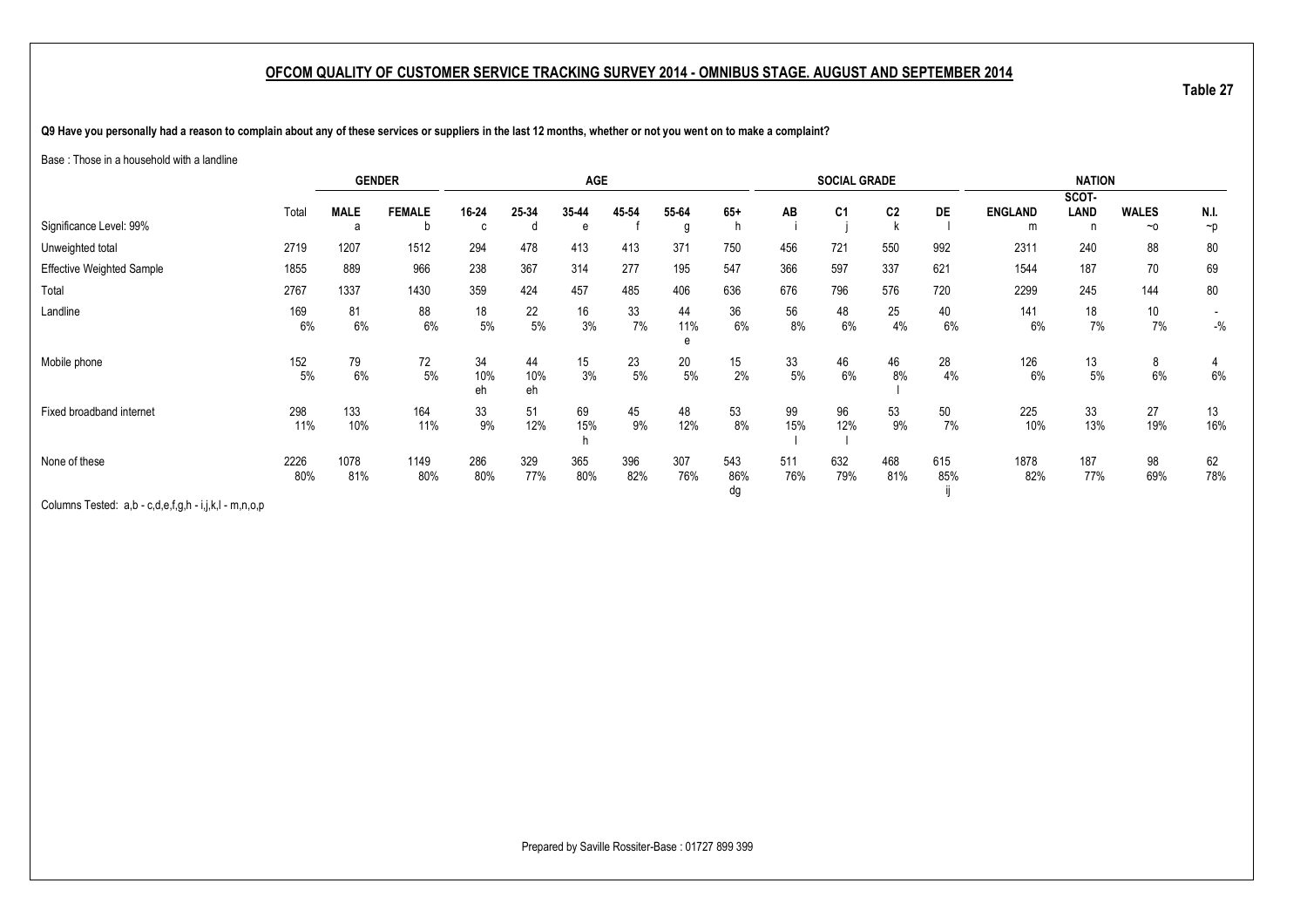**Table 27**

**Q9 Have you personally had a reason to complain about any of these services or suppliers in the last 12 months, whether or not you went on to make a complaint?**

Base : Those in a household with a landline

|                                  |       |             | <b>GENDER</b> |           |           | <b>AGE</b> |       |          |           |       | <b>SOCIAL GRADE</b> |                |           |                | <b>NATION</b> |              |          |
|----------------------------------|-------|-------------|---------------|-----------|-----------|------------|-------|----------|-----------|-------|---------------------|----------------|-----------|----------------|---------------|--------------|----------|
|                                  |       |             |               |           |           |            |       |          |           |       |                     |                |           |                | SCOT-         |              |          |
|                                  | Total | <b>MALE</b> | <b>FEMALE</b> | 16-24     | 25-34     | 35-44      | 45-54 | 55-64    | $65+$     | AB    | C <sub>1</sub>      | C <sub>2</sub> | <b>DE</b> | <b>ENGLAND</b> | LAND          | <b>WALES</b> | N.I.     |
| Significance Level: 99%          |       | a           | b             | C         | n         | e          |       | g        |           |       |                     |                |           | m              |               | $~\sim$ 0    | $\neg p$ |
| Unweighted total                 | 2719  | 1207        | 1512          | 294       | 478       | 413        | 413   | 371      | 750       | 456   | 721                 | 550            | 992       | 2311           | 240           | 88           | 80       |
| <b>Effective Weighted Sample</b> | 1855  | 889         | 966           | 238       | 367       | 314        | 277   | 195      | 547       | 366   | 597                 | 337            | 621       | 1544           | 187           | 70           | 69       |
| Total                            | 2767  | 1337        | 1430          | 359       | 424       | 457        | 485   | 406      | 636       | 676   | 796                 | 576            | 720       | 2299           | 245           | 144          | 80       |
| Landline                         | 169   | 81          | 88            | 18        | 22        | 16         | 33    | 44       | 36        | 56    | 48                  | 25             | 40        | 141            | 18            | 10           |          |
|                                  | 6%    | 6%          | 6%            | $5\%$     | 5%        | 3%         | $7\%$ | 11%<br>e | $6\%$     | 8%    | 6%                  | 4%             | 6%        | 6%             | 7%            | 7%           | $-{\%}$  |
|                                  |       |             |               |           |           |            |       |          |           |       |                     |                |           |                |               |              |          |
| Mobile phone                     | 152   | 79          | 72            | 34        | 44        | 15         | 23    | 20       | 15        | 33    | 46                  | 46             | 28        | 126            | 13            | 8            | 4        |
|                                  | 5%    | 6%          | $5\%$         | 10%<br>eh | 10%<br>eh | 3%         | $5\%$ | $5\%$    | 2%        | $5\%$ | 6%                  | 8%             | 4%        | 6%             | 5%            | $6\%$        | $6\%$    |
| Fixed broadband internet         | 298   | 133         | 164           | 33        | 51        | 69         | 45    | 48       | 53        | 99    | 96                  | 53             | 50        | 225            | 33            | 27           | 13       |
|                                  | 11%   | 10%         | 11%           | 9%        | 12%       | 15%        | 9%    | 12%      | 8%        | 15%   | 12%                 | 9%             | 7%        | 10%            | 13%           | 19%          | 16%      |
| None of these                    | 2226  | 1078        | 1149          | 286       | 329       | 365        | 396   | 307      | 543       | 511   | 632                 | 468            | 615       | 1878           | 187           | 98           | 62       |
|                                  | 80%   | 81%         | 80%           | 80%       | 77%       | 80%        | 82%   | 76%      | 86%<br>dg | 76%   | 79%                 | 81%            | 85%       | 82%            | 77%           | 69%          | 78%      |

Columns Tested: a,b - c,d,e,f,g,h - i,j,k,l - m,n,o,p

Prepared by Saville Rossiter-Base : 01727 899 399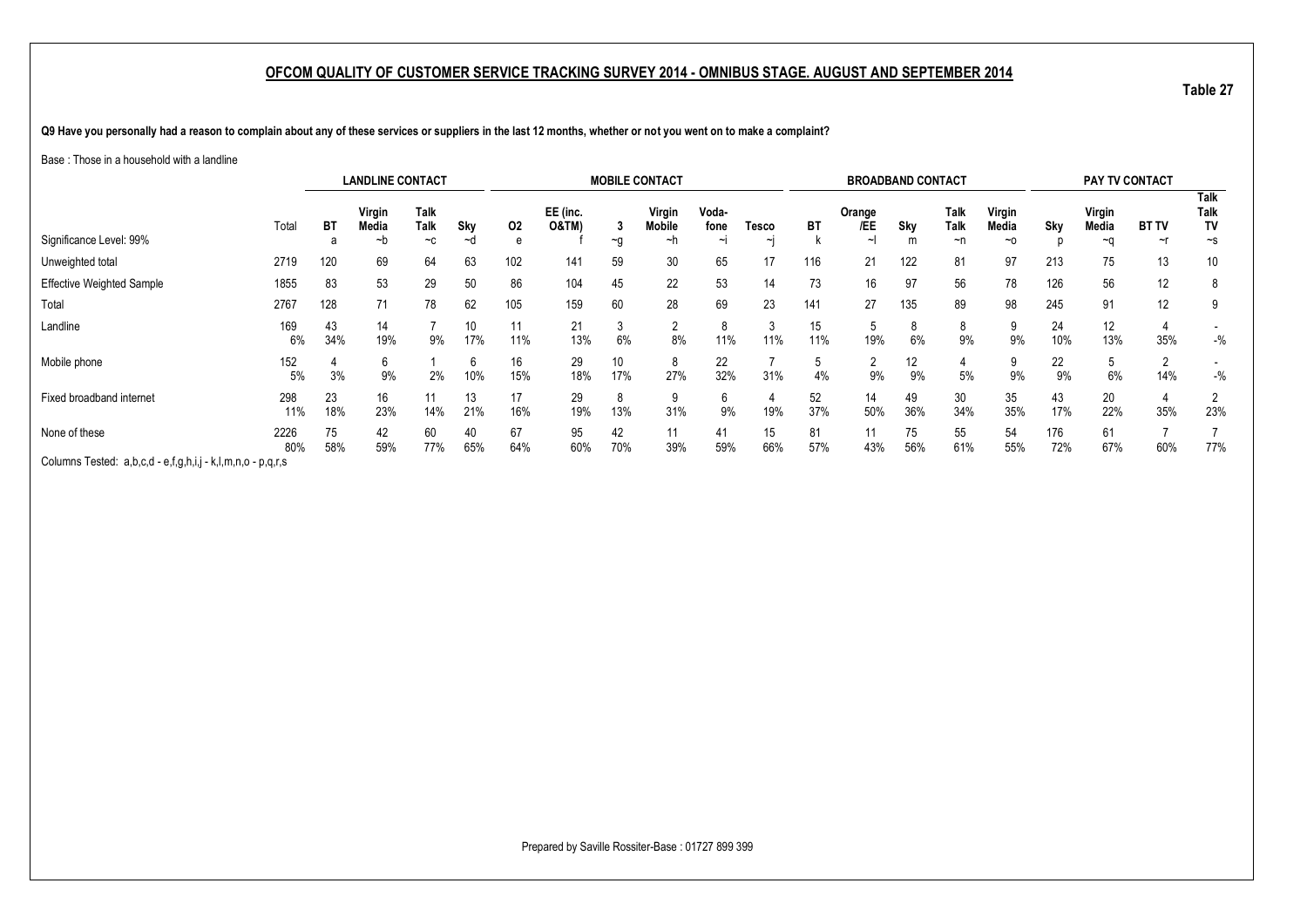**Table 27**

**Q9 Have you personally had a reason to complain about any of these services or suppliers in the last 12 months, whether or not you went on to make a complaint?**

#### Base : Those in a household with a landline

|                                                             |             |           | <b>LANDLINE CONTACT</b> |                           |           |           |                              |                   | <b>MOBILE CONTACT</b>         |                     |               |           | <b>BROADBAND CONTACT</b> |           |                    |                              |            | <b>PAY TV CONTACT</b> |                    |                                       |
|-------------------------------------------------------------|-------------|-----------|-------------------------|---------------------------|-----------|-----------|------------------------------|-------------------|-------------------------------|---------------------|---------------|-----------|--------------------------|-----------|--------------------|------------------------------|------------|-----------------------|--------------------|---------------------------------------|
| Significance Level: 99%                                     | Total       | ВT<br>а   | Virgin<br>Media<br>~b   | <b>Talk</b><br>Talk<br>~c | Sky<br>~d | 02<br>e   | EE (inc.<br><b>O&amp;TM)</b> | - 3<br>~g         | <b>Virgin</b><br>Mobile<br>∼n | Voda-<br>fone<br>∼ı | Tesco<br>ابہ  | BT        | Orange<br>/EE<br>∼ı      | Sky       | Talk<br>Talk<br>~n | Virgin<br>Media<br>$~\sim$ 0 | Sky        | Virgin<br>Media<br>∼a | <b>BT TV</b><br>~r | <b>Talk</b><br>Talk<br>TV<br>$\sim$ s |
| Unweighted total                                            | 2719        | 120       | 69                      | 64                        | 63        | 102       | 141                          | 59                | 30                            | 65                  | 17            | 116       | 21                       | 122       | 81                 | 97                           | 213        | 75                    | 13                 | 10                                    |
| <b>Effective Weighted Sample</b>                            | 1855        | 83        | 53                      | 29                        | 50        | 86        | 104                          | 45                | 22                            | 53                  | 14            | 73        | 16                       | 97        | 56                 | 78                           | 126        | 56                    | 12                 | 8                                     |
| Total                                                       | 2767        | 128       | 71                      | 78                        | 62        | 105       | 159                          | 60                | 28                            | 69                  | 23            | 141       | 27                       | 135       | 89                 | 98                           | 245        | 91                    | 12                 | 9                                     |
| Landline                                                    | 169<br>6%   | 43<br>34% | 14<br>19%               | 9%                        | 10<br>17% | 11<br>11% | 21<br>13%                    | $\sim$<br>J<br>6% | ŋ<br>8%                       | 11%                 | $\sim$<br>11% | 15<br>11% | 5<br>19%                 | 6%        | 8<br>9%            | 9%                           | 24<br>10%  | 12<br>13%             | 35%                | $-$ %                                 |
| Mobile phone                                                | 152<br>5%   | 3%        | 6<br>9%                 | 2%                        | 6<br>10%  | 16<br>15% | 29<br>18%                    | 10<br>17%         | 27%                           | 22<br>32%           | 31%           | 4%        | 2<br>9%                  | 12<br>9%  | 5%                 | 9%                           | 22<br>9%   | 6%                    | 14%                | $-$ %                                 |
| Fixed broadband internet                                    | 298<br>11%  | 23<br>18% | 16<br>23%               | 14%                       | 13<br>21% | 17<br>16% | 29<br>19%                    | 8<br>13%          | 31%                           | b<br>9%             | 19%           | 52<br>37% | 14<br>50%                | 49<br>36% | 30<br>34%          | 35<br>35%                    | 43<br>17%  | 20<br>22%             | 35%                | 23%                                   |
| None of these                                               | 2226<br>80% | 75<br>58% | 42<br>59%               | 60<br>77%                 | 40<br>65% | 67<br>64% | 95<br>60%                    | 42<br>70%         | 11<br>39%                     | 41<br>59%           | 15<br>66%     | 81<br>57% | 11<br>43%                | 75<br>56% | 55<br>61%          | 54<br>55%                    | 176<br>72% | 61<br>67%             | 60%                | 77%                                   |
| Columns Tested: a,b,c,d - e,f,g,h,i,j - k,l,m,n,o - p,q,r,s |             |           |                         |                           |           |           |                              |                   |                               |                     |               |           |                          |           |                    |                              |            |                       |                    |                                       |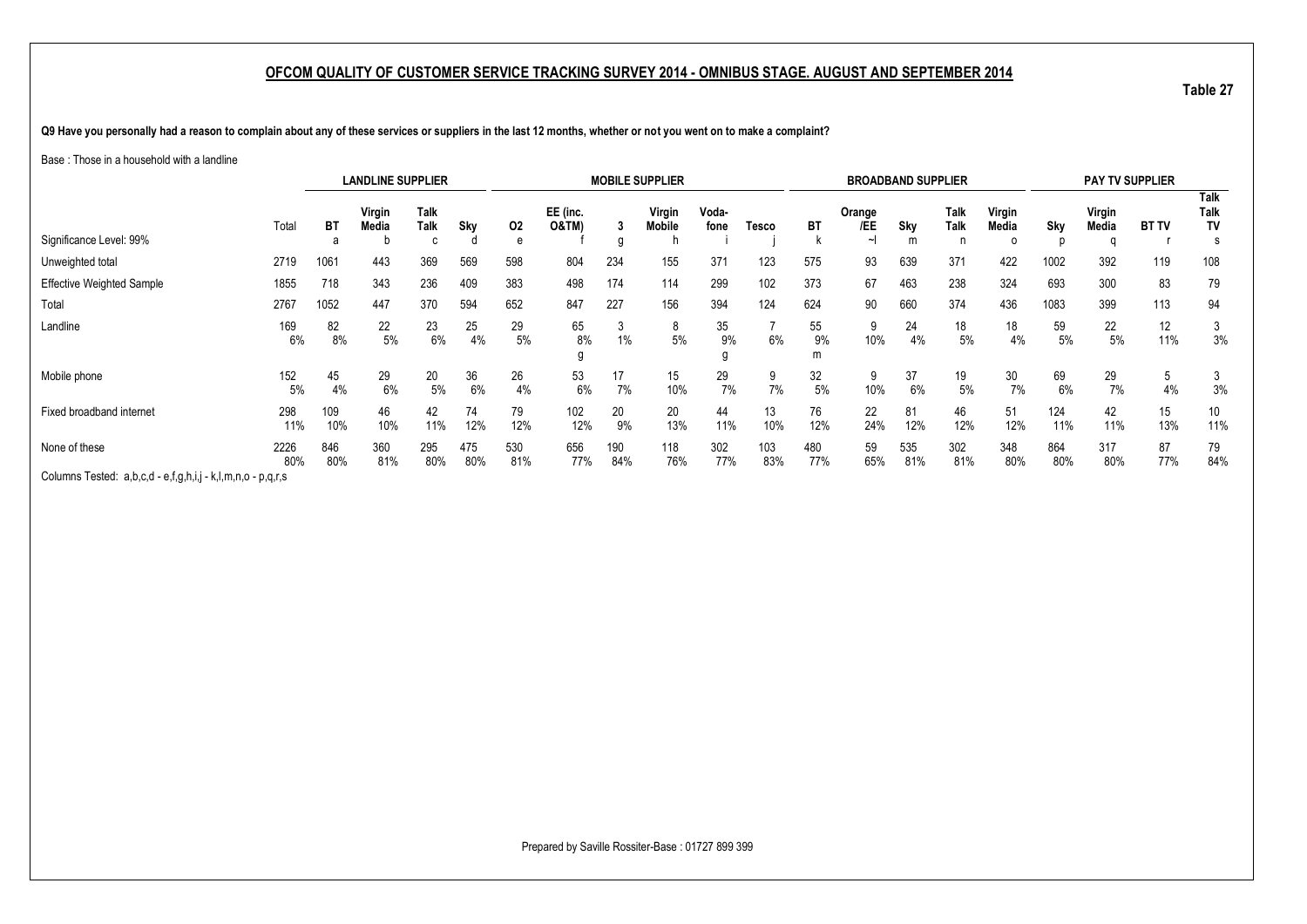**Table 27**

**Q9 Have you personally had a reason to complain about any of these services or suppliers in the last 12 months, whether or not you went on to make a complaint?**

#### Base : Those in a household with a landline

|                                                             |             |            | <b>LANDLINE SUPPLIER</b> |              |            |            |                              |            | <b>MOBILE SUPPLIER</b>  |               |            |            | <b>BROADBAND SUPPLIER</b> |            |              |                 |            |                 | <b>PAY TV SUPPLIER</b> |                    |
|-------------------------------------------------------------|-------------|------------|--------------------------|--------------|------------|------------|------------------------------|------------|-------------------------|---------------|------------|------------|---------------------------|------------|--------------|-----------------|------------|-----------------|------------------------|--------------------|
| Significance Level: 99%                                     | Total       | <b>BT</b>  | Virgin<br><b>Media</b>   | Talk<br>Talk | Sky        | 02         | EE (inc.<br><b>O&amp;TM)</b> | 3          | Virgin<br><b>Mobile</b> | Voda-<br>fone | Tesco      | <b>BT</b>  | Orange<br>/EE             | Sky        | Talk<br>Talk | Virgin<br>Media | Sky        | Virgin<br>Media | <b>BT TV</b>           | Talk<br>Talk<br>TV |
|                                                             |             | a          |                          |              |            | e          |                              | g          |                         |               |            |            | ∼∣                        | m          |              |                 |            |                 |                        |                    |
| Unweighted total                                            | 2719        | 1061       | 443                      | 369          | 569        | 598        | 804                          | 234        | 155                     | 371           | 123        | 575        | 93                        | 639        | 371          | 422             | 1002       | 392             | 119                    | 108                |
| <b>Effective Weighted Sample</b>                            | 1855        | 718        | 343                      | 236          | 409        | 383        | 498                          | 174        | 114                     | 299           | 102        | 373        | 67                        | 463        | 238          | 324             | 693        | 300             | 83                     | 79                 |
| Total                                                       | 2767        | 1052       | 447                      | 370          | 594        | 652        | 847                          | 227        | 156                     | 394           | 124        | 624        | 90                        | 660        | 374          | 436             | 1083       | 399             | 113                    | 94                 |
| Landline                                                    | 169<br>6%   | 82<br>8%   | 22<br>5%                 | 23<br>6%     | 25<br>4%   | 29<br>5%   | 65<br>8%                     | 3<br>1%    | 8<br>5%                 | 35<br>9%      | 6%         | 55<br>9%   | 9<br>10%                  | 24<br>4%   | 18<br>5%     | 18<br>4%        | 59<br>5%   | 22<br>5%        | 12<br>11%              | 3%                 |
| Mobile phone                                                | 152<br>5%   | 45<br>4%   | 29<br>6%                 | 20<br>5%     | 36<br>6%   | 26<br>4%   | 53<br>6%                     | 17<br>7%   | 15<br>10%               | 29<br>7%      | 9<br>7%    | 32<br>5%   | 9<br>10%                  | 37<br>6%   | 19<br>5%     | 30<br>7%        | 69<br>6%   | 29<br>7%        | 5<br>4%                | 3%                 |
| Fixed broadband internet                                    | 298<br>11%  | 109<br>10% | 46<br>10%                | 42<br>11%    | 74<br>12%  | 79<br>12%  | 102<br>12%                   | 20<br>9%   | 20<br>13%               | 44<br>11%     | 13<br>10%  | 76<br>12%  | 22<br>24%                 | 81<br>12%  | 46<br>12%    | 51<br>12%       | 124<br>11% | 42<br>11%       | 15<br>13%              | 10<br>11%          |
| None of these                                               | 2226<br>80% | 846<br>80% | 360<br>81%               | 295<br>80%   | 475<br>80% | 530<br>81% | 656<br>77%                   | 190<br>84% | 118<br>76%              | 302<br>77%    | 103<br>83% | 480<br>77% | 59<br>65%                 | 535<br>81% | 302<br>81%   | 348<br>80%      | 864<br>80% | 317<br>80%      | 87<br>77%              | 79<br>84%          |
| Columns Tested: a,b,c,d - e,f,g,h,i,j - k,l,m,n,o - p,q,r,s |             |            |                          |              |            |            |                              |            |                         |               |            |            |                           |            |              |                 |            |                 |                        |                    |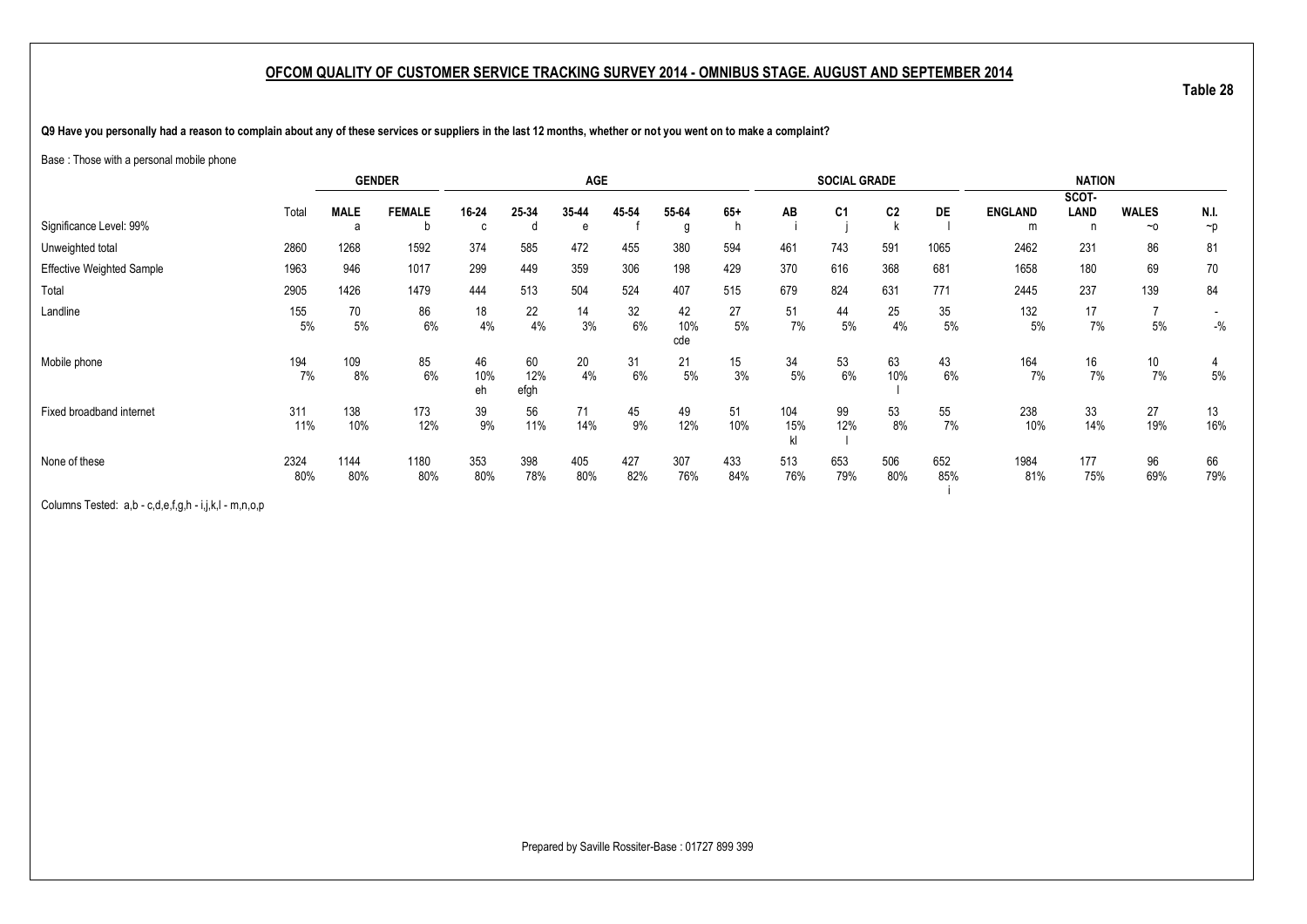**Q9 Have you personally had a reason to complain about any of these services or suppliers in the last 12 months, whether or not you went on to make a complaint?**

Base : Those with a personal mobile phone

|                                  |       |             | <b>GENDER</b> |           |             | AGE   |       |            |                  |           | <b>SOCIAL GRADE</b> |                |           |                | <b>NATION</b> |              |          |
|----------------------------------|-------|-------------|---------------|-----------|-------------|-------|-------|------------|------------------|-----------|---------------------|----------------|-----------|----------------|---------------|--------------|----------|
|                                  |       |             |               |           |             |       |       |            |                  |           |                     |                |           |                | SCOT-         |              |          |
|                                  | Total | <b>MALE</b> | <b>FEMALE</b> | 16-24     | 25-34       | 35-44 | 45 54 | 55-64      | $65+$            | AB        | C <sub>1</sub>      | C <sub>2</sub> | <b>DE</b> | <b>ENGLAND</b> | LAND          | <b>WALES</b> | N.I.     |
| Significance Level: 99%          |       | a           | b             | $\sim$    | đ           | e     |       | g          | n                |           |                     |                |           | m              | n             | $~\sim$ 0    | $\neg p$ |
| Unweighted total                 | 2860  | 1268        | 1592          | 374       | 585         | 472   | 455   | 380        | 594              | 461       | 743                 | 591            | 1065      | 2462           | 231           | 86           | 81       |
| <b>Effective Weighted Sample</b> | 1963  | 946         | 1017          | 299       | 449         | 359   | 306   | 198        | 429              | 370       | 616                 | 368            | 681       | 1658           | 180           | 69           | 70       |
| Total                            | 2905  | 1426        | 1479          | 444       | 513         | 504   | 524   | 407        | 515              | 679       | 824                 | 631            | 771       | 2445           | 237           | 139          | 84       |
| Landline                         | 155   | 70          | 86            | 18        | 22          | 14    | 32    | 42         | 27               | 51        | 44                  | 25             | 35        | 132            | 17            |              |          |
|                                  | 5%    | 5%          | 6%            | 4%        | 4%          | 3%    | 6%    | 10%<br>cde | 5%               | 7%        | 5%                  | 4%             | 5%        | 5%             | 7%            | 5%           | $-$ %    |
| Mobile phone                     | 194   | 109         | 85            | 46        | 60          | 20    | 31    | 21         | 15 <sub>15</sub> | 34        | 53                  | 63             | 43        | 164            | 16            | 10           | 4        |
|                                  | 7%    | 8%          | 6%            | 10%<br>eh | 12%<br>efgh | 4%    | 6%    | 5%         | 3%               | 5%        | 6%                  | 10%            | 6%        | 7%             | 7%            | 7%           | 5%       |
| Fixed broadband internet         | 311   | 138         | 173           | 39        | 56          | 71    | 45    | 49         | 51               | 104       | 99                  | 53             | 55        | 238            | 33            | 27           | 13       |
|                                  | 11%   | 10%         | 12%           | 9%        | 11%         | 14%   | 9%    | 12%        | 10%              | 15%<br>kl | 12%                 | 8%             | 7%        | 10%            | 14%           | 19%          | 16%      |
| None of these                    | 2324  | 1144        | 1180          | 353       | 398         | 405   | 427   | 307        | 433              | 513       | 653                 | 506            | 652       | 1984           | 177           | 96           | 66       |
|                                  | 80%   | 80%         | 80%           | 80%       | 78%         | 80%   | 82%   | 76%        | 84%              | 76%       | 79%                 | 80%            | 85%       | 81%            | 75%           | 69%          | 79%      |

Columns Tested: a,b - c,d,e,f,g,h - i,j,k,l - m,n,o,p

Prepared by Saville Rossiter-Base : 01727 899 399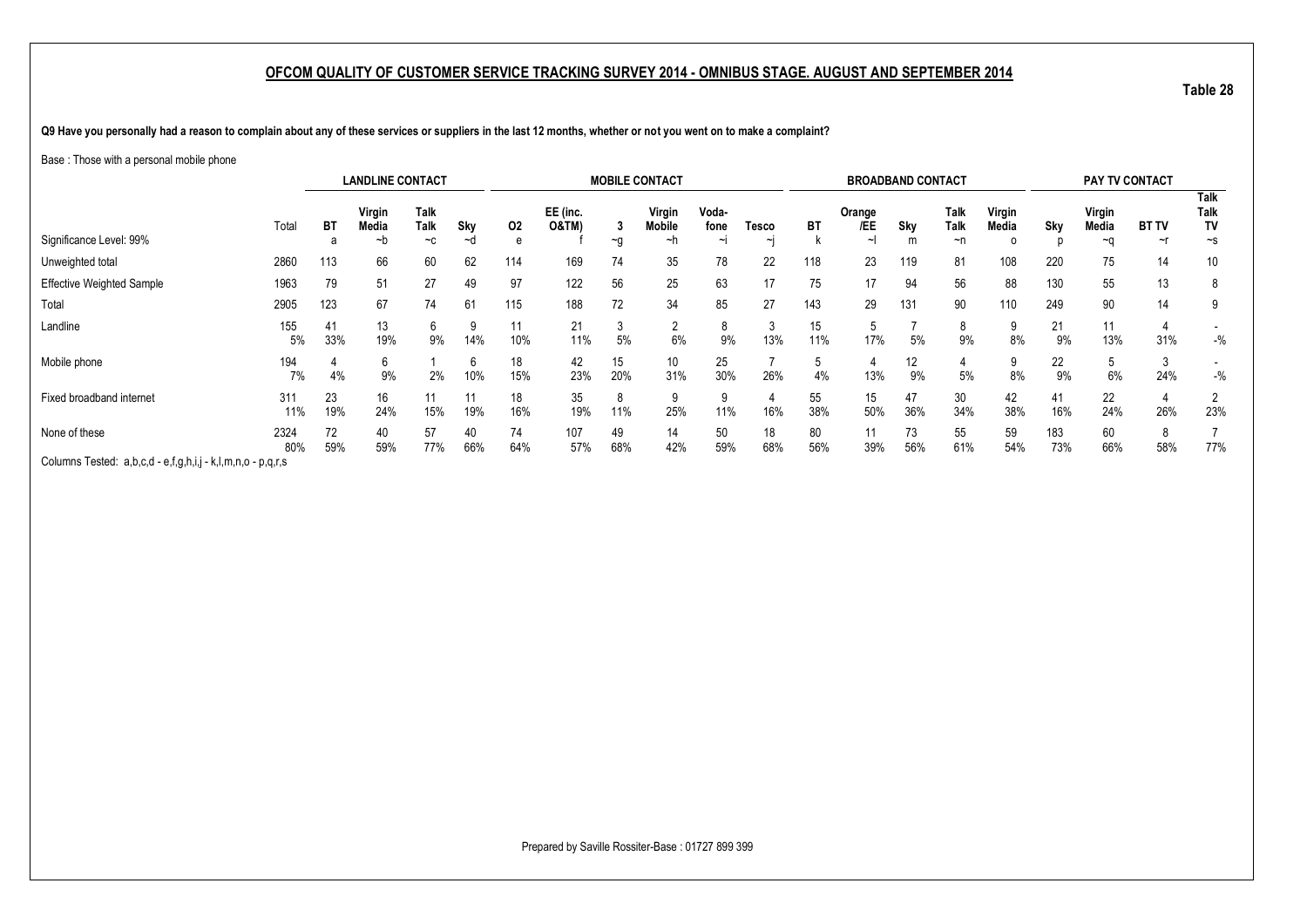**Table 28**

**Q9 Have you personally had a reason to complain about any of these services or suppliers in the last 12 months, whether or not you went on to make a complaint?**

#### Base : Those with a personal mobile phone

|                                                             |             |           | <b>LANDLINE CONTACT</b> |                           |           |           |                              |           | <b>MOBILE CONTACT</b>         |                         |                   |           | <b>BROADBAND CONTACT</b> |           |                    |                      |            | PAY TV CONTACT        |                        |                                |
|-------------------------------------------------------------|-------------|-----------|-------------------------|---------------------------|-----------|-----------|------------------------------|-----------|-------------------------------|-------------------------|-------------------|-----------|--------------------------|-----------|--------------------|----------------------|------------|-----------------------|------------------------|--------------------------------|
| Significance Level: 99%                                     | Total       | BT<br>а   | Virgin<br>Media<br>~b   | <b>Talk</b><br>Talk<br>~c | Sky<br>~d | 02<br>e   | EE (inc.<br><b>O&amp;TM)</b> | $\sim g$  | Virgin<br><b>Mobile</b><br>∼h | Voda-<br>fone<br>$\sim$ | Tesco<br>$\sim$ l | BT        | Orange<br>/EE            | Sky<br>m  | Talk<br>Talk<br>~n | Virgin<br>Media<br>o | Sky        | Virgin<br>Media<br>~∩ | <b>BT TV</b><br>$\sim$ | Talk<br>Talk<br>TV<br>$\sim$ s |
| Unweighted total                                            | 2860        | 113       | 66                      | 60                        | 62        | 114       | 169                          | 74        | 35                            | 78                      | 22                | 118       | 23                       | 119       | 81                 | 108                  | 220        | 75                    | 14                     | 10                             |
| <b>Effective Weighted Sample</b>                            | 1963        | 79        | 51                      | 27                        | 49        | 97        | 122                          | 56        | 25                            | 63                      | 17                | 75        | 17                       | 94        | 56                 | 88                   | 130        | 55                    | 13                     | 8                              |
| Total                                                       | 2905        | 123       | 67                      | 74                        | 61        | 115       | 188                          | 72        | 34                            | 85                      | 27                | 143       | 29                       | 131       | 90                 | 110                  | 249        | 90                    | 14                     | 9                              |
| Landline                                                    | 155<br>5%   | 41<br>33% | 13<br>19%               | 6<br>9%                   | 9<br>14%  | 11<br>10% | 21<br>11%                    | 3<br>5%   | c<br>6%                       | 9%                      | 13%               | 15<br>11% | .ხ<br>17%                | 5%        | 8<br>9%            | 8%                   | 21<br>9%   | 11<br>13%             | 31%                    | $-$ %                          |
| Mobile phone                                                | 194<br>7%   | 4%        | 6<br>9%                 | 2%                        | 6<br>10%  | 18<br>15% | 42<br>23%                    | 15<br>20% | 10<br>31%                     | 25<br>30%               | 26%               | 4%        | 4<br>13%                 | 12<br>9%  | 5%                 | 8%                   | 22<br>9%   | 6%                    | 24%                    | $-$ %                          |
| Fixed broadband internet                                    | 311<br>11%  | 23<br>19% | 16<br>24%               | 15%                       | 19%       | 18<br>16% | 35<br>19%                    | 8<br>11%  | 9<br>25%                      | 11%                     | 16%               | 55<br>38% | 15<br>50%                | 47<br>36% | 30<br>34%          | 42<br>38%            | 41<br>16%  | 22<br>24%             | 26%                    | 2<br>23%                       |
| None of these                                               | 2324<br>80% | 72<br>59% | 40<br>59%               | 57<br>77%                 | 40<br>66% | 74<br>64% | 107<br>57%                   | 49<br>68% | 14<br>42%                     | 50<br>59%               | 18<br>68%         | 80<br>56% | 11<br>39%                | 73<br>56% | 55<br>61%          | 59<br>54%            | 183<br>73% | 60<br>66%             | 8<br>58%               | 77%                            |
| Columns Tested: a,b,c,d - e,f,g,h,i,j - k,l,m,n,o - p,q,r,s |             |           |                         |                           |           |           |                              |           |                               |                         |                   |           |                          |           |                    |                      |            |                       |                        |                                |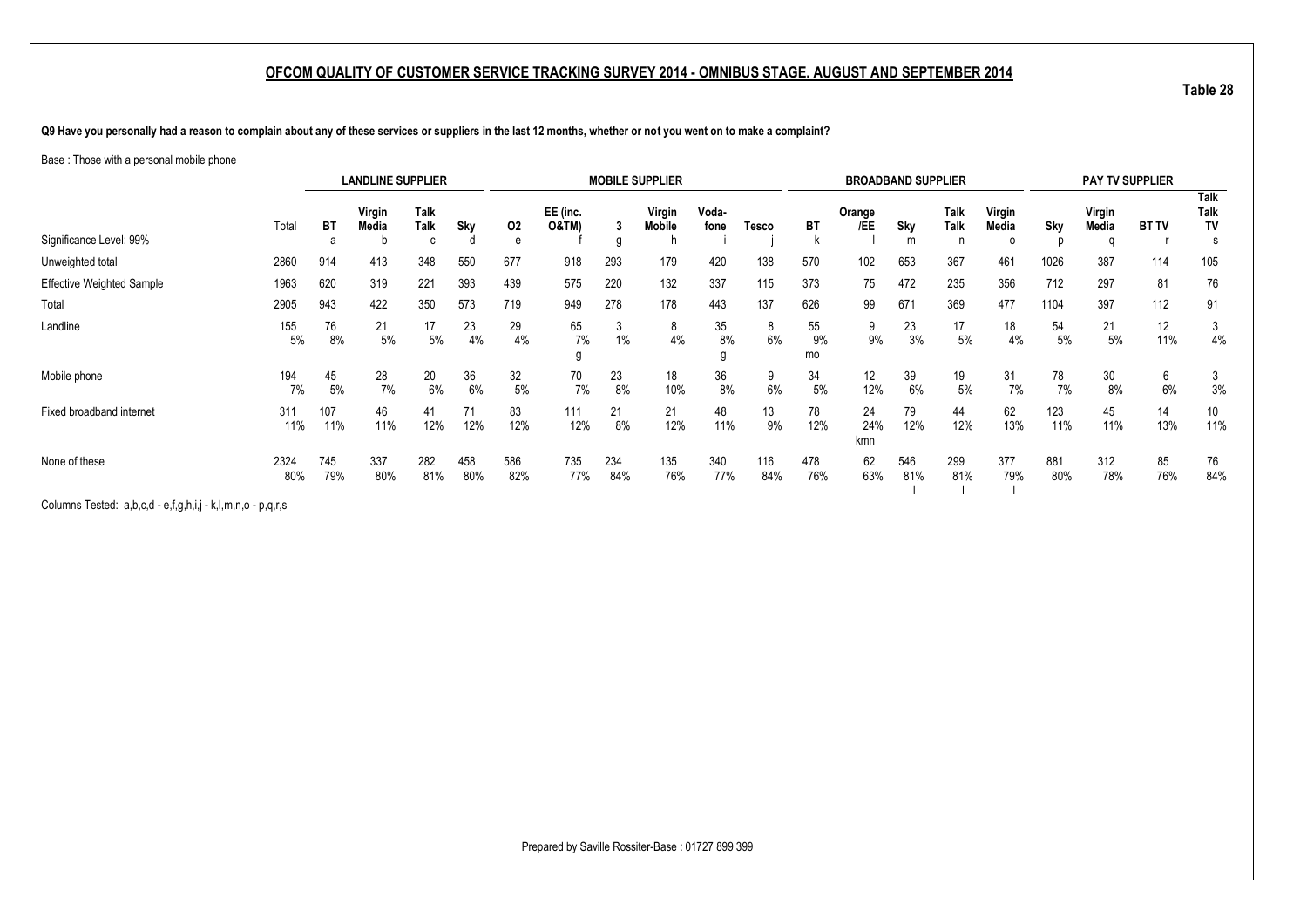**Table 28**

**Q9 Have you personally had a reason to complain about any of these services or suppliers in the last 12 months, whether or not you went on to make a complaint?**

#### Base : Those with a personal mobile phone

|                                  |             |            | <b>LANDLINE SUPPLIER</b> |                   |            |            |                              |            | <b>MOBILE SUPPLIER</b>  |               |              |                | <b>BROADBAND SUPPLIER</b> |            |              |                      |            | <b>PAY TV SUPPLIER</b> |              |                           |
|----------------------------------|-------------|------------|--------------------------|-------------------|------------|------------|------------------------------|------------|-------------------------|---------------|--------------|----------------|---------------------------|------------|--------------|----------------------|------------|------------------------|--------------|---------------------------|
| Significance Level: 99%          | Total       | BT<br>a    | Virgin<br>Media          | Talk<br>Talk<br>C | Sky        | 02<br>e    | EE (inc.<br><b>O&amp;TM)</b> | g          | Virgin<br><b>Mobile</b> | Voda-<br>fone | <b>Tesco</b> | <b>BT</b>      | Orange<br>/EE             | Sky<br>m   | Talk<br>Talk | Virgin<br>Media<br>0 | Sky<br>n   | Virgin<br>Media<br>n   | <b>BT TV</b> | <b>Talk</b><br>Talk<br>TV |
| Unweighted total                 | 2860        | 914        | 413                      | 348               | 550        | 677        | 918                          | 293        | 179                     | 420           | 138          | 570            | 102                       | 653        | 367          | 461                  | 1026       | 387                    | 114          | 105                       |
| <b>Effective Weighted Sample</b> | 1963        | 620        | 319                      | 221               | 393        | 439        | 575                          | 220        | 132                     | 337           | 115          | 373            | 75                        | 472        | 235          | 356                  | 712        | 297                    | 81           | 76                        |
| Total                            | 2905        | 943        | 422                      | 350               | 573        | 719        | 949                          | 278        | 178                     | 443           | 137          | 626            | 99                        | 671        | 369          | 477                  | 1104       | 397                    | 112          | 91                        |
| Landline                         | 155<br>5%   | 76<br>8%   | 21<br>5%                 | 17<br>5%          | 23<br>4%   | 29<br>4%   | 65<br>7%                     | 3<br>$1\%$ | 8<br>4%                 | 35<br>8%      | 8<br>6%      | 55<br>9%<br>mo | 9<br>9%                   | 23<br>3%   | 17<br>5%     | 18<br>4%             | 54<br>5%   | 21<br>5%               | 12<br>11%    | 3<br>4%                   |
| Mobile phone                     | 194<br>7%   | 45<br>5%   | 28<br>7%                 | 20<br>6%          | 36<br>6%   | 32<br>5%   | 70<br>7%                     | 23<br>8%   | 18<br>10%               | 36<br>8%      | 9<br>6%      | 34<br>5%       | 12<br>12%                 | 39<br>6%   | 19<br>5%     | 31<br>7%             | 78<br>7%   | 30<br>8%               | 6<br>6%      | 3<br>3%                   |
| Fixed broadband internet         | 311<br>11%  | 107<br>11% | 46<br>11%                | 41<br>12%         | 71<br>12%  | 83<br>12%  | 111<br>12%                   | 21<br>8%   | 21<br>12%               | 48<br>11%     | 13<br>9%     | 78<br>12%      | 24<br>24%<br>kmn          | 79<br>12%  | 44<br>12%    | 62<br>13%            | 123<br>11% | 45<br>11%              | 14<br>13%    | 10 <sup>°</sup><br>11%    |
| None of these                    | 2324<br>80% | 745<br>79% | 337<br>80%               | 282<br>81%        | 458<br>80% | 586<br>82% | 735<br>77%                   | 234<br>84% | 135<br>76%              | 340<br>77%    | 116<br>84%   | 478<br>76%     | 62<br>63%                 | 546<br>81% | 299<br>81%   | 377<br>79%           | 881<br>80% | 312<br>78%             | 85<br>76%    | 76<br>84%                 |

Columns Tested: a,b,c,d - e,f,g,h,i,j - k,l,m,n,o - p,q,r,s

Prepared by Saville Rossiter-Base : 01727 899 399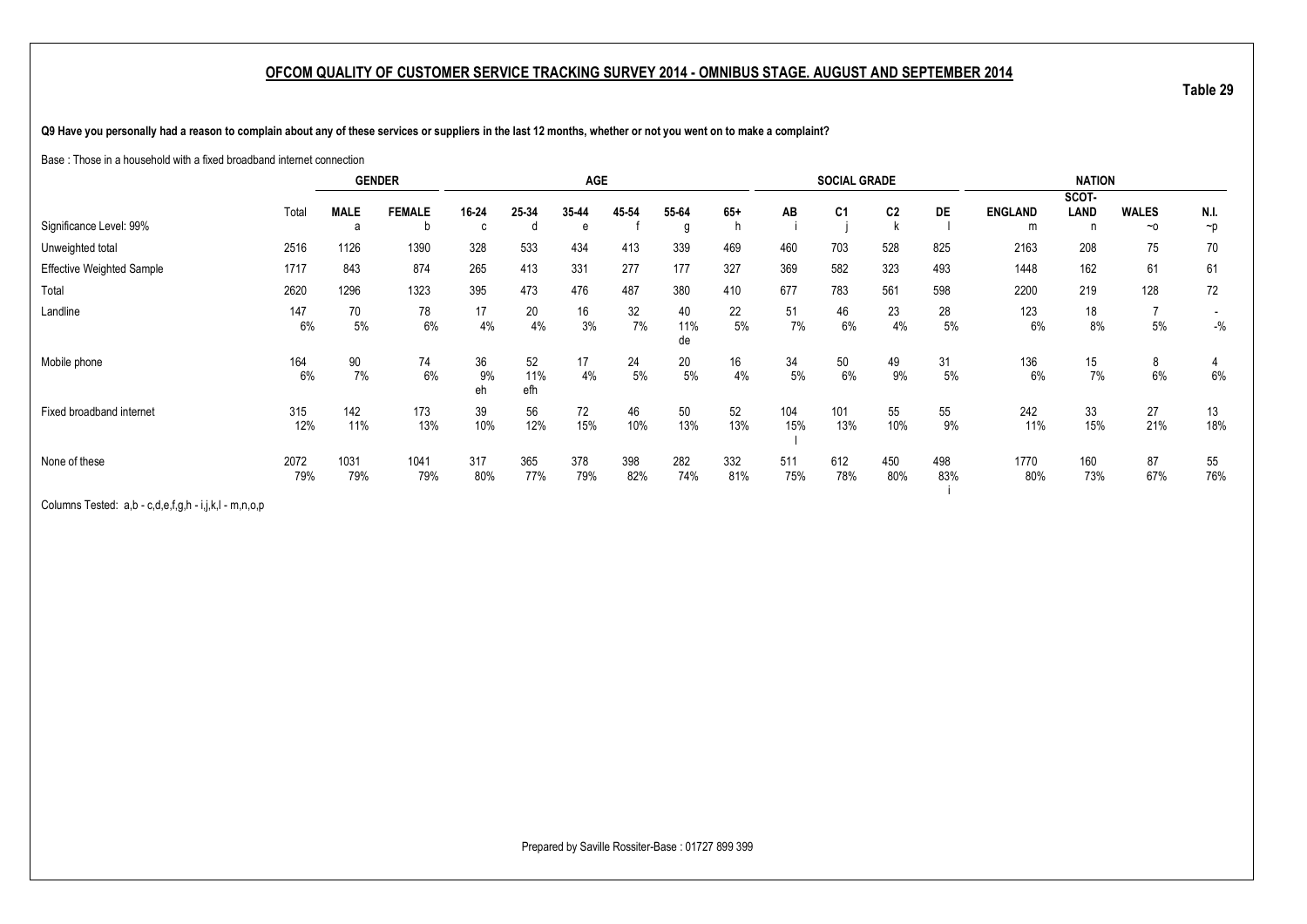**Q9 Have you personally had a reason to complain about any of these services or suppliers in the last 12 months, whether or not you went on to make a complaint?**

Base : Those in a household with a fixed broadband internet connection

|                                  |       |             | <b>GENDER</b> |          |             | <b>AGE</b> |       |           |       |       | <b>SOCIAL GRADE</b> |     |           |                | <b>NATION</b> |                |          |
|----------------------------------|-------|-------------|---------------|----------|-------------|------------|-------|-----------|-------|-------|---------------------|-----|-----------|----------------|---------------|----------------|----------|
|                                  |       |             |               |          |             |            |       |           |       |       |                     |     |           |                | SCOT-         |                |          |
|                                  | Total | <b>MALE</b> | <b>FEMALE</b> | 16-24    | 25-34       | 35-44      | 45-54 | 55-64     | $65+$ | AB    | C <sub>1</sub>      | C2  | <b>DE</b> | <b>ENGLAND</b> | LAND          | <b>WALES</b>   | N.I.     |
| Significance Level: 99%          |       | a           | b             | c        |             | e          |       | g         |       |       |                     |     |           | m              |               | $~\sim$ 0      | $\neg p$ |
| Unweighted total                 | 2516  | 1126        | 1390          | 328      | 533         | 434        | 413   | 339       | 469   | 460   | 703                 | 528 | 825       | 2163           | 208           | 75             | 70       |
| <b>Effective Weighted Sample</b> | 1717  | 843         | 874           | 265      | 413         | 331        | 277   | 177       | 327   | 369   | 582                 | 323 | 493       | 1448           | 162           | 61             | 61       |
| Total                            | 2620  | 1296        | 1323          | 395      | 473         | 476        | 487   | 380       | 410   | 677   | 783                 | 561 | 598       | 2200           | 219           | 128            | 72       |
| Landline                         | 147   | 70          | 78            | 17       | $20\degree$ | 16         | 32    | 40        | 22    | 51    | 46                  | 23  | 28        | 123            | 18            | $\overline{ }$ |          |
|                                  | 6%    | 5%          | 6%            | 4%       | 4%          | 3%         | 7%    | 11%<br>de | 5%    | 7%    | 6%                  | 4%  | $5\%$     | 6%             | 8%            | $5\%$          | $-$ %    |
| Mobile phone                     | 164   | 90          | 74            | 36       | 52          | 17         | 24    | 20        | 16    | 34    | 50                  | 49  | 31        | 136            | 15            | 8              | 4        |
|                                  | 6%    | 7%          | 6%            | 9%<br>eh | 11%<br>efh  | 4%         | 5%    | 5%        | 4%    | $5\%$ | 6%                  | 9%  | 5%        | 6%             | 7%            | 6%             | $6\%$    |
| Fixed broadband internet         | 315   | 142         | 173           | 39       | 56          | 72         | 46    | 50        | 52    | 104   | 101                 | 55  | 55        | 242            | 33            | 27             | 13       |
|                                  | 12%   | 11%         | 13%           | 10%      | 12%         | 15%        | 10%   | 13%       | 13%   | 15%   | 13%                 | 10% | 9%        | 11%            | 15%           | 21%            | 18%      |
| None of these                    | 2072  | 1031        | 1041          | 317      | 365         | 378        | 398   | 282       | 332   | 511   | 612                 | 450 | 498       | 1770           | 160           | 87             | 55       |
|                                  | 79%   | 79%         | 79%           | 80%      | 77%         | 79%        | 82%   | 74%       | 81%   | 75%   | 78%                 | 80% | 83%       | 80%            | 73%           | 67%            | 76%      |

Columns Tested: a,b - c,d,e,f,g,h - i,j,k,l - m,n,o,p

Prepared by Saville Rossiter-Base : 01727 899 399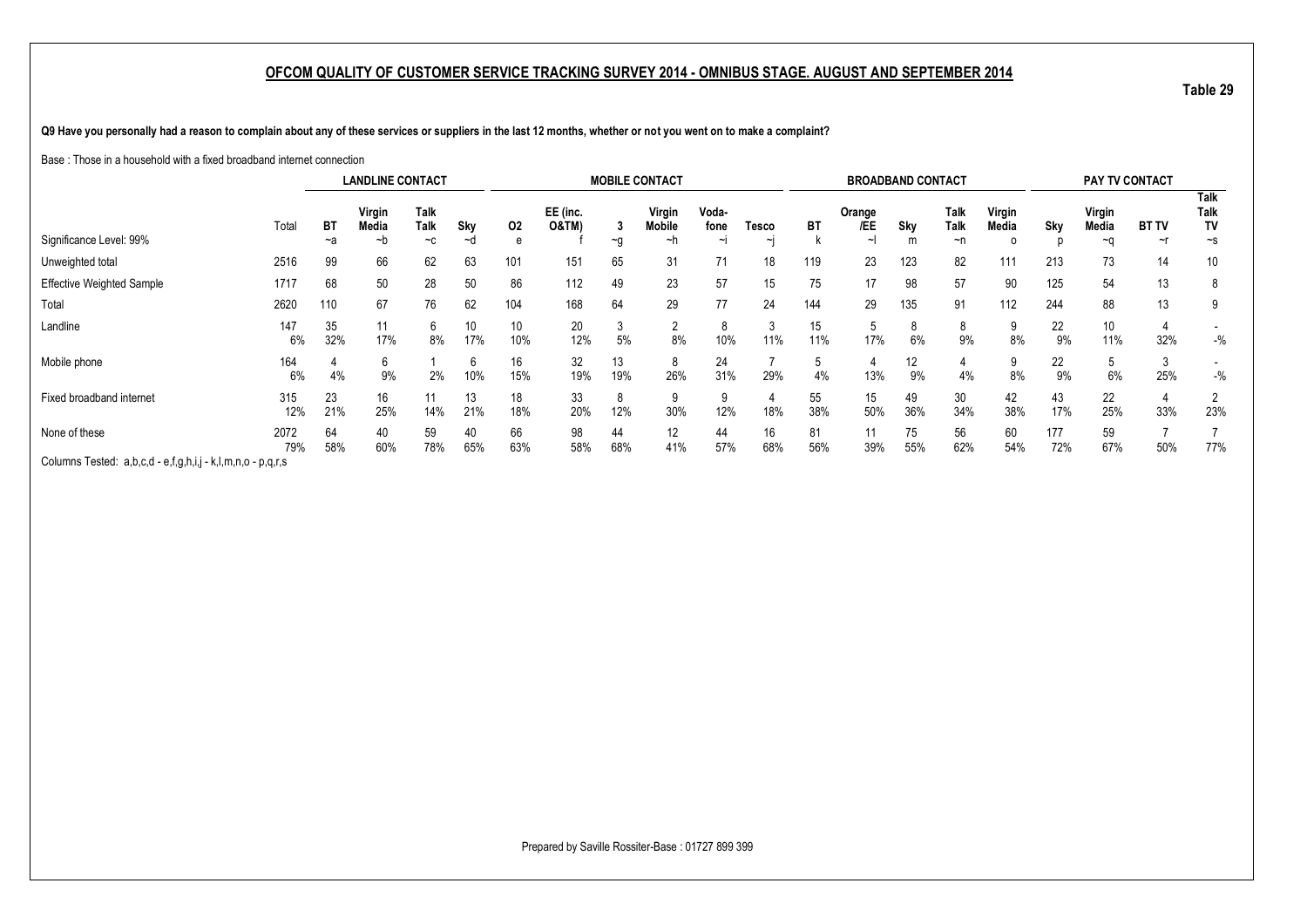**Q9 Have you personally had a reason to complain about any of these services or suppliers in the last 12 months, whether or not you went on to make a complaint?**

Base : Those in a household with a fixed broadband internet connection

|                                                             |             |           | <b>LANDLINE CONTACT</b> |                      |           |           |                              |           | <b>MOBILE CONTACT</b>         |                         |                 |           | <b>BROADBAND CONTACT</b> |           |                    |                 |            | <b>PAY TV CONTACT</b>  |                    |                                       |
|-------------------------------------------------------------|-------------|-----------|-------------------------|----------------------|-----------|-----------|------------------------------|-----------|-------------------------------|-------------------------|-----------------|-----------|--------------------------|-----------|--------------------|-----------------|------------|------------------------|--------------------|---------------------------------------|
| Significance Level: 99%                                     | Total       | BT<br>~a  | Virgin<br>Media<br>∼b   | Talk<br>Talk<br>$-c$ | Sky<br>∼d | 02<br>e   | EE (inc.<br><b>O&amp;TM)</b> | $\sim g$  | Virgin<br><b>Mobile</b><br>~h | Voda-<br>fone<br>$\sim$ | Tesco<br>$\sim$ | <b>BT</b> | Orange<br>/EE<br>$\sim$  | Sky<br>m  | Talk<br>Talk<br>~n | Virgin<br>Media | Sky        | Virgin<br>Media<br>∼a  | <b>BT TV</b><br>~r | <b>Talk</b><br>Talk<br>TV<br>$\sim$ s |
| Unweighted total                                            | 2516        | 99        | 66                      | 62                   | 63        | 101       | 151                          | 65        | 31                            | 71                      | 18              | 119       | 23                       | 123       | 82                 | 111             | 213        | 73                     | 14                 | 10                                    |
| <b>Effective Weighted Sample</b>                            | 1717        | 68        | 50                      | 28                   | 50        | 86        | 112                          | 49        | 23                            | 57                      | 15              | 75        | 17                       | 98        | 57                 | 90              | 125        | 54                     | 13                 | 8                                     |
| Total                                                       | 2620        | 110       | 67                      | 76                   | 62        | 104       | 168                          | 64        | 29                            |                         | 24              | 144       | 29                       | 135       | 91                 | 112             | 244        | 88                     | 13                 | 9                                     |
| Landline                                                    | 147<br>6%   | 35<br>32% | 11<br>17%               | b<br>8%              | 10<br>17% | 10<br>10% | 20<br>12%                    | ა<br>5%   | c<br>∠<br>8%                  | 10%                     | 11%             | 15<br>11% | 5<br>17%                 | 6%        | 8<br>9%            | 8%              | 22<br>9%   | 10 <sup>°</sup><br>11% | 32%                | $-$ %                                 |
| Mobile phone                                                | 164<br>6%   | 4%        | 6<br>9%                 | 2%                   | 6<br>10%  | 16<br>15% | 32<br>19%                    | 13<br>19% | 8<br>26%                      | 24<br>31%               | 29%             | 4%        | 4<br>13%                 | 12<br>9%  | 4%                 | 8%              | 22<br>9%   | 6%                     | د<br>25%           | $-$ %                                 |
| Fixed broadband internet                                    | 315<br>12%  | 23<br>21% | 16<br>25%               | 14%                  | 13<br>21% | 18<br>18% | 33<br>20%                    | 8<br>12%  | 30%                           | 9<br>12%                | 18%             | 55<br>38% | 15<br>50%                | 49<br>36% | 30<br>34%          | 42<br>38%       | 43<br>17%  | 22<br>25%              | 33%                | 2<br>23%                              |
| None of these                                               | 2072<br>79% | 64<br>58% | 40<br>60%               | 59<br>78%            | 40<br>65% | 66<br>63% | 98<br>58%                    | 44<br>68% | 12<br>41%                     | 44<br>57%               | 16<br>68%       | 81<br>56% | 11<br>39%                | 75<br>55% | 56<br>62%          | 60<br>54%       | 177<br>72% | 59<br>67%              | 50%                | 77%                                   |
| Columns Tested: a,b,c,d - e,f,g,h,i,j - k,l,m,n,o - p,q,r,s |             |           |                         |                      |           |           |                              |           |                               |                         |                 |           |                          |           |                    |                 |            |                        |                    |                                       |

Prepared by Saville Rossiter-Base : 01727 899 399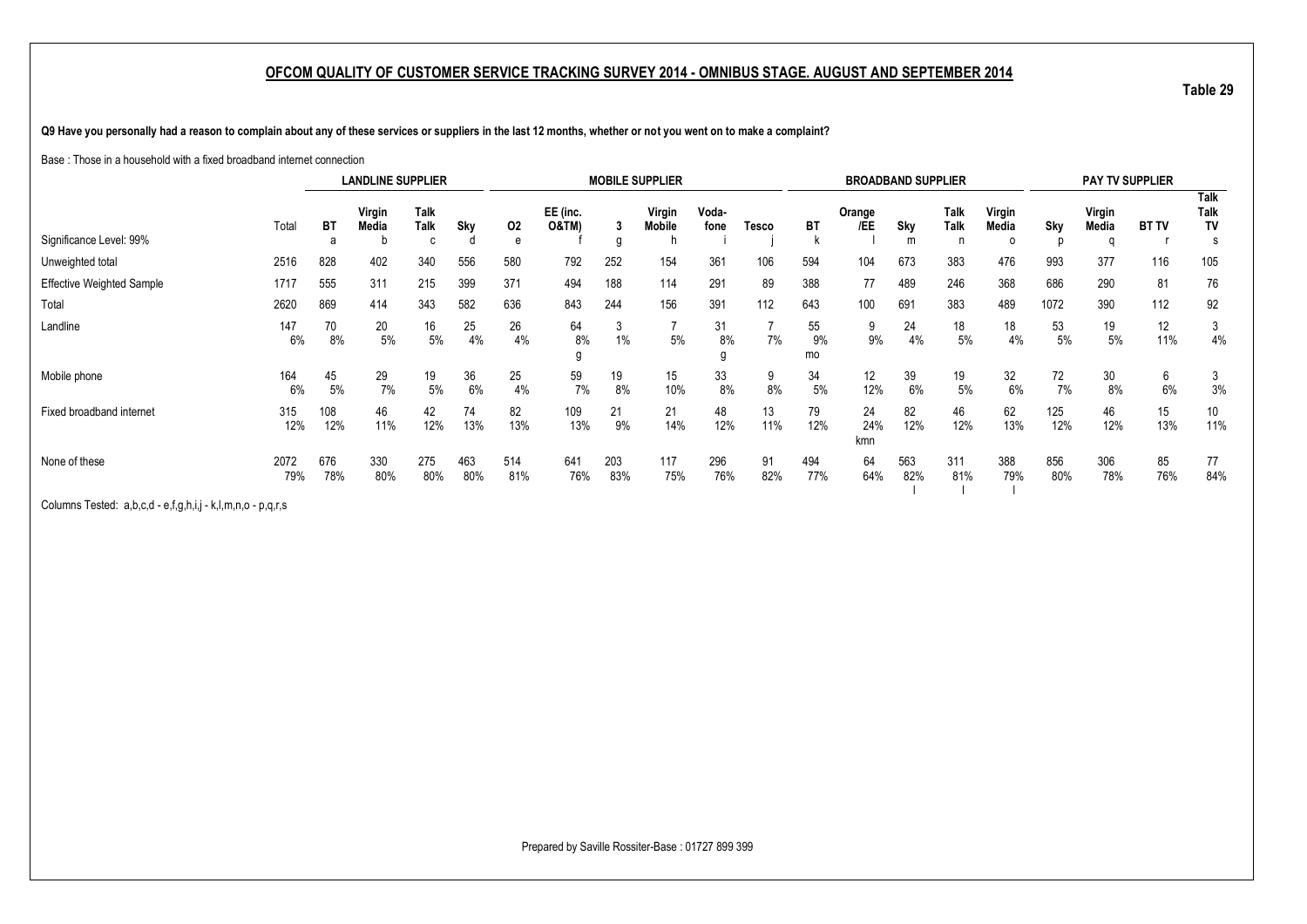**Q9 Have you personally had a reason to complain about any of these services or suppliers in the last 12 months, whether or not you went on to make a complaint?**

Base : Those in a household with a fixed broadband internet connection

|                                  |             |                | <b>LANDLINE SUPPLIER</b> |                    |            |            |                              |            | <b>MOBILE SUPPLIER</b>  |               |              |                | <b>BROADBAND SUPPLIER</b> |            |              |                      |            | <b>PAY TV SUPPLIER</b> |              |                                |
|----------------------------------|-------------|----------------|--------------------------|--------------------|------------|------------|------------------------------|------------|-------------------------|---------------|--------------|----------------|---------------------------|------------|--------------|----------------------|------------|------------------------|--------------|--------------------------------|
| Significance Level: 99%          | Total       | <b>BT</b><br>a | Virgin<br>Media          | Talk<br>Talk<br>c. | Sky        | 02<br>e    | EE (inc.<br><b>O&amp;TM)</b> | g          | Virgin<br><b>Mobile</b> | Voda-<br>fone | <b>Tesco</b> | <b>BT</b>      | Orange<br>/EE             | Sky<br>m   | Talk<br>Talk | Virgin<br>Media<br>0 | Sky<br>n   | Virgin<br>Media        | <b>BT TV</b> | <b>Talk</b><br>Talk<br>TV<br>s |
| Unweighted total                 | 2516        | 828            | 402                      | 340                | 556        | 580        | 792                          | 252        | 154                     | 361           | 106          | 594            | 104                       | 673        | 383          | 476                  | 993        | 377                    | 116          | 105                            |
| <b>Effective Weighted Sample</b> | 1717        | 555            | 311                      | 215                | 399        | 371        | 494                          | 188        | 114                     | 291           | 89           | 388            | 77                        | 489        | 246          | 368                  | 686        | 290                    | 81           | 76                             |
| Total                            | 2620        | 869            | 414                      | 343                | 582        | 636        | 843                          | 244        | 156                     | 391           | 112          | 643            | 100                       | 691        | 383          | 489                  | 1072       | 390                    | 112          | 92                             |
| Landline                         | 147<br>6%   | 70<br>8%       | 20<br>5%                 | 16<br>5%           | 25<br>4%   | 26<br>4%   | 64<br>8%                     | 3<br>$1\%$ | 5%                      | 31<br>8%      | 7%           | 55<br>9%<br>mo | 9<br>9%                   | 24<br>4%   | 18<br>$5\%$  | 18<br>4%             | 53<br>$5%$ | 19<br>$5%$             | 12<br>11%    | 3<br>$4\%$                     |
| Mobile phone                     | 164<br>6%   | 45<br>5%       | 29<br>7%                 | 19<br>5%           | 36<br>6%   | 25<br>4%   | 59<br>7%                     | 19<br>8%   | 15<br>10%               | 33<br>8%      | 9<br>8%      | 34<br>5%       | 12<br>12%                 | 39<br>6%   | 19<br>5%     | 32<br>6%             | 72<br>7%   | 30<br>8%               | 6<br>6%      | 3<br>3%                        |
| Fixed broadband internet         | 315<br>12%  | 108<br>12%     | 46<br>11%                | 42<br>12%          | 74<br>13%  | 82<br>13%  | 109<br>13%                   | 21<br>9%   | 21<br>14%               | 48<br>12%     | 13<br>11%    | 79<br>12%      | 24<br>24%<br>kmn          | 82<br>12%  | 46<br>12%    | 62<br>13%            | 125<br>12% | 46<br>12%              | 15<br>13%    | 10<br>11%                      |
| None of these                    | 2072<br>79% | 676<br>78%     | 330<br>80%               | 275<br>80%         | 463<br>80% | 514<br>81% | 641<br>76%                   | 203<br>83% | 117<br>75%              | 296<br>76%    | 91<br>82%    | 494<br>77%     | 64<br>64%                 | 563<br>82% | 311<br>81%   | 388<br>79%           | 856<br>80% | 306<br>78%             | 85<br>76%    | 77<br>84%                      |

Columns Tested: a,b,c,d - e,f,g,h,i,j - k,l,m,n,o - p,q,r,s

Prepared by Saville Rossiter-Base : 01727 899 399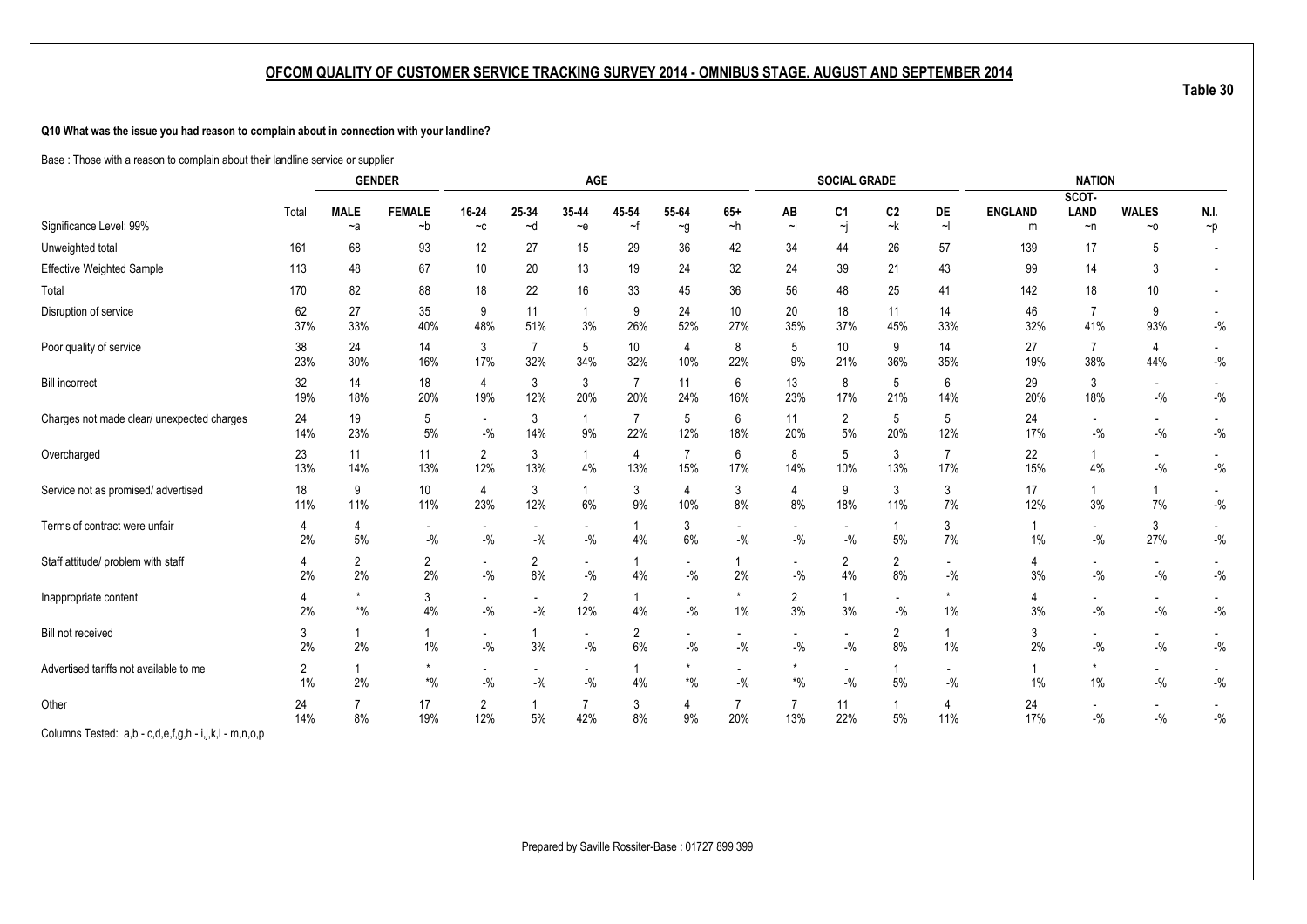**Q10 What was the issue you had reason to complain about in connection with your landline?**

Base : Those with a reason to complain about their landline service or supplier

|                                                       |           |                                    | <b>GENDER</b>        |                                     |                       | AGE                               |                       |                                   |                                    |                                   | <b>SOCIAL GRADE</b>               |                                   |                                   |                | <b>NATION</b>                     |                                                        |                                     |
|-------------------------------------------------------|-----------|------------------------------------|----------------------|-------------------------------------|-----------------------|-----------------------------------|-----------------------|-----------------------------------|------------------------------------|-----------------------------------|-----------------------------------|-----------------------------------|-----------------------------------|----------------|-----------------------------------|--------------------------------------------------------|-------------------------------------|
|                                                       | Total     | <b>MALE</b>                        | <b>FEMALE</b>        | 16-24                               | 25-34                 | 35-44                             | 45-54                 | 55-64                             | $65+$                              | ΑВ                                | C1                                | C <sub>2</sub>                    | DE                                | <b>ENGLAND</b> | SCOT-<br><b>LAND</b>              | <b>WALES</b>                                           | N.I.                                |
| Significance Level: 99%                               |           | $-a$                               | ~b                   | $-c$                                | ~d                    | $-e$                              | ~f                    | $\sim g$                          | ~h                                 | Ξi                                | ~j                                | ~k                                | $\sim$                            | m              | $\neg$ n                          | ~10                                                    | $\neg p$                            |
| Unweighted total                                      | 161       | 68                                 | 93                   | 12                                  | 27                    | 15                                | 29                    | 36                                | 42                                 | 34                                | 44                                | 26                                | 57                                | 139            | 17                                | 5                                                      |                                     |
| Effective Weighted Sample                             | 113       | 48                                 | 67                   | 10 <sup>1</sup>                     | 20                    | 13                                | 19                    | 24                                | 32                                 | 24                                | 39                                | 21                                | 43                                | 99             | 14                                | 3                                                      |                                     |
| Total                                                 | 170       | 82                                 | 88                   | 18                                  | 22                    | 16                                | 33                    | 45                                | 36                                 | 56                                | 48                                | 25                                | 41                                | 142            | 18                                | 10                                                     |                                     |
| Disruption of service                                 | 62<br>37% | 27<br>33%                          | 35<br>40%            | 9<br>48%                            | 11<br>51%             | $\overline{1}$<br>3%              | 9<br>26%              | 24<br>52%                         | 10<br>27%                          | 20<br>35%                         | 18<br>37%                         | 11<br>45%                         | 14<br>33%                         | 46<br>32%      | $\overline{7}$<br>41%             | 9<br>93%                                               | $-{\%}$                             |
| Poor quality of service                               | 38<br>23% | 24<br>30%                          | 14<br>16%            | 3<br>17%                            | $\overline{7}$<br>32% | 5<br>34%                          | 10<br>32%             | 4<br>10%                          | 8<br>22%                           | 5<br>9%                           | 10<br>21%                         | 9<br>36%                          | 14<br>35%                         | 27<br>19%      | 7<br>38%                          | 4<br>44%                                               | $\overline{\phantom{a}}$<br>$-{\%}$ |
| <b>Bill incorrect</b>                                 | 32<br>19% | 14<br>18%                          | 18<br>20%            | 4<br>19%                            | 3<br>12%              | $\mathbf{3}$<br>20%               | 7<br>20%              | 11<br>24%                         | 6<br>16%                           | 13<br>23%                         | 8<br>17%                          | 5<br>21%                          | 6<br>14%                          | 29<br>20%      | 3<br>18%                          | $\overline{\phantom{a}}$<br>$ \%$                      | $-$ %                               |
| Charges not made clear/ unexpected charges            | 24<br>14% | 19<br>23%                          | 5<br>$5%$            | $\overline{\phantom{a}}$<br>$-$ %   | 3<br>14%              | $\overline{1}$<br>9%              | $\overline{7}$<br>22% | 5<br>12%                          | 6<br>18%                           | 11<br>20%                         | $\overline{2}$<br>5%              | 5<br>20%                          | 5<br>12%                          | 24<br>17%      | $\overline{\phantom{a}}$<br>$-$ % | $\overline{\phantom{a}}$<br>$-$ %                      | $-$ %                               |
| Overcharged                                           | 23<br>13% | 11<br>14%                          | 11<br>13%            | 2<br>12%                            | 3<br>13%              | $\mathbf{1}$<br>4%                | 4<br>13%              | 7<br>15%                          | 6<br>17%                           | 8<br>14%                          | 5<br>10%                          | 3<br>13%                          | $\overline{7}$<br>17%             | 22<br>15%      | $\mathbf{1}$<br>4%                | $\sim$<br>$\mathbin{{\mathcal I}}_0$                   | $-{\%}$                             |
| Service not as promised/advertised                    | 18<br>11% | 9<br>11%                           | 10<br>11%            | 4<br>23%                            | 3<br>12%              | $\mathbf{1}$<br>6%                | 3<br>9%               | 4<br>10%                          | 3<br>8%                            | 4<br>8%                           | 9<br>18%                          | 3<br>11%                          | 3<br>7%                           | 17<br>12%      | $\mathbf{1}$<br>3%                | 1<br>7%                                                | $-$ %                               |
| Terms of contract were unfair                         | 4<br>2%   | $\overline{4}$<br>5%               | $-9/6$               | $-$ %                               | $-$ %                 | $-9/6$                            | 4%                    | 3<br>6%                           | $\overline{\phantom{a}}$<br>$-$ %  | $-$ %                             | $-$ %                             | 1<br>5%                           | 3<br>7%                           | -1<br>1%       | $\overline{\phantom{a}}$<br>$-$ % | 3<br>27%                                               | $-{\%}$                             |
| Staff attitude/ problem with staff                    | 2%        | $\overline{2}$<br>2%               | $\overline{2}$<br>2% | $\sim$<br>$-$ %                     | $\overline{2}$<br>8%  | $\blacksquare$<br>$-$ %           | 4%                    | $\overline{\phantom{a}}$<br>$-$ % | 2%                                 | $\overline{\phantom{a}}$<br>$-$ % | $\overline{2}$<br>4%              | $\overline{2}$<br>8%              | $\overline{\phantom{a}}$<br>$-$ % | 4<br>3%        | $\overline{\phantom{a}}$<br>$-$ % | $\overline{\phantom{a}}$<br>$\mathbin{{\mathcal I}}_0$ | $-{\%}$                             |
| Inappropriate content                                 | 2%        | $\star$<br>$\boldsymbol{*}0\!/\!0$ | 3<br>4%              | $\overline{\phantom{a}}$<br>$-{\%}$ | $-$ %                 | $\overline{2}$<br>12%             | 4%                    | $\overline{\phantom{a}}$<br>$-$ % | $\star$<br>$1\%$                   | 2<br>3%                           | -1<br>3%                          | $\overline{\phantom{0}}$<br>$-$ % | $1\%$                             | 4<br>3%        | $\overline{\phantom{a}}$<br>$-$ % | $\overline{\phantom{a}}$<br>$\mathbin{{\mathcal I}}_0$ | $-{\%}$                             |
| Bill not received                                     | 3<br>2%   | 2%                                 | $\mathbf 1$<br>1%    | $\overline{\phantom{a}}$<br>$-$ %   | 1<br>3%               | $\overline{\phantom{a}}$<br>$-$ % | $\overline{2}$<br>6%  | $-$ %                             | $\overline{\phantom{a}}$<br>$-$ %  | $-$ %                             | $-$ %                             | $\overline{2}$<br>8%              | 1%                                | 3<br>2%        | $\overline{\phantom{a}}$<br>$-$ % | $\overline{\phantom{a}}$<br>$-$ %                      | $-{\%}$                             |
| Advertised tariffs not available to me                | 2<br>1%   | 2%                                 | $*9/6$               | $\overline{\phantom{a}}$<br>$-$ %   | $-$ %                 | $\overline{\phantom{a}}$<br>$-$ % | 4%                    | $\boldsymbol{*}0\!/\!_0$          | $\overline{\phantom{a}}$<br>$-9/6$ | $\star$<br>$*$ %                  | $\overline{\phantom{a}}$<br>$-$ % | 5%                                | $\overline{\phantom{a}}$<br>$-$ % | 1%             | $\star$<br>1%                     | $\overline{\phantom{a}}$<br>$-$ %                      | $-$ %                               |
| Other                                                 | 24<br>14% | $\overline{7}$<br>8%               | 17<br>19%            | $\overline{2}$<br>12%               | -1<br>$5%$            | 42%                               | 3<br>8%               | 4<br>9%                           | 20%                                | 7<br>13%                          | 11<br>22%                         | 1<br>$5%$                         | 4<br>11%                          | 24<br>17%      | $\overline{\phantom{a}}$<br>$-$ % | $\overline{\phantom{a}}$<br>$-$ %                      | $-{\%}$                             |
| Columns Tested: a,b - c,d,e,f,g,h - i,j,k,l - m,n,o,p |           |                                    |                      |                                     |                       |                                   |                       |                                   |                                    |                                   |                                   |                                   |                                   |                |                                   |                                                        |                                     |

Prepared by Saville Rossiter-Base : 01727 899 399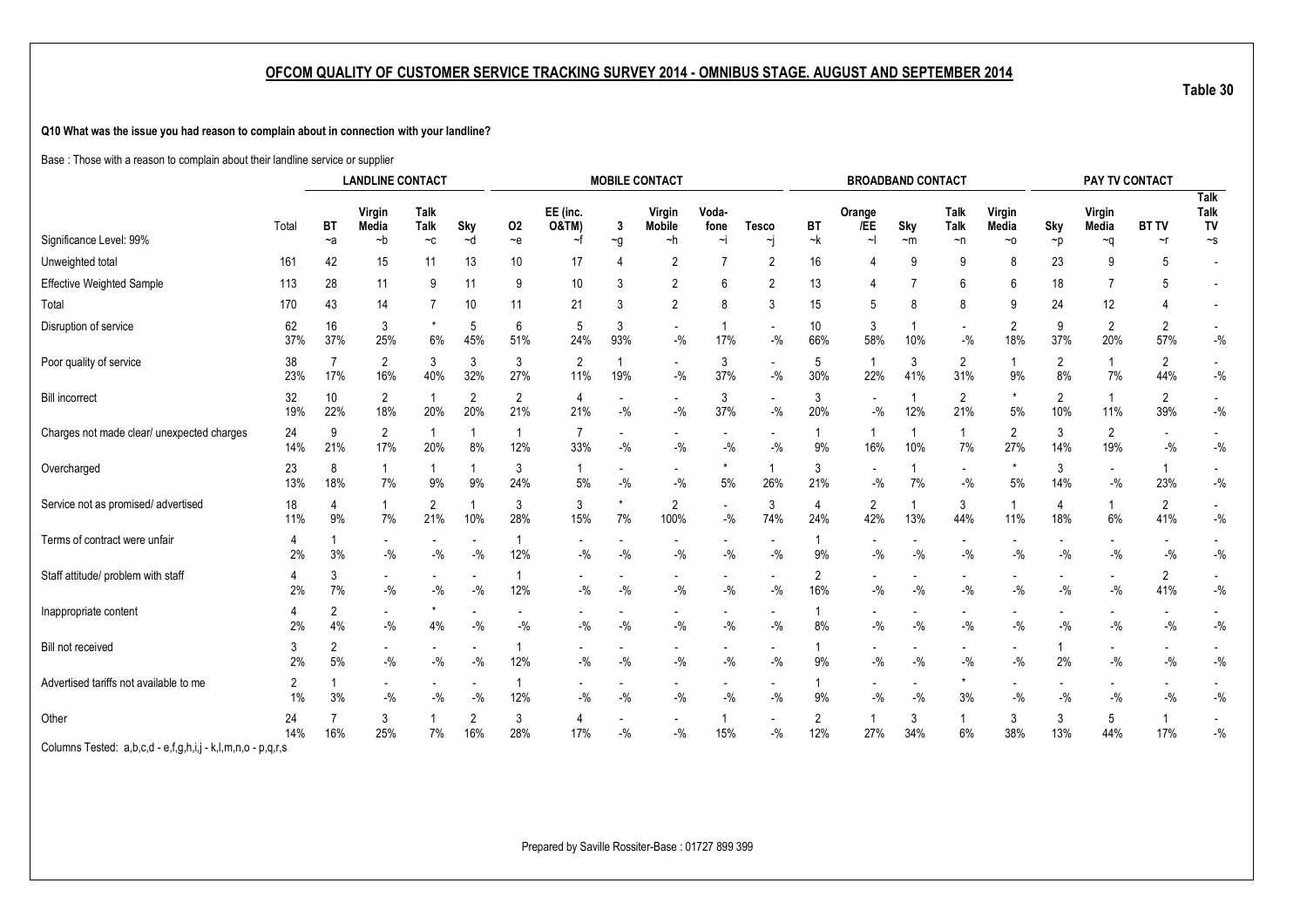**Q10 What was the issue you had reason to complain about in connection with your landline?**

Base : Those with a reason to complain about their landline service or supplier

|                                                             |           | <b>LANDLINE CONTACT</b> |                                    |                                   |                                   |                       |                                   |                         | <b>MOBILE CONTACT</b>             |                                   |                                    |                    | <b>BROADBAND CONTACT</b>          |                     |                                   |                       |                                    | PAY TV CONTACT                    |                       |                                    |
|-------------------------------------------------------------|-----------|-------------------------|------------------------------------|-----------------------------------|-----------------------------------|-----------------------|-----------------------------------|-------------------------|-----------------------------------|-----------------------------------|------------------------------------|--------------------|-----------------------------------|---------------------|-----------------------------------|-----------------------|------------------------------------|-----------------------------------|-----------------------|------------------------------------|
|                                                             | Total     | <b>BT</b>               | Virgin<br>Media                    | Talk<br>Talk                      | Sky                               | 02                    | EE (inc.<br><b>O&amp;TM)</b>      | 3                       | Virgin<br><b>Mobile</b>           | Voda-<br>fone                     | <b>Tesco</b>                       | BT                 | Orange<br>/EE                     | Sky                 | Talk<br><b>Talk</b>               | Virgin<br>Media       | Sky                                | Virgin<br>Media                   | <b>BT TV</b>          | <b>Talk</b><br><b>Talk</b><br>TV   |
| Significance Level: 99%                                     |           | $-a$                    | $-b$                               | $-c$                              | ~d                                | ~e                    | ~f                                | $\sim g$                | $-h$                              | $\sim$                            | ۰j                                 | $-k$               | $\sim$                            | $~\sim$ m           | ~n                                | ~0                    | $\neg p$                           | ∼q                                | $\sim$ r              | $\mathord{\sim} \mathsf{s}$        |
| Unweighted total                                            | 161       | 42                      | 15                                 | 11                                | 13                                | 10 <sup>°</sup>       | 17                                |                         | $\overline{2}$                    | 7                                 | $\overline{2}$                     | 16                 | 4                                 | 9                   | 9                                 | 8                     | 23                                 | 9                                 | 5                     |                                    |
| Effective Weighted Sample                                   | 113       | 28                      | 11                                 | 9                                 | 11                                | 9                     | 10                                | 3                       | $\overline{2}$                    | 6                                 | $\overline{2}$                     | 13                 | 4                                 |                     | 6                                 | 6                     | 18                                 |                                   | 5                     |                                    |
| Total                                                       | 170       | 43                      | 14                                 |                                   | 10                                | 11                    | 21                                | 3                       | $\overline{2}$                    | 8                                 | 3                                  | 15                 | 5                                 | 8                   | 8                                 | 9                     | 24                                 | 12                                |                       | $\overline{\phantom{a}}$           |
| Disruption of service                                       | 62<br>37% | 16<br>37%               | 3<br>25%                           | 6%                                | 5<br>45%                          | 6<br>51%              | 5<br>24%                          | 3<br>93%                | $\overline{\phantom{a}}$<br>$-$ % | 17%                               | $\overline{\phantom{a}}$<br>$-9/6$ | 10<br>66%          | 3<br>58%                          | 10%                 | $\overline{\phantom{a}}$<br>$-$ % | $\overline{2}$<br>18% | 9<br>37%                           | $\overline{2}$<br>20%             | $\overline{2}$<br>57% | $-$ %                              |
| Poor quality of service                                     | 38<br>23% | 7<br>17%                | 2<br>16%                           | 3<br>40%                          | 3<br>32%                          | 3<br>27%              | $\overline{2}$<br>11%             | 19%                     | $\blacksquare$<br>$-$ %           | 3<br>37%                          | $\blacksquare$<br>$-{\%}$          | 5<br>30%           | $\overline{\mathbf{1}}$<br>22%    | 3<br>41%            | $\overline{2}$<br>31%             | $\mathbf{1}$<br>9%    | 2<br>8%                            | 7%                                | 2<br>44%              | $-$ %                              |
| <b>Bill incorrect</b>                                       | 32<br>19% | 10<br>22%               | $\mathbf{2}$<br>18%                | 20%                               | $\overline{2}$<br>20%             | 2<br>21%              | 4<br>21%                          | $-$ %                   | $\overline{\phantom{a}}$<br>$-$ % | 3<br>37%                          | $\blacksquare$<br>$-$ %            | 3<br>20%           | $\overline{\phantom{a}}$<br>$-$ % | 1<br>12%            | $\overline{2}$<br>21%             | $\star$<br>$5%$       | 2<br>10%                           | 11%                               | 2<br>39%              | $\overline{\phantom{a}}$<br>$-$ %  |
| Charges not made clear/ unexpected charges                  | 24<br>14% | 9<br>21%                | $\overline{2}$<br>17%              | 20%                               | 8%                                | $\overline{1}$<br>12% | $\overline{7}$<br>33%             | $-9/6$                  | $\overline{\phantom{a}}$<br>$-$ % | $-$ %                             | $\sim$<br>$-$ %                    | $\mathbf{1}$<br>9% | -1<br>16%                         | $\mathbf{1}$<br>10% | $\mathbf{1}$<br>7%                | 2<br>27%              | 3<br>14%                           | $\overline{2}$<br>19%             | $-$ %                 | $\overline{\phantom{a}}$<br>$-$ %  |
| Overcharged                                                 | 23<br>13% | 8<br>18%                | 7%                                 | 9%                                | 9%                                | 3<br>24%              | 5%                                | $-$ %                   | $\overline{\phantom{a}}$<br>$-$ % | $5%$                              | $\mathbf{1}$<br>26%                | 3<br>21%           | $\overline{\phantom{a}}$<br>$-$ % | $\mathbf{1}$<br>7%  | $\blacksquare$<br>$-$ %           | 5%                    | 3<br>14%                           | $\overline{\phantom{a}}$<br>$-$ % | 23%                   | $\overline{\phantom{a}}$<br>$-$ %  |
| Service not as promised/ advertised                         | 18<br>11% | 4<br>9%                 | 7%                                 | $\overline{2}$<br>21%             | 10%                               | 3<br>28%              | 3<br>15%                          | 7%                      | $\overline{2}$<br>100%            | $\overline{\phantom{a}}$<br>$-$ % | 3<br>74%                           | 4<br>24%           | $\overline{2}$<br>42%             | $\mathbf{1}$<br>13% | 3<br>44%                          | $\mathbf{1}$<br>11%   | $\overline{4}$<br>18%              | 6%                                | $\overline{2}$<br>41% | $-$ %                              |
| Terms of contract were unfair                               | 4<br>2%   | 3%                      | $\sim$<br>$-$ %                    | $\overline{\phantom{0}}$<br>$-$ % | $\overline{\phantom{a}}$<br>$-$ % | 12%                   | $\overline{\phantom{a}}$<br>$-$ % | $\blacksquare$<br>$-$ % | $\overline{\phantom{a}}$<br>$-$ % | $\overline{\phantom{a}}$<br>$-$ % | $\sim$<br>$-9/6$                   | 9%                 | $-$ %                             | $-$ %               | $\blacksquare$<br>$-$ %           | $-$ %                 | $\overline{\phantom{a}}$<br>$-9/6$ | $-9/6$                            | $-9/6$                | $-$ %                              |
| Staff attitude/ problem with staff                          | 2%        | 3<br>7%                 | $-$ %                              | $-$ %                             | $-$ %                             | 12%                   | $-$ %                             | $-$ %                   | $-$ %                             | $-$ %                             | $-9/6$                             | 2<br>16%           | $-$ %                             | $-9/6$              | $-$ %                             | $-$ %                 | $-$ %                              | $-$ %                             | $\overline{2}$<br>41% | $\overline{\phantom{a}}$<br>$-$ %  |
| Inappropriate content                                       | 4<br>2%   | 2<br>4%                 | $\sim$<br>$-$ %                    | 4%                                | $-{\%}$                           | $-$ %                 | $-$ %                             | $-$ %                   | $\overline{\phantom{a}}$<br>$-$ % | $-$ %                             | $-$ %                              | 8%                 | $-$ %                             | $-$ %               | $\blacksquare$<br>$-$ %           | $-$ %                 | $-{\%}$                            | $-9/0$                            | $-$ %                 | $\blacksquare$<br>$-$ %            |
| Bill not received                                           | 3<br>2%   | 2<br>5%                 | $\overline{\phantom{a}}$<br>$-9/0$ | $-9/0$                            | $-9/0$                            | 12%                   | $-9/0$                            | $-9/6$                  | $-$ %                             | $-9/0$                            | $-$ %                              | $\mathbf{1}$<br>9% | $-9/0$                            | $-$ %               | $-$ %                             | $-$ %                 | 2%                                 | $-$ %                             | $-9/0$                | $-$ %                              |
| Advertised tariffs not available to me                      | 2<br>1%   | 3%                      | $\sim$<br>$-$ %                    | $\overline{\phantom{a}}$<br>$-$ % | $-$ %                             | -1<br>12%             | $\overline{\phantom{0}}$<br>$-$ % | $-9/6$                  | $\overline{\phantom{a}}$<br>$-$ % | $-$ %                             | $\overline{\phantom{a}}$<br>$-$ %  | $\mathbf{1}$<br>9% | $\overline{\phantom{a}}$<br>$-$ % | $-$ %               | $\star$<br>3%                     | $-$ %                 | $\overline{\phantom{a}}$<br>$-$ %  | $-$ %                             | $-$ %                 | $\overline{\phantom{a}}$<br>$-9/0$ |
| Other                                                       | 24<br>14% | 16%                     | 3<br>25%                           | 7%                                | $\overline{2}$<br>16%             | 3<br>28%              | 4<br>17%                          | $-$ %                   | $\overline{\phantom{a}}$<br>$-$ % | 15%                               | $-$ %                              | 2<br>12%           | -1<br>27%                         | 3<br>34%            | $\mathbf{1}$<br>6%                | 3<br>38%              | 3<br>13%                           | 5<br>44%                          | 17%                   | $\blacksquare$<br>$-$ %            |
| Columns Tested: a,b,c,d - e,f,g,h,i,j - k,l,m,n,o - p,q,r,s |           |                         |                                    |                                   |                                   |                       |                                   |                         |                                   |                                   |                                    |                    |                                   |                     |                                   |                       |                                    |                                   |                       |                                    |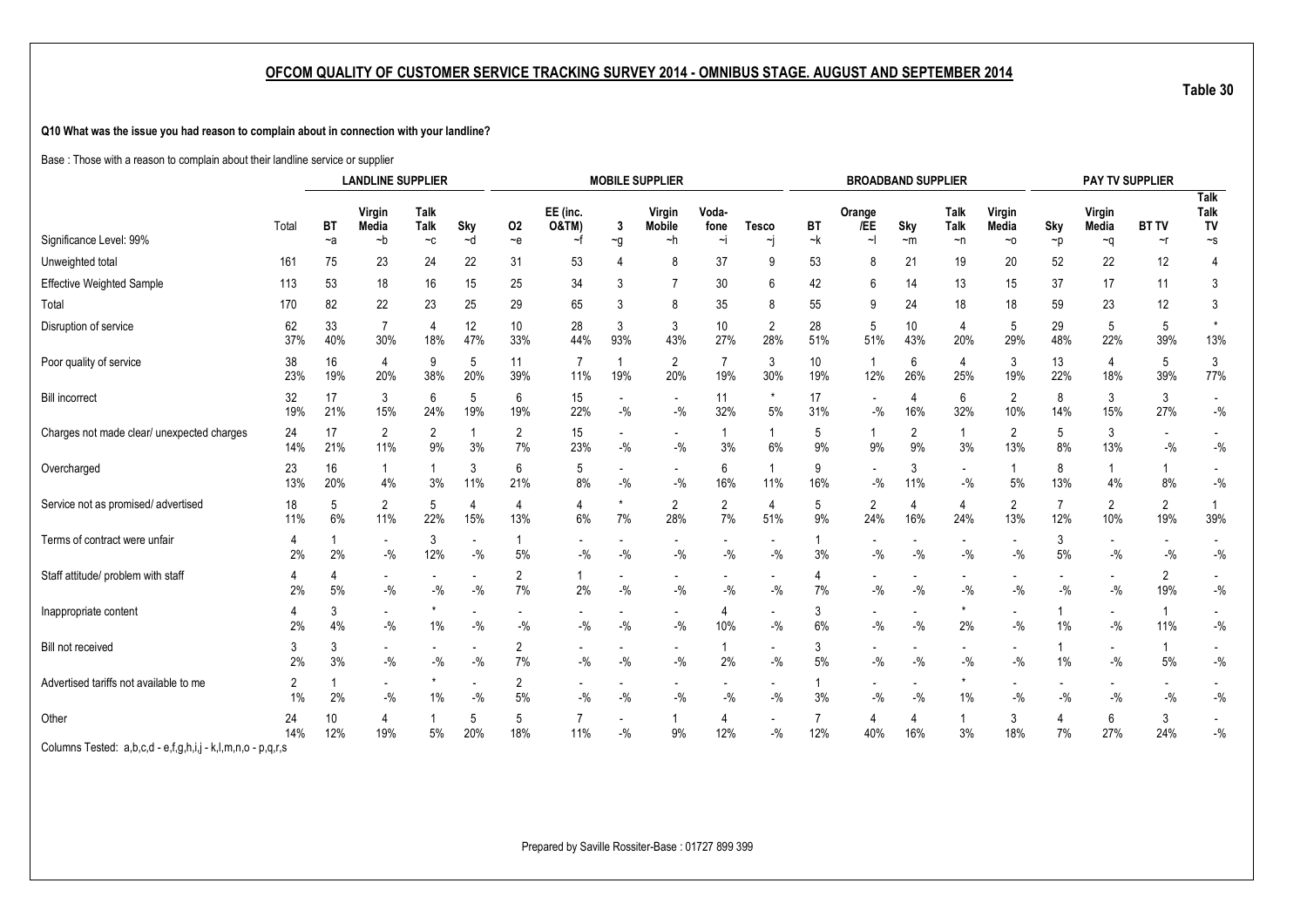**Q10 What was the issue you had reason to complain about in connection with your landline?**

Base : Those with a reason to complain about their landline service or supplier

|                                                             |                      |                                                                                        |                                   |          |                       |                        |                                   |                          | <b>MOBILE SUPPLIER</b>             |                                   |                                    |           | <b>BROADBAND SUPPLIER</b>          |                                    |                                   |                       |                                   | PAY TV SUPPLIER          |                       |                                   |
|-------------------------------------------------------------|----------------------|----------------------------------------------------------------------------------------|-----------------------------------|----------|-----------------------|------------------------|-----------------------------------|--------------------------|------------------------------------|-----------------------------------|------------------------------------|-----------|------------------------------------|------------------------------------|-----------------------------------|-----------------------|-----------------------------------|--------------------------|-----------------------|-----------------------------------|
|                                                             | Total                | <b>LANDLINE SUPPLIER</b><br>Talk<br>Virgin<br><b>Talk</b><br><b>BT</b><br>Media<br>Sky |                                   |          |                       | 02                     | EE (inc.<br><b>O&amp;TM)</b>      | 3                        | Virgin<br><b>Mobile</b>            | Voda-<br>fone                     | <b>Tesco</b>                       | BT        | Orange<br>/EE                      | Sky                                | Talk<br>Talk                      | Virgin<br>Media       | Sky                               | Virgin<br>Media          | <b>BT TV</b>          | <b>Talk</b><br><b>Talk</b><br>TV  |
| Significance Level: 99%                                     |                      | $-a$                                                                                   | $-b$                              | $-c$     | $-d$                  | $-e$                   | ~f                                | $\sim g$                 | ~h                                 | $\sim$                            | ∼j                                 | ~k        | $\sim$                             | $~\sim$ m                          | $\neg$ n                          | $~\sim$ 0             | $\neg p$                          | ∼q                       | $\sim$ r              | $\mathord{\sim} \mathsf{s}$       |
| Unweighted total                                            | 161                  | 75                                                                                     | 23                                | 24       | 22                    | 31                     | 53                                |                          | 8                                  | 37                                | 9                                  | 53        | 8                                  | 21                                 | 19                                | 20                    | 52                                | 22                       | 12                    | 4                                 |
| <b>Effective Weighted Sample</b>                            | 113                  | 53                                                                                     | 18                                | 16       | 15                    | 25                     | 34                                | 3                        | $\overline{7}$                     | 30                                | 6                                  | 42        | 6                                  | 14                                 | 13                                | 15                    | 37                                | 17                       | 11                    | 3                                 |
| Total                                                       | 170                  | 82                                                                                     | 22                                | 23       | 25                    | 29                     | 65                                | 3                        | 8                                  | 35                                | 8                                  | 55        | 9                                  | 24                                 | 18                                | 18                    | 59                                | 23                       | 12                    | 3                                 |
| Disruption of service                                       | 62<br>37%            | 33<br>40%                                                                              | $\overline{7}$<br>30%             | 4<br>18% | 12<br>47%             | 10 <sup>°</sup><br>33% | 28<br>44%                         | 3<br>93%                 | 3<br>43%                           | 10<br>27%                         | $\overline{2}$<br>28%              | 28<br>51% | 5<br>51%                           | 10<br>43%                          | $\overline{4}$<br>20%             | 5<br>29%              | 29<br>48%                         | 5<br>22%                 | 5<br>39%              | $^\star$<br>13%                   |
| Poor quality of service                                     | 38<br>23%            | 16<br>19%                                                                              | 4<br>20%                          | 9<br>38% | 5<br>20%              | 11<br>39%              | $\overline{7}$<br>11%             | 1<br>19%                 | $\overline{2}$<br>20%              | $\overline{7}$<br>19%             | 3<br>30%                           | 10<br>19% | $\overline{1}$<br>12%              | 6<br>26%                           | 4<br>25%                          | 3<br>19%              | 13<br>22%                         | $\overline{4}$<br>18%    | 5<br>39%              | 3<br>77%                          |
| <b>Bill incorrect</b>                                       | 32<br>19%            | 17<br>21%                                                                              | 3<br>15%                          | 6<br>24% | 5<br>19%              | 6<br>19%               | 15<br>22%                         | $-$ %                    | $\overline{\phantom{a}}$<br>$-$ %  | 11<br>32%                         | $^\star$<br>5%                     | 17<br>31% | $-$ %                              | 4<br>16%                           | 6<br>32%                          | $\overline{2}$<br>10% | 8<br>14%                          | 3<br>15%                 | 3<br>27%              | $\blacksquare$<br>$-$ %           |
| Charges not made clear/ unexpected charges                  | 24<br>14%            | 17<br>21%                                                                              | $\mathbf{2}$<br>11%               | 2<br>9%  | 3%                    | 2<br>7%                | 15<br>23%                         | $-$ %                    | $\overline{\phantom{a}}$<br>$-$ %  | 3%                                | $\mathbf{1}$<br>6%                 | 5<br>9%   | 1<br>9%                            | $\overline{2}$<br>9%               | $\mathbf{1}$<br>3%                | $\overline{2}$<br>13% | 5<br>8%                           | 3<br>13%                 | $-$ %                 | $\overline{\phantom{a}}$<br>$-$ % |
| Overcharged                                                 | 23<br>13%            | 16<br>20%                                                                              | 4%                                | 3%       | 3<br>11%              | 6<br>21%               | 5<br>8%                           | $-$ %                    | $\overline{\phantom{a}}$<br>$-$ %  | 6<br>16%                          | $\mathbf{1}$<br>11%                | 9<br>16%  | $-$ %                              | 3<br>11%                           | $\overline{\phantom{a}}$<br>$-$ % | 1<br>5%               | 8<br>13%                          | 4%                       | 8%                    | $\overline{\phantom{a}}$<br>$-$ % |
| Service not as promised/ advertised                         | 18<br>11%            | 5<br>6%                                                                                | $\overline{2}$<br>11%             | 5<br>22% | $\overline{4}$<br>15% | 4<br>13%               | $\overline{4}$<br>6%              | 7%                       | $\overline{2}$<br>28%              | $\overline{2}$<br>7%              | $\overline{4}$<br>51%              | 5<br>9%   | $\overline{c}$<br>24%              | 4<br>16%                           | $\overline{4}$<br>24%             | $\overline{2}$<br>13% | $\overline{7}$<br>12%             | $\overline{2}$<br>10%    | $\overline{c}$<br>19% | $\overline{1}$<br>39%             |
| Terms of contract were unfair                               | 4<br>2%              | 2%                                                                                     | $\sim$<br>$-$ %                   | 3<br>12% | $-9/6$                | 5%                     | -<br>$-9/0$                       | $\blacksquare$<br>$-9/6$ | $\overline{\phantom{a}}$<br>$-9/6$ | $\overline{\phantom{a}}$<br>$-$ % | $\sim$<br>$-9/6$                   | 3%        | $\overline{\phantom{a}}$<br>$-9/6$ | $\overline{\phantom{0}}$<br>$-9/6$ | $\overline{\phantom{a}}$<br>$-$ % | $-9/6$                | 3<br>5%                           | $\blacksquare$<br>$-9/6$ | $-9/6$                | $\overline{\phantom{a}}$<br>$-$ % |
| Staff attitude/ problem with staff                          | 4<br>2%              | 4<br>$5%$                                                                              | $\sim$<br>$-$ %                   | $-$ %    | $-$ %                 | $\overline{2}$<br>7%   | 2%                                | $-9/6$                   | $\overline{\phantom{a}}$<br>$-$ %  | $-$ %                             | $\overline{\phantom{a}}$<br>$-9/6$ | 4<br>7%   | $-$ %                              | $-9/6$                             | $\frac{1}{2}$<br>$-$ %            | $-$ %                 | $-$ %                             | $-$ %                    | 2<br>19%              | $\overline{\phantom{a}}$<br>$-$ % |
| Inappropriate content                                       | 4<br>2%              | 3<br>4%                                                                                | $\sim$<br>$-$ %                   | $1\%$    | $-{\%}$               | $-$ %                  | $-$ %                             | $-$ %                    | $\overline{\phantom{a}}$<br>$-$ %  | 4<br>10%                          | $\blacksquare$<br>$-$ %            | 3<br>6%   | $-$ %                              | $-$ %                              | $\star$<br>2%                     | $-9/0$                | $1\%$                             | $-$ %                    | 11%                   | $\blacksquare$<br>$-$ %           |
| Bill not received                                           | 3<br>2%              | 3<br>3%                                                                                | $\sim$<br>$-$ %                   | $-$ %    | $-$ %                 | 2<br>7%                | $-$ %                             | $-$ %                    | $-$ %                              | 2%                                | $\blacksquare$<br>$-$ %            | 3<br>5%   | $-$ %                              | $-$ %                              | $-$ %                             | $-$ %                 | 1%                                | $-$ %                    | 5%                    | $\blacksquare$<br>$-$ %           |
| Advertised tariffs not available to me                      | $\overline{2}$<br>1% | 2%                                                                                     | $\overline{\phantom{a}}$<br>$-$ % | 1%       | $-9/6$                | 2<br>5%                | $\overline{\phantom{0}}$<br>$-$ % | $-9/6$                   | $\overline{\phantom{a}}$<br>$-$ %  | $-$ %                             | $\blacksquare$<br>$-$ %            | 1<br>3%   | $\overline{\phantom{a}}$<br>$-$ %  | $-$ %                              | $\star$<br>1%                     | $-$ %                 | $\overline{\phantom{a}}$<br>$-$ % | $-$ %                    | $-$ %                 | $\overline{\phantom{a}}$<br>$-$ % |
| Other                                                       | 24<br>14%            | 10<br>12%                                                                              | 4<br>19%                          | 5%       | 5<br>20%              | 5<br>18%               | 7<br>11%                          | $-9/6$                   | 1<br>9%                            | 4<br>12%                          | $\overline{\phantom{a}}$<br>$-$ %  | 7<br>12%  | 4<br>40%                           | 4<br>16%                           | $\mathbf{1}$<br>3%                | 3<br>18%              | $\overline{4}$<br>7%              | 6<br>27%                 | 3<br>24%              | $\blacksquare$<br>$-$ %           |
| Columns Tested: a,b,c,d - e,f,g,h,i,j - k,l,m,n,o - p,q,r,s |                      |                                                                                        |                                   |          |                       |                        |                                   |                          |                                    |                                   |                                    |           |                                    |                                    |                                   |                       |                                   |                          |                       |                                   |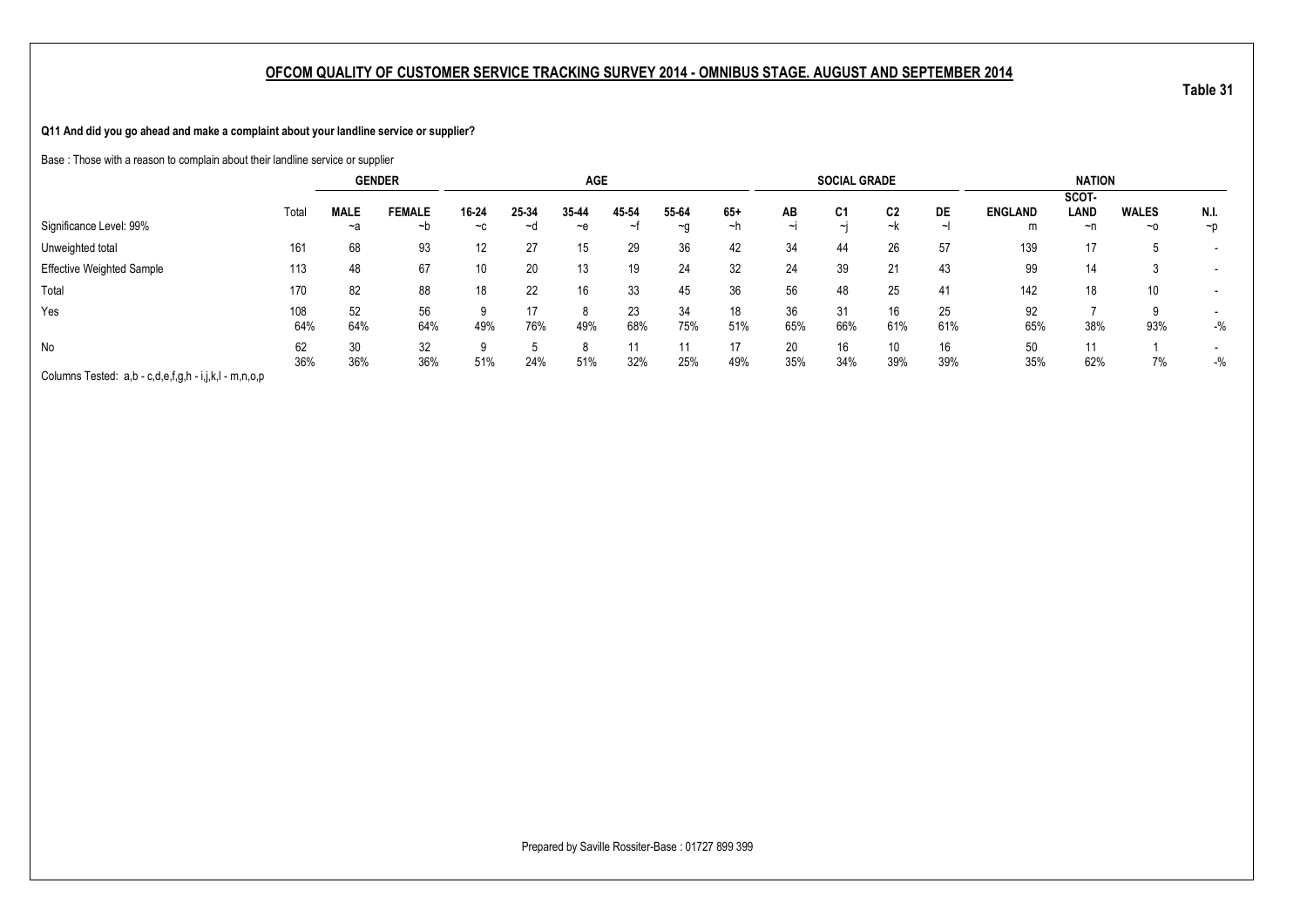**Q11 And did you go ahead and make a complaint about your landline service or supplier?**

Base : Those with a reason to complain about their landline service or supplier

|                                                       |            |                   | <b>GENDER</b>       |               |             | <b>AGE</b>  |            |                    |             |                | <b>SOCIAL GRADE</b>  |           |           |                     | <b>NATION</b>       |                    |                  |
|-------------------------------------------------------|------------|-------------------|---------------------|---------------|-------------|-------------|------------|--------------------|-------------|----------------|----------------------|-----------|-----------|---------------------|---------------------|--------------------|------------------|
| Significance Level: 99%                               | Total      | <b>MALE</b><br>~a | <b>FEMALE</b><br>~b | 16-24<br>$-c$ | 25-34<br>∼d | 35-44<br>~e | 45 54<br>∼ | 55-64<br>$-a$      | $65+$<br>∼h | AB<br>$\sim$ I | C <sub>1</sub><br>∼∣ | C2<br>~k  | DE        | <b>ENGLAND</b><br>m | SCOT-<br>LAND<br>~n | <b>WALES</b><br>~0 | N.I.<br>$\neg$ p |
| Unweighted total                                      | 161        | 68                | 93                  | 12            | 27          | 15          | 29         | 36                 | 42          | 34             | 44                   | 26        | 57        | 139                 | 17                  |                    |                  |
| <b>Effective Weighted Sample</b>                      | 113        | 48                | 67                  | 10            | 20          | 13          | 19         | 24                 | 32          | 24             | 39                   | 21        | 43        | 99                  | 14                  |                    |                  |
| Total                                                 | 170        | 82                | 88                  | 18            | 22          | 16          | 33         | 45                 | 36          | 56             | 48                   | 25        | 41        | 142                 | 18                  | 10                 |                  |
| Yes                                                   | 108<br>64% | 52<br>64%         | 56<br>64%           | a<br>49%      | 17<br>76%   | 8<br>49%    | 23<br>68%  | 34<br>75%          | 18<br>51%   | 36<br>65%      | 31<br>66%            | 16<br>61% | 25<br>61% | 92<br>65%           | 38%                 | a<br>93%           | $-$ %            |
| No                                                    | 62<br>36%  | 30<br>36%         | 32<br>36%           | a<br>51%      | 24%         | 8<br>51%    | 32%        | $1^{\circ}$<br>25% | 17<br>49%   | 20<br>35%      | 16<br>34%            | 10<br>39% | 16<br>39% | 50<br>35%           | 11<br>62%           | 7%                 | $-$ %            |
| Columns Tested: a,b - c,d,e,f,g,h - i,j,k,l - m,n,o,p |            |                   |                     |               |             |             |            |                    |             |                |                      |           |           |                     |                     |                    |                  |

Prepared by Saville Rossiter-Base : 01727 899 399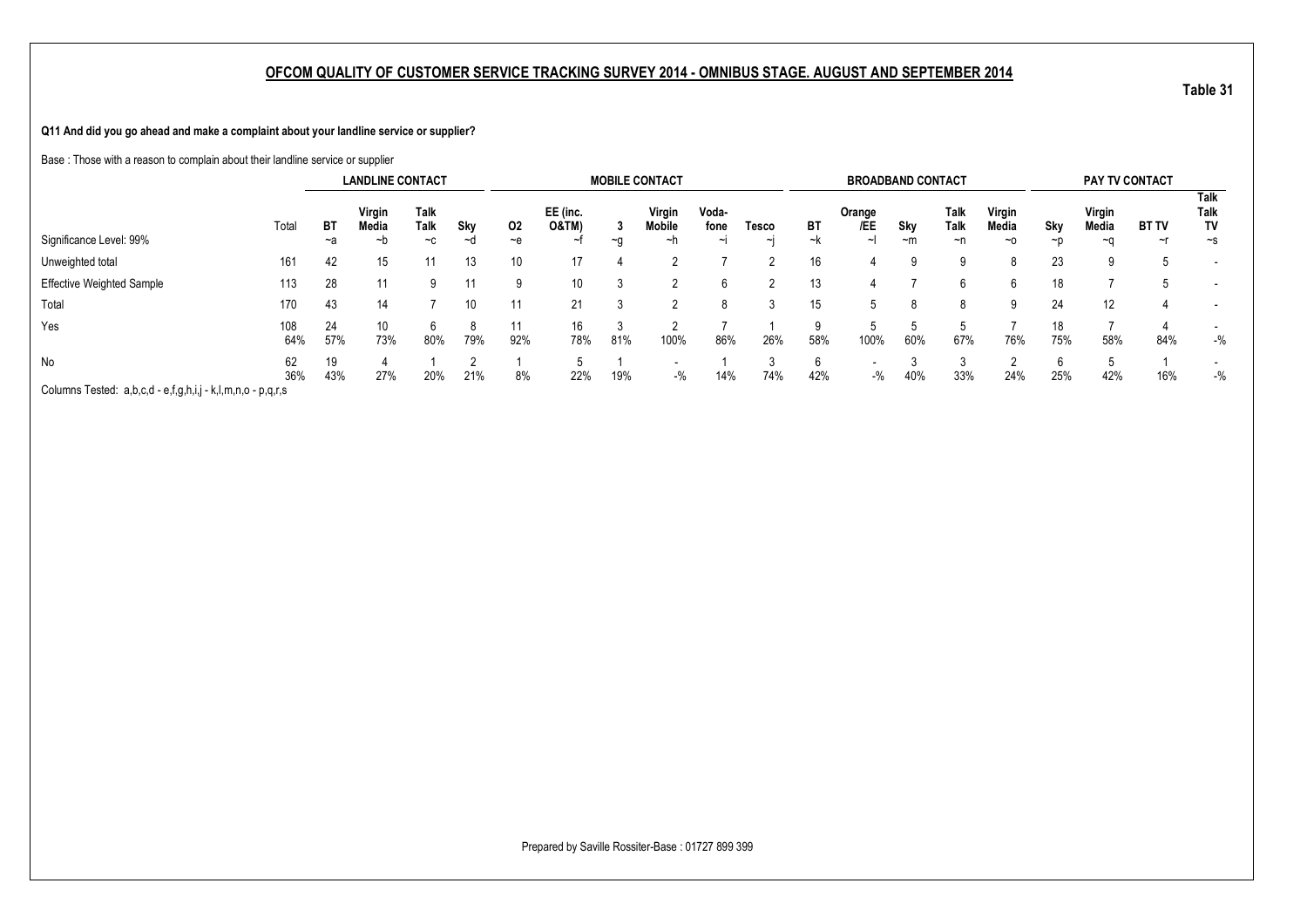**Q11 And did you go ahead and make a complaint about your landline service or supplier?**

Base : Those with a reason to complain about their landline service or supplier

|                                                             |            |           | <b>LANDLINE CONTACT</b> |                      |           |                |                                    |      | <b>MOBILE CONTACT</b>  |                         |             |          | <b>BROADBAND CONTACT</b> |                  |                           |                       |           | PAY TV CONTACT        |                    |                                |
|-------------------------------------------------------------|------------|-----------|-------------------------|----------------------|-----------|----------------|------------------------------------|------|------------------------|-------------------------|-------------|----------|--------------------------|------------------|---------------------------|-----------------------|-----------|-----------------------|--------------------|--------------------------------|
| Significance Level: 99%                                     | Total      | BT<br>~a  | Virgin<br>Media<br>~b   | Talk<br>Talk<br>$-c$ | Sky<br>∼d | 02<br>$\sim$ e | EE (inc.<br><b>O&amp;TM)</b><br>∼t | $-a$ | Virgin<br>Mobile<br>~h | Voda-<br>fone<br>$\sim$ | Tesco<br>~I | ВT<br>~k | Orange<br>/EE            | Sky<br>$~\sim m$ | Talk<br><b>Talk</b><br>~n | Virgin<br>Media<br>~0 | Sky<br>~p | Virgin<br>Media<br>∼٢ | <b>BT TV</b><br>~r | Talk<br>Talk<br>TV<br>$\sim$ s |
| Unweighted total                                            | 161        | 42        | 15                      |                      | 13        | 10             | 17                                 |      |                        |                         |             | 16       |                          |                  | a                         |                       | 23        |                       | b                  |                                |
| <b>Effective Weighted Sample</b>                            | 113        | 28        |                         | a                    | 11        | 9              | 10                                 |      |                        |                         |             | 13       | 4                        |                  | 6                         | 6                     | 18        |                       |                    | $\overline{\phantom{a}}$       |
| Total                                                       | 170        | 43        | 14                      |                      | 10        | 11             | 21                                 |      |                        |                         |             | 15       | 5                        |                  | Ö                         |                       | 24        | 12                    | 4                  |                                |
| Yes                                                         | 108<br>64% | 24<br>57% | 10<br>73%               | 80%                  | 79%       | 11<br>92%      | 16<br>78%                          | 81%  | $\sim$<br>100%         | 86%                     | 26%         | 58%      | 100%                     | 60%              | 67%                       | 76%                   | 18<br>75% | 58%                   | 84%                | $-$ %                          |
| No                                                          | 62<br>36%  | 19<br>43% | 27%                     | 20%                  | 21%       | 8%             | 22%                                | 19%  | $-$ %                  | 14%                     | 74%         | 42%      | $-$ %                    | 40%              | 33%                       | 24%                   | 6<br>25%  | 42%                   | 16%                | $-$ %                          |
| Columns Tested: a,b,c,d - e,f,g,h,i,j - k,l,m,n,o - p,q,r,s |            |           |                         |                      |           |                |                                    |      |                        |                         |             |          |                          |                  |                           |                       |           |                       |                    |                                |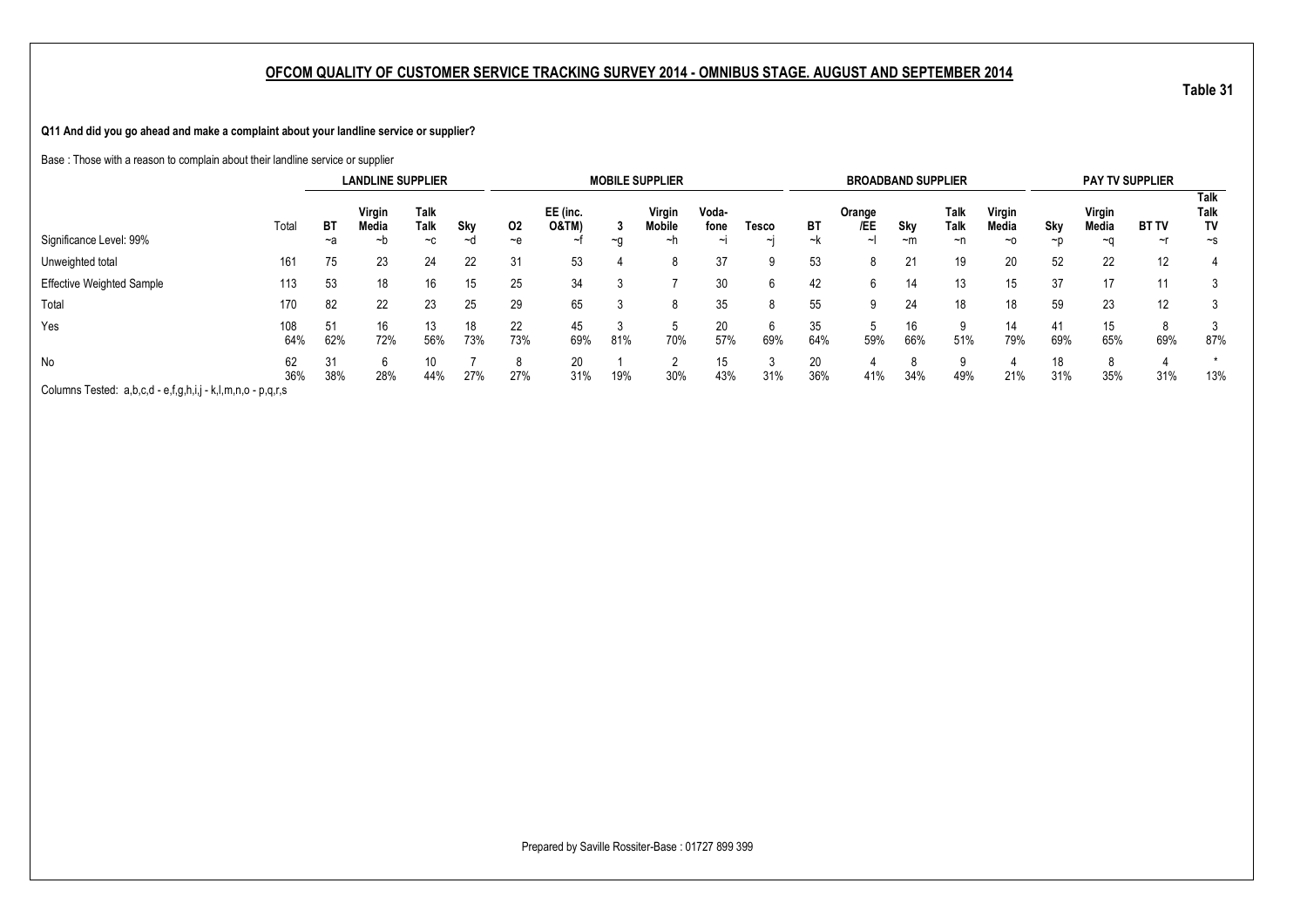**Q11 And did you go ahead and make a complaint about your landline service or supplier?**

Base : Those with a reason to complain about their landline service or supplier

|                                                             |            |           | <b>LANDLINE SUPPLIER</b> |                             |           |            |                              |      | <b>MOBILE SUPPLIER</b> |                           |                   |           | <b>BROADBAND SUPPLIER</b> |             |                    |                              |                 | <b>PAY TV SUPPLIER</b> |                          |                                |
|-------------------------------------------------------------|------------|-----------|--------------------------|-----------------------------|-----------|------------|------------------------------|------|------------------------|---------------------------|-------------------|-----------|---------------------------|-------------|--------------------|------------------------------|-----------------|------------------------|--------------------------|--------------------------------|
| Significance Level: 99%                                     | Total      | BT<br>~a  | Virgin<br>Media<br>~b    | <b>Talk</b><br>Talk<br>$-c$ | Skv<br>~a | 02<br>$-e$ | EE (inc.<br><b>O&amp;TM)</b> | $-a$ | Virgin<br>Mobile<br>∼h | Voda-<br>fone<br>$\sim$ L | Tesco<br>$\sim$ l | ВT<br>~k  | Orange<br>/EE<br>∼        | Sky<br>$-m$ | Talk<br>Talk<br>~n | Virgin<br>Media<br>$~\sim$ 0 | Skv<br>$\neg$ p | Virgin<br>Media<br>~(  | <b>BT TV</b><br>$\sim$ r | Talk<br>Talk<br>TV<br>$\sim$ s |
| Unweighted total                                            | 161        | 75        | 23                       | 24                          | 22        | 31         | 53                           |      |                        | 37                        |                   | 53        | 8                         | 21          | 19                 | 20                           | 52              | 22                     | 12                       |                                |
| <b>Effective Weighted Sample</b>                            | 113        | 53        | 18                       | 16                          | 15        | 25         | 34                           |      |                        | 30                        |                   | 42        | h                         | 14          | 13                 | 15                           | 37              | 17                     |                          |                                |
| Total                                                       | 170        | 82        | 22                       | 23                          | 25        | 29         | 65                           | ٠J.  |                        | 35                        |                   | 55        |                           | 24          | 18                 | 18                           | 59              | 23                     | 12                       |                                |
| Yes                                                         | 108<br>64% | 51<br>62% | 16<br>72%                | 13<br>56%                   | 18<br>73% | 22<br>73%  | 45<br>69%                    | 81%  | 70%                    | 20<br>57%                 | 69%               | 35<br>64% | 59%                       | 16<br>66%   | 51%                | 14<br>79%                    | 41<br>69%       | 15<br>65%              | 69%                      | 87%                            |
| No                                                          | 62<br>36%  | 31<br>38% | 6<br>28%                 | 10<br>44%                   | 27%       | 8<br>27%   | 20<br>31%                    | 19%  | 30%                    | 15<br>43%                 | 31%               | 20<br>36% | 41%                       | 34%         | a<br>49%           | 21%                          | 18<br>31%       | 8<br>35%               | 31%                      | 13%                            |
| Columns Tested: a,b,c,d - e,f,g,h,i,j - k,l,m,n,o - p,q,r,s |            |           |                          |                             |           |            |                              |      |                        |                           |                   |           |                           |             |                    |                              |                 |                        |                          |                                |

**Table 31**

Prepared by Saville Rossiter-Base : 01727 899 399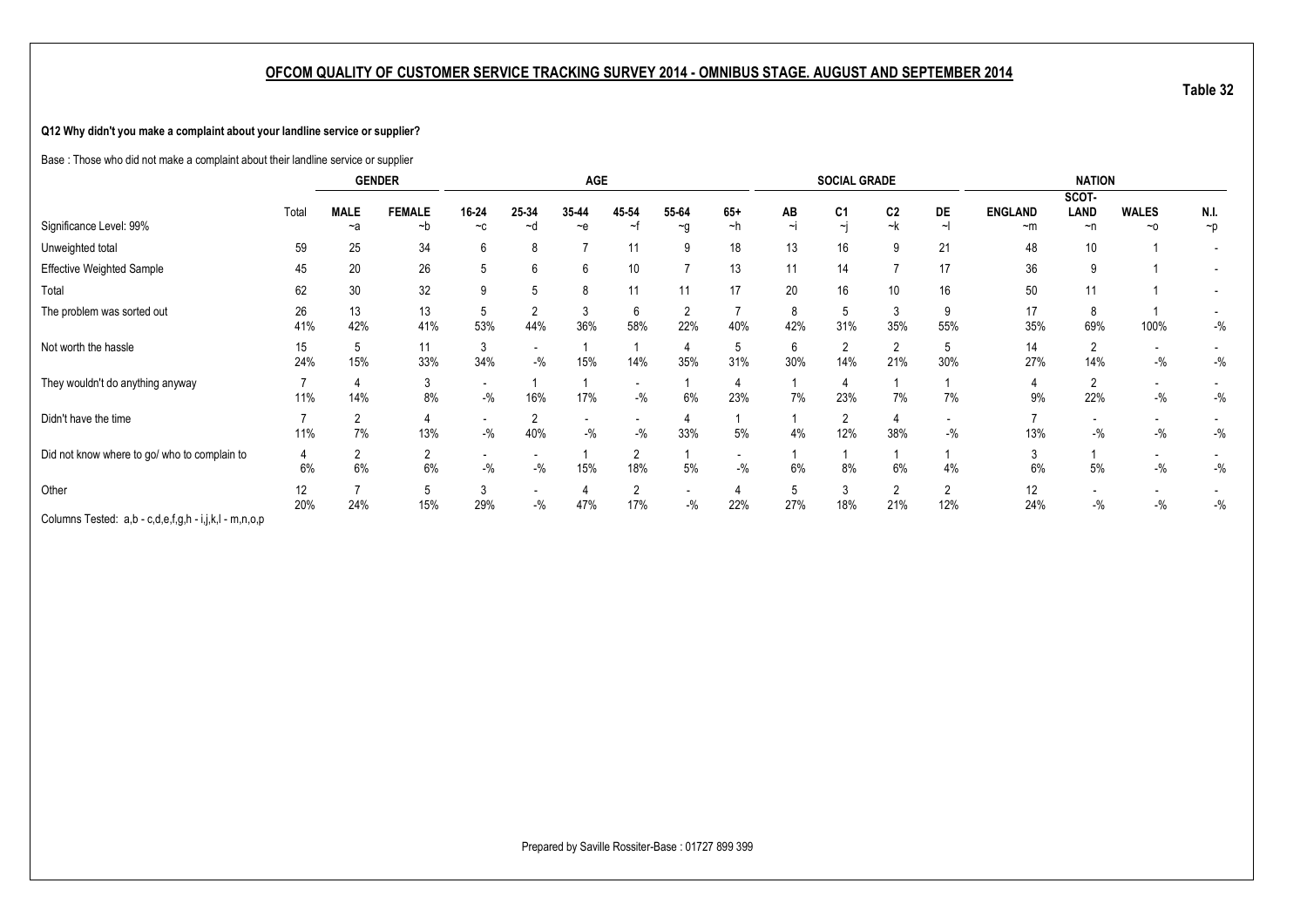#### **Q12 Why didn't you make a complaint about your landline service or supplier?**

Base : Those who did not make a complaint about their landline service or supplier

|                                                    |           |                      | <b>GENDER</b>        |                                   |             | <b>AGE</b>                        |                       |                   |                                   |                     | <b>SOCIAL GRADE</b>      |                            |          |                             | <b>NATION</b>   |                           |                  |
|----------------------------------------------------|-----------|----------------------|----------------------|-----------------------------------|-------------|-----------------------------------|-----------------------|-------------------|-----------------------------------|---------------------|--------------------------|----------------------------|----------|-----------------------------|-----------------|---------------------------|------------------|
|                                                    |           |                      |                      |                                   |             |                                   |                       |                   |                                   |                     |                          |                            |          |                             | SCOT-           |                           |                  |
| Significance Level: 99%                            | Total     | <b>MALE</b><br>~a    | <b>FEMALE</b><br>∼b  | 16-24<br>$-c$                     | 25-34<br>∼d | 35-44<br>$-e$                     | 45-54<br>~f           | 55-64<br>$\sim g$ | $65+$<br>~h                       | AB<br>$\sim$        | C <sub>1</sub><br>$\sim$ | C <sub>2</sub><br>$\sim$ k | DE       | <b>ENGLAND</b><br>$~\sim m$ | LAND<br>~n      | <b>WALES</b><br>$~\sim$ 0 | N.I.<br>$\neg p$ |
| Unweighted total                                   | 59        | 25                   | 34                   | 6                                 | 8           |                                   | 11                    | 9                 | 18                                | 13                  | 16                       | 9                          | 21       | 48                          | 10 <sup>°</sup> |                           |                  |
| Effective Weighted Sample                          | 45        | 20                   | 26                   |                                   | 6           | 6                                 | 10                    | -                 | 13                                | 11                  | 14                       |                            | 17       | 36                          | 9               |                           |                  |
| Total                                              | 62        | 30                   | 32                   |                                   |             | 8                                 | 11                    | 11                | 17                                | 20                  | 16                       | 10                         | 16       | 50                          |                 |                           |                  |
| The problem was sorted out                         | 26<br>41% | 13<br>42%            | 13<br>41%            | 53%                               | 44%         | 3<br>36%                          | 6<br>58%              | 2<br>22%          | 40%                               | 8<br>42%            | 5<br>31%                 | 35%                        | 9<br>55% | 17<br>35%                   | 8<br>69%        | 100%                      | $-$ %            |
| Not worth the hassle                               | 15<br>24% | 5<br>15%             | 11<br>33%            | 3<br>34%                          | $-9/6$      | 15%                               | 14%                   | 35%               | 31%                               | 6<br>30%            | $\overline{2}$<br>14%    | 21%                        | 5<br>30% | 14<br>27%                   | 2<br>14%        | $-$ %                     | $-$ %            |
| They wouldn't do anything anyway                   | 11%       | 14%                  | 3<br>8%              | $\overline{\phantom{a}}$<br>$-$ % | 16%         | 17%                               | $-$ %                 | 6%                | 23%                               | 7%                  | 4<br>23%                 | 7%                         | 7%       | 9%                          | 2<br>22%        | $-$ %                     | $-$ %            |
| Didn't have the time                               | 11%       | $\overline{2}$<br>7% | 13%                  | $\overline{\phantom{0}}$<br>$-$ % | 40%         | $\overline{\phantom{a}}$<br>$-$ % | $-$ %                 | 33%               | 5%                                | 4%                  | $\overline{2}$<br>12%    | 38%                        | $-9/6$   | 13%                         | $-$ %           | $-$ %                     | $-$ %            |
| Did not know where to go/ who to complain to       | 4<br>6%   | $\overline{2}$<br>6% | $\overline{2}$<br>6% | $-$ %                             | $-$ %       | 15%                               | $\Omega$<br>18%       | 5%                | $\overline{\phantom{a}}$<br>$-$ % | 6%                  | 8%                       | 6%                         | 4%       | 6%                          | 5%              | $-$ %                     | $-$ %            |
| Other<br>Oshuma Tashah a kasala fa katib la masara | 12<br>20% | 24%                  | 5<br>15%             | 3<br>29%                          | $-$ %       | 47%                               | $\overline{2}$<br>17% | $-$ %             | 22%                               | <sub>5</sub><br>27% | 3<br>18%                 | $\overline{2}$<br>21%      | 12%      | 12<br>24%                   | $-$ %           | $-$ %                     | $-$ %            |

Columns Tested: a,b - c,d,e,f,g,h - i,j,k,l - m,n,o,p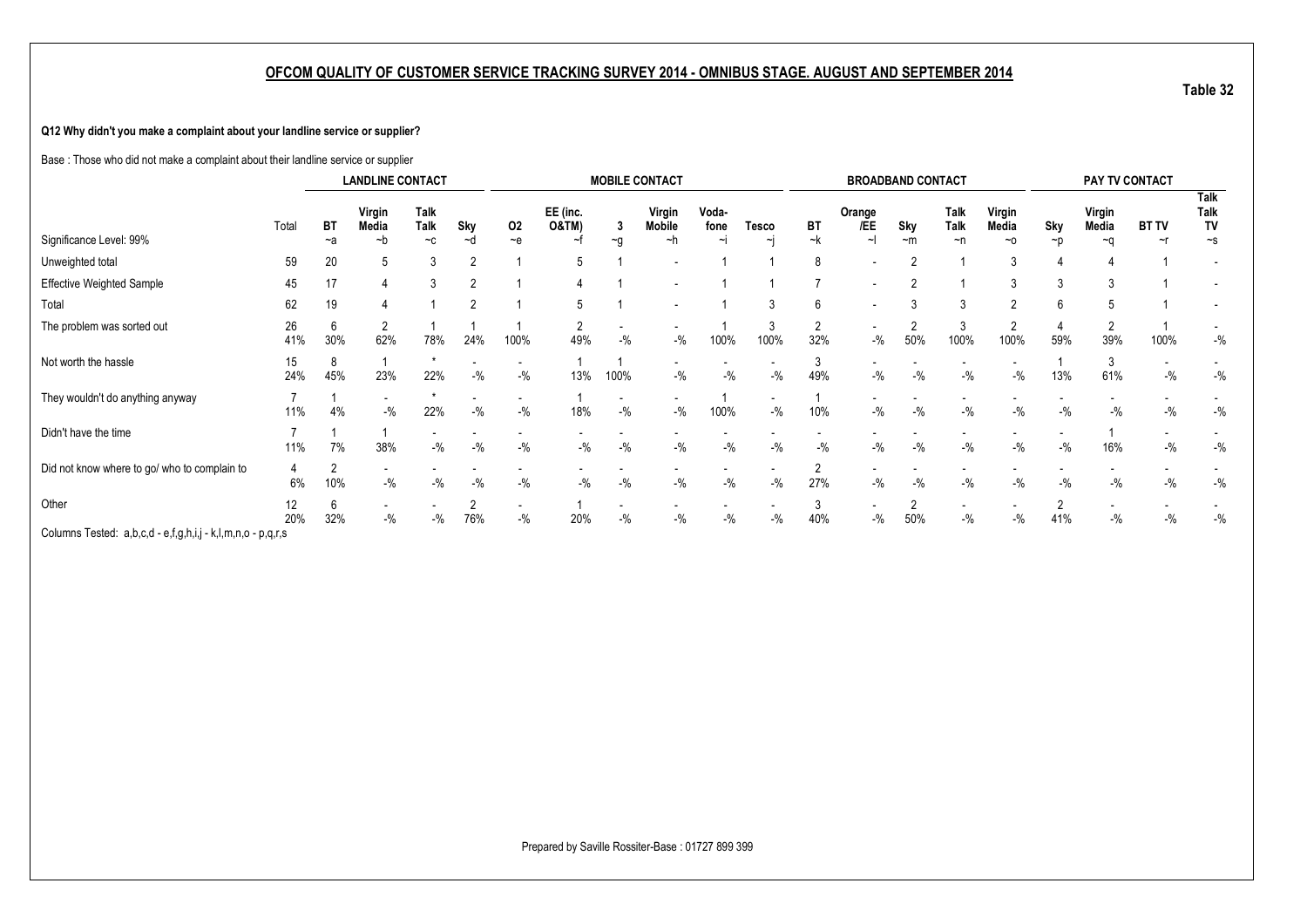#### **Q12 Why didn't you make a complaint about your landline service or supplier?**

Base : Those who did not make a complaint about their landline service or supplier

| Talk<br>Talk<br>EE (inc.<br>Talk<br>Talk<br>Voda-<br>Virgin<br>Virgin<br>Virgin<br>Virgin<br>Orange<br>Talk<br><b>O&amp;TM)</b><br>/EE<br>Talk<br>TV<br>BT<br>BT<br>Sky<br>Media<br>Sky<br>Mobile<br>fone<br>Sky<br>Media<br>Media<br><b>BT TV</b><br>Total<br>02<br>Tesco<br>Significance Level: 99%<br>$-k$<br>$\sim$<br>~h<br>~h<br>$-$ e<br>$-c$<br>$-m$<br>∼d<br>$\sim g$<br>~0<br>$\sim$ s<br>~a<br>~t<br>~n<br>~p<br>$~\sim$ n<br>~r<br>$\sim$<br>$\sim$<br>20<br>Unweighted total<br>59<br>8<br>∩<br>$\overline{\phantom{0}}$<br><b>Effective Weighted Sample</b><br>17<br>3<br>2<br>45<br>∩<br>Total<br>62<br>19<br>6<br>The problem was sorted out<br>26<br>3<br>6<br>$\overline{\phantom{a}}$<br>۷<br>30%<br>62%<br>32%<br>50%<br>39%<br>41%<br>78%<br>24%<br>100%<br>49%<br>$-$ %<br>$-$ %<br>100%<br>100%<br>$-$ %<br>100%<br>100%<br>59%<br>100%<br>Not worth the hassle<br>15<br>24%<br>45%<br>23%<br>22%<br>$-$ %<br>$-$ %<br>100%<br>$-$ %<br>$-9/6$<br>$-$ %<br>49%<br>$-$ %<br>$-$ %<br>$-$ %<br>$-$ %<br>13%<br>61%<br>$-9/6$<br>13%<br>They wouldn't do anything anyway<br>٠<br>11%<br>$-$ %<br>22%<br>$-$ %<br>18%<br>$-$ %<br>$-$ %<br>10%<br>$-$ %<br>$-$ %<br>$-$ %<br>$-$ %<br>$-$ %<br>$-$ %<br>$-$ %<br>$-$ %<br>100%<br>$-$ %<br>4%<br>Didn't have the time |  | <b>LANDLINE CONTACT</b> |  |  | <b>MOBILE CONTACT</b> |  |  | <b>BROADBAND CONTACT</b> |  |  | PAY TV CONTACT |       |
|------------------------------------------------------------------------------------------------------------------------------------------------------------------------------------------------------------------------------------------------------------------------------------------------------------------------------------------------------------------------------------------------------------------------------------------------------------------------------------------------------------------------------------------------------------------------------------------------------------------------------------------------------------------------------------------------------------------------------------------------------------------------------------------------------------------------------------------------------------------------------------------------------------------------------------------------------------------------------------------------------------------------------------------------------------------------------------------------------------------------------------------------------------------------------------------------------------------------------------------------------------------------------------------|--|-------------------------|--|--|-----------------------|--|--|--------------------------|--|--|----------------|-------|
|                                                                                                                                                                                                                                                                                                                                                                                                                                                                                                                                                                                                                                                                                                                                                                                                                                                                                                                                                                                                                                                                                                                                                                                                                                                                                          |  |                         |  |  |                       |  |  |                          |  |  |                |       |
|                                                                                                                                                                                                                                                                                                                                                                                                                                                                                                                                                                                                                                                                                                                                                                                                                                                                                                                                                                                                                                                                                                                                                                                                                                                                                          |  |                         |  |  |                       |  |  |                          |  |  |                |       |
|                                                                                                                                                                                                                                                                                                                                                                                                                                                                                                                                                                                                                                                                                                                                                                                                                                                                                                                                                                                                                                                                                                                                                                                                                                                                                          |  |                         |  |  |                       |  |  |                          |  |  |                |       |
|                                                                                                                                                                                                                                                                                                                                                                                                                                                                                                                                                                                                                                                                                                                                                                                                                                                                                                                                                                                                                                                                                                                                                                                                                                                                                          |  |                         |  |  |                       |  |  |                          |  |  |                |       |
|                                                                                                                                                                                                                                                                                                                                                                                                                                                                                                                                                                                                                                                                                                                                                                                                                                                                                                                                                                                                                                                                                                                                                                                                                                                                                          |  |                         |  |  |                       |  |  |                          |  |  |                | $-$ % |
|                                                                                                                                                                                                                                                                                                                                                                                                                                                                                                                                                                                                                                                                                                                                                                                                                                                                                                                                                                                                                                                                                                                                                                                                                                                                                          |  |                         |  |  |                       |  |  |                          |  |  |                | $-$ % |
|                                                                                                                                                                                                                                                                                                                                                                                                                                                                                                                                                                                                                                                                                                                                                                                                                                                                                                                                                                                                                                                                                                                                                                                                                                                                                          |  |                         |  |  |                       |  |  |                          |  |  |                | $-$ % |
| $-{\%}$<br>$-$ %<br>$-$ %<br>$-$ %<br>$-9/0$<br>38%<br>$-$ %<br>$-$ %<br>$-$ %<br>$-$ %<br>$-$ %<br>$-$ %<br>$-$ %<br>$-$ %<br>7%<br>$-$ %<br>16%<br>$-$ %<br>11%                                                                                                                                                                                                                                                                                                                                                                                                                                                                                                                                                                                                                                                                                                                                                                                                                                                                                                                                                                                                                                                                                                                        |  |                         |  |  |                       |  |  |                          |  |  |                | $-$ % |
| Did not know where to go/ who to complain to<br>4<br>∠<br>∠<br>$-$ %<br>$-$ %<br>27%<br>6%<br>$-$ %<br>$-9/6$<br>$-9/6$<br>$-$ %<br>$-$ %<br>$-9/6$<br>$-$ %<br>$-$ %<br>$-$ %<br>$-9/6$<br>$-$ %<br>10%<br>$-$ %<br>$-$ %<br>$-$ %                                                                                                                                                                                                                                                                                                                                                                                                                                                                                                                                                                                                                                                                                                                                                                                                                                                                                                                                                                                                                                                      |  |                         |  |  |                       |  |  |                          |  |  |                | $-$ % |
| Other<br>$\sim$<br>$\sim$<br>12<br>$\sim$<br>c<br>$\overline{\phantom{a}}$<br>20%<br>$-$ %<br>76%<br>$-$ %<br>$-$ %<br>$-$ %<br>40%<br>50%<br>$-$ %<br>41%<br>32%<br>$-$ %<br>$-$ %<br>20%<br>$-$ %<br>$-$ %<br>$-$ %<br>$-$ %<br>$-$ %<br>Onlinear Tradentine leads of which it is the project of the second                                                                                                                                                                                                                                                                                                                                                                                                                                                                                                                                                                                                                                                                                                                                                                                                                                                                                                                                                                            |  |                         |  |  |                       |  |  |                          |  |  |                | $-$ % |

Columns Tested: a,b,c,d - e,f,g,h,i,j - k,l,m,n,o - p,q,r,s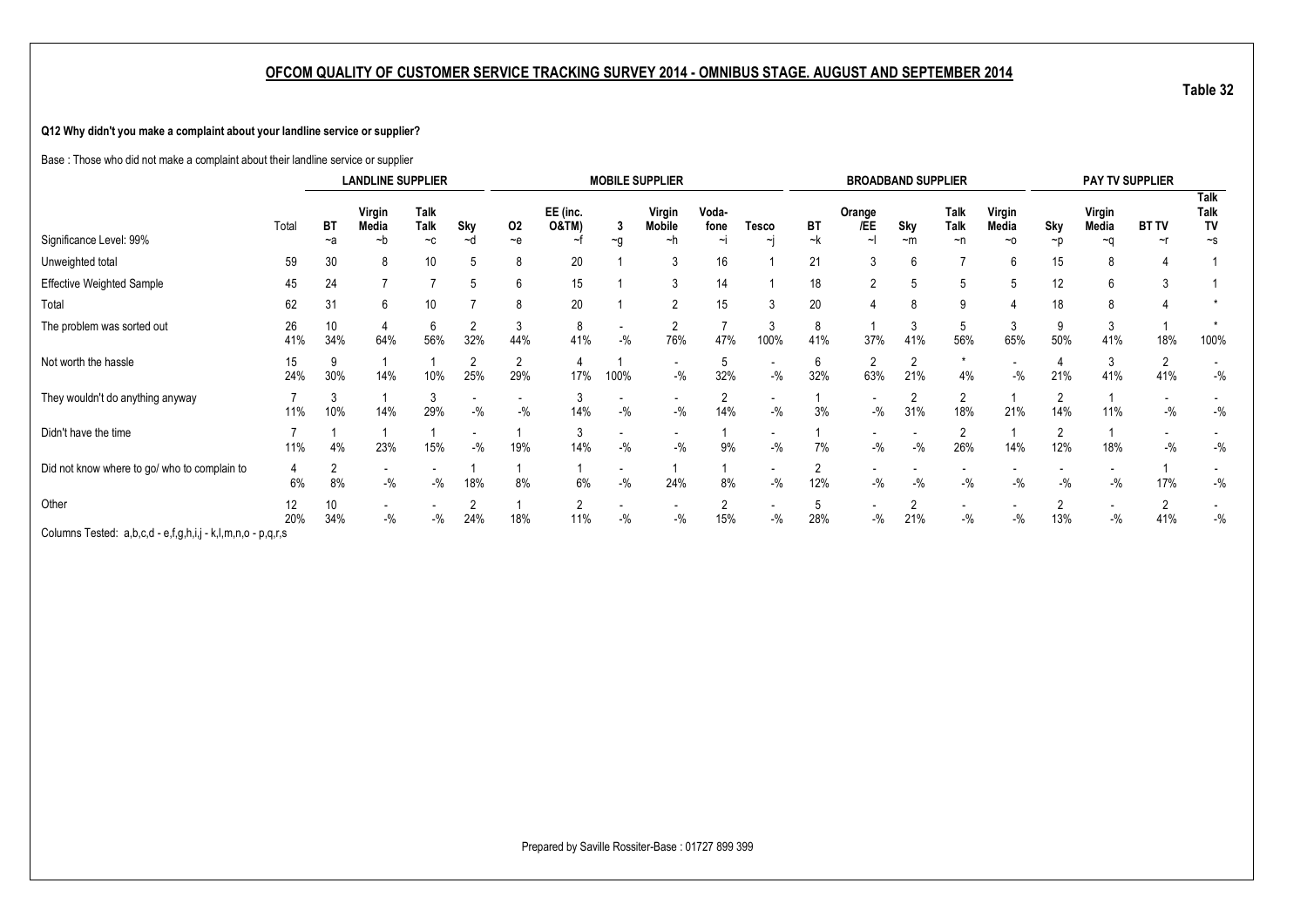#### **Q12 Why didn't you make a complaint about your landline service or supplier?**

Base : Those who did not make a complaint about their landline service or supplier

|                                              |           |            | <b>LANDLINE SUPPLIER</b> |                                    |                                   |                       |                                    |        | <b>MOBILE SUPPLIER</b> |                     |                                   |            | <b>BROADBAND SUPPLIER</b> |           |                                 |                         |                       |                              | PAY TV SUPPLIER          |                                       |
|----------------------------------------------|-----------|------------|--------------------------|------------------------------------|-----------------------------------|-----------------------|------------------------------------|--------|------------------------|---------------------|-----------------------------------|------------|---------------------------|-----------|---------------------------------|-------------------------|-----------------------|------------------------------|--------------------------|---------------------------------------|
| Significance Level: 99%                      | Total     | ВT<br>$-a$ | Virgin<br>Media<br>~h    | <b>Talk</b><br><b>Talk</b><br>$-c$ | Sky<br>∼d                         | 02<br>$-$ e           | EE (inc.<br><b>O&amp;TM)</b><br>~t | ∼q     | Virgin<br>Mobile<br>~h | Voda-<br>fone<br>∼ı | Tesco<br>ᆡ                        | BT<br>$-k$ | Orange<br>/EE             | Sky<br>~m | <b>Talk</b><br>Talk<br>$\neg$ n | Virgin<br>Media<br>$-a$ | Sky<br>$\neg$ p       | Virgin<br>Media<br>$~\sim$ n | <b>BT TV</b><br>$\sim$ r | Talk<br><b>Talk</b><br>TV<br>$\sim$ s |
| Unweighted total                             | 59        | 30         | 8                        | 10                                 |                                   | 8                     | 20                                 |        | ◠                      | 16                  |                                   | 21         | 3                         |           |                                 | 6                       | 15                    |                              |                          |                                       |
| Effective Weighted Sample                    | 45        | 24         |                          |                                    |                                   | 6                     | 15                                 |        |                        | 14                  |                                   | 18         | $\overline{2}$            |           |                                 |                         | 12                    |                              |                          |                                       |
| Total                                        | 62        | 31         | 6                        | 10                                 |                                   | 8                     | 20                                 |        |                        | 15                  |                                   | 20         |                           |           | 9                               |                         | 18                    |                              |                          |                                       |
| The problem was sorted out                   | 26<br>41% | 10<br>34%  | 64%                      | 56%                                | 32%                               | 3<br>44%              | 8<br>41%                           | $-$ %  | 76%                    | 47%                 | 100%                              | 8<br>41%   | 37%                       | 41%       | <sub>5</sub><br>56%             | 65%                     | 50%                   | 41%                          | 18%                      | 100%                                  |
| Not worth the hassle                         | 15<br>24% | 30%        | 14%                      | 10%                                | $\overline{2}$<br>25%             | $\overline{2}$<br>29% | 17%                                | 100%   | $-$ %                  | 32%                 | $\overline{\phantom{a}}$<br>$-$ % | 32%        | 2<br>63%                  | 2<br>21%  | $\star$<br>4%                   | $-$ %                   | 21%                   | 41%                          | 41%                      | $-$ %                                 |
| They wouldn't do anything anyway             | 11%       | 10%        | 14%                      | 29%                                | $-$ %                             | $-$ %                 | 14%                                | $-$ %  | $-$ %                  | 14%                 | $-$ %                             | 3%         | $-$ %                     | c<br>31%  | 2<br>18%                        | 21%                     | $\overline{2}$<br>14% | 11%                          | $-$ %                    | $-$ %                                 |
| Didn't have the time                         | 11%       | 4%         | 23%                      | 15%                                | $\overline{\phantom{a}}$<br>$-$ % | 19%                   | 3<br>14%                           | $-9/6$ | $-$ %                  | 9%                  | $\overline{\phantom{a}}$<br>$-$ % | 7%         | $-$ %                     | $-$ %     | 26%                             | 14%                     | $\overline{2}$<br>12% | 18%                          | $-$ %                    | $-$ %                                 |
| Did not know where to go/ who to complain to | 6%        | 8%         | $-$ %                    | $-$ %                              | 18%                               | 8%                    | 6%                                 | $-$ %  | 24%                    | 8%                  | $-$ %                             | 12%        | $-$ %                     | $-$ %     | $-$ %                           | $-$ %                   | $-$ %                 | $-$ %                        | 17%                      | $-$ %                                 |
| Other                                        | 12<br>20% | 10<br>34%  | $-$ %                    | $-$ %                              | 2<br>24%                          | 18%                   | 2<br>11%                           | $-$ %  | $-$ %                  | 15%                 | $-$ %                             | 28%        | $\sim$<br>$-$ %           | c<br>21%  | $-$ %                           | $-$ %                   | $\overline{2}$<br>13% | $-$ %                        | $\Omega$<br>41%          | $-$ %                                 |
| Columne Tostad: a had ofabij klmno naro      |           |            |                          |                                    |                                   |                       |                                    |        |                        |                     |                                   |            |                           |           |                                 |                         |                       |                              |                          |                                       |

Columns Tested: a,b,c,d - e,f,g,h,i,j - k,l,m,n,o - p,q,r,s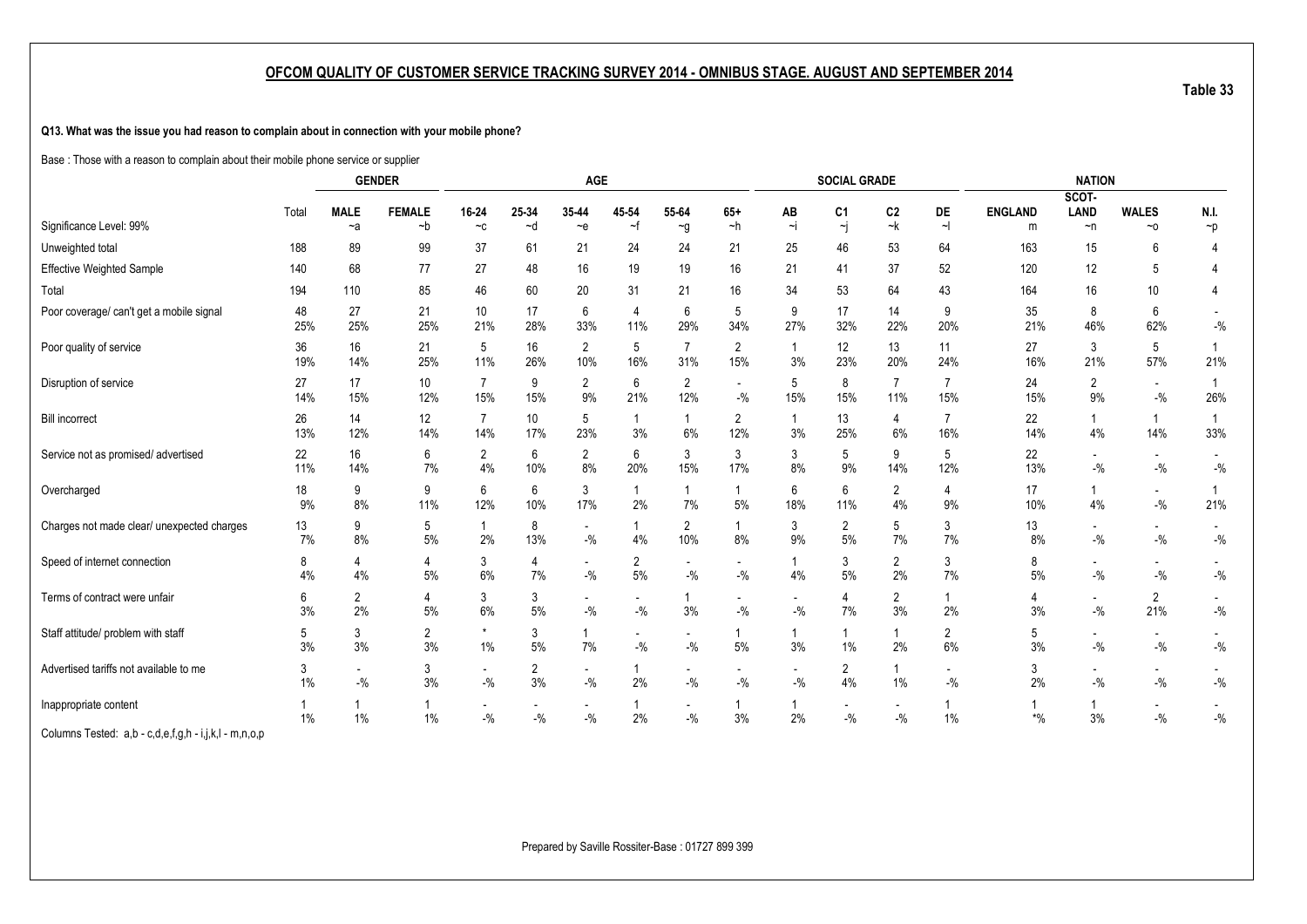**Q13. What was the issue you had reason to complain about in connection with your mobile phone?**

Base : Those with a reason to complain about their mobile phone service or supplier

|                                                       |           |                      | <b>GENDER</b>       |                                   |                        | AGE                               |                                     |                                    |                                   |                                     | <b>SOCIAL GRADE</b>               |                                   |                                   |                     | <b>NATION</b>                       |                                                        |                       |
|-------------------------------------------------------|-----------|----------------------|---------------------|-----------------------------------|------------------------|-----------------------------------|-------------------------------------|------------------------------------|-----------------------------------|-------------------------------------|-----------------------------------|-----------------------------------|-----------------------------------|---------------------|-------------------------------------|--------------------------------------------------------|-----------------------|
|                                                       |           |                      |                     |                                   |                        |                                   |                                     |                                    |                                   |                                     |                                   |                                   |                                   |                     | SCOT-                               |                                                        |                       |
| Significance Level: 99%                               | Total     | <b>MALE</b><br>$-a$  | <b>FEMALE</b><br>~b | 16-24<br>$-c$                     | 25-34<br>~d            | 35-44<br>$-e$                     | 45-54<br>~f                         | 55-64<br>$\sim g$                  | $65+$<br>~h                       | ΑВ<br>Ξi                            | C1<br>~j                          | C <sub>2</sub><br>~k              | DE<br>$\sim$                      | <b>ENGLAND</b><br>m | <b>LAND</b><br>$\neg$ n             | <b>WALES</b><br>$~\sim$ 0                              | N.I.<br>$\neg p$      |
| Unweighted total                                      | 188       | 89                   | 99                  | 37                                | 61                     | 21                                | 24                                  | 24                                 | 21                                | 25                                  | 46                                | 53                                | 64                                | 163                 | 15                                  | 6                                                      | 4                     |
| Effective Weighted Sample                             | 140       | 68                   | 77                  | 27                                | 48                     | 16                                | 19                                  | 19                                 | 16                                | 21                                  | 41                                | 37                                | 52                                | 120                 | 12                                  | 5                                                      |                       |
| Total                                                 | 194       | 110                  | 85                  | 46                                | 60                     | 20                                | 31                                  | 21                                 | 16                                | 34                                  | 53                                | 64                                | 43                                | 164                 | 16                                  | 10                                                     | $\overline{4}$        |
| Poor coverage/ can't get a mobile signal              | 48<br>25% | 27<br>25%            | 21<br>25%           | 10<br>21%                         | 17<br>28%              | 6<br>33%                          | 4<br>11%                            | 6<br>29%                           | 5<br>34%                          | 9<br>27%                            | 17<br>32%                         | 14<br>22%                         | 9<br>20%                          | 35<br>21%           | 8<br>46%                            | 6<br>62%                                               | $-{\%}$               |
| Poor quality of service                               | 36<br>19% | 16<br>14%            | 21<br>25%           | 5<br>11%                          | 16<br>26%              | $\overline{2}$<br>10%             | 5<br>16%                            | $\overline{7}$<br>31%              | $\overline{2}$<br>15%             | 3%                                  | 12<br>23%                         | 13<br>20%                         | 11<br>24%                         | 27<br>16%           | 3<br>21%                            | 5<br>57%                                               | $\overline{1}$<br>21% |
| Disruption of service                                 | 27<br>14% | 17<br>15%            | 10<br>12%           | 7<br>15%                          | 9<br>15%               | $\overline{2}$<br>9%              | 6<br>21%                            | $\overline{2}$<br>12%              | $\overline{\phantom{a}}$<br>$-$ % | 5<br>15%                            | 8<br>15%                          | 7<br>11%                          | 15%                               | 24<br>15%           | $\overline{2}$<br>9%                | $\overline{\phantom{a}}$<br>$-$ %                      | $\overline{1}$<br>26% |
| <b>Bill incorrect</b>                                 | 26<br>13% | 14<br>12%            | 12<br>14%           | $\overline{7}$<br>14%             | 10 <sup>°</sup><br>17% | 5<br>23%                          | -1<br>3%                            | $\overline{\mathbf{1}}$<br>6%      | $\overline{2}$<br>12%             | $\overline{1}$<br>3%                | 13<br>25%                         | 4<br>6%                           | $\overline{7}$<br>16%             | 22<br>14%           | $\mathbf{1}$<br>4%                  | $\mathbf{1}$<br>14%                                    | $\overline{1}$<br>33% |
| Service not as promised/advertised                    | 22<br>11% | 16<br>14%            | 6<br>7%             | $\overline{2}$<br>4%              | 6<br>10%               | $\overline{2}$<br>8%              | 6<br>20%                            | 3<br>15%                           | 3<br>17%                          | 3<br>8%                             | 5<br>9%                           | 9<br>14%                          | 5<br>12%                          | 22<br>13%           | $\overline{\phantom{a}}$<br>$-$ %   | $\overline{\phantom{a}}$<br>$-$ %                      | $-{\%}$               |
| Overcharged                                           | 18<br>9%  | 9<br>$8\%$           | 9<br>11%            | 6<br>12%                          | 6<br>10%               | 3<br>17%                          | 2%                                  | 7%                                 | 1<br>5%                           | 6<br>18%                            | 6<br>11%                          | 2<br>4%                           | 4<br>9%                           | 17<br>10%           | $\mathbf{1}$<br>4%                  | $\sim$<br>$-9/6$                                       | $\overline{1}$<br>21% |
| Charges not made clear/ unexpected charges            | 13<br>7%  | 9<br>8%              | 5<br>5%             | $\mathbf{1}$<br>2%                | 8<br>13%               | $\overline{\phantom{a}}$<br>$-$ % | 4%                                  | 2<br>10%                           | 1<br>8%                           | 3<br>9%                             | $\overline{2}$<br>5%              | 5<br>7%                           | 3<br>7%                           | 13<br>8%            | $\overline{\phantom{a}}$<br>$-$ %   | $\overline{\phantom{a}}$<br>$-$ %                      | $-{\%}$               |
| Speed of internet connection                          | 8<br>4%   | 4<br>4%              | 4<br>$5%$           | 3<br>$6\%$                        | 4<br>7%                | $\overline{\phantom{a}}$<br>$-$ % | $\overline{2}$<br>$5\%$             | $\overline{\phantom{a}}$<br>$-9/0$ | $\overline{\phantom{a}}$<br>$-$ % | 4%                                  | 3<br>5%                           | $\overline{2}$<br>2%              | 3<br>7%                           | 8<br>5%             | $\overline{\phantom{a}}$<br>$-$ %   | $\overline{\phantom{a}}$<br>$\mathbin{{\mathcal I}}_0$ | $-{\%}$               |
| Terms of contract were unfair                         | 6<br>3%   | $\overline{2}$<br>2% | 4<br>$5%$           | 3<br>6%                           | 3<br>5%                | $\overline{\phantom{a}}$<br>$-$ % | $\overline{\phantom{a}}$<br>$-{\%}$ | 3%                                 | $\overline{\phantom{a}}$<br>$-$ % | $\overline{\phantom{a}}$<br>$-{\%}$ | 4<br>7%                           | $\overline{2}$<br>3%              | 1<br>2%                           | 4<br>3%             | $\overline{\phantom{a}}$<br>$-{\%}$ | $\overline{2}$<br>21%                                  | $-{\%}$               |
| Staff attitude/ problem with staff                    | 5<br>3%   | 3<br>3%              | 2<br>3%             | $^\star$<br>$1\%$                 | 3<br>$5%$              | 1<br>7%                           | $\overline{\phantom{a}}$<br>$-$ %   | $-$ %                              | 5%                                | $3\%$                               | 1%                                | $\mathbf 1$<br>2%                 | 2<br>6%                           | 5<br>3%             | $\overline{\phantom{a}}$<br>$-$ %   | $\overline{\phantom{a}}$<br>$\mathbin{{\mathcal I}}_0$ | $-{\%}$               |
| Advertised tariffs not available to me                | 3<br>1%   | $-$ %                | 3<br>3%             | $\overline{\phantom{a}}$<br>$-$ % | 2<br>3%                | $\overline{\phantom{a}}$<br>$-$ % | 2%                                  | $-$ %                              | $\overline{\phantom{a}}$<br>$-$ % | $-$ %                               | 2<br>4%                           | $1\%$                             | $\overline{\phantom{a}}$<br>$-$ % | 3<br>2%             | $\overline{\phantom{a}}$<br>$-$ %   | $\overline{\phantom{a}}$<br>$-$ %                      | $ \%$                 |
| Inappropriate content                                 | 1%        | 1%                   | 1<br>1%             | $\overline{\phantom{a}}$<br>$-$ % | $-$ %                  | $\overline{\phantom{a}}$<br>$-$ % | 2%                                  | $-$ %                              | 1<br>3%                           | 2%                                  | $\overline{\phantom{a}}$<br>$-$ % | $\overline{\phantom{a}}$<br>$-$ % | $1\%$                             | $*$ %               | 3%                                  | $\overline{\phantom{a}}$<br>$ \%$                      | $-{\%}$               |
| Columns Tested: a,b - c,d,e,f,g,h - i,j,k,l - m,n,o,p |           |                      |                     |                                   |                        |                                   |                                     |                                    |                                   |                                     |                                   |                                   |                                   |                     |                                     |                                                        |                       |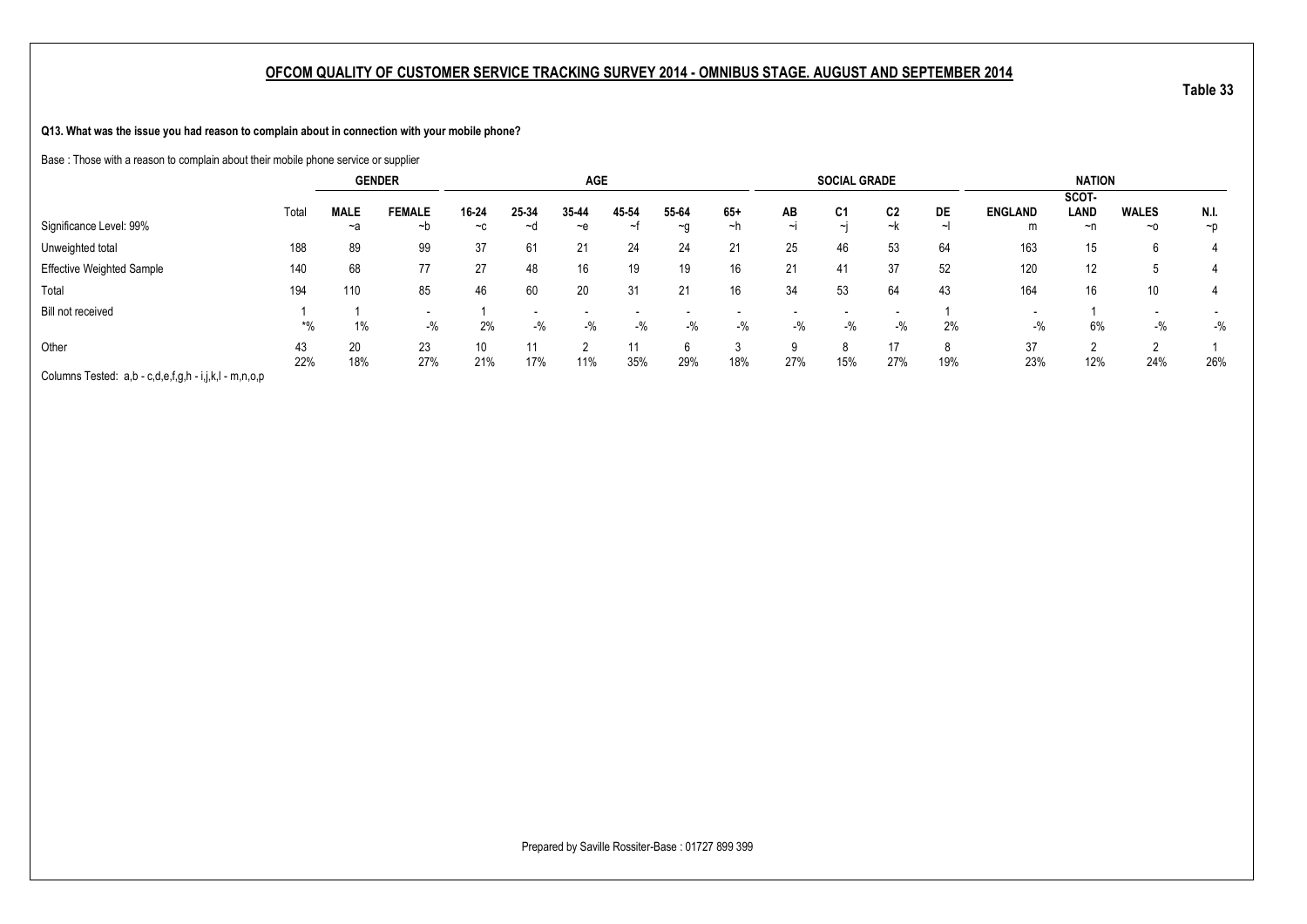**Q13. What was the issue you had reason to complain about in connection with your mobile phone?**

Base : Those with a reason to complain about their mobile phone service or supplier

|                                                       |           |                   | <b>GENDER</b>                     |                        |             | <b>AGE</b>    |             |                    |             |              | <b>SOCIAL GRADE</b> |           |     |                     | <b>NATION</b>       |                    |                  |
|-------------------------------------------------------|-----------|-------------------|-----------------------------------|------------------------|-------------|---------------|-------------|--------------------|-------------|--------------|---------------------|-----------|-----|---------------------|---------------------|--------------------|------------------|
| Significance Level: 99%                               | Total     | <b>MALE</b><br>~a | <b>FEMALE</b><br>∼b               | 16-24<br>$-c$          | 25-34<br>~d | 35-44<br>$-e$ | 45-54<br>∼t | 55-64<br>$~\sim$ 0 | $65+$<br>∼h | AB<br>$\sim$ | C1<br>$\sim$ L      | C2<br>~k  | DE  | <b>ENGLAND</b><br>m | SCOT-<br>LAND<br>~n | <b>WALES</b><br>~0 | N.I.<br>$\neg$ p |
| Unweighted total                                      | 188       | 89                | 99                                | 37                     | 61          | 21            | 24          | 24                 | 21          | 25           | 46                  | 53        | 64  | 163                 | 15                  | 6                  |                  |
| <b>Effective Weighted Sample</b>                      | 140       | 68                | 77                                | 27                     | 48          | 16            | 19          | 19                 | 16          | 21           | 41                  | 37        | 52  | 120                 | 12                  |                    |                  |
| Total                                                 | 194       | 110               | 85                                | 46                     | 60          | 20            | 31          | 21                 | 16          | 34           | 53                  | 64        | 43  | 164                 | 16                  | 10 <sup>°</sup>    |                  |
| Bill not received                                     | *%        | $1\%$             | $\overline{\phantom{0}}$<br>$-$ % | 2%                     | $-$ %       | $-$ %         | $-$ %       | $-9/6$             | $-$ %       | $-$ %        | $-$ %               | $-$ %     | 2%  | $\,$<br>$-$ %       | 6%                  | $-$ %              | $-$ %            |
| Other                                                 | 43<br>22% | 20<br>18%         | 23<br>27%                         | 10 <sup>°</sup><br>21% | 17%         | 11%           | 11<br>35%   | 6<br>29%           | 18%         | 9<br>27%     | 8<br>15%            | 17<br>27% | 19% | 37<br>23%           | 12%                 | c<br>24%           | 26%              |
| Columns Tested: a,b - c,d,e,f,g,h - i,j,k,l - m,n,o,p |           |                   |                                   |                        |             |               |             |                    |             |              |                     |           |     |                     |                     |                    |                  |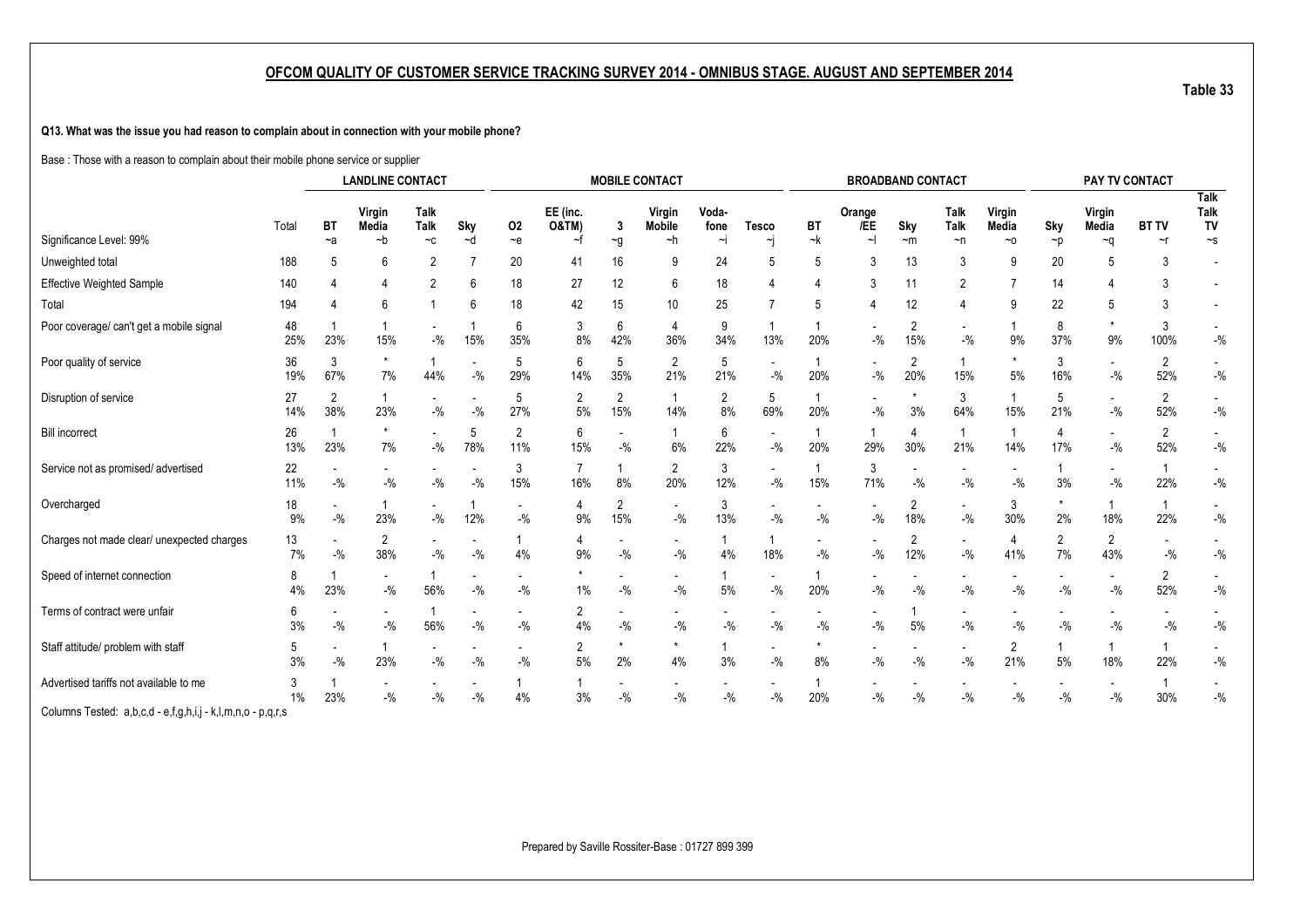**Q13. What was the issue you had reason to complain about in connection with your mobile phone?**

Base : Those with a reason to complain about their mobile phone service or supplier

|                                                             |             |          | <b>LANDLINE CONTACT</b>    |                 |                                   |                                   |                              |                       | <b>MOBILE CONTACT</b>              |                      |                                     |                                    |                                   | <b>BROADBAND CONTACT</b>           |                         |                                   |                                   | PAY TV CONTACT                    |              |                                    |
|-------------------------------------------------------------|-------------|----------|----------------------------|-----------------|-----------------------------------|-----------------------------------|------------------------------|-----------------------|------------------------------------|----------------------|-------------------------------------|------------------------------------|-----------------------------------|------------------------------------|-------------------------|-----------------------------------|-----------------------------------|-----------------------------------|--------------|------------------------------------|
|                                                             | Total       | BT       | Virgin<br>Media            | Talk<br>Talk    | Sky                               | 02                                | EE (inc.<br><b>O&amp;TM)</b> | -3                    | Virgin<br><b>Mobile</b>            | Voda-<br>fone        | <b>Tesco</b>                        | BT                                 | Orange<br>/EE                     | Sky                                | Talk<br>Talk            | Virgin<br>Media                   | Sky                               | Virgin<br>Media                   | <b>BT TV</b> | <b>Talk</b><br><b>Talk</b><br>TV   |
| Significance Level: 99%                                     |             | ~a       | ~b                         | $-c$            | ~d                                | $-e$                              | ~f                           | $\sim g$              | ~h                                 | ∼i                   | ٦                                   | ~k                                 | ~1                                | $-m$                               | ~n                      | ~0                                | ~p                                | $\sim q$                          | ~r           | $\sim$ s                           |
| Unweighted total                                            | 188         |          | 6                          | 2               |                                   | 20                                | 41                           | 16                    | -9                                 | 24                   | 5                                   | 5                                  | 3                                 | 13                                 | 3                       | 9                                 | 20                                | 5                                 |              |                                    |
| <b>Effective Weighted Sample</b>                            | 140         |          |                            | 2               | 6                                 | 18                                | 27                           | 12                    | 6                                  | 18                   |                                     |                                    | 3                                 | 11                                 | $\overline{2}$          |                                   | 14                                |                                   |              |                                    |
| Total                                                       | 194         |          | 6                          |                 | 6                                 | 18                                | 42                           | 15                    | 10                                 | 25                   | 7                                   | .5                                 |                                   | 12                                 | 4                       | g                                 | 22                                | 5                                 |              |                                    |
| Poor coverage/ can't get a mobile signal                    | 48<br>25%   | 23%      | 15%                        | $-9/0$          | 15%                               | 6<br>35%                          | 3<br>8%                      | 6<br>42%              | 4<br>36%                           | 9<br>34%             | 13%                                 | 20%                                | $-9/0$                            | $\overline{2}$<br>15%              | $\sim$<br>$-$ %         | 9%                                | 8<br>37%                          | 9%                                | 3<br>100%    | $\overline{\phantom{a}}$<br>$-$ %  |
| Poor quality of service                                     | 36<br>19%   | 3<br>67% | $\star$<br>$7\%$           | 44%             | $-$ %                             | 5<br>29%                          | 6<br>14%                     | 5<br>35%              | $\overline{2}$<br>21%              | 5<br>21%             | $\overline{\phantom{a}}$<br>$-{\%}$ | 20%                                | $-$ %                             | 2<br>20%                           | $\mathbf{1}$<br>15%     | $5\%$                             | 3<br>16%                          | $-$ %                             | 2<br>52%     | $-9/6$                             |
| Disruption of service                                       | 27<br>14%   | 2<br>38% | 23%                        | $-$ %           | $-$ %                             | 5<br>27%                          | $\overline{2}$<br>5%         | $\overline{2}$<br>15% | $\mathbf{1}$<br>14%                | $\overline{2}$<br>8% | 5<br>69%                            | 20%                                | $-$ %                             | $\star$<br>3%                      | 3<br>64%                | 15%                               | 5<br>21%                          | $-{\%}$                           | 2<br>52%     | $-$ %                              |
| <b>Bill incorrect</b>                                       | 26<br>13%   | 23%      | $\star$<br>7%              | $-$ %           | 5<br>78%                          | $\overline{2}$<br>11%             | 6<br>15%                     | $-$ %                 | 6%                                 | 6<br>22%             | $\sim$<br>$-$ %                     | 20%                                | 29%                               | 4<br>30%                           | $\mathbf{1}$<br>21%     | 14%                               | 4<br>17%                          | $-$ %                             | 2<br>52%     | $-$ %                              |
| Service not as promised/advertised                          | 22<br>11%   | $-$ %    | $\mathbin{{\mathcal I}}_0$ | $-$ %           | $-9/6$                            | 3<br>15%                          | $\overline{7}$<br>16%        | 8%                    | $\overline{2}$<br>20%              | 3<br>12%             | $\sim$<br>$-{\%}$                   | 15%                                | 3<br>71%                          | $\overline{\phantom{a}}$<br>$-$ %  | $ \%$                   | $-$ %                             | 1<br>3%                           | $-$ %                             | 22%          | $-$ %                              |
| Overcharged                                                 | 18<br>9%    | $-$ %    | 23%                        | $-$ %           | 12%                               | $-$ %                             | 4<br>9%                      | 2<br>15%              | $\blacksquare$<br>$-$ %            | 3<br>13%             | $\sim$<br>$-$ %                     | $\overline{\phantom{a}}$<br>$-9/6$ | $-$ %                             | $\overline{2}$<br>18%              | $\overline{a}$<br>$-$ % | 3<br>30%                          | $\star$<br>2%                     | 18%                               | 22%          | $-$ %                              |
| Charges not made clear/ unexpected charges                  | 13<br>$7\%$ | $-$ %    | $\overline{2}$<br>38%      | $- \frac{0}{0}$ | $-$ %                             | 4%                                | $\overline{4}$<br>9%         | $-{\%}$               | $\overline{\phantom{a}}$<br>$-9/0$ | 4%                   | 18%                                 | $\overline{\phantom{a}}$<br>$-$ %  | $-{\%}$                           | 2<br>12%                           | $\sim$<br>$ \%$         | 4<br>41%                          | 2<br>7%                           | 2<br>43%                          | $-$ %        | $-9/6$                             |
| Speed of internet connection                                | 8<br>4%     | 23%      | $\sim$<br>$-9/6$           | 56%             | $\overline{\phantom{0}}$<br>$-$ % | $\blacksquare$<br>$-$ %           | $1\%$                        | $-9/6$                | $\overline{\phantom{a}}$<br>$-$ %  | 5%                   | $\overline{\phantom{a}}$<br>$-$ %   | 20%                                | $\overline{\phantom{a}}$<br>$-$ % | $\overline{\phantom{a}}$<br>$-9/6$ | $\blacksquare$<br>$-$ % | $\overline{\phantom{a}}$<br>$-$ % | $\overline{\phantom{a}}$<br>$-$ % | $\overline{\phantom{a}}$<br>$-$ % | 2<br>52%     | $\overline{\phantom{a}}$<br>$-$ %  |
| Terms of contract were unfair                               | 6<br>3%     | $-$ %    | $-{\frac{0}{2}}/2$         | 56%             | $-$ %                             | $\overline{\phantom{a}}$<br>$-$ % | 2<br>4%                      | $-9/6$                | $-$ %                              | $-$ %                | $-$ %                               | $-$ %                              | $-9/0$                            | 5%                                 | $-$ %                   | $-$ %                             | $-9/0$                            | $-$ %                             | $-$ %        | $-9/6$                             |
| Staff attitude/ problem with staff                          | 5<br>3%     | $-9/6$   | 23%                        | $- \frac{0}{0}$ | $-$ %                             | $-9/0$                            | $\overline{2}$<br>5%         | 2%                    | $\star$<br>4%                      | 3%                   | $-$ %                               | 8%                                 | $-$ %                             | $-$ %                              | $-$ %                   | 2<br>21%                          | $\mathbf{1}$<br>5%                | 18%                               | 22%          | $\overline{\phantom{a}}$<br>$-9/6$ |
| Advertised tariffs not available to me                      | 3<br>$1\%$  | 23%      | $-9/6$                     | $-$ %           | $-9/6$                            | 4%                                | $3%$                         | $-$ %                 | $-9/6$                             | $-$ %                | $-$ %                               | 20%                                | $-$ %                             | $-$ %                              | $-$ %                   | $-$ %                             | $-$ %                             | $-$ %                             | 30%          | $-$ %                              |
| Columns Tested: a,b,c,d - e,f,g,h,i,j - k,l,m,n,o - p,q,r,s |             |          |                            |                 |                                   |                                   |                              |                       |                                    |                      |                                     |                                    |                                   |                                    |                         |                                   |                                   |                                   |              |                                    |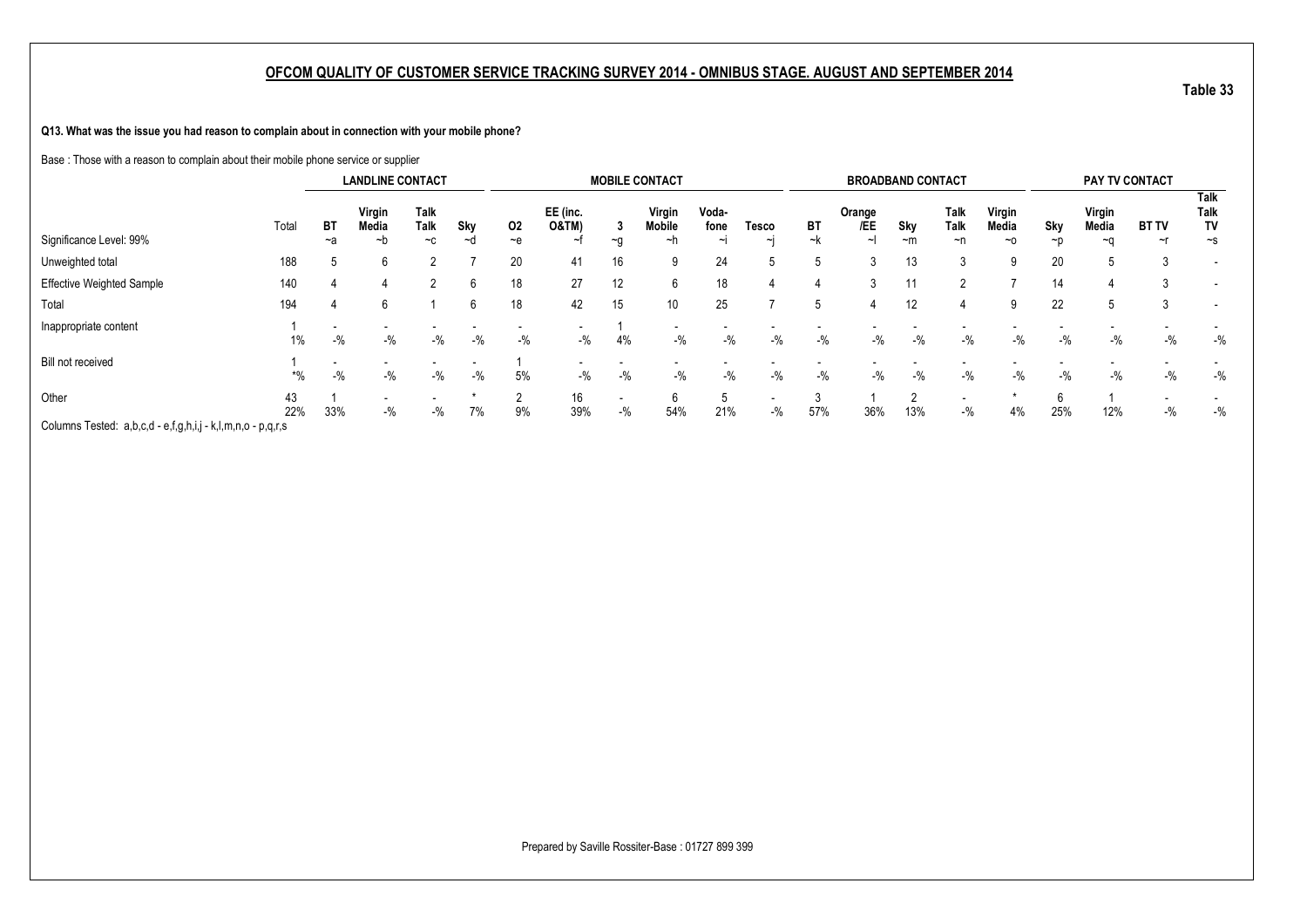**Q13. What was the issue you had reason to complain about in connection with your mobile phone?**

Base : Those with a reason to complain about their mobile phone service or supplier

|                                                             |           |          | <b>LANDLINE CONTACT</b> |                      |           |                |                                          |                | <b>MOBILE CONTACT</b>  |                         |                                   |                 | <b>BROADBAND CONTACT</b> |                 |                                   |                       |           | PAY TV CONTACT               |                    |                                |
|-------------------------------------------------------------|-----------|----------|-------------------------|----------------------|-----------|----------------|------------------------------------------|----------------|------------------------|-------------------------|-----------------------------------|-----------------|--------------------------|-----------------|-----------------------------------|-----------------------|-----------|------------------------------|--------------------|--------------------------------|
| Significance Level: 99%                                     | Total     | ВT<br>~a | Virgin<br>Media<br>~b   | Talk<br>Talk<br>$-c$ | Sky<br>∼d | 02<br>$\sim$ e | EE (inc.<br><b>O&amp;TM)</b><br>$\sim$ t | J.<br>$\sim g$ | Virgin<br>Mobile<br>∼h | Voda-<br>fone<br>$\sim$ | Tesco<br>$\sim$                   | <b>BT</b><br>~k | Orange<br>/EE            | Sky<br>$-m$     | Talk<br><b>Talk</b><br>~n         | Virgin<br>Media<br>~0 | Sky<br>~p | Virgin<br>Media<br>$~\sim$ n | <b>BT TV</b><br>~r | Talk<br>Talk<br>TV<br>$\sim$ s |
| Unweighted total                                            | 188       |          | 6                       |                      |           | 20             | 41                                       | 16             | 9                      | 24                      | .5                                |                 |                          | 13              |                                   |                       | 20        |                              | 3                  | $\overline{\phantom{a}}$       |
| Effective Weighted Sample                                   | 140       |          |                         |                      | h         | 18             | 27                                       | 12             | 6                      | 18                      |                                   |                 |                          | 11              |                                   |                       | 14        |                              | J.                 | $\overline{\phantom{a}}$       |
| Total                                                       | 194       |          | 6                       |                      | h         | 18             | 42                                       | 15             | 10 <sup>°</sup>        | 25                      |                                   |                 | 4                        | 12 <sup>2</sup> | 4                                 | 9                     | 22        |                              |                    | $\overline{\phantom{a}}$       |
| Inappropriate content                                       | 1%        | $-$ %    | $-$ %                   | $-$ %                | $-$ %     | $-9/6$         | $-$ %                                    | 4%             | $-$ %                  | $-$ %                   | $-$ %                             | $-$ %           | $-$ %                    | $-$ %           | $-$ %                             | $-$ %                 | $-$ %     | $-$ %                        | $-$ %              | $-$ %                          |
| Bill not received                                           | *%        | $-$ %    | $-$ %                   | $-$ %                | $-$ %     | 5%             | $-$ %                                    | $-$ %          | $-$ %                  | $-$ %                   | $-$ %                             | $-$ %           | $-$ %                    | $-$ %           | $-$ %                             | $-$ %                 | $-$ %     | $-$ %                        | $-$ %              | $-$ %                          |
| Other                                                       | 43<br>22% | 33%      | $-$ %                   | $-$ %                | 7%        | $\Omega$<br>9% | 16<br>39%                                | $-$ %          | 6<br>54%               | 21%                     | $\overline{\phantom{0}}$<br>$-$ % | 57%             | 36%                      | 13%             | $\overline{\phantom{0}}$<br>$-$ % | 4%                    | 6<br>25%  | 12%                          | $-$ %              | $-$ %                          |
| Columns Tested: a,b,c,d - e,f,g,h,i,j - k,l,m,n,o - p,q,r,s |           |          |                         |                      |           |                |                                          |                |                        |                         |                                   |                 |                          |                 |                                   |                       |           |                              |                    |                                |

**Table 33**

Prepared by Saville Rossiter-Base : 01727 899 399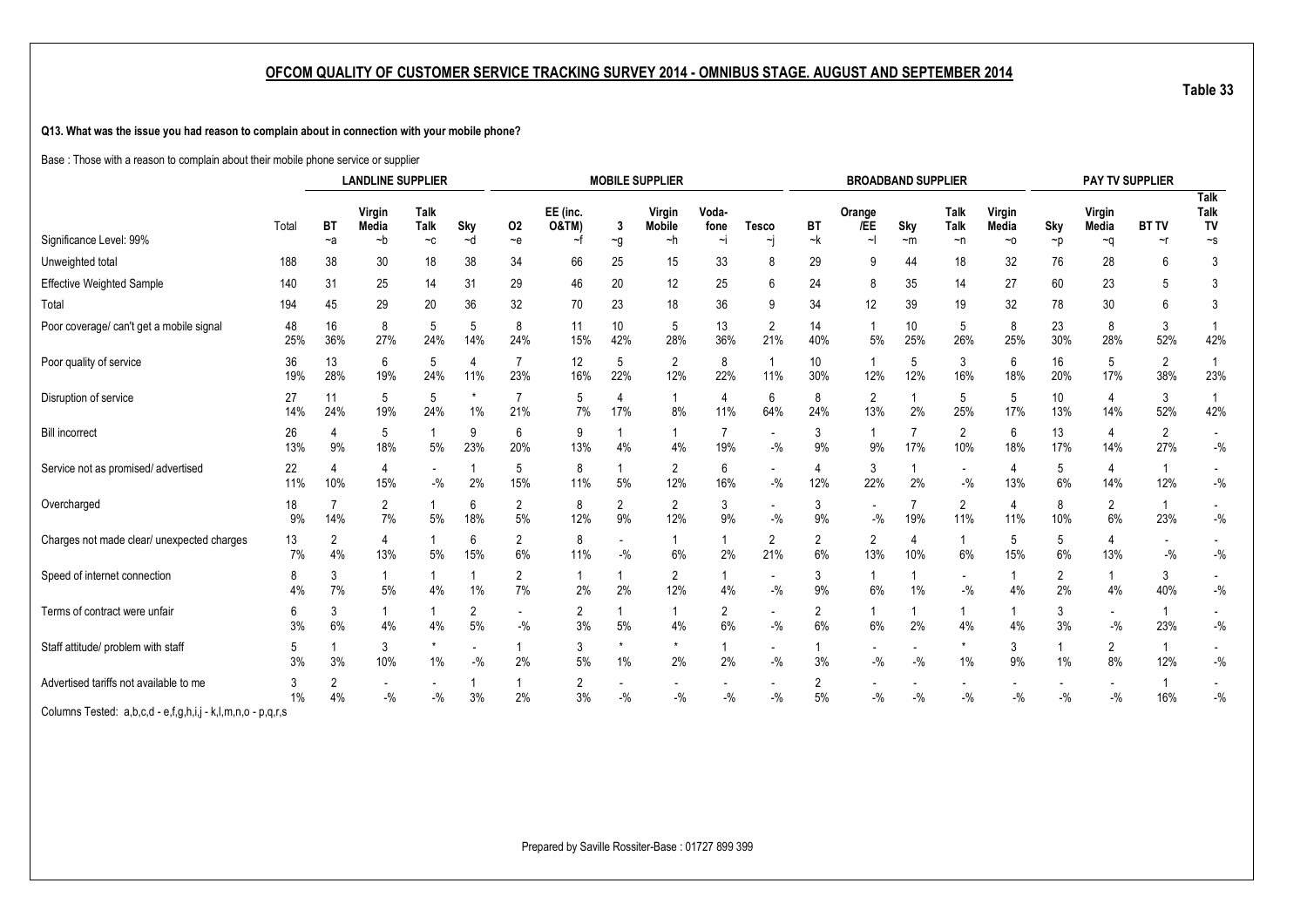**Q13. What was the issue you had reason to complain about in connection with your mobile phone?**

Base : Those with a reason to complain about their mobile phone service or supplier

|                                                             |           |                   | <b>LANDLINE SUPPLIER</b>     |                                             |               |                         |                                    |                      | <b>MOBILE SUPPLIER</b>        |                      |                                   |                      |                       | <b>BROADBAND SUPPLIER</b> |                                   |                       |                      | PAY TV SUPPLIER      |                          |                                                        |
|-------------------------------------------------------------|-----------|-------------------|------------------------------|---------------------------------------------|---------------|-------------------------|------------------------------------|----------------------|-------------------------------|----------------------|-----------------------------------|----------------------|-----------------------|---------------------------|-----------------------------------|-----------------------|----------------------|----------------------|--------------------------|--------------------------------------------------------|
| Significance Level: 99%                                     | Total     | <b>BT</b><br>$-a$ | Virgin<br><b>Media</b><br>~b | Talk<br>Talk<br>$\mathord{\sim} \mathtt{C}$ | Sky<br>~d     | 02<br>~e                | EE (inc.<br><b>O&amp;TM)</b><br>~f | 3                    | Virgin<br><b>Mobile</b><br>~h | Voda-<br>fone<br>٠i  | <b>Tesco</b><br>۰j                | BT<br>~k             | Orange<br>/EE         | Sky<br>$-m$               | Talk<br>Talk<br>~n                | Virgin<br>Media<br>~0 | Sky                  | Virgin<br>Media      | <b>BT TV</b><br>$\sim$ r | <b>Talk</b><br><b>Talk</b><br>TV<br>$\mathord{\sim_S}$ |
|                                                             |           |                   |                              |                                             |               |                         |                                    | $\sim g$             |                               |                      |                                   |                      |                       |                           |                                   |                       | $\neg p$             | ∼q                   |                          |                                                        |
| Unweighted total                                            | 188       | 38                | 30                           | 18                                          | 38            | 34                      | 66                                 | 25                   | 15                            | 33                   | 8                                 | 29                   | 9                     | 44                        | 18                                | 32                    | 76                   | 28                   | 6                        | 3                                                      |
| <b>Effective Weighted Sample</b>                            | 140       | 31                | 25                           | 14                                          | 31            | 29                      | 46                                 | 20                   | 12                            | 25                   | 6                                 | 24                   | 8                     | 35                        | 14                                | 27                    | 60                   | 23                   |                          | 3                                                      |
| Total                                                       | 194       | 45                | 29                           | 20                                          | 36            | 32                      | 70                                 | 23                   | 18                            | 36                   | 9                                 | 34                   | 12                    | 39                        | 19                                | 32                    | 78                   | 30                   | 6                        | 3                                                      |
| Poor coverage/ can't get a mobile signal                    | 48<br>25% | 16<br>36%         | 8<br>27%                     | 5<br>24%                                    | 5<br>14%      | 8<br>24%                | 11<br>15%                          | 10<br>42%            | 5<br>28%                      | 13<br>36%            | $\overline{2}$<br>21%             | 14<br>40%            | 5%                    | 10<br>25%                 | 5<br>26%                          | 8<br>25%              | 23<br>30%            | 8<br>28%             | 3<br>52%                 | 42%                                                    |
| Poor quality of service                                     | 36<br>19% | 13<br>28%         | 6<br>19%                     | 5<br>24%                                    | 4<br>11%      | $\overline{7}$<br>23%   | 12<br>16%                          | 5<br>22%             | 2<br>12%                      | 8<br>22%             | $\mathbf{1}$<br>11%               | 10<br>30%            | -1<br>12%             | 5<br>12%                  | 3<br>16%                          | 6<br>18%              | 16<br>20%            | 5<br>17%             | 2<br>38%                 | 23%                                                    |
| Disruption of service                                       | 27<br>14% | 11<br>24%         | 5<br>19%                     | 5<br>24%                                    | $\star$<br>1% | 7<br>21%                | 5<br>7%                            | 17%                  | 8%                            | 4<br>11%             | 6<br>64%                          | 8<br>24%             | $\overline{2}$<br>13% | 2%                        | 5<br>25%                          | 5<br>17%              | 10<br>13%            | 4<br>14%             | 3<br>52%                 | 42%                                                    |
| <b>Bill incorrect</b>                                       | 26<br>13% | 4<br>9%           | 5<br>18%                     | 5%                                          | 9<br>23%      | 6<br>20%                | 9<br>13%                           | 4%                   | 4%                            | 19%                  | $\overline{\phantom{a}}$<br>$-$ % | 3<br>9%              | 9%                    | 17%                       | $\overline{2}$<br>10%             | 6<br>18%              | 13<br>17%            | 4<br>14%             | $\overline{c}$<br>27%    | $-$ %                                                  |
| Service not as promised/advertised                          | 22<br>11% | 10%               | 4<br>15%                     | $-$ %                                       | 2%            | 5<br>15%                | 8<br>11%                           | 5%                   | $\overline{2}$<br>12%         | 6<br>16%             | $\blacksquare$<br>$-$ %           | 4<br>12%             | 3<br>22%              | 2%                        | $\overline{\phantom{a}}$<br>$-$ % | 4<br>13%              | 5<br>6%              | 4<br>14%             | 12%                      | $\blacksquare$<br>$-$ %                                |
| Overcharged                                                 | 18<br>9%  | 14%               | 2<br>7%                      | 5%                                          | 6<br>18%      | 2<br>$5%$               | 8<br>12%                           | $\overline{2}$<br>9% | $\overline{2}$<br>12%         | 3<br>9%              | $\overline{\phantom{a}}$<br>$-$ % | 3<br>9%              | $-$ %                 | 19%                       | 2<br>11%                          | 4<br>11%              | 8<br>10%             | 2<br>6%              | 23%                      | $-$ %                                                  |
| Charges not made clear/ unexpected charges                  | 13<br>7%  | 2<br>4%           | 4<br>13%                     | 5%                                          | 6<br>15%      | 2<br>6%                 | 8<br>11%                           | $-$ %                | 6%                            | 1<br>2%              | $\overline{2}$<br>21%             | $\overline{2}$<br>6% | 2<br>13%              | 4<br>10%                  | $\mathbf{1}$<br>6%                | 5<br>15%              | 5<br>6%              | 4<br>13%             | $-$ %                    | $\blacksquare$<br>$-$ %                                |
| Speed of internet connection                                | 8<br>4%   | 3<br>7%           | 5%                           | 4%                                          | 1%            | 2<br>7%                 | 1<br>2%                            | 2%                   | 2<br>12%                      | 4%                   | $\blacksquare$<br>$-$ %           | 3<br>9%              | 6%                    | 1%                        | $\overline{\phantom{a}}$<br>$-$ % | 4%                    | $\overline{2}$<br>2% | 4%                   | 3<br>40%                 | $-$ %                                                  |
| Terms of contract were unfair                               | 6<br>3%   | 3<br>6%           | 4%                           | 4%                                          | 2<br>5%       | $\blacksquare$<br>$-$ % | 2<br>3%                            | 5%                   | 4%                            | $\overline{2}$<br>6% | $\overline{\phantom{a}}$<br>$-$ % | 2<br>6%              | 6%                    | 2%                        | 1<br>4%                           | 4%                    | 3<br>3%              | $-$ %                | 23%                      | $\overline{\phantom{a}}$<br>$-$ %                      |
| Staff attitude/ problem with staff                          | 5<br>3%   | 3%                | 3<br>10%                     | $1\%$                                       | $-9/6$        | 2%                      | 3<br>5%                            | 1%                   | $\star$<br>2%                 | 2%                   | $\overline{\phantom{a}}$<br>$-$ % | 3%                   | $-$ %                 | $-$ %                     | *<br>$1\%$                        | 3<br>9%               | 1%                   | $\overline{2}$<br>8% | 12%                      | $\overline{\phantom{a}}$<br>$-$ %                      |
| Advertised tariffs not available to me                      | 3<br>1%   | 2<br>4%           | $-$ %                        | $-$ %                                       | 3%            | 2%                      | 2<br>3%                            | $-$ %                | $-$ %                         | $-$ %                | $-$ %                             | 2<br>5%              | $-$ %                 | $-$ %                     | $-$ %                             | $-$ %                 | $-9/6$               | $-$ %                | 16%                      | $-$ %                                                  |
| Columns Tested: a,b,c,d - e,f,g,h,i,j - k,l,m,n,o - p,q,r,s |           |                   |                              |                                             |               |                         |                                    |                      |                               |                      |                                   |                      |                       |                           |                                   |                       |                      |                      |                          |                                                        |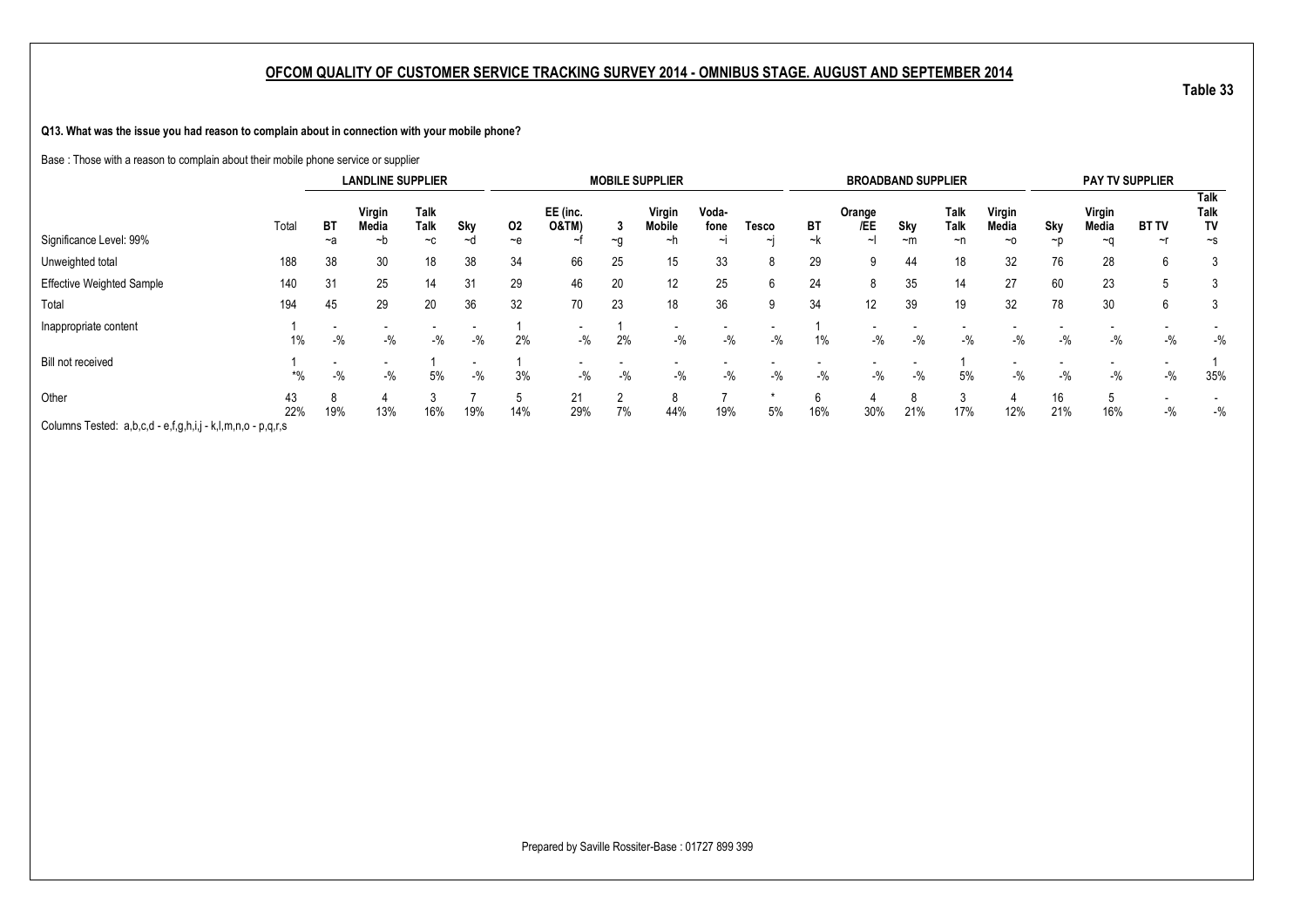**Q13. What was the issue you had reason to complain about in connection with your mobile phone?**

Base : Those with a reason to complain about their mobile phone service or supplier

|                                                             |           |          | <b>LANDLINE SUPPLIER</b> |                             |                                   |             |                              |              | <b>MOBILE SUPPLIER</b>        |                         |                   |                 | <b>BROADBAND SUPPLIER</b> |             |                    |                              |           |                       | PAY TV SUPPLIER    |                                |
|-------------------------------------------------------------|-----------|----------|--------------------------|-----------------------------|-----------------------------------|-------------|------------------------------|--------------|-------------------------------|-------------------------|-------------------|-----------------|---------------------------|-------------|--------------------|------------------------------|-----------|-----------------------|--------------------|--------------------------------|
| Significance Level: 99%                                     | Total     | BT<br>~a | Virgin<br>Media<br>~b    | <b>Talk</b><br>Talk<br>$-c$ | Sky<br>~d                         | 02<br>$-$ e | EE (inc.<br><b>O&amp;TM)</b> | Ĵ<br>$-a$    | Virgin<br><b>Mobile</b><br>∼h | Voda-<br>fone<br>$\sim$ | Tesco<br>$\sim$ I | <b>BT</b><br>~k | Orange<br>/EE<br>∼∣       | Sky<br>$-m$ | Talk<br>Talk<br>~n | Virgin<br>Media<br>$~\sim$ 0 | Sky<br>~p | Virgin<br>Media<br>~a | <b>BT TV</b><br>~r | Talk<br>Talk<br>TV<br>$\sim$ s |
| Unweighted total                                            | 188       | 38       | 30                       | 18                          | 38                                | 34          | 66                           | 25           | 15                            | 33                      | 8                 | 29              | 9                         | 44          | 18                 | 32                           | 76        | 28                    | 6                  | 3                              |
| Effective Weighted Sample                                   | 140       | 31       | 25                       | 14                          | 31                                | 29          | 46                           | 20           | 12                            | 25                      | 6                 | 24              | 8                         | 35          | 14                 | 27                           | 60        | 23                    | -5                 | 3                              |
| Total                                                       | 194       | 45       | 29                       | 20                          | 36                                | 32          | 70                           | 23           | 18                            | 36                      | 9                 | 34              | 12                        | 39          | 19                 | 32                           | 78        | 30                    | 6                  | 3                              |
| Inappropriate content                                       | 1%        | $-$ %    | $-$ %                    | $-$ %                       | $-$ %                             | 2%          | $-$ %                        | 2%           | $-$ %                         | $-$ %                   | $-$ %             | $1\%$           | $-$ %                     | $-$ %       | $-$ %              | $-$ %                        | $-$ %     | $-$ %                 | $-$ %              | $-$ %                          |
| Bill not received                                           | *%        | $-$ %    | $-$ %                    | 5%                          | $\overline{\phantom{a}}$<br>$-$ % | 3%          | $-$ %                        | $-$ %        | $-$ %                         | $-$ %                   | $-$ %             | $-$ %           | $-$ %                     | $-$ %       | 5%                 | $-$ %                        | $-$ %     | -%                    | $-$ %              | 35%                            |
| Other                                                       | 43<br>22% | 19%      | д<br>13%                 | 16%                         | 19%                               | 14%         | 21<br>29%                    | $\sim$<br>7% | 8<br>44%                      | 19%                     | 5%                | 16%             | 30%                       | 21%         | 3<br>17%           | 12%                          | 16<br>21% | 16%                   | $-$ %              | $-$ %                          |
| Columns Tested: a,b,c,d - e,f,g,h,i,j - k,l,m,n,o - p,q,r,s |           |          |                          |                             |                                   |             |                              |              |                               |                         |                   |                 |                           |             |                    |                              |           |                       |                    |                                |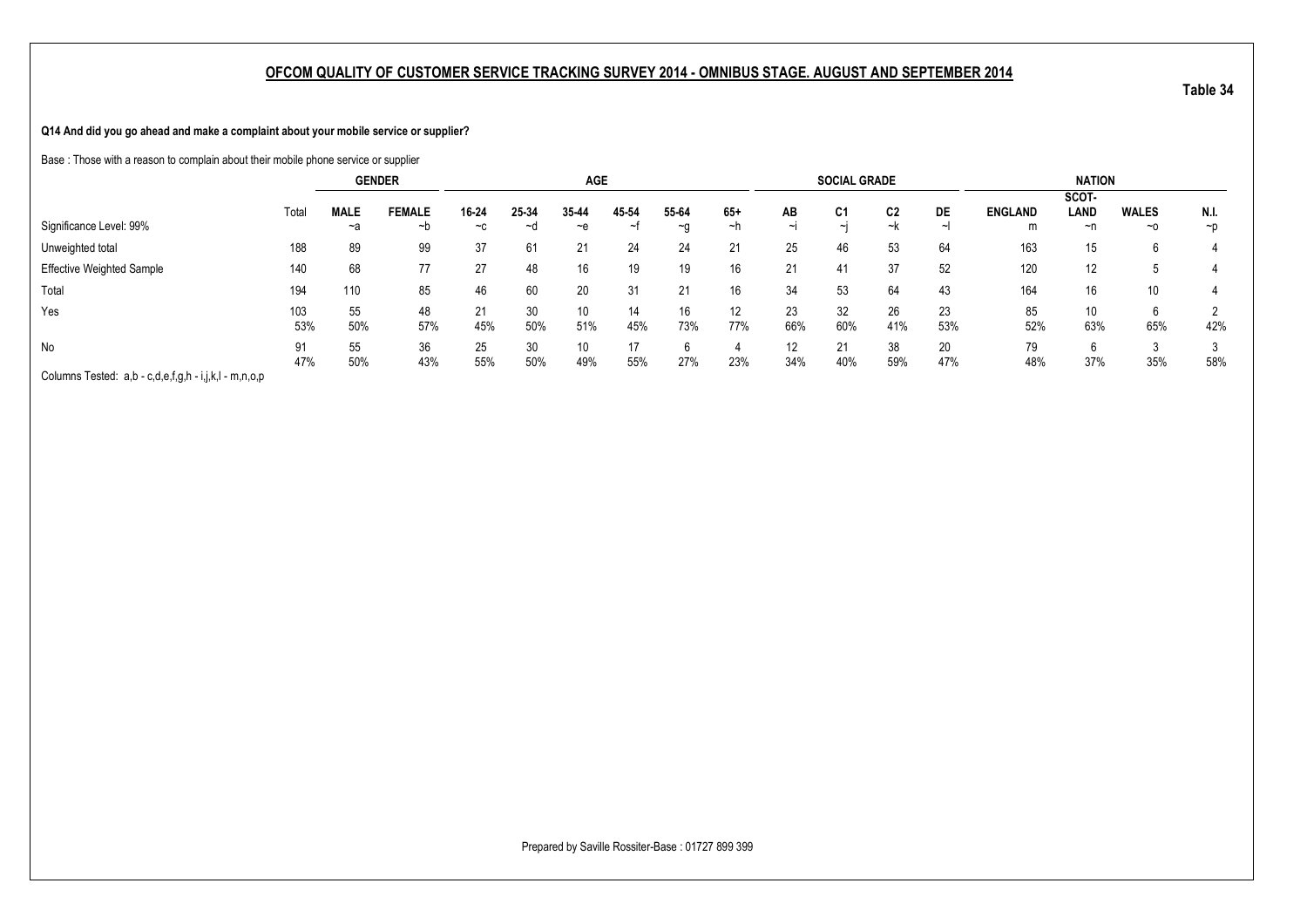**Q14 And did you go ahead and make a complaint about your mobile service or supplier?**

Base : Those with a reason to complain about their mobile phone service or supplier

|                                                       |            |                   | <b>GENDER</b>       |               |             | <b>AGE</b>             |             |             |             |                             | <b>SOCIAL GRADE</b>      |           |           |                     | <b>NATION</b>       |                           |                   |
|-------------------------------------------------------|------------|-------------------|---------------------|---------------|-------------|------------------------|-------------|-------------|-------------|-----------------------------|--------------------------|-----------|-----------|---------------------|---------------------|---------------------------|-------------------|
| Significance Level: 99%                               | Total      | <b>MALE</b><br>~a | <b>FEMALE</b><br>∼b | 16-24<br>$-c$ | 25-34<br>∼a | 35-44<br>~e            | 45-54<br>∼t | 55-64<br>~g | $65+$<br>∼h | AВ<br>$\tilde{\phantom{a}}$ | C <sub>1</sub><br>$\sim$ | C2<br>~k  | DE        | <b>ENGLAND</b><br>m | SCOT-<br>LAND<br>~n | <b>WALES</b><br>$~\sim$ 0 | N.I.<br>$~\sim$ D |
| Unweighted total                                      | 188        | 89                | 99                  | 37            | 61          | 21                     | 24          | 24          | 21          | 25                          | 46                       | 53        | 64        | 163                 | 15                  | 6                         |                   |
| <b>Effective Weighted Sample</b>                      | 140        | 68                | 77                  | 27            | 48          | 16                     | 19          | 19          | 16          | 21                          | 41                       | 37        | 52        | 120                 | 12                  | J                         |                   |
| Total                                                 | 194        | 110               | 85                  | 46            | 60          | 20                     | 31          | 21          | 16          | 34                          | 53                       | 64        | 43        | 164                 | 16                  | 10                        |                   |
| Yes                                                   | 103<br>53% | 55<br>50%         | 48<br>57%           | 21<br>45%     | 30<br>50%   | 10 <sup>°</sup><br>51% | 14<br>45%   | 16<br>73%   | 12<br>77%   | 23<br>66%                   | 32<br>60%                | 26<br>41% | 23<br>53% | 85<br>52%           | 10<br>63%           | 6<br>65%                  | 42%               |
| No                                                    | 91<br>47%  | 55<br>50%         | 36<br>43%           | 25<br>55%     | 30<br>50%   | 10<br>49%              | 55%         | 27%         | 23%         | $12 \overline{ }$<br>34%    | 21<br>40%                | 38<br>59% | 20<br>47% | 79<br>48%           | 37%                 | 35%                       | 58%               |
| Columns Tested: a,b - c,d,e,f,g,h - i,j,k,l - m,n,o,p |            |                   |                     |               |             |                        |             |             |             |                             |                          |           |           |                     |                     |                           |                   |

Prepared by Saville Rossiter-Base : 01727 899 399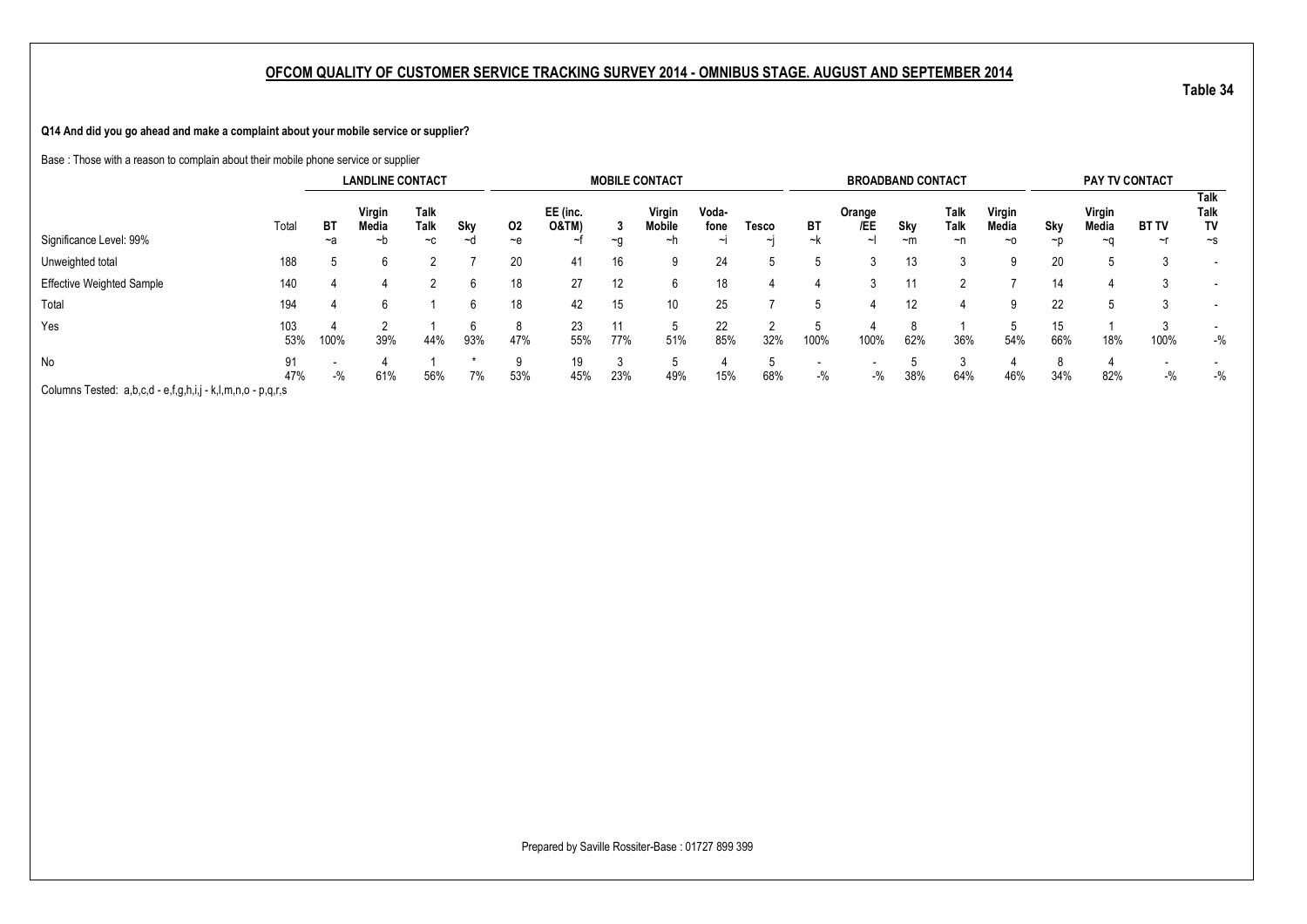**Q14 And did you go ahead and make a complaint about your mobile service or supplier?**

Base : Those with a reason to complain about their mobile phone service or supplier

|                                                             |            |            | <b>LANDLINE CONTACT</b> |                             |                 |             |                                   |            | <b>MOBILE CONTACT</b>  |                      |             |          | <b>BROADBAND CONTACT</b> |                   |                           |                       |           | PAY TV CONTACT        |                          |                                |
|-------------------------------------------------------------|------------|------------|-------------------------|-----------------------------|-----------------|-------------|-----------------------------------|------------|------------------------|----------------------|-------------|----------|--------------------------|-------------------|---------------------------|-----------------------|-----------|-----------------------|--------------------------|--------------------------------|
| Significance Level: 99%                                     | Total      | ВT<br>$-a$ | Virgin<br>Media<br>~h   | <b>Talk</b><br>Talk<br>$-c$ | Sky<br>$\sim$ c | 02<br>$-$ e | EE (inc.<br><b>O&amp;TM)</b><br>ᆟ | -3<br>$-a$ | Virgin<br>Mobile<br>∼h | Voda-<br>fone<br>ایہ | Tesco<br>~I | BT<br>~k | Orange<br>/EE            | Sky<br>$~\sim m$  | Talk<br><b>Talk</b><br>~n | Virgin<br>Media<br>~0 | Sky<br>~p | Virgin<br>Media<br>~∩ | <b>BT TV</b><br>$\sim$ r | Talk<br>Talk<br>TV<br>$\sim$ s |
| Unweighted total                                            | 188        |            | h                       |                             |                 | 20          | 41                                | 16         | 9                      | 24                   |             |          |                          | 13                |                           |                       | 20        |                       |                          |                                |
| <b>Effective Weighted Sample</b>                            | 140        |            |                         |                             |                 | 18          | 27                                | 12         | 6                      | 18                   |             |          |                          | 11                |                           |                       | 14        |                       |                          | $\overline{\phantom{a}}$       |
| Total                                                       | 194        |            | h                       |                             |                 | 18          | 42                                | 15         | 10 <sup>1</sup>        | 25                   |             |          |                          | $12 \overline{ }$ |                           | 9                     | 22        |                       |                          |                                |
| Yes                                                         | 103<br>53% | 100%       | 39%                     | 44%                         | 93%             | 8<br>47%    | 23<br>55%                         | 11<br>77%  | 51%                    | 22<br>85%            | 32%         | 100%     | 100%                     | 62%               | 36%                       | 54%                   | 15<br>66% | 18%                   | 100%                     | $-$ %                          |
| <b>No</b>                                                   | 91<br>47%  | $-$ %      | 61%                     | 56%                         | 7%              | 9<br>53%    | 19<br>45%                         | 23%        | 49%                    | 15%                  | 68%         | $-$ %    | $-$ %                    | 38%               | 64%                       | 46%                   | 8<br>34%  | Δ<br>82%              | $-$ %                    | $-$ %                          |
| Columns Tested: a,b,c,d - e,f,g,h,i,j - k,l,m,n,o - p,q,r,s |            |            |                         |                             |                 |             |                                   |            |                        |                      |             |          |                          |                   |                           |                       |           |                       |                          |                                |

Prepared by Saville Rossiter-Base : 01727 899 399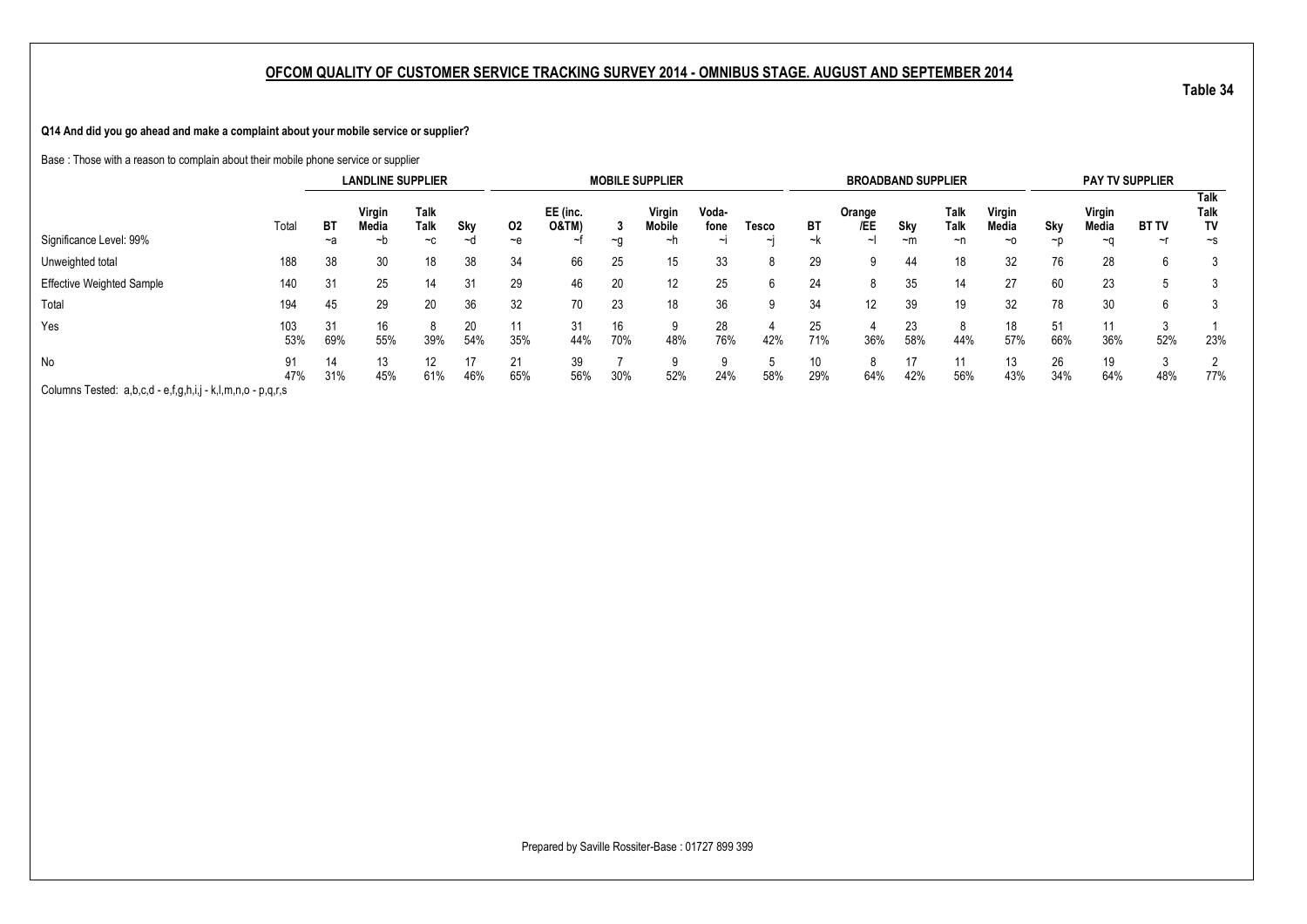**Q14 And did you go ahead and make a complaint about your mobile service or supplier?**

Base : Those with a reason to complain about their mobile phone service or supplier

|                                                             |            |            | <b>LANDLINE SUPPLIER</b> |                      |           |            |                   |           | <b>MOBILE SUPPLIER</b>        |                         |                 |           | <b>BROADBAND SUPPLIER</b>              |             |                    |                              |                 | <b>PAY TV SUPPLIER</b> |                    |                          |
|-------------------------------------------------------------|------------|------------|--------------------------|----------------------|-----------|------------|-------------------|-----------|-------------------------------|-------------------------|-----------------|-----------|----------------------------------------|-------------|--------------------|------------------------------|-----------------|------------------------|--------------------|--------------------------|
| Significance Level: 99%                                     | Total      | ВT<br>$-a$ | Virgin<br>Media<br>~b    | Talk<br>Talk<br>$-c$ | Sky<br>∼d | 02<br>$-e$ | EE (inc.<br>O&TM) | $-a$      | Virgin<br><b>Mobile</b><br>∼h | Voda-<br>fone<br>$\sim$ | Tesco<br>$\sim$ | ВT<br>~k  | Orange<br>/EE<br>$\tilde{\phantom{a}}$ | Sky<br>$-m$ | Talk<br>Talk<br>~n | Virgin<br>Media<br>$~\sim$ 0 | Skv<br>$\neg$ n | Virgin<br>Media<br>~a  | <b>BT TV</b><br>∼r | Talk<br>Talk<br>TV<br>~s |
| Unweighted total                                            | 188        | 38         | 30                       | 18                   | 38        | 34         | 66                | 25        | 15                            | 33                      | 8               | 29        |                                        | 44          | 18                 | 32                           | 76              | 28                     | 6                  |                          |
| <b>Effective Weighted Sample</b>                            | 140        | 31         | 25                       | 14                   | 31        | 29         | 46                | 20        | 12 <sup>°</sup>               | 25                      | 6               | 24        |                                        | 35          | 14                 | 27                           | 60              | 23                     |                    |                          |
| Total                                                       | 194        | 45         | 29                       | 20                   | 36        | 32         | 70                | 23        | 18                            | 36                      | 9               | 34        | 12                                     | 39          | 19                 | 32                           | 78              | 30                     | 6                  |                          |
| Yes                                                         | 103<br>53% | 31<br>69%  | 16<br>55%                | 39%                  | 20<br>54% | 11<br>35%  | 31<br>44%         | 16<br>70% | 48%                           | 28<br>76%               | 42%             | 25<br>71% | 36%                                    | 23<br>58%   | 44%                | 18<br>57%                    | 51<br>66%       | 11<br>36%              | 3<br>52%           | 23%                      |
| No                                                          | 91<br>47%  | 14<br>31%  | 13<br>45%                | 12<br>61%            | 17<br>46% | 21<br>65%  | 39<br>56%         | 30%       | a<br>52%                      | 24%                     | 58%             | 10<br>29% | 8<br>64%                               | 17<br>42%   | 11<br>56%          | 13<br>43%                    | 26<br>34%       | 19<br>64%              | 3<br>48%           | $\overline{2}$<br>77%    |
| Columns Tested: a,b,c,d - e,f,g,h,i,j - k,l,m,n,o - p,q,r,s |            |            |                          |                      |           |            |                   |           |                               |                         |                 |           |                                        |             |                    |                              |                 |                        |                    |                          |

Prepared by Saville Rossiter-Base : 01727 899 399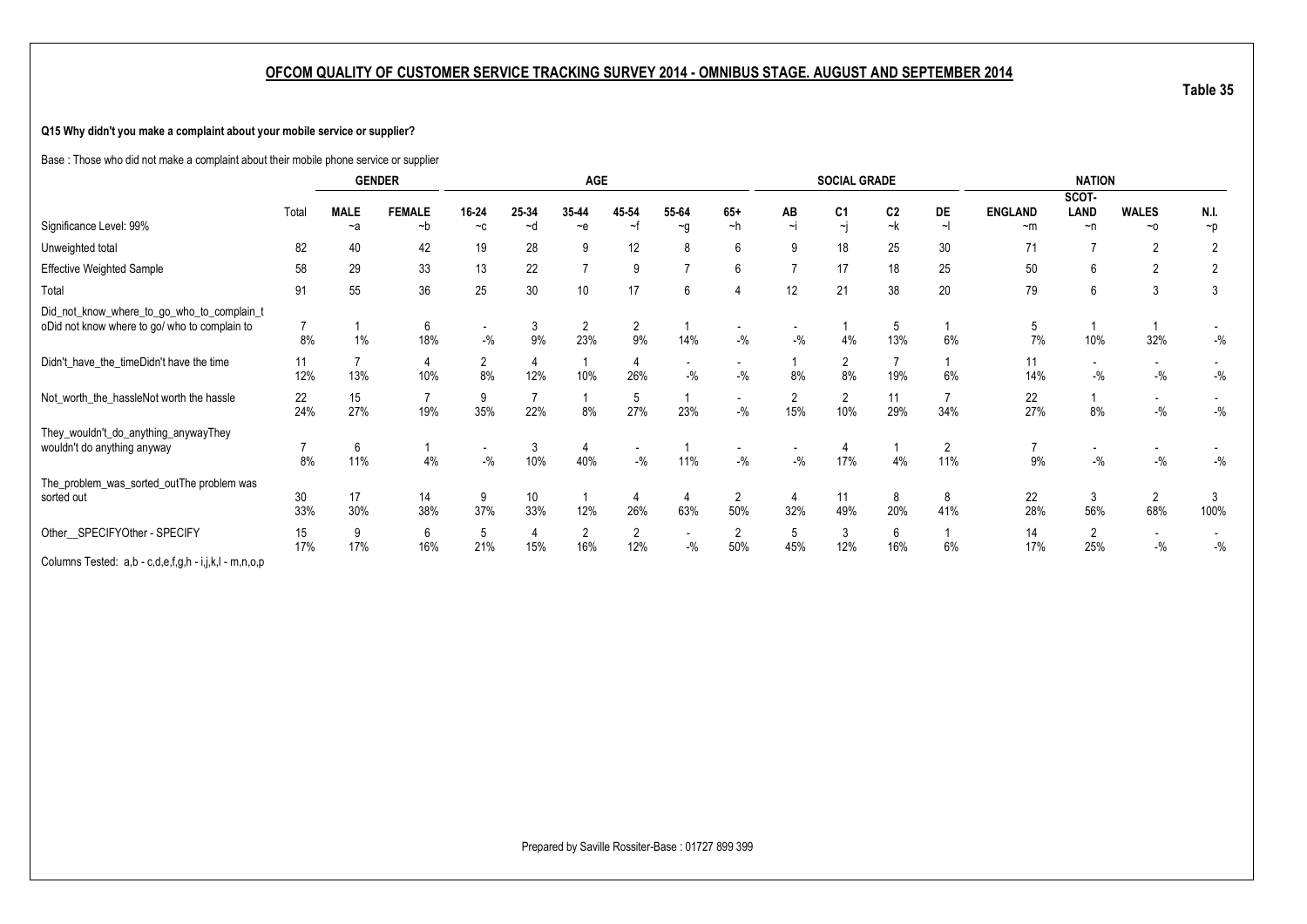### **Q15 Why didn't you make a complaint about your mobile service or supplier?**

Base : Those who did not make a complaint about their mobile phone service or supplier

|                                                       |       |             | <b>GENDER</b> |                          |       | <b>AGE</b>     |          |                          |                          |          | <b>SOCIAL GRADE</b>     |                |                       |                | <b>NATION</b>            |                          |                |
|-------------------------------------------------------|-------|-------------|---------------|--------------------------|-------|----------------|----------|--------------------------|--------------------------|----------|-------------------------|----------------|-----------------------|----------------|--------------------------|--------------------------|----------------|
|                                                       |       |             |               |                          |       |                |          |                          |                          |          |                         |                |                       |                | SCOT-                    |                          |                |
|                                                       | Total | <b>MALE</b> | <b>FEMALE</b> | 16-24                    | 25-34 | 35-44          | 45-54    | 55-64                    | $65+$                    | AB       | C <sub>1</sub>          | C <sub>2</sub> | DE                    | <b>ENGLAND</b> | <b>LAND</b>              | <b>WALES</b>             | N.I.           |
| Significance Level: 99%                               |       | $-a$        | $-b$          | $-c$                     | ~d    | $-e$           | $\sim$ f | $\neg$ g                 | $-h$                     | $\sim$ j | $\overline{\mathbf{u}}$ | $-k$           | $\sim$                | $~\sim m$      | $\neg$ n                 | $~\sim$ 0                | $\neg p$       |
| Unweighted total                                      | 82    | 40          | 42            | 19                       | 28    | 9              | 12       | 8                        | 6                        | 9        | 18                      | 25             | 30                    | 71             |                          | 2                        |                |
| <b>Effective Weighted Sample</b>                      | 58    | 29          | 33            | 13                       | 22    | $\overline{ }$ | 9        | 7                        | 6                        |          | 17                      | 18             | 25                    | 50             | 6                        | $\overline{2}$           | $\overline{2}$ |
| Total                                                 | 91    | 55          | 36            | 25                       | 30    | 10             | 17       | 6                        |                          | 12       | 21                      | 38             | 20                    | 79             | 6                        | 3                        | 3              |
| Did_not_know_where_to_go_who_to_complain_t            |       |             |               |                          |       |                |          |                          |                          |          |                         |                |                       |                |                          |                          |                |
| oDid not know where to go/ who to complain to         |       |             | 6             | $\overline{\phantom{a}}$ | 3     | $\overline{2}$ | 2        |                          | $\overline{\phantom{a}}$ |          |                         | 5              |                       | 5              |                          |                          |                |
|                                                       | 8%    | 1%          | 18%           | $-$ %                    | 9%    | 23%            | 9%       | 14%                      | $-$ %                    | $-$ %    | 4%                      | 13%            | 6%                    | 7%             | 10%                      | 32%                      | $-$ %          |
| Didn't_have_the_timeDidn't have the time              | 11    |             | 4             | 2                        |       |                |          |                          | $\overline{\phantom{a}}$ |          | $\overline{2}$          |                |                       | 11             | $\overline{\phantom{a}}$ | $\overline{\phantom{a}}$ |                |
|                                                       | 12%   | 13%         | 10%           | 8%                       | 12%   | 10%            | 26%      | $-$ %                    | $-9/6$                   | 8%       | 8%                      | 19%            | 6%                    | 14%            | $-$ %                    | $ \%$                    | $-$ %          |
| Not_worth_the_hassleNot worth the hassle              | 22    | 15          | 7             | 9                        |       |                | 5        |                          | $\overline{\phantom{a}}$ | 2        | $\overline{2}$          | 11             |                       | 22             |                          | $\overline{\phantom{a}}$ |                |
|                                                       | 24%   | 27%         | 19%           | 35%                      | 22%   | 8%             | 27%      | 23%                      | $-9/6$                   | 15%      | 10%                     | 29%            | 34%                   | 27%            | 8%                       | $-$ %                    | $-$ %          |
| They_wouldn't_do_anything_anywayThey                  |       |             |               |                          |       |                |          |                          |                          |          |                         |                |                       |                |                          |                          |                |
| wouldn't do anything anyway                           |       | 6           |               | $\overline{\phantom{a}}$ | 3     | 4              |          |                          | $\overline{\phantom{a}}$ |          |                         |                | $\mathbf{2}^{\prime}$ |                |                          |                          |                |
|                                                       | 8%    | 11%         | 4%            | $-$ %                    | 10%   | 40%            | $-9/6$   | 11%                      | $-$ %                    | $-$ %    | 17%                     | 4%             | 11%                   | 9%             | $-9/6$                   | $ \%$                    | $-$ %          |
| The_problem_was_sorted_outThe problem was             |       |             |               |                          |       |                |          |                          |                          |          |                         |                |                       |                |                          |                          |                |
| sorted out                                            | 30    | 17          | 14            | 9                        | 10    |                |          | 4                        | $\overline{2}$           |          | 11                      | 8              | 8                     | 22             | 3                        | $\overline{2}$           |                |
|                                                       | 33%   | 30%         | 38%           | 37%                      | 33%   | 12%            | 26%      | 63%                      | 50%                      | 32%      | 49%                     | 20%            | 41%                   | 28%            | 56%                      | 68%                      | 100%           |
| Other_SPECIFYOther - SPECIFY                          | 15    | 9           | 6             | 5                        | 4     | $\overline{2}$ | 2        | $\overline{\phantom{a}}$ | 2                        | 5        | 3                       | 6              |                       | 14             | $\overline{2}$           | $\overline{\phantom{a}}$ |                |
|                                                       | 17%   | 17%         | 16%           | 21%                      | 15%   | 16%            | 12%      | $-$ %                    | 50%                      | 45%      | 12%                     | 16%            | 6%                    | 17%            | 25%                      | $-$ %                    | $-$ %          |
| Columns Tested: a,b - c,d,e,f,g,h - i,j,k,l - m,n,o,p |       |             |               |                          |       |                |          |                          |                          |          |                         |                |                       |                |                          |                          |                |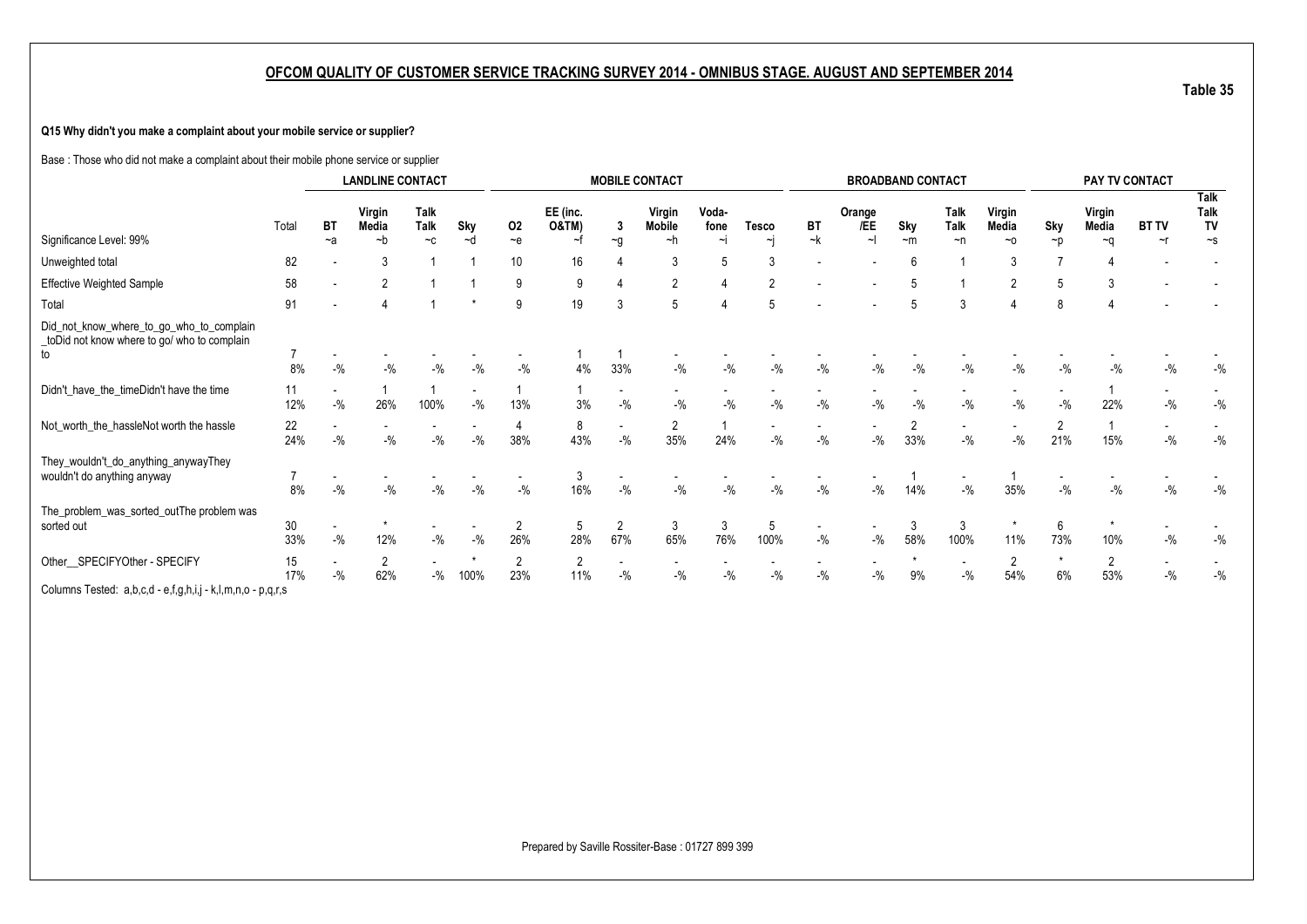### **Q15 Why didn't you make a complaint about your mobile service or supplier?**

Base : Those who did not make a complaint about their mobile phone service or supplier

|                                                                                               |           |           | <b>LANDLINE CONTACT</b> |                            |        |                                   |                   |                       | <b>MOBILE CONTACT</b>   |               |                                    |           |                                   | <b>BROADBAND CONTACT</b> |                                   |                       |                       | PAY TV CONTACT        |              |                    |
|-----------------------------------------------------------------------------------------------|-----------|-----------|-------------------------|----------------------------|--------|-----------------------------------|-------------------|-----------------------|-------------------------|---------------|------------------------------------|-----------|-----------------------------------|--------------------------|-----------------------------------|-----------------------|-----------------------|-----------------------|--------------|--------------------|
|                                                                                               | Total     | <b>BT</b> | Virgin<br>Media         | <b>Talk</b><br><b>Talk</b> | Sky    | 02                                | EE (inc.<br>O&TM) | -3                    | Virgin<br><b>Mobile</b> | Voda-<br>fone | <b>Tesco</b>                       | <b>BT</b> | Orange<br>/EE                     | Sky                      | <b>Talk</b><br><b>Talk</b>        | Virgin<br>Media       | Sky                   | Virgin<br>Media       | <b>BT TV</b> | Talk<br>Talk<br>TV |
| Significance Level: 99%                                                                       |           | $-a$      | $-b$                    | $-c$                       | $-d$   | $-e$                              | ~f                | $\sim g$              | ~h                      | $\sim$ j      | ٠i                                 | ~k        | $\sim$                            | $-m$                     | $\neg$ n                          | $~\sim$ 0             | $\neg$ p              | $-a$                  | $\sim$ r     | $\sim$ s           |
| Unweighted total                                                                              | 82        |           |                         |                            |        | 10                                | 16                |                       | 3                       | 5             |                                    |           |                                   |                          |                                   |                       |                       |                       |              |                    |
| <b>Effective Weighted Sample</b>                                                              | 58        |           |                         |                            |        | 9                                 | 9                 |                       | $\overline{2}$          |               |                                    |           |                                   |                          |                                   | $\overline{2}$        | 5                     |                       |              |                    |
| Total                                                                                         | 91        |           |                         |                            |        | 9                                 | 19                | 3                     | 5                       |               |                                    |           |                                   |                          | 3                                 |                       | 8                     |                       |              |                    |
| Did_not_know_where_to_go_who_to_complain<br>toDid not know where to go/ who to complain<br>to | 7         |           |                         |                            |        |                                   |                   |                       |                         |               |                                    |           |                                   |                          |                                   |                       |                       |                       |              |                    |
|                                                                                               | 8%        | $-$ %     | $-9/6$                  | $-9/6$                     | $-9/6$ | $-$ %                             | 4%                | 33%                   | $-9/6$                  | $-$ %         | $-9/6$                             | $-$ %     | $-$ %                             | $-$ %                    | $-$ %                             | $-9/6$                | $-9/6$                | $-$ %                 | $-9/6$       | $-$ %              |
| Didn't_have_the_timeDidn't have the time                                                      | 11<br>12% | $-$ %     | 26%                     | 100%                       | $-$ %  | -1<br>13%                         | 3%                | $-$ %                 | $-$ %                   | $-$ %         | $-$ %                              | $-$ %     | $-$ %                             | $-$ %                    | $-$ %                             | $-$ %                 | $-9/6$                | 22%                   | $-9/6$       | $-$ %              |
| Not_worth_the_hassleNot worth the hassle                                                      | 22<br>24% | $-$ %     | $-$ %                   | $-9/6$                     | $-$ %  | 4<br>38%                          | 8<br>43%          | $-9/6$                | 2<br>35%                | 24%           | $\overline{\phantom{a}}$<br>$-9/0$ | $-$ %     | $\overline{\phantom{a}}$<br>$-$ % | 2<br>33%                 | $\sim$<br>$-$ %                   | $-$ %                 | $\overline{2}$<br>21% | 15%                   | $-$ %        | $-$ %              |
| They_wouldn't_do_anything_anywayThey<br>wouldn't do anything anyway                           | 8%        |           | $-9/6$                  | $-$ %                      | $-9/6$ | $\overline{\phantom{a}}$<br>$-$ % | 3<br>16%          | $-$ %                 | $-$ %                   | $-$ %         | $-$ %                              | $-$ %     | $\sim$<br>$-$ %                   | 14%                      | $\overline{\phantom{a}}$<br>$-$ % | 35%                   | $-$ %                 | $-$ %                 | $-$ %        | $-$ %              |
| The_problem_was_sorted_outThe problem was<br>sorted out                                       | 30<br>33% | $-$ %     | 12%                     | $-$ %                      | $-$ %  | $\overline{2}$<br>26%             | 5<br>28%          | $\overline{2}$<br>67% | 3<br>65%                | 3<br>76%      | 5<br>100%                          | $-$ %     | $-$ %                             | 3<br>58%                 | 3<br>100%                         | 11%                   | 6<br>73%              | 10%                   | $-9/6$       | $-$ %              |
| Other_SPECIFYOther - SPECIFY                                                                  | 15<br>17% | $-$ %     | 2<br>62%                | $-$ %                      | 100%   | $\overline{2}$<br>23%             | 2<br>11%          | $-$ %                 | $-9/6$                  | $-9/2$        | $-9/6$                             | $-$ %     | $-$ %                             | 9%                       | $\overline{\phantom{a}}$<br>$-$ % | $\overline{2}$<br>54% | $\star$<br>6%         | $\overline{2}$<br>53% | $-9/6$       | $-$ %              |
| Columns Tested: a,b,c,d - e,f,g,h,i,j - k,l,m,n,o - p,q,r,s                                   |           |           |                         |                            |        |                                   |                   |                       |                         |               |                                    |           |                                   |                          |                                   |                       |                       |                       |              |                    |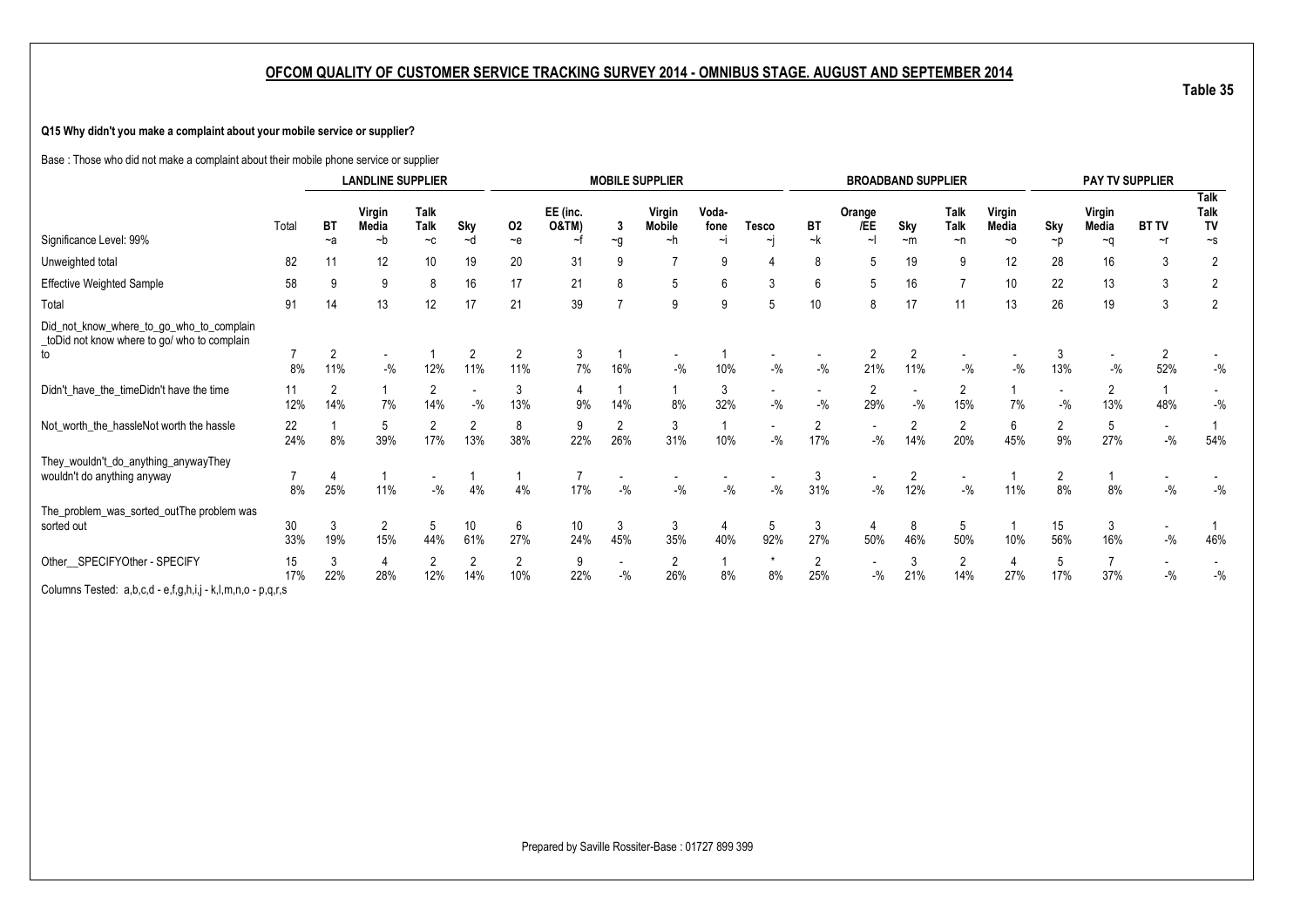### **Q15 Why didn't you make a complaint about your mobile service or supplier?**

Base : Those who did not make a complaint about their mobile phone service or supplier

|                                                                                               |           |                       | <b>LANDLINE SUPPLIER</b> |                                    |                        |                       |                              |                                    | <b>MOBILE SUPPLIER</b>            |               |                                   |                              |                                    | <b>BROADBAND SUPPLIER</b> |                     |                 |                          |                 | <b>PAY TV SUPPLIER</b>            |                    |
|-----------------------------------------------------------------------------------------------|-----------|-----------------------|--------------------------|------------------------------------|------------------------|-----------------------|------------------------------|------------------------------------|-----------------------------------|---------------|-----------------------------------|------------------------------|------------------------------------|---------------------------|---------------------|-----------------|--------------------------|-----------------|-----------------------------------|--------------------|
|                                                                                               | Total     | ВT                    | Virgin<br>Media          | <b>Talk</b><br><b>Talk</b>         | Sky                    | 02                    | EE (inc.<br><b>O&amp;TM)</b> | 3                                  | Virgin<br>Mobile                  | Voda-<br>fone | Tesco                             | BT                           | Orange<br>/EE                      | Sky                       | <b>Talk</b><br>Talk | Virgin<br>Media | Sky                      | Virgin<br>Media | <b>BT TV</b>                      | Talk<br>Talk<br>TV |
| Significance Level: 99%                                                                       |           | $-a$                  | $-b$                     | $-c$                               | $-d$                   | $-e$                  | ~f                           | $\sim g$                           | ~h                                | ∼i            | ∼i                                | $-k$                         | $\sim$                             | $-m$                      | $\neg$ n            | $~\sim$ 0       | $\neg$ D                 | ∼a              | ~r                                | $\sim$ s           |
| Unweighted total                                                                              | 82        | 11                    | 12                       | 10                                 | 19                     | 20                    | 31                           |                                    |                                   |               |                                   |                              | 5                                  | 19                        | 9                   | 12              | 28                       | 16              | 3                                 | 2                  |
| <b>Effective Weighted Sample</b>                                                              | 58        |                       | 9                        | 8                                  | 16                     | 17                    | 21                           |                                    | 5                                 |               | 3                                 | 6                            | 5                                  | 16                        | $\overline{7}$      | 10              | 22                       | 13              | 3                                 | $\overline{2}$     |
| Total                                                                                         | 91        | 14                    | 13                       | 12                                 | 17                     | 21                    | 39                           |                                    | 9                                 | 9             | 5                                 | 10                           | 8                                  | 17                        | 11                  | 13              | 26                       | 19              | 3                                 | $\overline{2}$     |
| Did_not_know_where_to_go_who_to_complain<br>toDid not know where to go/ who to complain<br>to | 8%        | $\overline{2}$<br>11% | ۰<br>$-$ %               | 12%                                | $\overline{2}$<br>11%  | $\overline{2}$<br>11% | 3<br>7%                      | 16%                                | $\overline{\phantom{a}}$<br>$-$ % | 10%           | $-9/6$                            | $-$ %                        | $\overline{2}$<br>21%              | 11%                       | $-$ %               | $-9/6$          | 3<br>13%                 | $-$ %           | 2<br>52%                          | $-$ %              |
| Didn't_have_the_timeDidn't have the time                                                      | 11        | $\overline{2}$        |                          | $\overline{2}$                     | $\blacksquare$         | 3                     |                              |                                    |                                   | 3             | $\blacksquare$                    |                              | $\overline{2}$                     | $\overline{\phantom{a}}$  | $\overline{2}$      |                 | $\overline{\phantom{a}}$ |                 |                                   |                    |
|                                                                                               | 12%       | 14%                   | 7%                       | 14%                                | $-$ %                  | 13%                   | 9%                           | 14%                                | 8%                                | 32%           | $-$ %                             | $-9/6$                       | 29%                                | $-9/6$                    | 15%                 | 7%              | $-9/6$                   | 13%             | 48%                               | $-$ %              |
| Not_worth_the_hassleNot worth the hassle                                                      | 22<br>24% | 8%                    | 39%                      | 2<br>17%                           | $\overline{2}$<br>13%  | 8<br>38%              | 9<br>22%                     | $\overline{2}$<br>26%              | 3<br>31%                          | 10%           | $\sim$<br>$-$ %                   | $\mathbf{2}^{\prime}$<br>17% | $\blacksquare$<br>$-$ %            | 2<br>14%                  | 2<br>20%            | 6<br>45%        | $\overline{2}$<br>9%     | 5<br>27%        | $\overline{\phantom{a}}$<br>$-$ % | 54%                |
| They_wouldn't_do_anything_anywayThey                                                          |           |                       |                          |                                    |                        |                       |                              |                                    |                                   |               |                                   |                              |                                    |                           |                     |                 |                          |                 |                                   |                    |
| wouldn't do anything anyway                                                                   | 8%        | 25%                   | 11%                      | $\overline{\phantom{a}}$<br>$-9/6$ | 4%                     | 4%                    | 17%                          | $\overline{\phantom{a}}$<br>$-$ %  | $-$ %                             | $-$ %         | $\overline{\phantom{a}}$<br>$-$ % | 3<br>31%                     | $\sim$<br>$-$ %                    | 2<br>12%                  | $\sim$<br>$-$ %     | 11%             | $\overline{2}$<br>8%     | 8%              | $-$ %                             | $-$ %              |
| The_problem_was_sorted_outThe problem was                                                     |           |                       |                          |                                    |                        |                       |                              |                                    |                                   |               |                                   |                              |                                    |                           |                     |                 |                          |                 |                                   |                    |
| sorted out                                                                                    | 30<br>33% | -3<br>19%             | $\overline{2}$<br>15%    | 44%                                | 10 <sup>°</sup><br>61% | 6<br>27%              | 10<br>24%                    | 3<br>45%                           | 3<br>35%                          | 40%           | 5<br>92%                          | 3<br>27%                     | 50%                                | 8<br>46%                  | 5<br>50%            | 10%             | 15<br>56%                | 3<br>16%        | $-$ %                             | 46%                |
| Other SPECIFYOther - SPECIFY                                                                  | 15<br>17% | 3<br>22%              | 4<br>28%                 | $\overline{2}$<br>12%              | $\overline{2}$<br>14%  | $\overline{2}$<br>10% | 9<br>22%                     | $\overline{\phantom{a}}$<br>$-9/6$ | 2<br>26%                          | 8%            | $\star$<br>8%                     | 2<br>25%                     | $\overline{\phantom{a}}$<br>$-9/6$ | 3<br>21%                  | 2<br>14%            | 27%             | 5<br>17%                 | 37%             | $-$ %                             | $-$ %              |
| Columns Tested: a,b,c,d - e,f,g,h,i,j - k,l,m,n,o - p,q,r,s                                   |           |                       |                          |                                    |                        |                       |                              |                                    |                                   |               |                                   |                              |                                    |                           |                     |                 |                          |                 |                                   |                    |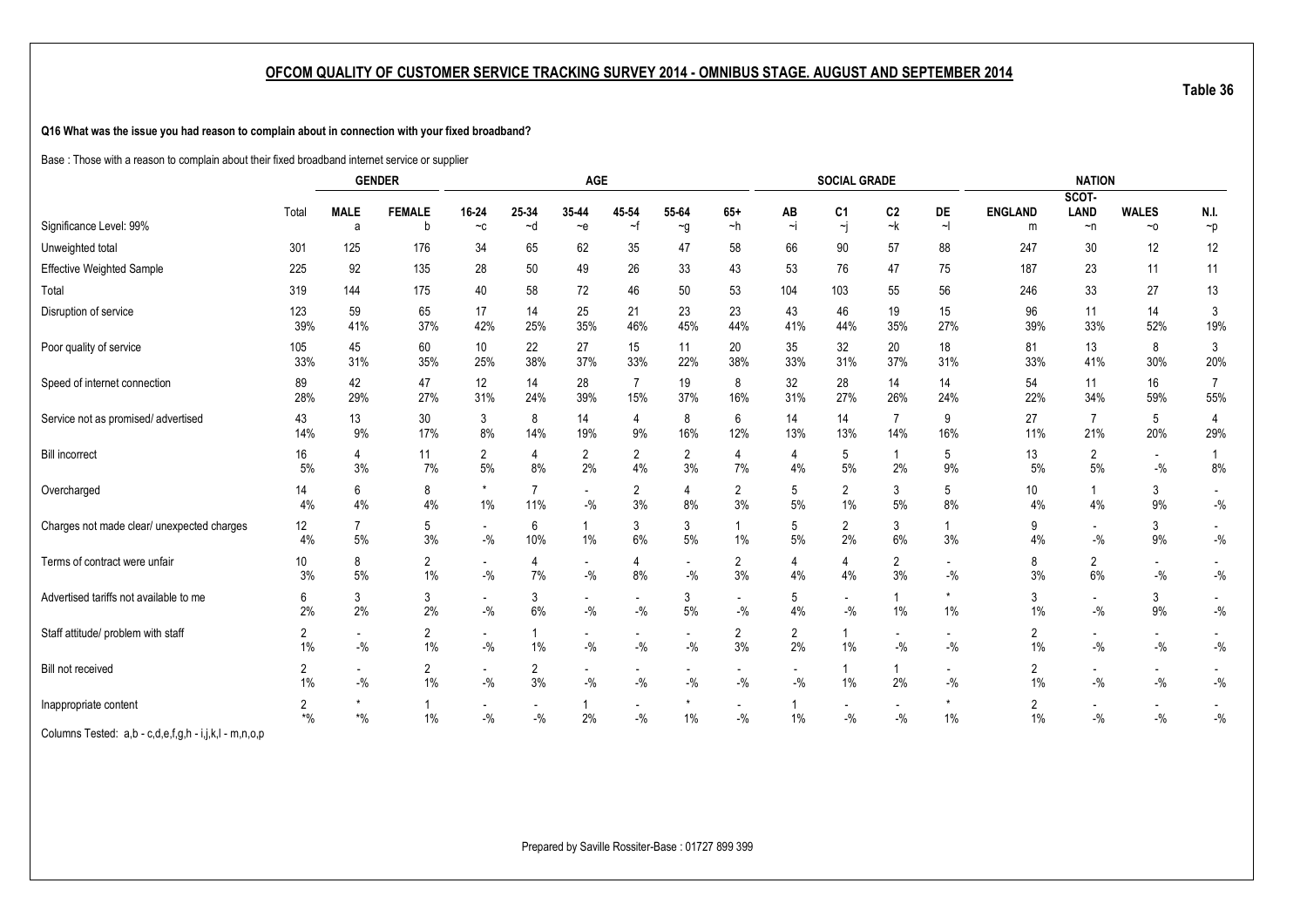**Q16 What was the issue you had reason to complain about in connection with your fixed broadband?**

Base : Those with a reason to complain about their fixed broadband internet service or supplier

|                                                       |                      |                                    | <b>GENDER</b>           |                                    |                                   | <b>AGE</b>                         |                                   |                      |                                    |                      | <b>SOCIAL GRADE</b>                  |                                    |                                   |                      | <b>NATION</b>                     |                                      |                               |
|-------------------------------------------------------|----------------------|------------------------------------|-------------------------|------------------------------------|-----------------------------------|------------------------------------|-----------------------------------|----------------------|------------------------------------|----------------------|--------------------------------------|------------------------------------|-----------------------------------|----------------------|-----------------------------------|--------------------------------------|-------------------------------|
|                                                       |                      |                                    |                         |                                    |                                   |                                    |                                   |                      |                                    |                      |                                      |                                    |                                   |                      | SCOT-                             |                                      |                               |
| Significance Level: 99%                               | Total                | <b>MALE</b><br>a                   | <b>FEMALE</b><br>b      | 16-24<br>$-c$                      | 25-34<br>~d                       | 35-44<br>$-e$                      | 45-54<br>$\sim$ f                 | 55-64<br>$\sim g$    | $65+$<br>$-h$                      | AB<br>$\sim$ j       | C <sub>1</sub><br>$\mathord{\sim} j$ | C <sub>2</sub><br>~k               | DE<br>$\sim$                      | <b>ENGLAND</b><br>m  | <b>LAND</b><br>$\neg$ n           | <b>WALES</b><br>$~\sim$ 0            | N.I.<br>$\mathbin{\char`\^}p$ |
| Unweighted total                                      | 301                  | 125                                | 176                     | 34                                 | 65                                | 62                                 | 35                                | 47                   | 58                                 | 66                   | 90                                   | 57                                 | 88                                | 247                  | 30                                | 12                                   | 12                            |
| <b>Effective Weighted Sample</b>                      | 225                  | 92                                 | 135                     | 28                                 | 50                                | 49                                 | 26                                | 33                   | 43                                 | 53                   | 76                                   | 47                                 | 75                                | 187                  | 23                                | 11                                   | 11                            |
| Total                                                 | 319                  | 144                                | 175                     | 40                                 | 58                                | 72                                 | 46                                | 50                   | 53                                 | 104                  | 103                                  | 55                                 | 56                                | 246                  | 33                                | $27\,$                               | 13                            |
| Disruption of service                                 | 123<br>39%           | 59<br>41%                          | 65<br>37%               | 17<br>42%                          | 14<br>25%                         | 25<br>35%                          | 21<br>46%                         | 23<br>45%            | 23<br>44%                          | 43<br>41%            | 46<br>44%                            | 19<br>35%                          | 15<br>27%                         | 96<br>39%            | 11<br>33%                         | 14<br>52%                            | 3<br>19%                      |
| Poor quality of service                               | 105<br>33%           | 45<br>31%                          | 60<br>35%               | 10<br>25%                          | 22<br>38%                         | 27<br>37%                          | 15<br>33%                         | 11<br>22%            | 20<br>38%                          | 35<br>33%            | 32<br>31%                            | 20<br>37%                          | 18<br>31%                         | 81<br>33%            | 13<br>41%                         | 8<br>30%                             | 3<br>20%                      |
| Speed of internet connection                          | 89<br>28%            | 42<br>29%                          | 47<br>27%               | 12<br>31%                          | 14<br>24%                         | 28<br>39%                          | 7<br>15%                          | 19<br>37%            | 8<br>16%                           | 32<br>31%            | 28<br>27%                            | 14<br>26%                          | 14<br>24%                         | 54<br>22%            | 11<br>34%                         | 16<br>59%                            | 7<br>55%                      |
| Service not as promised/advertised                    | 43<br>14%            | 13<br>9%                           | 30<br>17%               | 3<br>8%                            | 8<br>14%                          | 14<br>19%                          | 4<br>9%                           | 8<br>16%             | 6<br>12%                           | 14<br>13%            | 14<br>13%                            | $\overline{7}$<br>14%              | 9<br>16%                          | 27<br>11%            | $\overline{7}$<br>21%             | 5<br>20%                             | $\overline{4}$<br>29%         |
| <b>Bill incorrect</b>                                 | 16<br>5%             | 4<br>3%                            | 11<br>7%                | 2<br>5%                            | 4<br>8%                           | $\overline{2}$<br>2%               | 2<br>4%                           | $\overline{2}$<br>3% | 4<br>7%                            | 4<br>4%              | 5<br>5%                              | 1<br>2%                            | 5<br>9%                           | 13<br>5%             | 2<br>5%                           | $\sim$<br>$-$ %                      | $\mathbf{1}$<br>8%            |
| Overcharged                                           | 14<br>4%             | 6<br>4%                            | 8<br>$4\%$              | $\star$<br>$1\%$                   | 7<br>11%                          | $\overline{\phantom{a}}$<br>$-$ %  | 2<br>3%                           | 4<br>8%              | 2<br>3%                            | 5<br>$5\%$           | $\overline{2}$<br>1%                 | 3<br>5%                            | 5<br>8%                           | 10<br>4%             | 1<br>4%                           | 3<br>$9\%$                           | $-{\%}$                       |
| Charges not made clear/ unexpected charges            | 12<br>4%             | $\overline{7}$<br>5%               | 5<br>3%                 | $\sim$<br>$-9/6$                   | 6<br>10%                          | $\overline{1}$<br>$1\%$            | 3<br>6%                           | 3<br>5%              | 1%                                 | 5<br>5%              | $\overline{2}$<br>2%                 | 3<br>6%                            | 3%                                | 9<br>4%              | $\overline{\phantom{a}}$<br>$-$ % | 3<br>9%                              | $-{\%}$                       |
| Terms of contract were unfair                         | 10<br>3%             | 8<br>5%                            | 2<br>1%                 | $\overline{\phantom{a}}$<br>$-9/6$ | 4<br>7%                           | $\overline{\phantom{a}}$<br>$-9/0$ | 4<br>8%                           | $-$ %                | 2<br>3%                            | 4<br>4%              | 4<br>4%                              | $\overline{2}$<br>3%               | $\overline{\phantom{a}}$<br>$-$ % | 8<br>3%              | $\overline{2}$<br>6%              | $\sim$<br>$ \%$                      | $-$ %                         |
| Advertised tariffs not available to me                | 6<br>2%              | 3<br>2%                            | 3<br>2%                 | $\overline{\phantom{a}}$<br>$-9/6$ | 3<br>6%                           | $\overline{\phantom{a}}$<br>$-$ %  | $-$ %                             | 3<br>5%              | $\overline{\phantom{a}}$<br>$-$ %  | 5<br>4%              | $\blacksquare$<br>$-$ %              | $\overline{1}$<br>$1\%$            | $1\%$                             | 3<br>1%              | $\overline{\phantom{a}}$<br>$-$ % | 3<br>9%                              | $\sim$<br>$-{\%}$             |
| Staff attitude/ problem with staff                    | $\overline{2}$<br>1% | $-$ %                              | $\overline{2}$<br>$1\%$ | $\overline{\phantom{a}}$<br>$-$ %  | 1%                                | $\overline{\phantom{a}}$<br>$-$ %  | $-$ %                             | $-$ %                | $\overline{2}$<br>3%               | $\overline{2}$<br>2% | 1%                                   | $\overline{\phantom{0}}$<br>$-9/6$ | $-$ %                             | $\overline{2}$<br>1% | $\overline{\phantom{a}}$<br>$-$ % | $\overline{\phantom{a}}$<br>$-$ %    | $-{\%}$                       |
| Bill not received                                     | $\overline{2}$<br>1% | $\overline{\phantom{a}}$<br>$-9/6$ | 2<br>$1\%$              | $\overline{\phantom{a}}$<br>$-9/6$ | $\overline{2}$<br>3%              | $\overline{\phantom{a}}$<br>$-9/0$ | $-$ %                             | $-$ %                | $\overline{\phantom{a}}$<br>$-9/0$ | $-$ %                | 1%                                   | 1<br>2%                            | $\overline{\phantom{a}}$<br>$-$ % | $\overline{2}$<br>1% | $\overline{\phantom{a}}$<br>$-$ % | $\sim$<br>$\mathbin{{\mathcal I}}_0$ | $ \%$                         |
| Inappropriate content                                 | 2<br>$*$ %           | $\boldsymbol{*}0\!/\!_0$           | 1<br>$1\%$              | $\overline{\phantom{a}}$<br>$-9/6$ | $\overline{\phantom{a}}$<br>$-$ % | 2%                                 | $\overline{\phantom{a}}$<br>$-$ % | 1%                   | $\overline{\phantom{a}}$<br>$-$ %  | 1%                   | $\overline{\phantom{a}}$<br>$-$ %    | $\overline{\phantom{a}}$<br>$-$ %  | $1\%$                             | $\overline{2}$<br>1% | $\overline{\phantom{a}}$<br>$-$ % | $\overline{\phantom{a}}$<br>$ \%$    | $-$ %                         |
| Columns Tested: a,b - c,d,e,f,g,h - i,j,k,l - m,n,o,p |                      |                                    |                         |                                    |                                   |                                    |                                   |                      |                                    |                      |                                      |                                    |                                   |                      |                                   |                                      |                               |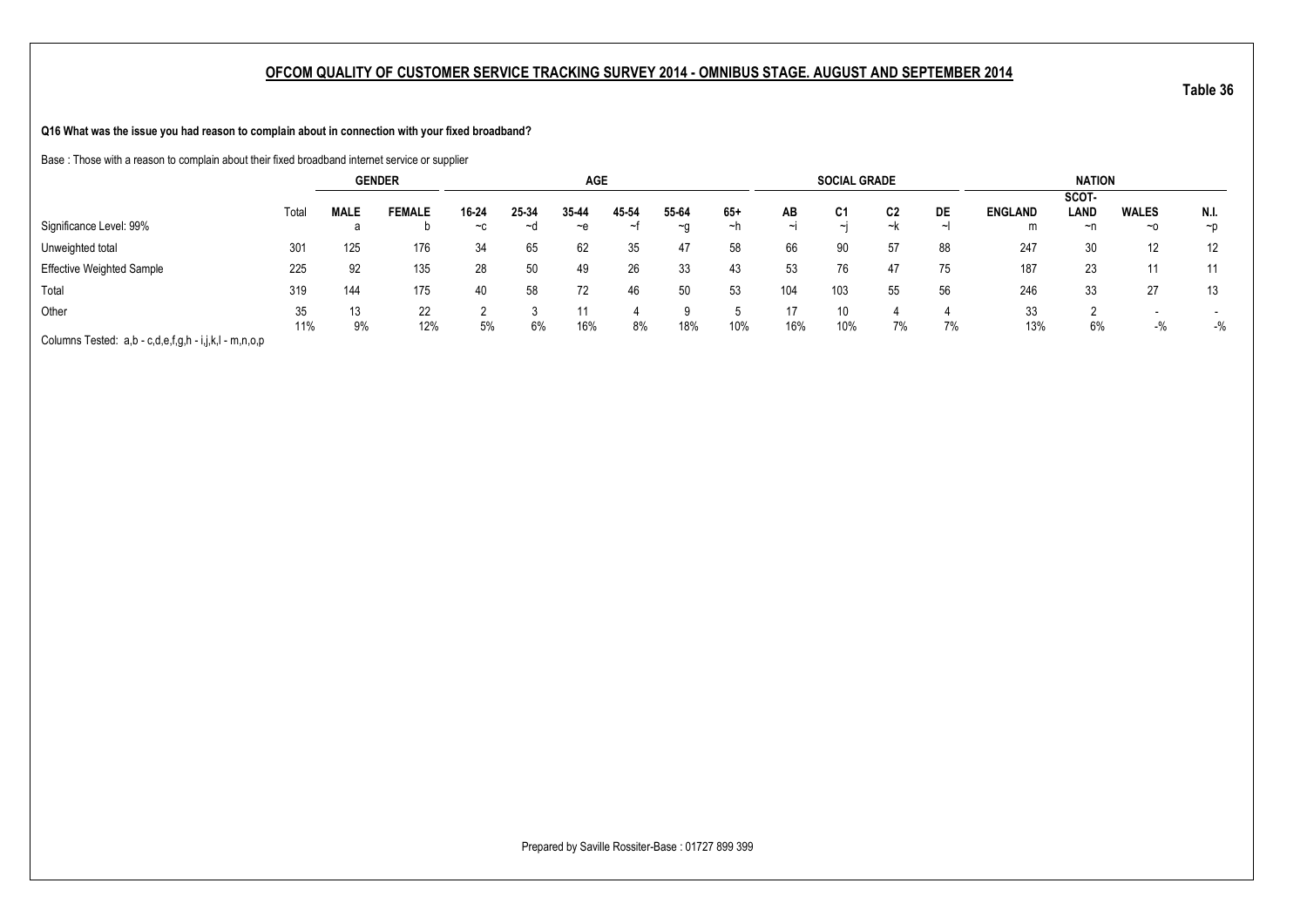**Q16 What was the issue you had reason to complain about in connection with your fixed broadband?**

Base : Those with a reason to complain about their fixed broadband internet service or supplier

|                                                       |           |             | <b>GENDER</b> |               |             | <b>AGE</b>  |            |             |             |           | <b>SOCIAL GRADE</b> |          |         |                     | <b>NATION</b>       |                           |                  |
|-------------------------------------------------------|-----------|-------------|---------------|---------------|-------------|-------------|------------|-------------|-------------|-----------|---------------------|----------|---------|---------------------|---------------------|---------------------------|------------------|
| Significance Level: 99%                               | Total     | <b>MALE</b> | <b>FEMALE</b> | 16-24<br>$-c$ | 25-34<br>∼d | 35-44<br>~e | 45-54<br>ᆟ | 55-64<br>∼a | $65+$<br>∼h | AB<br>ایہ | C1<br>$\sim$        | C2<br>~k | DE<br>ᅬ | <b>ENGLAND</b><br>m | SCOT-<br>LAND<br>~n | <b>WALES</b><br>$~\sim$ 0 | N.I.<br>$\neg p$ |
| Unweighted total                                      | 301       | 125         | 176           | 34            | 65          | 62          | 35         | 47          | 58          | 66        | 90                  | 57       | 88      | 247                 | 30                  | 12                        | 12               |
| <b>Effective Weighted Sample</b>                      | 225       | 92          | 135           | 28            | 50          | 49          | 26         | 33          | 43          | 53        | 76                  | 47       | 75      | 187                 | 23                  | 11                        | 11               |
| Total                                                 | 319       | 144         | 175           | 40            | 58          | 72          | 46         | 50          | 53          | 104       | 103                 | 55       | 56      | 246                 | 33                  | 27                        | 13               |
| Other                                                 | 35<br>11% | 13<br>9%    | 22<br>12%     | 5%            | 6%          | 16%         | 8%         | 18%         | 10%         | 16%       | 10%                 | 7%       | 7%      | 33<br>13%           | 6%                  | $-$ %                     | $-9/6$           |
| Columns Tested: a,b - c,d,e,f,g,h - i,j,k,l - m,n,o,p |           |             |               |               |             |             |            |             |             |           |                     |          |         |                     |                     |                           |                  |

**Table 36**

Prepared by Saville Rossiter-Base : 01727 899 399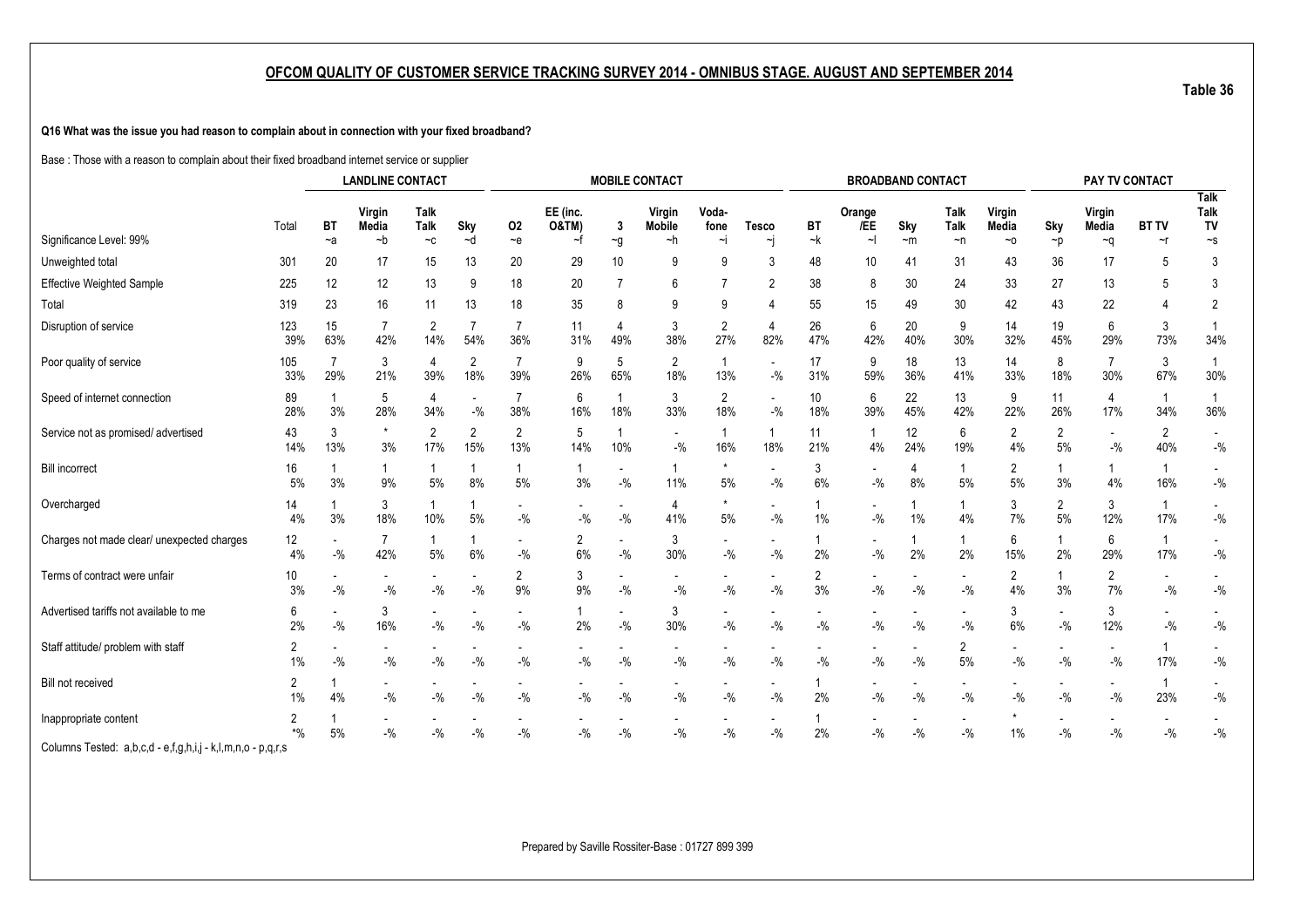**Q16 What was the issue you had reason to complain about in connection with your fixed broadband?**

Base : Those with a reason to complain about their fixed broadband internet service or supplier

|                                                             |                         |           | <b>LANDLINE CONTACT</b> |                           |                                   |                                   |                      |                                   | <b>MOBILE CONTACT</b>               |                       |                                    |           |                                    | <b>BROADBAND CONTACT</b> |                                     |                 |                                     | PAY TV CONTACT                    |                       |                                   |
|-------------------------------------------------------------|-------------------------|-----------|-------------------------|---------------------------|-----------------------------------|-----------------------------------|----------------------|-----------------------------------|-------------------------------------|-----------------------|------------------------------------|-----------|------------------------------------|--------------------------|-------------------------------------|-----------------|-------------------------------------|-----------------------------------|-----------------------|-----------------------------------|
|                                                             | Total                   | <b>BT</b> | Virgin<br>Media         | Talk<br>Talk              | Sky                               | 02                                | EE (inc.<br>O&TM)    | 3                                 | Virgin<br><b>Mobile</b>             | Voda-<br>fone         | <b>Tesco</b>                       | BT        | Orange<br>/EE<br>$\sim$            | Sky                      | <b>Talk</b><br>Talk                 | Virgin<br>Media | Sky                                 | Virgin<br>Media                   | <b>BT TV</b>          | <b>Talk</b><br><b>Talk</b><br>TV  |
| Significance Level: 99%                                     |                         | $-a$      | $-b$                    | $-c$                      | ~d                                | $-e$                              | ~f                   | $\sim g$                          | ~h                                  | ∼i                    | ∼i                                 | ~k        |                                    | $~\sim$ m                | $\neg$ n                            | $~\sim$ 0       | $\neg p$                            | $\sim q$                          | $\sim$ r              | $\sim$ S                          |
| Unweighted total                                            | 301                     | 20        | 17                      | 15                        | 13                                | 20                                | 29                   | 10                                | 9                                   | 9                     | 3                                  | 48        | 10                                 | 41                       | 31                                  | 43              | 36                                  | 17                                | 5                     | 3                                 |
| <b>Effective Weighted Sample</b>                            | 225                     | 12        | 12                      | 13                        | 9                                 | 18                                | 20                   |                                   | 6                                   |                       | $\overline{2}$                     | 38        | 8                                  | 30                       | 24                                  | 33              | 27                                  | 13                                | 5                     | 3                                 |
| Total                                                       | 319                     | 23        | 16                      | 11                        | 13                                | 18                                | 35                   | 8                                 | 9                                   | 9                     | 4                                  | 55        | 15                                 | 49                       | 30                                  | 42              | 43                                  | 22                                | 4                     | $\overline{2}$                    |
| Disruption of service                                       | 123<br>39%              | 15<br>63% | 42%                     | $\overline{c}$<br>14%     | 54%                               | $\overline{7}$<br>36%             | 11<br>31%            | 4<br>49%                          | 3<br>38%                            | $\overline{2}$<br>27% | 4<br>82%                           | 26<br>47% | 6<br>42%                           | 20<br>40%                | 9<br>30%                            | 14<br>32%       | 19<br>45%                           | 6<br>29%                          | 3<br>73%              | 34%                               |
| Poor quality of service                                     | 105<br>33%              | 29%       | 3<br>21%                | 4<br>39%                  | 2<br>18%                          | $\overline{7}$<br>39%             | 9<br>26%             | 5<br>65%                          | 2<br>18%                            | $\overline{1}$<br>13% | $\overline{\phantom{a}}$<br>$-$ %  | 17<br>31% | 9<br>59%                           | 18<br>36%                | 13<br>41%                           | 14<br>33%       | 8<br>18%                            | $\overline{7}$<br>30%             | 3<br>67%              | 30%                               |
| Speed of internet connection                                | 89<br>28%               | 3%        | 5<br>28%                | 4<br>34%                  | $\overline{\phantom{a}}$<br>$-$ % | 7<br>38%                          | 6<br>16%             | 18%                               | 3<br>33%                            | 2<br>18%              | $\overline{\phantom{a}}$<br>$-$ %  | 10<br>18% | 6<br>39%                           | 22<br>45%                | 13<br>42%                           | 9<br>22%        | 11<br>26%                           | 4<br>17%                          | $\overline{1}$<br>34% | 36%                               |
| Service not as promised/ advertised                         | 43<br>14%               | 3<br>13%  | $\star$<br>3%           | 2<br>17%                  | 2<br>15%                          | $\overline{2}$<br>13%             | 5<br>14%             | 10%                               | $\overline{\phantom{a}}$<br>$-$ %   | $\overline{1}$<br>16% | $\mathbf{1}$<br>18%                | 11<br>21% | $\mathbf{1}$<br>4%                 | 12<br>24%                | 6<br>19%                            | 2<br>4%         | $\overline{2}$<br>5%                | $-$ %                             | $\overline{2}$<br>40% | $\blacksquare$<br>$-$ %           |
| <b>Bill incorrect</b>                                       | 16<br>5%                | 3%        | 9%                      | $5\%$                     | $8\%$                             | 5%                                | 1<br>3%              | $\overline{\phantom{a}}$<br>$-$ % | 11%                                 | 5%                    | $\blacksquare$<br>$-$ %            | 3<br>6%   | $\overline{\phantom{a}}$<br>$-9/6$ | 4<br>8%                  | $5\%$                               | 2<br>5%         | 1<br>3%                             | 4%                                | 16%                   | $\overline{\phantom{a}}$<br>$-$ % |
| Overcharged                                                 | 14<br>4%                | 3%        | 3<br>18%                | 10%                       | 5%                                | $-$ %                             | $-$ %                | $-$ %                             | 4<br>41%                            | $\star$<br>5%         | $\blacksquare$<br>$-$ %            | 1%        | $-$ %                              | $1\%$                    | 4%                                  | 3<br>7%         | $\overline{2}$<br>5%                | 3<br>12%                          | 17%                   | $\blacksquare$<br>$-$ %           |
| Charges not made clear/ unexpected charges                  | 12<br>4%                | $-$ %     | $\overline{7}$<br>42%   | 5%                        | 6%                                | $\blacksquare$<br>$-$ %           | $\overline{2}$<br>6% | $\overline{\phantom{a}}$<br>$-$ % | 3<br>30%                            | $-$ %                 | $\overline{\phantom{a}}$<br>$-$ %  | 2%        | $-$ %                              | 2%                       | 2%                                  | 6<br>15%        | $\mathbf{1}$<br>2%                  | 6<br>29%                          | -1<br>17%             | $\blacksquare$<br>$-$ %           |
| Terms of contract were unfair                               | 10<br>3%                | $-9/6$    | $-$ %                   | $-$ %                     | $-$ %                             | 2<br>9%                           | 3<br>9%              | $-$ %                             | $-$ %                               | $-$ %                 | $-$ %                              | 2<br>3%   | $-9/6$                             | $-9/6$                   | $\overline{\phantom{a}}$<br>$-$ %   | 2<br>4%         | $\mathbf{1}$<br>3%                  | $\overline{2}$<br>7%              | $-$ %                 | $-$ %                             |
| Advertised tariffs not available to me                      | 6<br>2%                 | $-9/6$    | 3<br>16%                | $-{\%}$                   | $\mathbin{{\mathcal I}}_0$        | $-$ %                             | 1<br>2%              | $-$ %                             | 3<br>30%                            | $-$ %                 | $-9/0$                             | $-$ %     | $-$ %                              | $-$ %                    | $\blacksquare$<br>$-{\%}$           | 3<br>6%         | $-{\%}$                             | 3<br>12%                          | $-$ %                 | $-$ %                             |
| Staff attitude/ problem with staff                          | $\overline{2}$<br>1%    | $-$ %     | $-$ %                   | $-$ %                     | $-$ %                             | $-9/0$                            | $-$ %                | $-$ %                             | $-$ %                               | $-$ %                 | $-$ %                              | $-$ %     | $-9/6$                             | $-$ %                    | $\overline{2}$<br>5%                | $-$ %           | $-$ %                               | $-9/0$                            | 17%                   | $-$ %                             |
| Bill not received                                           | $\overline{2}$<br>$1\%$ | 4%        | $\sim$<br>$-{\%}$       | $\overline{a}$<br>$-{\%}$ | $-$ %                             | $\overline{\phantom{a}}$<br>$-$ % | $-$ %                | $-$ %                             | $\overline{\phantom{a}}$<br>$-{\%}$ | $-$ %                 | $\overline{\phantom{a}}$<br>$-9/0$ | 2%        | $-$ %                              | $-$ %                    | $\overline{\phantom{a}}$<br>$-{\%}$ | $-9/6$          | $\overline{\phantom{a}}$<br>$-{\%}$ | $\overline{\phantom{0}}$<br>$-$ % | -1<br>23%             | $\overline{\phantom{a}}$<br>$-$ % |
| Inappropriate content                                       | 2<br>$*$ %              | 5%        | $-$ %                   | $-$ %                     | $-$ %                             | $-$ %                             | $-$ %                | $-$ %                             | $-$ %                               | $-$ %                 | $-$ %                              | 2%        | $-$ %                              | $-$ %                    | $-$ %                               | $1\%$           | $-$ %                               | $-$ %                             | $-$ %                 | $-$ %                             |
| Columns Tested: a,b,c,d - e,f,g,h,i,j - k,l,m,n,o - p,q,r,s |                         |           |                         |                           |                                   |                                   |                      |                                   |                                     |                       |                                    |           |                                    |                          |                                     |                 |                                     |                                   |                       |                                   |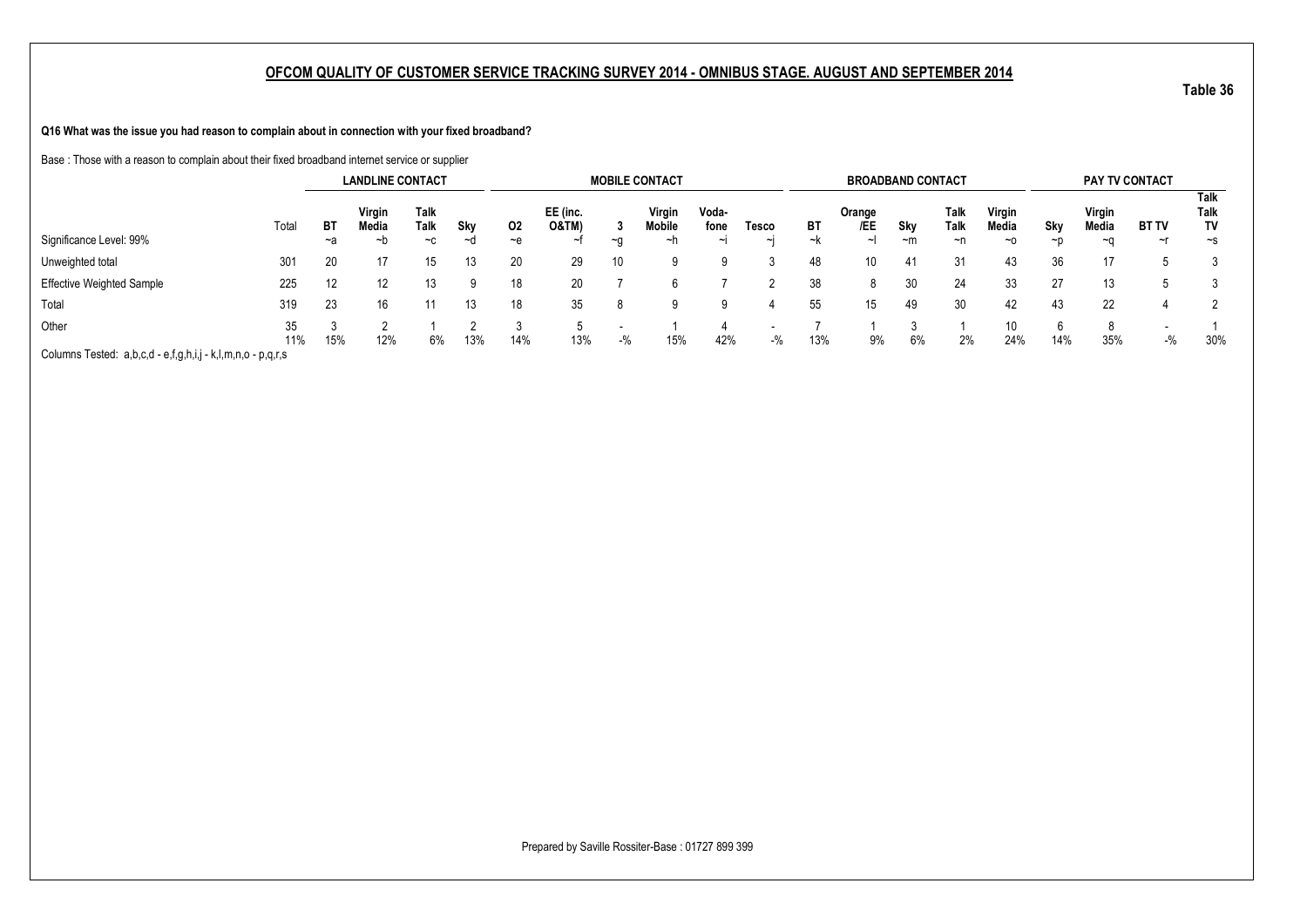**Q16 What was the issue you had reason to complain about in connection with your fixed broadband?**

Base : Those with a reason to complain about their fixed broadband internet service or supplier

|                                         |           |     | <b>LANDLINE CONTACT</b> |              |     |       |                   |           | <b>MOBILE CONTACT</b> |               |       |     | <b>BROADBAND CONTACT</b> |      |              |                 |          |                 | PAY TV CONTACT |                    |
|-----------------------------------------|-----------|-----|-------------------------|--------------|-----|-------|-------------------|-----------|-----------------------|---------------|-------|-----|--------------------------|------|--------------|-----------------|----------|-----------------|----------------|--------------------|
|                                         | Total     | BT  | Virgin<br>Media         | Talk<br>Talk | Sky | 02    | EE (inc.<br>O&TM) |           | Virgin<br>Mobile      | Voda-<br>fone | Tesco | ВT  | Orange<br>/EE            | Sky  | Talk<br>Talk | Virgin<br>Media | Sky      | Virgin<br>Media | <b>BT TV</b>   | Talk<br>Talk<br>Т٧ |
| Significance Level: 99%                 |           | ~a  | ~b                      | $-c$         | ∼d  | $-$ e |                   | $~\sim$ n | ~n                    |               | ∼ı    | ∼k  | $\sim$                   | $-m$ | $\neg$ n     | $~\sim$ 0       | $\neg$ n | ~∩              | $\sim$ r       | $\sim$ s           |
| Unweighted total                        | 301       | 20  |                         | 15           | 13  | 20    | 29                | 10        |                       |               |       | 48  | 10                       | -41  | 31           | 43              | 36       |                 |                |                    |
| <b>Effective Weighted Sample</b>        | 225       | 12  |                         | 13           |     | 18    | 20                |           |                       |               |       | 38  | 8                        | 30   | 24           | 33              | 27       | 13              |                |                    |
| Total                                   | 319       | 23  | 16                      |              | 13  | 18    | 35                | 8         |                       | a             |       | 55  | 15                       | 49   | 30           | 42              | 43       | 22              |                |                    |
| Other                                   | 35<br>11% | 15% | 12%                     | 6%           | 13% | 14%   | 13%               | $-9/2$    | 15%                   | 42%           | $-$ % | 13% | 9%                       | 6%   | 2%           | 24%             | 14%      | 35%             | $-$ %          | 30%                |
| Columna Tostad: a had afahii klmna nara |           |     |                         |              |     |       |                   |           |                       |               |       |     |                          |      |              |                 |          |                 |                |                    |

Columns Tested: a,b,c,d - e,f,g,h,i,j - k,l,m,n,o - p,q,r,s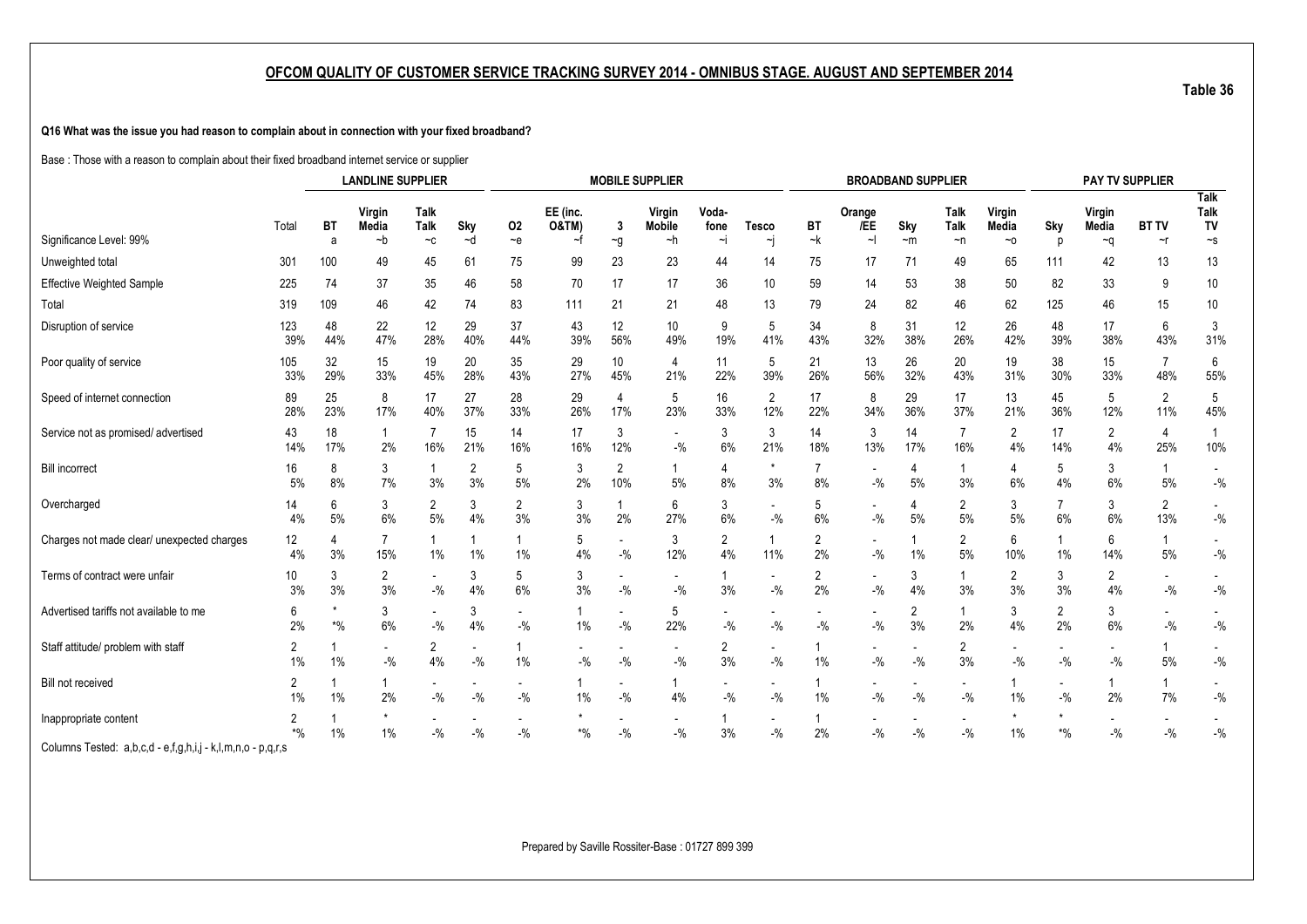**Q16 What was the issue you had reason to complain about in connection with your fixed broadband?**

Base : Those with a reason to complain about their fixed broadband internet service or supplier

|                                                             |                      |                                                    | <b>LANDLINE SUPPLIER</b> |                                   |                      |                                   |                              |                         | <b>MOBILE SUPPLIER</b>            |               |                         |                       | <b>BROADBAND SUPPLIER</b> |                      |                         |                      |                          | PAY TV SUPPLIER      |                       |                                   |
|-------------------------------------------------------------|----------------------|----------------------------------------------------|--------------------------|-----------------------------------|----------------------|-----------------------------------|------------------------------|-------------------------|-----------------------------------|---------------|-------------------------|-----------------------|---------------------------|----------------------|-------------------------|----------------------|--------------------------|----------------------|-----------------------|-----------------------------------|
|                                                             | Total                | Virgin<br>Talk<br>Talk<br>Sky<br>BT<br>Media<br>02 |                          |                                   |                      |                                   | EE (inc.<br><b>O&amp;TM)</b> | 3                       | Virgin<br><b>Mobile</b>           | Voda-<br>fone | <b>Tesco</b>            | BT                    | Orange<br>/EE             | Sky                  | Talk<br><b>Talk</b>     | Virgin<br>Media      | Sky                      | Virgin<br>Media      | <b>BT TV</b>          | <b>Talk</b><br>Talk<br>TV         |
| Significance Level: 99%                                     |                      | a                                                  | $-b$                     | $-c$                              | ~d                   | ~e                                | ~f                           | $\sim g$                | ~h                                | $\sim$        | ~j                      | $-k$                  | $\sim$                    | $~\sim$ m            | $\neg$ n                | ~0                   | n                        | ∼q                   | $\sim$ r              | $\mathord{\sim_S}$                |
| Unweighted total                                            | 301                  | 100                                                | 49                       | 45                                | 61                   | 75                                | 99                           | 23                      | 23                                | 44            | 14                      | 75                    | 17                        | 71                   | 49                      | 65                   | 111                      | 42                   | 13                    | 13                                |
| <b>Effective Weighted Sample</b>                            | 225                  | 74                                                 | 37                       | 35                                | 46                   | 58                                | 70                           | 17                      | 17                                | 36            | 10                      | 59                    | 14                        | 53                   | 38                      | 50                   | 82                       | 33                   | 9                     | 10                                |
| Total                                                       | 319                  | 109                                                | 46                       | 42                                | 74                   | 83                                | 111                          | 21                      | 21                                | 48            | 13                      | 79                    | 24                        | 82                   | 46                      | 62                   | 125                      | 46                   | 15                    | 10                                |
| Disruption of service                                       | 123<br>39%           | 48<br>44%                                          | 22<br>47%                | 12<br>28%                         | 29<br>40%            | 37<br>44%                         | 43<br>39%                    | 12<br>56%               | 10<br>49%                         | 9<br>19%      | 5<br>41%                | 34<br>43%             | 8<br>32%                  | 31<br>38%            | 12<br>26%               | 26<br>42%            | 48<br>39%                | 17<br>38%            | 6<br>43%              | 3<br>31%                          |
| Poor quality of service                                     | 105<br>33%           | 32<br>29%                                          | 15<br>33%                | 19<br>45%                         | 20<br>28%            | 35<br>43%                         | 29<br>27%                    | 10<br>45%               | $\overline{4}$<br>21%             | 11<br>22%     | 5<br>39%                | 21<br>26%             | 13<br>56%                 | 26<br>32%            | 20<br>43%               | 19<br>31%            | 38<br>30%                | 15<br>33%            | 7<br>48%              | 6<br>55%                          |
| Speed of internet connection                                | 89<br>28%            | 25<br>23%                                          | 8<br>17%                 | 17<br>40%                         | 27<br>37%            | 28<br>33%                         | 29<br>26%                    | $\overline{4}$<br>17%   | 5<br>23%                          | 16<br>33%     | $\overline{2}$<br>12%   | 17<br>22%             | 8<br>34%                  | 29<br>36%            | 17<br>37%               | 13<br>21%            | 45<br>36%                | 5<br>12%             | $\overline{2}$<br>11% | 5<br>45%                          |
| Service not as promised/ advertised                         | 43<br>14%            | 18<br>17%                                          | 2%                       | 7<br>16%                          | 15<br>21%            | 14<br>16%                         | 17<br>16%                    | 3<br>12%                | $\overline{\phantom{a}}$<br>$-$ % | 3<br>6%       | 3<br>21%                | 14<br>18%             | 3<br>13%                  | 14<br>17%            | $\overline{7}$<br>16%   | 2<br>4%              | 17<br>14%                | $\overline{2}$<br>4% | 4<br>25%              | 10%                               |
| <b>Bill incorrect</b>                                       | 16<br>5%             | 8<br>8%                                            | 3<br>7%                  | 3%                                | $\overline{2}$<br>3% | 5<br>5%                           | 3<br>2%                      | $\overline{2}$<br>10%   | $\mathbf{1}$<br>5%                | 4<br>8%       | $\star$<br>3%           | 8%                    | $-$ %                     | 4<br>5%              | 1<br>3%                 | 4<br>6%              | 5<br>4%                  | 3<br>6%              | 5%                    | $\overline{\phantom{a}}$<br>$-$ % |
| Overcharged                                                 | 14<br>4%             | 6<br>5%                                            | 3<br>6%                  | $\overline{2}$<br>5%              | 3<br>4%              | 2<br>3%                           | 3<br>3%                      | 2%                      | 6<br>27%                          | 3<br>6%       | $-9/6$                  | 5<br>6%               | $-$ %                     | 4<br>$5%$            | $\overline{2}$<br>5%    | 3<br>5%              | $\overline{7}$<br>6%     | 3<br>6%              | $\overline{2}$<br>13% | $\blacksquare$<br>$-$ %           |
| Charges not made clear/ unexpected charges                  | 12<br>4%             | 4<br>3%                                            | 15%                      | 1%                                | 1%                   | 1%                                | 5<br>4%                      | $\blacksquare$<br>$-$ % | 3<br>12%                          | 2<br>4%       | 1<br>11%                | 2<br>2%               | $-$ %                     | 1%                   | $\overline{2}$<br>5%    | 6<br>10%             | 1<br>1%                  | 6<br>14%             | $5%$                  | $\overline{\phantom{a}}$<br>$-$ % |
| Terms of contract were unfair                               | 10<br>3%             | 3<br>3%                                            | $\overline{2}$<br>3%     | $-9/6$                            | 3<br>4%              | 5<br>6%                           | 3<br>3%                      | $-9/6$                  | $\overline{\phantom{a}}$<br>$-$ % | 3%            | $-9/6$                  | $\overline{2}$<br>2%  | $-$ %                     | 3<br>4%              | 1<br>3%                 | $\overline{2}$<br>3% | 3<br>3%                  | $\overline{2}$<br>4% | $-9/6$                | $-$ %                             |
| Advertised tariffs not available to me                      | 6<br>2%              | $\boldsymbol{*}$ %                                 | 3<br>$6\%$               | $-9/6$                            | 3<br>$4\%$           | $-$ %                             | $\mathbf{1}$<br>1%           | $-$ %                   | 5<br>22%                          | $-$ %         | $\blacksquare$<br>$-$ % | $-$ %                 | $-$ %                     | $\overline{2}$<br>3% | 1<br>2%                 | 3<br>4%              | $\overline{2}$<br>2%     | 3<br>6%              | $-9/6$                | $\blacksquare$<br>$-$ %           |
| Staff attitude/ problem with staff                          | 2<br>$1\%$           | 1%                                                 | $\sim$<br>$-9/0$         | 2<br>4%                           | $-9/0$               | $1\%$                             | $-9/0$                       | $-$ %                   | $-9/6$                            | 2<br>3%       | $-$ %                   | $\mathbf{1}$<br>$1\%$ | $-$ %                     | $-$ %                | $\overline{2}$<br>3%    | $-9/6$               | $-9/6$                   | $-$ %                | 5%                    | $-$ %                             |
| Bill not received                                           | $\overline{2}$<br>1% | 1%                                                 | 2%                       | $\overline{\phantom{0}}$<br>$-$ % | $-$ %                | $\overline{\phantom{a}}$<br>$-$ % | -1<br>$1\%$                  | $-$ %                   | 1<br>4%                           | $-$ %         | $\sim$<br>$-$ %         | 1<br>1%               | $-$ %                     | $-$ %                | $\blacksquare$<br>$-$ % | 1<br>$1\%$           | $-$ %                    | 2%                   | -1<br>7%              | $\overline{\phantom{a}}$<br>$-$ % |
| Inappropriate content                                       | 2<br>$*$ %           | 1%                                                 | $1\%$                    | $-$ %                             | $-$ %                | $-$ %                             | $\boldsymbol{*}0\!/\!_0$     | $-$ %                   | $-$ %                             | 3%            | $-$ %                   | $\mathbf{1}$<br>2%    | $-$ %                     | $-$ %                | $-$ %                   | 1%                   | $\boldsymbol{*}0\!/\!_0$ | $-$ %                | $-$ %                 | $-$ %                             |
| Columns Tested: a,b,c,d - e,f,g,h,i,j - k,l,m,n,o - p,q,r,s |                      |                                                    |                          |                                   |                      |                                   |                              |                         |                                   |               |                         |                       |                           |                      |                         |                      |                          |                      |                       |                                   |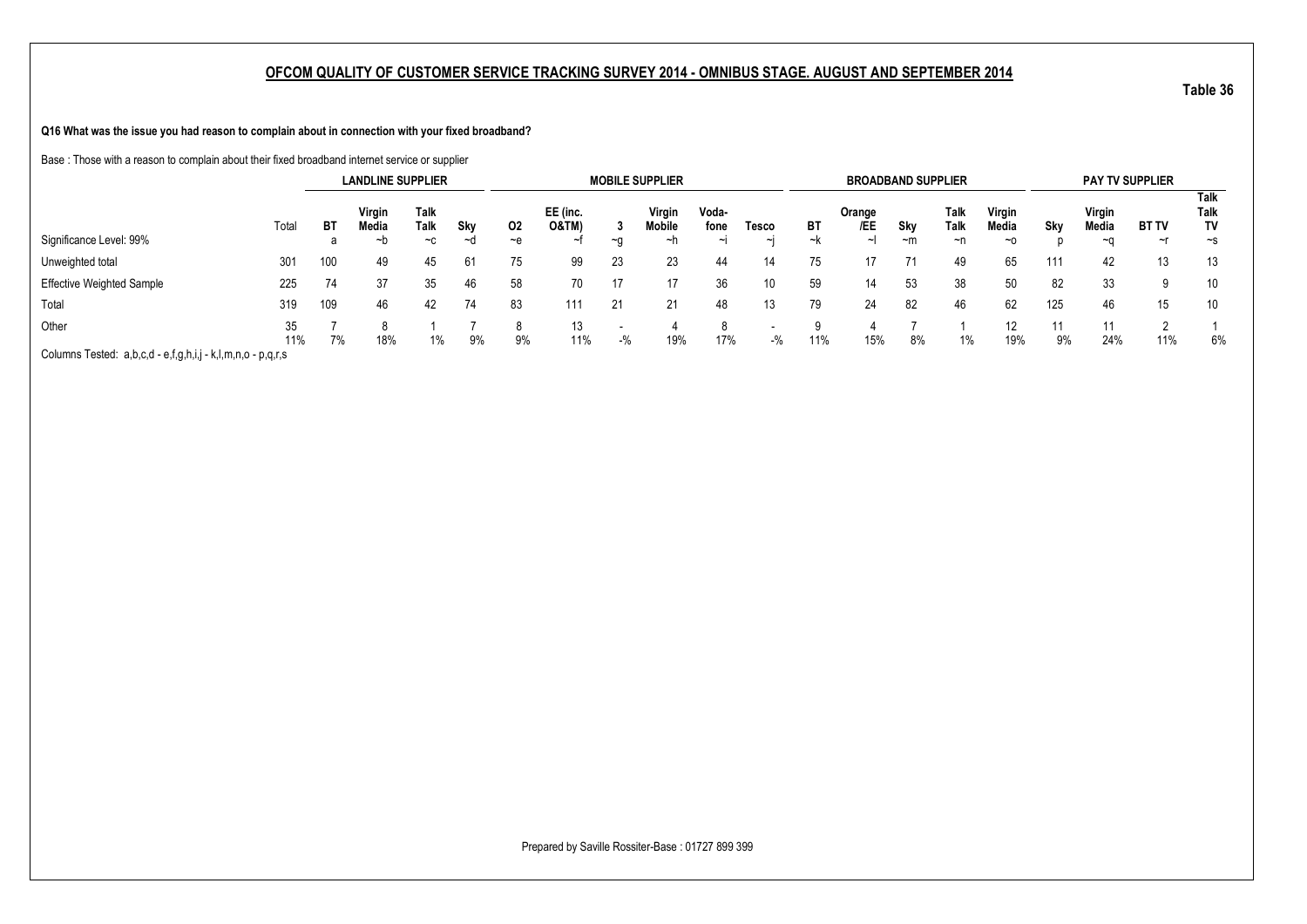**Q16 What was the issue you had reason to complain about in connection with your fixed broadband?**

Base : Those with a reason to complain about their fixed broadband internet service or supplier

|                                                             |           |     | <b>LANDLINE SUPPLIER</b> |              |     |         |                              |       | <b>MOBILE SUPPLIER</b> |               |       |     | <b>BROADBAND SUPPLIER</b> |           |              |                 |     |                 | <b>PAY TV SUPPLIER</b> |                    |
|-------------------------------------------------------------|-----------|-----|--------------------------|--------------|-----|---------|------------------------------|-------|------------------------|---------------|-------|-----|---------------------------|-----------|--------------|-----------------|-----|-----------------|------------------------|--------------------|
|                                                             | Total     | BT  | Virgin<br>Media          | Talk<br>Talk | Sky | 02      | EE (inc.<br><b>O&amp;TM)</b> |       | Virgin<br>Mobile       | Voda-<br>fone | Tesco | BT  | Orange<br>/EE             | Sky       | Talk<br>Talk | Virgin<br>Media | Skv | Virgin<br>Media | <b>BT TV</b>           | Talk<br>Talk<br>TV |
| Significance Level: 99%                                     |           | a   | ∼h                       | $-c$         | ∼d  | $-$ e   | سہ                           | ~∩    | ~n                     | ایہ           | ایہ   | ∼k  | ∼⊦                        | $~\sim m$ | ~n           | $~\sim$ 0       |     | ∼∩              | ~r                     | $\sim$ s           |
| Unweighted total                                            | 301       | 100 | 49                       | 45           | 61  | 75      | 99                           | 23    | 23                     | 44            | 14    | 75  | 17                        |           | 49           | 65              | 111 | 42              | 13                     | 13                 |
| <b>Effective Weighted Sample</b>                            | 225       | 74  | 37                       | 35           | 46  | 58      | 70                           | 17    |                        | 36            | 10    | 59  | 14                        | 53        | 38           | 50              | 82  | 33              |                        | 10                 |
| Total                                                       | 319       | 109 | 46                       | 42           | 74  | 83      | 111                          | 21    | 21                     |               | 13    | 79  | 24                        | 82        | 46           | 62              | 125 | 46              | 15                     | 10                 |
| Other                                                       | 35<br>11% | 7%  | 18%                      | 1%           | 9%  | 8<br>9% | 13<br>11%                    | $-$ % | 19%                    | 8<br>17%      | $-$ % | 11% | 15%                       | 8%        | 1%           | 12<br>19%       | 9%  | 11<br>24%       | 11%                    | 6%                 |
| Columns Tested: a,b,c,d - e,f,g,h,i,j - k,l,m,n,o - p,q,r,s |           |     |                          |              |     |         |                              |       |                        |               |       |     |                           |           |              |                 |     |                 |                        |                    |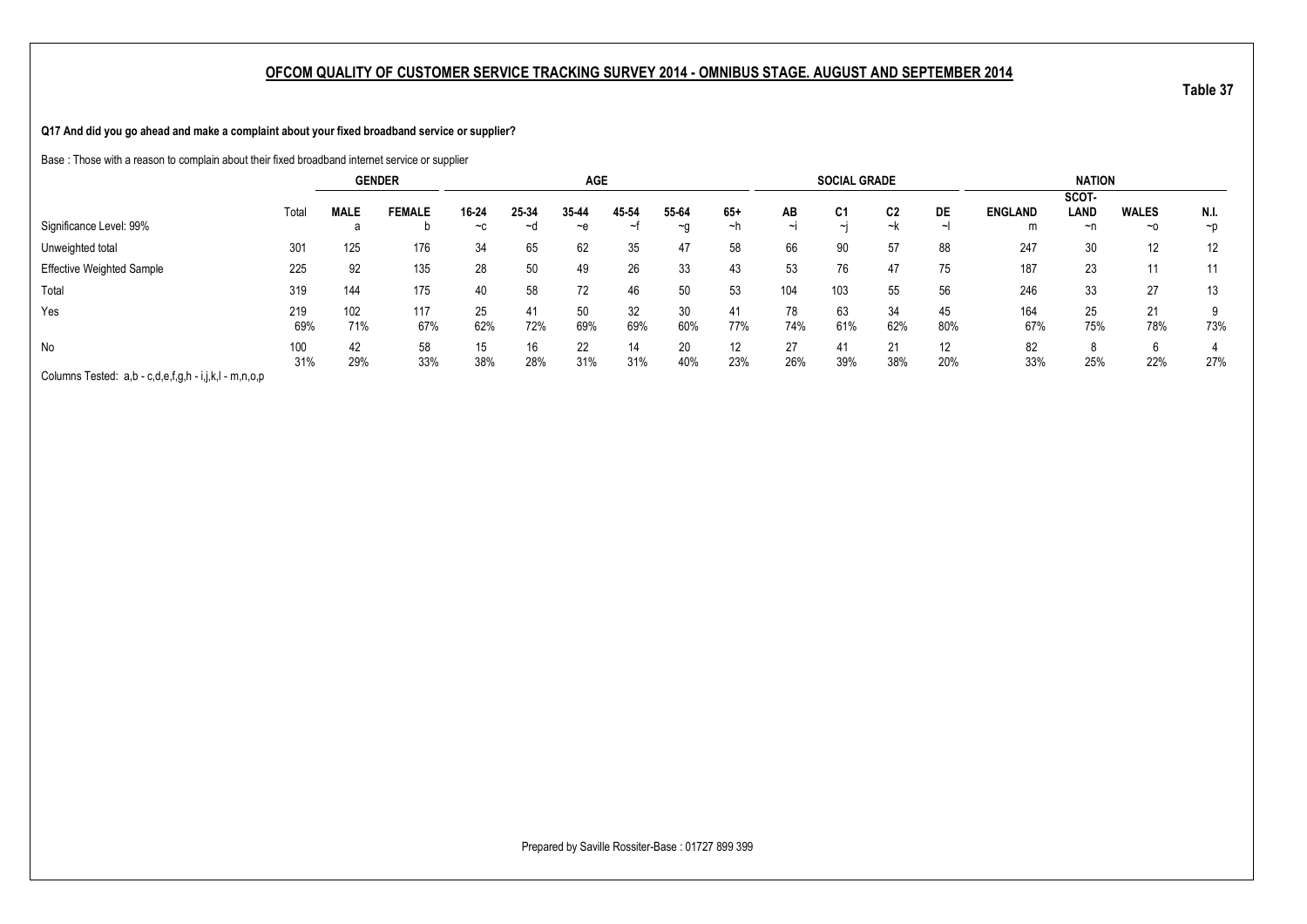**Q17 And did you go ahead and make a complaint about your fixed broadband service or supplier?**

Base : Those with a reason to complain about their fixed broadband internet service or supplier

|                                                       |            | <b>GENDER</b> |               |               |             | <b>AGE</b>    |            |                        |             |              | <b>SOCIAL GRADE</b>      |           |           |                     | <b>NATION</b>       |                           |                  |
|-------------------------------------------------------|------------|---------------|---------------|---------------|-------------|---------------|------------|------------------------|-------------|--------------|--------------------------|-----------|-----------|---------------------|---------------------|---------------------------|------------------|
| Significance Level: 99%                               | Total      | <b>MALE</b>   | <b>FEMALE</b> | 16-24<br>$-c$ | 25-34<br>∼d | 35-44<br>$-e$ | 45 54<br>∼ | 55-64<br>$\sim g$      | $65+$<br>∼h | AB<br>$\sim$ | C <sub>1</sub><br>$\sim$ | C2<br>~k  | DE        | <b>ENGLAND</b><br>m | SCOT-<br>LAND<br>~n | <b>WALES</b><br>$~\sim$ 0 | N.I.<br>$\neg$ D |
| Unweighted total                                      | 301        | 125           | 176           | 34            | 65          | 62            | 35         | 47                     | 58          | 66           | 90                       | 57        | 88        | 247                 | 30                  | 12                        | 12               |
| <b>Effective Weighted Sample</b>                      | 225        | 92            | 135           | 28            | 50          | 49            | 26         | 33                     | 43          | 53           | 76                       | 47        | 75        | 187                 | 23                  | 11                        | 11               |
| Total                                                 | 319        | 144           | 175           | 40            | 58          | 72            | 46         | 50                     | 53          | 104          | 103                      | 55        | 56        | 246                 | 33                  | 27                        | 13               |
| Yes                                                   | 219<br>69% | 102<br>71%    | 117<br>67%    | 25<br>62%     | 41<br>72%   | 50<br>69%     | 32<br>69%  | 30 <sup>°</sup><br>60% | 41<br>77%   | 78<br>74%    | 63<br>61%                | 34<br>62% | 45<br>80% | 164<br>67%          | 25<br>75%           | 21<br>78%                 | 73%              |
| No                                                    | 100<br>31% | 42<br>29%     | 58<br>33%     | 15<br>38%     | 16<br>28%   | 22<br>31%     | 14<br>31%  | 20<br>40%              | 12<br>23%   | 27<br>26%    | 41<br>39%                | 21<br>38% | 12<br>20% | 82<br>33%           | 8<br>25%            | 6<br>22%                  | 27%              |
| Columns Tested: a,b - c,d,e,f,g,h - i,j,k,l - m,n,o,p |            |               |               |               |             |               |            |                        |             |              |                          |           |           |                     |                     |                           |                  |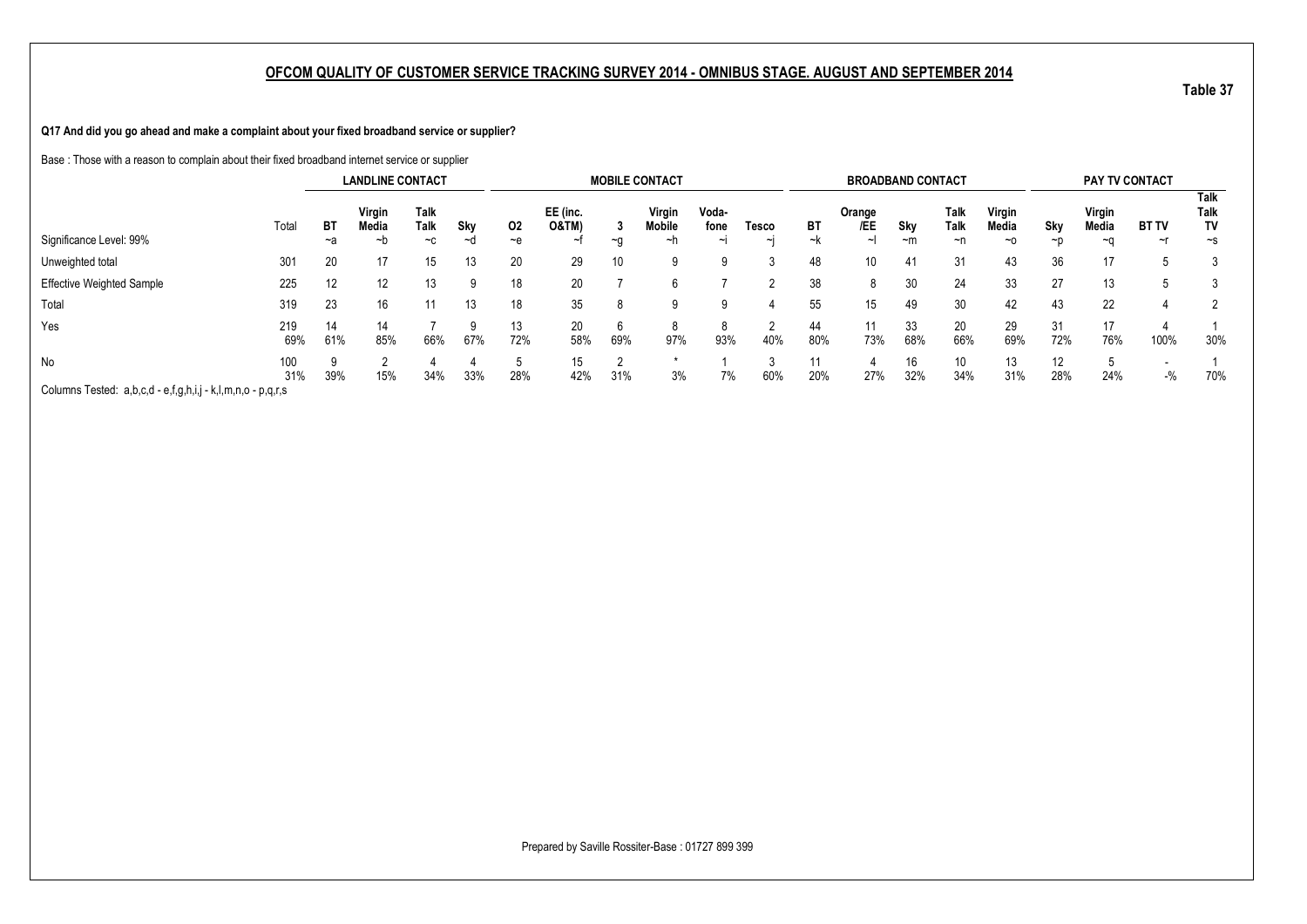**Q17 And did you go ahead and make a complaint about your fixed broadband service or supplier?**

Base : Those with a reason to complain about their fixed broadband internet service or supplier

|                                                             |            |           | <b>LANDLINE CONTACT</b> |                      |           |            |                              |               | <b>MOBILE CONTACT</b>         |                         |                   |           | <b>BROADBAND CONTACT</b> |                  |                    |                       |           | PAY TV CONTACT        |                    |                                |
|-------------------------------------------------------------|------------|-----------|-------------------------|----------------------|-----------|------------|------------------------------|---------------|-------------------------------|-------------------------|-------------------|-----------|--------------------------|------------------|--------------------|-----------------------|-----------|-----------------------|--------------------|--------------------------------|
| Significance Level: 99%                                     | Total      | ВT<br>~a  | Virgin<br>Media<br>~b   | Talk<br>Talk<br>$-c$ | Sky<br>∼d | 02<br>$-e$ | EE (inc.<br><b>O&amp;TM)</b> | ~a            | Virgin<br><b>Mobile</b><br>∼n | Voda-<br>fone<br>$\sim$ | Tesco<br>$\sim$ I | ВT<br>~k  | Orange<br>/EE<br>$\sim$  | Sky<br>$~\sim m$ | Talk<br>Talk<br>~n | Virgin<br>Media<br>~0 | Sky<br>~n | Virgin<br>Media<br>~∩ | <b>BT TV</b><br>∼r | Talk<br>Talk<br>TV<br>$\sim$ s |
| Unweighted total                                            | 301        | 20        | 17                      | 15                   | 13        | 20         | 29                           | 10            | 9                             |                         |                   | 48        | 10                       | 41               | 31                 | 43                    | 36        | 17                    |                    |                                |
| <b>Effective Weighted Sample</b>                            | 225        | 12        | $12 \overline{ }$       | 13                   |           | 18         | 20                           |               |                               |                         |                   | 38        | 8                        | 30               | 24                 | 33                    | 27        | 13                    | 5                  |                                |
| Total                                                       | 319        | 23        | 16                      |                      | 13        | 18         | 35                           | 8             |                               | 9                       |                   | 55        | 15                       | 49               | 30                 | 42                    | 43        | 22                    |                    | 2                              |
| Yes                                                         | 219<br>69% | 14<br>61% | 14<br>85%               | 66%                  | 67%       | 13<br>72%  | 20<br>58%                    | b<br>69%      | 97%                           | ŏ<br>93%                | $\sim$<br>40%     | 44<br>80% | 11<br>73%                | 33<br>68%        | 20<br>66%          | 29<br>69%             | 31<br>72% | 17<br>76%             | 100%               | 30%                            |
| No                                                          | 100<br>31% | 39%       | 15%                     | 34%                  | 33%       | 28%        | 15<br>42%                    | $\sim$<br>31% | 3%                            | 7%                      | 60%               | 20%       | 27%                      | 16<br>32%        | 10<br>34%          | 13<br>31%             | 12<br>28% | 24%                   | $-$ %              | 70%                            |
| Columns Tested: a,b,c,d - e,f,g,h,i,j - k,l,m,n,o - p,q,r,s |            |           |                         |                      |           |            |                              |               |                               |                         |                   |           |                          |                  |                    |                       |           |                       |                    |                                |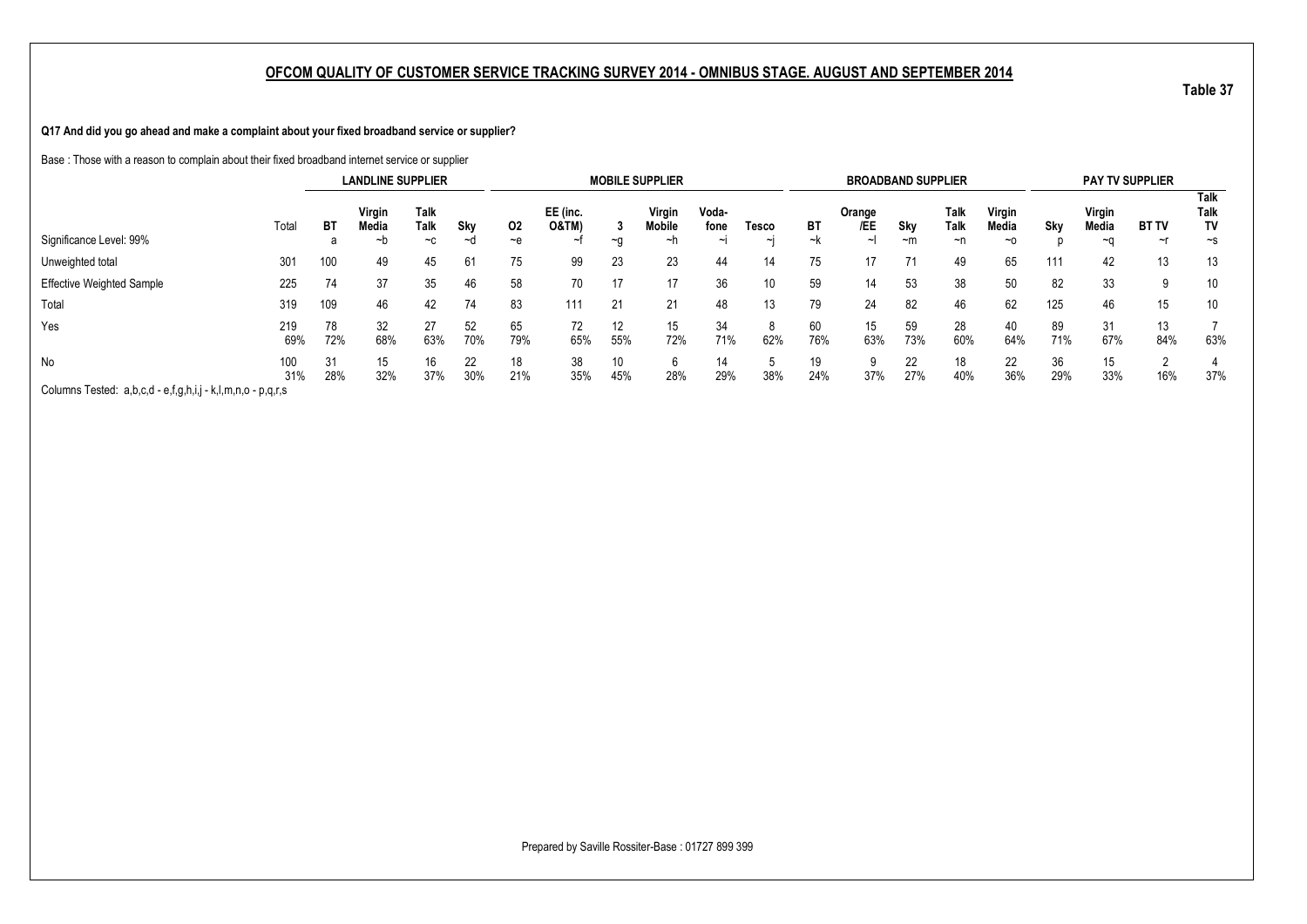**Q17 And did you go ahead and make a complaint about your fixed broadband service or supplier?**

Base : Those with a reason to complain about their fixed broadband internet service or supplier

|                                                             |            |           | <b>LANDLINE SUPPLIER</b> |              |           |           |                              |           | <b>MOBILE SUPPLIER</b>  |               |          |           | <b>BROADBAND SUPPLIER</b> |           |              |                 |           |                 | <b>PAY TV SUPPLIER</b> |                    |
|-------------------------------------------------------------|------------|-----------|--------------------------|--------------|-----------|-----------|------------------------------|-----------|-------------------------|---------------|----------|-----------|---------------------------|-----------|--------------|-----------------|-----------|-----------------|------------------------|--------------------|
|                                                             | Total      | ВT        | Virgin<br>Media          | Talk<br>Talk | Sky       | 02        | EE (inc.<br><b>O&amp;TM)</b> |           | Virgin<br><b>Mobile</b> | Voda-<br>fone | Tesco    | ВT        | Orange<br>/EE             | Sky       | Talk<br>Talk | Virgin<br>Media | Skv       | Virgin<br>Media | <b>BT TV</b>           | Talk<br>Talk<br>TV |
| Significance Level: 99%                                     |            | а         | ~b                       | $-c$         | ∼d        | $-e$      |                              | $~\sim$ 0 | ∼h                      | $\sim$ L      | $\sim$ L | ~k        | $\tilde{\phantom{a}}$     | $~\sim m$ | ~n           | $~\sim$ 0       |           | ~∩              | ∼r                     | ~s                 |
| Unweighted total                                            | 301        | 100       | 49                       | 45           | 61        | 75        | 99                           | 23        | 23                      | 44            | 14       | 75        | 17                        | 71        | 49           | 65              | 111       | 42              | 13                     | 13                 |
| <b>Effective Weighted Sample</b>                            | 225        | 74        | 37                       | 35           | 46        | 58        | 70                           | 17        | 17                      | 36            | 10       | 59        | 14                        | 53        | 38           | 50              | 82        | 33              | 9                      | 10                 |
| Total                                                       | 319        | 109       | 46                       | 42           | 74        | 83        | 111                          | 21        | 21                      | 48            | 13       | 79        | 24                        | 82        | 46           | 62              | 125       | 46              | 15                     | 10                 |
| Yes                                                         | 219<br>69% | 78<br>72% | 32<br>68%                | 27<br>63%    | 52<br>70% | 65<br>79% | 72<br>65%                    | 12<br>55% | 15<br>72%               | 34<br>71%     | Ö<br>62% | 60<br>76% | 15<br>63%                 | 59<br>73% | 28<br>60%    | 40<br>64%       | 89<br>71% | 31<br>67%       | 13<br>84%              | 63%                |
| No                                                          | 100<br>31% | 31<br>28% | 15<br>32%                | 16<br>37%    | 22<br>30% | 18<br>21% | 38<br>35%                    | 10<br>45% | 6<br>28%                | 29%           | 38%      | 19<br>24% | 37%                       | 22<br>27% | 18<br>40%    | 22<br>36%       | 36<br>29% | 15<br>33%       | ົ<br>16%               | 37%                |
| Columns Tested: a,b,c,d - e,f,g,h,i,j - k,l,m,n,o - p,q,r,s |            |           |                          |              |           |           |                              |           |                         |               |          |           |                           |           |              |                 |           |                 |                        |                    |

Prepared by Saville Rossiter-Base : 01727 899 399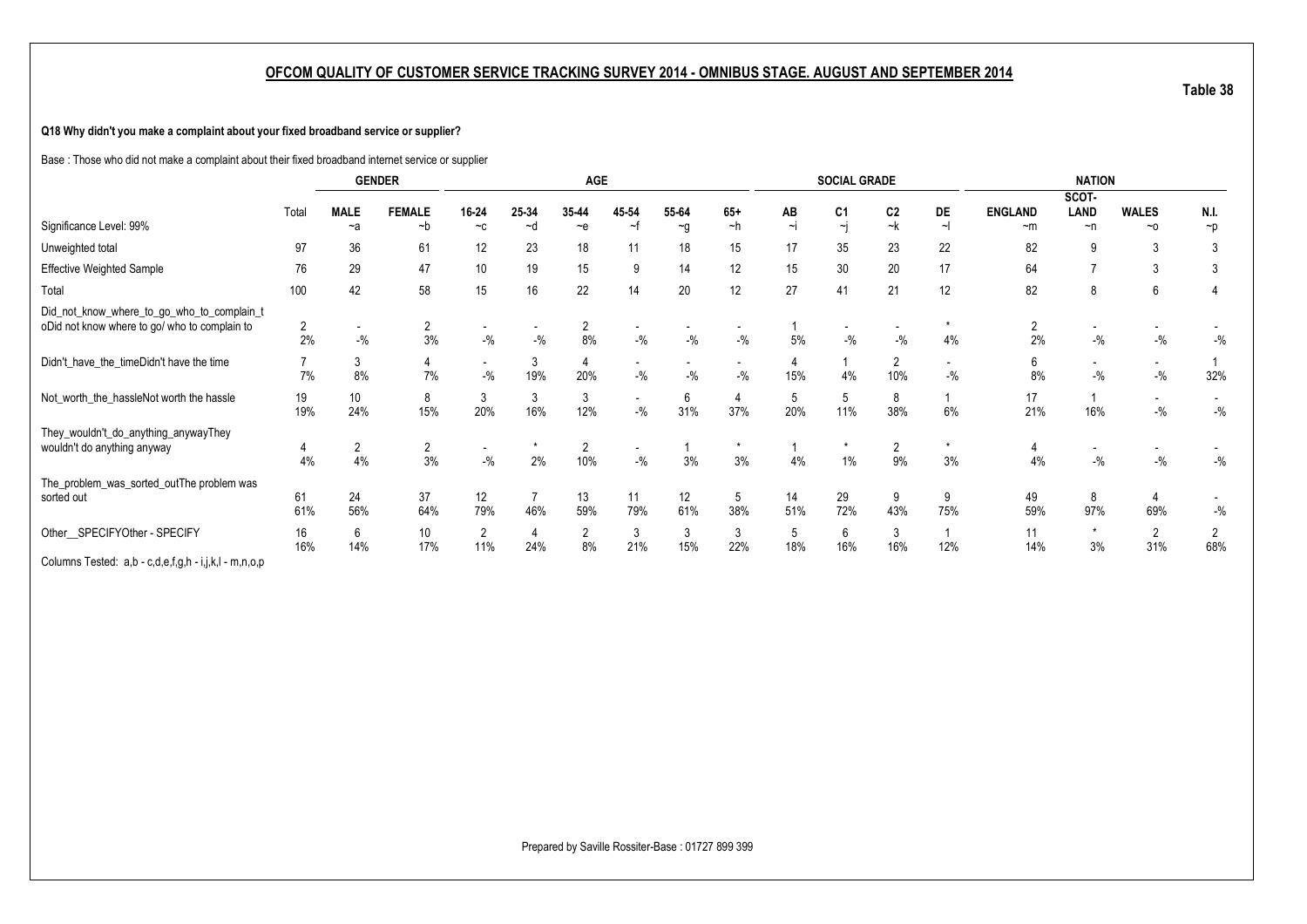### **Q18 Why didn't you make a complaint about your fixed broadband service or supplier?**

Base : Those who did not make a complaint about their fixed broadband internet service or supplier

|                                                       |                |                          | <b>GENDER</b>  |                          |       | <b>AGE</b>     |        |          |                          |          | <b>SOCIAL GRADE</b>     |                |                |                | <b>NATION</b>            |                          |          |
|-------------------------------------------------------|----------------|--------------------------|----------------|--------------------------|-------|----------------|--------|----------|--------------------------|----------|-------------------------|----------------|----------------|----------------|--------------------------|--------------------------|----------|
|                                                       |                |                          |                |                          |       |                |        |          |                          |          |                         |                |                |                | SCOT-                    |                          |          |
|                                                       | Total          | <b>MALE</b>              | <b>FEMALE</b>  | 16-24                    | 25-34 | 35-44          | 45-54  | 55-64    | $65+$                    | AB       | C <sub>1</sub>          | C <sub>2</sub> | DE             | <b>ENGLAND</b> | LAND                     | <b>WALES</b>             | N.I.     |
| Significance Level: 99%                               |                | $-a$                     | $-b$           | $-c$                     | ~d    | $-e$           | ~f     | $\sim g$ | ~h                       | $\sim$ j | $\overline{\mathbf{y}}$ | ~k             | $\sim$         | $-m$           | $\neg$ n                 | $~\sim$ 0                | $\neg p$ |
| Unweighted total                                      | 97             | 36                       | 61             | 12                       | 23    | 18             |        | 18       | 15                       | 17       | 35                      | 23             | 22             | 82             | 9                        | 3                        | -3       |
| <b>Effective Weighted Sample</b>                      | 76             | 29                       | 47             | 10                       | 19    | 15             | 9      | 14       | 12                       | 15       | 30                      | 20             | 17             | 64             |                          | 3                        | 3        |
| Total                                                 | 100            | 42                       | 58             | 15                       | 16    | 22             | 14     | 20       | 12                       | 27       | 41                      | 21             | 12             | 82             | 8                        | 6                        |          |
| Did_not_know_where_to_go_who_to_complain_t            |                |                          |                |                          |       |                |        |          |                          |          |                         |                |                |                |                          |                          |          |
| oDid not know where to go/ who to complain to         | $\overline{2}$ | $\overline{\phantom{a}}$ | 2              | $\overline{\phantom{a}}$ |       | 2              |        |          | $\overline{\phantom{a}}$ |          | ٠                       |                |                | $\overline{2}$ | $\overline{\phantom{a}}$ |                          |          |
|                                                       | 2%             | $-$ %                    | 3%             | $-$ %                    | $-$ % | 8%             | $-$ %  | $-$ %    | $-$ %                    | 5%       | $-$ %                   | $-$ %          | 4%             | 2%             | $-$ %                    | $-$ %                    | $-$ %    |
| Didn't_have_the_timeDidn't have the time              |                | 3                        | 4              | $\sim$                   | 3     | 4              |        |          |                          |          |                         | $\overline{2}$ | $\overline{a}$ | 6              |                          | $\overline{\phantom{a}}$ |          |
|                                                       | 7%             | 8%                       | 7%             | $-$ %                    | 19%   | 20%            | $-$ %  | $-$ %    | $-$ %                    | 15%      | 4%                      | 10%            | $-9/6$         | 8%             | $-$ %                    | $-$ %                    | 32%      |
| Not_worth_the_hassleNot worth the hassle              | 19             | 10                       | 8              | 3                        | 3     | 3              |        | 6        | 4                        | 5        | 5                       | 8              |                | 17             |                          | $\overline{\phantom{a}}$ |          |
|                                                       | 19%            | 24%                      | 15%            | 20%                      | 16%   | 12%            | $-$ %  | 31%      | 37%                      | 20%      | 11%                     | 38%            | 6%             | 21%            | 16%                      | $-$ %                    | $-{\%}$  |
| They_wouldn't_do_anything_anywayThey                  |                |                          |                |                          |       |                |        |          |                          |          |                         |                |                |                |                          |                          |          |
| wouldn't do anything anyway                           | 4              | $\overline{2}$           | $\overline{2}$ | $\overline{\phantom{a}}$ |       | $\overline{2}$ |        |          | $\star$                  |          | $\star$                 | 2              |                | 4              |                          |                          |          |
|                                                       | 4%             | 4%                       | 3%             | $-$ %                    | 2%    | 10%            | $-9/6$ | 3%       | 3%                       | 4%       | 1%                      | 9%             | 3%             | 4%             | $-$ %                    | $-$ %                    | $-$ %    |
| The_problem_was_sorted_outThe problem was             |                |                          |                |                          |       |                |        |          |                          |          |                         |                |                |                |                          |                          |          |
| sorted out                                            | 61             | 24                       | 37             | 12                       |       | 13             | 11     | 12       | 5                        | 14       | 29                      | 9              | 9              | 49             | 8                        |                          |          |
|                                                       | 61%            | 56%                      | 64%            | 79%                      | 46%   | 59%            | 79%    | 61%      | 38%                      | 51%      | 72%                     | 43%            | 75%            | 59%            | 97%                      | 69%                      | $-$ %    |
| Other_SPECIFYOther - SPECIFY                          | 16             | 6                        | 10             | 2                        | 4     | $\overline{2}$ | 3      | 3        | 3                        | 5        | 6                       | 3              |                | 11             | $\star$                  | $\overline{2}$           |          |
|                                                       | 16%            | 14%                      | 17%            | 11%                      | 24%   | 8%             | 21%    | 15%      | 22%                      | 18%      | 16%                     | 16%            | 12%            | 14%            | 3%                       | 31%                      | 68%      |
| Columns Tested: a,b - c,d,e,f,g,h - i,j,k,l - m,n,o,p |                |                          |                |                          |       |                |        |          |                          |          |                         |                |                |                |                          |                          |          |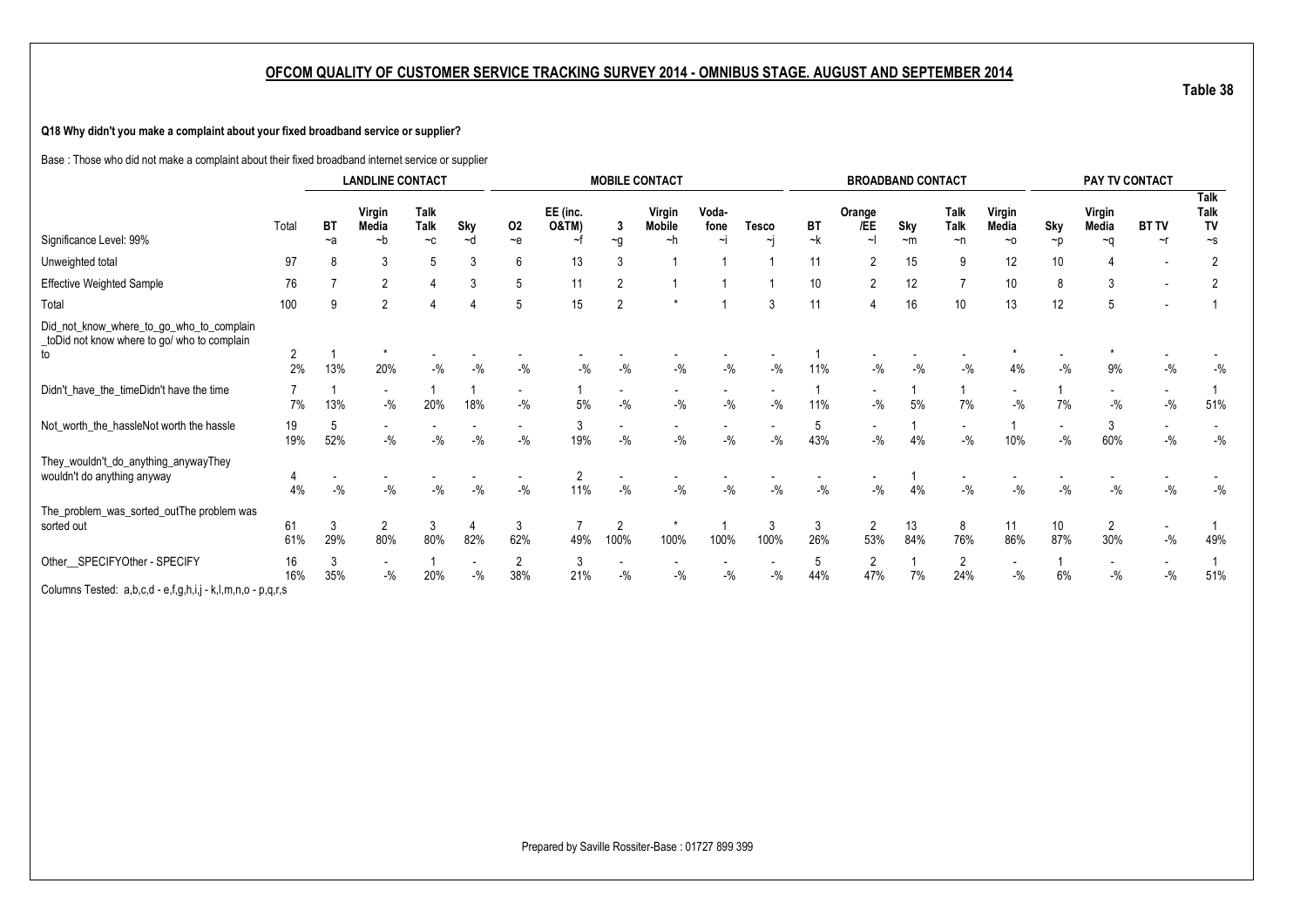### **Q18 Why didn't you make a complaint about your fixed broadband service or supplier?**

Base : Those who did not make a complaint about their fixed broadband internet service or supplier

|                                                                                               |                      |           | <b>LANDLINE CONTACT</b>           |                            |                                   |                                   |                              |                                   | <b>MOBILE CONTACT</b>              |               |           |          |                                   | <b>BROADBAND CONTACT</b> |                                   |                                   |                                   |                       | PAY TV CONTACT                    |                                  |
|-----------------------------------------------------------------------------------------------|----------------------|-----------|-----------------------------------|----------------------------|-----------------------------------|-----------------------------------|------------------------------|-----------------------------------|------------------------------------|---------------|-----------|----------|-----------------------------------|--------------------------|-----------------------------------|-----------------------------------|-----------------------------------|-----------------------|-----------------------------------|----------------------------------|
|                                                                                               | Total                | BT        | Virgin<br>Media                   | <b>Talk</b><br><b>Talk</b> | Sky                               | 02                                | EE (inc.<br><b>O&amp;TM)</b> | 3                                 | Virgin<br>Mobile                   | Voda-<br>fone | Tesco     | BT       | Orange<br>/EE                     | Sky                      | Talk<br>Talk                      | Virgin<br>Media                   | Sky                               | Virgin<br>Media       | <b>BT TV</b>                      | <b>Talk</b><br><b>Talk</b><br>TV |
| Significance Level: 99%                                                                       |                      | $-a$      | $-b$                              | $-c$                       | ~d                                | $-e$                              | ~f                           | $\sim g$                          | ~h                                 | $\sim$ j      | $\sim$ i  | ~k       | $\sim$                            | ~m                       | $\neg$ n                          | $~\sim$ 0                         | $\neg p$                          | $-a$                  | $\sim$ r                          | $\sim$ s                         |
| Unweighted total                                                                              | 97                   |           | 3                                 | 5                          | 3                                 | 6                                 | 13                           | 3                                 |                                    |               |           | 11       | 2                                 | 15                       | 9                                 | 12                                | 10                                |                       | $\overline{\phantom{a}}$          | $\overline{2}$                   |
| <b>Effective Weighted Sample</b>                                                              | 76                   |           | $\overline{2}$                    |                            | 3                                 | 5                                 |                              | $\overline{2}$                    |                                    |               |           | 10       | $\overline{2}$                    | 12                       |                                   | 10                                | 8                                 | 3                     |                                   |                                  |
| Total                                                                                         | 100                  |           | $\overline{2}$                    |                            |                                   | 5                                 | 15                           | $\overline{2}$                    |                                    |               | 3         | 11       | 4                                 | 16                       | 10                                | 13                                | 12                                |                       |                                   |                                  |
| Did_not_know_where_to_go_who_to_complain<br>toDid not know where to go/ who to complain<br>to | $\overline{2}$<br>2% | 13%       | 20%                               | $-9/6$                     | $-9/6$                            | $-9/6$                            | $-$ %                        | $-$ %                             | $-$ %                              | $-9/6$        | $-9/6$    | 11%      | $-9/0$                            | $-9/6$                   | $-$ %                             | 4%                                | $-$ %                             | 9%                    | $-9/6$                            | $-$ %                            |
| Didn't_have_the_timeDidn't have the time                                                      | 7%                   | 13%       | $\overline{\phantom{a}}$<br>$-$ % | 20%                        | 18%                               | $-$ %                             | $5\%$                        | $\overline{\phantom{a}}$<br>$-$ % | $\overline{\phantom{a}}$<br>$-9/6$ | $-$ %         | $-9/6$    | 11%      | $\overline{\phantom{a}}$<br>$-$ % | 5%                       | 7%                                | $\overline{\phantom{a}}$<br>$-$ % | 7%                                | $-$ %                 | $\overline{\phantom{a}}$<br>$-$ % | 51%                              |
| Not_worth_the_hassleNot worth the hassle                                                      | 19<br>19%            | 52%       | $\sim$<br>$-$ %                   | $-9/6$                     | $-$ %                             | $\overline{\phantom{a}}$<br>$-$ % | 3<br>19%                     | $-9/6$                            | $\overline{\phantom{a}}$<br>$-9/0$ | $-$ %         | $-$ %     | 5<br>43% | $\overline{\phantom{a}}$<br>$-$ % | 4%                       | $\sim$<br>$-$ %                   | 10%                               | $\overline{\phantom{a}}$<br>$-$ % | 3<br>60%              | $\overline{\phantom{0}}$<br>$-$ % | $-$ %                            |
| They_wouldn't_do_anything_anywayThey<br>wouldn't do anything anyway                           | 4<br>4%              | $-$ %     | $-$ %                             | $-9/6$                     | $-$ %                             | $\overline{\phantom{a}}$<br>$-$ % | 2<br>11%                     | $\sim$<br>$-$ %                   | $-$ %                              | $-$ %         | $-9/6$    | $-9/6$   | $\overline{\phantom{a}}$<br>$-$ % | 4%                       | $\overline{\phantom{a}}$<br>$-$ % | $-$ %                             | $-$ %                             | $-9/6$                | $-9/6$                            | $-$ %                            |
| The_problem_was_sorted_outThe problem was<br>sorted out                                       | 61<br>61%            | -3<br>29% | $\overline{2}$<br>80%             | 3<br>80%                   | 82%                               | 3<br>62%                          | 49%                          | $\overline{2}$<br>100%            | 100%                               | 100%          | 3<br>100% | 3<br>26% | $\overline{2}$<br>53%             | 13<br>84%                | 8<br>76%                          | 11<br>86%                         | 10 <sup>°</sup><br>87%            | $\overline{2}$<br>30% | $-$ %                             | 49%                              |
| Other_SPECIFYOther - SPECIFY                                                                  | 16<br>16%            | 3<br>35%  | $\overline{\phantom{a}}$<br>$-$ % | 20%                        | $\overline{\phantom{a}}$<br>$-$ % | 2<br>38%                          | 3<br>21%                     | $-$ %                             | $-$ %                              | $-$ %         | $-$ %     | 5<br>44% | $\overline{2}$<br>47%             | 7%                       | $\overline{2}$<br>24%             | $-$ %                             | 6%                                | $-9/6$                | $-9/6$                            | 51%                              |
| Columns Tested: a,b,c,d - e,f,g,h,i,j - k,l,m,n,o - p,q,r,s                                   |                      |           |                                   |                            |                                   |                                   |                              |                                   |                                    |               |           |          |                                   |                          |                                   |                                   |                                   |                       |                                   |                                  |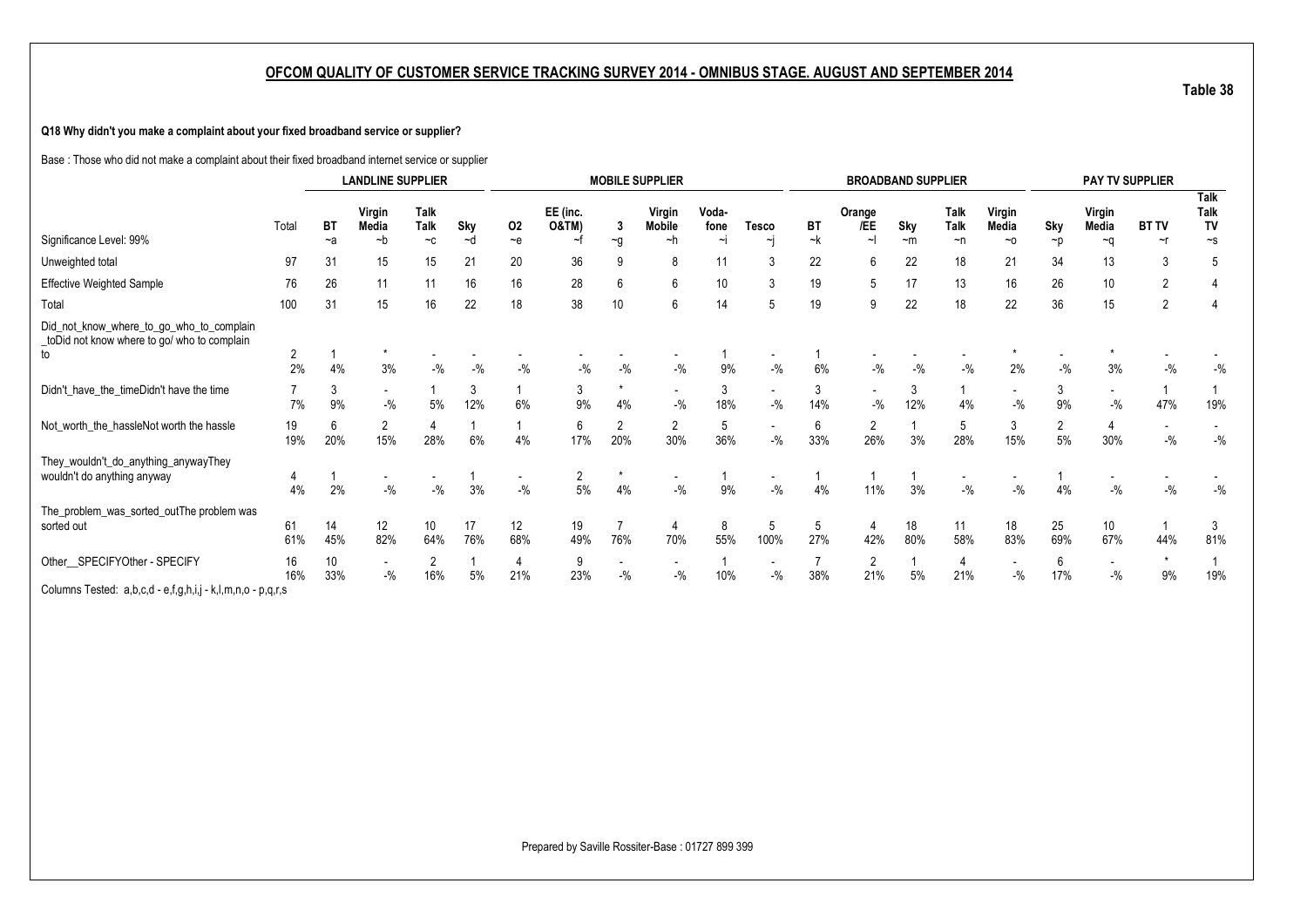### **Q18 Why didn't you make a complaint about your fixed broadband service or supplier?**

Base : Those who did not make a complaint about their fixed broadband internet service or supplier

|                                                                                               |                      |                        | <b>LANDLINE SUPPLIER</b>          |                                   |           |                       |                   |                       | <b>MOBILE SUPPLIER</b>            |               |                                    |          |                                   | <b>BROADBAND SUPPLIER</b> |                                   |                                   |                      |                                    | <b>PAY TV SUPPLIER</b> |                           |
|-----------------------------------------------------------------------------------------------|----------------------|------------------------|-----------------------------------|-----------------------------------|-----------|-----------------------|-------------------|-----------------------|-----------------------------------|---------------|------------------------------------|----------|-----------------------------------|---------------------------|-----------------------------------|-----------------------------------|----------------------|------------------------------------|------------------------|---------------------------|
|                                                                                               | Total                | ВT                     | Virgin<br>Media                   | <b>Talk</b><br><b>Talk</b>        | Sky       | 02                    | EE (inc.<br>O&TM) | 3                     | Virgin<br>Mobile                  | Voda-<br>fone | <b>Tesco</b>                       | BT       | Orange<br>/EE                     | Sky                       | Talk<br>Talk                      | Virgin<br>Media                   | Sky                  | Virgin<br>Media                    | <b>BT TV</b>           | <b>Talk</b><br>Talk<br>TV |
| Significance Level: 99%                                                                       |                      | $-a$                   | $-b$                              | $-c$                              | $-d$      | $-e$                  | ~f                | $\sim g$              | $-h$                              | ∼i            | $\sim$ i                           | ~k       | $\sim$                            | $-m$                      | $\neg$ n                          | $~\sim$ 0                         | ~p                   | ∼a                                 | $\sim$ r               | $\sim$ s                  |
| Unweighted total                                                                              | 97                   | 31                     | 15                                | 15                                | 21        | 20                    | 36                | 9                     | 8                                 | 11            | 3                                  | 22       | 6                                 | 22                        | 18                                | 21                                | 34                   | 13                                 | 3                      | 5                         |
| <b>Effective Weighted Sample</b>                                                              | 76                   | 26                     | 11                                | 11                                | 16        | 16                    | 28                | 6                     | 6                                 | 10            | 3                                  | 19       | 5                                 | 17                        | 13                                | 16                                | 26                   | 10                                 | $\overline{2}$         |                           |
| Total                                                                                         | 100                  | 31                     | 15                                | 16                                | 22        | 18                    | 38                | 10 <sup>°</sup>       | 6                                 | 14            | 5                                  | 19       | 9                                 | 22                        | 18                                | 22                                | 36                   | 15                                 | $\overline{2}$         |                           |
| Did_not_know_where_to_go_who_to_complain<br>toDid not know where to go/ who to complain<br>to | $\overline{2}$<br>2% | 4%                     | 3%                                | $-9/6$                            | $-$ %     | $-$ %                 | $-9/6$            | $-$ %                 | $-$ %                             | 9%            | $-$ %                              | 6%       | $-$ %                             | $-9/6$                    | $-$ %                             | 2%                                | $-$ %                | 3%                                 | $-9/6$                 | $-9/6$                    |
| Didn't_have_the_timeDidn't have the time                                                      |                      | 3                      |                                   |                                   | 3         |                       | 3                 |                       |                                   | 3             |                                    | 3        |                                   | 3                         |                                   |                                   | 3                    |                                    |                        |                           |
|                                                                                               | 7%                   | 9%                     | $\overline{\phantom{a}}$<br>$-$ % | 5%                                | 12%       | 6%                    | 9%                | 4%                    | $\sim$<br>$-$ %                   | 18%           | $\sim$<br>$-9/6$                   | 14%      | $\overline{\phantom{a}}$<br>$-$ % | 12%                       | 4%                                | $\overline{\phantom{a}}$<br>$-$ % | 9%                   | $\overline{\phantom{a}}$<br>$-9/6$ | 47%                    | 19%                       |
| Not_worth_the_hassleNot worth the hassle                                                      | 19<br>19%            | 6<br>20%               | 2<br>15%                          | 28%                               | 6%        | 4%                    | 6<br>17%          | $\overline{2}$<br>20% | 2<br>30%                          | 5<br>36%      | $\sim$<br>$-9/6$                   | 6<br>33% | $\overline{2}$<br>26%             | 3%                        | 5<br>28%                          | 3<br>15%                          | $\overline{2}$<br>5% | 30%                                | $-$ %                  | $-$ %                     |
| They_wouldn't_do_anything_anywayThey                                                          |                      |                        |                                   |                                   |           |                       |                   |                       |                                   |               |                                    |          |                                   |                           |                                   |                                   |                      |                                    |                        |                           |
| wouldn't do anything anyway                                                                   | 4<br>4%              | 2%                     | ۰<br>$-$ %                        | $\overline{\phantom{a}}$<br>$-$ % | 3%        | $\sim$<br>$-9/6$      | 2<br>5%           | 4%                    | $\overline{\phantom{a}}$<br>$-$ % | 9%            | $\overline{\phantom{a}}$<br>$-9/6$ | 4%       | 11%                               | 3%                        | $\overline{\phantom{a}}$<br>$-$ % | $-$ %                             | 4%                   | $-9/6$                             | $-$ %                  | $-9/6$                    |
| The_problem_was_sorted_outThe problem was<br>sorted out                                       | 61<br>61%            | 14<br>45%              | 12<br>82%                         | 10 <sup>°</sup><br>64%            | 17<br>76% | 12<br>68%             | 19<br>49%         | 76%                   | 70%                               | 8<br>55%      | 5<br>100%                          | 5<br>27% | 4<br>42%                          | 18<br>80%                 | 11<br>58%                         | 18<br>83%                         | 25<br>69%            | 10<br>67%                          | 44%                    | 3<br>81%                  |
| Other SPECIFYOther - SPECIFY                                                                  | 16<br>16%            | 10 <sup>°</sup><br>33% | $\sim$<br>$-$ %                   | 2<br>16%                          | 5%        | $\overline{4}$<br>21% | 9<br>23%          | $-$ %                 | $\overline{\phantom{a}}$<br>$-$ % | 10%           | $\overline{\phantom{a}}$<br>$-$ %  | 38%      | $\overline{2}$<br>21%             | 5%                        | 4<br>21%                          | $\overline{\phantom{a}}$<br>$-$ % | 6<br>17%             | $-9/6$                             | $\star$<br>9%          | 19%                       |
| Columns Tested: a,b,c,d - e,f,g,h,i,j - k,l,m,n,o - p,q,r,s                                   |                      |                        |                                   |                                   |           |                       |                   |                       |                                   |               |                                    |          |                                   |                           |                                   |                                   |                      |                                    |                        |                           |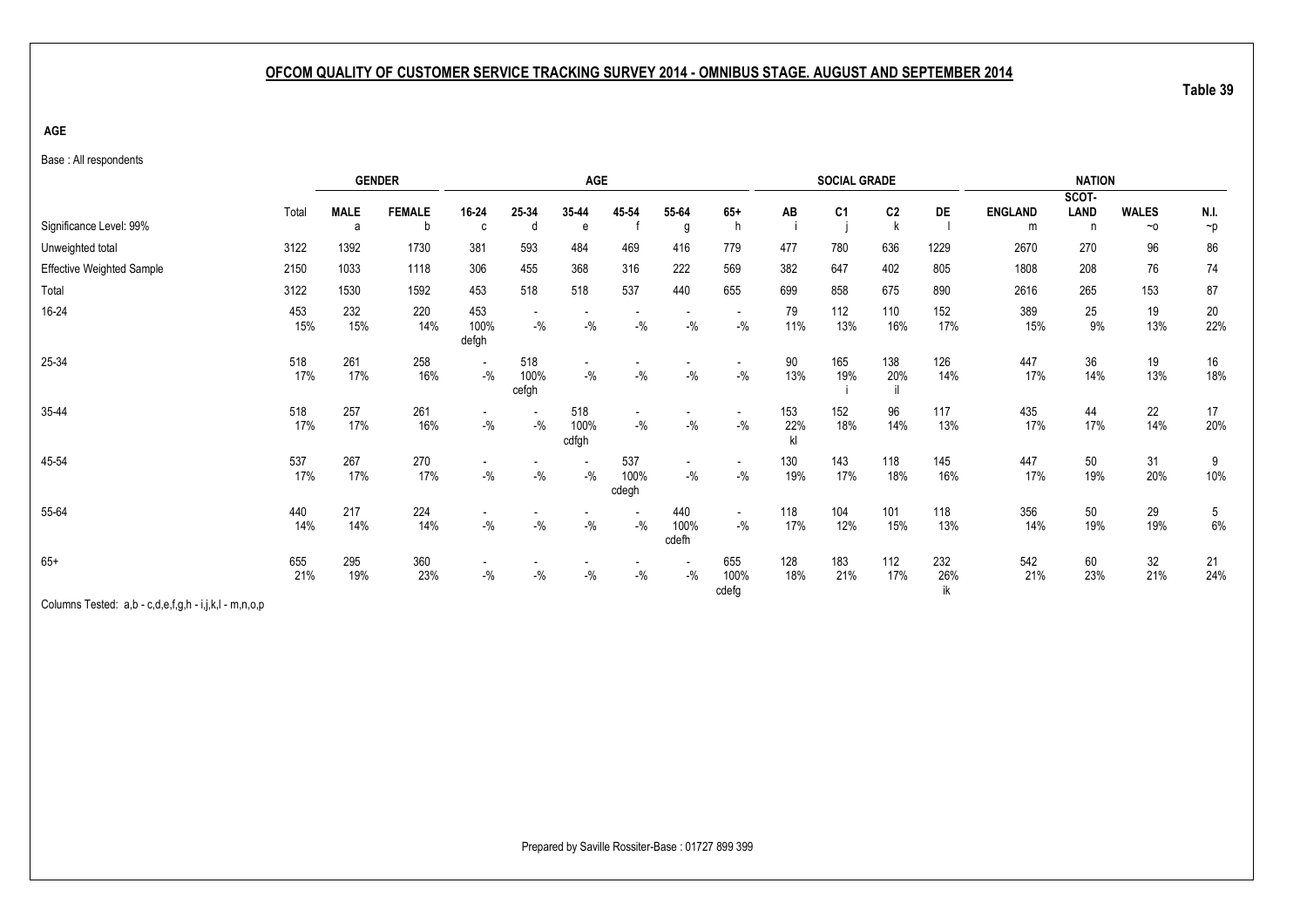**AGE**

Base : All respondents

|                                  |            |             | <b>GENDER</b> |                                     |                                   | <b>AGE</b>                        |                      |                      |                                                        |                  | <b>SOCIAL GRADE</b> |                |                  |                | <b>NATION</b> |              |            |
|----------------------------------|------------|-------------|---------------|-------------------------------------|-----------------------------------|-----------------------------------|----------------------|----------------------|--------------------------------------------------------|------------------|---------------------|----------------|------------------|----------------|---------------|--------------|------------|
|                                  | Total      | <b>MALE</b> | <b>FEMALE</b> | 16-24                               | 25-34                             | 35-44                             | 45-54                | 55-64                | $65+$                                                  | AB               | C <sub>1</sub>      | C <sub>2</sub> | DE               | <b>ENGLAND</b> | SCOT-<br>LAND | <b>WALES</b> | N.I.       |
| Significance Level: 99%          |            | a           | b             | C                                   | d                                 | e                                 |                      | g                    | h                                                      |                  |                     |                |                  | m              | n             | $~\sim$ 0    | $\neg p$   |
| Unweighted total                 | 3122       | 1392        | 1730          | 381                                 | 593                               | 484                               | 469                  | 416                  | 779                                                    | 477              | 780                 | 636            | 1229             | 2670           | 270           | 96           | 86         |
| <b>Effective Weighted Sample</b> | 2150       | 1033        | 1118          | 306                                 | 455                               | 368                               | 316                  | 222                  | 569                                                    | 382              | 647                 | 402            | 805              | 1808           | 208           | 76           | 74         |
| Total                            | 3122       | 1530        | 1592          | 453                                 | 518                               | 518                               | 537                  | 440                  | 655                                                    | 699              | 858                 | 675            | 890              | 2616           | 265           | 153          | 87         |
| 16-24                            | 453<br>15% | 232<br>15%  | 220<br>14%    | 453<br>100%<br>defgh                | $-9/0$                            | $-9/0$                            | $-$ %                | $-9/0$               | $\overline{\phantom{a}}$<br>$-{\frac{0}{2}}/2$         | 79<br>11%        | 112<br>13%          | 110<br>16%     | 152<br>17%       | 389<br>15%     | 25<br>9%      | 19<br>13%    | 20<br>22%  |
| 25-34                            | 518<br>17% | 261<br>17%  | 258<br>16%    | $\overline{\phantom{a}}$<br>$-$ %   | 518<br>100%<br>cefgh              | $-$ %                             | $-{\%}$              | $-9/0$               | $\overline{\phantom{a}}$<br>$\mathbin{{\mathcal I}}_0$ | 90<br>13%        | 165<br>19%          | 138<br>20%     | 126<br>14%       | 447<br>17%     | 36<br>14%     | 19<br>13%    | 16<br>18%  |
| 35-44                            | 518<br>17% | 257<br>17%  | 261<br>16%    | $\overline{\phantom{a}}$<br>$-{\%}$ | $\overline{\phantom{a}}$<br>$-$ % | 518<br>100%<br>cdfgh              | ٠<br>$-$ %           | $-$ %                | $\overline{\phantom{a}}$<br>$\mathbin{{\mathcal I}}_0$ | 153<br>22%<br>kl | 152<br>18%          | 96<br>14%      | 117<br>13%       | 435<br>17%     | 44<br>17%     | 22<br>14%    | 17<br>20%  |
| 45-54                            | 537<br>17% | 267<br>17%  | 270<br>17%    | $\overline{\phantom{a}}$<br>$-$ %   | $-$ %                             | $\overline{\phantom{a}}$<br>$-$ % | 537<br>100%<br>cdegh | $\sim$<br>$-$ %      | $\overline{\phantom{a}}$<br>$-9/0$                     | 130<br>19%       | 143<br>17%          | 118<br>18%     | 145<br>16%       | 447<br>17%     | 50<br>19%     | 31<br>20%    | 9<br>10%   |
| 55-64                            | 440<br>14% | 217<br>14%  | 224<br>14%    | $\overline{\phantom{a}}$<br>$-{\%}$ | $-9/0$                            | $-{\%}$                           | $-$ %                | 440<br>100%<br>cdefh | $\sim$<br>$-{\cal V}_0$                                | 118<br>17%       | 104<br>12%          | 101<br>15%     | 118<br>13%       | 356<br>14%     | 50<br>19%     | 29<br>19%    | 5<br>$6\%$ |
| $65+$<br>$\sim$<br>.<br>         | 655<br>21% | 295<br>19%  | 360<br>23%    | $-$ %                               | $-$ %                             | $-$ %                             | $-$ %                | $-$ %                | 655<br>100%<br>cdefg                                   | 128<br>18%       | 183<br>21%          | 112<br>17%     | 232<br>26%<br>ik | 542<br>21%     | 60<br>23%     | 32<br>21%    | 21<br>24%  |

Columns Tested: a,b - c,d,e,f,g,h - i,j,k,l - m,n,o,p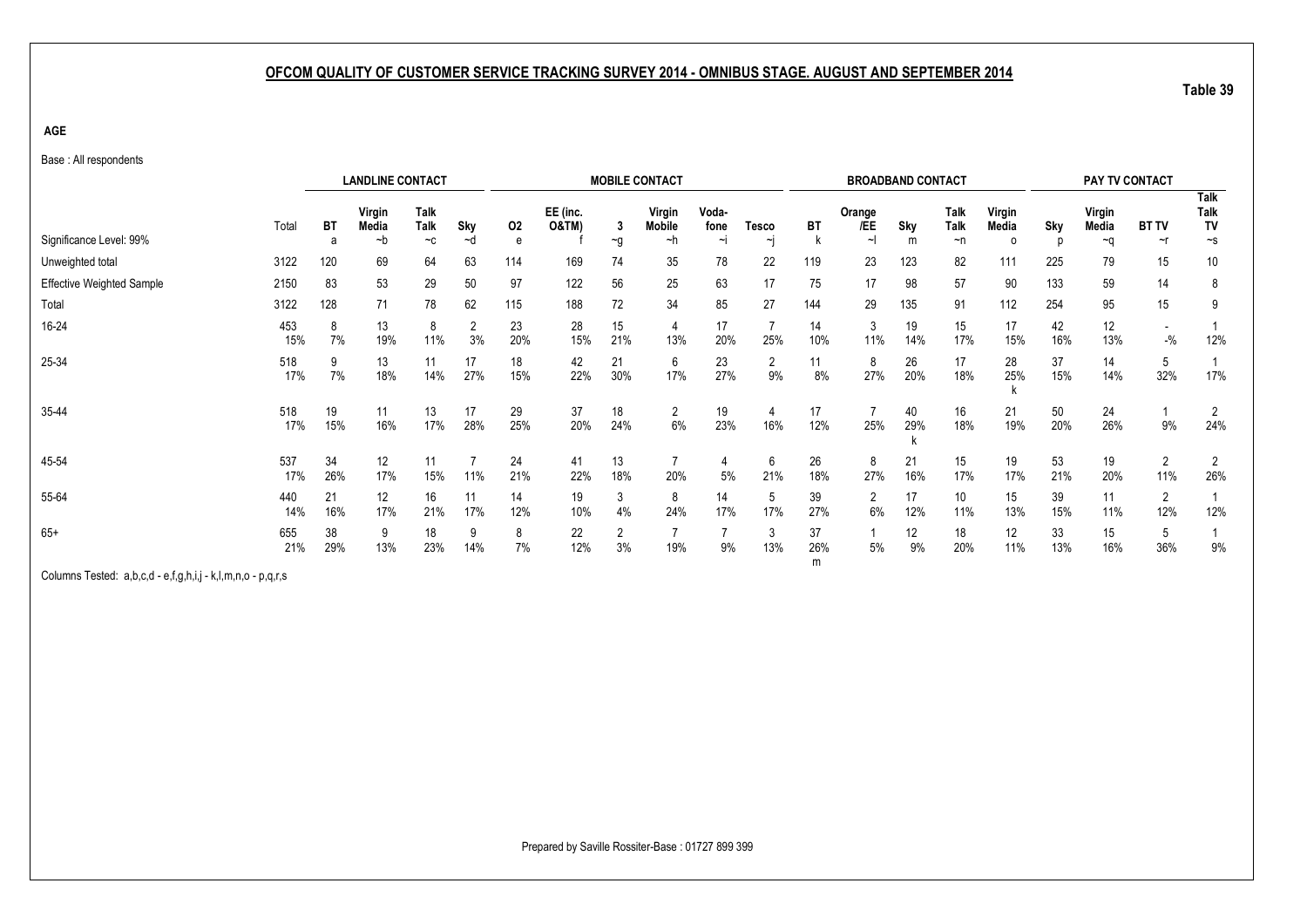**AGE**

Base : All respondents

|                                  |            |           | <b>LANDLINE CONTACT</b> |                     |                      |           |                              |           | <b>MOBILE CONTACT</b>         |                         |                        |                | <b>BROADBAND CONTACT</b> |                |                          |                             |           | PAY TV CONTACT  |              |                           |
|----------------------------------|------------|-----------|-------------------------|---------------------|----------------------|-----------|------------------------------|-----------|-------------------------------|-------------------------|------------------------|----------------|--------------------------|----------------|--------------------------|-----------------------------|-----------|-----------------|--------------|---------------------------|
| Significance Level: 99%          | Total      | BT<br>a   | Virgin<br>Media<br>~b   | Talk<br><b>Talk</b> | Sky                  | 02        | EE (inc.<br><b>O&amp;TM)</b> | 3         | Virgin<br><b>Mobile</b><br>~h | Voda-<br>fone<br>$\sim$ | <b>Tesco</b><br>$\sim$ | BT<br>k        | Orange<br>/EE<br>~l      | Sky<br>m       | Talk<br>Talk<br>$\neg$ n | Virgin<br>Media<br>$\Omega$ | Sky       | Virgin<br>Media | <b>BT TV</b> | <b>Talk</b><br>Talk<br>TV |
|                                  |            |           |                         | $-c$                | ~d                   | е         |                              | $\sim g$  |                               |                         |                        |                |                          |                |                          |                             |           | ~q              | ~r           | $\sim$ s                  |
| Unweighted total                 | 3122       | 120       | 69                      | 64                  | 63                   | 114       | 169                          | 74        | 35                            | 78                      | 22                     | 119            | 23                       | 123            | 82                       | 111                         | 225       | 79              | 15           | 10                        |
| <b>Effective Weighted Sample</b> | 2150       | 83        | 53                      | 29                  | 50                   | 97        | 122                          | 56        | 25                            | 63                      | 17                     | 75             | 17                       | 98             | 57                       | 90                          | 133       | 59              | 14           | 8                         |
| Total                            | 3122       | 128       | 71                      | 78                  | 62                   | 115       | 188                          | 72        | 34                            | 85                      | 27                     | 144            | 29                       | 135            | 91                       | 112                         | 254       | 95              | 15           | 9                         |
| 16-24                            | 453<br>15% | 8<br>7%   | 13<br>19%               | 8<br>11%            | $\overline{2}$<br>3% | 23<br>20% | 28<br>15%                    | 15<br>21% | 4<br>13%                      | 17<br>20%               | $\overline{7}$<br>25%  | 14<br>10%      | 3<br>11%                 | 19<br>14%      | 15<br>17%                | 17<br>15%                   | 42<br>16% | 12<br>13%       | $-9/6$       | 12%                       |
| 25-34                            | 518<br>17% | 9<br>7%   | 13<br>18%               | 11<br>14%           | 17<br>27%            | 18<br>15% | 42<br>22%                    | 21<br>30% | 6<br>17%                      | 23<br>27%               | $\overline{2}$<br>9%   | 11<br>8%       | 8<br>27%                 | 26<br>20%      | 17<br>18%                | 28<br>25%                   | 37<br>15% | 14<br>14%       | 5<br>32%     | 17%                       |
| 35-44                            | 518<br>17% | 19<br>15% | 11<br>16%               | 13<br>17%           | 17<br>28%            | 29<br>25% | 37<br>20%                    | 18<br>24% | $\overline{2}$<br>$6\%$       | 19<br>23%               | 4<br>16%               | 17<br>12%      | $\overline{7}$<br>25%    | 40<br>29%<br>ĸ | 16<br>18%                | 21<br>19%                   | 50<br>20% | 24<br>26%       | 9%           | $\overline{2}$<br>24%     |
| 45-54                            | 537<br>17% | 34<br>26% | 12<br>17%               | 11<br>15%           | 11%                  | 24<br>21% | 41<br>22%                    | 13<br>18% | 20%                           | 5%                      | 6<br>21%               | 26<br>18%      | 8<br>27%                 | 21<br>16%      | 15<br>17%                | 19<br>17%                   | 53<br>21% | 19<br>20%       | 2<br>11%     | $\overline{2}$<br>26%     |
| 55-64                            | 440<br>14% | 21<br>16% | 12<br>17%               | 16<br>21%           | 11<br>17%            | 14<br>12% | 19<br>10%                    | 3<br>4%   | 8<br>24%                      | 14<br>17%               | 5<br>17%               | 39<br>27%      | $\overline{2}$<br>6%     | 17<br>12%      | 10 <sup>°</sup><br>11%   | 15<br>13%                   | 39<br>15% | 11<br>11%       | 2<br>12%     | 12%                       |
| $65+$                            | 655<br>21% | 38<br>29% | 9<br>13%                | 18<br>23%           | 9<br>14%             | 8<br>7%   | 22<br>12%                    | 2<br>3%   | 19%                           | 9%                      | 3<br>13%               | 37<br>26%<br>m | 5%                       | 12<br>9%       | 18<br>20%                | 12<br>11%                   | 33<br>13% | 15<br>16%       | 5<br>36%     | 9%                        |

Columns Tested: a,b,c,d - e,f,g,h,i,j - k,l,m,n,o - p,q,r,s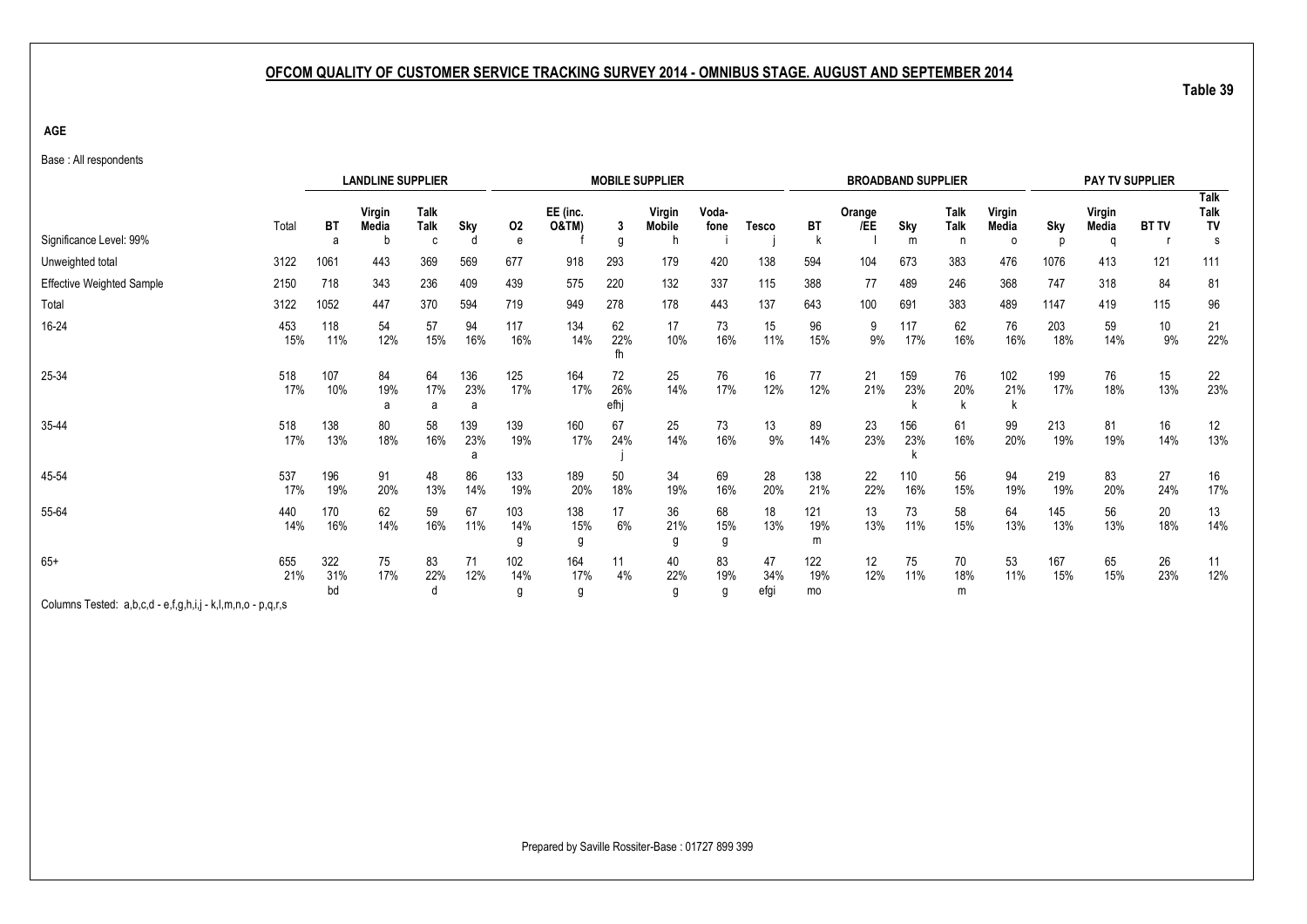**AGE**

| Base: All respondents |  |
|-----------------------|--|
|-----------------------|--|

|                                                             |            |                  | <b>LANDLINE SUPPLIER</b> |              |                 |                 |                   |                   | <b>MOBILE SUPPLIER</b>       |                |                   |                  |               | <b>BROADBAND SUPPLIER</b> |                   |                             |            | PAY TV SUPPLIER      |              |                    |
|-------------------------------------------------------------|------------|------------------|--------------------------|--------------|-----------------|-----------------|-------------------|-------------------|------------------------------|----------------|-------------------|------------------|---------------|---------------------------|-------------------|-----------------------------|------------|----------------------|--------------|--------------------|
| Significance Level: 99%                                     | Total      | ВT<br>а          | Virgin<br>Media          | Talk<br>Talk | Sky<br>d        | 02<br>е         | EE (inc.<br>O&TM) | 3<br>g            | Virgin<br><b>Mobile</b><br>n | Voda-<br>fone  | <b>Tesco</b>      | <b>BT</b>        | Orange<br>/EE | Sky<br>m                  | Talk<br>Talk<br>n | Virgin<br>Media<br>$\Omega$ | Sky        | Virgin<br>Media<br>a | <b>BT TV</b> | Talk<br>Talk<br>TV |
| Unweighted total                                            | 3122       | 1061             | 443                      | 369          | 569             | 677             | 918               | 293               | 179                          | 420            | 138               | 594              | 104           | 673                       | 383               | 476                         | 1076       | 413                  | 121          | 111                |
| <b>Effective Weighted Sample</b>                            | 2150       | 718              | 343                      | 236          | 409             | 439             | 575               | 220               | 132                          | 337            | 115               | 388              | 77            | 489                       | 246               | 368                         | 747        | 318                  | 84           | 81                 |
| Total                                                       | 3122       | 1052             | 447                      | 370          | 594             | 719             | 949               | 278               | 178                          | 443            | 137               | 643              | 100           | 691                       | 383               | 489                         | 1147       | 419                  | 115          | 96                 |
| 16-24                                                       | 453<br>15% | 118<br>11%       | 54<br>12%                | 57<br>15%    | 94<br>16%       | 117<br>16%      | 134<br>14%        | 62<br>22%<br>fh   | 17<br>10%                    | 73<br>16%      | 15<br>11%         | 96<br>15%        | 9<br>9%       | 117<br>17%                | 62<br>16%         | 76<br>16%                   | 203<br>18% | 59<br>14%            | 10<br>9%     | 21<br>22%          |
| 25-34                                                       | 518<br>17% | 107<br>10%       | 84<br>19%<br>a           | 64<br>17%    | 136<br>23%<br>a | 125<br>17%      | 164<br>17%        | 72<br>26%<br>efhj | 25<br>14%                    | 76<br>17%      | 16<br>12%         | 77<br>12%        | 21<br>21%     | 159<br>23%                | 76<br>20%         | 102<br>21%                  | 199<br>17% | 76<br>18%            | 15<br>13%    | 22<br>23%          |
| 35-44                                                       | 518<br>17% | 138<br>13%       | 80<br>18%                | 58<br>16%    | 139<br>23%<br>a | 139<br>19%      | 160<br>17%        | 67<br>24%         | 25<br>14%                    | 73<br>16%      | 13<br>9%          | 89<br>14%        | 23<br>23%     | 156<br>23%                | 61<br>16%         | 99<br>20%                   | 213<br>19% | 81<br>19%            | 16<br>14%    | 12<br>13%          |
| 45-54                                                       | 537<br>17% | 196<br>19%       | 91<br>20%                | 48<br>13%    | 86<br>14%       | 133<br>19%      | 189<br>20%        | 50<br>18%         | 34<br>19%                    | 69<br>16%      | 28<br>20%         | 138<br>21%       | 22<br>22%     | 110<br>16%                | 56<br>15%         | 94<br>19%                   | 219<br>19% | 83<br>20%            | 27<br>24%    | 16<br>17%          |
| 55-64                                                       | 440<br>14% | 170<br>16%       | 62<br>14%                | 59<br>16%    | 67<br>11%       | 103<br>14%<br>g | 138<br>15%<br>g   | 17<br>6%          | 36<br>21%                    | 68<br>15%      | 18<br>13%         | 121<br>19%       | 13<br>13%     | 73<br>11%                 | 58<br>15%         | 64<br>13%                   | 145<br>13% | 56<br>13%            | 20<br>18%    | 13<br>14%          |
| $65+$                                                       | 655<br>21% | 322<br>31%<br>bd | 75<br>17%                | 83<br>22%    | 71<br>12%       | 102<br>14%<br>g | 164<br>17%<br>g   | 11<br>4%          | 40<br>22%<br>g               | 83<br>19%<br>g | 47<br>34%<br>efgi | 122<br>19%<br>mo | 12<br>12%     | 75<br>11%                 | 70<br>18%<br>m    | 53<br>11%                   | 167<br>15% | 65<br>15%            | 26<br>23%    | 11<br>12%          |
| Columns Tested: a,b,c,d - e,f,g,h,i,j - k,l,m,n,o - p,q,r,s |            |                  |                          |              |                 |                 |                   |                   |                              |                |                   |                  |               |                           |                   |                             |            |                      |              |                    |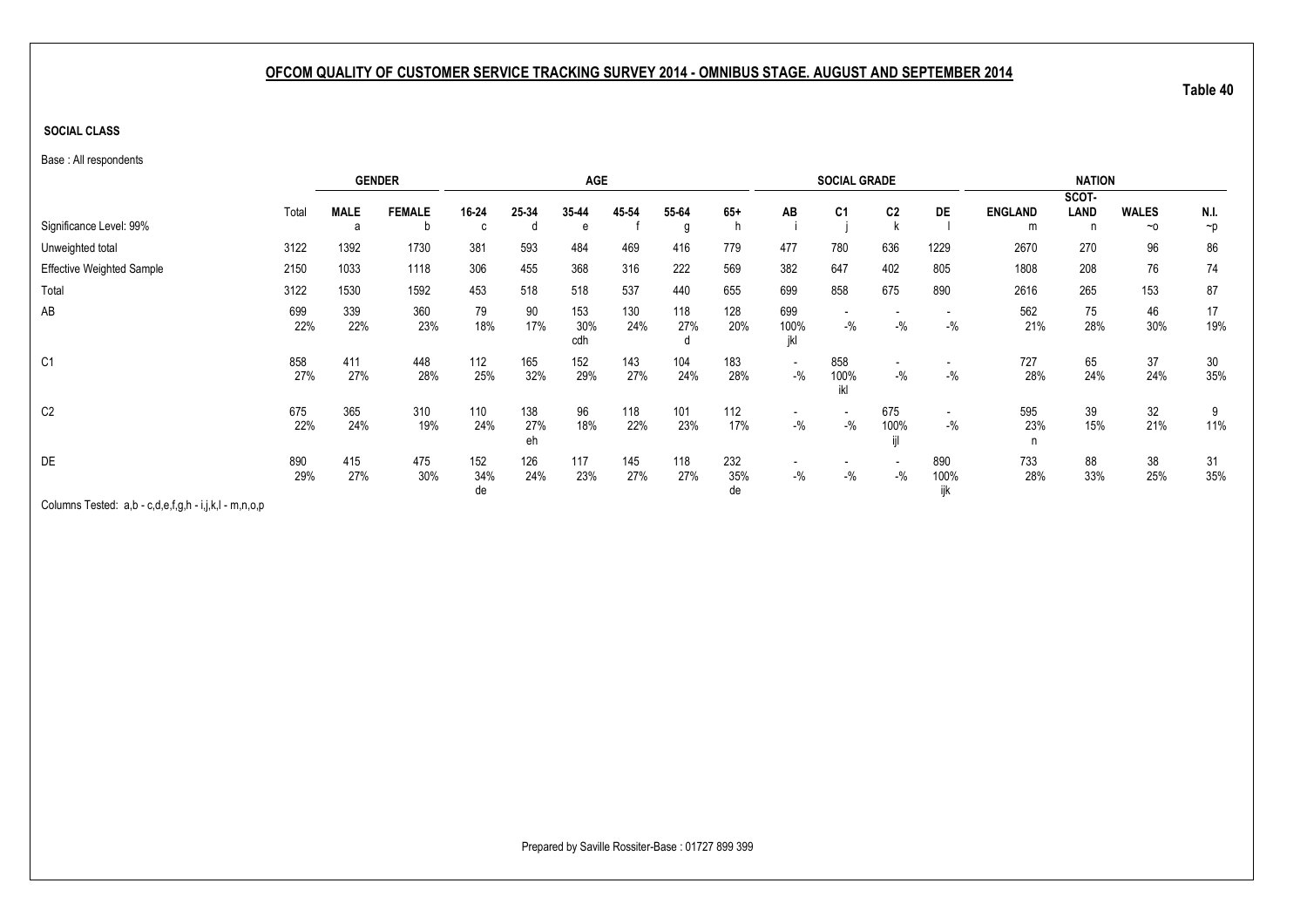### **SOCIAL CLASS**

Base : All respondents

|                                  |            |             | <b>GENDER</b> |                  |                  | <b>AGE</b>        |            |            |                  |                                   | <b>SOCIAL GRADE</b> |                                   |                                    |                 | <b>NATION</b> |              |           |
|----------------------------------|------------|-------------|---------------|------------------|------------------|-------------------|------------|------------|------------------|-----------------------------------|---------------------|-----------------------------------|------------------------------------|-----------------|---------------|--------------|-----------|
|                                  | Total      | <b>MALE</b> | <b>FEMALE</b> | 16-24            | 25-34            | 35-44             | 45-54      | 55-64      | $65+$            | AB                                | C <sub>1</sub>      | C <sub>2</sub>                    | DE                                 | <b>ENGLAND</b>  | SCOT-<br>LAND | <b>WALES</b> | N.I.      |
| Significance Level: 99%          |            | a           | b             | c                | đ                | e                 |            | g          |                  |                                   |                     |                                   |                                    | m               | n             | $~\sim$ 0    | $\neg p$  |
| Unweighted total                 | 3122       | 1392        | 1730          | 381              | 593              | 484               | 469        | 416        | 779              | 477                               | 780                 | 636                               | 1229                               | 2670            | 270           | 96           | 86        |
| <b>Effective Weighted Sample</b> | 2150       | 1033        | 1118          | 306              | 455              | 368               | 316        | 222        | 569              | 382                               | 647                 | 402                               | 805                                | 1808            | 208           | 76           | 74        |
| Total                            | 3122       | 1530        | 1592          | 453              | 518              | 518               | 537        | 440        | 655              | 699                               | 858                 | 675                               | 890                                | 2616            | 265           | 153          | 87        |
| AB                               | 699<br>22% | 339<br>22%  | 360<br>23%    | 79<br>18%        | 90<br>17%        | 153<br>30%<br>cdh | 130<br>24% | 118<br>27% | 128<br>20%       | 699<br>100%<br>jkl                | $-$ %               | $-$ %                             | $-$ %                              | 562<br>21%      | 75<br>28%     | 46<br>30%    | 17<br>19% |
| C <sub>1</sub>                   | 858<br>27% | 411<br>27%  | 448<br>28%    | 112<br>25%       | 165<br>32%       | 152<br>29%        | 143<br>27% | 104<br>24% | 183<br>28%       | $\overline{\phantom{a}}$<br>$-$ % | 858<br>100%<br>ikl  | $\overline{\phantom{0}}$<br>$-$ % | $-9/6$                             | 727<br>28%      | 65<br>24%     | 37<br>24%    | 30<br>35% |
| C <sub>2</sub>                   | 675<br>22% | 365<br>24%  | 310<br>19%    | 110<br>24%       | 138<br>27%<br>eh | 96<br>18%         | 118<br>22% | 101<br>23% | 112<br>17%       | $-$ %                             | $-$ %               | 675<br>100%                       | $\overline{\phantom{a}}$<br>$-9/6$ | 595<br>23%<br>n | 39<br>15%     | 32<br>21%    | 9<br>11%  |
| DE                               | 890<br>29% | 415<br>27%  | 475<br>30%    | 152<br>34%<br>de | 126<br>24%       | 117<br>23%        | 145<br>27% | 118<br>27% | 232<br>35%<br>de | $-$ %                             | $-$ %               | $-$ %                             | 890<br>100%<br>ijk                 | 733<br>28%      | 88<br>33%     | 38<br>25%    | 31<br>35% |

Columns Tested: a,b - c,d,e,f,g,h - i,j,k,l - m,n,o,p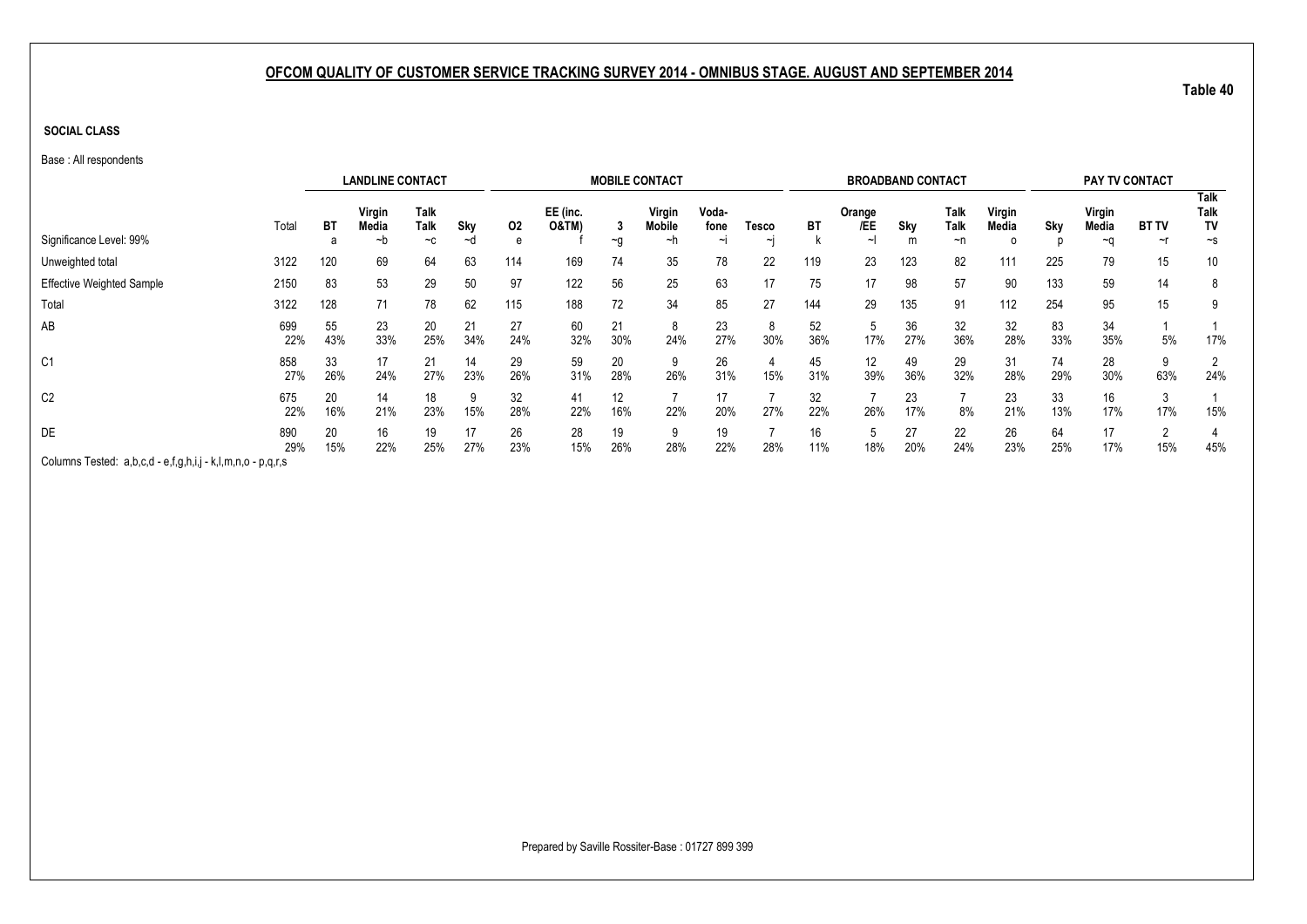**SOCIAL CLASS**

Base : All respondents

|                                                             |            |                                                  | <b>LANDLINE CONTACT</b> |                     |           |           |                              |           | <b>MOBILE CONTACT</b> |               |        |           | <b>BROADBAND CONTACT</b> |           |              |                 |           |                 | PAY TV CONTACT |                    |
|-------------------------------------------------------------|------------|--------------------------------------------------|-------------------------|---------------------|-----------|-----------|------------------------------|-----------|-----------------------|---------------|--------|-----------|--------------------------|-----------|--------------|-----------------|-----------|-----------------|----------------|--------------------|
|                                                             | Total      | ВT                                               | Virgin<br>Media         | <b>Talk</b><br>Talk | Sky       | 02        | EE (inc.<br><b>O&amp;TM)</b> |           | Virgin<br>Mobile      | Voda-<br>fone | Tesco  | ВT        | Orange<br>/EE            | Sky       | Talk<br>Talk | Virgin<br>Media | Sky       | Virgin<br>Media | <b>BT TV</b>   | Talk<br>Talk<br>TV |
| Significance Level: 99%                                     |            |                                                  | ~n                      | $-c$                | ∼d        | e         |                              | $\sim g$  | ~h                    | ∼ı            | $\sim$ |           | $\sim$                   | m         | ~n           |                 |           | ~a              | $\sim$ r       | $\sim$ s           |
| Unweighted total                                            | 3122       | 120                                              | 69                      | 64                  | 63        | 114       | 169                          | 74        | 35                    | 78            | 22     | 119       | 23                       | 123       | 82           | 111             | 225       | 79              | 15             | 10                 |
| <b>Effective Weighted Sample</b>                            | 2150       | 83                                               | 53                      | 29                  | 50        | 97        | 122                          | 56        | 25                    | 63            | 17     | 75        | 17                       | 98        | 57           | 90              | 133       | 59              | 14             | 8                  |
| Total                                                       | 3122       | 128                                              | 71                      | 78                  | 62        | 115       | 188                          | 72        | 34                    | 85            | 27     | 144       | 29                       | 135       | 91           | 112             | 254       | 95              | 15             | 9                  |
| AB                                                          | 699<br>22% | 55<br>43%                                        | 23<br>33%               | 20<br>25%           | 21<br>34% | 27<br>24% | 60<br>32%                    | 21<br>30% | 8<br>24%              | 23<br>27%     | 30%    | 52<br>36% | 5<br>17%                 | 36<br>27% | 32<br>36%    | 32<br>28%       | 83<br>33% | 34<br>35%       | 5%             | 17%                |
| C <sub>1</sub>                                              | 858<br>27% | 33<br>26%                                        | 17<br>24%               | 21<br>27%           | 14<br>23% | 29<br>26% | 59<br>31%                    | 20<br>28% | 9<br>26%              | 26<br>31%     | 15%    | 45<br>31% | 12<br>39%                | 49<br>36% | 29<br>32%    | 31<br>28%       | 74<br>29% | 28<br>30%       | 63%            | 2<br>24%           |
| C <sub>2</sub>                                              | 675<br>22% | 20<br>16%                                        | 14<br>21%               | 18<br>23%           | 9<br>15%  | 32<br>28% | 41<br>22%                    | 12<br>16% | 22%                   | 20%           | 27%    | 32<br>22% | 26%                      | 23<br>17% | 8%           | 23<br>21%       | 33<br>13% | 16<br>17%       | 17%            | 15%                |
| DE                                                          | 890<br>29% | 20<br>16<br>17<br>19<br>22%<br>27%<br>15%<br>25% |                         |                     |           | 26<br>23% | 28<br>15%                    | 19<br>26% | 9<br>28%              | 19<br>22%     | 28%    | 16<br>11% | 18%                      | 27<br>20% | 22<br>24%    | 26<br>23%       | 64<br>25% | 17<br>17%       | 15%            | 45%                |
| Columns Tested: a,b,c,d - e,f,g,h,i,j - k,l,m,n,o - p,q,r,s |            |                                                  |                         |                     |           |           |                              |           |                       |               |        |           |                          |           |              |                 |           |                 |                |                    |

Prepared by Saville Rossiter-Base : 01727 899 399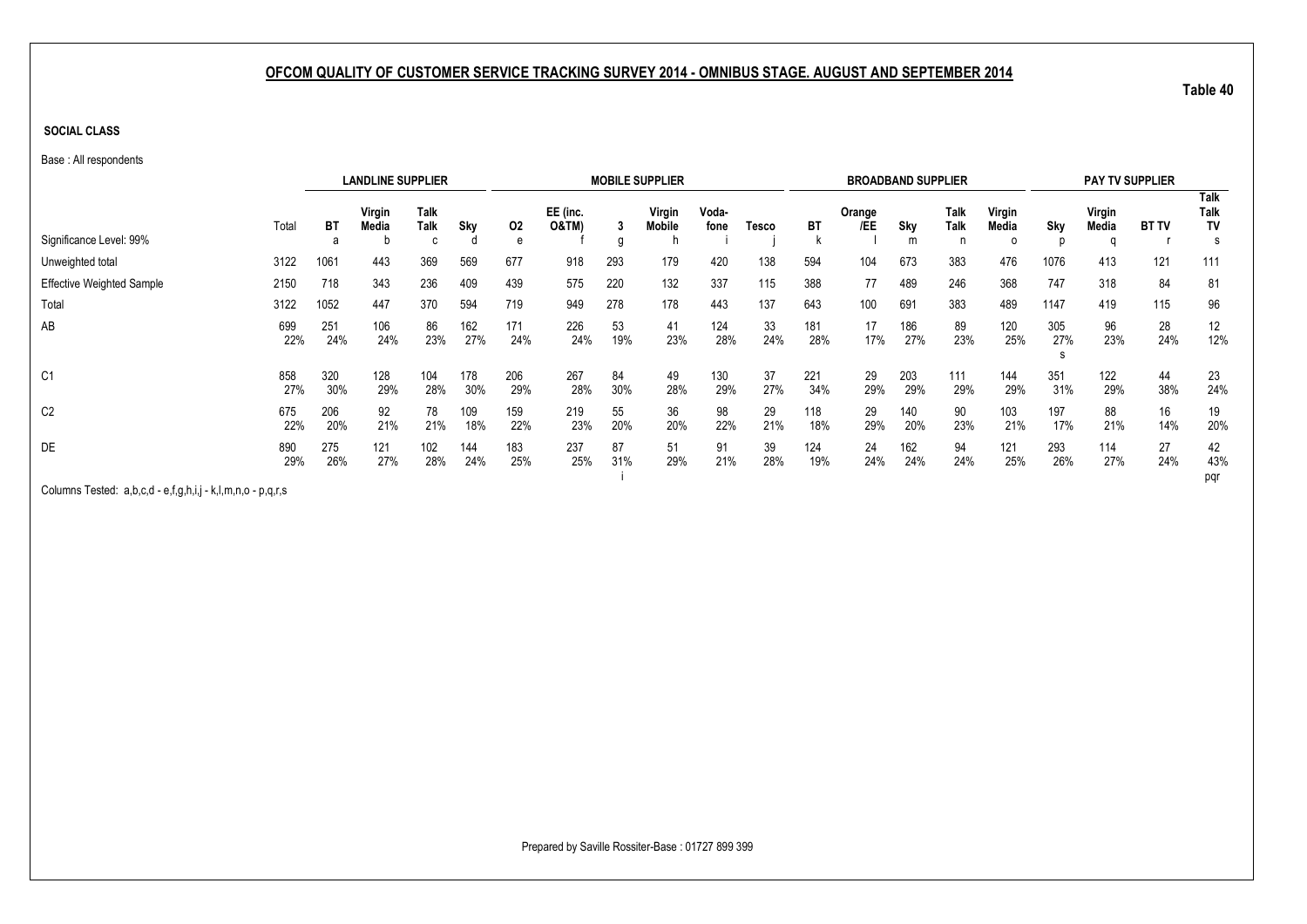**SOCIAL CLASS**

Base : All respondents

|                                  |            |            | <b>LANDLINE SUPPLIER</b> |                                 |            |            |                              |           | <b>MOBILE SUPPLIER</b>  |               |           |            | <b>BROADBAND SUPPLIER</b> |            |              |                             |            | <b>PAY TV SUPPLIER</b> |              |                         |
|----------------------------------|------------|------------|--------------------------|---------------------------------|------------|------------|------------------------------|-----------|-------------------------|---------------|-----------|------------|---------------------------|------------|--------------|-----------------------------|------------|------------------------|--------------|-------------------------|
| Significance Level: 99%          | Total      | <b>BT</b>  | Virgin<br>Media          | <b>Talk</b><br><b>Talk</b><br>C | Sky        | 02<br>e    | EE (inc.<br><b>O&amp;TM)</b> | g         | Virgin<br><b>Mobile</b> | Voda-<br>fone | Tesco     | ВT         | Orange<br>/EE             | Sky<br>m   | Talk<br>Talk | Virgin<br>Media<br>$\Omega$ | Sky        | Virgin<br>Media        | <b>BT TV</b> | Talk<br>Talk<br>TV<br>s |
| Unweighted total                 | 3122       | 1061       | 443                      | 369                             | 569        | 677        | 918                          | 293       | 179                     | 420           | 138       | 594        | 104                       | 673        | 383          | 476                         | 1076       | 413                    | 121          | 111                     |
| <b>Effective Weighted Sample</b> | 2150       | 718        | 343                      | 236                             | 409        | 439        | 575                          | 220       | 132                     | 337           | 115       | 388        | 77                        | 489        | 246          | 368                         | 747        | 318                    | 84           | 81                      |
| Total                            | 3122       | 1052       | 447                      | 370                             | 594        | 719        | 949                          | 278       | 178                     | 443           | 137       | 643        | 100                       | 691        | 383          | 489                         | 1147       | 419                    | 115          | 96                      |
| AB                               | 699<br>22% | 251<br>24% | 106<br>24%               | 86<br>23%                       | 162<br>27% | 171<br>24% | 226<br>24%                   | 53<br>19% | 41<br>23%               | 124<br>28%    | 33<br>24% | 181<br>28% | 17<br>17%                 | 186<br>27% | 89<br>23%    | 120<br>25%                  | 305<br>27% | 96<br>23%              | 28<br>24%    | 12<br>12%               |
| C <sub>1</sub>                   | 858<br>27% | 320<br>30% | 128<br>29%               | 104<br>28%                      | 178<br>30% | 206<br>29% | 267<br>28%                   | 84<br>30% | 49<br>28%               | 130<br>29%    | 37<br>27% | 221<br>34% | 29<br>29%                 | 203<br>29% | 111<br>29%   | 144<br>29%                  | 351<br>31% | 122<br>29%             | 44<br>38%    | 23<br>24%               |
| C <sub>2</sub>                   | 675<br>22% | 206<br>20% | 92<br>21%                | 78<br>21%                       | 109<br>18% | 159<br>22% | 219<br>23%                   | 55<br>20% | 36<br>20%               | 98<br>22%     | 29<br>21% | 118<br>18% | 29<br>29%                 | 140<br>20% | 90<br>23%    | 103<br>21%                  | 197<br>17% | 88<br>21%              | 16<br>14%    | 19<br>20%               |
| DE                               | 890<br>29% | 275<br>26% | 121<br>27%               | 102<br>28%                      | 144<br>24% | 183<br>25% | 237<br>25%                   | 87<br>31% | 51<br>29%               | 91<br>21%     | 39<br>28% | 124<br>19% | 24<br>24%                 | 162<br>24% | 94<br>24%    | 121<br>25%                  | 293<br>26% | 114<br>27%             | 27<br>24%    | 42<br>43%<br>pqr        |

Columns Tested: a,b,c,d - e,f,g,h,i,j - k,l,m,n,o - p,q,r,s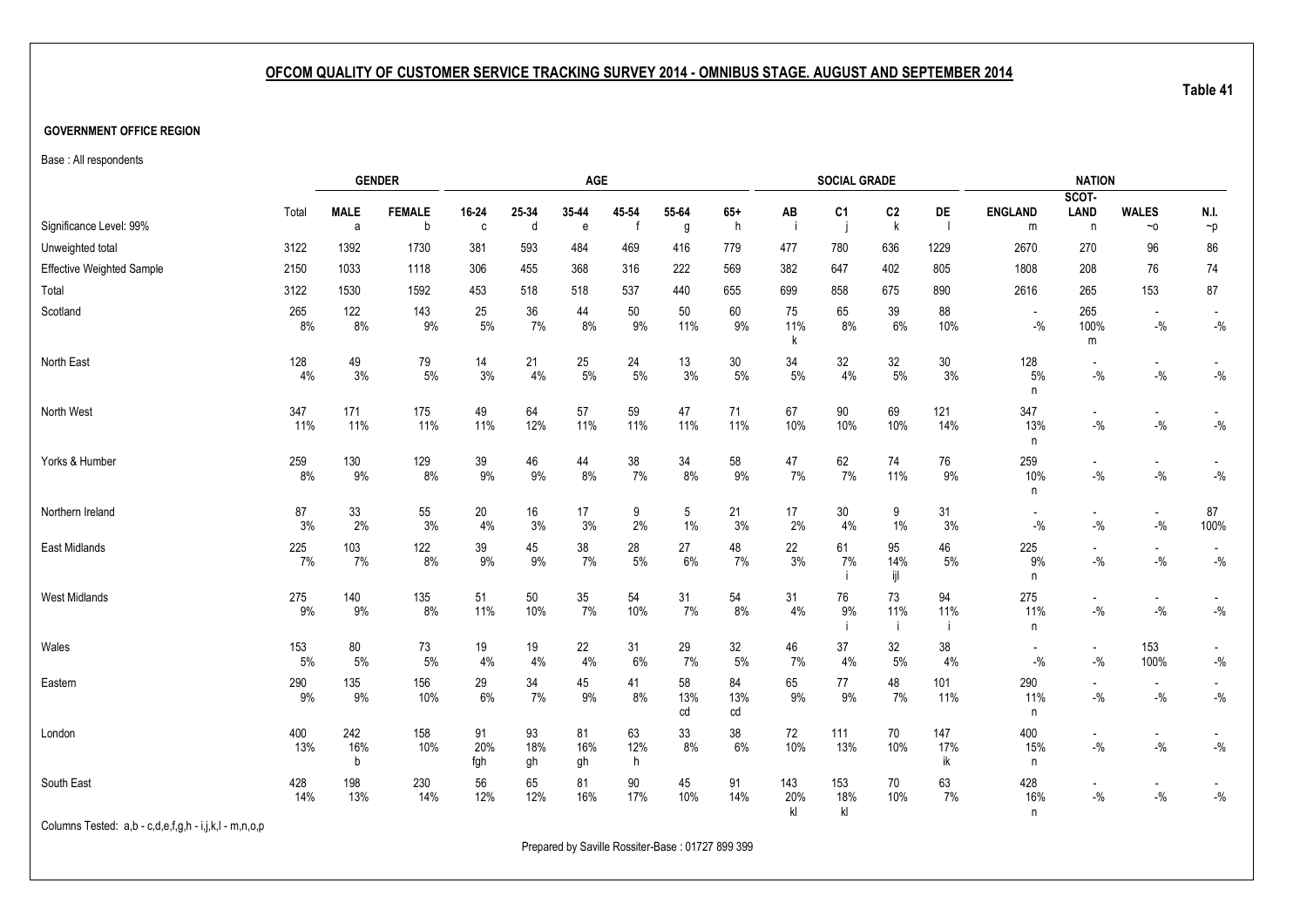#### **GOVERNMENT OFFICE REGION**

Base : All respondents

|                                                       |            |                  | <b>GENDER</b>      |                  |                 | AGE                   |                       |                 |                 |                  | <b>SOCIAL GRADE</b> |                     |                  |                                   | <b>NATION</b>                       |                                     |                                                                                 |
|-------------------------------------------------------|------------|------------------|--------------------|------------------|-----------------|-----------------------|-----------------------|-----------------|-----------------|------------------|---------------------|---------------------|------------------|-----------------------------------|-------------------------------------|-------------------------------------|---------------------------------------------------------------------------------|
| Significance Level: 99%                               | Total      | <b>MALE</b><br>a | <b>FEMALE</b><br>b | 16-24<br>C       | 25-34<br>d      | 35-44<br>$\mathbf{e}$ | 45 54<br>$\mathsf{f}$ | 55-64<br>g      | $65+$<br>h      | AB<br>-i         | C <sub>1</sub>      | C <sub>2</sub><br>k | DE               | <b>ENGLAND</b><br>m               | SCOT-<br>LAND<br>n                  | <b>WALES</b><br>$~\sim$ 0           | N.I.<br>$\mathbin{\char`\^}p$                                                   |
| Unweighted total                                      | 3122       | 1392             | 1730               | 381              | 593             | 484                   | 469                   | 416             | 779             | 477              | 780                 | 636                 | 1229             | 2670                              | 270                                 | 96                                  | 86                                                                              |
| <b>Effective Weighted Sample</b>                      | 2150       | 1033             | 1118               | 306              | 455             | 368                   | 316                   | 222             | 569             | 382              | 647                 | 402                 | 805              | 1808                              | 208                                 | 76                                  | 74                                                                              |
| Total                                                 | 3122       | 1530             | 1592               | 453              | 518             | 518                   | 537                   | 440             | 655             | 699              | 858                 | 675                 | 890              | 2616                              | 265                                 | 153                                 | 87                                                                              |
| Scotland                                              | 265<br>8%  | 122<br>8%        | 143<br>9%          | 25<br>$5\%$      | 36<br>7%        | 44<br>8%              | 50<br>9%              | 50<br>11%       | 60<br>9%        | 75<br>11%<br>k   | 65<br>8%            | 39<br>6%            | 88<br>10%        | $\blacksquare$<br>$-$ %           | 265<br>100%<br>m                    | $\overline{\phantom{a}}$<br>$-$ %   | $\overline{\phantom{a}}$<br>$-$ %                                               |
| North East                                            | 128<br>4%  | 49<br>3%         | 79<br>$5\%$        | 14<br>3%         | 21<br>4%        | 25<br>$5\%$           | 24<br>$5\%$           | 13<br>3%        | 30<br>5%        | 34<br>5%         | 32<br>4%            | 32<br>5%            | $30\,$<br>3%     | 128<br>5%<br>n                    | $\overline{\phantom{a}}$<br>$-$ %   | $\overline{\phantom{a}}$<br>$-{\%}$ | $-9/0$                                                                          |
| North West                                            | 347<br>11% | 171<br>11%       | 175<br>11%         | 49<br>11%        | 64<br>12%       | 57<br>11%             | 59<br>11%             | 47<br>11%       | 71<br>11%       | 67<br>10%        | $90\,$<br>10%       | 69<br>10%           | 121<br>14%       | 347<br>13%<br>n                   | $\blacksquare$<br>$-$ %             | $\overline{\phantom{a}}$<br>$-{\%}$ | $\mathbin{{\mathcal G}}_0$                                                      |
| Yorks & Humber                                        | 259<br>8%  | 130<br>9%        | 129<br>8%          | 39<br>9%         | 46<br>9%        | 44<br>8%              | 38<br>7%              | 34<br>8%        | 58<br>9%        | 47<br>7%         | 62<br>7%            | 74<br>11%           | 76<br>9%         | 259<br>10%<br>n                   | $\overline{\phantom{a}}$<br>$-$ %   | $\overline{\phantom{a}}$<br>$-{\%}$ | $\mathbin{{-}}\mathbin{\overset{\scriptscriptstyle{0}}{\scriptscriptstyle{0}}}$ |
| Northern Ireland                                      | 87<br>3%   | 33<br>2%         | 55<br>3%           | 20<br>$4\%$      | 16<br>3%        | 17<br>3%              | 9<br>2%               | 5<br>$1\%$      | 21<br>3%        | 17<br>2%         | 30<br>4%            | 9<br>1%             | 31<br>3%         | $\overline{\phantom{a}}$<br>$-$ % | $\overline{\phantom{a}}$<br>$-$ %   | $\overline{\phantom{a}}$<br>$-{\%}$ | 87<br>100%                                                                      |
| East Midlands                                         | 225<br>7%  | 103<br>7%        | 122<br>$8\%$       | 39<br>9%         | 45<br>9%        | 38<br>7%              | 28<br>$5\%$           | 27<br>6%        | 48<br>7%        | 22<br>3%         | 61<br>7%<br>-i      | 95<br>14%<br>ijl    | 46<br>5%         | 225<br>9%<br>n                    | $\overline{\phantom{a}}$<br>$-$ %   | $\overline{\phantom{a}}$<br>$-{\%}$ | $\overline{\phantom{a}}$<br>$\mathbin{{\mathcal G}}_0$                          |
| West Midlands                                         | 275<br>9%  | 140<br>$9\%$     | 135<br>$8\%$       | 51<br>11%        | 50<br>10%       | $35\,$<br>7%          | 54<br>10%             | 31<br>7%        | 54<br>8%        | 31<br>4%         | $76\,$<br>9%        | 73<br>11%           | 94<br>11%<br>÷i  | 275<br>11%<br>n                   | $\overline{\phantom{a}}$<br>$-{\%}$ | $\overline{\phantom{a}}$<br>$-{\%}$ | $ \%$                                                                           |
| Wales                                                 | 153<br>5%  | $80\,$<br>$5\%$  | 73<br>$5\%$        | 19<br>$4\%$      | 19<br>4%        | 22<br>4%              | 31<br>6%              | 29<br>7%        | 32<br>5%        | 46<br>7%         | 37<br>4%            | 32<br>5%            | 38<br>4%         | $\overline{\phantom{a}}$<br>$-$ % | $\sim$<br>$-$ %                     | 153<br>100%                         | $-$ %                                                                           |
| Eastern                                               | 290<br>9%  | 135<br>9%        | 156<br>10%         | 29<br>$6\%$      | 34<br>7%        | 45<br>$9\%$           | 41<br>8%              | 58<br>13%<br>cd | 84<br>13%<br>cd | 65<br>9%         | 77<br>9%            | 48<br>7%            | 101<br>11%       | 290<br>11%<br>n                   | $\overline{\phantom{a}}$<br>$-$ %   | $\overline{\phantom{a}}$<br>$-{\%}$ | $-$ %                                                                           |
| London                                                | 400<br>13% | 242<br>16%<br>b  | 158<br>10%         | 91<br>20%<br>fgh | 93<br>18%<br>gh | 81<br>16%<br>gh       | 63<br>12%<br>h        | 33<br>8%        | $38\,$<br>6%    | 72<br>10%        | 111<br>13%          | 70<br>10%           | 147<br>17%<br>ik | 400<br>15%<br>n                   | $\overline{\phantom{a}}$<br>$-$ %   | $\overline{\phantom{a}}$<br>$-$ %   | $\overline{\phantom{a}}$<br>$-$ %                                               |
| South East                                            | 428<br>14% | 198<br>13%       | 230<br>14%         | 56<br>12%        | 65<br>12%       | 81<br>16%             | 90<br>17%             | 45<br>10%       | 91<br>14%       | 143<br>20%<br>kl | 153<br>18%<br>kl    | 70<br>10%           | 63<br>7%         | 428<br>16%<br>n                   | $\overline{\phantom{a}}$<br>$-$ %   | $\blacksquare$<br>$-$ %             | $-$ %                                                                           |
| Columns Tested: a,b - c,d,e,f,g,h - i,j,k,l - m,n,o,p |            |                  |                    |                  |                 |                       |                       |                 |                 |                  |                     |                     |                  |                                   |                                     |                                     |                                                                                 |

Prepared by Saville Rossiter-Base : 01727 899 399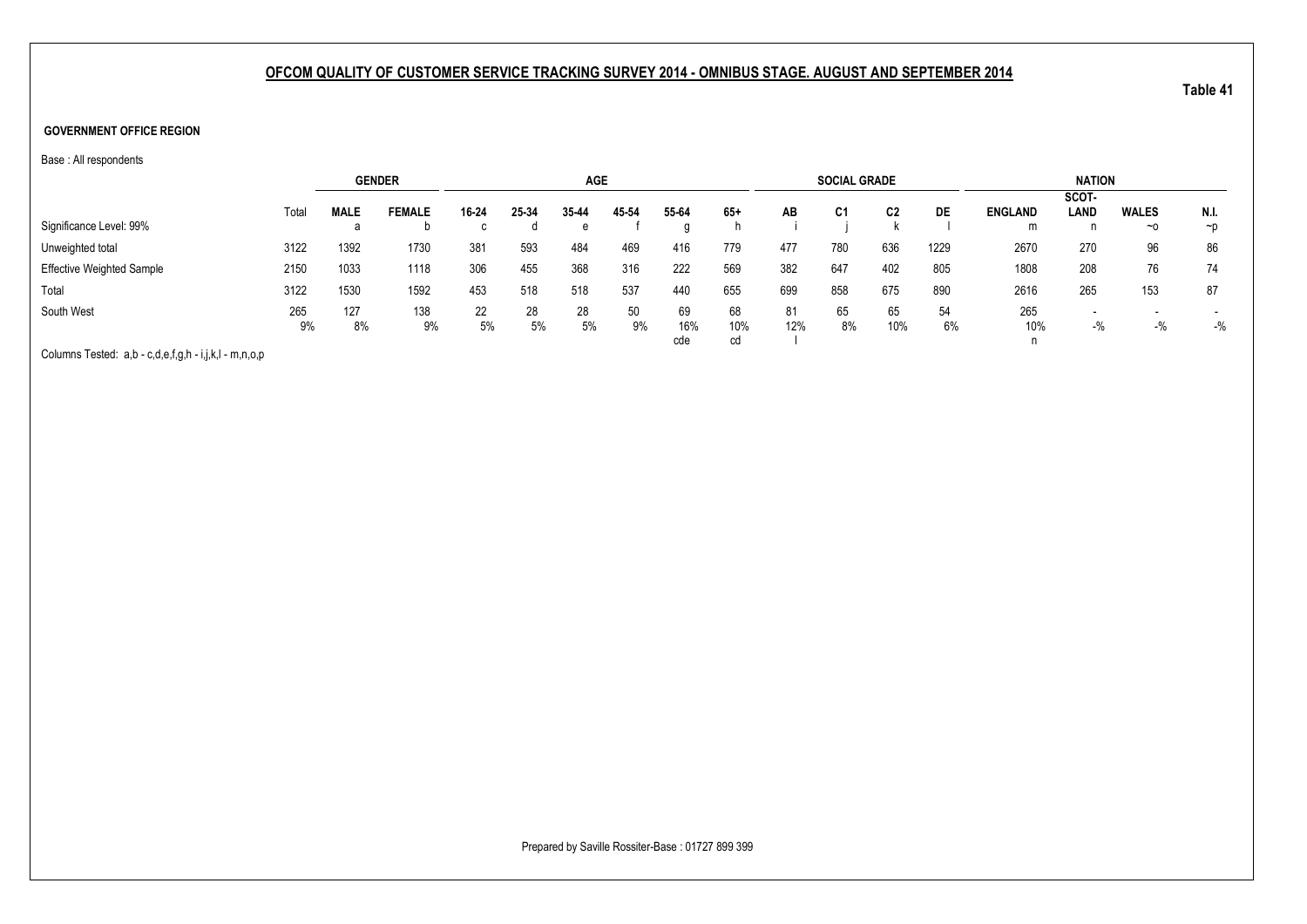#### **GOVERNMENT OFFICE REGION**

Base : All respondents

|                                  |       |             | <b>GENDER</b> |       |       | <b>AGE</b> |       |       |       |     | <b>SOCIAL GRADE</b> |     |      |                | <b>NATION</b> |                          |          |
|----------------------------------|-------|-------------|---------------|-------|-------|------------|-------|-------|-------|-----|---------------------|-----|------|----------------|---------------|--------------------------|----------|
|                                  |       |             |               |       |       |            |       |       |       |     |                     |     |      |                | SCOT-         |                          |          |
|                                  | Total | <b>MALE</b> | <b>FEMALE</b> | 16-24 | 25-34 | 35-44      | 45-54 | 55-64 | $65+$ | AB  | C <sub>1</sub>      | C2  | DE   | <b>ENGLAND</b> | <b>LAND</b>   | <b>WALES</b>             | N.I.     |
| Significance Level: 99%          |       |             |               |       |       | е          |       |       |       |     |                     |     |      | m              | n             | $~\sim$ 0                | $\neg$ D |
| Unweighted total                 | 3122  | 1392        | 1730          | 381   | 593   | 484        | 469   | 416   | 779   | 477 | 780                 | 636 | 1229 | 2670           | 270           | 96                       | 86       |
| <b>Effective Weighted Sample</b> | 2150  | 1033        | 1118          | 306   | 455   | 368        | 316   | 222   | 569   | 382 | 647                 | 402 | 805  | 1808           | 208           | 76                       | 74       |
| Total                            | 3122  | 1530        | 1592          | 453   | 518   | 518        | 537   | 440   | 655   | 699 | 858                 | 675 | 890  | 2616           | 265           | 153                      | 87       |
| South West                       | 265   | 127         | 138           | 22    | 28    | 28         | 50    | 69    | 68    | 81  | 65                  | 65  | 54   | 265            | $\sim$        | $\overline{\phantom{0}}$ |          |
|                                  | 9%    | 8%          | 9%            | 5%    | 5%    | 5%         | 9%    | 16%   | 10%   | 12% | 8%                  | 10% | 6%   | 10%            | $-$ %         | $-$ %                    | $-$ %    |
|                                  |       |             |               |       |       |            |       | cde   | cd    |     |                     |     |      |                |               |                          |          |

Columns Tested: a,b - c,d,e,f,g,h - i,j,k,l - m,n,o,p

Prepared by Saville Rossiter-Base : 01727 899 399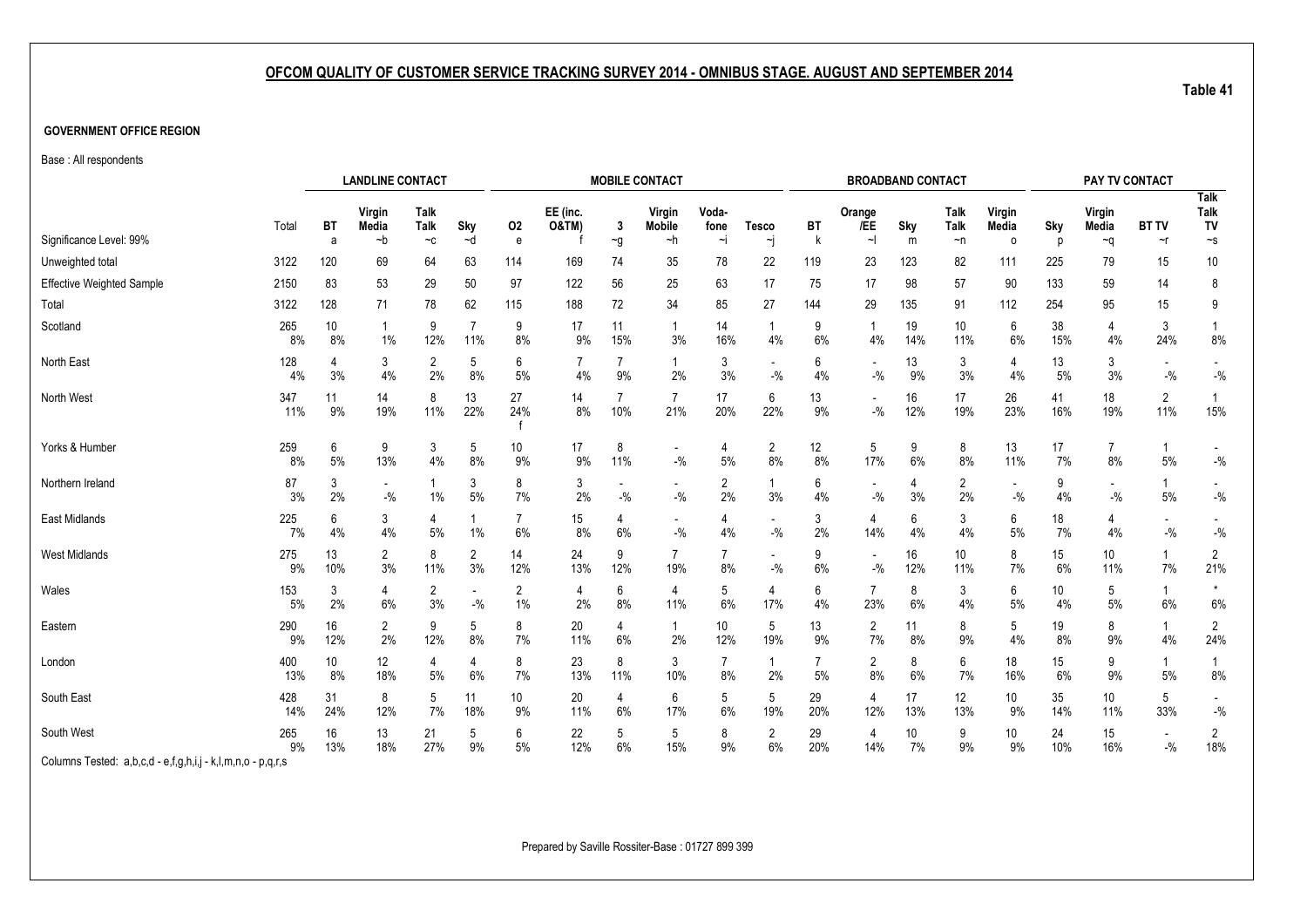#### **GOVERNMENT OFFICE REGION**

Base : All respondents

|                                  |            | <b>LANDLINE CONTACT</b>                                         |                                   |                      |                       |                         |                              |           | <b>MOBILE CONTACT</b>             |                      |                                    |           |                       | <b>BROADBAND CONTACT</b> |              |                 |           | PAY TV CONTACT       |                       |                                    |
|----------------------------------|------------|-----------------------------------------------------------------|-----------------------------------|----------------------|-----------------------|-------------------------|------------------------------|-----------|-----------------------------------|----------------------|------------------------------------|-----------|-----------------------|--------------------------|--------------|-----------------|-----------|----------------------|-----------------------|------------------------------------|
|                                  | Total      | ВT                                                              | Virgin<br>Media                   | Talk<br>Talk         | Sky                   | 02                      | EE (inc.<br><b>O&amp;TM)</b> | 3         | Virgin<br><b>Mobile</b>           | Voda-<br>fone        | <b>Tesco</b>                       | BT        | Orange<br>/EE         | Sky                      | Talk<br>Talk | Virgin<br>Media | Sky       | Virgin<br>Media      | <b>BT TV</b>          | <b>Talk</b><br>Talk<br>TV          |
| Significance Level: 99%          |            | a                                                               | ∼b                                | $-c$                 | ~d                    | e                       |                              | $\sim g$  | ~h                                | ∼i                   | ∼j                                 |           | $\sim$                | m                        | $\neg$ n     | $\circ$         | p         | $\sim q$             | ~r                    | $\mathord{\sim_S}$                 |
| Unweighted total                 | 3122       | 120                                                             | 69                                | 64                   | 63                    | 114                     | 169                          | 74        | 35                                | 78                   | 22                                 | 119       | 23                    | 123                      | 82           | 111             | 225       | 79                   | 15                    | 10                                 |
| <b>Effective Weighted Sample</b> | 2150       | 83                                                              | 53                                | 29                   | 50                    | 97                      | 122                          | 56        | 25                                | 63                   | 17                                 | 75        | 17                    | 98                       | 57           | 90              | 133       | 59                   | 14                    | 8                                  |
| Total                            | 3122       | 128                                                             | 71                                | 78                   | 62                    | 115                     | 188                          | 72        | 34                                | 85                   | 27                                 | 144       | 29                    | 135                      | 91           | 112             | 254       | 95                   | 15                    | 9                                  |
| Scotland                         | 265<br>8%  | 10<br>8%                                                        | $1\%$                             | 9<br>12%             | $\overline{7}$<br>11% | 9<br>8%                 | 17<br>9%                     | 11<br>15% | 1<br>3%                           | 14<br>16%            | 1<br>4%                            | 9<br>6%   | -1<br>4%              | 19<br>14%                | 10<br>11%    | 6<br>6%         | 38<br>15% | 4<br>4%              | 3<br>24%              | 8%                                 |
| North East                       | 128<br>4%  | 4<br>3%                                                         | 3<br>4%                           | $\overline{2}$<br>2% | 5<br>8%               | 6<br>5%                 | 7<br>4%                      | 7<br>9%   | $\mathbf{1}$<br>2%                | 3<br>3%              | $-$ %                              | 6<br>4%   | $-$ %                 | 13<br>9%                 | 3<br>3%      | 4<br>4%         | 13<br>5%  | 3<br>3%              | $-$ %                 | $\overline{\phantom{a}}$<br>$-$ %  |
| North West                       | 347<br>11% | 11<br>9%                                                        | 14<br>19%                         | 8<br>11%             | 13<br>22%             | 27<br>24%               | 14<br>8%                     | 10%       | $\overline{7}$<br>21%             | 17<br>20%            | 6<br>22%                           | 13<br>9%  | $-$ %                 | 16<br>12%                | 17<br>19%    | 26<br>23%       | 41<br>16% | 18<br>19%            | $\overline{2}$<br>11% | 15%                                |
| Yorks & Humber                   | 259<br>8%  | 6<br>5%                                                         | 9<br>13%                          | 3<br>4%              | 5<br>8%               | 10<br>9%                | 17<br>9%                     | 8<br>11%  | $\overline{\phantom{a}}$<br>$-$ % | 4<br>5%              | $\overline{2}$<br>8%               | 12<br>8%  | 5<br>17%              | 9<br>6%                  | 8<br>8%      | 13<br>11%       | 17<br>7%  | $\overline{7}$<br>8% | 5%                    | $\blacksquare$<br>$-$ %            |
| Northern Ireland                 | 87<br>3%   | 3<br>2%                                                         | $\overline{\phantom{a}}$<br>$-$ % | 1%                   | 3<br>5%               | 8<br>7%                 | 3<br>2%                      | $-$ %     | $\overline{\phantom{a}}$<br>$-$ % | $\overline{2}$<br>2% | $\mathbf{1}$<br>3%                 | 6<br>4%   | $-$ %                 | 4<br>3%                  | 2<br>2%      | $-$ %           | 9<br>4%   | $-$ %                | 5%                    | $-$ %                              |
| East Midlands                    | 225<br>7%  | 6<br>4%                                                         | 3<br>4%                           | 4<br>5%              | 1%                    | 7<br>6%                 | 15<br>8%                     | 6%        | $\overline{\phantom{a}}$<br>$-$ % | 4<br>4%              | $\overline{\phantom{a}}$<br>$-9/6$ | 3<br>2%   | 4<br>14%              | 6<br>4%                  | 3<br>4%      | 6<br>$5\%$      | 18<br>7%  | 4<br>4%              | $-9/6$                | $\overline{\phantom{a}}$<br>$-9/6$ |
| <b>West Midlands</b>             | 275<br>9%  | 13<br>10%                                                       | $\overline{2}$<br>3%              | 8<br>11%             | $\overline{2}$<br>3%  | 14<br>12%               | 24<br>13%                    | 9<br>12%  | $\overline{7}$<br>19%             | 7<br>8%              | $-9/6$                             | 9<br>6%   | $-$ %                 | 16<br>12%                | 10<br>11%    | 8<br>7%         | 15<br>6%  | 10<br>11%            | 7%                    | $\overline{2}$<br>21%              |
| Wales                            | 153<br>5%  | 3<br>2%                                                         | 4<br>6%                           | $\overline{2}$<br>3% | $-$ %                 | $\overline{2}$<br>$1\%$ | 4<br>2%                      | 6<br>8%   | 4<br>11%                          | 5<br>6%              | $\overline{4}$<br>17%              | 6<br>4%   | $\overline{7}$<br>23% | 8<br>6%                  | 3<br>4%      | 6<br>$5%$       | 10<br>4%  | 5<br>5%              | -1<br>6%              | $\star$<br>6%                      |
| Eastern                          | 290<br>9%  | 16<br>12%                                                       | 2<br>2%                           | 9<br>12%             | 5<br>8%               | 8<br>7%                 | 20<br>11%                    | 4<br>6%   | 1<br>2%                           | 10<br>12%            | 5<br>19%                           | 13<br>9%  | $\overline{2}$<br>7%  | 11<br>8%                 | 8<br>9%      | 5<br>4%         | 19<br>8%  | 8<br>9%              | -1<br>4%              | $\overline{2}$<br>24%              |
| London                           | 400<br>13% | 10<br>8%                                                        | 12<br>18%                         | 4<br>5%              | 4<br>6%               | 8<br>7%                 | 23<br>13%                    | 8<br>11%  | 3<br>10%                          | 7<br>8%              | $\mathbf{1}$<br>2%                 | 7<br>5%   | $\overline{2}$<br>8%  | 8<br>6%                  | 6<br>7%      | 18<br>16%       | 15<br>6%  | 9<br>9%              | 1<br>5%               | 8%                                 |
| South East                       | 428<br>14% | 31<br>11<br>8<br>5<br>7%<br>24%<br>12%<br>18%                   |                                   |                      |                       |                         | 20<br>11%                    | 4<br>6%   | 6<br>17%                          | 5<br>6%              | 5<br>19%                           | 29<br>20% | 4<br>12%              | 17<br>13%                | 12<br>13%    | 10<br>9%        | 35<br>14% | 10<br>11%            | 5<br>33%              | $\overline{\phantom{a}}$<br>$-$ %  |
| South West                       | 265<br>9%  | 9%<br>16<br>13<br>21<br>5<br>6<br>9%<br>13%<br>18%<br>27%<br>5% |                                   |                      |                       |                         | 22<br>12%                    | 5<br>6%   | 5<br>15%                          | 8<br>9%              | $\overline{2}$<br>6%               | 29<br>20% | 4<br>14%              | 10<br>7%                 | 9<br>9%      | 10<br>9%        | 24<br>10% | 15<br>16%            | $-9/6$                | 2<br>18%                           |

Columns Tested: a,b,c,d - e,f,g,h,i,j - k,l,m,n,o - p,q,r,s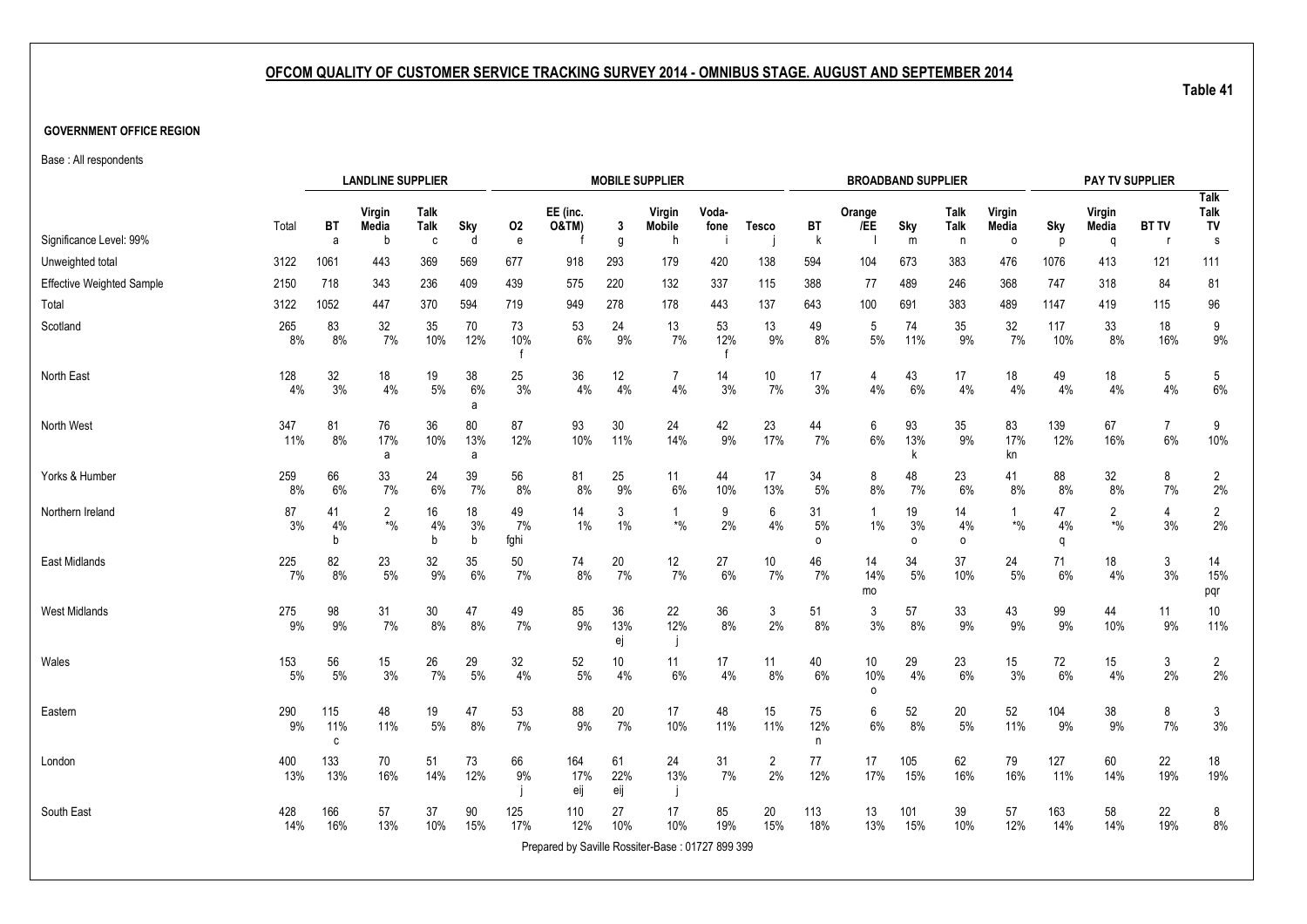#### **GOVERNMENT OFFICE REGION**

Base : All respondents

|                           |            |                 | <b>LANDLINE SUPPLIER</b>                          |                     |                |                           |                                                  |                  | <b>MOBILE SUPPLIER</b>                   |                           |                      |                |                                          | <b>BROADBAND SUPPLIER</b> |               |                 |               | PAY TV SUPPLIER          |                      |                           |
|---------------------------|------------|-----------------|---------------------------------------------------|---------------------|----------------|---------------------------|--------------------------------------------------|------------------|------------------------------------------|---------------------------|----------------------|----------------|------------------------------------------|---------------------------|---------------|-----------------|---------------|--------------------------|----------------------|---------------------------|
|                           | Total      | <b>BT</b>       | Virgin<br>Media                                   | <b>Talk</b><br>Talk | Sky            | 02                        | EE (inc.<br><b>O&amp;TM)</b>                     | 3                | Virgin<br>Mobile                         | Voda-<br>fone             | <b>Tesco</b>         | BT             | Orange<br>/EE                            | Sky                       | Talk<br>Talk  | Virgin<br>Media | Sky           | Virgin<br>Media          | <b>BT TV</b>         | <b>Talk</b><br>Talk<br>TV |
| Significance Level: 99%   |            | a               | h                                                 | $\mathbf{c}$        | d              | ${\bf e}$                 |                                                  | g                | h                                        |                           |                      | k              |                                          | ${\sf m}$                 | n             | $\circ$         | D             | q                        | - r                  | s                         |
| Unweighted total          | 3122       | 1061            | 443                                               | 369                 | 569            | 677                       | 918                                              | 293              | 179                                      | 420                       | 138                  | 594            | 104                                      | 673                       | 383           | 476             | 1076          | 413                      | 121                  | 111                       |
| Effective Weighted Sample | 2150       | 718             | 343                                               | 236                 | 409            | 439                       | 575                                              | 220              | 132                                      | 337                       | 115                  | 388            | 77                                       | 489                       | 246           | 368             | 747           | 318                      | 84                   | 81                        |
| Total                     | 3122       | 1052            | 447                                               | 370                 | 594            | 719                       | 949                                              | 278              | 178                                      | 443                       | 137                  | 643            | 100                                      | 691                       | 383           | 489             | 1147          | 419                      | 115                  | 96                        |
| Scotland                  | 265<br>8%  | 83<br>8%        | 32<br>7%                                          | 35<br>10%           | 70<br>12%      | 73<br>10%<br>$\mathsf{f}$ | 53<br>6%                                         | 24<br>9%         | 13<br>7%                                 | 53<br>12%<br>$\mathsf{f}$ | 13<br>9%             | 49<br>8%       | 5<br>5%                                  | 74<br>11%                 | 35<br>9%      | 32<br>7%        | 117<br>10%    | 33<br>8%                 | 18<br>16%            | 9<br>$9\%$                |
| North East                | 128<br>4%  | 32<br>3%        | 18<br>4%                                          | 19<br>$5\%$         | 38<br>6%<br>a  | 25<br>3%                  | 36<br>4%                                         | 12<br>4%         | $\overline{7}$<br>4%                     | 14<br>3%                  | 10<br>7%             | 17<br>3%       | 4<br>4%                                  | 43<br>6%                  | 17<br>4%      | 18<br>4%        | 49<br>4%      | 18<br>4%                 | 5<br>4%              | 5<br>$6\%$                |
| North West                | 347<br>11% | 81<br>8%        | 76<br>17%<br>a                                    | 36<br>10%           | 80<br>13%<br>a | 87<br>12%                 | 93<br>10%                                        | 30<br>11%        | 24<br>14%                                | 42<br>9%                  | 23<br>17%            | 44<br>7%       | 6<br>6%                                  | 93<br>13%<br>k            | 35<br>9%      | 83<br>17%<br>kn | 139<br>12%    | 67<br>16%                | $\overline{7}$<br>6% | 9<br>10%                  |
| Yorks & Humber            | 259<br>8%  | 66<br>6%        | 33<br>7%                                          | 24<br>6%            | 39<br>7%       | 56<br>8%                  | 81<br>8%                                         | 25<br>9%         | 11<br>6%                                 | 44<br>10%                 | 17<br>13%            | 34<br>5%       | 8<br>8%                                  | 48<br>7%                  | 23<br>6%      | 41<br>8%        | 88<br>8%      | 32<br>8%                 | 8<br>7%              | $\overline{c}$<br>2%      |
| Northern Ireland          | 87<br>3%   | 41<br>4%<br>b   | $\overline{2}$<br>$\boldsymbol{^{*0}\!}/_{\!\!0}$ | 16<br>4%<br>b       | 18<br>3%<br>b  | 49<br>7%<br>fghi          | 14<br>1%                                         | 3<br>1%          | $\mathbf{1}$<br>$\boldsymbol{*}0\!/\!_0$ | 9<br>2%                   | 6<br>4%              | 31<br>5%<br>0  | $\mathbf{1}$<br>$1\%$                    | 19<br>3%<br>$\Omega$      | 14<br>4%<br>0 | 1<br>$*9/6$     | 47<br>4%<br>q | $\overline{2}$<br>$*0/0$ | $\overline{4}$<br>3% | $\overline{2}$<br>2%      |
| <b>East Midlands</b>      | 225<br>7%  | 82<br>8%        | 23<br>5%                                          | 32<br>9%            | 35<br>6%       | 50<br>7%                  | 74<br>8%                                         | 20<br>7%         | 12<br>7%                                 | 27<br>6%                  | 10<br>7%             | 46<br>7%       | 14<br>14%<br>mo                          | 34<br>5%                  | 37<br>10%     | 24<br>5%        | 71<br>6%      | 18<br>4%                 | 3<br>3%              | 14<br>15%<br>pqr          |
| <b>West Midlands</b>      | 275<br>9%  | 98<br>9%        | 31<br>7%                                          | 30<br>8%            | 47<br>8%       | 49<br>7%                  | 85<br>9%                                         | 36<br>13%<br>ej  | 22<br>12%                                | 36<br>8%                  | 3<br>2%              | 51<br>8%       | 3<br>3%                                  | 57<br>8%                  | 33<br>9%      | 43<br>9%        | 99<br>9%      | 44<br>10%                | 11<br>9%             | 10<br>11%                 |
| Wales                     | 153<br>5%  | 56<br>5%        | 15<br>3%                                          | 26<br>7%            | 29<br>$5\%$    | 32<br>$4\%$               | 52<br>5%                                         | 10<br>4%         | 11<br>6%                                 | 17<br>4%                  | 11<br>8%             | 40<br>6%       | 10 <sup>°</sup><br>10%<br>$\mathsf{o}\,$ | 29<br>4%                  | 23<br>6%      | 15<br>3%        | 72<br>6%      | 15<br>4%                 | 3<br>2%              | 2<br>2%                   |
| Eastem                    | 290<br>9%  | 115<br>11%<br>C | 48<br>11%                                         | 19<br>$5\%$         | 47<br>8%       | 53<br>7%                  | 88<br>9%                                         | 20<br>7%         | 17<br>10%                                | 48<br>11%                 | 15<br>11%            | 75<br>12%<br>n | 6<br>$6\%$                               | 52<br>8%                  | 20<br>5%      | 52<br>11%       | 104<br>9%     | 38<br>9%                 | 8<br>7%              | 3<br>3%                   |
| London                    | 400<br>13% | 133<br>13%      | 70<br>16%                                         | 51<br>14%           | 73<br>12%      | 66<br>9%                  | 164<br>17%<br>eij                                | 61<br>22%<br>eij | 24<br>13%                                | 31<br>7%                  | $\overline{2}$<br>2% | 77<br>12%      | 17<br>17%                                | 105<br>15%                | 62<br>16%     | 79<br>16%       | 127<br>11%    | 60<br>14%                | 22<br>19%            | 18<br>19%                 |
| South East                | 428<br>14% | 166<br>16%      | 57<br>13%                                         | 37<br>10%           | 90<br>15%      | 125<br>17%                | 110<br>12%                                       | 27<br>10%        | 17<br>10%                                | 85<br>19%                 | 20<br>15%            | 113<br>18%     | 13<br>13%                                | 101<br>15%                | 39<br>10%     | 57<br>12%       | 163<br>14%    | 58<br>14%                | 22<br>19%            | 8<br>8%                   |
|                           |            |                 |                                                   |                     |                |                           | Prepared by Saville Rossiter-Base: 01727 899 399 |                  |                                          |                           |                      |                |                                          |                           |               |                 |               |                          |                      |                           |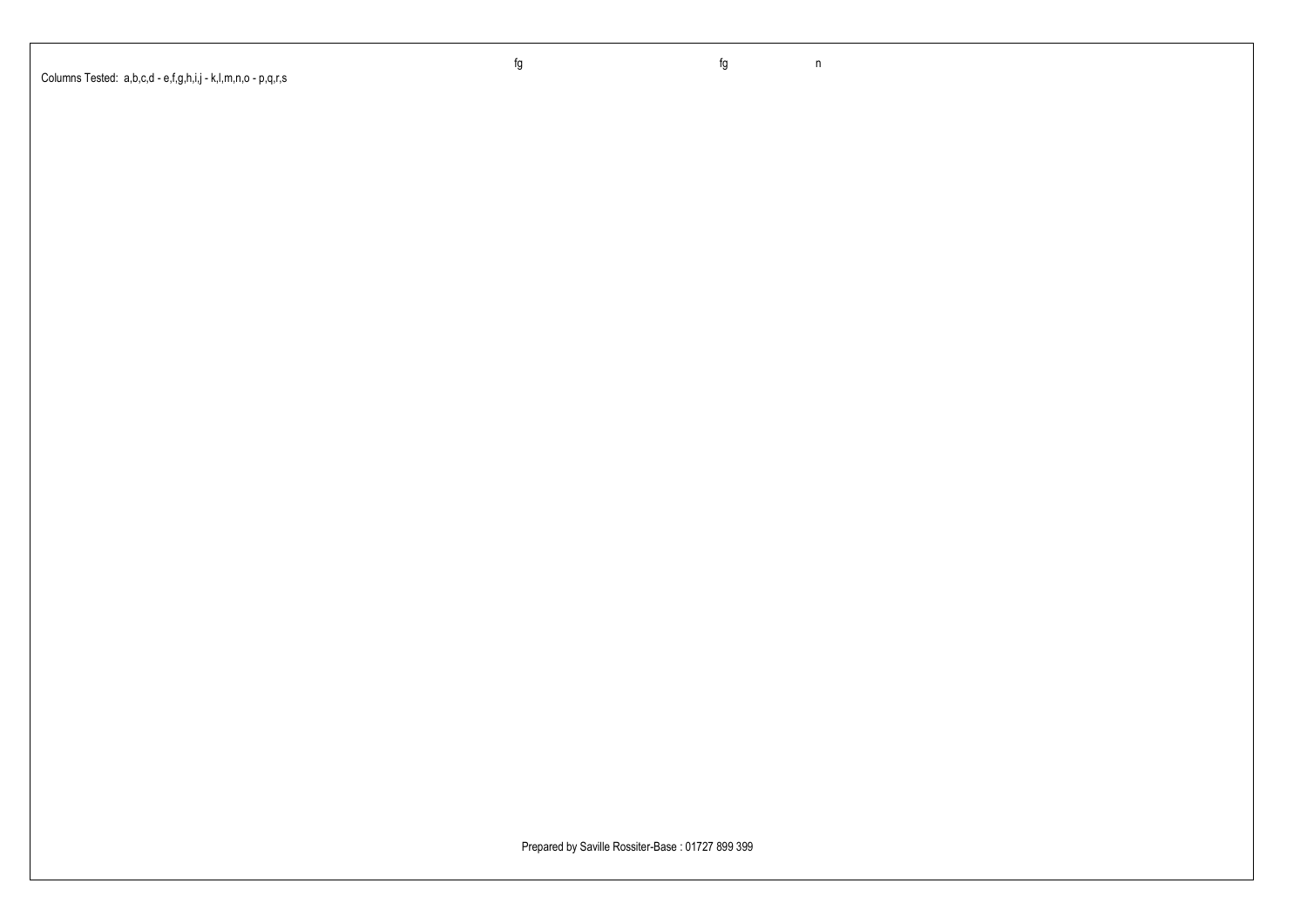Columns Tested: a,b,c,d - e,f,g,h,i,j - k,l,m,n,o - p,q,r,s

fg fg n

Prepared by Saville Rossiter-Base : 01727 899 399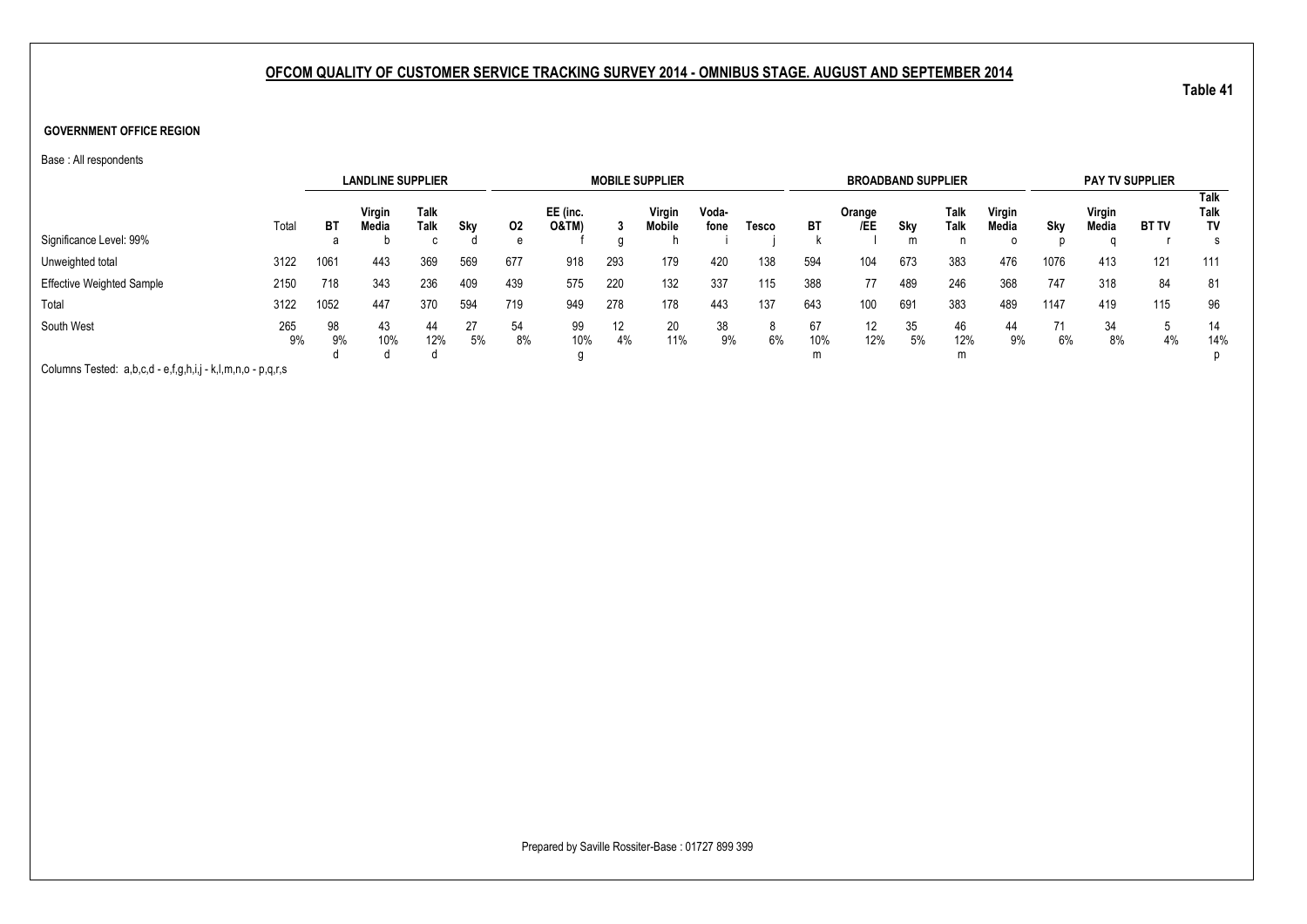#### **GOVERNMENT OFFICE REGION**

Base : All respondents

|                                                          |           |          | <b>LANDLINE SUPPLIER</b> |              |          |          |                             |          | <b>MOBILE SUPPLIER</b> |               |       |           | <b>BROADBAND SUPPLIER</b> |          |              |                 |          |                 | <b>PAY TV SUPPLIER</b> |                    |
|----------------------------------------------------------|-----------|----------|--------------------------|--------------|----------|----------|-----------------------------|----------|------------------------|---------------|-------|-----------|---------------------------|----------|--------------|-----------------|----------|-----------------|------------------------|--------------------|
|                                                          | Total     | ВT       | Virgin<br>Media          | Talk<br>Talk | Sky      | 02       | EE (inc.<br><b>O&amp;TM</b> |          | Virgin<br>Mobile       | Voda-<br>fone | Tesco | BT        | Orange<br>/EE             | Sky      | Talk<br>Talk | Virgin<br>Media | Sky      | Virgin<br>Media | <b>BT TV</b>           | Talk<br>Talk<br>TV |
| Significance Level: 99%                                  |           | а        |                          | C            |          | e        |                             |          |                        |               |       |           |                           | m        |              |                 |          |                 |                        |                    |
| Unweighted total                                         | 3122      | 1061     | 443                      | 369          | 569      | 677      | 918                         | 293      | 179                    | 420           | 138   | 594       | 104                       | 673      | 383          | 476             | 1076     | 413             | 121                    | 111                |
| <b>Effective Weighted Sample</b>                         | 2150      | 718      | 343                      | 236          | 409      | 439      | 575                         | 220      | 132                    | 337           | 115   | 388       | 77                        | 489      | 246          | 368             | 747      | 318             | 84                     | 81                 |
| Total                                                    | 3122      | 1052     | 447                      | 370          | 594      | 719      | 949                         | 278      | 178                    | 443           | 137   | 643       | 100                       | 691      | 383          | 489             | 1147     | 419             | 115                    | 96                 |
| South West                                               | 265<br>9% | 98<br>9% | 43<br>10%                | 44<br>12%    | 27<br>5% | 54<br>8% | 99<br>10%                   | 12<br>4% | 20<br>11%              | 38<br>9%      | 6%    | 67<br>10% | 12<br>12%                 | 35<br>5% | 46<br>12%    | 44<br>9%        | 71<br>6% | 34<br>8%        | 4%                     | 14<br>14%          |
| Calculated Tasked and and a findeling the second service |           |          |                          |              |          |          |                             |          |                        |               |       | m         |                           |          | m            |                 |          |                 |                        | D                  |

Columns Tested: a,b,c,d - e,f,g,h,i,j - k,l,m,n,o - p,q,r,s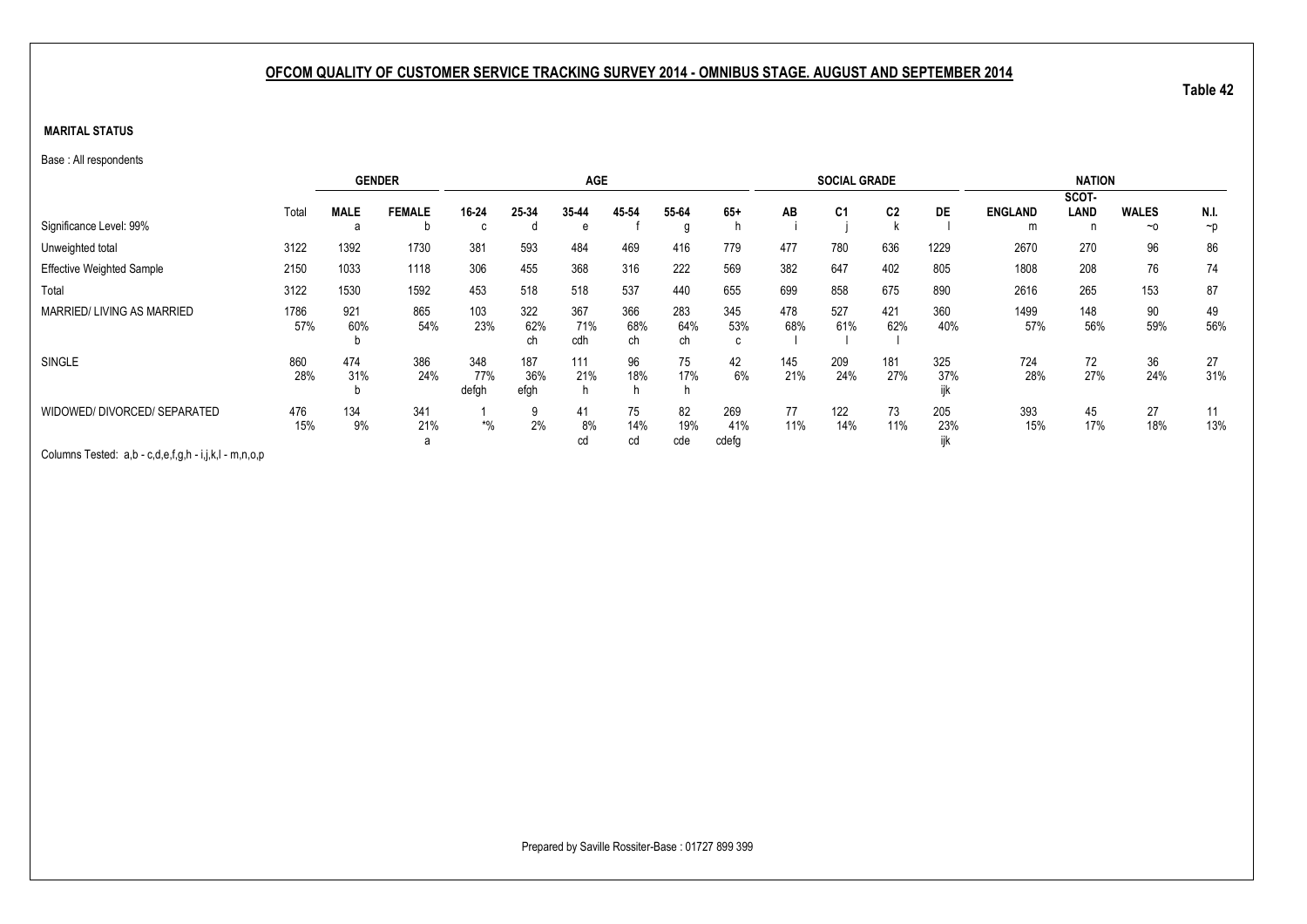### **MARITAL STATUS**

Base : All respondents

|                                                       |       |             | <b>GENDER</b> |              |             | <b>AGE</b> |           |           |          |     | <b>SOCIAL GRADE</b> |                |      |                | <b>NATION</b> |              |          |
|-------------------------------------------------------|-------|-------------|---------------|--------------|-------------|------------|-----------|-----------|----------|-----|---------------------|----------------|------|----------------|---------------|--------------|----------|
|                                                       |       |             |               |              |             |            |           |           |          |     |                     |                |      |                | SCOT-         |              |          |
|                                                       | Total | <b>MALE</b> | <b>FEMALE</b> | 16-24        | 25-34       | 35-44      | 45 54     | 55-64     | $65+$    | AB  | C <sub>1</sub>      | C <sub>2</sub> | DE   | <b>ENGLAND</b> | <b>LAND</b>   | <b>WALES</b> | N.I.     |
| Significance Level: 99%                               |       |             | D             | C            |             | e          |           | g         |          |     |                     |                |      | m              | n             | $~\sim$ 0    | $\neg p$ |
| Unweighted total                                      | 3122  | 1392        | 1730          | 381          | 593         | 484        | 469       | 416       | 779      | 477 | 780                 | 636            | 1229 | 2670           | 270           | 96           | 86       |
| <b>Effective Weighted Sample</b>                      | 2150  | 1033        | 1118          | 306          | 455         | 368        | 316       | 222       | 569      | 382 | 647                 | 402            | 805  | 1808           | 208           | 76           | 74       |
| Total                                                 | 3122  | 1530        | 1592          | 453          | 518         | 518        | 537       | 440       | 655      | 699 | 858                 | 675            | 890  | 2616           | 265           | 153          | 87       |
| MARRIED/LIVING AS MARRIED                             | 1786  | 921         | 865           | 103          | 322         | 367        | 366       | 283       | 345      | 478 | 527                 | 421            | 360  | 1499           | 148           | 90           | 49       |
|                                                       | 57%   | 60%         | 54%           | 23%          | 62%<br>сh   | 71%<br>cdh | 68%<br>ch | 64%<br>ch | 53%<br>с | 68% | 61%                 | 62%            | 40%  | 57%            | 56%           | 59%          | 56%      |
| SINGLE                                                | 860   | 474         | 386           | 348          | 187         | 111        | 96        | 75        | 42       | 145 | 209                 | 181            | 325  | 724            | 72            | 36           | 27       |
|                                                       | 28%   | 31%         | 24%           | 77%<br>defgh | 36%<br>efgh | 21%<br>h   | 18%       | 17%       | 6%       | 21% | 24%                 | 27%            | 37%  | 28%            | 27%           | 24%          | 31%      |
| WIDOWED/ DIVORCED/ SEPARATED                          | 476   | 134         | 341           |              | 9           | 41         | 75        | 82        | 269      | 77  | 122                 | 73             | 205  | 393            | 45            | 27           | 11       |
|                                                       | 15%   | 9%          | 21%           | $*0/0$       | 2%          | 8%         | 14%       | 19%       | 41%      | 11% | 14%                 | 11%            | 23%  | 15%            | 17%           | 18%          | 13%      |
| Columns Tested: a,b - c,d,e,f,g,h - i,j,k,l - m,n,o,p |       |             | a             |              |             | cd         | cd        | cde       | cdefg    |     |                     |                |      |                |               |              |          |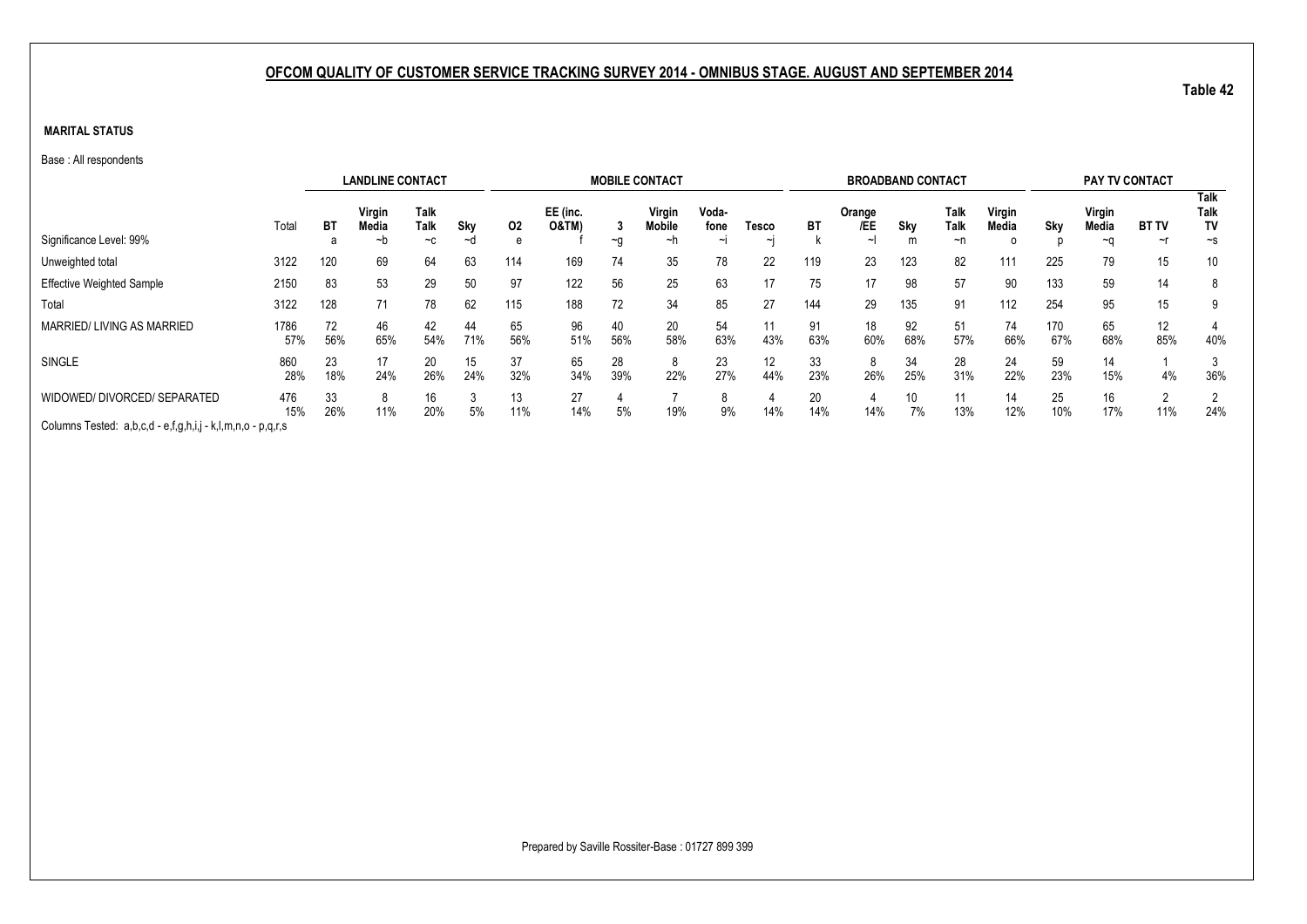### **MARITAL STATUS**

Base : All respondents

|                                                             |             |           | <b>LANDLINE CONTACT</b> |                      |           |           |                              |           | <b>MOBILE CONTACT</b>  |                         |                 |           | <b>BROADBAND CONTACT</b>  |           |                           |                 |            | <b>PAY TV CONTACT</b> |                    |                                       |
|-------------------------------------------------------------|-------------|-----------|-------------------------|----------------------|-----------|-----------|------------------------------|-----------|------------------------|-------------------------|-----------------|-----------|---------------------------|-----------|---------------------------|-----------------|------------|-----------------------|--------------------|---------------------------------------|
| Significance Level: 99%                                     | Total       | ВT<br>а   | Virgin<br>Media<br>~n   | Talk<br>Talk<br>$-c$ | Sky<br>~a | 02<br>e   | EE (inc.<br><b>O&amp;TM)</b> | $\sim g$  | Virgin<br>Mobile<br>~n | Voda-<br>fone<br>$\sim$ | Tesco<br>$\sim$ | ВT        | Orange<br>/EE<br>$\sim$ I | Sky<br>m  | Talk<br><b>Talk</b><br>~n | Virgin<br>Media | Sky        | Virgin<br>Media<br>~∩ | <b>BT TV</b><br>~r | <b>Talk</b><br>Talk<br>TV<br>$\sim$ s |
| Unweighted total                                            | 3122        | 120       | 69                      | 64                   | 63        | 114       | 169                          | 74        | 35                     | 78                      | 22              | 119       | 23                        | 123       | 82                        | 111             | 225        | 79                    | 15                 | 10 <sup>°</sup>                       |
| <b>Effective Weighted Sample</b>                            | 2150        | 83        | 53                      | 29                   | 50        | 97        | 122                          | 56        | 25                     | 63                      | 17              | 75        | 17                        | 98        | 57                        | 90              | 133        | 59                    | 14                 | 8                                     |
| Total                                                       | 3122        | 128       | 71                      | 78                   | 62        | 115       | 188                          | 72        | 34                     | 85                      | 27              | 144       | 29                        | 135       | 91                        | 112             | 254        | 95                    | 15                 | 9                                     |
| MARRIED/LIVING AS MARRIED                                   | 1786<br>57% | 72<br>56% | 46<br>65%               | 42<br>54%            | 44<br>71% | 65<br>56% | 96<br>51%                    | 40<br>56% | 20<br>58%              | 54<br>63%               | 43%             | 91<br>63% | 18<br>60%                 | 92<br>68% | 51<br>57%                 | 74<br>66%       | 170<br>67% | 65<br>68%             | 12<br>85%          | 40%                                   |
| SINGLE                                                      | 860<br>28%  | 23<br>18% | 17<br>24%               | 20<br>26%            | 15<br>24% | 37<br>32% | 65<br>34%                    | 28<br>39% | 8<br>22%               | 23<br>27%               | 12<br>44%       | 33<br>23% | 8<br>26%                  | 34<br>25% | 28<br>31%                 | 24<br>22%       | 59<br>23%  | 14<br>15%             | 4%                 | 36%                                   |
| WIDOWED/ DIVORCED/ SEPARATED                                | 476<br>15%  | 33<br>26% | 11%                     | 16<br>20%            | 5%        | 13<br>11% | 27<br>14%                    | 5%        | 19%                    | 9%                      | 14%             | 20<br>14% | 14%                       | 10<br>7%  | 11<br>13%                 | 14<br>12%       | 25<br>10%  | 16<br>17%             | 11%                | 24%                                   |
| Columns Tested: a,b,c,d - e,f,g,h,i,j - k,l,m,n,o - p,q,r,s |             |           |                         |                      |           |           |                              |           |                        |                         |                 |           |                           |           |                           |                 |            |                       |                    |                                       |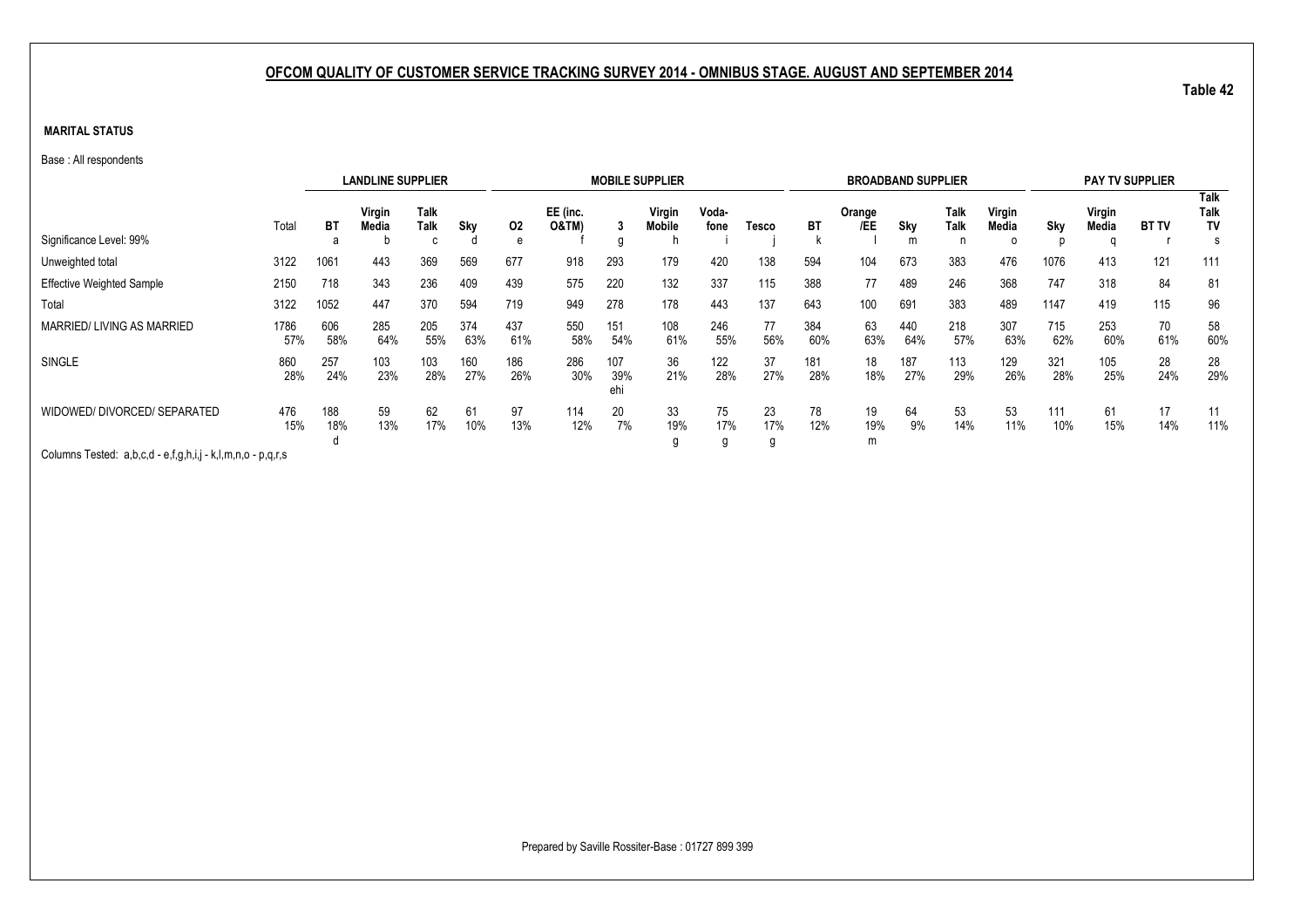### **MARITAL STATUS**

Base : All respondents

|                                                             |             |            | <b>LANDLINE SUPPLIER</b> |                     |            |            |                              |                   | <b>MOBILE SUPPLIER</b> |                |                |            | <b>BROADBAND SUPPLIER</b> |            |                     |                      |            | <b>PAY TV SUPPLIER</b> |              |                                |
|-------------------------------------------------------------|-------------|------------|--------------------------|---------------------|------------|------------|------------------------------|-------------------|------------------------|----------------|----------------|------------|---------------------------|------------|---------------------|----------------------|------------|------------------------|--------------|--------------------------------|
| Significance Level: 99%                                     | Total       | ВT<br>a    | Virgin<br>Media          | Talk<br><b>Talk</b> | Sky        | 02<br>e    | EE (inc.<br><b>O&amp;TM)</b> |                   | Virgin<br>Mobile       | Voda-<br>fone  | Tesco          | ВT         | Orange<br>/EE             | Sky<br>m   | Talk<br><b>Talk</b> | Virgin<br>Media<br>0 | Sky        | Virgin<br>Media        | <b>BT TV</b> | <b>Talk</b><br>Talk<br>TV<br>s |
|                                                             | 3122        | 1061       | 443                      | 369                 | 569        | 677        | 918                          | 293               | 179                    | 420            | 138            | 594        | 104                       | 673        | 383                 | 476                  | 1076       | 413                    | 121          | 111                            |
| Unweighted total                                            |             |            |                          |                     |            |            |                              |                   |                        |                |                |            |                           |            |                     |                      |            |                        |              |                                |
| <b>Effective Weighted Sample</b>                            | 2150        | 718        | 343                      | 236                 | 409        | 439        | 575                          | 220               | 132                    | 337            | 115            | 388        | 77                        | 489        | 246                 | 368                  | 747        | 318                    | 84           | 81                             |
| Total                                                       | 3122        | 1052       | 447                      | 370                 | 594        | 719        | 949                          | 278               | 178                    | 443            | 137            | 643        | 100                       | 691        | 383                 | 489                  | 1147       | 419                    | 115          | 96                             |
| MARRIED/LIVING AS MARRIED                                   | 1786<br>57% | 606<br>58% | 285<br>64%               | 205<br>55%          | 374<br>63% | 437<br>61% | 550<br>58%                   | 151<br>54%        | 108<br>61%             | 246<br>55%     | 77<br>56%      | 384<br>60% | 63<br>63%                 | 440<br>64% | 218<br>57%          | 307<br>63%           | 715<br>62% | 253<br>60%             | 70<br>61%    | 58<br>60%                      |
| SINGLE                                                      | 860<br>28%  | 257<br>24% | 103<br>23%               | 103<br>28%          | 160<br>27% | 186<br>26% | 286<br>30%                   | 107<br>39%<br>ehi | 36<br>21%              | 122<br>28%     | 37<br>27%      | 181<br>28% | 18<br>18%                 | 187<br>27% | 113<br>29%          | 129<br>26%           | 321<br>28% | 105<br>25%             | 28<br>24%    | 28<br>29%                      |
| WIDOWED/ DIVORCED/ SEPARATED                                | 476<br>15%  | 188<br>18% | 59<br>13%                | 62<br>17%           | 61<br>10%  | 97<br>13%  | 114<br>12%                   | 20<br>7%          | 33<br>19%<br>g         | 75<br>17%<br>g | 23<br>17%<br>g | 78<br>12%  | 19<br>19%<br>m            | 64<br>9%   | 53<br>14%           | 53<br>11%            | 111<br>10% | 61<br>15%              | 17<br>14%    | 11<br>11%                      |
| Columns Tested: a,b,c,d - e,f,g,h,i,j - k,l,m,n,o - p,q,r,s |             |            |                          |                     |            |            |                              |                   |                        |                |                |            |                           |            |                     |                      |            |                        |              |                                |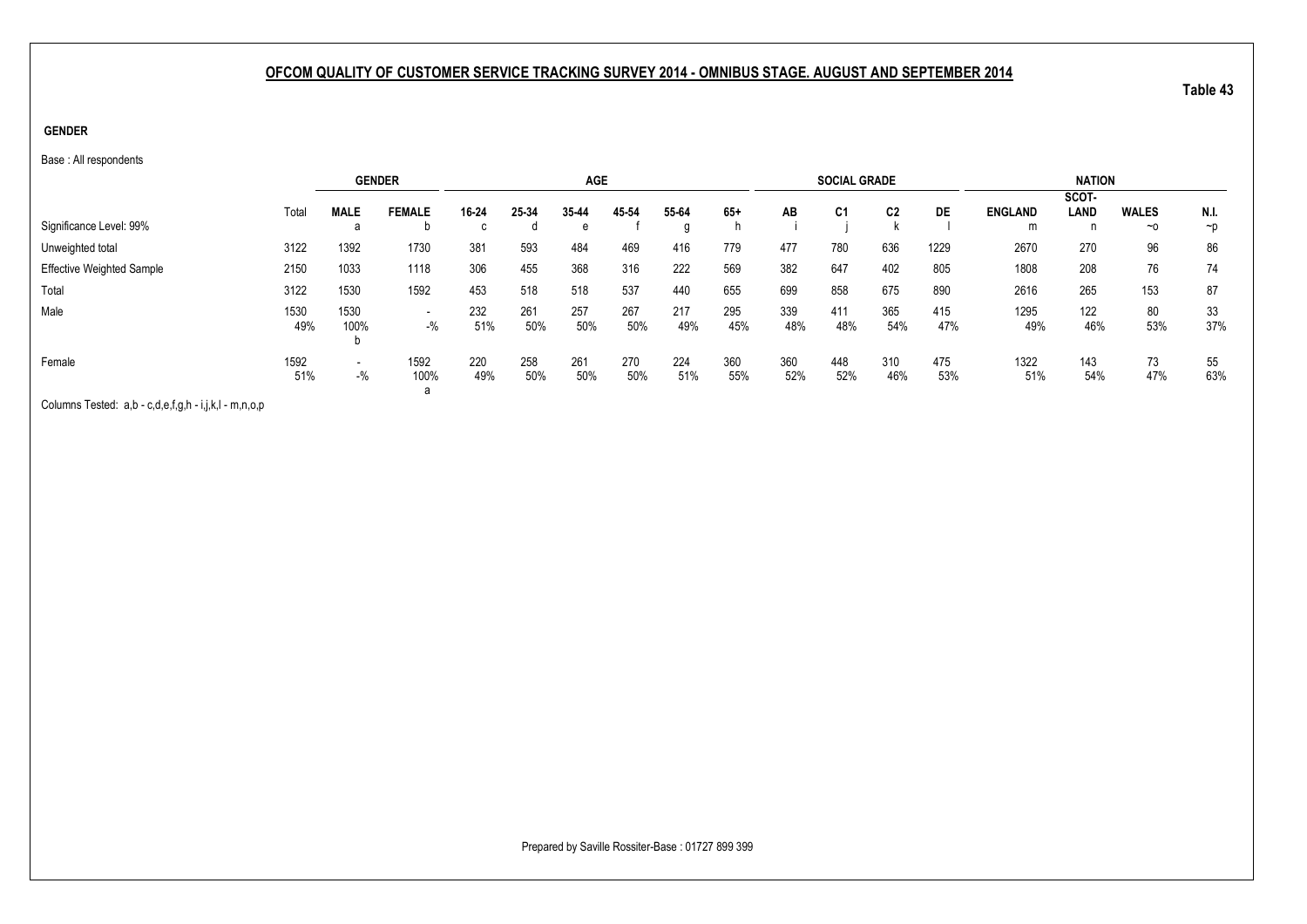### **GENDER**

Base : All respondents

|                                  |             |                                    | <b>GENDER</b>                     |            |            | <b>AGE</b> |            |            |            |            | <b>SOCIAL GRADE</b> |            |            |                     | <b>NATION</b> |                           |                  |
|----------------------------------|-------------|------------------------------------|-----------------------------------|------------|------------|------------|------------|------------|------------|------------|---------------------|------------|------------|---------------------|---------------|---------------------------|------------------|
|                                  |             |                                    |                                   |            |            |            |            |            |            |            |                     |            |            |                     | SCOT-         |                           |                  |
| Significance Level: 99%          | Total       | <b>MALE</b>                        | <b>FEMALE</b>                     | 16-24<br>c | 25-34<br>đ | 35-44<br>e | 45-54      | 55-64<br>a | $65+$      | AB         | C <sub>1</sub>      | C2         | DE         | <b>ENGLAND</b><br>m | LAND<br>n     | <b>WALES</b><br>$~\sim$ 0 | N.I.<br>$\neg$ D |
| Unweighted total                 | 3122        | 1392                               | 1730                              | 381        | 593        | 484        | 469        | 416        | 779        | 477        | 780                 | 636        | 1229       | 2670                | 270           | 96                        | 86               |
| <b>Effective Weighted Sample</b> | 2150        | 1033                               | 1118                              | 306        | 455        | 368        | 316        | 222        | 569        | 382        | 647                 | 402        | 805        | 1808                | 208           | 76                        | 74               |
| Total                            | 3122        | 1530                               | 1592                              | 453        | 518        | 518        | 537        | 440        | 655        | 699        | 858                 | 675        | 890        | 2616                | 265           | 153                       | 87               |
| Male                             | 1530<br>49% | 1530<br>100%                       | $\overline{\phantom{0}}$<br>$-$ % | 232<br>51% | 261<br>50% | 257<br>50% | 267<br>50% | 217<br>49% | 295<br>45% | 339<br>48% | 411<br>48%          | 365<br>54% | 415<br>47% | 1295<br>49%         | 122<br>46%    | 80<br>53%                 | 33<br>37%        |
| Female                           | 1592<br>51% | $\overline{\phantom{0}}$<br>$-9/6$ | 1592<br>100%<br>а                 | 220<br>49% | 258<br>50% | 261<br>50% | 270<br>50% | 224<br>51% | 360<br>55% | 360<br>52% | 448<br>52%          | 310<br>46% | 475<br>53% | 1322<br>51%         | 143<br>54%    | 73<br>47%                 | 55<br>63%        |

Columns Tested: a,b - c,d,e,f,g,h - i,j,k,l - m,n,o,p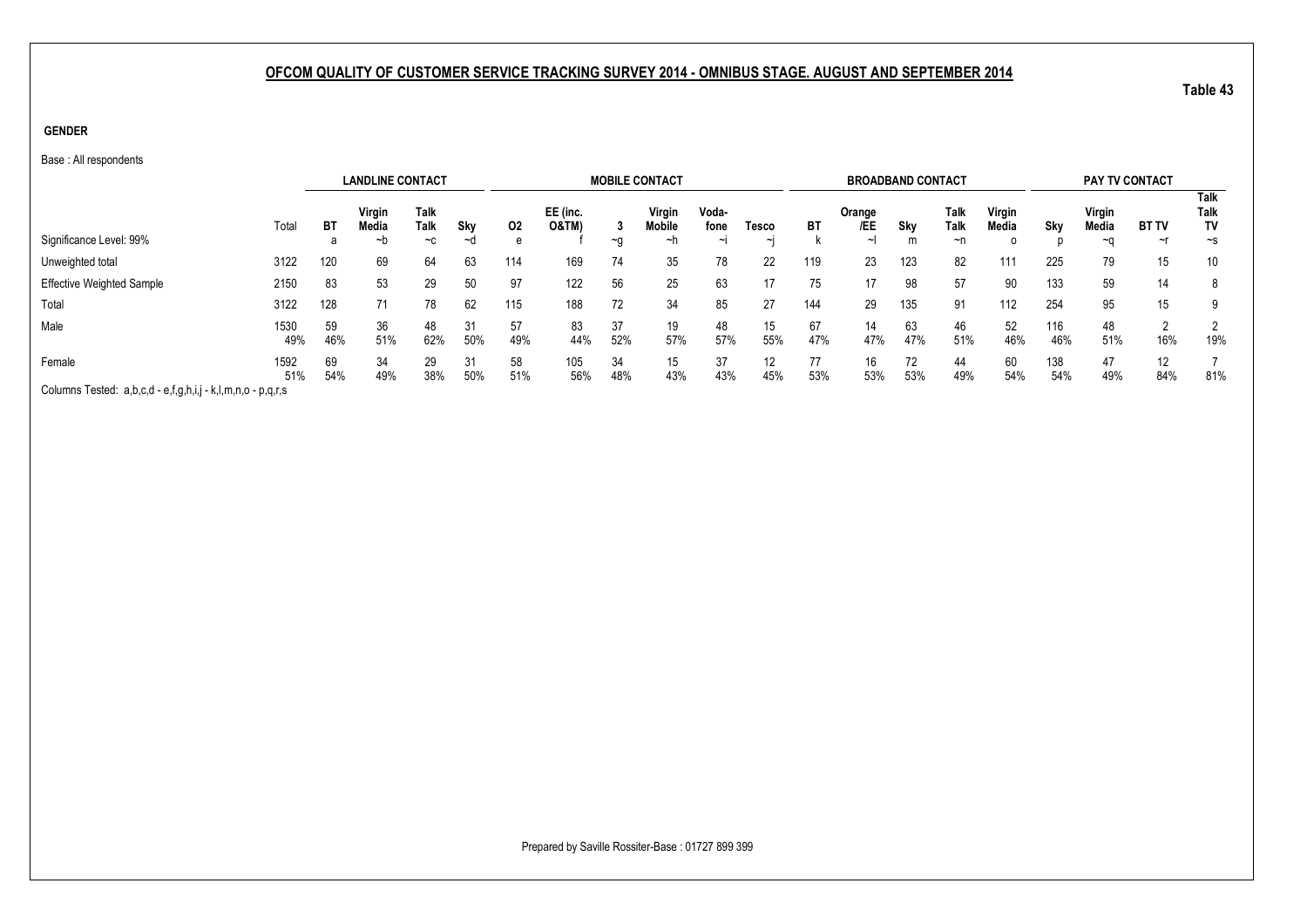**GENDER**

Base : All respondents

|                                                             |             |           | <b>LANDLINE CONTACT</b>                          |                             |           |           |                              |           | <b>MOBILE CONTACT</b>         |                         |            |           | <b>BROADBAND CONTACT</b>               |           |                    |                 |            | <b>PAY TV CONTACT</b> |                           |                           |
|-------------------------------------------------------------|-------------|-----------|--------------------------------------------------|-----------------------------|-----------|-----------|------------------------------|-----------|-------------------------------|-------------------------|------------|-----------|----------------------------------------|-----------|--------------------|-----------------|------------|-----------------------|---------------------------|---------------------------|
| Significance Level: 99%                                     | Total       | ВT        | Virgin<br><b>Media</b><br>~b                     | <b>Talk</b><br>Talk<br>$-c$ | Sky<br>∼d | 02<br>e   | EE (inc.<br><b>O&amp;TM)</b> |           | Virgin<br><b>Mobile</b><br>∼h | Voda-<br>fone<br>$\sim$ | Tesco<br>∼ | ВT        | Orange<br>/EE<br>$\tilde{\phantom{a}}$ | Sky<br>m  | Talk<br>Talk<br>~n | Virgin<br>Media | Skv        | Virgin<br>Media<br>∼∩ | <b>BT TV</b><br>$~\sim$ r | <b>Talk</b><br>Talk<br>TV |
|                                                             |             |           |                                                  |                             |           |           |                              | ∼q        |                               |                         |            |           |                                        |           |                    | o               |            |                       |                           | $\sim$ s                  |
| Unweighted total                                            | 3122        | 120       | 69                                               | 64                          | 63        | 114       | 169                          | 74        | 35                            | 78                      | 22         | 119       | 23                                     | 123       | 82                 | 111             | 225        | 79                    | 15                        | 10                        |
| <b>Effective Weighted Sample</b>                            | 2150        | 83        | 53                                               | 29                          | 50        | 97        | 122                          | 56        | 25                            | 63                      |            | 75        | 17                                     | 98        | 57                 | 90              | 133        | 59                    | 14                        | 8                         |
| Total                                                       | 3122        | 128       | 71                                               | 78                          | 62        | 115       | 188                          | 72        | 34                            | 85                      | 27         | 144       | 29                                     | 135       | 91                 | 112             | 254        | 95                    | 15                        |                           |
| Male                                                        | 1530<br>49% | 59<br>46% | 36<br>51%                                        | 48<br>62%                   | 31<br>50% | 57<br>49% | 83<br>44%                    | 37<br>52% | 19<br>57%                     | 48<br>57%               | 15<br>55%  | 67<br>47% | 14<br>47%                              | 63<br>47% | 46<br>51%          | 52<br>46%       | 116<br>46% | 48<br>51%             | റ<br>16%                  | 19%                       |
| Female                                                      | 1592<br>51% | 69<br>54% | 58<br>34<br>29<br>31<br>51%<br>49%<br>38%<br>50% |                             |           |           | 105<br>56%                   | 34<br>48% | 15<br>43%                     | 37<br>43%               | 12<br>45%  | 77<br>53% | 16<br>53%                              | 72<br>53% | 44<br>49%          | 60<br>54%       | 138<br>54% | 47<br>49%             | 12 <sup>2</sup><br>84%    | 81%                       |
| Columns Tested: a,b,c,d - e,f,g,h,i,j - k,l,m,n,o - p,q,r,s |             |           |                                                  |                             |           |           |                              |           |                               |                         |            |           |                                        |           |                    |                 |            |                       |                           |                           |

Prepared by Saville Rossiter-Base : 01727 899 399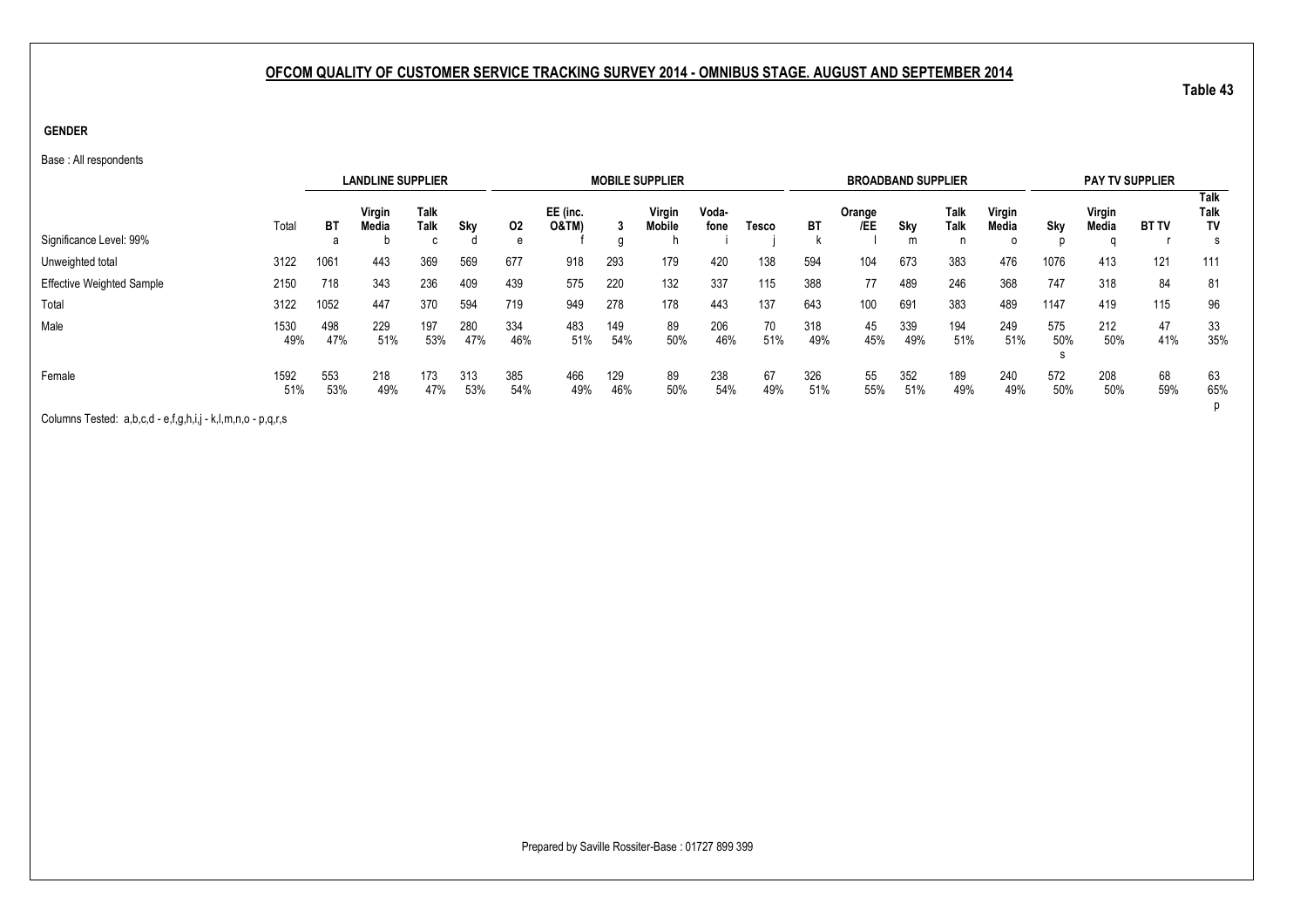**GENDER**

Base : All respondents

|                                                                                                                                                                                                                                   |             |            | <b>LANDLINE SUPPLIER</b> |              |            |            |                              |            | <b>MOBILE SUPPLIER</b>  |               |           |            | <b>BROADBAND SUPPLIER</b> |            |                     |                             |            | <b>PAY TV SUPPLIER</b> |              |                                       |
|-----------------------------------------------------------------------------------------------------------------------------------------------------------------------------------------------------------------------------------|-------------|------------|--------------------------|--------------|------------|------------|------------------------------|------------|-------------------------|---------------|-----------|------------|---------------------------|------------|---------------------|-----------------------------|------------|------------------------|--------------|---------------------------------------|
| Significance Level: 99%                                                                                                                                                                                                           | Total       | ВT<br>а    | Virgin<br>Media          | Talk<br>Talk | Skv        | 02<br>e    | EE (inc.<br><b>O&amp;TM)</b> | g          | Virgin<br><b>Mobile</b> | Voda-<br>fone | Tesco     | BT         | Orange<br>/EE             | Sky<br>m   | Talk<br><b>Talk</b> | Virgin<br>Media<br>$\Omega$ | Sky        | Virgin<br>Media        | <b>BT TV</b> | <b>Talk</b><br>Talk<br><b>TV</b><br>s |
| Unweighted total                                                                                                                                                                                                                  | 3122        | 1061       | 443                      | 369          | 569        | 677        | 918                          | 293        | 179                     | 420           | 138       | 594        | 104                       | 673        | 383                 | 476                         | 1076       | 413                    | 121          | 111                                   |
| <b>Effective Weighted Sample</b>                                                                                                                                                                                                  | 2150        | 718        | 343                      | 236          | 409        | 439        | 575                          | 220        | 132                     | 337           | 115       | 388        | 77                        | 489        | 246                 | 368                         | 747        | 318                    | 84           | 81                                    |
| Total                                                                                                                                                                                                                             | 3122        | 1052       | 447                      | 370          | 594        | 719        | 949                          | 278        | 178                     | 443           | 137       | 643        | 100                       | 691        | 383                 | 489                         | 1147       | 419                    | 115          | 96                                    |
| Male                                                                                                                                                                                                                              | 1530<br>49% | 498<br>47% | 229<br>51%               | 197<br>53%   | 280<br>47% | 334<br>46% | 483<br>51%                   | 149<br>54% | 89<br>50%               | 206<br>46%    | 70<br>51% | 318<br>49% | 45<br>45%                 | 339<br>49% | 194<br>51%          | 249<br>51%                  | 575<br>50% | 212<br>50%             | 47<br>41%    | 33<br>35%                             |
| Female                                                                                                                                                                                                                            | 1592<br>51% | 553<br>53% | 218<br>49%               | 173<br>47%   | 313<br>53% | 385<br>54% | 466<br>49%                   | 129<br>46% | 89<br>50%               | 238<br>54%    | 67<br>49% | 326<br>51% | 55<br>55%                 | 352<br>51% | 189<br>49%          | 240<br>49%                  | 572<br>50% | 208<br>50%             | 68<br>59%    | 63<br>65%                             |
| $\bigcap$ . In the set of the set of the set of the set of the set of the set of the set of the set of the set of the set of the set of the set of the set of the set of the set of the set of the set of the set of the set of t |             |            |                          |              |            |            |                              |            |                         |               |           |            |                           |            |                     |                             |            |                        |              |                                       |

Columns Tested: a,b,c,d - e,f,g,h,i,j - k,l,m,n,o - p,q,r,s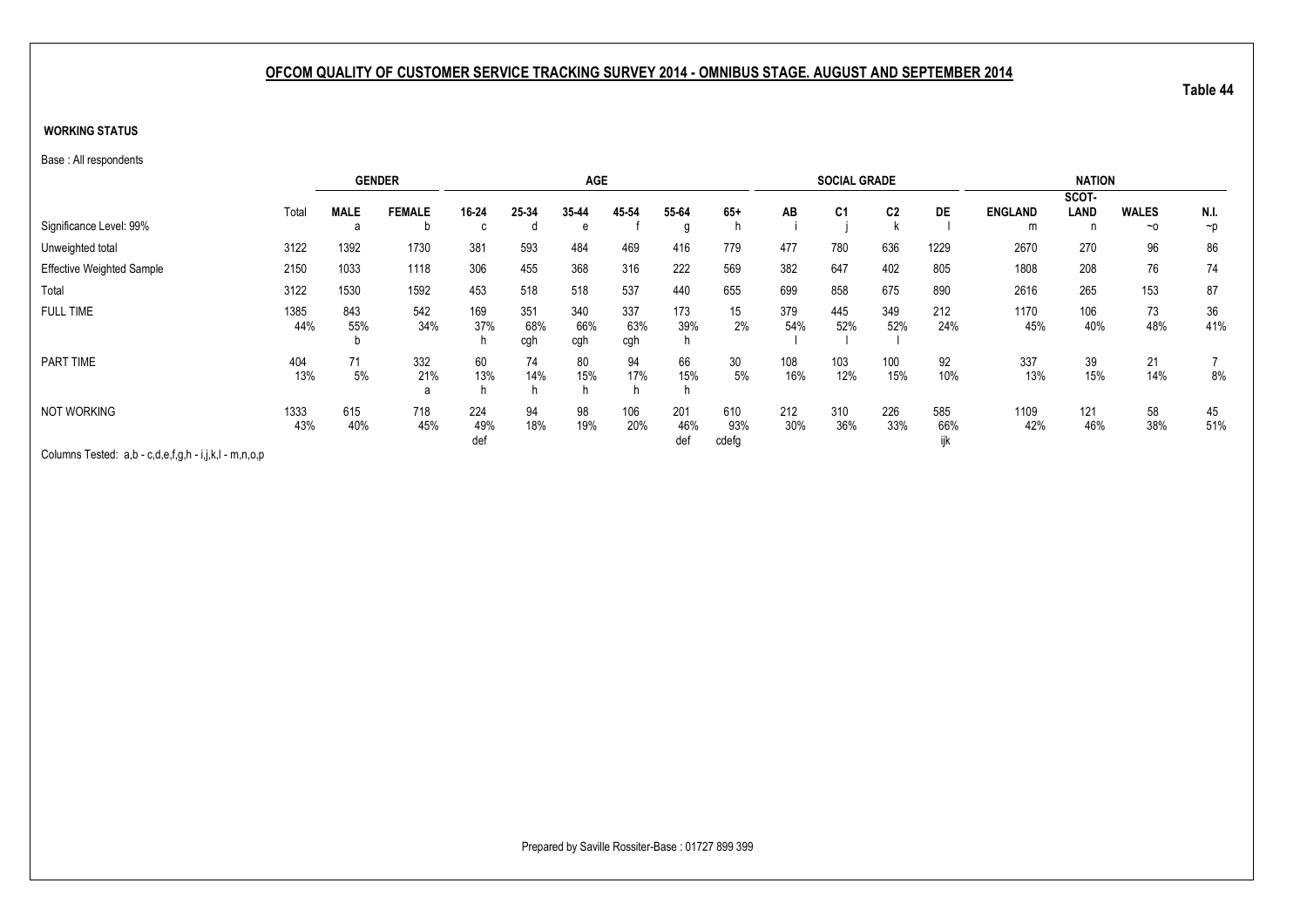#### **WORKING STATUS**

Base : All respondents

|                                  |             |             | <b>GENDER</b>   |                   |                   | <b>AGE</b>        |                   |                   |                     |            | <b>SOCIAL GRADE</b> |                |            |                | <b>NATION</b> |              |           |
|----------------------------------|-------------|-------------|-----------------|-------------------|-------------------|-------------------|-------------------|-------------------|---------------------|------------|---------------------|----------------|------------|----------------|---------------|--------------|-----------|
|                                  |             |             |                 |                   |                   |                   |                   |                   |                     |            |                     |                |            |                | SCOT-         |              |           |
|                                  | Total       | <b>MALE</b> | <b>FEMALE</b>   | 16-24             | 25-34             | 35-44             | 45 54             | 55-64             | $65+$               | AB         | C <sub>1</sub>      | C <sub>2</sub> | <b>DE</b>  | <b>ENGLAND</b> | LAND          | <b>WALES</b> | N.I.      |
| Significance Level: 99%          |             | a           | D               | C.                |                   | e                 |                   | g                 |                     |            |                     |                |            | m              | n             | $~\sim$ 0    | $\neg$    |
| Unweighted total                 | 3122        | 1392        | 1730            | 381               | 593               | 484               | 469               | 416               | 779                 | 477        | 780                 | 636            | 1229       | 2670           | 270           | 96           | 86        |
| <b>Effective Weighted Sample</b> | 2150        | 1033        | 1118            | 306               | 455               | 368               | 316               | 222               | 569                 | 382        | 647                 | 402            | 805        | 1808           | 208           | 76           | 74        |
| Total                            | 3122        | 1530        | 1592            | 453               | 518               | 518               | 537               | 440               | 655                 | 699        | 858                 | 675            | 890        | 2616           | 265           | 153          | 87        |
| <b>FULL TIME</b>                 | 1385<br>44% | 843<br>55%  | 542<br>34%      | 169<br>37%        | 351<br>68%<br>cgh | 340<br>66%<br>cgh | 337<br>63%<br>cgh | 173<br>39%        | 15<br>2%            | 379<br>54% | 445<br>52%          | 349<br>52%     | 212<br>24% | 1170<br>45%    | 106<br>40%    | 73<br>48%    | 36<br>41% |
| PART TIME                        | 404<br>13%  | 71<br>5%    | 332<br>21%<br>a | 60<br>13%         | 74<br>14%         | 80<br>15%<br>h    | 94<br>17%         | 66<br>15%         | 30<br>5%            | 108<br>16% | 103<br>12%          | 100<br>15%     | 92<br>10%  | 337<br>13%     | 39<br>15%     | 21<br>14%    | 8%        |
| <b>NOT WORKING</b>               | 1333<br>43% | 615<br>40%  | 718<br>45%      | 224<br>49%<br>def | 94<br>18%         | 98<br>19%         | 106<br>20%        | 201<br>46%<br>def | 610<br>93%<br>cdefg | 212<br>30% | 310<br>36%          | 226<br>33%     | 585<br>66% | 1109<br>42%    | 121<br>46%    | 58<br>38%    | 45<br>51% |

Columns Tested: a,b - c,d,e,f,g,h - i,j,k,l - m,n,o,p

Prepared by Saville Rossiter-Base : 01727 899 399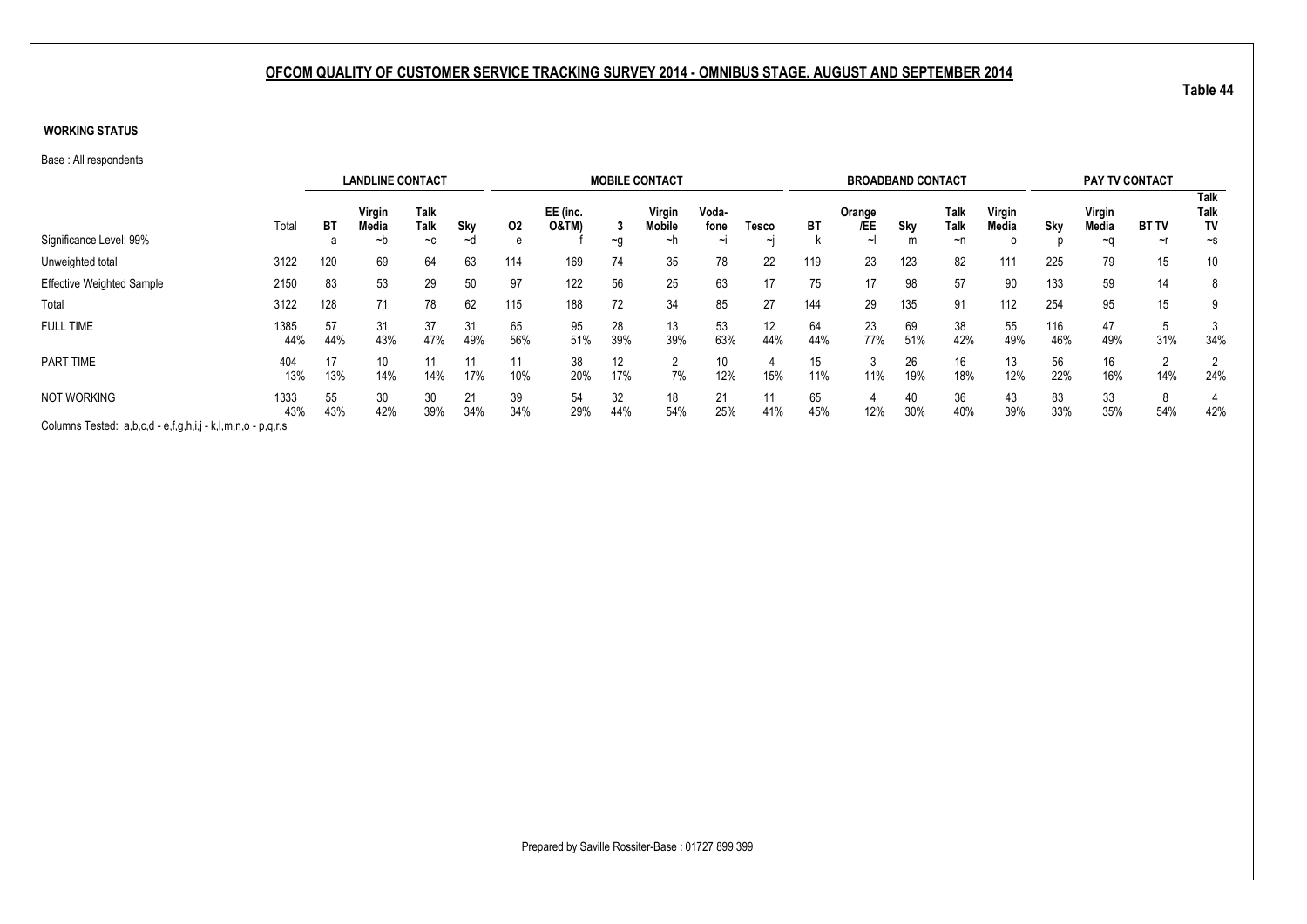#### **WORKING STATUS**

Base : All respondents

|                                                             |             |           | <b>LANDLINE CONTACT</b> |                      |           |           |                              |           | <b>MOBILE CONTACT</b>  |                         |                 |           | <b>BROADBAND CONTACT</b>  |           |                           |                 |            | PAY TV CONTACT        |                    |                                       |
|-------------------------------------------------------------|-------------|-----------|-------------------------|----------------------|-----------|-----------|------------------------------|-----------|------------------------|-------------------------|-----------------|-----------|---------------------------|-----------|---------------------------|-----------------|------------|-----------------------|--------------------|---------------------------------------|
| Significance Level: 99%                                     | Total       | ВT<br>а   | Virgin<br>Media<br>~n   | Talk<br>Talk<br>$-c$ | Sky<br>~d | 02<br>e   | EE (inc.<br><b>O&amp;TM)</b> | $\sim g$  | Virgin<br>Mobile<br>~n | Voda-<br>fone<br>$\sim$ | Tesco<br>$\sim$ | ВT        | Orange<br>/EE<br>$\sim$ I | Sky<br>m  | Talk<br><b>Talk</b><br>~n | Virgin<br>Media | Sky        | Virgin<br>Media<br>~∩ | <b>BT TV</b><br>~r | <b>Talk</b><br>Talk<br>TV<br>$\sim$ s |
| Unweighted total                                            | 3122        | 120       | 69                      | 64                   | 63        | 114       | 169                          | 74        | 35                     | 78                      | 22              | 119       | 23                        | 123       | 82                        | 111             | 225        | 79                    | 15                 | 10                                    |
| <b>Effective Weighted Sample</b>                            | 2150        | 83        | 53                      | 29                   | 50        | 97        | 122                          | 56        | 25                     | 63                      | 17              | 75        | 17                        | 98        | 57                        | 90              | 133        | 59                    | 14                 | 8                                     |
| Total                                                       | 3122        | 128       | 71                      | 78                   | 62        | 115       | 188                          | 72        | 34                     | 85                      | 27              | 144       | 29                        | 135       | 91                        | 112             | 254        | 95                    | 15                 | 9                                     |
| <b>FULL TIME</b>                                            | 1385<br>44% | 57<br>44% | 31<br>43%               | 37<br>47%            | 31<br>49% | 65<br>56% | 95<br>51%                    | 28<br>39% | 13<br>39%              | 53<br>63%               | 12<br>44%       | 64<br>44% | 23<br>77%                 | 69<br>51% | 38<br>42%                 | 55<br>49%       | 116<br>46% | 47<br>49%             | 31%                | 34%                                   |
| PART TIME                                                   | 404<br>13%  | 17<br>13% | 10<br>14%               | 11<br>14%            | 11<br>17% | 11<br>10% | 38<br>20%                    | 12<br>17% | 7%                     | 10<br>12%               | 15%             | 15<br>11% | 11%                       | 26<br>19% | 16<br>18%                 | 13<br>12%       | 56<br>22%  | 16<br>16%             | 14%                | 2<br>24%                              |
| <b>NOT WORKING</b>                                          | 1333<br>43% | 55<br>43% | 30<br>42%               | 30<br>39%            | 21<br>34% | 39<br>34% | 54<br>29%                    | 32<br>44% | 18<br>54%              | 21<br>25%               | 11<br>41%       | 65<br>45% | 12%                       | 40<br>30% | 36<br>40%                 | 43<br>39%       | 83<br>33%  | 33<br>35%             | 8<br>54%           | 42%                                   |
| Columns Tested: a,b,c,d - e,f,g,h,i,j - k,l,m,n,o - p,q,r,s |             |           |                         |                      |           |           |                              |           |                        |                         |                 |           |                           |           |                           |                 |            |                       |                    |                                       |